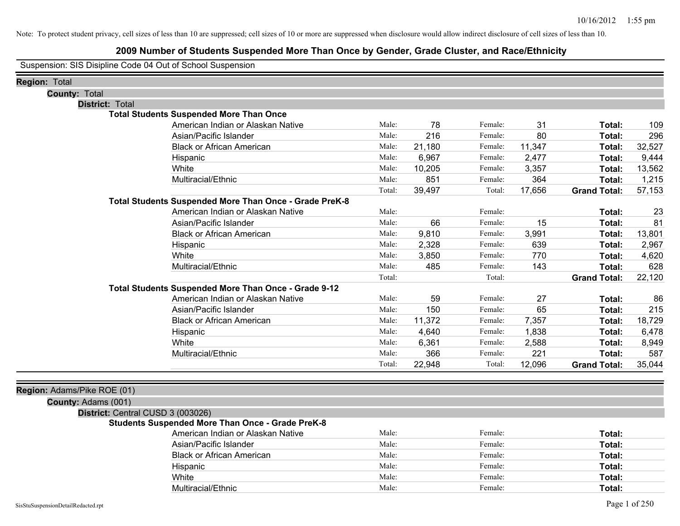# **2009 Number of Students Suspended More Than Once by Gender, Grade Cluster, and Race/Ethnicity**

Suspension: SIS Disipline Code 04 Out of School Suspension

| <b>Region: Total</b>              |                                                         |        |        |         |        |                     |        |
|-----------------------------------|---------------------------------------------------------|--------|--------|---------|--------|---------------------|--------|
| <b>County: Total</b>              |                                                         |        |        |         |        |                     |        |
| <b>District: Total</b>            |                                                         |        |        |         |        |                     |        |
|                                   | <b>Total Students Suspended More Than Once</b>          |        |        |         |        |                     |        |
|                                   | American Indian or Alaskan Native                       | Male:  | 78     | Female: | 31     | Total:              | 109    |
|                                   | Asian/Pacific Islander                                  | Male:  | 216    | Female: | 80     | <b>Total:</b>       | 296    |
|                                   | <b>Black or African American</b>                        | Male:  | 21,180 | Female: | 11,347 | Total:              | 32,527 |
| Hispanic                          |                                                         | Male:  | 6,967  | Female: | 2,477  | Total:              | 9,444  |
| White                             |                                                         | Male:  | 10,205 | Female: | 3,357  | Total:              | 13,562 |
|                                   | Multiracial/Ethnic                                      | Male:  | 851    | Female: | 364    | Total:              | 1,215  |
|                                   |                                                         | Total: | 39,497 | Total:  | 17,656 | <b>Grand Total:</b> | 57,153 |
|                                   | Total Students Suspended More Than Once - Grade PreK-8  |        |        |         |        |                     |        |
|                                   | American Indian or Alaskan Native                       | Male:  |        | Female: |        | Total:              | 23     |
|                                   | Asian/Pacific Islander                                  | Male:  | 66     | Female: | 15     | Total:              | 81     |
|                                   | <b>Black or African American</b>                        | Male:  | 9,810  | Female: | 3,991  | Total:              | 13,801 |
| Hispanic                          |                                                         | Male:  | 2,328  | Female: | 639    | Total:              | 2,967  |
| White                             |                                                         | Male:  | 3,850  | Female: | 770    | Total:              | 4,620  |
|                                   | Multiracial/Ethnic                                      | Male:  | 485    | Female: | 143    | Total:              | 628    |
|                                   |                                                         | Total: |        | Total:  |        | <b>Grand Total:</b> | 22,120 |
|                                   | Total Students Suspended More Than Once - Grade 9-12    |        |        |         |        |                     |        |
|                                   | American Indian or Alaskan Native                       | Male:  | 59     | Female: | 27     | Total:              | 86     |
|                                   | Asian/Pacific Islander                                  | Male:  | 150    | Female: | 65     | Total:              | 215    |
|                                   | <b>Black or African American</b>                        | Male:  | 11,372 | Female: | 7,357  | Total:              | 18,729 |
| Hispanic                          |                                                         | Male:  | 4,640  | Female: | 1,838  | Total:              | 6,478  |
| White                             |                                                         | Male:  | 6,361  | Female: | 2,588  | Total:              | 8,949  |
|                                   | Multiracial/Ethnic                                      | Male:  | 366    | Female: | 221    | Total:              | 587    |
|                                   |                                                         | Total: | 22,948 | Total:  | 12,096 | <b>Grand Total:</b> | 35,044 |
|                                   |                                                         |        |        |         |        |                     |        |
| Region: Adams/Pike ROE (01)       |                                                         |        |        |         |        |                     |        |
| County: Adams (001)               |                                                         |        |        |         |        |                     |        |
| District: Central CUSD 3 (003026) |                                                         |        |        |         |        |                     |        |
|                                   | <b>Students Suspended More Than Once - Grade PreK-8</b> |        |        |         |        |                     |        |

| American Indian or Alaskan Native | Male: | Female: | Total: |
|-----------------------------------|-------|---------|--------|
| Asian/Pacific Islander            | Male: | Female: | Total: |
| <b>Black or African American</b>  | Male: | Female: | Total: |
| Hispanic                          | Male: | Female: | Total: |
| White                             | Male: | Female: | Total: |
| Multiracial/Ethnic                | Male: | Female: | Total: |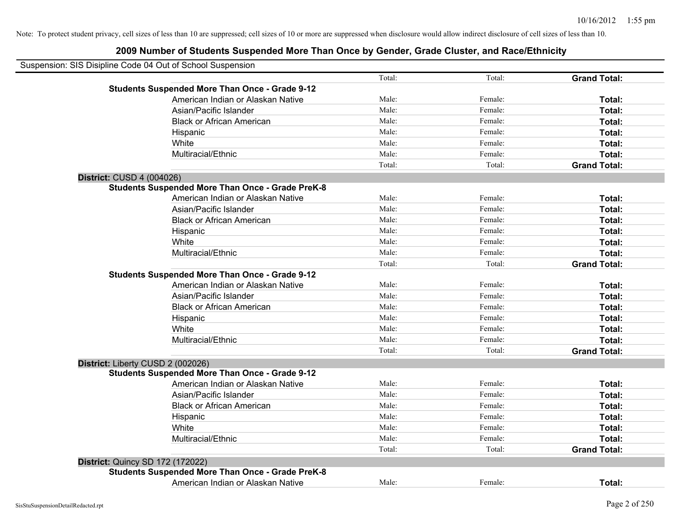|                           | Suspension: SIS Disipline Code 04 Out of School Suspension |        |         |                     |
|---------------------------|------------------------------------------------------------|--------|---------|---------------------|
|                           |                                                            | Total: | Total:  | <b>Grand Total:</b> |
|                           | <b>Students Suspended More Than Once - Grade 9-12</b>      |        |         |                     |
|                           | American Indian or Alaskan Native                          | Male:  | Female: | Total:              |
|                           | Asian/Pacific Islander                                     | Male:  | Female: | Total:              |
|                           | <b>Black or African American</b>                           | Male:  | Female: | Total:              |
|                           | Hispanic                                                   | Male:  | Female: | Total:              |
|                           | White                                                      | Male:  | Female: | Total:              |
|                           | Multiracial/Ethnic                                         | Male:  | Female: | Total:              |
|                           |                                                            | Total: | Total:  | <b>Grand Total:</b> |
| District: CUSD 4 (004026) |                                                            |        |         |                     |
|                           | <b>Students Suspended More Than Once - Grade PreK-8</b>    |        |         |                     |
|                           | American Indian or Alaskan Native                          | Male:  | Female: | Total:              |
|                           | Asian/Pacific Islander                                     | Male:  | Female: | Total:              |
|                           | <b>Black or African American</b>                           | Male:  | Female: | Total:              |
|                           | Hispanic                                                   | Male:  | Female: | Total:              |
|                           | White                                                      | Male:  | Female: | Total:              |
|                           | Multiracial/Ethnic                                         | Male:  | Female: | Total:              |
|                           |                                                            | Total: | Total:  | <b>Grand Total:</b> |
|                           | <b>Students Suspended More Than Once - Grade 9-12</b>      |        |         |                     |
|                           | American Indian or Alaskan Native                          | Male:  | Female: | Total:              |
|                           | Asian/Pacific Islander                                     | Male:  | Female: | Total:              |
|                           | <b>Black or African American</b>                           | Male:  | Female: | Total:              |
|                           | Hispanic                                                   | Male:  | Female: | Total:              |
|                           | White                                                      | Male:  | Female: | Total:              |
|                           | Multiracial/Ethnic                                         | Male:  | Female: | Total:              |
|                           |                                                            | Total: | Total:  | <b>Grand Total:</b> |
|                           | District: Liberty CUSD 2 (002026)                          |        |         |                     |
|                           | <b>Students Suspended More Than Once - Grade 9-12</b>      |        |         |                     |
|                           | American Indian or Alaskan Native                          | Male:  | Female: | Total:              |
|                           | Asian/Pacific Islander                                     | Male:  | Female: | Total:              |
|                           | <b>Black or African American</b>                           | Male:  | Female: | Total:              |
|                           | Hispanic                                                   | Male:  | Female: | Total:              |
|                           | White                                                      | Male:  | Female: | Total:              |
|                           | Multiracial/Ethnic                                         | Male:  | Female: | Total:              |
|                           |                                                            | Total: | Total:  | <b>Grand Total:</b> |
|                           | <b>District: Quincy SD 172 (172022)</b>                    |        |         |                     |
|                           | <b>Students Suspended More Than Once - Grade PreK-8</b>    |        |         |                     |
|                           | American Indian or Alaskan Native                          | Male:  | Female: | Total:              |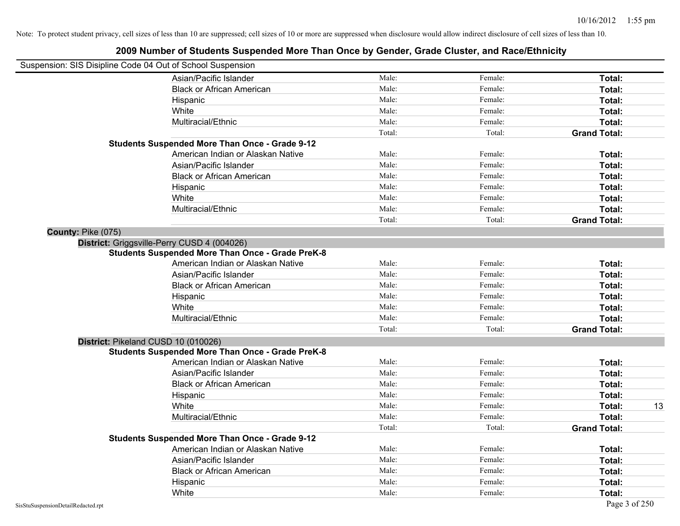| Suspension: SIS Disipline Code 04 Out of School Suspension |                                                         |        |         |                     |    |
|------------------------------------------------------------|---------------------------------------------------------|--------|---------|---------------------|----|
|                                                            | Asian/Pacific Islander                                  | Male:  | Female: | Total:              |    |
|                                                            | <b>Black or African American</b>                        | Male:  | Female: | Total:              |    |
|                                                            | Hispanic                                                | Male:  | Female: | Total:              |    |
|                                                            | White                                                   | Male:  | Female: | Total:              |    |
|                                                            | Multiracial/Ethnic                                      | Male:  | Female: | Total:              |    |
|                                                            |                                                         | Total: | Total:  | <b>Grand Total:</b> |    |
|                                                            | <b>Students Suspended More Than Once - Grade 9-12</b>   |        |         |                     |    |
|                                                            | American Indian or Alaskan Native                       | Male:  | Female: | Total:              |    |
|                                                            | Asian/Pacific Islander                                  | Male:  | Female: | Total:              |    |
|                                                            | <b>Black or African American</b>                        | Male:  | Female: | Total:              |    |
|                                                            | Hispanic                                                | Male:  | Female: | Total:              |    |
|                                                            | White                                                   | Male:  | Female: | Total:              |    |
|                                                            | Multiracial/Ethnic                                      | Male:  | Female: | Total:              |    |
|                                                            |                                                         | Total: | Total:  | <b>Grand Total:</b> |    |
| County: Pike (075)                                         |                                                         |        |         |                     |    |
|                                                            | District: Griggsville-Perry CUSD 4 (004026)             |        |         |                     |    |
|                                                            | <b>Students Suspended More Than Once - Grade PreK-8</b> |        |         |                     |    |
|                                                            | American Indian or Alaskan Native                       | Male:  | Female: | Total:              |    |
|                                                            | Asian/Pacific Islander                                  | Male:  | Female: | Total:              |    |
|                                                            | <b>Black or African American</b>                        | Male:  | Female: | Total:              |    |
|                                                            | Hispanic                                                | Male:  | Female: | Total:              |    |
|                                                            | White                                                   | Male:  | Female: | Total:              |    |
|                                                            | Multiracial/Ethnic                                      | Male:  | Female: | Total:              |    |
|                                                            |                                                         | Total: | Total:  | <b>Grand Total:</b> |    |
|                                                            | District: Pikeland CUSD 10 (010026)                     |        |         |                     |    |
|                                                            | <b>Students Suspended More Than Once - Grade PreK-8</b> |        |         |                     |    |
|                                                            | American Indian or Alaskan Native                       | Male:  | Female: | Total:              |    |
|                                                            | Asian/Pacific Islander                                  | Male:  | Female: | Total:              |    |
|                                                            | <b>Black or African American</b>                        | Male:  | Female: | Total:              |    |
|                                                            | Hispanic                                                | Male:  | Female: | Total:              |    |
|                                                            | White                                                   | Male:  | Female: | Total:              | 13 |
|                                                            | Multiracial/Ethnic                                      | Male:  | Female: | Total:              |    |
|                                                            |                                                         | Total: | Total:  | <b>Grand Total:</b> |    |
|                                                            | <b>Students Suspended More Than Once - Grade 9-12</b>   |        |         |                     |    |
|                                                            | American Indian or Alaskan Native                       | Male:  | Female: | Total:              |    |
|                                                            | Asian/Pacific Islander                                  | Male:  | Female: | Total:              |    |
|                                                            | <b>Black or African American</b>                        | Male:  | Female: | Total:              |    |
|                                                            | Hispanic                                                | Male:  | Female: | Total:              |    |
|                                                            | White                                                   | Male:  | Female: | Total:              |    |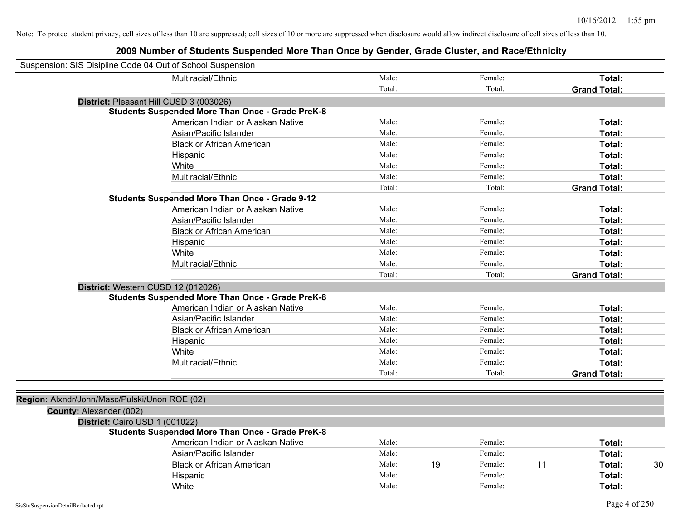| Suspension: SIS Disipline Code 04 Out of School Suspension |                                                         |        |               |                     |
|------------------------------------------------------------|---------------------------------------------------------|--------|---------------|---------------------|
|                                                            | Multiracial/Ethnic                                      | Male:  | Female:       | Total:              |
|                                                            |                                                         | Total: | Total:        | <b>Grand Total:</b> |
|                                                            | District: Pleasant Hill CUSD 3 (003026)                 |        |               |                     |
|                                                            | <b>Students Suspended More Than Once - Grade PreK-8</b> |        |               |                     |
|                                                            | American Indian or Alaskan Native                       | Male:  | Female:       | Total:              |
|                                                            | Asian/Pacific Islander                                  | Male:  | Female:       | Total:              |
|                                                            | <b>Black or African American</b>                        | Male:  | Female:       | Total:              |
|                                                            | Hispanic                                                | Male:  | Female:       | Total:              |
|                                                            | White                                                   | Male:  | Female:       | Total:              |
|                                                            | Multiracial/Ethnic                                      | Male:  | Female:       | Total:              |
|                                                            |                                                         | Total: | Total:        | <b>Grand Total:</b> |
|                                                            | <b>Students Suspended More Than Once - Grade 9-12</b>   |        |               |                     |
|                                                            | American Indian or Alaskan Native                       | Male:  | Female:       | Total:              |
|                                                            | Asian/Pacific Islander                                  | Male:  | Female:       | Total:              |
|                                                            | <b>Black or African American</b>                        | Male:  | Female:       | Total:              |
|                                                            | Hispanic                                                | Male:  | Female:       | Total:              |
|                                                            | White                                                   | Male:  | Female:       | Total:              |
|                                                            | Multiracial/Ethnic                                      | Male:  | Female:       | Total:              |
|                                                            |                                                         | Total: | Total:        | <b>Grand Total:</b> |
| District: Western CUSD 12 (012026)                         |                                                         |        |               |                     |
|                                                            | <b>Students Suspended More Than Once - Grade PreK-8</b> |        |               |                     |
|                                                            | American Indian or Alaskan Native                       | Male:  | Female:       | Total:              |
|                                                            | Asian/Pacific Islander                                  | Male:  | Female:       | Total:              |
|                                                            | <b>Black or African American</b>                        | Male:  | Female:       | Total:              |
|                                                            | Hispanic                                                | Male:  | Female:       | Total:              |
|                                                            | White                                                   | Male:  | Female:       | Total:              |
|                                                            | Multiracial/Ethnic                                      | Male:  | Female:       | Total:              |
|                                                            |                                                         | Total: | Total:        | <b>Grand Total:</b> |
|                                                            |                                                         |        |               |                     |
| Region: Alxndr/John/Masc/Pulski/Unon ROE (02)              |                                                         |        |               |                     |
| County: Alexander (002)                                    |                                                         |        |               |                     |
| District: Cairo USD 1 (001022)                             |                                                         |        |               |                     |
|                                                            | <b>Students Suspended More Than Once - Grade PreK-8</b> |        |               |                     |
|                                                            | American Indian or Alaskan Native                       | Male:  | Female:       | Total:              |
|                                                            | Asian/Pacific Islander                                  | Male:  | Female:       | Total:              |
|                                                            | <b>Black or African American</b>                        | Male:  | 19<br>Female: | 11<br>30<br>Total:  |
|                                                            | Hispanic                                                | Male:  | Female:       | Total:              |
|                                                            | White                                                   | Male:  | Female:       | Total:              |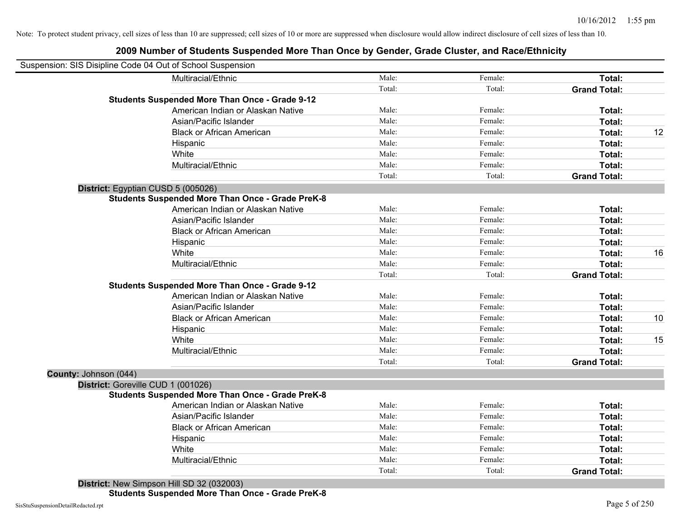#### **2009 Number of Students Suspended More Than Once by Gender, Grade Cluster, and Race/Ethnicity**

| Suspension: SIS Disipline Code 04 Out of School Suspension |                                                         |        |         |                     |    |
|------------------------------------------------------------|---------------------------------------------------------|--------|---------|---------------------|----|
|                                                            | Multiracial/Ethnic                                      | Male:  | Female: | Total:              |    |
|                                                            |                                                         | Total: | Total:  | <b>Grand Total:</b> |    |
|                                                            | <b>Students Suspended More Than Once - Grade 9-12</b>   |        |         |                     |    |
|                                                            | American Indian or Alaskan Native                       | Male:  | Female: | Total:              |    |
|                                                            | Asian/Pacific Islander                                  | Male:  | Female: | Total:              |    |
|                                                            | <b>Black or African American</b>                        | Male:  | Female: | Total:              | 12 |
|                                                            | Hispanic                                                | Male:  | Female: | Total:              |    |
|                                                            | White                                                   | Male:  | Female: | Total:              |    |
|                                                            | Multiracial/Ethnic                                      | Male:  | Female: | Total:              |    |
|                                                            |                                                         | Total: | Total:  | <b>Grand Total:</b> |    |
|                                                            | District: Egyptian CUSD 5 (005026)                      |        |         |                     |    |
|                                                            | <b>Students Suspended More Than Once - Grade PreK-8</b> |        |         |                     |    |
|                                                            | American Indian or Alaskan Native                       | Male:  | Female: | Total:              |    |
|                                                            | Asian/Pacific Islander                                  | Male:  | Female: | Total:              |    |
|                                                            | <b>Black or African American</b>                        | Male:  | Female: | Total:              |    |
|                                                            | Hispanic                                                | Male:  | Female: | Total:              |    |
|                                                            | White                                                   | Male:  | Female: | Total:              | 16 |
|                                                            | Multiracial/Ethnic                                      | Male:  | Female: | Total:              |    |
|                                                            |                                                         | Total: | Total:  | <b>Grand Total:</b> |    |
|                                                            | <b>Students Suspended More Than Once - Grade 9-12</b>   |        |         |                     |    |
|                                                            | American Indian or Alaskan Native                       | Male:  | Female: | Total:              |    |
|                                                            | Asian/Pacific Islander                                  | Male:  | Female: | Total:              |    |
|                                                            | <b>Black or African American</b>                        | Male:  | Female: | Total:              | 10 |
|                                                            | Hispanic                                                | Male:  | Female: | Total:              |    |
|                                                            | White                                                   | Male:  | Female: | Total:              | 15 |
|                                                            | Multiracial/Ethnic                                      | Male:  | Female: | Total:              |    |
|                                                            |                                                         | Total: | Total:  | <b>Grand Total:</b> |    |
| County: Johnson (044)                                      |                                                         |        |         |                     |    |
|                                                            | District: Goreville CUD 1 (001026)                      |        |         |                     |    |
|                                                            | <b>Students Suspended More Than Once - Grade PreK-8</b> |        |         |                     |    |
|                                                            | American Indian or Alaskan Native                       | Male:  | Female: | Total:              |    |
|                                                            | Asian/Pacific Islander                                  | Male:  | Female: | Total:              |    |
|                                                            | <b>Black or African American</b>                        | Male:  | Female: | Total:              |    |
|                                                            | Hispanic                                                | Male:  | Female: | Total:              |    |
|                                                            | White                                                   | Male:  | Female: | Total:              |    |
|                                                            | Multiracial/Ethnic                                      | Male:  | Female: | Total:              |    |
|                                                            |                                                         | Total: | Total:  | <b>Grand Total:</b> |    |
|                                                            | $D_{i}$                                                 |        |         |                     |    |

**District:** New Simpson Hill SD 32 (032003)

**Students Suspended More Than Once - Grade PreK-8**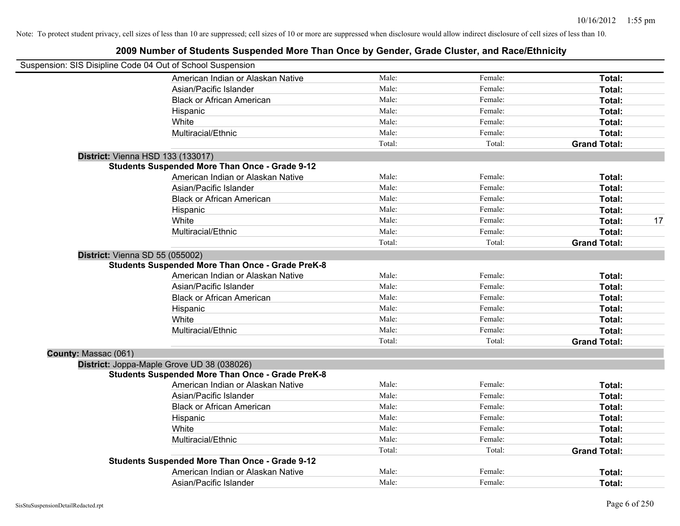|                      | Suspension: SIS Disipline Code 04 Out of School Suspension |        |         |                     |    |
|----------------------|------------------------------------------------------------|--------|---------|---------------------|----|
|                      | American Indian or Alaskan Native                          | Male:  | Female: | Total:              |    |
|                      | Asian/Pacific Islander                                     | Male:  | Female: | Total:              |    |
|                      | <b>Black or African American</b>                           | Male:  | Female: | Total:              |    |
|                      | Hispanic                                                   | Male:  | Female: | Total:              |    |
|                      | White                                                      | Male:  | Female: | Total:              |    |
|                      | Multiracial/Ethnic                                         | Male:  | Female: | Total:              |    |
|                      |                                                            | Total: | Total:  | <b>Grand Total:</b> |    |
|                      | <b>District: Vienna HSD 133 (133017)</b>                   |        |         |                     |    |
|                      | <b>Students Suspended More Than Once - Grade 9-12</b>      |        |         |                     |    |
|                      | American Indian or Alaskan Native                          | Male:  | Female: | Total:              |    |
|                      | Asian/Pacific Islander                                     | Male:  | Female: | Total:              |    |
|                      | <b>Black or African American</b>                           | Male:  | Female: | Total:              |    |
|                      | Hispanic                                                   | Male:  | Female: | Total:              |    |
|                      | White                                                      | Male:  | Female: | Total:              | 17 |
|                      | Multiracial/Ethnic                                         | Male:  | Female: | Total:              |    |
|                      |                                                            | Total: | Total:  | <b>Grand Total:</b> |    |
|                      | District: Vienna SD 55 (055002)                            |        |         |                     |    |
|                      | <b>Students Suspended More Than Once - Grade PreK-8</b>    |        |         |                     |    |
|                      | American Indian or Alaskan Native                          | Male:  | Female: | Total:              |    |
|                      | Asian/Pacific Islander                                     | Male:  | Female: | Total:              |    |
|                      | <b>Black or African American</b>                           | Male:  | Female: | Total:              |    |
|                      | Hispanic                                                   | Male:  | Female: | Total:              |    |
|                      | White                                                      | Male:  | Female: | Total:              |    |
|                      | Multiracial/Ethnic                                         | Male:  | Female: | Total:              |    |
|                      |                                                            | Total: | Total:  | <b>Grand Total:</b> |    |
| County: Massac (061) |                                                            |        |         |                     |    |
|                      | District: Joppa-Maple Grove UD 38 (038026)                 |        |         |                     |    |
|                      | <b>Students Suspended More Than Once - Grade PreK-8</b>    |        |         |                     |    |
|                      | American Indian or Alaskan Native                          | Male:  | Female: | Total:              |    |
|                      | Asian/Pacific Islander                                     | Male:  | Female: | Total:              |    |
|                      | <b>Black or African American</b>                           | Male:  | Female: | Total:              |    |
|                      | Hispanic                                                   | Male:  | Female: | Total:              |    |
|                      | White                                                      | Male:  | Female: | Total:              |    |
|                      | Multiracial/Ethnic                                         | Male:  | Female: | Total:              |    |
|                      |                                                            | Total: | Total:  | <b>Grand Total:</b> |    |
|                      | <b>Students Suspended More Than Once - Grade 9-12</b>      |        |         |                     |    |
|                      | American Indian or Alaskan Native                          | Male:  | Female: | Total:              |    |
|                      | Asian/Pacific Islander                                     | Male:  | Female: | Total:              |    |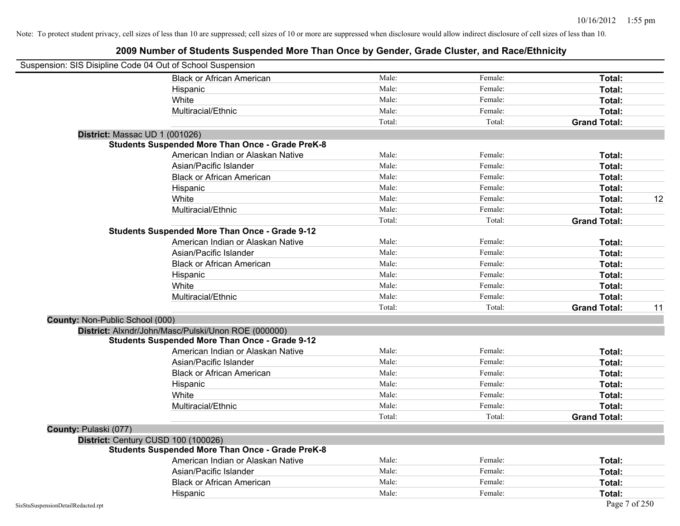| Suspension: SIS Disipline Code 04 Out of School Suspension |                                                         |        |         |                     |    |
|------------------------------------------------------------|---------------------------------------------------------|--------|---------|---------------------|----|
|                                                            | <b>Black or African American</b>                        | Male:  | Female: | Total:              |    |
|                                                            | Hispanic                                                | Male:  | Female: | Total:              |    |
|                                                            | White                                                   | Male:  | Female: | Total:              |    |
|                                                            | Multiracial/Ethnic                                      | Male:  | Female: | Total:              |    |
|                                                            |                                                         | Total: | Total:  | <b>Grand Total:</b> |    |
| District: Massac UD 1 (001026)                             |                                                         |        |         |                     |    |
|                                                            | <b>Students Suspended More Than Once - Grade PreK-8</b> |        |         |                     |    |
|                                                            | American Indian or Alaskan Native                       | Male:  | Female: | Total:              |    |
|                                                            | Asian/Pacific Islander                                  | Male:  | Female: | Total:              |    |
|                                                            | <b>Black or African American</b>                        | Male:  | Female: | Total:              |    |
|                                                            | Hispanic                                                | Male:  | Female: | Total:              |    |
|                                                            | White                                                   | Male:  | Female: | Total:              | 12 |
|                                                            | Multiracial/Ethnic                                      | Male:  | Female: | Total:              |    |
|                                                            |                                                         | Total: | Total:  | <b>Grand Total:</b> |    |
|                                                            | <b>Students Suspended More Than Once - Grade 9-12</b>   |        |         |                     |    |
|                                                            | American Indian or Alaskan Native                       | Male:  | Female: | Total:              |    |
|                                                            | Asian/Pacific Islander                                  | Male:  | Female: | Total:              |    |
|                                                            | <b>Black or African American</b>                        | Male:  | Female: | Total:              |    |
|                                                            | Hispanic                                                | Male:  | Female: | Total:              |    |
|                                                            | White                                                   | Male:  | Female: | Total:              |    |
|                                                            | Multiracial/Ethnic                                      | Male:  | Female: | Total:              |    |
|                                                            |                                                         | Total: | Total:  | <b>Grand Total:</b> | 11 |
| <b>County: Non-Public School (000)</b>                     |                                                         |        |         |                     |    |
|                                                            | District: Alxndr/John/Masc/Pulski/Unon ROE (000000)     |        |         |                     |    |
|                                                            | <b>Students Suspended More Than Once - Grade 9-12</b>   |        |         |                     |    |
|                                                            | American Indian or Alaskan Native                       | Male:  | Female: | Total:              |    |
|                                                            | Asian/Pacific Islander                                  | Male:  | Female: | Total:              |    |
|                                                            | <b>Black or African American</b>                        | Male:  | Female: | Total:              |    |
|                                                            | Hispanic                                                | Male:  | Female: | Total:              |    |
|                                                            | White                                                   | Male:  | Female: | <b>Total:</b>       |    |
|                                                            | Multiracial/Ethnic                                      | Male:  | Female: | Total:              |    |
|                                                            |                                                         | Total: | Total:  | <b>Grand Total:</b> |    |
| County: Pulaski (077)                                      |                                                         |        |         |                     |    |
| District: Century CUSD 100 (100026)                        |                                                         |        |         |                     |    |
|                                                            | <b>Students Suspended More Than Once - Grade PreK-8</b> |        |         |                     |    |
|                                                            | American Indian or Alaskan Native                       | Male:  | Female: | Total:              |    |
|                                                            | Asian/Pacific Islander                                  | Male:  | Female: | Total:              |    |
|                                                            | <b>Black or African American</b>                        | Male:  | Female: | Total:              |    |
|                                                            | Hispanic                                                | Male:  | Female: | Total:              |    |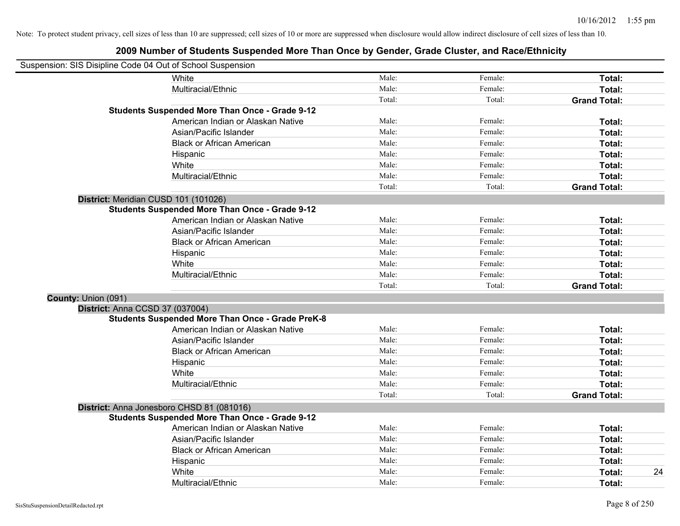| Suspension: SIS Disipline Code 04 Out of School Suspension |                                                         |        |         |                     |
|------------------------------------------------------------|---------------------------------------------------------|--------|---------|---------------------|
|                                                            | White                                                   | Male:  | Female: | Total:              |
|                                                            | Multiracial/Ethnic                                      | Male:  | Female: | Total:              |
|                                                            |                                                         | Total: | Total:  | <b>Grand Total:</b> |
|                                                            | <b>Students Suspended More Than Once - Grade 9-12</b>   |        |         |                     |
|                                                            | American Indian or Alaskan Native                       | Male:  | Female: | Total:              |
|                                                            | Asian/Pacific Islander                                  | Male:  | Female: | Total:              |
|                                                            | <b>Black or African American</b>                        | Male:  | Female: | Total:              |
|                                                            | Hispanic                                                | Male:  | Female: | Total:              |
|                                                            | White                                                   | Male:  | Female: | Total:              |
|                                                            | Multiracial/Ethnic                                      | Male:  | Female: | Total:              |
|                                                            |                                                         | Total: | Total:  | <b>Grand Total:</b> |
| District: Meridian CUSD 101 (101026)                       |                                                         |        |         |                     |
|                                                            | <b>Students Suspended More Than Once - Grade 9-12</b>   |        |         |                     |
|                                                            | American Indian or Alaskan Native                       | Male:  | Female: | Total:              |
|                                                            | Asian/Pacific Islander                                  | Male:  | Female: | Total:              |
|                                                            | <b>Black or African American</b>                        | Male:  | Female: | Total:              |
|                                                            | Hispanic                                                | Male:  | Female: | Total:              |
|                                                            | White                                                   | Male:  | Female: | Total:              |
|                                                            | Multiracial/Ethnic                                      | Male:  | Female: | Total:              |
|                                                            |                                                         | Total: | Total:  | <b>Grand Total:</b> |
| County: Union (091)                                        |                                                         |        |         |                     |
| District: Anna CCSD 37 (037004)                            |                                                         |        |         |                     |
|                                                            | <b>Students Suspended More Than Once - Grade PreK-8</b> |        |         |                     |
|                                                            | American Indian or Alaskan Native                       | Male:  | Female: | Total:              |
|                                                            | Asian/Pacific Islander                                  | Male:  | Female: | Total:              |
|                                                            | <b>Black or African American</b>                        | Male:  | Female: | Total:              |
|                                                            | Hispanic                                                | Male:  | Female: | Total:              |
|                                                            | White                                                   | Male:  | Female: | Total:              |
|                                                            | Multiracial/Ethnic                                      | Male:  | Female: | Total:              |
|                                                            |                                                         | Total: | Total:  | <b>Grand Total:</b> |
|                                                            | District: Anna Jonesboro CHSD 81 (081016)               |        |         |                     |
|                                                            | <b>Students Suspended More Than Once - Grade 9-12</b>   |        |         |                     |
|                                                            | American Indian or Alaskan Native                       | Male:  | Female: | Total:              |
|                                                            | Asian/Pacific Islander                                  | Male:  | Female: | Total:              |
|                                                            | <b>Black or African American</b>                        | Male:  | Female: | Total:              |
|                                                            | Hispanic                                                | Male:  | Female: | Total:              |
|                                                            | White                                                   | Male:  | Female: | 24<br>Total:        |
|                                                            | Multiracial/Ethnic                                      | Male:  | Female: | Total:              |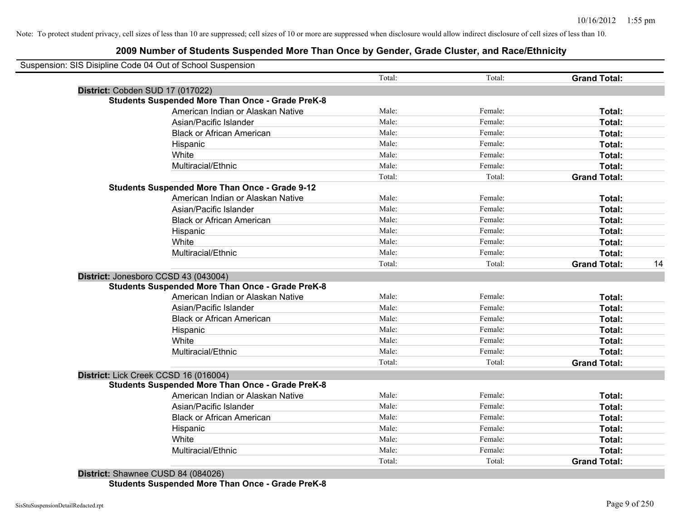# **2009 Number of Students Suspended More Than Once by Gender, Grade Cluster, and Race/Ethnicity**

|                                       |                                                         | Total: | Total:  | <b>Grand Total:</b> |
|---------------------------------------|---------------------------------------------------------|--------|---------|---------------------|
| District: Cobden SUD 17 (017022)      |                                                         |        |         |                     |
|                                       | <b>Students Suspended More Than Once - Grade PreK-8</b> |        |         |                     |
|                                       | American Indian or Alaskan Native                       | Male:  | Female: | Total:              |
|                                       | Asian/Pacific Islander                                  | Male:  | Female: | Total:              |
|                                       | <b>Black or African American</b>                        | Male:  | Female: | Total:              |
|                                       | Hispanic                                                | Male:  | Female: | Total:              |
|                                       | White                                                   | Male:  | Female: | Total:              |
|                                       | Multiracial/Ethnic                                      | Male:  | Female: | Total:              |
|                                       |                                                         | Total: | Total:  | <b>Grand Total:</b> |
|                                       | <b>Students Suspended More Than Once - Grade 9-12</b>   |        |         |                     |
|                                       | American Indian or Alaskan Native                       | Male:  | Female: | Total:              |
|                                       | Asian/Pacific Islander                                  | Male:  | Female: | Total:              |
|                                       | <b>Black or African American</b>                        | Male:  | Female: | Total:              |
|                                       | Hispanic                                                | Male:  | Female: | Total:              |
|                                       | White                                                   | Male:  | Female: | Total:              |
|                                       | Multiracial/Ethnic                                      | Male:  | Female: | Total:              |
|                                       |                                                         | Total: | Total:  | <b>Grand Total:</b> |
| District: Jonesboro CCSD 43 (043004)  | <b>Students Suspended More Than Once - Grade PreK-8</b> |        |         |                     |
|                                       | American Indian or Alaskan Native                       | Male:  | Female: | Total:              |
|                                       | Asian/Pacific Islander                                  | Male:  | Female: | Total:              |
|                                       | <b>Black or African American</b>                        | Male:  | Female: | Total:              |
|                                       | Hispanic                                                | Male:  | Female: | Total:              |
|                                       | White                                                   | Male:  | Female: | Total:              |
|                                       | Multiracial/Ethnic                                      | Male:  | Female: | Total:              |
|                                       |                                                         | Total: | Total:  | <b>Grand Total:</b> |
| District: Lick Creek CCSD 16 (016004) |                                                         |        |         |                     |
|                                       | <b>Students Suspended More Than Once - Grade PreK-8</b> |        |         |                     |
|                                       | American Indian or Alaskan Native                       | Male:  | Female: | Total:              |
|                                       | Asian/Pacific Islander                                  | Male:  | Female: | Total:              |
|                                       | <b>Black or African American</b>                        | Male:  | Female: | Total:              |
|                                       | Hispanic                                                | Male:  | Female: | Total:              |
|                                       | White                                                   | Male:  | Female: | Total:              |
|                                       | Multiracial/Ethnic                                      | Male:  | Female: | Total:              |
|                                       |                                                         | Total: | Total:  | <b>Grand Total:</b> |

**Students Suspended More Than Once - Grade PreK-8**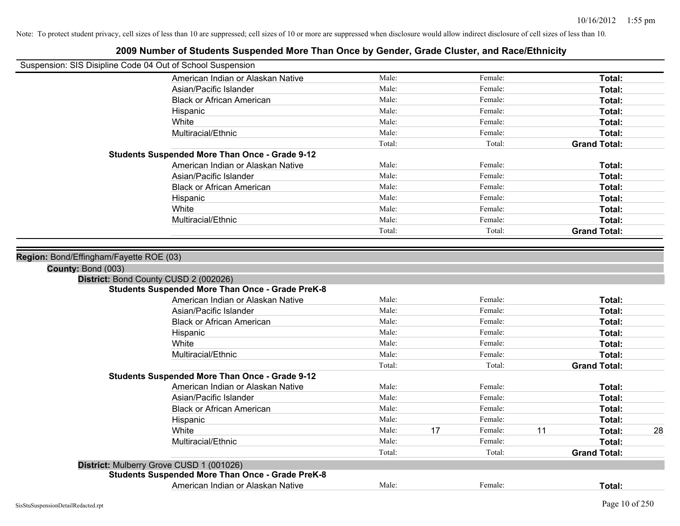| Suspension: SIS Disipline Code 04 Out of School Suspension |                                                         |        |    |         |    |                     |    |
|------------------------------------------------------------|---------------------------------------------------------|--------|----|---------|----|---------------------|----|
|                                                            | American Indian or Alaskan Native                       | Male:  |    | Female: |    | Total:              |    |
|                                                            | Asian/Pacific Islander                                  | Male:  |    | Female: |    | Total:              |    |
|                                                            | <b>Black or African American</b>                        | Male:  |    | Female: |    | Total:              |    |
|                                                            | Hispanic                                                | Male:  |    | Female: |    | Total:              |    |
|                                                            | White                                                   | Male:  |    | Female: |    | Total:              |    |
|                                                            | Multiracial/Ethnic                                      | Male:  |    | Female: |    | Total:              |    |
|                                                            |                                                         | Total: |    | Total:  |    | <b>Grand Total:</b> |    |
|                                                            | <b>Students Suspended More Than Once - Grade 9-12</b>   |        |    |         |    |                     |    |
|                                                            | American Indian or Alaskan Native                       | Male:  |    | Female: |    | Total:              |    |
|                                                            | Asian/Pacific Islander                                  | Male:  |    | Female: |    | Total:              |    |
|                                                            | <b>Black or African American</b>                        | Male:  |    | Female: |    | Total:              |    |
|                                                            | Hispanic                                                | Male:  |    | Female: |    | Total:              |    |
|                                                            | White                                                   | Male:  |    | Female: |    | Total:              |    |
|                                                            | Multiracial/Ethnic                                      | Male:  |    | Female: |    | Total:              |    |
|                                                            |                                                         | Total: |    | Total:  |    | <b>Grand Total:</b> |    |
|                                                            | District: Bond County CUSD 2 (002026)                   |        |    |         |    |                     |    |
|                                                            | <b>Students Suspended More Than Once - Grade PreK-8</b> |        |    |         |    |                     |    |
|                                                            | American Indian or Alaskan Native                       | Male:  |    | Female: |    | Total:              |    |
|                                                            | Asian/Pacific Islander                                  | Male:  |    | Female: |    | Total:              |    |
|                                                            | <b>Black or African American</b>                        | Male:  |    | Female: |    | Total:              |    |
|                                                            | Hispanic                                                | Male:  |    | Female: |    | Total:              |    |
|                                                            | White                                                   | Male:  |    | Female: |    | Total:              |    |
|                                                            | Multiracial/Ethnic                                      | Male:  |    | Female: |    | Total:              |    |
|                                                            |                                                         | Total: |    | Total:  |    | <b>Grand Total:</b> |    |
|                                                            | <b>Students Suspended More Than Once - Grade 9-12</b>   |        |    |         |    |                     |    |
|                                                            | American Indian or Alaskan Native                       | Male:  |    | Female: |    | Total:              |    |
|                                                            | Asian/Pacific Islander                                  | Male:  |    | Female: |    | Total:              |    |
|                                                            | <b>Black or African American</b>                        | Male:  |    | Female: |    | Total:              |    |
|                                                            | Hispanic                                                | Male:  |    | Female: |    | Total:              |    |
|                                                            | White                                                   | Male:  | 17 | Female: | 11 | Total:              | 28 |
|                                                            | Multiracial/Ethnic                                      | Male:  |    | Female: |    | Total:              |    |
|                                                            |                                                         | Total: |    | Total:  |    | <b>Grand Total:</b> |    |
|                                                            | District: Mulberry Grove CUSD 1 (001026)                |        |    |         |    |                     |    |
|                                                            | <b>Students Suspended More Than Once - Grade PreK-8</b> |        |    |         |    |                     |    |
|                                                            | American Indian or Alaskan Native                       | Male:  |    | Female: |    | Total:              |    |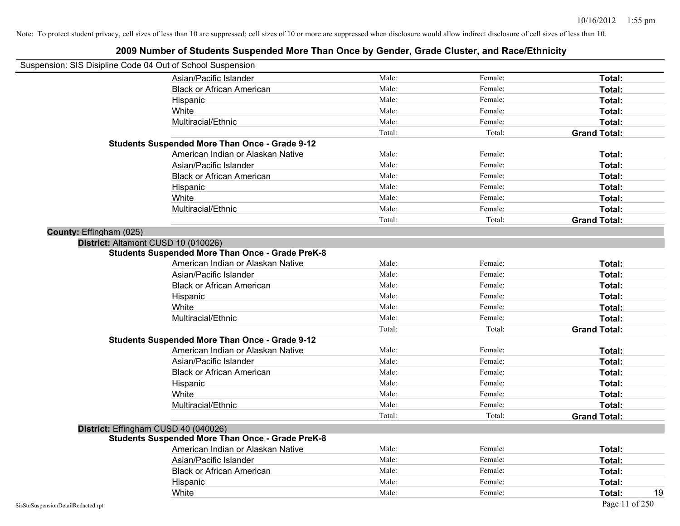| Suspension: SIS Disipline Code 04 Out of School Suspension |        |         |                     |
|------------------------------------------------------------|--------|---------|---------------------|
| Asian/Pacific Islander                                     | Male:  | Female: | Total:              |
| <b>Black or African American</b>                           | Male:  | Female: | Total:              |
| Hispanic                                                   | Male:  | Female: | Total:              |
| White                                                      | Male:  | Female: | Total:              |
| Multiracial/Ethnic                                         | Male:  | Female: | Total:              |
|                                                            | Total: | Total:  | <b>Grand Total:</b> |
| <b>Students Suspended More Than Once - Grade 9-12</b>      |        |         |                     |
| American Indian or Alaskan Native                          | Male:  | Female: | Total:              |
| Asian/Pacific Islander                                     | Male:  | Female: | Total:              |
| <b>Black or African American</b>                           | Male:  | Female: | Total:              |
| Hispanic                                                   | Male:  | Female: | Total:              |
| White                                                      | Male:  | Female: | Total:              |
| Multiracial/Ethnic                                         | Male:  | Female: | Total:              |
|                                                            | Total: | Total:  | <b>Grand Total:</b> |
| County: Effingham (025)                                    |        |         |                     |
| District: Altamont CUSD 10 (010026)                        |        |         |                     |
| <b>Students Suspended More Than Once - Grade PreK-8</b>    |        |         |                     |
| American Indian or Alaskan Native                          | Male:  | Female: | Total:              |
| Asian/Pacific Islander                                     | Male:  | Female: | Total:              |
| <b>Black or African American</b>                           | Male:  | Female: | Total:              |
| Hispanic                                                   | Male:  | Female: | Total:              |
| White                                                      | Male:  | Female: | Total:              |
| Multiracial/Ethnic                                         | Male:  | Female: | Total:              |
|                                                            | Total: | Total:  | <b>Grand Total:</b> |
| <b>Students Suspended More Than Once - Grade 9-12</b>      |        |         |                     |
| American Indian or Alaskan Native                          | Male:  | Female: | Total:              |
| Asian/Pacific Islander                                     | Male:  | Female: | Total:              |
| <b>Black or African American</b>                           | Male:  | Female: | Total:              |
| Hispanic                                                   | Male:  | Female: | Total:              |
| White                                                      | Male:  | Female: | Total:              |
| Multiracial/Ethnic                                         | Male:  | Female: | Total:              |
|                                                            | Total: | Total:  | <b>Grand Total:</b> |
| District: Effingham CUSD 40 (040026)                       |        |         |                     |
| <b>Students Suspended More Than Once - Grade PreK-8</b>    |        |         |                     |
| American Indian or Alaskan Native                          | Male:  | Female: | Total:              |
| Asian/Pacific Islander                                     | Male:  | Female: | Total:              |
| <b>Black or African American</b>                           | Male:  | Female: | Total:              |
| Hispanic                                                   | Male:  | Female: | Total:              |
| White                                                      | Male:  | Female: | 19<br>Total:        |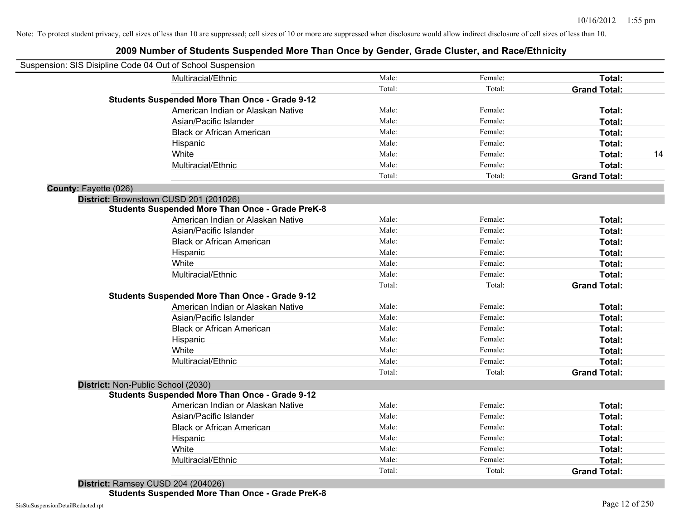|                       | Suspension: SIS Disipline Code 04 Out of School Suspension |        |         |                     |    |
|-----------------------|------------------------------------------------------------|--------|---------|---------------------|----|
|                       | Multiracial/Ethnic                                         | Male:  | Female: | Total:              |    |
|                       |                                                            | Total: | Total:  | <b>Grand Total:</b> |    |
|                       | <b>Students Suspended More Than Once - Grade 9-12</b>      |        |         |                     |    |
|                       | American Indian or Alaskan Native                          | Male:  | Female: | Total:              |    |
|                       | Asian/Pacific Islander                                     | Male:  | Female: | Total:              |    |
|                       | <b>Black or African American</b>                           | Male:  | Female: | Total:              |    |
|                       | Hispanic                                                   | Male:  | Female: | Total:              |    |
|                       | White                                                      | Male:  | Female: | Total:              | 14 |
|                       | Multiracial/Ethnic                                         | Male:  | Female: | Total:              |    |
|                       |                                                            | Total: | Total:  | <b>Grand Total:</b> |    |
| County: Fayette (026) |                                                            |        |         |                     |    |
|                       | District: Brownstown CUSD 201 (201026)                     |        |         |                     |    |
|                       | <b>Students Suspended More Than Once - Grade PreK-8</b>    |        |         |                     |    |
|                       | American Indian or Alaskan Native                          | Male:  | Female: | Total:              |    |
|                       | Asian/Pacific Islander                                     | Male:  | Female: | Total:              |    |
|                       | <b>Black or African American</b>                           | Male:  | Female: | Total:              |    |
|                       | Hispanic                                                   | Male:  | Female: | Total:              |    |
|                       | White                                                      | Male:  | Female: | Total:              |    |
|                       | Multiracial/Ethnic                                         | Male:  | Female: | Total:              |    |
|                       |                                                            | Total: | Total:  | <b>Grand Total:</b> |    |
|                       | <b>Students Suspended More Than Once - Grade 9-12</b>      |        |         |                     |    |
|                       | American Indian or Alaskan Native                          | Male:  | Female: | Total:              |    |
|                       | Asian/Pacific Islander                                     | Male:  | Female: | Total:              |    |
|                       | <b>Black or African American</b>                           | Male:  | Female: | Total:              |    |
|                       | Hispanic                                                   | Male:  | Female: | Total:              |    |
|                       | White                                                      | Male:  | Female: | Total:              |    |
|                       | Multiracial/Ethnic                                         | Male:  | Female: | Total:              |    |
|                       |                                                            | Total: | Total:  | <b>Grand Total:</b> |    |
|                       | District: Non-Public School (2030)                         |        |         |                     |    |
|                       | <b>Students Suspended More Than Once - Grade 9-12</b>      |        |         |                     |    |
|                       | American Indian or Alaskan Native                          | Male:  | Female: | Total:              |    |
|                       | Asian/Pacific Islander                                     | Male:  | Female: | Total:              |    |
|                       | <b>Black or African American</b>                           | Male:  | Female: | Total:              |    |
|                       | Hispanic                                                   | Male:  | Female: | Total:              |    |
|                       | White                                                      | Male:  | Female: | Total:              |    |
|                       | Multiracial/Ethnic                                         | Male:  | Female: | Total:              |    |
|                       |                                                            | Total: | Total:  | <b>Grand Total:</b> |    |
|                       |                                                            |        |         |                     |    |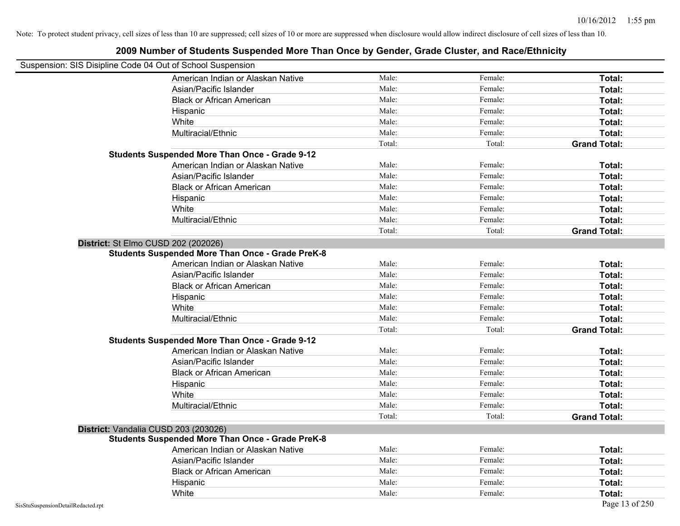| Suspension: SIS Disipline Code 04 Out of School Suspension | EVVV HANINGI OI OLAAGING OAGPONAGA MOTO TIIAN ONGO DY OGNAGI, ORAGO ORGEON, ANGOLEHINGIL |        |         |                     |
|------------------------------------------------------------|------------------------------------------------------------------------------------------|--------|---------|---------------------|
|                                                            | American Indian or Alaskan Native                                                        | Male:  | Female: | Total:              |
|                                                            | Asian/Pacific Islander                                                                   | Male:  | Female: | Total:              |
|                                                            | <b>Black or African American</b>                                                         | Male:  | Female: | Total:              |
|                                                            | Hispanic                                                                                 | Male:  | Female: | Total:              |
|                                                            | White                                                                                    | Male:  | Female: | Total:              |
|                                                            | Multiracial/Ethnic                                                                       | Male:  | Female: | Total:              |
|                                                            |                                                                                          | Total: | Total:  | <b>Grand Total:</b> |
|                                                            | <b>Students Suspended More Than Once - Grade 9-12</b>                                    |        |         |                     |
|                                                            | American Indian or Alaskan Native                                                        | Male:  | Female: | Total:              |
|                                                            | Asian/Pacific Islander                                                                   | Male:  | Female: | Total:              |
|                                                            | <b>Black or African American</b>                                                         | Male:  | Female: | Total:              |
|                                                            | Hispanic                                                                                 | Male:  | Female: | Total:              |
|                                                            | White                                                                                    | Male:  | Female: | Total:              |
|                                                            | Multiracial/Ethnic                                                                       | Male:  | Female: | Total:              |
|                                                            |                                                                                          | Total: | Total:  | <b>Grand Total:</b> |
| District: St Elmo CUSD 202 (202026)                        |                                                                                          |        |         |                     |
|                                                            | <b>Students Suspended More Than Once - Grade PreK-8</b>                                  |        |         |                     |
|                                                            | American Indian or Alaskan Native                                                        | Male:  | Female: | Total:              |
|                                                            | Asian/Pacific Islander                                                                   | Male:  | Female: | Total:              |
|                                                            | <b>Black or African American</b>                                                         | Male:  | Female: | Total:              |
|                                                            | Hispanic                                                                                 | Male:  | Female: | Total:              |
|                                                            | White                                                                                    | Male:  | Female: | Total:              |
|                                                            | Multiracial/Ethnic                                                                       | Male:  | Female: | Total:              |
|                                                            |                                                                                          | Total: | Total:  | <b>Grand Total:</b> |
|                                                            | <b>Students Suspended More Than Once - Grade 9-12</b>                                    |        |         |                     |
|                                                            | American Indian or Alaskan Native                                                        | Male:  | Female: | Total:              |
|                                                            | Asian/Pacific Islander                                                                   | Male:  | Female: | Total:              |
|                                                            | <b>Black or African American</b>                                                         | Male:  | Female: | Total:              |
|                                                            | Hispanic                                                                                 | Male:  | Female: | Total:              |
|                                                            | White                                                                                    | Male:  | Female: | Total:              |
|                                                            | Multiracial/Ethnic                                                                       | Male:  | Female: | Total:              |
|                                                            |                                                                                          | Total: | Total:  | <b>Grand Total:</b> |
| District: Vandalia CUSD 203 (203026)                       |                                                                                          |        |         |                     |
|                                                            | <b>Students Suspended More Than Once - Grade PreK-8</b>                                  |        |         |                     |
|                                                            | American Indian or Alaskan Native                                                        | Male:  | Female: | Total:              |
|                                                            | Asian/Pacific Islander                                                                   | Male:  | Female: | Total:              |
|                                                            | <b>Black or African American</b>                                                         | Male:  | Female: | Total:              |
|                                                            | Hispanic                                                                                 | Male:  | Female: | Total:              |
|                                                            | White                                                                                    | Male:  | Female: | Total:              |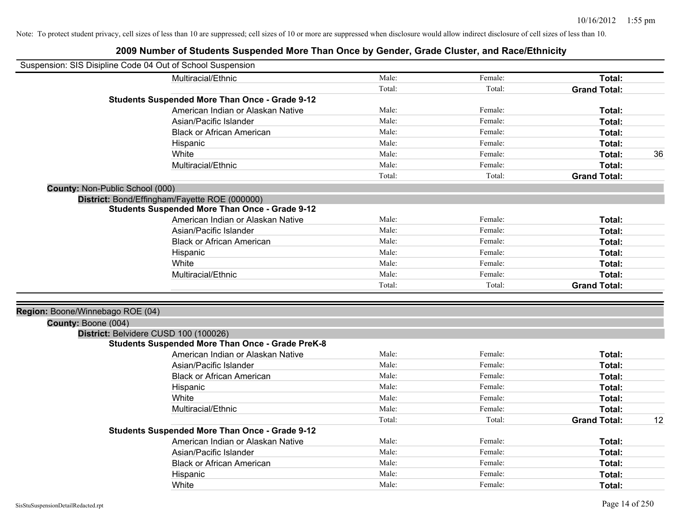|                                  | Suspension: SIS Disipline Code 04 Out of School Suspension  |        |         |                     |    |
|----------------------------------|-------------------------------------------------------------|--------|---------|---------------------|----|
|                                  | Multiracial/Ethnic                                          | Male:  | Female: | Total:              |    |
|                                  |                                                             | Total: | Total:  | <b>Grand Total:</b> |    |
|                                  | <b>Students Suspended More Than Once - Grade 9-12</b>       |        |         |                     |    |
|                                  | American Indian or Alaskan Native                           | Male:  | Female: | Total:              |    |
|                                  | Asian/Pacific Islander                                      | Male:  | Female: | Total:              |    |
|                                  | <b>Black or African American</b>                            | Male:  | Female: | Total:              |    |
|                                  | Hispanic                                                    | Male:  | Female: | Total:              |    |
|                                  | White                                                       | Male:  | Female: | Total:              | 36 |
|                                  | Multiracial/Ethnic                                          | Male:  | Female: | Total:              |    |
|                                  |                                                             | Total: | Total:  | <b>Grand Total:</b> |    |
| County: Non-Public School (000)  |                                                             |        |         |                     |    |
|                                  | District: Bond/Effingham/Fayette ROE (000000)               |        |         |                     |    |
|                                  | <b>Students Suspended More Than Once - Grade 9-12</b>       |        |         |                     |    |
|                                  | American Indian or Alaskan Native                           | Male:  | Female: | Total:              |    |
|                                  | Asian/Pacific Islander                                      | Male:  | Female: | Total:              |    |
|                                  | <b>Black or African American</b>                            | Male:  | Female: | Total:              |    |
|                                  | Hispanic                                                    | Male:  | Female: | Total:              |    |
|                                  | White                                                       | Male:  | Female: | Total:              |    |
|                                  | Multiracial/Ethnic                                          | Male:  | Female: | <b>Total:</b>       |    |
|                                  |                                                             | Total: | Total:  | <b>Grand Total:</b> |    |
|                                  |                                                             |        |         |                     |    |
| Region: Boone/Winnebago ROE (04) |                                                             |        |         |                     |    |
| County: Boone (004)              |                                                             |        |         |                     |    |
|                                  | District: Belvidere CUSD 100 (100026)                       |        |         |                     |    |
|                                  | <b>Students Suspended More Than Once - Grade PreK-8</b>     | Male:  | Female: |                     |    |
|                                  | American Indian or Alaskan Native                           | Male:  |         | Total:              |    |
|                                  | Asian/Pacific Islander                                      | Male:  | Female: | Total:              |    |
|                                  | <b>Black or African American</b>                            |        | Female: | Total:              |    |
|                                  | Hispanic                                                    | Male:  | Female: | Total:              |    |
|                                  | White                                                       | Male:  | Female: | Total:              |    |
|                                  | Multiracial/Ethnic                                          | Male:  | Female: | Total:              |    |
|                                  |                                                             | Total: | Total:  | <b>Grand Total:</b> | 12 |
|                                  | <b>Students Suspended More Than Once - Grade 9-12</b>       | Male:  | Female: |                     |    |
|                                  | American Indian or Alaskan Native<br>Asian/Pacific Islander | Male:  | Female: | Total:              |    |
|                                  |                                                             | Male:  | Female: | Total:              |    |
|                                  | <b>Black or African American</b>                            | Male:  | Female: | Total:              |    |
|                                  | Hispanic                                                    |        |         | <b>Total:</b>       |    |
|                                  | White                                                       | Male:  | Female: | Total:              |    |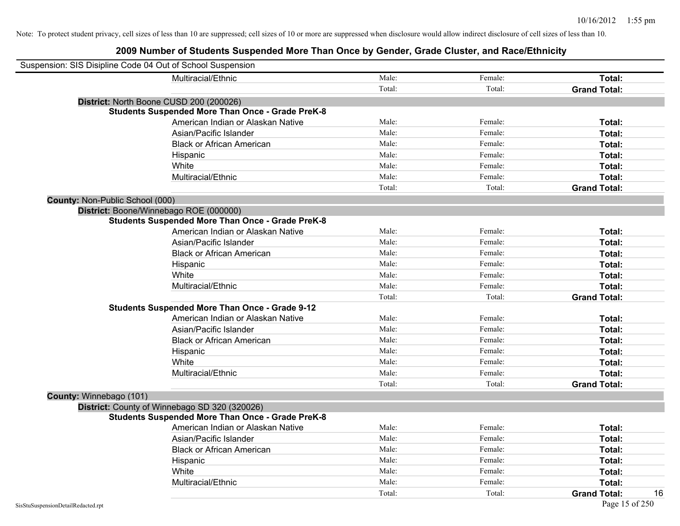| Suspension: SIS Disipline Code 04 Out of School Suspension |                                                         |        |         |                           |
|------------------------------------------------------------|---------------------------------------------------------|--------|---------|---------------------------|
|                                                            | Multiracial/Ethnic                                      | Male:  | Female: | Total:                    |
|                                                            |                                                         | Total: | Total:  | <b>Grand Total:</b>       |
| District: North Boone CUSD 200 (200026)                    |                                                         |        |         |                           |
|                                                            | <b>Students Suspended More Than Once - Grade PreK-8</b> |        |         |                           |
|                                                            | American Indian or Alaskan Native                       | Male:  | Female: | Total:                    |
|                                                            | Asian/Pacific Islander                                  | Male:  | Female: | Total:                    |
|                                                            | <b>Black or African American</b>                        | Male:  | Female: | Total:                    |
|                                                            | Hispanic                                                | Male:  | Female: | Total:                    |
|                                                            | White                                                   | Male:  | Female: | Total:                    |
|                                                            | Multiracial/Ethnic                                      | Male:  | Female: | Total:                    |
|                                                            |                                                         | Total: | Total:  | <b>Grand Total:</b>       |
| County: Non-Public School (000)                            |                                                         |        |         |                           |
| District: Boone/Winnebago ROE (000000)                     |                                                         |        |         |                           |
|                                                            | <b>Students Suspended More Than Once - Grade PreK-8</b> |        |         |                           |
|                                                            | American Indian or Alaskan Native                       | Male:  | Female: | Total:                    |
|                                                            | Asian/Pacific Islander                                  | Male:  | Female: | Total:                    |
|                                                            | <b>Black or African American</b>                        | Male:  | Female: | Total:                    |
|                                                            | Hispanic                                                | Male:  | Female: | Total:                    |
|                                                            | White                                                   | Male:  | Female: | Total:                    |
|                                                            | Multiracial/Ethnic                                      | Male:  | Female: | Total:                    |
|                                                            |                                                         | Total: | Total:  | <b>Grand Total:</b>       |
|                                                            | <b>Students Suspended More Than Once - Grade 9-12</b>   |        |         |                           |
|                                                            | American Indian or Alaskan Native                       | Male:  | Female: | Total:                    |
|                                                            | Asian/Pacific Islander                                  | Male:  | Female: | Total:                    |
|                                                            | <b>Black or African American</b>                        | Male:  | Female: | Total:                    |
|                                                            | Hispanic                                                | Male:  | Female: | Total:                    |
|                                                            | White                                                   | Male:  | Female: | Total:                    |
|                                                            | Multiracial/Ethnic                                      | Male:  | Female: | Total:                    |
|                                                            |                                                         | Total: | Total:  | <b>Grand Total:</b>       |
| County: Winnebago (101)                                    |                                                         |        |         |                           |
|                                                            | District: County of Winnebago SD 320 (320026)           |        |         |                           |
|                                                            | <b>Students Suspended More Than Once - Grade PreK-8</b> |        |         |                           |
|                                                            | American Indian or Alaskan Native                       | Male:  | Female: | Total:                    |
|                                                            | Asian/Pacific Islander                                  | Male:  | Female: | Total:                    |
|                                                            | <b>Black or African American</b>                        | Male:  | Female: | Total:                    |
|                                                            | Hispanic                                                | Male:  | Female: | Total:                    |
|                                                            | White                                                   | Male:  | Female: | <b>Total:</b>             |
|                                                            | Multiracial/Ethnic                                      | Male:  | Female: | Total:                    |
|                                                            |                                                         | Total: | Total:  | 16<br><b>Grand Total:</b> |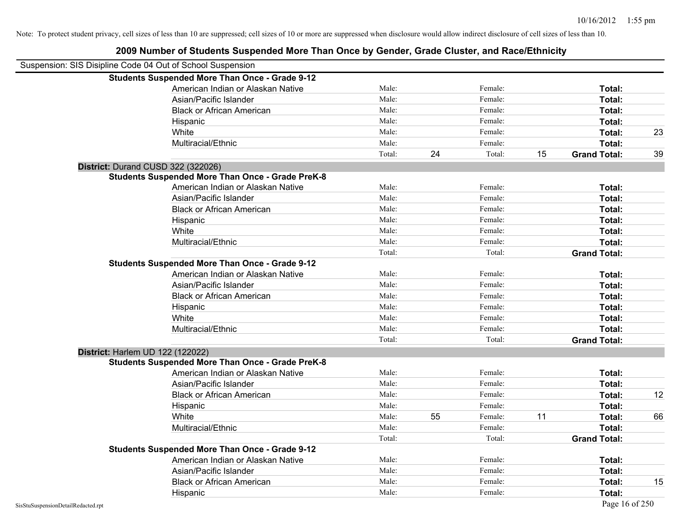| Suspension: SIS Disipline Code 04 Out of School Suspension |                                                         |        |    |         |    |                     |    |
|------------------------------------------------------------|---------------------------------------------------------|--------|----|---------|----|---------------------|----|
|                                                            | <b>Students Suspended More Than Once - Grade 9-12</b>   |        |    |         |    |                     |    |
|                                                            | American Indian or Alaskan Native                       | Male:  |    | Female: |    | Total:              |    |
|                                                            | Asian/Pacific Islander                                  | Male:  |    | Female: |    | Total:              |    |
|                                                            | <b>Black or African American</b>                        | Male:  |    | Female: |    | Total:              |    |
|                                                            | Hispanic                                                | Male:  |    | Female: |    | Total:              |    |
|                                                            | White                                                   | Male:  |    | Female: |    | Total:              | 23 |
|                                                            | Multiracial/Ethnic                                      | Male:  |    | Female: |    | Total:              |    |
|                                                            |                                                         | Total: | 24 | Total:  | 15 | <b>Grand Total:</b> | 39 |
|                                                            | District: Durand CUSD 322 (322026)                      |        |    |         |    |                     |    |
|                                                            | <b>Students Suspended More Than Once - Grade PreK-8</b> |        |    |         |    |                     |    |
|                                                            | American Indian or Alaskan Native                       | Male:  |    | Female: |    | Total:              |    |
|                                                            | Asian/Pacific Islander                                  | Male:  |    | Female: |    | Total:              |    |
|                                                            | <b>Black or African American</b>                        | Male:  |    | Female: |    | Total:              |    |
|                                                            | Hispanic                                                | Male:  |    | Female: |    | Total:              |    |
|                                                            | White                                                   | Male:  |    | Female: |    | Total:              |    |
|                                                            | Multiracial/Ethnic                                      | Male:  |    | Female: |    | Total:              |    |
|                                                            |                                                         | Total: |    | Total:  |    | <b>Grand Total:</b> |    |
|                                                            | <b>Students Suspended More Than Once - Grade 9-12</b>   |        |    |         |    |                     |    |
|                                                            | American Indian or Alaskan Native                       | Male:  |    | Female: |    | Total:              |    |
|                                                            | Asian/Pacific Islander                                  | Male:  |    | Female: |    | Total:              |    |
|                                                            | <b>Black or African American</b>                        | Male:  |    | Female: |    | Total:              |    |
|                                                            | Hispanic                                                | Male:  |    | Female: |    | Total:              |    |
|                                                            | White                                                   | Male:  |    | Female: |    | Total:              |    |
|                                                            | Multiracial/Ethnic                                      | Male:  |    | Female: |    | Total:              |    |
|                                                            |                                                         | Total: |    | Total:  |    | <b>Grand Total:</b> |    |
|                                                            | District: Harlem UD 122 (122022)                        |        |    |         |    |                     |    |
|                                                            | <b>Students Suspended More Than Once - Grade PreK-8</b> |        |    |         |    |                     |    |
|                                                            | American Indian or Alaskan Native                       | Male:  |    | Female: |    | Total:              |    |
|                                                            | Asian/Pacific Islander                                  | Male:  |    | Female: |    | Total:              |    |
|                                                            | <b>Black or African American</b>                        | Male:  |    | Female: |    | Total:              | 12 |
|                                                            | Hispanic                                                | Male:  |    | Female: |    | Total:              |    |
|                                                            | White                                                   | Male:  | 55 | Female: | 11 | Total:              | 66 |
|                                                            | Multiracial/Ethnic                                      | Male:  |    | Female: |    | Total:              |    |
|                                                            |                                                         | Total: |    | Total:  |    | <b>Grand Total:</b> |    |
|                                                            | <b>Students Suspended More Than Once - Grade 9-12</b>   |        |    |         |    |                     |    |
|                                                            | American Indian or Alaskan Native                       | Male:  |    | Female: |    | Total:              |    |
|                                                            | Asian/Pacific Islander                                  | Male:  |    | Female: |    | Total:              |    |
|                                                            | <b>Black or African American</b>                        | Male:  |    | Female: |    | Total:              | 15 |
|                                                            | Hispanic                                                | Male:  |    | Female: |    | Total:              |    |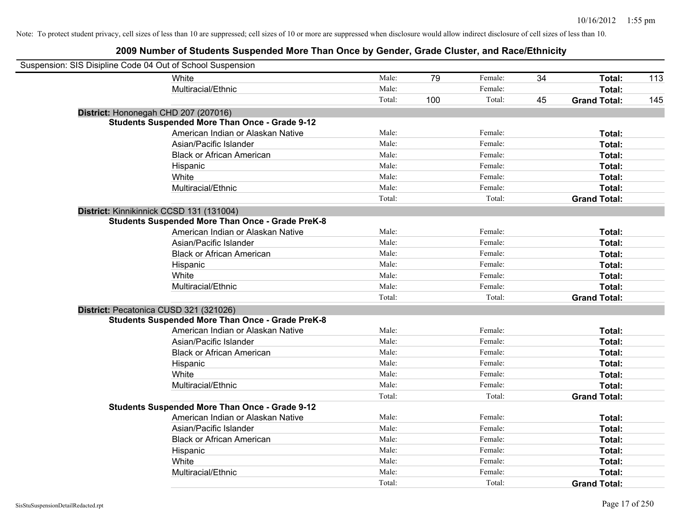| Suspension: SIS Disipline Code 04 Out of School Suspension |                                                         |        |     |         |    |                     |     |
|------------------------------------------------------------|---------------------------------------------------------|--------|-----|---------|----|---------------------|-----|
|                                                            | White                                                   | Male:  | 79  | Female: | 34 | Total:              | 113 |
|                                                            | Multiracial/Ethnic                                      | Male:  |     | Female: |    | Total:              |     |
|                                                            |                                                         | Total: | 100 | Total:  | 45 | <b>Grand Total:</b> | 145 |
| District: Hononegah CHD 207 (207016)                       |                                                         |        |     |         |    |                     |     |
|                                                            | <b>Students Suspended More Than Once - Grade 9-12</b>   |        |     |         |    |                     |     |
|                                                            | American Indian or Alaskan Native                       | Male:  |     | Female: |    | Total:              |     |
|                                                            | Asian/Pacific Islander                                  | Male:  |     | Female: |    | Total:              |     |
|                                                            | <b>Black or African American</b>                        | Male:  |     | Female: |    | Total:              |     |
|                                                            | Hispanic                                                | Male:  |     | Female: |    | Total:              |     |
|                                                            | White                                                   | Male:  |     | Female: |    | Total:              |     |
|                                                            | Multiracial/Ethnic                                      | Male:  |     | Female: |    | Total:              |     |
|                                                            |                                                         | Total: |     | Total:  |    | <b>Grand Total:</b> |     |
| District: Kinnikinnick CCSD 131 (131004)                   |                                                         |        |     |         |    |                     |     |
|                                                            | <b>Students Suspended More Than Once - Grade PreK-8</b> |        |     |         |    |                     |     |
|                                                            | American Indian or Alaskan Native                       | Male:  |     | Female: |    | Total:              |     |
|                                                            | Asian/Pacific Islander                                  | Male:  |     | Female: |    | Total:              |     |
|                                                            | <b>Black or African American</b>                        | Male:  |     | Female: |    | Total:              |     |
|                                                            | Hispanic                                                | Male:  |     | Female: |    | Total:              |     |
|                                                            | White                                                   | Male:  |     | Female: |    | Total:              |     |
|                                                            | Multiracial/Ethnic                                      | Male:  |     | Female: |    | Total:              |     |
|                                                            |                                                         | Total: |     | Total:  |    | <b>Grand Total:</b> |     |
| District: Pecatonica CUSD 321 (321026)                     |                                                         |        |     |         |    |                     |     |
|                                                            | <b>Students Suspended More Than Once - Grade PreK-8</b> |        |     |         |    |                     |     |
|                                                            | American Indian or Alaskan Native                       | Male:  |     | Female: |    | Total:              |     |
|                                                            | Asian/Pacific Islander                                  | Male:  |     | Female: |    | Total:              |     |
|                                                            | <b>Black or African American</b>                        | Male:  |     | Female: |    | Total:              |     |
|                                                            | Hispanic                                                | Male:  |     | Female: |    | Total:              |     |
|                                                            | White                                                   | Male:  |     | Female: |    | Total:              |     |
|                                                            | Multiracial/Ethnic                                      | Male:  |     | Female: |    | Total:              |     |
|                                                            |                                                         | Total: |     | Total:  |    | <b>Grand Total:</b> |     |
|                                                            | <b>Students Suspended More Than Once - Grade 9-12</b>   |        |     |         |    |                     |     |
|                                                            | American Indian or Alaskan Native                       | Male:  |     | Female: |    | Total:              |     |
|                                                            | Asian/Pacific Islander                                  | Male:  |     | Female: |    | Total:              |     |
|                                                            | <b>Black or African American</b>                        | Male:  |     | Female: |    | Total:              |     |
|                                                            | Hispanic                                                | Male:  |     | Female: |    | Total:              |     |
|                                                            | White                                                   | Male:  |     | Female: |    | Total:              |     |
|                                                            | Multiracial/Ethnic                                      | Male:  |     | Female: |    | Total:              |     |
|                                                            |                                                         | Total: |     | Total:  |    | <b>Grand Total:</b> |     |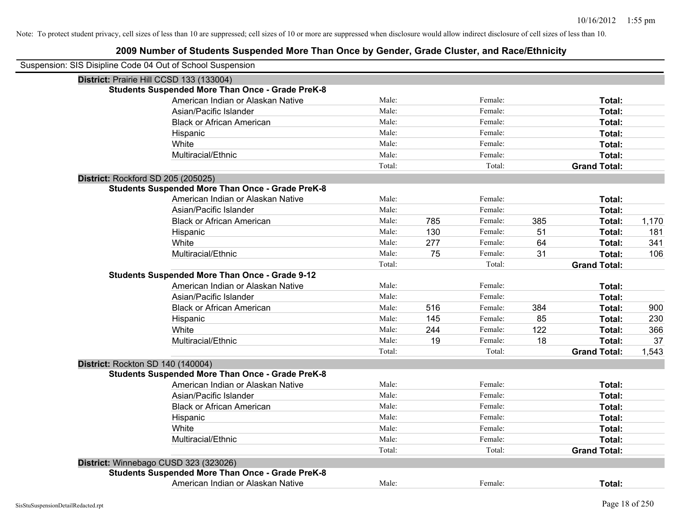| Suspension: SIS Disipline Code 04 Out of School Suspension |                                                         |        |     |         |     |                     |       |
|------------------------------------------------------------|---------------------------------------------------------|--------|-----|---------|-----|---------------------|-------|
| District: Prairie Hill CCSD 133 (133004)                   |                                                         |        |     |         |     |                     |       |
|                                                            | <b>Students Suspended More Than Once - Grade PreK-8</b> |        |     |         |     |                     |       |
|                                                            | American Indian or Alaskan Native                       | Male:  |     | Female: |     | Total:              |       |
|                                                            | Asian/Pacific Islander                                  | Male:  |     | Female: |     | Total:              |       |
|                                                            | <b>Black or African American</b>                        | Male:  |     | Female: |     | Total:              |       |
|                                                            | Hispanic                                                | Male:  |     | Female: |     | Total:              |       |
|                                                            | White                                                   | Male:  |     | Female: |     | Total:              |       |
|                                                            | Multiracial/Ethnic                                      | Male:  |     | Female: |     | Total:              |       |
|                                                            |                                                         | Total: |     | Total:  |     | <b>Grand Total:</b> |       |
| District: Rockford SD 205 (205025)                         |                                                         |        |     |         |     |                     |       |
|                                                            | <b>Students Suspended More Than Once - Grade PreK-8</b> |        |     |         |     |                     |       |
|                                                            | American Indian or Alaskan Native                       | Male:  |     | Female: |     | Total:              |       |
|                                                            | Asian/Pacific Islander                                  | Male:  |     | Female: |     | Total:              |       |
|                                                            | <b>Black or African American</b>                        | Male:  | 785 | Female: | 385 | Total:              | 1,170 |
|                                                            | Hispanic                                                | Male:  | 130 | Female: | 51  | Total:              | 181   |
|                                                            | White                                                   | Male:  | 277 | Female: | 64  | Total:              | 341   |
|                                                            | Multiracial/Ethnic                                      | Male:  | 75  | Female: | 31  | Total:              | 106   |
|                                                            |                                                         | Total: |     | Total:  |     | <b>Grand Total:</b> |       |
|                                                            | <b>Students Suspended More Than Once - Grade 9-12</b>   |        |     |         |     |                     |       |
|                                                            | American Indian or Alaskan Native                       | Male:  |     | Female: |     | Total:              |       |
|                                                            | Asian/Pacific Islander                                  | Male:  |     | Female: |     | Total:              |       |
|                                                            | <b>Black or African American</b>                        | Male:  | 516 | Female: | 384 | Total:              | 900   |
|                                                            | Hispanic                                                | Male:  | 145 | Female: | 85  | Total:              | 230   |
|                                                            | White                                                   | Male:  | 244 | Female: | 122 | Total:              | 366   |
|                                                            | Multiracial/Ethnic                                      | Male:  | 19  | Female: | 18  | Total:              | 37    |
|                                                            |                                                         | Total: |     | Total:  |     | <b>Grand Total:</b> | 1,543 |
| District: Rockton SD 140 (140004)                          |                                                         |        |     |         |     |                     |       |
|                                                            | <b>Students Suspended More Than Once - Grade PreK-8</b> |        |     |         |     |                     |       |
|                                                            | American Indian or Alaskan Native                       | Male:  |     | Female: |     | Total:              |       |
|                                                            | Asian/Pacific Islander                                  | Male:  |     | Female: |     | Total:              |       |
|                                                            | <b>Black or African American</b>                        | Male:  |     | Female: |     | Total:              |       |
|                                                            | Hispanic                                                | Male:  |     | Female: |     | Total:              |       |
|                                                            | White                                                   | Male:  |     | Female: |     | Total:              |       |
|                                                            | Multiracial/Ethnic                                      | Male:  |     | Female: |     | Total:              |       |
|                                                            |                                                         | Total: |     | Total:  |     | <b>Grand Total:</b> |       |
| District: Winnebago CUSD 323 (323026)                      |                                                         |        |     |         |     |                     |       |
|                                                            | <b>Students Suspended More Than Once - Grade PreK-8</b> |        |     |         |     |                     |       |
|                                                            | American Indian or Alaskan Native                       | Male:  |     | Female: |     | Total:              |       |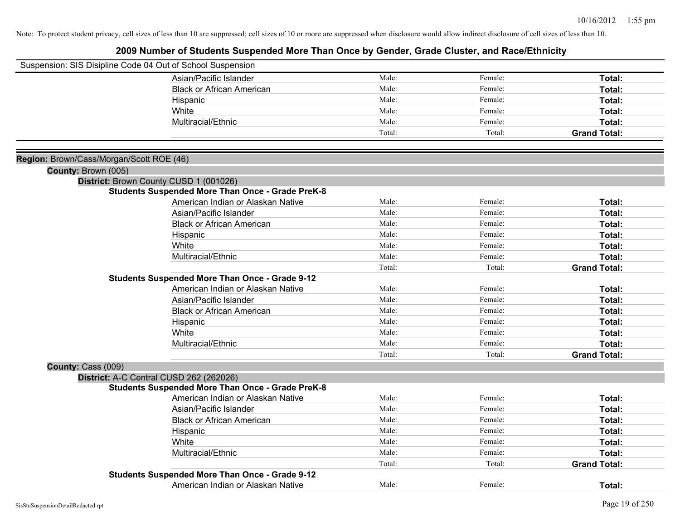| Suspension: SIS Disipline Code 04 Out of School Suspension |                                                         |        |         |                     |
|------------------------------------------------------------|---------------------------------------------------------|--------|---------|---------------------|
|                                                            | Asian/Pacific Islander                                  | Male:  | Female: | Total:              |
|                                                            | <b>Black or African American</b>                        | Male:  | Female: | Total:              |
|                                                            | Hispanic                                                | Male:  | Female: | Total:              |
|                                                            | White                                                   | Male:  | Female: | Total:              |
|                                                            | Multiracial/Ethnic                                      | Male:  | Female: | Total:              |
|                                                            |                                                         | Total: | Total:  | <b>Grand Total:</b> |
|                                                            |                                                         |        |         |                     |
| Region: Brown/Cass/Morgan/Scott ROE (46)                   |                                                         |        |         |                     |
| County: Brown (005)                                        |                                                         |        |         |                     |
|                                                            | District: Brown County CUSD 1 (001026)                  |        |         |                     |
|                                                            | <b>Students Suspended More Than Once - Grade PreK-8</b> |        |         |                     |
|                                                            | American Indian or Alaskan Native                       | Male:  | Female: | Total:              |
|                                                            | Asian/Pacific Islander                                  | Male:  | Female: | Total:              |
|                                                            | <b>Black or African American</b>                        | Male:  | Female: | Total:              |
|                                                            | Hispanic                                                | Male:  | Female: | Total:              |
|                                                            | White                                                   | Male:  | Female: | Total:              |
|                                                            | Multiracial/Ethnic                                      | Male:  | Female: | Total:              |
|                                                            |                                                         | Total: | Total:  | <b>Grand Total:</b> |
|                                                            | <b>Students Suspended More Than Once - Grade 9-12</b>   |        |         |                     |
|                                                            | American Indian or Alaskan Native                       | Male:  | Female: | Total:              |
|                                                            | Asian/Pacific Islander                                  | Male:  | Female: | Total:              |
|                                                            | <b>Black or African American</b>                        | Male:  | Female: | Total:              |
|                                                            | Hispanic                                                | Male:  | Female: | Total:              |
|                                                            | White                                                   | Male:  | Female: | Total:              |
|                                                            | Multiracial/Ethnic                                      | Male:  | Female: | Total:              |
|                                                            |                                                         | Total: | Total:  | <b>Grand Total:</b> |
| County: Cass (009)                                         |                                                         |        |         |                     |
|                                                            | District: A-C Central CUSD 262 (262026)                 |        |         |                     |
|                                                            | <b>Students Suspended More Than Once - Grade PreK-8</b> |        |         |                     |
|                                                            | American Indian or Alaskan Native                       | Male:  | Female: | Total:              |
|                                                            | Asian/Pacific Islander                                  | Male:  | Female: | Total:              |
|                                                            | <b>Black or African American</b>                        | Male:  | Female: | Total:              |
|                                                            | Hispanic                                                | Male:  | Female: | Total:              |
|                                                            | White                                                   | Male:  | Female: | Total:              |
|                                                            | Multiracial/Ethnic                                      | Male:  | Female: | Total:              |
|                                                            |                                                         | Total: | Total:  | <b>Grand Total:</b> |
|                                                            | <b>Students Suspended More Than Once - Grade 9-12</b>   |        |         |                     |
|                                                            | American Indian or Alaskan Native                       | Male:  | Female: | Total:              |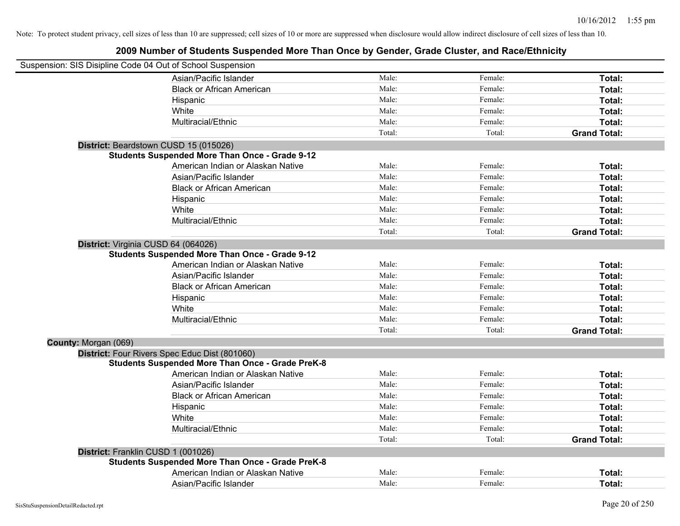| Suspension: SIS Disipline Code 04 Out of School Suspension |                                                         |        |         |                     |
|------------------------------------------------------------|---------------------------------------------------------|--------|---------|---------------------|
|                                                            | Asian/Pacific Islander                                  | Male:  | Female: | Total:              |
|                                                            | <b>Black or African American</b>                        | Male:  | Female: | Total:              |
|                                                            | Hispanic                                                | Male:  | Female: | Total:              |
|                                                            | White                                                   | Male:  | Female: | Total:              |
|                                                            | Multiracial/Ethnic                                      | Male:  | Female: | Total:              |
|                                                            |                                                         | Total: | Total:  | <b>Grand Total:</b> |
| District: Beardstown CUSD 15 (015026)                      |                                                         |        |         |                     |
|                                                            | <b>Students Suspended More Than Once - Grade 9-12</b>   |        |         |                     |
|                                                            | American Indian or Alaskan Native                       | Male:  | Female: | Total:              |
|                                                            | Asian/Pacific Islander                                  | Male:  | Female: | Total:              |
|                                                            | <b>Black or African American</b>                        | Male:  | Female: | Total:              |
|                                                            | Hispanic                                                | Male:  | Female: | Total:              |
|                                                            | White                                                   | Male:  | Female: | Total:              |
|                                                            | Multiracial/Ethnic                                      | Male:  | Female: | Total:              |
|                                                            |                                                         | Total: | Total:  | <b>Grand Total:</b> |
| District: Virginia CUSD 64 (064026)                        |                                                         |        |         |                     |
|                                                            | <b>Students Suspended More Than Once - Grade 9-12</b>   |        |         |                     |
|                                                            | American Indian or Alaskan Native                       | Male:  | Female: | Total:              |
|                                                            | Asian/Pacific Islander                                  | Male:  | Female: | Total:              |
|                                                            | <b>Black or African American</b>                        | Male:  | Female: | Total:              |
|                                                            | Hispanic                                                | Male:  | Female: | Total:              |
|                                                            | White                                                   | Male:  | Female: | Total:              |
|                                                            | Multiracial/Ethnic                                      | Male:  | Female: | Total:              |
|                                                            |                                                         | Total: | Total:  | <b>Grand Total:</b> |
| County: Morgan (069)                                       |                                                         |        |         |                     |
|                                                            | District: Four Rivers Spec Educ Dist (801060)           |        |         |                     |
|                                                            | <b>Students Suspended More Than Once - Grade PreK-8</b> |        |         |                     |
|                                                            | American Indian or Alaskan Native                       | Male:  | Female: | Total:              |
|                                                            | Asian/Pacific Islander                                  | Male:  | Female: | Total:              |
|                                                            | <b>Black or African American</b>                        | Male:  | Female: | Total:              |
|                                                            | Hispanic                                                | Male:  | Female: | Total:              |
|                                                            | White                                                   | Male:  | Female: | Total:              |
|                                                            | Multiracial/Ethnic                                      | Male:  | Female: | Total:              |
|                                                            |                                                         | Total: | Total:  | <b>Grand Total:</b> |
| District: Franklin CUSD 1 (001026)                         |                                                         |        |         |                     |
|                                                            | <b>Students Suspended More Than Once - Grade PreK-8</b> |        |         |                     |
|                                                            | American Indian or Alaskan Native                       | Male:  | Female: | <b>Total:</b>       |
|                                                            | Asian/Pacific Islander                                  | Male:  | Female: | Total:              |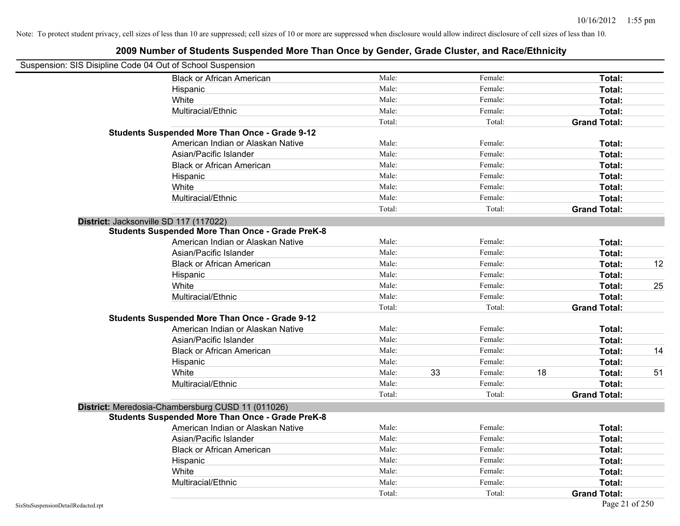|                                    | Suspension: SIS Disipline Code 04 Out of School Suspension |        |    |         |    |                     |    |
|------------------------------------|------------------------------------------------------------|--------|----|---------|----|---------------------|----|
|                                    | <b>Black or African American</b>                           | Male:  |    | Female: |    | Total:              |    |
|                                    | Hispanic                                                   | Male:  |    | Female: |    | Total:              |    |
|                                    | White                                                      | Male:  |    | Female: |    | Total:              |    |
|                                    | Multiracial/Ethnic                                         | Male:  |    | Female: |    | Total:              |    |
|                                    |                                                            | Total: |    | Total:  |    | <b>Grand Total:</b> |    |
|                                    | <b>Students Suspended More Than Once - Grade 9-12</b>      |        |    |         |    |                     |    |
|                                    | American Indian or Alaskan Native                          | Male:  |    | Female: |    | Total:              |    |
|                                    | Asian/Pacific Islander                                     | Male:  |    | Female: |    | Total:              |    |
|                                    | <b>Black or African American</b>                           | Male:  |    | Female: |    | Total:              |    |
|                                    | Hispanic                                                   | Male:  |    | Female: |    | Total:              |    |
|                                    | White                                                      | Male:  |    | Female: |    | Total:              |    |
|                                    | Multiracial/Ethnic                                         | Male:  |    | Female: |    | Total:              |    |
|                                    |                                                            | Total: |    | Total:  |    | <b>Grand Total:</b> |    |
|                                    | District: Jacksonville SD 117 (117022)                     |        |    |         |    |                     |    |
|                                    | <b>Students Suspended More Than Once - Grade PreK-8</b>    |        |    |         |    |                     |    |
|                                    | American Indian or Alaskan Native                          | Male:  |    | Female: |    | Total:              |    |
|                                    | Asian/Pacific Islander                                     | Male:  |    | Female: |    | Total:              |    |
|                                    | <b>Black or African American</b>                           | Male:  |    | Female: |    | Total:              | 12 |
|                                    | Hispanic                                                   | Male:  |    | Female: |    | Total:              |    |
|                                    | White                                                      | Male:  |    | Female: |    | Total:              | 25 |
|                                    | Multiracial/Ethnic                                         | Male:  |    | Female: |    | Total:              |    |
|                                    |                                                            | Total: |    | Total:  |    | <b>Grand Total:</b> |    |
|                                    | <b>Students Suspended More Than Once - Grade 9-12</b>      |        |    |         |    |                     |    |
|                                    | American Indian or Alaskan Native                          | Male:  |    | Female: |    | Total:              |    |
|                                    | Asian/Pacific Islander                                     | Male:  |    | Female: |    | Total:              |    |
|                                    | <b>Black or African American</b>                           | Male:  |    | Female: |    | Total:              | 14 |
|                                    | Hispanic                                                   | Male:  |    | Female: |    | Total:              |    |
|                                    | White                                                      | Male:  | 33 | Female: | 18 | Total:              | 51 |
|                                    | Multiracial/Ethnic                                         | Male:  |    | Female: |    | Total:              |    |
|                                    |                                                            | Total: |    | Total:  |    | <b>Grand Total:</b> |    |
|                                    | District: Meredosia-Chambersburg CUSD 11 (011026)          |        |    |         |    |                     |    |
|                                    | <b>Students Suspended More Than Once - Grade PreK-8</b>    |        |    |         |    |                     |    |
|                                    | American Indian or Alaskan Native                          | Male:  |    | Female: |    | <b>Total:</b>       |    |
|                                    | Asian/Pacific Islander                                     | Male:  |    | Female: |    | Total:              |    |
|                                    | <b>Black or African American</b>                           | Male:  |    | Female: |    | Total:              |    |
|                                    | Hispanic                                                   | Male:  |    | Female: |    | Total:              |    |
|                                    | White                                                      | Male:  |    | Female: |    | Total:              |    |
|                                    | Multiracial/Ethnic                                         | Male:  |    | Female: |    | Total:              |    |
|                                    |                                                            | Total: |    | Total:  |    | <b>Grand Total:</b> |    |
| SisStuSuspensionDetailRedacted.rpt |                                                            |        |    |         |    | Page 21 of 250      |    |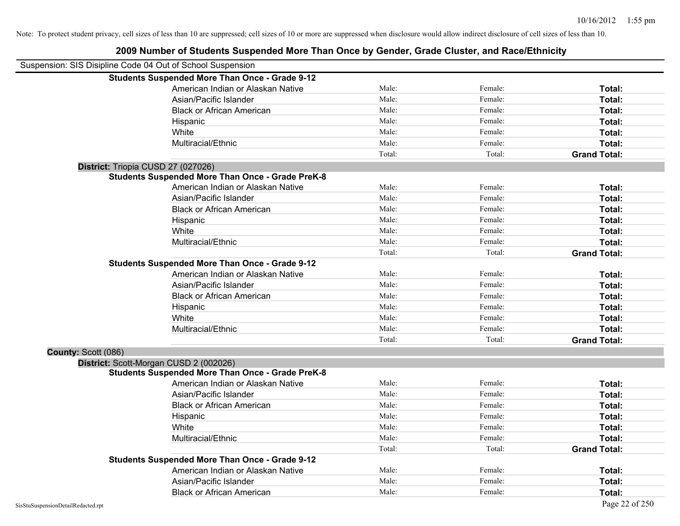| Suspension: SIS Disipline Code 04 Out of School Suspension |                                                         |        |         |                     |
|------------------------------------------------------------|---------------------------------------------------------|--------|---------|---------------------|
|                                                            | <b>Students Suspended More Than Once - Grade 9-12</b>   |        |         |                     |
|                                                            | American Indian or Alaskan Native                       | Male:  | Female: | Total:              |
|                                                            | Asian/Pacific Islander                                  | Male:  | Female: | Total:              |
|                                                            | <b>Black or African American</b>                        | Male:  | Female: | Total:              |
|                                                            | Hispanic                                                | Male:  | Female: | Total:              |
|                                                            | White                                                   | Male:  | Female: | Total:              |
|                                                            | Multiracial/Ethnic                                      | Male:  | Female: | Total:              |
|                                                            |                                                         | Total: | Total:  | <b>Grand Total:</b> |
|                                                            | District: Triopia CUSD 27 (027026)                      |        |         |                     |
|                                                            | <b>Students Suspended More Than Once - Grade PreK-8</b> |        |         |                     |
|                                                            | American Indian or Alaskan Native                       | Male:  | Female: | Total:              |
|                                                            | Asian/Pacific Islander                                  | Male:  | Female: | Total:              |
|                                                            | <b>Black or African American</b>                        | Male:  | Female: | Total:              |
|                                                            | Hispanic                                                | Male:  | Female: | Total:              |
|                                                            | White                                                   | Male:  | Female: | Total:              |
|                                                            | Multiracial/Ethnic                                      | Male:  | Female: | Total:              |
|                                                            |                                                         | Total: | Total:  | <b>Grand Total:</b> |
|                                                            | <b>Students Suspended More Than Once - Grade 9-12</b>   |        |         |                     |
|                                                            | American Indian or Alaskan Native                       | Male:  | Female: | Total:              |
|                                                            | Asian/Pacific Islander                                  | Male:  | Female: | Total:              |
|                                                            | <b>Black or African American</b>                        | Male:  | Female: | Total:              |
|                                                            | Hispanic                                                | Male:  | Female: | Total:              |
|                                                            | White                                                   | Male:  | Female: | Total:              |
|                                                            | Multiracial/Ethnic                                      | Male:  | Female: | Total:              |
|                                                            |                                                         | Total: | Total:  | <b>Grand Total:</b> |
| County: Scott (086)                                        |                                                         |        |         |                     |
|                                                            | District: Scott-Morgan CUSD 2 (002026)                  |        |         |                     |
|                                                            | <b>Students Suspended More Than Once - Grade PreK-8</b> |        |         |                     |
|                                                            | American Indian or Alaskan Native                       | Male:  | Female: | Total:              |
|                                                            | Asian/Pacific Islander                                  | Male:  | Female: | Total:              |
|                                                            | <b>Black or African American</b>                        | Male:  | Female: | Total:              |
|                                                            | Hispanic                                                | Male:  | Female: | Total:              |
|                                                            | White                                                   | Male:  | Female: | Total:              |
|                                                            | Multiracial/Ethnic                                      | Male:  | Female: | Total:              |
|                                                            |                                                         | Total: | Total:  | <b>Grand Total:</b> |
|                                                            | <b>Students Suspended More Than Once - Grade 9-12</b>   |        |         |                     |
|                                                            | American Indian or Alaskan Native                       | Male:  | Female: | Total:              |
|                                                            | Asian/Pacific Islander                                  | Male:  | Female: | Total:              |
|                                                            | <b>Black or African American</b>                        | Male:  | Female: | Total:              |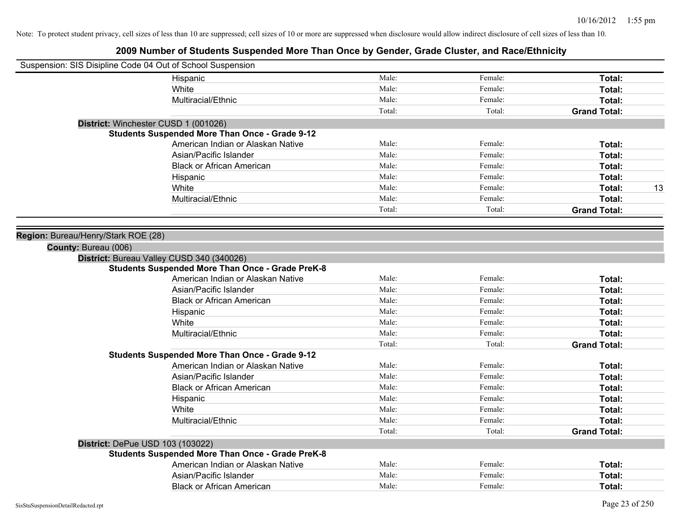| Suspension: SIS Disipline Code 04 Out of School Suspension |                                                         |        |         |                     |
|------------------------------------------------------------|---------------------------------------------------------|--------|---------|---------------------|
|                                                            | Hispanic                                                | Male:  | Female: | Total:              |
|                                                            | White                                                   | Male:  | Female: | Total:              |
|                                                            | Multiracial/Ethnic                                      | Male:  | Female: | Total:              |
|                                                            |                                                         | Total: | Total:  | <b>Grand Total:</b> |
|                                                            | District: Winchester CUSD 1 (001026)                    |        |         |                     |
|                                                            | <b>Students Suspended More Than Once - Grade 9-12</b>   |        |         |                     |
|                                                            | American Indian or Alaskan Native                       | Male:  | Female: | Total:              |
|                                                            | Asian/Pacific Islander                                  | Male:  | Female: | Total:              |
|                                                            | <b>Black or African American</b>                        | Male:  | Female: | <b>Total:</b>       |
|                                                            | Hispanic                                                | Male:  | Female: | Total:              |
|                                                            | White                                                   | Male:  | Female: | 13<br>Total:        |
|                                                            | Multiracial/Ethnic                                      | Male:  | Female: | Total:              |
|                                                            |                                                         | Total: | Total:  | <b>Grand Total:</b> |
| Region: Bureau/Henry/Stark ROE (28)                        |                                                         |        |         |                     |
| County: Bureau (006)                                       |                                                         |        |         |                     |
|                                                            | District: Bureau Valley CUSD 340 (340026)               |        |         |                     |
|                                                            | <b>Students Suspended More Than Once - Grade PreK-8</b> |        |         |                     |
|                                                            | American Indian or Alaskan Native                       | Male:  | Female: | Total:              |
|                                                            | Asian/Pacific Islander                                  | Male:  | Female: | Total:              |
|                                                            | <b>Black or African American</b>                        | Male:  | Female: | Total:              |
|                                                            | Hispanic                                                | Male:  | Female: | Total:              |
|                                                            | White                                                   | Male:  | Female: | Total:              |
|                                                            | Multiracial/Ethnic                                      | Male:  | Female: | Total:              |
|                                                            |                                                         | Total: | Total:  | <b>Grand Total:</b> |
|                                                            | <b>Students Suspended More Than Once - Grade 9-12</b>   |        |         |                     |
|                                                            | American Indian or Alaskan Native                       | Male:  | Female: | Total:              |
|                                                            | Asian/Pacific Islander                                  | Male:  | Female: | Total:              |
|                                                            | <b>Black or African American</b>                        | Male:  | Female: | Total:              |
|                                                            | Hispanic                                                | Male:  | Female: | Total:              |
|                                                            | White                                                   | Male:  | Female: | Total:              |
|                                                            | Multiracial/Ethnic                                      | Male:  | Female: | Total:              |
|                                                            |                                                         | Total: | Total:  | <b>Grand Total:</b> |
|                                                            | District: DePue USD 103 (103022)                        |        |         |                     |
|                                                            | <b>Students Suspended More Than Once - Grade PreK-8</b> |        |         |                     |
|                                                            | American Indian or Alaskan Native                       | Male:  | Female: | Total:              |
|                                                            | Asian/Pacific Islander                                  | Male:  | Female: | Total:              |
|                                                            | <b>Black or African American</b>                        | Male:  | Female: | Total:              |
|                                                            |                                                         |        |         |                     |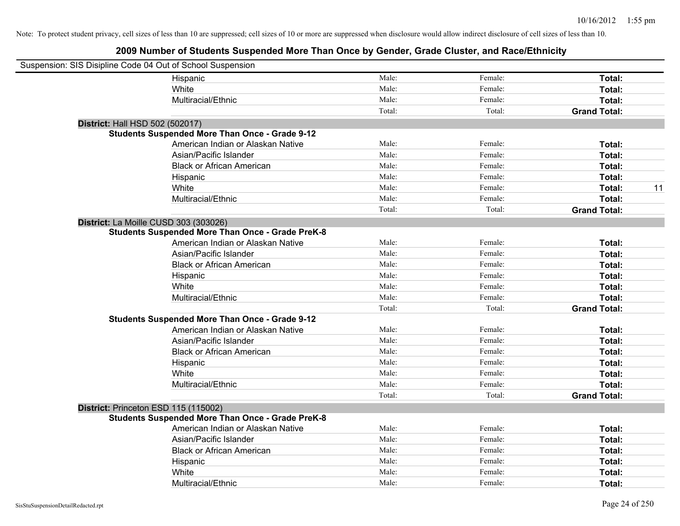| Suspension: SIS Disipline Code 04 Out of School Suspension |                                                         |        |         |                     |
|------------------------------------------------------------|---------------------------------------------------------|--------|---------|---------------------|
|                                                            | Hispanic                                                | Male:  | Female: | Total:              |
|                                                            | White                                                   | Male:  | Female: | Total:              |
|                                                            | Multiracial/Ethnic                                      | Male:  | Female: | Total:              |
|                                                            |                                                         | Total: | Total:  | <b>Grand Total:</b> |
| District: Hall HSD 502 (502017)                            |                                                         |        |         |                     |
|                                                            | <b>Students Suspended More Than Once - Grade 9-12</b>   |        |         |                     |
|                                                            | American Indian or Alaskan Native                       | Male:  | Female: | Total:              |
|                                                            | Asian/Pacific Islander                                  | Male:  | Female: | Total:              |
|                                                            | <b>Black or African American</b>                        | Male:  | Female: | Total:              |
|                                                            | Hispanic                                                | Male:  | Female: | Total:              |
|                                                            | White                                                   | Male:  | Female: | 11<br>Total:        |
|                                                            | Multiracial/Ethnic                                      | Male:  | Female: | Total:              |
|                                                            |                                                         | Total: | Total:  | <b>Grand Total:</b> |
| District: La Moille CUSD 303 (303026)                      |                                                         |        |         |                     |
|                                                            | <b>Students Suspended More Than Once - Grade PreK-8</b> |        |         |                     |
|                                                            | American Indian or Alaskan Native                       | Male:  | Female: | Total:              |
|                                                            | Asian/Pacific Islander                                  | Male:  | Female: | Total:              |
|                                                            | <b>Black or African American</b>                        | Male:  | Female: | Total:              |
|                                                            | Hispanic                                                | Male:  | Female: | Total:              |
|                                                            | White                                                   | Male:  | Female: | Total:              |
|                                                            | Multiracial/Ethnic                                      | Male:  | Female: | Total:              |
|                                                            |                                                         | Total: | Total:  | <b>Grand Total:</b> |
|                                                            | <b>Students Suspended More Than Once - Grade 9-12</b>   |        |         |                     |
|                                                            | American Indian or Alaskan Native                       | Male:  | Female: | Total:              |
|                                                            | Asian/Pacific Islander                                  | Male:  | Female: | Total:              |
|                                                            | <b>Black or African American</b>                        | Male:  | Female: | Total:              |
|                                                            | Hispanic                                                | Male:  | Female: | Total:              |
|                                                            | White                                                   | Male:  | Female: | Total:              |
|                                                            | Multiracial/Ethnic                                      | Male:  | Female: | Total:              |
|                                                            |                                                         | Total: | Total:  | <b>Grand Total:</b> |
| District: Princeton ESD 115 (115002)                       |                                                         |        |         |                     |
|                                                            | <b>Students Suspended More Than Once - Grade PreK-8</b> |        |         |                     |
|                                                            | American Indian or Alaskan Native                       | Male:  | Female: | Total:              |
|                                                            | Asian/Pacific Islander                                  | Male:  | Female: | Total:              |
|                                                            | <b>Black or African American</b>                        | Male:  | Female: | Total:              |
|                                                            | Hispanic                                                | Male:  | Female: | Total:              |
|                                                            | White                                                   | Male:  | Female: | Total:              |
|                                                            | Multiracial/Ethnic                                      | Male:  | Female: | Total:              |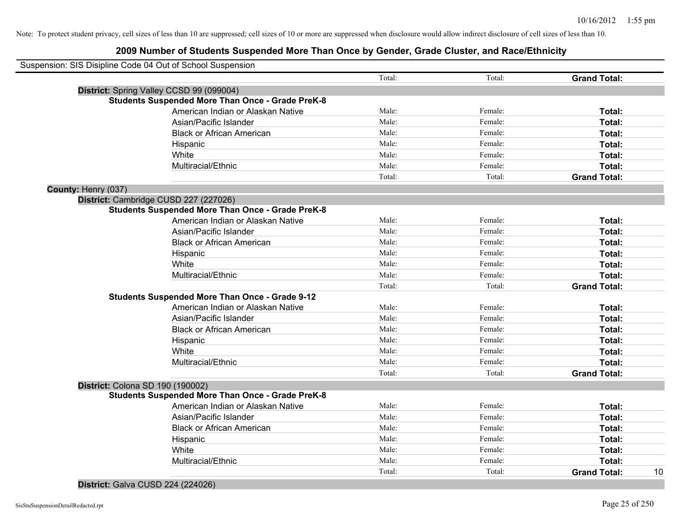|                                  | Suspension: SIS Disipline Code 04 Out of School Suspension |        |         |                     |    |
|----------------------------------|------------------------------------------------------------|--------|---------|---------------------|----|
|                                  |                                                            | Total: | Total:  | <b>Grand Total:</b> |    |
|                                  | District: Spring Valley CCSD 99 (099004)                   |        |         |                     |    |
|                                  | <b>Students Suspended More Than Once - Grade PreK-8</b>    |        |         |                     |    |
|                                  | American Indian or Alaskan Native                          | Male:  | Female: | Total:              |    |
|                                  | Asian/Pacific Islander                                     | Male:  | Female: | Total:              |    |
|                                  | <b>Black or African American</b>                           | Male:  | Female: | Total:              |    |
|                                  | Hispanic                                                   | Male:  | Female: | Total:              |    |
|                                  | White                                                      | Male:  | Female: | Total:              |    |
|                                  | Multiracial/Ethnic                                         | Male:  | Female: | Total:              |    |
|                                  |                                                            | Total: | Total:  | <b>Grand Total:</b> |    |
| County: Henry (037)              |                                                            |        |         |                     |    |
|                                  | District: Cambridge CUSD 227 (227026)                      |        |         |                     |    |
|                                  | <b>Students Suspended More Than Once - Grade PreK-8</b>    |        |         |                     |    |
|                                  | American Indian or Alaskan Native                          | Male:  | Female: | Total:              |    |
|                                  | Asian/Pacific Islander                                     | Male:  | Female: | Total:              |    |
|                                  | <b>Black or African American</b>                           | Male:  | Female: | Total:              |    |
|                                  | Hispanic                                                   | Male:  | Female: | Total:              |    |
|                                  | White                                                      | Male:  | Female: | Total:              |    |
|                                  | Multiracial/Ethnic                                         | Male:  | Female: | Total:              |    |
|                                  |                                                            | Total: | Total:  | <b>Grand Total:</b> |    |
|                                  | <b>Students Suspended More Than Once - Grade 9-12</b>      |        |         |                     |    |
|                                  | American Indian or Alaskan Native                          | Male:  | Female: | Total:              |    |
|                                  | Asian/Pacific Islander                                     | Male:  | Female: | Total:              |    |
|                                  | <b>Black or African American</b>                           | Male:  | Female: | Total:              |    |
|                                  | Hispanic                                                   | Male:  | Female: | Total:              |    |
|                                  | White                                                      | Male:  | Female: | Total:              |    |
|                                  | Multiracial/Ethnic                                         | Male:  | Female: | Total:              |    |
|                                  |                                                            | Total: | Total:  | <b>Grand Total:</b> |    |
| District: Colona SD 190 (190002) |                                                            |        |         |                     |    |
|                                  | <b>Students Suspended More Than Once - Grade PreK-8</b>    |        |         |                     |    |
|                                  | American Indian or Alaskan Native                          | Male:  | Female: | Total:              |    |
|                                  | Asian/Pacific Islander                                     | Male:  | Female: | Total:              |    |
|                                  | <b>Black or African American</b>                           | Male:  | Female: | Total:              |    |
|                                  | Hispanic                                                   | Male:  | Female: | Total:              |    |
|                                  | White                                                      | Male:  | Female: | Total:              |    |
|                                  | Multiracial/Ethnic                                         | Male:  | Female: | Total:              |    |
|                                  |                                                            | Total: | Total:  | <b>Grand Total:</b> | 10 |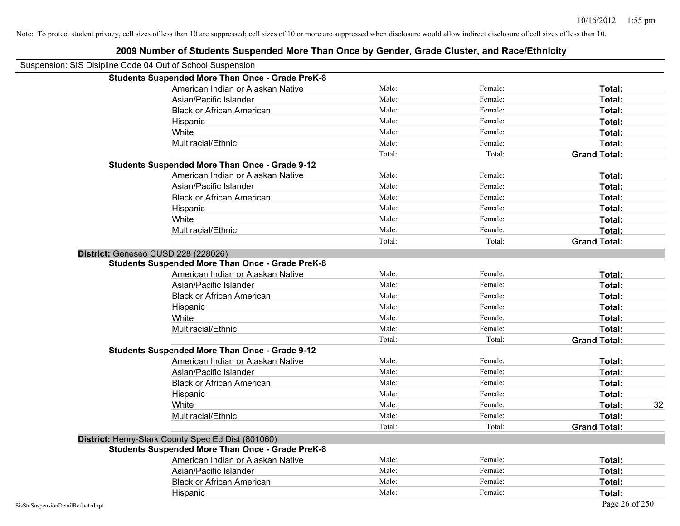| 2009 Number of Students Suspended More Than Once by Gender, Grade Cluster, and Race/Ethnicity |        |         |                     |
|-----------------------------------------------------------------------------------------------|--------|---------|---------------------|
| Suspension: SIS Disipline Code 04 Out of School Suspension                                    |        |         |                     |
| <b>Students Suspended More Than Once - Grade PreK-8</b>                                       |        |         |                     |
| American Indian or Alaskan Native                                                             | Male:  | Female: | Total:              |
| Asian/Pacific Islander                                                                        | Male:  | Female: | Total:              |
| <b>Black or African American</b>                                                              | Male:  | Female: | Total:              |
| Hispanic                                                                                      | Male:  | Female: | Total:              |
| White                                                                                         | Male:  | Female: | Total:              |
| Multiracial/Ethnic                                                                            | Male:  | Female: | Total:              |
|                                                                                               | Total: | Total:  | <b>Grand Total:</b> |
| <b>Students Suspended More Than Once - Grade 9-12</b>                                         |        |         |                     |
| American Indian or Alaskan Native                                                             | Male:  | Female: | Total:              |
| Asian/Pacific Islander                                                                        | Male:  | Female: | Total:              |
| <b>Black or African American</b>                                                              | Male:  | Female: | Total:              |
| Hispanic                                                                                      | Male:  | Female: | Total:              |
| White                                                                                         | Male:  | Female: | Total:              |
| Multiracial/Ethnic                                                                            | Male:  | Female: | Total:              |
|                                                                                               | Total: | Total:  | <b>Grand Total:</b> |
| District: Geneseo CUSD 228 (228026)                                                           |        |         |                     |
| <b>Students Suspended More Than Once - Grade PreK-8</b>                                       |        |         |                     |
| American Indian or Alaskan Native                                                             | Male:  | Female: | Total:              |
| Asian/Pacific Islander                                                                        | Male:  | Female: | Total:              |
| <b>Black or African American</b>                                                              | Male:  | Female: | Total:              |
| Hispanic                                                                                      | Male:  | Female: | Total:              |
| White                                                                                         | Male:  | Female: | Total:              |
| Multiracial/Ethnic                                                                            | Male:  | Female: | Total:              |
|                                                                                               | Total: | Total:  | <b>Grand Total:</b> |
| <b>Students Suspended More Than Once - Grade 9-12</b>                                         |        |         |                     |
| American Indian or Alaskan Native                                                             | Male:  | Female: | Total:              |
| Asian/Pacific Islander                                                                        | Male:  | Female: | Total:              |
| <b>Black or African American</b>                                                              | Male:  | Female: | Total:              |
| Hispanic                                                                                      | Male:  | Female: | Total:              |
| White                                                                                         | Male:  | Female: | 32<br>Total:        |
| Multiracial/Ethnic                                                                            | Male:  | Female: | Total:              |
|                                                                                               | Total: | Total:  | <b>Grand Total:</b> |
| District: Henry-Stark County Spec Ed Dist (801060)                                            |        |         |                     |
| <b>Students Suspended More Than Once - Grade PreK-8</b>                                       |        |         |                     |
| American Indian or Alaskan Native                                                             | Male:  | Female: | Total:              |
| Asian/Pacific Islander                                                                        | Male:  | Female: | Total:              |
| <b>Black or African American</b>                                                              | Male:  | Female: | Total:              |
| Hispanic                                                                                      | Male:  | Female: | Total:              |
| SisStuSuspensionDetailRedacted.rpt                                                            |        |         | Page 26 of 250      |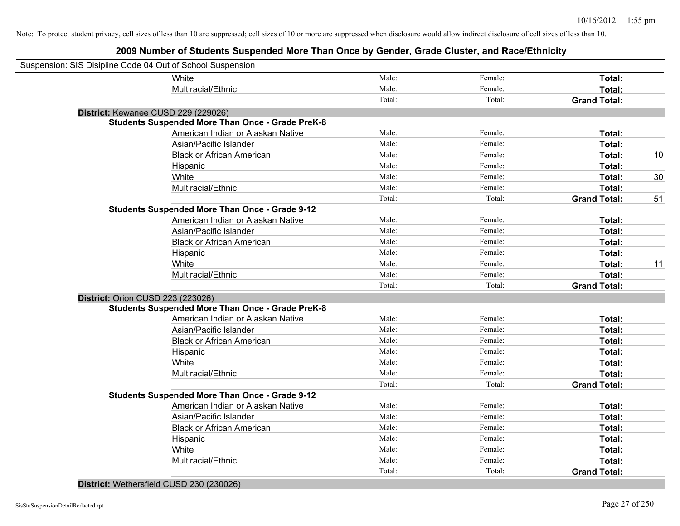# **2009 Number of Students Suspended More Than Once by Gender, Grade Cluster, and Race/Ethnicity**

| Suspension: SIS Disipline Code 04 Out of School Suspension |                                                         |        |         |                     |    |
|------------------------------------------------------------|---------------------------------------------------------|--------|---------|---------------------|----|
|                                                            | White                                                   | Male:  | Female: | Total:              |    |
|                                                            | Multiracial/Ethnic                                      | Male:  | Female: | Total:              |    |
|                                                            |                                                         | Total: | Total:  | <b>Grand Total:</b> |    |
| District: Kewanee CUSD 229 (229026)                        |                                                         |        |         |                     |    |
|                                                            | <b>Students Suspended More Than Once - Grade PreK-8</b> |        |         |                     |    |
|                                                            | American Indian or Alaskan Native                       | Male:  | Female: | Total:              |    |
|                                                            | Asian/Pacific Islander                                  | Male:  | Female: | Total:              |    |
|                                                            | <b>Black or African American</b>                        | Male:  | Female: | Total:              | 10 |
|                                                            | Hispanic                                                | Male:  | Female: | Total:              |    |
|                                                            | White                                                   | Male:  | Female: | Total:              | 30 |
|                                                            | Multiracial/Ethnic                                      | Male:  | Female: | Total:              |    |
|                                                            |                                                         | Total: | Total:  | <b>Grand Total:</b> | 51 |
|                                                            | <b>Students Suspended More Than Once - Grade 9-12</b>   |        |         |                     |    |
|                                                            | American Indian or Alaskan Native                       | Male:  | Female: | Total:              |    |
|                                                            | Asian/Pacific Islander                                  | Male:  | Female: | Total:              |    |
|                                                            | <b>Black or African American</b>                        | Male:  | Female: | Total:              |    |
|                                                            | Hispanic                                                | Male:  | Female: | Total:              |    |
|                                                            | White                                                   | Male:  | Female: | Total:              | 11 |
|                                                            | Multiracial/Ethnic                                      | Male:  | Female: | Total:              |    |
|                                                            |                                                         | Total: | Total:  | <b>Grand Total:</b> |    |
| <b>District: Orion CUSD 223 (223026)</b>                   |                                                         |        |         |                     |    |
|                                                            | <b>Students Suspended More Than Once - Grade PreK-8</b> |        |         |                     |    |
|                                                            | American Indian or Alaskan Native                       | Male:  | Female: | Total:              |    |
|                                                            | Asian/Pacific Islander                                  | Male:  | Female: | Total:              |    |
|                                                            | <b>Black or African American</b>                        | Male:  | Female: | Total:              |    |
|                                                            | Hispanic                                                | Male:  | Female: | Total:              |    |
|                                                            | White                                                   | Male:  | Female: | Total:              |    |
|                                                            | Multiracial/Ethnic                                      | Male:  | Female: | Total:              |    |
|                                                            |                                                         | Total: | Total:  | <b>Grand Total:</b> |    |
|                                                            | <b>Students Suspended More Than Once - Grade 9-12</b>   |        |         |                     |    |
|                                                            | American Indian or Alaskan Native                       | Male:  | Female: | Total:              |    |
|                                                            | Asian/Pacific Islander                                  | Male:  | Female: | Total:              |    |
|                                                            | <b>Black or African American</b>                        | Male:  | Female: | Total:              |    |
|                                                            | Hispanic                                                | Male:  | Female: | Total:              |    |
|                                                            | White                                                   | Male:  | Female: | Total:              |    |
|                                                            | Multiracial/Ethnic                                      | Male:  | Female: | Total:              |    |
|                                                            |                                                         | Total: | Total:  | <b>Grand Total:</b> |    |

#### **District:** Wethersfield CUSD 230 (230026)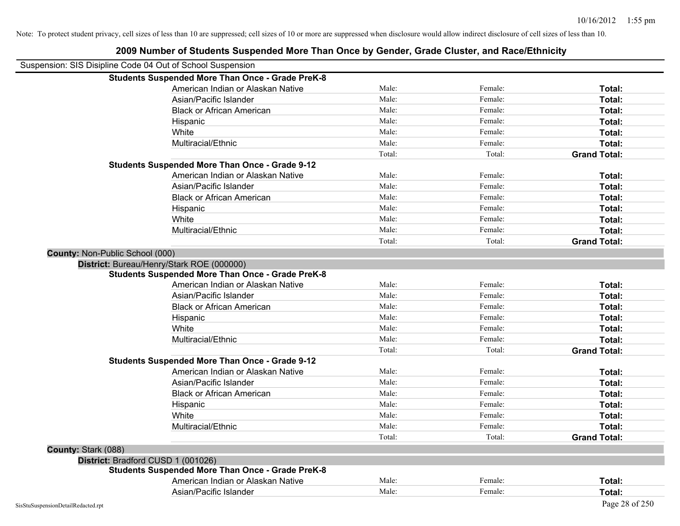|                                                            | 2009 Number of Students Suspended More Than Once by Gender, Grade Cluster, and Race/Ethnicity |        |         |                     |
|------------------------------------------------------------|-----------------------------------------------------------------------------------------------|--------|---------|---------------------|
| Suspension: SIS Disipline Code 04 Out of School Suspension |                                                                                               |        |         |                     |
|                                                            | <b>Students Suspended More Than Once - Grade PreK-8</b>                                       |        |         |                     |
|                                                            | American Indian or Alaskan Native                                                             | Male:  | Female: | Total:              |
|                                                            | Asian/Pacific Islander                                                                        | Male:  | Female: | Total:              |
|                                                            | <b>Black or African American</b>                                                              | Male:  | Female: | Total:              |
|                                                            | Hispanic                                                                                      | Male:  | Female: | Total:              |
|                                                            | White                                                                                         | Male:  | Female: | Total:              |
|                                                            | Multiracial/Ethnic                                                                            | Male:  | Female: | Total:              |
|                                                            |                                                                                               | Total: | Total:  | <b>Grand Total:</b> |
|                                                            | <b>Students Suspended More Than Once - Grade 9-12</b>                                         |        |         |                     |
|                                                            | American Indian or Alaskan Native                                                             | Male:  | Female: | Total:              |
|                                                            | Asian/Pacific Islander                                                                        | Male:  | Female: | Total:              |
|                                                            | <b>Black or African American</b>                                                              | Male:  | Female: | Total:              |
|                                                            | Hispanic                                                                                      | Male:  | Female: | Total:              |
|                                                            | White                                                                                         | Male:  | Female: | Total:              |
|                                                            | Multiracial/Ethnic                                                                            | Male:  | Female: | Total:              |
|                                                            |                                                                                               | Total: | Total:  | <b>Grand Total:</b> |
| <b>County: Non-Public School (000)</b>                     |                                                                                               |        |         |                     |
| District: Bureau/Henry/Stark ROE (000000)                  |                                                                                               |        |         |                     |
|                                                            | <b>Students Suspended More Than Once - Grade PreK-8</b>                                       |        |         |                     |
|                                                            | American Indian or Alaskan Native                                                             | Male:  | Female: | Total:              |
|                                                            | Asian/Pacific Islander                                                                        | Male:  | Female: | Total:              |
|                                                            | <b>Black or African American</b>                                                              | Male:  | Female: | Total:              |
|                                                            | Hispanic                                                                                      | Male:  | Female: | Total:              |
|                                                            | White                                                                                         | Male:  | Female: | Total:              |
|                                                            | Multiracial/Ethnic                                                                            | Male:  | Female: | Total:              |
|                                                            |                                                                                               | Total: | Total:  | <b>Grand Total:</b> |
|                                                            | <b>Students Suspended More Than Once - Grade 9-12</b>                                         |        |         |                     |
|                                                            | American Indian or Alaskan Native                                                             | Male:  | Female: | Total:              |
|                                                            | Asian/Pacific Islander                                                                        | Male:  | Female: | Total:              |
|                                                            | <b>Black or African American</b>                                                              | Male:  | Female: | Total:              |
|                                                            | Hispanic                                                                                      | Male:  | Female: | Total:              |
|                                                            | White                                                                                         | Male:  | Female: | Total:              |
|                                                            | Multiracial/Ethnic                                                                            | Male:  | Female: | Total:              |
|                                                            |                                                                                               | Total: | Total:  | <b>Grand Total:</b> |
| County: Stark (088)                                        |                                                                                               |        |         |                     |
| District: Bradford CUSD 1 (001026)                         |                                                                                               |        |         |                     |
|                                                            | <b>Students Suspended More Than Once - Grade PreK-8</b>                                       |        |         |                     |
|                                                            | American Indian or Alaskan Native                                                             | Male:  | Female: | Total:              |
|                                                            | Asian/Pacific Islander                                                                        | Male:  | Female: | Total:              |
| SisStuSuspensionDetailRedacted.rpt                         |                                                                                               |        |         | Page 28 of 250      |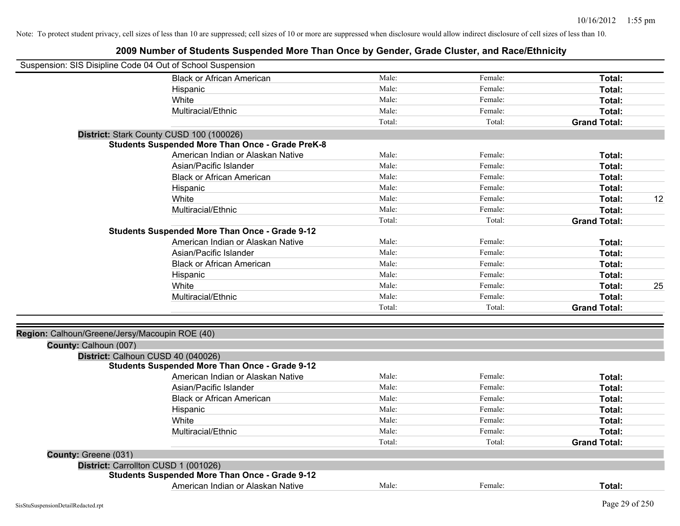| Suspension: SIS Disipline Code 04 Out of School Suspension |                                                         |        |         |                     |    |
|------------------------------------------------------------|---------------------------------------------------------|--------|---------|---------------------|----|
|                                                            | <b>Black or African American</b>                        | Male:  | Female: | Total:              |    |
|                                                            | Hispanic                                                | Male:  | Female: | Total:              |    |
|                                                            | White                                                   | Male:  | Female: | Total:              |    |
|                                                            | Multiracial/Ethnic                                      | Male:  | Female: | Total:              |    |
|                                                            |                                                         | Total: | Total:  | <b>Grand Total:</b> |    |
|                                                            | District: Stark County CUSD 100 (100026)                |        |         |                     |    |
|                                                            | <b>Students Suspended More Than Once - Grade PreK-8</b> |        |         |                     |    |
|                                                            | American Indian or Alaskan Native                       | Male:  | Female: | Total:              |    |
|                                                            | Asian/Pacific Islander                                  | Male:  | Female: | Total:              |    |
|                                                            | <b>Black or African American</b>                        | Male:  | Female: | Total:              |    |
|                                                            | Hispanic                                                | Male:  | Female: | Total:              |    |
|                                                            | White                                                   | Male:  | Female: | Total:              | 12 |
|                                                            | Multiracial/Ethnic                                      | Male:  | Female: | Total:              |    |
|                                                            |                                                         | Total: | Total:  | <b>Grand Total:</b> |    |
|                                                            | <b>Students Suspended More Than Once - Grade 9-12</b>   |        |         |                     |    |
|                                                            | American Indian or Alaskan Native                       | Male:  | Female: | Total:              |    |
|                                                            | Asian/Pacific Islander                                  | Male:  | Female: | Total:              |    |
|                                                            | <b>Black or African American</b>                        | Male:  | Female: | Total:              |    |
|                                                            | Hispanic                                                | Male:  | Female: | Total:              |    |
|                                                            | White                                                   | Male:  | Female: | Total:              | 25 |
|                                                            | Multiracial/Ethnic                                      | Male:  | Female: | Total:              |    |
|                                                            |                                                         | Total: | Total:  | <b>Grand Total:</b> |    |
| Region: Calhoun/Greene/Jersy/Macoupin ROE (40)             |                                                         |        |         |                     |    |
| County: Calhoun (007)                                      |                                                         |        |         |                     |    |
|                                                            | District: Calhoun CUSD 40 (040026)                      |        |         |                     |    |
|                                                            | <b>Students Suspended More Than Once - Grade 9-12</b>   |        |         |                     |    |
|                                                            | American Indian or Alaskan Native                       | Male:  | Female: | Total:              |    |
|                                                            | Asian/Pacific Islander                                  | Male:  | Female: | Total:              |    |
|                                                            | <b>Black or African American</b>                        | Male:  | Female: | Total:              |    |
|                                                            | Hispanic                                                | Male:  | Female: | Total:              |    |
|                                                            | White                                                   | Male:  | Female: | Total:              |    |
|                                                            | Multiracial/Ethnic                                      | Male:  | Female: | Total:              |    |
|                                                            |                                                         | Total: | Total:  | <b>Grand Total:</b> |    |
| County: Greene (031)                                       |                                                         |        |         |                     |    |
|                                                            | District: Carrollton CUSD 1 (001026)                    |        |         |                     |    |
|                                                            | <b>Students Suspended More Than Once - Grade 9-12</b>   |        |         |                     |    |
|                                                            | American Indian or Alaskan Native                       | Male:  | Female: | Total:              |    |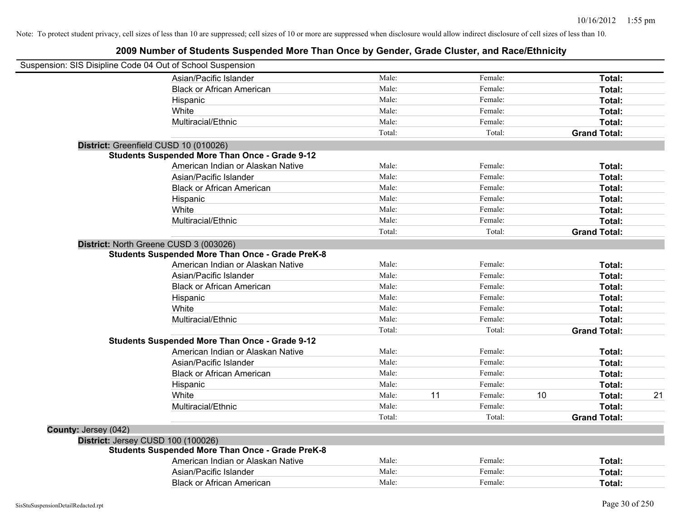| Suspension: SIS Disipline Code 04 Out of School Suspension |                                                         |        |    |         |    |                     |    |
|------------------------------------------------------------|---------------------------------------------------------|--------|----|---------|----|---------------------|----|
|                                                            | Asian/Pacific Islander                                  | Male:  |    | Female: |    | Total:              |    |
|                                                            | <b>Black or African American</b>                        | Male:  |    | Female: |    | Total:              |    |
|                                                            | Hispanic                                                | Male:  |    | Female: |    | Total:              |    |
|                                                            | White                                                   | Male:  |    | Female: |    | Total:              |    |
|                                                            | Multiracial/Ethnic                                      | Male:  |    | Female: |    | Total:              |    |
|                                                            |                                                         | Total: |    | Total:  |    | <b>Grand Total:</b> |    |
| District: Greenfield CUSD 10 (010026)                      |                                                         |        |    |         |    |                     |    |
|                                                            | <b>Students Suspended More Than Once - Grade 9-12</b>   |        |    |         |    |                     |    |
|                                                            | American Indian or Alaskan Native                       | Male:  |    | Female: |    | Total:              |    |
|                                                            | Asian/Pacific Islander                                  | Male:  |    | Female: |    | Total:              |    |
|                                                            | <b>Black or African American</b>                        | Male:  |    | Female: |    | Total:              |    |
|                                                            | Hispanic                                                | Male:  |    | Female: |    | Total:              |    |
|                                                            | White                                                   | Male:  |    | Female: |    | Total:              |    |
|                                                            | Multiracial/Ethnic                                      | Male:  |    | Female: |    | Total:              |    |
|                                                            |                                                         | Total: |    | Total:  |    | <b>Grand Total:</b> |    |
|                                                            | District: North Greene CUSD 3 (003026)                  |        |    |         |    |                     |    |
|                                                            | <b>Students Suspended More Than Once - Grade PreK-8</b> |        |    |         |    |                     |    |
|                                                            | American Indian or Alaskan Native                       | Male:  |    | Female: |    | Total:              |    |
|                                                            | Asian/Pacific Islander                                  | Male:  |    | Female: |    | Total:              |    |
|                                                            | <b>Black or African American</b>                        | Male:  |    | Female: |    | Total:              |    |
|                                                            | Hispanic                                                | Male:  |    | Female: |    | Total:              |    |
|                                                            | White                                                   | Male:  |    | Female: |    | Total:              |    |
|                                                            | Multiracial/Ethnic                                      | Male:  |    | Female: |    | Total:              |    |
|                                                            |                                                         | Total: |    | Total:  |    | <b>Grand Total:</b> |    |
|                                                            | <b>Students Suspended More Than Once - Grade 9-12</b>   |        |    |         |    |                     |    |
|                                                            | American Indian or Alaskan Native                       | Male:  |    | Female: |    | Total:              |    |
|                                                            | Asian/Pacific Islander                                  | Male:  |    | Female: |    | Total:              |    |
|                                                            | <b>Black or African American</b>                        | Male:  |    | Female: |    | Total:              |    |
|                                                            | Hispanic                                                | Male:  |    | Female: |    | Total:              |    |
|                                                            | White                                                   | Male:  | 11 | Female: | 10 | Total:              | 21 |
|                                                            | Multiracial/Ethnic                                      | Male:  |    | Female: |    | Total:              |    |
|                                                            |                                                         | Total: |    | Total:  |    | <b>Grand Total:</b> |    |
| County: Jersey (042)                                       |                                                         |        |    |         |    |                     |    |
| District: Jersey CUSD 100 (100026)                         |                                                         |        |    |         |    |                     |    |
|                                                            | <b>Students Suspended More Than Once - Grade PreK-8</b> |        |    |         |    |                     |    |
|                                                            | American Indian or Alaskan Native                       | Male:  |    | Female: |    | Total:              |    |
|                                                            | Asian/Pacific Islander                                  | Male:  |    | Female: |    | Total:              |    |
|                                                            | <b>Black or African American</b>                        | Male:  |    | Female: |    | Total:              |    |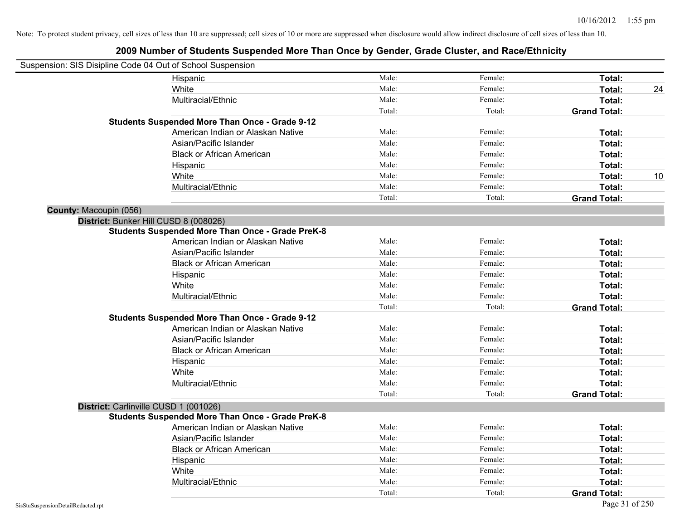|                        | Suspension: SIS Disipline Code 04 Out of School Suspension |        |         |                     |    |
|------------------------|------------------------------------------------------------|--------|---------|---------------------|----|
|                        | Hispanic                                                   | Male:  | Female: | Total:              |    |
|                        | White                                                      | Male:  | Female: | Total:              | 24 |
|                        | Multiracial/Ethnic                                         | Male:  | Female: | Total:              |    |
|                        |                                                            | Total: | Total:  | <b>Grand Total:</b> |    |
|                        | <b>Students Suspended More Than Once - Grade 9-12</b>      |        |         |                     |    |
|                        | American Indian or Alaskan Native                          | Male:  | Female: | Total:              |    |
|                        | Asian/Pacific Islander                                     | Male:  | Female: | Total:              |    |
|                        | <b>Black or African American</b>                           | Male:  | Female: | Total:              |    |
|                        | Hispanic                                                   | Male:  | Female: | Total:              |    |
|                        | White                                                      | Male:  | Female: | Total:              | 10 |
|                        | Multiracial/Ethnic                                         | Male:  | Female: | Total:              |    |
|                        |                                                            | Total: | Total:  | <b>Grand Total:</b> |    |
| County: Macoupin (056) |                                                            |        |         |                     |    |
|                        | District: Bunker Hill CUSD 8 (008026)                      |        |         |                     |    |
|                        | <b>Students Suspended More Than Once - Grade PreK-8</b>    |        |         |                     |    |
|                        | American Indian or Alaskan Native                          | Male:  | Female: | Total:              |    |
|                        | Asian/Pacific Islander                                     | Male:  | Female: | Total:              |    |
|                        | <b>Black or African American</b>                           | Male:  | Female: | Total:              |    |
|                        | Hispanic                                                   | Male:  | Female: | Total:              |    |
|                        | White                                                      | Male:  | Female: | Total:              |    |
|                        | Multiracial/Ethnic                                         | Male:  | Female: | Total:              |    |
|                        |                                                            | Total: | Total:  | <b>Grand Total:</b> |    |
|                        | <b>Students Suspended More Than Once - Grade 9-12</b>      |        |         |                     |    |
|                        | American Indian or Alaskan Native                          | Male:  | Female: | Total:              |    |
|                        | Asian/Pacific Islander                                     | Male:  | Female: | Total:              |    |
|                        | <b>Black or African American</b>                           | Male:  | Female: | Total:              |    |
|                        | Hispanic                                                   | Male:  | Female: | Total:              |    |
|                        | White                                                      | Male:  | Female: | Total:              |    |
|                        | Multiracial/Ethnic                                         | Male:  | Female: | Total:              |    |
|                        |                                                            | Total: | Total:  | <b>Grand Total:</b> |    |
|                        | District: Carlinville CUSD 1 (001026)                      |        |         |                     |    |
|                        | <b>Students Suspended More Than Once - Grade PreK-8</b>    |        |         |                     |    |
|                        | American Indian or Alaskan Native                          | Male:  | Female: | Total:              |    |
|                        | Asian/Pacific Islander                                     | Male:  | Female: | Total:              |    |
|                        | <b>Black or African American</b>                           | Male:  | Female: | Total:              |    |
|                        | Hispanic                                                   | Male:  | Female: | Total:              |    |
|                        | White                                                      | Male:  | Female: | Total:              |    |
|                        | Multiracial/Ethnic                                         | Male:  | Female: | Total:              |    |
|                        |                                                            | Total: | Total:  | <b>Grand Total:</b> |    |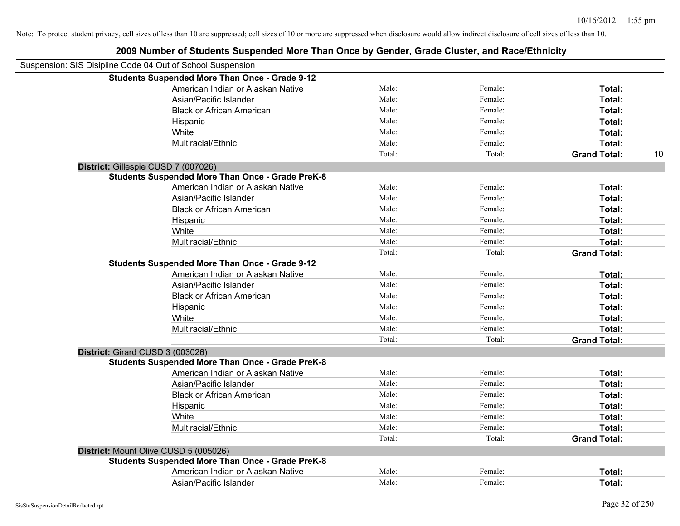| Suspension: SIS Disipline Code 04 Out of School Suspension |        |         |                     |    |
|------------------------------------------------------------|--------|---------|---------------------|----|
| <b>Students Suspended More Than Once - Grade 9-12</b>      |        |         |                     |    |
| American Indian or Alaskan Native                          | Male:  | Female: | Total:              |    |
| Asian/Pacific Islander                                     | Male:  | Female: | Total:              |    |
| <b>Black or African American</b>                           | Male:  | Female: | Total:              |    |
| Hispanic                                                   | Male:  | Female: | Total:              |    |
| White                                                      | Male:  | Female: | Total:              |    |
| Multiracial/Ethnic                                         | Male:  | Female: | Total:              |    |
|                                                            | Total: | Total:  | <b>Grand Total:</b> | 10 |
| District: Gillespie CUSD 7 (007026)                        |        |         |                     |    |
| <b>Students Suspended More Than Once - Grade PreK-8</b>    |        |         |                     |    |
| American Indian or Alaskan Native                          | Male:  | Female: | Total:              |    |
| Asian/Pacific Islander                                     | Male:  | Female: | Total:              |    |
| <b>Black or African American</b>                           | Male:  | Female: | Total:              |    |
| Hispanic                                                   | Male:  | Female: | Total:              |    |
| White                                                      | Male:  | Female: | Total:              |    |
| Multiracial/Ethnic                                         | Male:  | Female: | Total:              |    |
|                                                            | Total: | Total:  | <b>Grand Total:</b> |    |
| <b>Students Suspended More Than Once - Grade 9-12</b>      |        |         |                     |    |
| American Indian or Alaskan Native                          | Male:  | Female: | Total:              |    |
| Asian/Pacific Islander                                     | Male:  | Female: | Total:              |    |
| <b>Black or African American</b>                           | Male:  | Female: | Total:              |    |
| Hispanic                                                   | Male:  | Female: | Total:              |    |
| White                                                      | Male:  | Female: | Total:              |    |
| Multiracial/Ethnic                                         | Male:  | Female: | Total:              |    |
|                                                            | Total: | Total:  | <b>Grand Total:</b> |    |
| District: Girard CUSD 3 (003026)                           |        |         |                     |    |
| <b>Students Suspended More Than Once - Grade PreK-8</b>    |        |         |                     |    |
| American Indian or Alaskan Native                          | Male:  | Female: | Total:              |    |
| Asian/Pacific Islander                                     | Male:  | Female: | Total:              |    |
| <b>Black or African American</b>                           | Male:  | Female: | Total:              |    |
| Hispanic                                                   | Male:  | Female: | Total:              |    |
| White                                                      | Male:  | Female: | Total:              |    |
| Multiracial/Ethnic                                         | Male:  | Female: | Total:              |    |
|                                                            | Total: | Total:  | <b>Grand Total:</b> |    |
| District: Mount Olive CUSD 5 (005026)                      |        |         |                     |    |
| <b>Students Suspended More Than Once - Grade PreK-8</b>    |        |         |                     |    |
| American Indian or Alaskan Native                          | Male:  | Female: | Total:              |    |
| Asian/Pacific Islander                                     | Male:  | Female: | Total:              |    |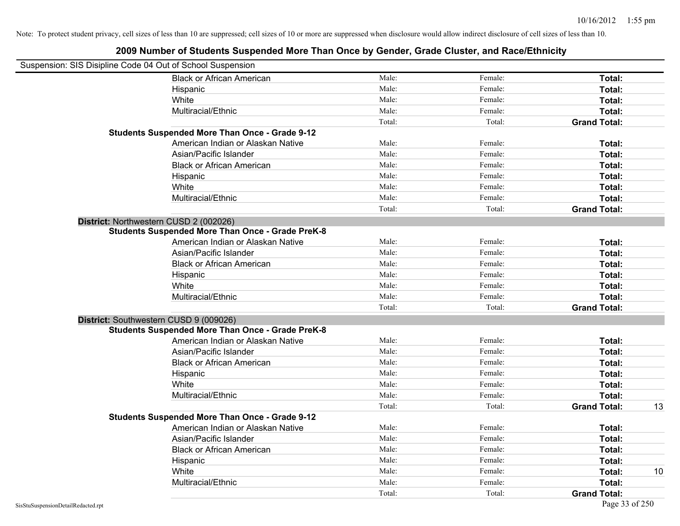| Suspension: SIS Disipline Code 04 Out of School Suspension |        |         |                     |    |
|------------------------------------------------------------|--------|---------|---------------------|----|
| <b>Black or African American</b>                           | Male:  | Female: | Total:              |    |
| Hispanic                                                   | Male:  | Female: | Total:              |    |
| White                                                      | Male:  | Female: | Total:              |    |
| Multiracial/Ethnic                                         | Male:  | Female: | Total:              |    |
|                                                            | Total: | Total:  | <b>Grand Total:</b> |    |
| <b>Students Suspended More Than Once - Grade 9-12</b>      |        |         |                     |    |
| American Indian or Alaskan Native                          | Male:  | Female: | Total:              |    |
| Asian/Pacific Islander                                     | Male:  | Female: | Total:              |    |
| <b>Black or African American</b>                           | Male:  | Female: | Total:              |    |
| Hispanic                                                   | Male:  | Female: | Total:              |    |
| White                                                      | Male:  | Female: | Total:              |    |
| Multiracial/Ethnic                                         | Male:  | Female: | Total:              |    |
|                                                            | Total: | Total:  | <b>Grand Total:</b> |    |
| District: Northwestern CUSD 2 (002026)                     |        |         |                     |    |
| <b>Students Suspended More Than Once - Grade PreK-8</b>    |        |         |                     |    |
| American Indian or Alaskan Native                          | Male:  | Female: | Total:              |    |
| Asian/Pacific Islander                                     | Male:  | Female: | Total:              |    |
| <b>Black or African American</b>                           | Male:  | Female: | Total:              |    |
| Hispanic                                                   | Male:  | Female: | Total:              |    |
| White                                                      | Male:  | Female: | Total:              |    |
| Multiracial/Ethnic                                         | Male:  | Female: | Total:              |    |
|                                                            | Total: | Total:  | <b>Grand Total:</b> |    |
| District: Southwestern CUSD 9 (009026)                     |        |         |                     |    |
| <b>Students Suspended More Than Once - Grade PreK-8</b>    |        |         |                     |    |
| American Indian or Alaskan Native                          | Male:  | Female: | Total:              |    |
| Asian/Pacific Islander                                     | Male:  | Female: | Total:              |    |
| <b>Black or African American</b>                           | Male:  | Female: | Total:              |    |
| Hispanic                                                   | Male:  | Female: | Total:              |    |
| White                                                      | Male:  | Female: | Total:              |    |
| Multiracial/Ethnic                                         | Male:  | Female: | Total:              |    |
|                                                            | Total: | Total:  | <b>Grand Total:</b> | 13 |
| <b>Students Suspended More Than Once - Grade 9-12</b>      |        |         |                     |    |
| American Indian or Alaskan Native                          | Male:  | Female: | Total:              |    |
| Asian/Pacific Islander                                     | Male:  | Female: | Total:              |    |
| <b>Black or African American</b>                           | Male:  | Female: | Total:              |    |
| Hispanic                                                   | Male:  | Female: | Total:              |    |
| White                                                      | Male:  | Female: | Total:              | 10 |
| Multiracial/Ethnic                                         | Male:  | Female: | Total:              |    |
|                                                            | Total: | Total:  | <b>Grand Total:</b> |    |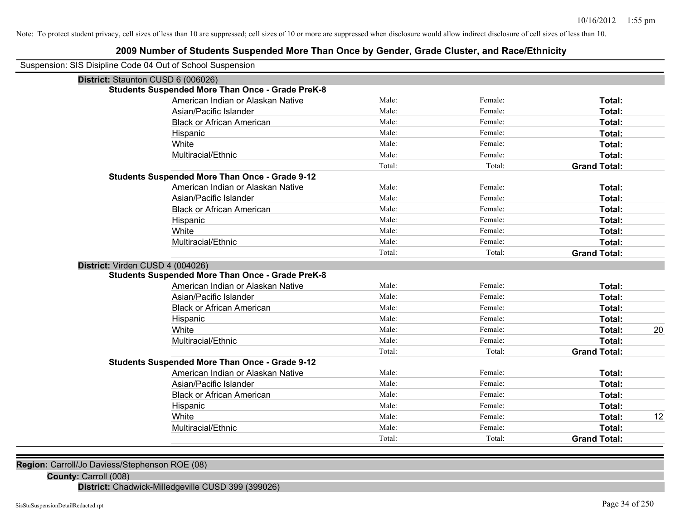# **2009 Number of Students Suspended More Than Once by Gender, Grade Cluster, and Race/Ethnicity**

| Suspension: SIS Disipline Code 04 Out of School Suspension |                                                         |        |         |                     |    |
|------------------------------------------------------------|---------------------------------------------------------|--------|---------|---------------------|----|
| District: Staunton CUSD 6 (006026)                         |                                                         |        |         |                     |    |
|                                                            | <b>Students Suspended More Than Once - Grade PreK-8</b> |        |         |                     |    |
|                                                            | American Indian or Alaskan Native                       | Male:  | Female: | Total:              |    |
|                                                            | Asian/Pacific Islander                                  | Male:  | Female: | Total:              |    |
|                                                            | <b>Black or African American</b>                        | Male:  | Female: | Total:              |    |
|                                                            | Hispanic                                                | Male:  | Female: | Total:              |    |
|                                                            | White                                                   | Male:  | Female: | Total:              |    |
|                                                            | Multiracial/Ethnic                                      | Male:  | Female: | Total:              |    |
|                                                            |                                                         | Total: | Total:  | <b>Grand Total:</b> |    |
|                                                            | <b>Students Suspended More Than Once - Grade 9-12</b>   |        |         |                     |    |
|                                                            | American Indian or Alaskan Native                       | Male:  | Female: | Total:              |    |
|                                                            | Asian/Pacific Islander                                  | Male:  | Female: | Total:              |    |
|                                                            | <b>Black or African American</b>                        | Male:  | Female: | Total:              |    |
|                                                            | Hispanic                                                | Male:  | Female: | Total:              |    |
|                                                            | White                                                   | Male:  | Female: | Total:              |    |
|                                                            | Multiracial/Ethnic                                      | Male:  | Female: | Total:              |    |
|                                                            |                                                         | Total: | Total:  | <b>Grand Total:</b> |    |
| District: Virden CUSD 4 (004026)                           |                                                         |        |         |                     |    |
|                                                            | <b>Students Suspended More Than Once - Grade PreK-8</b> |        |         |                     |    |
|                                                            | American Indian or Alaskan Native                       | Male:  | Female: | Total:              |    |
|                                                            | Asian/Pacific Islander                                  | Male:  | Female: | Total:              |    |
|                                                            | <b>Black or African American</b>                        | Male:  | Female: | Total:              |    |
|                                                            | Hispanic                                                | Male:  | Female: | Total:              |    |
|                                                            | White                                                   | Male:  | Female: | <b>Total:</b>       | 20 |
|                                                            | Multiracial/Ethnic                                      | Male:  | Female: | Total:              |    |
|                                                            |                                                         | Total: | Total:  | <b>Grand Total:</b> |    |
|                                                            | <b>Students Suspended More Than Once - Grade 9-12</b>   |        |         |                     |    |
|                                                            | American Indian or Alaskan Native                       | Male:  | Female: | Total:              |    |
|                                                            | Asian/Pacific Islander                                  | Male:  | Female: | Total:              |    |
|                                                            | <b>Black or African American</b>                        | Male:  | Female: | Total:              |    |
|                                                            | Hispanic                                                | Male:  | Female: | Total:              |    |
|                                                            | White                                                   | Male:  | Female: | Total:              | 12 |
|                                                            | Multiracial/Ethnic                                      | Male:  | Female: | Total:              |    |
|                                                            |                                                         | Total: | Total:  | <b>Grand Total:</b> |    |

**Region:** Carroll/Jo Daviess/Stephenson ROE (08)

**County:** Carroll (008)

**District:** Chadwick-Milledgeville CUSD 399 (399026)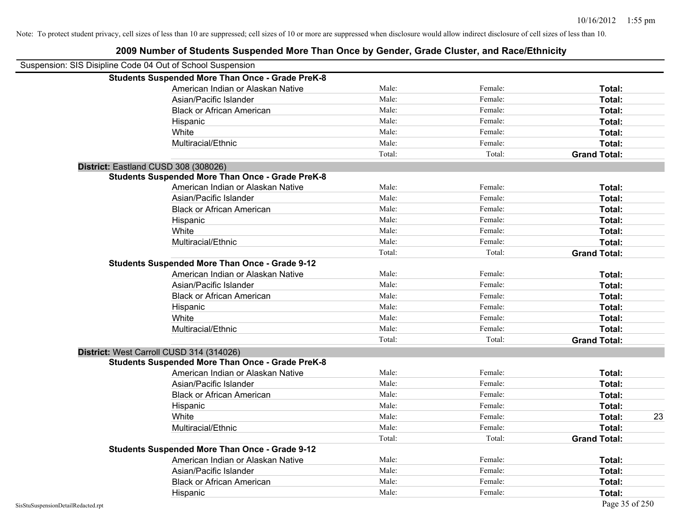| Suspension: SIS Disipline Code 04 Out of School Suspension |                                                         |        |         |                     |    |
|------------------------------------------------------------|---------------------------------------------------------|--------|---------|---------------------|----|
|                                                            | <b>Students Suspended More Than Once - Grade PreK-8</b> |        |         |                     |    |
|                                                            | American Indian or Alaskan Native                       | Male:  | Female: | Total:              |    |
|                                                            | Asian/Pacific Islander                                  | Male:  | Female: | Total:              |    |
|                                                            | <b>Black or African American</b>                        | Male:  | Female: | Total:              |    |
|                                                            | Hispanic                                                | Male:  | Female: | Total:              |    |
| White                                                      |                                                         | Male:  | Female: | Total:              |    |
|                                                            | Multiracial/Ethnic                                      | Male:  | Female: | Total:              |    |
|                                                            |                                                         | Total: | Total:  | <b>Grand Total:</b> |    |
| District: Eastland CUSD 308 (308026)                       |                                                         |        |         |                     |    |
|                                                            | <b>Students Suspended More Than Once - Grade PreK-8</b> |        |         |                     |    |
|                                                            | American Indian or Alaskan Native                       | Male:  | Female: | Total:              |    |
|                                                            | Asian/Pacific Islander                                  | Male:  | Female: | Total:              |    |
|                                                            | <b>Black or African American</b>                        | Male:  | Female: | Total:              |    |
|                                                            | Hispanic                                                | Male:  | Female: | Total:              |    |
| White                                                      |                                                         | Male:  | Female: | Total:              |    |
|                                                            | Multiracial/Ethnic                                      | Male:  | Female: | Total:              |    |
|                                                            |                                                         | Total: | Total:  | <b>Grand Total:</b> |    |
|                                                            | <b>Students Suspended More Than Once - Grade 9-12</b>   |        |         |                     |    |
|                                                            | American Indian or Alaskan Native                       | Male:  | Female: | Total:              |    |
|                                                            | Asian/Pacific Islander                                  | Male:  | Female: | Total:              |    |
|                                                            | <b>Black or African American</b>                        | Male:  | Female: | Total:              |    |
|                                                            | Hispanic                                                | Male:  | Female: | Total:              |    |
| White                                                      |                                                         | Male:  | Female: | Total:              |    |
|                                                            | Multiracial/Ethnic                                      | Male:  | Female: | Total:              |    |
|                                                            |                                                         | Total: | Total:  | <b>Grand Total:</b> |    |
| District: West Carroll CUSD 314 (314026)                   |                                                         |        |         |                     |    |
|                                                            | <b>Students Suspended More Than Once - Grade PreK-8</b> |        |         |                     |    |
|                                                            | American Indian or Alaskan Native                       | Male:  | Female: | Total:              |    |
|                                                            | Asian/Pacific Islander                                  | Male:  | Female: | Total:              |    |
|                                                            | <b>Black or African American</b>                        | Male:  | Female: | Total:              |    |
|                                                            | Hispanic                                                | Male:  | Female: | Total:              |    |
| White                                                      |                                                         | Male:  | Female: | Total:              | 23 |
|                                                            | Multiracial/Ethnic                                      | Male:  | Female: | Total:              |    |
|                                                            |                                                         | Total: | Total:  | <b>Grand Total:</b> |    |
|                                                            | <b>Students Suspended More Than Once - Grade 9-12</b>   |        |         |                     |    |
|                                                            | American Indian or Alaskan Native                       | Male:  | Female: | Total:              |    |
|                                                            | Asian/Pacific Islander                                  | Male:  | Female: | Total:              |    |
|                                                            | <b>Black or African American</b>                        | Male:  | Female: | Total:              |    |
|                                                            | Hispanic                                                | Male:  | Female: | Total:              |    |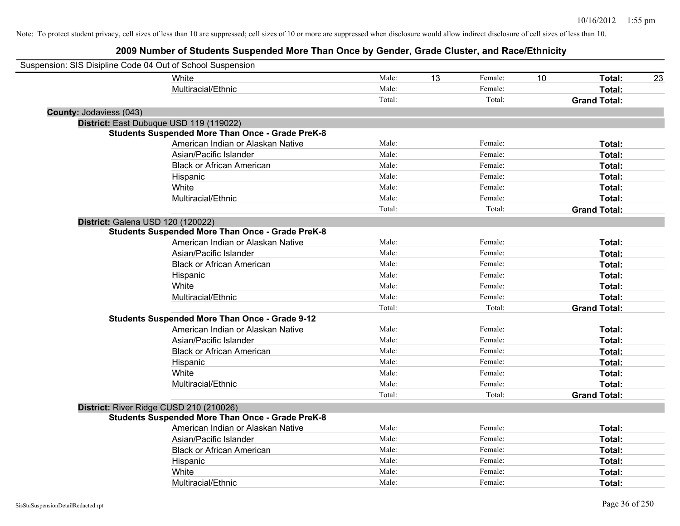| Suspension: SIS Disipline Code 04 Out of School Suspension |                                                         |        |    |         |    |                     |    |
|------------------------------------------------------------|---------------------------------------------------------|--------|----|---------|----|---------------------|----|
|                                                            | White                                                   | Male:  | 13 | Female: | 10 | Total:              | 23 |
|                                                            | Multiracial/Ethnic                                      | Male:  |    | Female: |    | Total:              |    |
|                                                            |                                                         | Total: |    | Total:  |    | <b>Grand Total:</b> |    |
| <b>County: Jodaviess (043)</b>                             |                                                         |        |    |         |    |                     |    |
|                                                            | District: East Dubuque USD 119 (119022)                 |        |    |         |    |                     |    |
|                                                            | <b>Students Suspended More Than Once - Grade PreK-8</b> |        |    |         |    |                     |    |
|                                                            | American Indian or Alaskan Native                       | Male:  |    | Female: |    | Total:              |    |
|                                                            | Asian/Pacific Islander                                  | Male:  |    | Female: |    | Total:              |    |
|                                                            | <b>Black or African American</b>                        | Male:  |    | Female: |    | Total:              |    |
|                                                            | Hispanic                                                | Male:  |    | Female: |    | Total:              |    |
|                                                            | White                                                   | Male:  |    | Female: |    | Total:              |    |
|                                                            | Multiracial/Ethnic                                      | Male:  |    | Female: |    | Total:              |    |
|                                                            |                                                         | Total: |    | Total:  |    | <b>Grand Total:</b> |    |
| District: Galena USD 120 (120022)                          |                                                         |        |    |         |    |                     |    |
|                                                            | <b>Students Suspended More Than Once - Grade PreK-8</b> |        |    |         |    |                     |    |
|                                                            | American Indian or Alaskan Native                       | Male:  |    | Female: |    | Total:              |    |
|                                                            | Asian/Pacific Islander                                  | Male:  |    | Female: |    | Total:              |    |
|                                                            | <b>Black or African American</b>                        | Male:  |    | Female: |    | Total:              |    |
|                                                            | Hispanic                                                | Male:  |    | Female: |    | Total:              |    |
|                                                            | White                                                   | Male:  |    | Female: |    | Total:              |    |
|                                                            | Multiracial/Ethnic                                      | Male:  |    | Female: |    | Total:              |    |
|                                                            |                                                         | Total: |    | Total:  |    | <b>Grand Total:</b> |    |
|                                                            | <b>Students Suspended More Than Once - Grade 9-12</b>   |        |    |         |    |                     |    |
|                                                            | American Indian or Alaskan Native                       | Male:  |    | Female: |    | Total:              |    |
|                                                            | Asian/Pacific Islander                                  | Male:  |    | Female: |    | Total:              |    |
|                                                            | <b>Black or African American</b>                        | Male:  |    | Female: |    | Total:              |    |
|                                                            | Hispanic                                                | Male:  |    | Female: |    | Total:              |    |
|                                                            | White                                                   | Male:  |    | Female: |    | Total:              |    |
|                                                            | Multiracial/Ethnic                                      | Male:  |    | Female: |    | Total:              |    |
|                                                            |                                                         | Total: |    | Total:  |    | <b>Grand Total:</b> |    |
|                                                            | District: River Ridge CUSD 210 (210026)                 |        |    |         |    |                     |    |
|                                                            | <b>Students Suspended More Than Once - Grade PreK-8</b> |        |    |         |    |                     |    |
|                                                            | American Indian or Alaskan Native                       | Male:  |    | Female: |    | Total:              |    |
|                                                            | Asian/Pacific Islander                                  | Male:  |    | Female: |    | Total:              |    |
|                                                            | <b>Black or African American</b>                        | Male:  |    | Female: |    | Total:              |    |
|                                                            | Hispanic                                                | Male:  |    | Female: |    | Total:              |    |
|                                                            | White                                                   | Male:  |    | Female: |    | Total:              |    |
|                                                            | Multiracial/Ethnic                                      | Male:  |    | Female: |    | Total:              |    |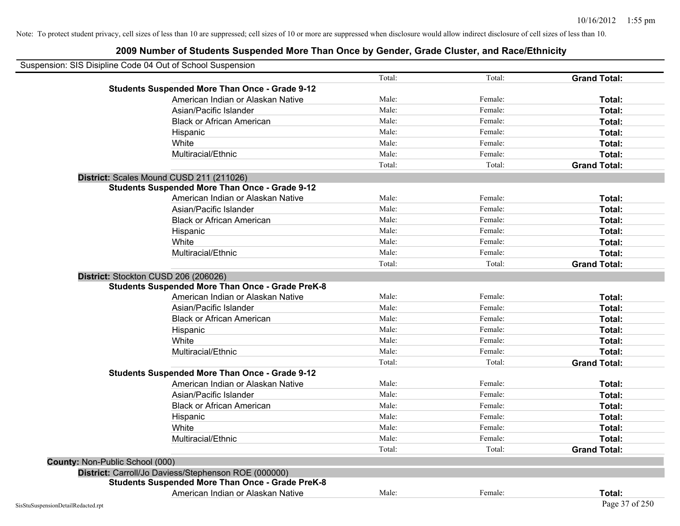|                                        | Suspension: SIS Disipline Code 04 Out of School Suspension |        |         |                     |
|----------------------------------------|------------------------------------------------------------|--------|---------|---------------------|
|                                        |                                                            | Total: | Total:  | <b>Grand Total:</b> |
|                                        | <b>Students Suspended More Than Once - Grade 9-12</b>      |        |         |                     |
|                                        | American Indian or Alaskan Native                          | Male:  | Female: | Total:              |
|                                        | Asian/Pacific Islander                                     | Male:  | Female: | Total:              |
|                                        | <b>Black or African American</b>                           | Male:  | Female: | Total:              |
|                                        | Hispanic                                                   | Male:  | Female: | Total:              |
|                                        | White                                                      | Male:  | Female: | Total:              |
|                                        | Multiracial/Ethnic                                         | Male:  | Female: | Total:              |
|                                        |                                                            | Total: | Total:  | <b>Grand Total:</b> |
|                                        | District: Scales Mound CUSD 211 (211026)                   |        |         |                     |
|                                        | <b>Students Suspended More Than Once - Grade 9-12</b>      |        |         |                     |
|                                        | American Indian or Alaskan Native                          | Male:  | Female: | Total:              |
|                                        | Asian/Pacific Islander                                     | Male:  | Female: | Total:              |
|                                        | <b>Black or African American</b>                           | Male:  | Female: | Total:              |
|                                        | Hispanic                                                   | Male:  | Female: | Total:              |
|                                        | White                                                      | Male:  | Female: | Total:              |
|                                        | Multiracial/Ethnic                                         | Male:  | Female: | Total:              |
|                                        |                                                            | Total: | Total:  | <b>Grand Total:</b> |
|                                        | District: Stockton CUSD 206 (206026)                       |        |         |                     |
|                                        | <b>Students Suspended More Than Once - Grade PreK-8</b>    |        |         |                     |
|                                        | American Indian or Alaskan Native                          | Male:  | Female: | Total:              |
|                                        | Asian/Pacific Islander                                     | Male:  | Female: | Total:              |
|                                        | <b>Black or African American</b>                           | Male:  | Female: | Total:              |
|                                        | Hispanic                                                   | Male:  | Female: | Total:              |
|                                        | White                                                      | Male:  | Female: | Total:              |
|                                        | Multiracial/Ethnic                                         | Male:  | Female: | Total:              |
|                                        |                                                            | Total: | Total:  | <b>Grand Total:</b> |
|                                        | <b>Students Suspended More Than Once - Grade 9-12</b>      |        |         |                     |
|                                        | American Indian or Alaskan Native                          | Male:  | Female: | Total:              |
|                                        | Asian/Pacific Islander                                     | Male:  | Female: | Total:              |
|                                        | <b>Black or African American</b>                           | Male:  | Female: | Total:              |
|                                        | Hispanic                                                   | Male:  | Female: | Total:              |
|                                        | White                                                      | Male:  | Female: | Total:              |
|                                        | Multiracial/Ethnic                                         | Male:  | Female: | Total:              |
|                                        |                                                            | Total: | Total:  | <b>Grand Total:</b> |
| <b>County: Non-Public School (000)</b> |                                                            |        |         |                     |
|                                        | District: Carroll/Jo Daviess/Stephenson ROE (000000)       |        |         |                     |
|                                        | <b>Students Suspended More Than Once - Grade PreK-8</b>    |        |         |                     |
|                                        | American Indian or Alaskan Native                          | Male:  | Female: | Total:              |
| SisStuSuspensionDetailRedacted.rpt     |                                                            |        |         | Page 37 of 250      |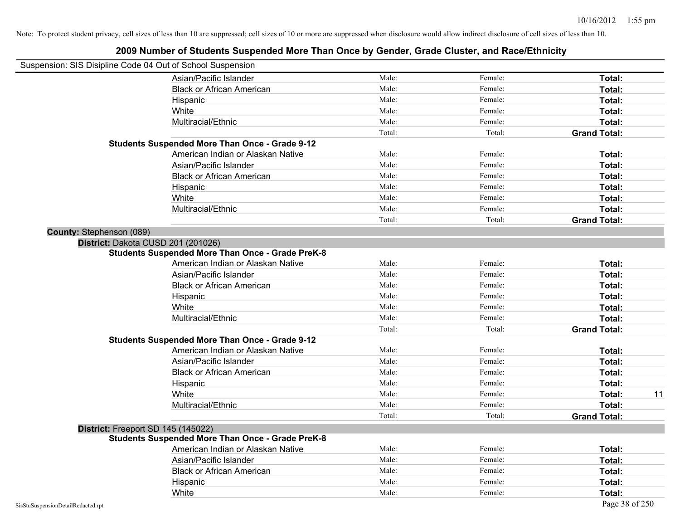| Suspension: SIS Disipline Code 04 Out of School Suspension |                                                         |        |         |                     |
|------------------------------------------------------------|---------------------------------------------------------|--------|---------|---------------------|
|                                                            | Asian/Pacific Islander                                  | Male:  | Female: | Total:              |
|                                                            | <b>Black or African American</b>                        | Male:  | Female: | Total:              |
|                                                            | Hispanic                                                | Male:  | Female: | Total:              |
|                                                            | White                                                   | Male:  | Female: | Total:              |
|                                                            | Multiracial/Ethnic                                      | Male:  | Female: | Total:              |
|                                                            |                                                         | Total: | Total:  | <b>Grand Total:</b> |
|                                                            | <b>Students Suspended More Than Once - Grade 9-12</b>   |        |         |                     |
|                                                            | American Indian or Alaskan Native                       | Male:  | Female: | Total:              |
|                                                            | Asian/Pacific Islander                                  | Male:  | Female: | Total:              |
|                                                            | <b>Black or African American</b>                        | Male:  | Female: | Total:              |
|                                                            | Hispanic                                                | Male:  | Female: | Total:              |
|                                                            | White                                                   | Male:  | Female: | Total:              |
|                                                            | Multiracial/Ethnic                                      | Male:  | Female: | Total:              |
|                                                            |                                                         | Total: | Total:  | <b>Grand Total:</b> |
| County: Stephenson (089)                                   |                                                         |        |         |                     |
| District: Dakota CUSD 201 (201026)                         |                                                         |        |         |                     |
|                                                            | <b>Students Suspended More Than Once - Grade PreK-8</b> |        |         |                     |
|                                                            | American Indian or Alaskan Native                       | Male:  | Female: | Total:              |
|                                                            | Asian/Pacific Islander                                  | Male:  | Female: | Total:              |
|                                                            | <b>Black or African American</b>                        | Male:  | Female: | Total:              |
|                                                            | Hispanic                                                | Male:  | Female: | Total:              |
|                                                            | White                                                   | Male:  | Female: | Total:              |
|                                                            | Multiracial/Ethnic                                      | Male:  | Female: | Total:              |
|                                                            |                                                         | Total: | Total:  | <b>Grand Total:</b> |
|                                                            | <b>Students Suspended More Than Once - Grade 9-12</b>   |        |         |                     |
|                                                            | American Indian or Alaskan Native                       | Male:  | Female: | Total:              |
|                                                            | Asian/Pacific Islander                                  | Male:  | Female: | Total:              |
|                                                            | <b>Black or African American</b>                        | Male:  | Female: | Total:              |
|                                                            | Hispanic                                                | Male:  | Female: | Total:              |
|                                                            | White                                                   | Male:  | Female: | Total:<br>11        |
|                                                            | Multiracial/Ethnic                                      | Male:  | Female: | Total:              |
|                                                            |                                                         | Total: | Total:  | <b>Grand Total:</b> |
| District: Freeport SD 145 (145022)                         |                                                         |        |         |                     |
|                                                            | <b>Students Suspended More Than Once - Grade PreK-8</b> |        |         |                     |
|                                                            | American Indian or Alaskan Native                       | Male:  | Female: | Total:              |
|                                                            | Asian/Pacific Islander                                  | Male:  | Female: | Total:              |
|                                                            | <b>Black or African American</b>                        | Male:  | Female: | Total:              |
|                                                            | Hispanic                                                | Male:  | Female: | Total:              |
|                                                            | White                                                   | Male:  | Female: | Total:              |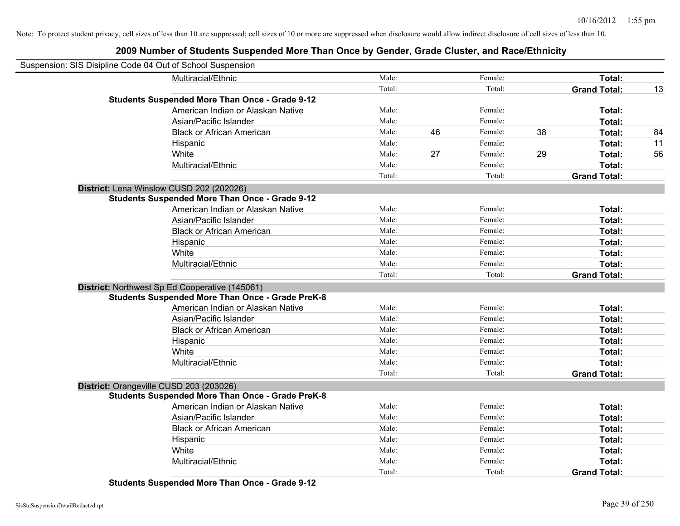# **2009 Number of Students Suspended More Than Once by Gender, Grade Cluster, and Race/Ethnicity**

| Suspension: SIS Disipline Code 04 Out of School Suspension |        |               |    |                     |    |
|------------------------------------------------------------|--------|---------------|----|---------------------|----|
| Multiracial/Ethnic                                         | Male:  | Female:       |    | Total:              |    |
|                                                            | Total: | Total:        |    | <b>Grand Total:</b> | 13 |
| <b>Students Suspended More Than Once - Grade 9-12</b>      |        |               |    |                     |    |
| American Indian or Alaskan Native                          | Male:  | Female:       |    | Total:              |    |
| Asian/Pacific Islander                                     | Male:  | Female:       |    | Total:              |    |
| <b>Black or African American</b>                           | Male:  | 46<br>Female: | 38 | Total:              | 84 |
| Hispanic                                                   | Male:  | Female:       |    | Total:              | 11 |
| White                                                      | Male:  | 27<br>Female: | 29 | Total:              | 56 |
| Multiracial/Ethnic                                         | Male:  | Female:       |    | Total:              |    |
|                                                            | Total: | Total:        |    | <b>Grand Total:</b> |    |
| District: Lena Winslow CUSD 202 (202026)                   |        |               |    |                     |    |
| <b>Students Suspended More Than Once - Grade 9-12</b>      |        |               |    |                     |    |
| American Indian or Alaskan Native                          | Male:  | Female:       |    | Total:              |    |
| Asian/Pacific Islander                                     | Male:  | Female:       |    | Total:              |    |
| <b>Black or African American</b>                           | Male:  | Female:       |    | Total:              |    |
| Hispanic                                                   | Male:  | Female:       |    | Total:              |    |
| White                                                      | Male:  | Female:       |    | Total:              |    |
| Multiracial/Ethnic                                         | Male:  | Female:       |    | Total:              |    |
|                                                            | Total: | Total:        |    | <b>Grand Total:</b> |    |
| District: Northwest Sp Ed Cooperative (145061)             |        |               |    |                     |    |
| <b>Students Suspended More Than Once - Grade PreK-8</b>    |        |               |    |                     |    |
| American Indian or Alaskan Native                          | Male:  | Female:       |    | Total:              |    |
| Asian/Pacific Islander                                     | Male:  | Female:       |    | Total:              |    |
| <b>Black or African American</b>                           | Male:  | Female:       |    | Total:              |    |
| Hispanic                                                   | Male:  | Female:       |    | Total:              |    |
| White                                                      | Male:  | Female:       |    | Total:              |    |
| Multiracial/Ethnic                                         | Male:  | Female:       |    | Total:              |    |
|                                                            | Total: | Total:        |    | <b>Grand Total:</b> |    |
| District: Orangeville CUSD 203 (203026)                    |        |               |    |                     |    |
| <b>Students Suspended More Than Once - Grade PreK-8</b>    |        |               |    |                     |    |
| American Indian or Alaskan Native                          | Male:  | Female:       |    | Total:              |    |
| Asian/Pacific Islander                                     | Male:  | Female:       |    | Total:              |    |
| <b>Black or African American</b>                           | Male:  | Female:       |    | Total:              |    |
| Hispanic                                                   | Male:  | Female:       |    | Total:              |    |
| White                                                      | Male:  | Female:       |    | Total:              |    |
| Multiracial/Ethnic                                         | Male:  | Female:       |    | Total:              |    |
|                                                            | Total: | Total:        |    | <b>Grand Total:</b> |    |

**Students Suspended More Than Once - Grade 9-12**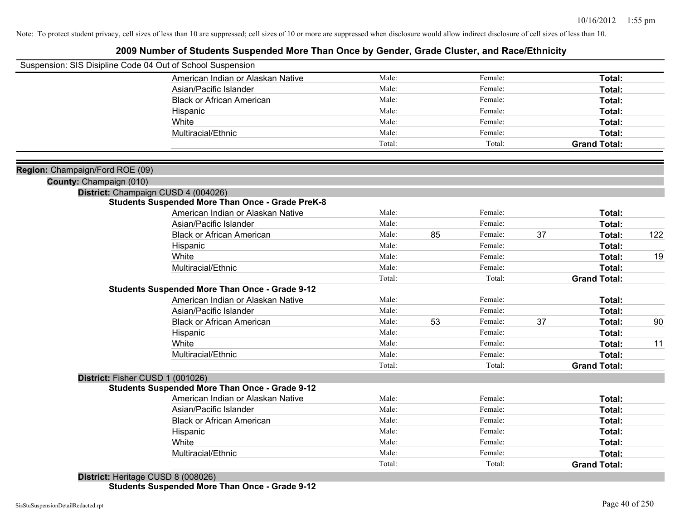## **2009 Number of Students Suspended More Than Once by Gender, Grade Cluster, and Race/Ethnicity**

| Suspension: SIS Disipline Code 04 Out of School Suspension |                                                         |        |    |         |    |                     |     |
|------------------------------------------------------------|---------------------------------------------------------|--------|----|---------|----|---------------------|-----|
|                                                            | American Indian or Alaskan Native                       | Male:  |    | Female: |    | Total:              |     |
|                                                            | Asian/Pacific Islander                                  | Male:  |    | Female: |    | Total:              |     |
|                                                            | <b>Black or African American</b>                        | Male:  |    | Female: |    | Total:              |     |
|                                                            | Hispanic                                                | Male:  |    | Female: |    | Total:              |     |
|                                                            | White                                                   | Male:  |    | Female: |    | Total:              |     |
|                                                            | Multiracial/Ethnic                                      | Male:  |    | Female: |    | <b>Total:</b>       |     |
|                                                            |                                                         | Total: |    | Total:  |    | <b>Grand Total:</b> |     |
|                                                            |                                                         |        |    |         |    |                     |     |
| Region: Champaign/Ford ROE (09)<br>County: Champaign (010) |                                                         |        |    |         |    |                     |     |
|                                                            | District: Champaign CUSD 4 (004026)                     |        |    |         |    |                     |     |
|                                                            | <b>Students Suspended More Than Once - Grade PreK-8</b> |        |    |         |    |                     |     |
|                                                            | American Indian or Alaskan Native                       | Male:  |    | Female: |    | Total:              |     |
|                                                            | Asian/Pacific Islander                                  | Male:  |    | Female: |    | Total:              |     |
|                                                            | <b>Black or African American</b>                        | Male:  | 85 | Female: | 37 | Total:              | 122 |
|                                                            | Hispanic                                                | Male:  |    | Female: |    | Total:              |     |
|                                                            | White                                                   | Male:  |    | Female: |    | Total:              | 19  |
|                                                            | Multiracial/Ethnic                                      | Male:  |    | Female: |    | Total:              |     |
|                                                            |                                                         | Total: |    | Total:  |    | <b>Grand Total:</b> |     |
|                                                            | <b>Students Suspended More Than Once - Grade 9-12</b>   |        |    |         |    |                     |     |
|                                                            | American Indian or Alaskan Native                       | Male:  |    | Female: |    | Total:              |     |
|                                                            | Asian/Pacific Islander                                  | Male:  |    | Female: |    | Total:              |     |
|                                                            | <b>Black or African American</b>                        | Male:  | 53 | Female: | 37 | Total:              | 90  |
|                                                            | Hispanic                                                | Male:  |    | Female: |    | Total:              |     |
|                                                            | White                                                   | Male:  |    | Female: |    | Total:              | 11  |
|                                                            | Multiracial/Ethnic                                      | Male:  |    | Female: |    | Total:              |     |
|                                                            |                                                         | Total: |    | Total:  |    | <b>Grand Total:</b> |     |
| District: Fisher CUSD 1 (001026)                           |                                                         |        |    |         |    |                     |     |
|                                                            | <b>Students Suspended More Than Once - Grade 9-12</b>   |        |    |         |    |                     |     |
|                                                            | American Indian or Alaskan Native                       | Male:  |    | Female: |    | Total:              |     |
|                                                            | Asian/Pacific Islander                                  | Male:  |    | Female: |    | Total:              |     |
|                                                            | <b>Black or African American</b>                        | Male:  |    | Female: |    | Total:              |     |
|                                                            | Hispanic                                                | Male:  |    | Female: |    | Total:              |     |
|                                                            | White                                                   | Male:  |    | Female: |    | Total:              |     |
|                                                            | Multiracial/Ethnic                                      | Male:  |    | Female: |    | Total:              |     |
|                                                            |                                                         | Total: |    | Total:  |    | <b>Grand Total:</b> |     |
|                                                            |                                                         |        |    |         |    |                     |     |

**District:** Heritage CUSD 8 (008026) **Students Suspended More Than Once - Grade 9-12**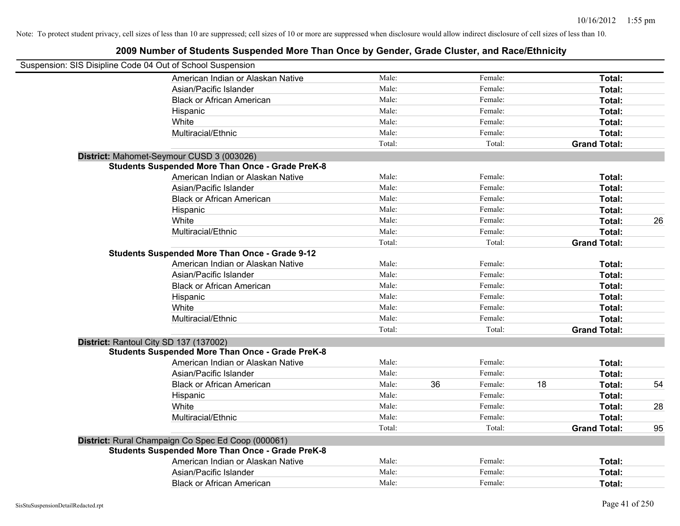| Suspension: SIS Disipline Code 04 Out of School Suspension |        |    |         |    |                     |    |
|------------------------------------------------------------|--------|----|---------|----|---------------------|----|
| American Indian or Alaskan Native                          | Male:  |    | Female: |    | Total:              |    |
| Asian/Pacific Islander                                     | Male:  |    | Female: |    | Total:              |    |
| <b>Black or African American</b>                           | Male:  |    | Female: |    | Total:              |    |
| Hispanic                                                   | Male:  |    | Female: |    | Total:              |    |
| White                                                      | Male:  |    | Female: |    | Total:              |    |
| Multiracial/Ethnic                                         | Male:  |    | Female: |    | Total:              |    |
|                                                            | Total: |    | Total:  |    | <b>Grand Total:</b> |    |
| District: Mahomet-Seymour CUSD 3 (003026)                  |        |    |         |    |                     |    |
| <b>Students Suspended More Than Once - Grade PreK-8</b>    |        |    |         |    |                     |    |
| American Indian or Alaskan Native                          | Male:  |    | Female: |    | Total:              |    |
| Asian/Pacific Islander                                     | Male:  |    | Female: |    | Total:              |    |
| <b>Black or African American</b>                           | Male:  |    | Female: |    | Total:              |    |
| Hispanic                                                   | Male:  |    | Female: |    | Total:              |    |
| White                                                      | Male:  |    | Female: |    | Total:              | 26 |
| Multiracial/Ethnic                                         | Male:  |    | Female: |    | Total:              |    |
|                                                            | Total: |    | Total:  |    | <b>Grand Total:</b> |    |
| <b>Students Suspended More Than Once - Grade 9-12</b>      |        |    |         |    |                     |    |
| American Indian or Alaskan Native                          | Male:  |    | Female: |    | Total:              |    |
| Asian/Pacific Islander                                     | Male:  |    | Female: |    | Total:              |    |
| <b>Black or African American</b>                           | Male:  |    | Female: |    | Total:              |    |
| Hispanic                                                   | Male:  |    | Female: |    | Total:              |    |
| White                                                      | Male:  |    | Female: |    | Total:              |    |
| Multiracial/Ethnic                                         | Male:  |    | Female: |    | Total:              |    |
|                                                            | Total: |    | Total:  |    | <b>Grand Total:</b> |    |
| District: Rantoul City SD 137 (137002)                     |        |    |         |    |                     |    |
| <b>Students Suspended More Than Once - Grade PreK-8</b>    |        |    |         |    |                     |    |
| American Indian or Alaskan Native                          | Male:  |    | Female: |    | Total:              |    |
| Asian/Pacific Islander                                     | Male:  |    | Female: |    | Total:              |    |
| <b>Black or African American</b>                           | Male:  | 36 | Female: | 18 | Total:              | 54 |
| Hispanic                                                   | Male:  |    | Female: |    | Total:              |    |
| White                                                      | Male:  |    | Female: |    | Total:              | 28 |
| Multiracial/Ethnic                                         | Male:  |    | Female: |    | Total:              |    |
|                                                            | Total: |    | Total:  |    | <b>Grand Total:</b> | 95 |
| District: Rural Champaign Co Spec Ed Coop (000061)         |        |    |         |    |                     |    |
| <b>Students Suspended More Than Once - Grade PreK-8</b>    |        |    |         |    |                     |    |
| American Indian or Alaskan Native                          | Male:  |    | Female: |    | Total:              |    |
| Asian/Pacific Islander                                     | Male:  |    | Female: |    | Total:              |    |
| <b>Black or African American</b>                           | Male:  |    | Female: |    | Total:              |    |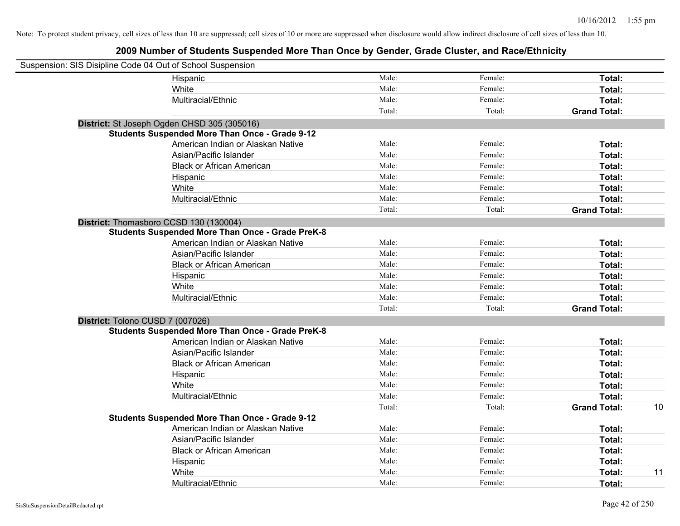| Suspension: SIS Disipline Code 04 Out of School Suspension |                                                         |        |         |                     |    |
|------------------------------------------------------------|---------------------------------------------------------|--------|---------|---------------------|----|
|                                                            | Hispanic                                                | Male:  | Female: | Total:              |    |
|                                                            | White                                                   | Male:  | Female: | Total:              |    |
|                                                            | Multiracial/Ethnic                                      | Male:  | Female: | Total:              |    |
|                                                            |                                                         | Total: | Total:  | <b>Grand Total:</b> |    |
|                                                            | District: St Joseph Ogden CHSD 305 (305016)             |        |         |                     |    |
|                                                            | <b>Students Suspended More Than Once - Grade 9-12</b>   |        |         |                     |    |
|                                                            | American Indian or Alaskan Native                       | Male:  | Female: | Total:              |    |
|                                                            | Asian/Pacific Islander                                  | Male:  | Female: | Total:              |    |
|                                                            | <b>Black or African American</b>                        | Male:  | Female: | Total:              |    |
|                                                            | Hispanic                                                | Male:  | Female: | Total:              |    |
|                                                            | White                                                   | Male:  | Female: | Total:              |    |
|                                                            | Multiracial/Ethnic                                      | Male:  | Female: | Total:              |    |
|                                                            |                                                         | Total: | Total:  | <b>Grand Total:</b> |    |
| District: Thomasboro CCSD 130 (130004)                     |                                                         |        |         |                     |    |
|                                                            | <b>Students Suspended More Than Once - Grade PreK-8</b> |        |         |                     |    |
|                                                            | American Indian or Alaskan Native                       | Male:  | Female: | Total:              |    |
|                                                            | Asian/Pacific Islander                                  | Male:  | Female: | Total:              |    |
|                                                            | <b>Black or African American</b>                        | Male:  | Female: | Total:              |    |
|                                                            | Hispanic                                                | Male:  | Female: | Total:              |    |
|                                                            | White                                                   | Male:  | Female: | Total:              |    |
|                                                            | Multiracial/Ethnic                                      | Male:  | Female: | Total:              |    |
|                                                            |                                                         | Total: | Total:  | <b>Grand Total:</b> |    |
| District: Tolono CUSD 7 (007026)                           |                                                         |        |         |                     |    |
|                                                            | <b>Students Suspended More Than Once - Grade PreK-8</b> |        |         |                     |    |
|                                                            | American Indian or Alaskan Native                       | Male:  | Female: | Total:              |    |
|                                                            | Asian/Pacific Islander                                  | Male:  | Female: | Total:              |    |
|                                                            | <b>Black or African American</b>                        | Male:  | Female: | Total:              |    |
|                                                            | Hispanic                                                | Male:  | Female: | Total:              |    |
|                                                            | White                                                   | Male:  | Female: | Total:              |    |
|                                                            | Multiracial/Ethnic                                      | Male:  | Female: | Total:              |    |
|                                                            |                                                         | Total: | Total:  | <b>Grand Total:</b> | 10 |
|                                                            | <b>Students Suspended More Than Once - Grade 9-12</b>   |        |         |                     |    |
|                                                            | American Indian or Alaskan Native                       | Male:  | Female: | Total:              |    |
|                                                            | Asian/Pacific Islander                                  | Male:  | Female: | Total:              |    |
|                                                            | <b>Black or African American</b>                        | Male:  | Female: | Total:              |    |
|                                                            | Hispanic                                                | Male:  | Female: | Total:              |    |
|                                                            | White                                                   | Male:  | Female: | Total:              | 11 |
|                                                            | Multiracial/Ethnic                                      | Male:  | Female: | Total:              |    |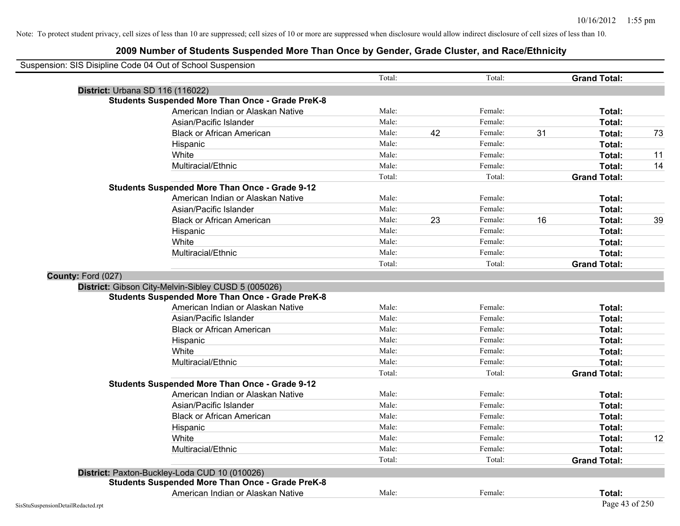| Suspension: SIS Disipline Code 04 Out of School Suspension |                                                         |        |    |         |    |                     |    |
|------------------------------------------------------------|---------------------------------------------------------|--------|----|---------|----|---------------------|----|
|                                                            |                                                         | Total: |    | Total:  |    | <b>Grand Total:</b> |    |
|                                                            | District: Urbana SD 116 (116022)                        |        |    |         |    |                     |    |
|                                                            | <b>Students Suspended More Than Once - Grade PreK-8</b> |        |    |         |    |                     |    |
|                                                            | American Indian or Alaskan Native                       | Male:  |    | Female: |    | Total:              |    |
|                                                            | Asian/Pacific Islander                                  | Male:  |    | Female: |    | Total:              |    |
|                                                            | <b>Black or African American</b>                        | Male:  | 42 | Female: | 31 | Total:              | 73 |
|                                                            | Hispanic                                                | Male:  |    | Female: |    | Total:              |    |
|                                                            | White                                                   | Male:  |    | Female: |    | Total:              | 11 |
|                                                            | Multiracial/Ethnic                                      | Male:  |    | Female: |    | Total:              | 14 |
|                                                            |                                                         | Total: |    | Total:  |    | <b>Grand Total:</b> |    |
|                                                            | <b>Students Suspended More Than Once - Grade 9-12</b>   |        |    |         |    |                     |    |
|                                                            | American Indian or Alaskan Native                       | Male:  |    | Female: |    | Total:              |    |
|                                                            | Asian/Pacific Islander                                  | Male:  |    | Female: |    | Total:              |    |
|                                                            | <b>Black or African American</b>                        | Male:  | 23 | Female: | 16 | Total:              | 39 |
|                                                            | Hispanic                                                | Male:  |    | Female: |    | Total:              |    |
|                                                            | White                                                   | Male:  |    | Female: |    | Total:              |    |
|                                                            | Multiracial/Ethnic                                      | Male:  |    | Female: |    | Total:              |    |
|                                                            |                                                         | Total: |    | Total:  |    | <b>Grand Total:</b> |    |
| County: Ford (027)                                         |                                                         |        |    |         |    |                     |    |
|                                                            | District: Gibson City-Melvin-Sibley CUSD 5 (005026)     |        |    |         |    |                     |    |
|                                                            | <b>Students Suspended More Than Once - Grade PreK-8</b> |        |    |         |    |                     |    |
|                                                            | American Indian or Alaskan Native                       | Male:  |    | Female: |    | Total:              |    |
|                                                            | Asian/Pacific Islander                                  | Male:  |    | Female: |    | Total:              |    |
|                                                            | <b>Black or African American</b>                        | Male:  |    | Female: |    | Total:              |    |
|                                                            | Hispanic                                                | Male:  |    | Female: |    | Total:              |    |
|                                                            | White                                                   | Male:  |    | Female: |    | Total:              |    |
|                                                            | Multiracial/Ethnic                                      | Male:  |    | Female: |    | Total:              |    |
|                                                            |                                                         | Total: |    | Total:  |    | <b>Grand Total:</b> |    |
|                                                            | <b>Students Suspended More Than Once - Grade 9-12</b>   |        |    |         |    |                     |    |
|                                                            | American Indian or Alaskan Native                       | Male:  |    | Female: |    | Total:              |    |
|                                                            | Asian/Pacific Islander                                  | Male:  |    | Female: |    | Total:              |    |
|                                                            | <b>Black or African American</b>                        | Male:  |    | Female: |    | Total:              |    |
|                                                            | Hispanic                                                | Male:  |    | Female: |    | Total:              |    |
|                                                            | White                                                   | Male:  |    | Female: |    | Total:              | 12 |
|                                                            | Multiracial/Ethnic                                      | Male:  |    | Female: |    | <b>Total:</b>       |    |
|                                                            |                                                         | Total: |    | Total:  |    | <b>Grand Total:</b> |    |
|                                                            | District: Paxton-Buckley-Loda CUD 10 (010026)           |        |    |         |    |                     |    |
|                                                            | <b>Students Suspended More Than Once - Grade PreK-8</b> |        |    |         |    |                     |    |
|                                                            | American Indian or Alaskan Native                       | Male:  |    | Female: |    | Total:              |    |
| SisStuSuspensionDetailRedacted.rpt                         |                                                         |        |    |         |    | Page 43 of 250      |    |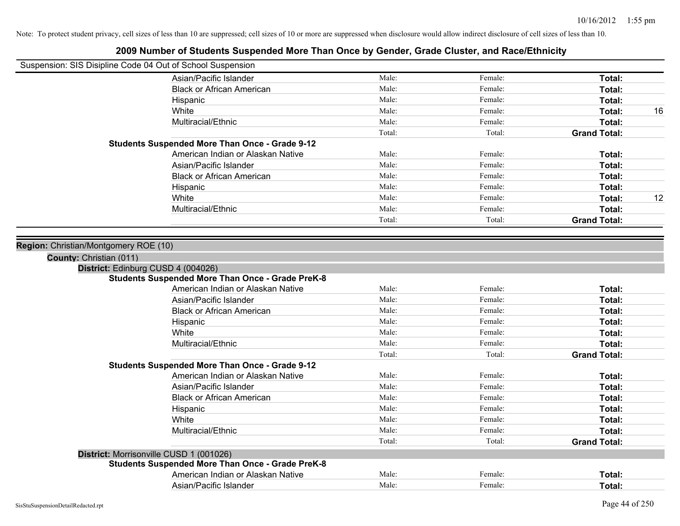# **2009 Number of Students Suspended More Than Once by Gender, Grade Cluster, and Race/Ethnicity** Suspension: SIS Disipline Code 04 Out of School Suspension Asian/Pacific Islander **Figure 1.1 Contained Asian/Pacific Islander Female:** Female: **Total:** Total: Black or African American **Figure 1.1 and Total:** Male: Female: Female: **Total:** Total: Hispanic **Total:** Male: **Male:** Female: **Total:** Total: **Total:** Female: **Total:** Total: White **Male:** Male: **Total: 16** Male: **Total: 16** Male: **Total: 16** Male: **Total:** 16 Multiracial/Ethnic **Total:** Male: Female: **Total:** Female: **Total:** Female: **Total:** Female: **Total:** Female: **Total:** Female: **Total:** Female: **Total:** Female: **Total:** Female: **Total:** Female: **Total:** Female: **Total:** F Total: Total: **Grand Total: Students Suspended More Than Once - Grade 9-12** American Indian or Alaskan Native **Male:** Male: Female: Female: **Total:** Total: Asian/Pacific Islander **Figure 1.1 Contained Asian/Pacific Islander Female:** Female: **Total:** Total: Black or African American **Figure 1.1 and Total:** Male: Female: Female: **Total:** Total: Hispanic **Total:** Male: **Male:** Female: **Total:** Total: **Total:** Female: **Total:** Total: White **Male:** Male: **Total: 12** Male: **Total: 12** Male: **Total: 12** Multiracial/Ethnic **Total:** Male: Female: **Female: Total:** Total: **Total:** Female: **Total:** Total: Total: Total: **Grand Total: Region:** Christian/Montgomery ROE (10) **County:** Christian (011) **District:** Edinburg CUSD 4 (004026) **Students Suspended More Than Once - Grade PreK-8** American Indian or Alaskan Native **Male:** Male: Female: Female: **Total:** Total: Asian/Pacific Islander **Figure 1.1 Contained Asian** Male: Female: **Female: Total: Total: Total: Total: Total: Total: Total: Total: Total: Total: Total: Total: Total: Total: Total: Total: T** Black or African American **Figure 1.1 and Total:** Male: Female: Female: **Total:** Total: Hispanic **Total:** Male: Female: **Total:** Female: **Total:** Total: **Total:** Female: **Total:** Total: **Total:** Total: **Total:** Total: **Total:** Total: **Total:** Total: **Total:** Total: **Total:** Total: **Total:** Total: **Total:** Tot White **Total:** Male: Female: **Total:** Total: **Total:** Female: **Total:** Total: Multiracial/Ethnic **Total:** Male: Female: **Total:** Female: **Total:** Female: **Total:** Female: **Total:** Female: **Total:** Female: **Total:** Female: **Total:** Female: **Total:** Female: **Total:** Female: **Total:** Female: **Total:** F

|  | <b>Students Suspended More Than Once - Grade 9-12</b> |  |  |  |  |
|--|-------------------------------------------------------|--|--|--|--|
|--|-------------------------------------------------------|--|--|--|--|

| American Indian or Alaskan Native             | Male:  | Female: | Total:              |
|-----------------------------------------------|--------|---------|---------------------|
| Asian/Pacific Islander                        | Male:  | Female: | Total:              |
| <b>Black or African American</b>              | Male:  | Female: | Total:              |
| Hispanic                                      | Male:  | Female: | Total:              |
| White                                         | Male:  | Female: | Total:              |
| Multiracial/Ethnic                            | Male:  | Female: | Total:              |
|                                               | Total: | Total:  | <b>Grand Total:</b> |
| rrisonville CUSD 1 (001026)                   |        |         |                     |
| lents Susnanded More Than Once - Grade PreK-8 |        |         |                     |

Asian/Pacific Islander **Figure 1.1 Contained Asian** Male: Female: **Female: Total: Total: Total: Total: Total: Total: Total: Total: Total: Total: Total: Total: Total: Total: Total: Total: T** 

Total: Total: Total: **Grand Total:** 

#### **District: Mor Students Suspended More Than Once - Grade PreK-8**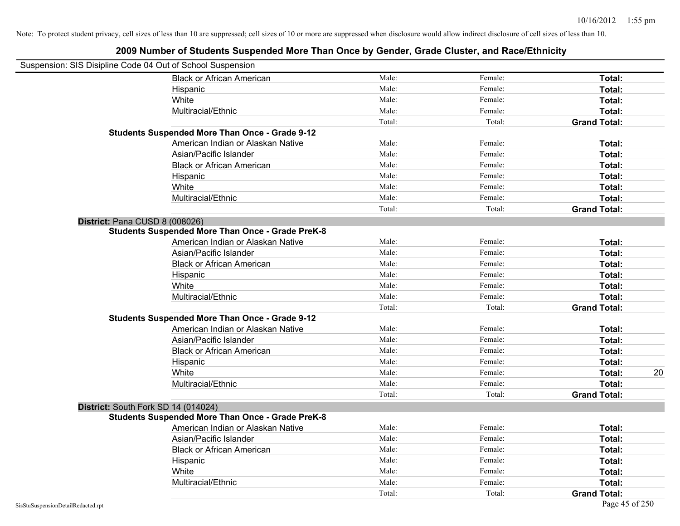| Suspension: SIS Disipline Code 04 Out of School Suspension |        |         |                     |
|------------------------------------------------------------|--------|---------|---------------------|
| <b>Black or African American</b>                           | Male:  | Female: | Total:              |
| Hispanic                                                   | Male:  | Female: | Total:              |
| White                                                      | Male:  | Female: | Total:              |
| Multiracial/Ethnic                                         | Male:  | Female: | Total:              |
|                                                            | Total: | Total:  | <b>Grand Total:</b> |
| <b>Students Suspended More Than Once - Grade 9-12</b>      |        |         |                     |
| American Indian or Alaskan Native                          | Male:  | Female: | Total:              |
| Asian/Pacific Islander                                     | Male:  | Female: | Total:              |
| <b>Black or African American</b>                           | Male:  | Female: | Total:              |
| Hispanic                                                   | Male:  | Female: | Total:              |
| White                                                      | Male:  | Female: | Total:              |
| Multiracial/Ethnic                                         | Male:  | Female: | Total:              |
|                                                            | Total: | Total:  | <b>Grand Total:</b> |
| District: Pana CUSD 8 (008026)                             |        |         |                     |
| <b>Students Suspended More Than Once - Grade PreK-8</b>    |        |         |                     |
| American Indian or Alaskan Native                          | Male:  | Female: | Total:              |
| Asian/Pacific Islander                                     | Male:  | Female: | Total:              |
| <b>Black or African American</b>                           | Male:  | Female: | Total:              |
| Hispanic                                                   | Male:  | Female: | Total:              |
| White                                                      | Male:  | Female: | Total:              |
| Multiracial/Ethnic                                         | Male:  | Female: | Total:              |
|                                                            | Total: | Total:  | <b>Grand Total:</b> |
| <b>Students Suspended More Than Once - Grade 9-12</b>      |        |         |                     |
| American Indian or Alaskan Native                          | Male:  | Female: | Total:              |
| Asian/Pacific Islander                                     | Male:  | Female: | Total:              |
| <b>Black or African American</b>                           | Male:  | Female: | Total:              |
| Hispanic                                                   | Male:  | Female: | Total:              |
| White                                                      | Male:  | Female: | 20<br>Total:        |
| Multiracial/Ethnic                                         | Male:  | Female: | Total:              |
|                                                            | Total: | Total:  | <b>Grand Total:</b> |
| District: South Fork SD 14 (014024)                        |        |         |                     |
| <b>Students Suspended More Than Once - Grade PreK-8</b>    |        |         |                     |
| American Indian or Alaskan Native                          | Male:  | Female: | Total:              |
| Asian/Pacific Islander                                     | Male:  | Female: | Total:              |
| <b>Black or African American</b>                           | Male:  | Female: | Total:              |
| Hispanic                                                   | Male:  | Female: | Total:              |
| White                                                      | Male:  | Female: | Total:              |
| Multiracial/Ethnic                                         | Male:  | Female: | Total:              |
|                                                            | Total: | Total:  | <b>Grand Total:</b> |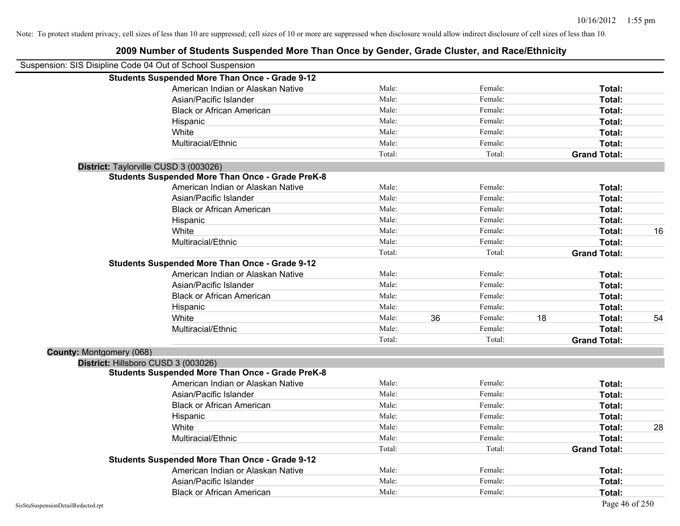|                          | Suspension: SIS Disipline Code 04 Out of School Suspension |        |    |         |    |                     |    |
|--------------------------|------------------------------------------------------------|--------|----|---------|----|---------------------|----|
|                          | <b>Students Suspended More Than Once - Grade 9-12</b>      |        |    |         |    |                     |    |
|                          | American Indian or Alaskan Native                          | Male:  |    | Female: |    | Total:              |    |
|                          | Asian/Pacific Islander                                     | Male:  |    | Female: |    | Total:              |    |
|                          | <b>Black or African American</b>                           | Male:  |    | Female: |    | Total:              |    |
|                          | Hispanic                                                   | Male:  |    | Female: |    | Total:              |    |
|                          | White                                                      | Male:  |    | Female: |    | Total:              |    |
|                          | Multiracial/Ethnic                                         | Male:  |    | Female: |    | Total:              |    |
|                          |                                                            | Total: |    | Total:  |    | <b>Grand Total:</b> |    |
|                          | District: Taylorville CUSD 3 (003026)                      |        |    |         |    |                     |    |
|                          | <b>Students Suspended More Than Once - Grade PreK-8</b>    |        |    |         |    |                     |    |
|                          | American Indian or Alaskan Native                          | Male:  |    | Female: |    | Total:              |    |
|                          | Asian/Pacific Islander                                     | Male:  |    | Female: |    | Total:              |    |
|                          | <b>Black or African American</b>                           | Male:  |    | Female: |    | Total:              |    |
|                          | Hispanic                                                   | Male:  |    | Female: |    | Total:              |    |
|                          | White                                                      | Male:  |    | Female: |    | Total:              | 16 |
|                          | Multiracial/Ethnic                                         | Male:  |    | Female: |    | <b>Total:</b>       |    |
|                          |                                                            | Total: |    | Total:  |    | <b>Grand Total:</b> |    |
|                          | <b>Students Suspended More Than Once - Grade 9-12</b>      |        |    |         |    |                     |    |
|                          | American Indian or Alaskan Native                          | Male:  |    | Female: |    | Total:              |    |
|                          | Asian/Pacific Islander                                     | Male:  |    | Female: |    | Total:              |    |
|                          | <b>Black or African American</b>                           | Male:  |    | Female: |    | Total:              |    |
|                          | Hispanic                                                   | Male:  |    | Female: |    | Total:              |    |
|                          | White                                                      | Male:  | 36 | Female: | 18 | Total:              | 54 |
|                          | Multiracial/Ethnic                                         | Male:  |    | Female: |    | Total:              |    |
|                          |                                                            | Total: |    | Total:  |    | <b>Grand Total:</b> |    |
| County: Montgomery (068) |                                                            |        |    |         |    |                     |    |
|                          | District: Hillsboro CUSD 3 (003026)                        |        |    |         |    |                     |    |
|                          | <b>Students Suspended More Than Once - Grade PreK-8</b>    |        |    |         |    |                     |    |
|                          | American Indian or Alaskan Native                          | Male:  |    | Female: |    | Total:              |    |
|                          | Asian/Pacific Islander                                     | Male:  |    | Female: |    | Total:              |    |
|                          | <b>Black or African American</b>                           | Male:  |    | Female: |    | Total:              |    |
|                          | Hispanic                                                   | Male:  |    | Female: |    | Total:              |    |
|                          | White                                                      | Male:  |    | Female: |    | Total:              | 28 |
|                          | Multiracial/Ethnic                                         | Male:  |    | Female: |    | Total:              |    |
|                          |                                                            | Total: |    | Total:  |    | <b>Grand Total:</b> |    |
|                          | <b>Students Suspended More Than Once - Grade 9-12</b>      |        |    |         |    |                     |    |
|                          | American Indian or Alaskan Native                          | Male:  |    | Female: |    | Total:              |    |
|                          | Asian/Pacific Islander                                     | Male:  |    | Female: |    | <b>Total:</b>       |    |
|                          | <b>Black or African American</b>                           | Male:  |    | Female: |    | Total:              |    |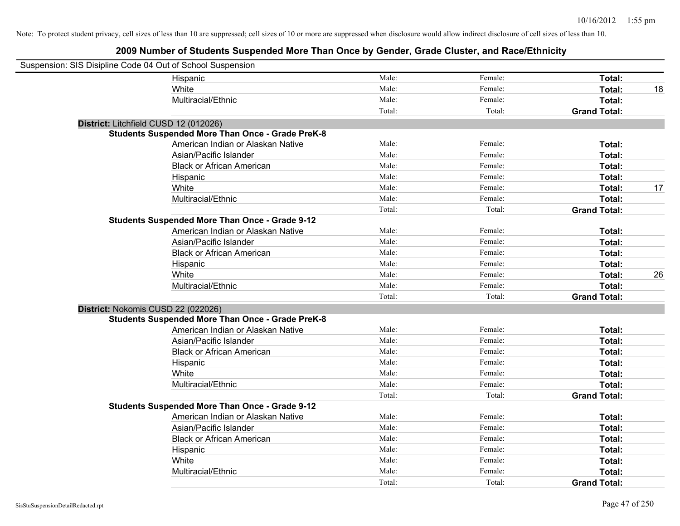| Suspension: SIS Disipline Code 04 Out of School Suspension |                                                         |        |         |                     |    |
|------------------------------------------------------------|---------------------------------------------------------|--------|---------|---------------------|----|
|                                                            | Hispanic                                                | Male:  | Female: | Total:              |    |
|                                                            | White                                                   | Male:  | Female: | Total:              | 18 |
|                                                            | Multiracial/Ethnic                                      | Male:  | Female: | Total:              |    |
|                                                            |                                                         | Total: | Total:  | <b>Grand Total:</b> |    |
| District: Litchfield CUSD 12 (012026)                      |                                                         |        |         |                     |    |
|                                                            | <b>Students Suspended More Than Once - Grade PreK-8</b> |        |         |                     |    |
|                                                            | American Indian or Alaskan Native                       | Male:  | Female: | Total:              |    |
|                                                            | Asian/Pacific Islander                                  | Male:  | Female: | Total:              |    |
|                                                            | <b>Black or African American</b>                        | Male:  | Female: | Total:              |    |
|                                                            | Hispanic                                                | Male:  | Female: | Total:              |    |
|                                                            | White                                                   | Male:  | Female: | Total:              | 17 |
|                                                            | Multiracial/Ethnic                                      | Male:  | Female: | Total:              |    |
|                                                            |                                                         | Total: | Total:  | <b>Grand Total:</b> |    |
|                                                            | <b>Students Suspended More Than Once - Grade 9-12</b>   |        |         |                     |    |
|                                                            | American Indian or Alaskan Native                       | Male:  | Female: | Total:              |    |
|                                                            | Asian/Pacific Islander                                  | Male:  | Female: | Total:              |    |
|                                                            | <b>Black or African American</b>                        | Male:  | Female: | Total:              |    |
|                                                            | Hispanic                                                | Male:  | Female: | Total:              |    |
|                                                            | White                                                   | Male:  | Female: | Total:              | 26 |
|                                                            | Multiracial/Ethnic                                      | Male:  | Female: | Total:              |    |
|                                                            |                                                         | Total: | Total:  | <b>Grand Total:</b> |    |
| District: Nokomis CUSD 22 (022026)                         |                                                         |        |         |                     |    |
|                                                            | <b>Students Suspended More Than Once - Grade PreK-8</b> |        |         |                     |    |
|                                                            | American Indian or Alaskan Native                       | Male:  | Female: | Total:              |    |
|                                                            | Asian/Pacific Islander                                  | Male:  | Female: | Total:              |    |
|                                                            | <b>Black or African American</b>                        | Male:  | Female: | Total:              |    |
|                                                            | Hispanic                                                | Male:  | Female: | Total:              |    |
|                                                            | White                                                   | Male:  | Female: | Total:              |    |
|                                                            | Multiracial/Ethnic                                      | Male:  | Female: | Total:              |    |
|                                                            |                                                         | Total: | Total:  | <b>Grand Total:</b> |    |
|                                                            | Students Suspended More Than Once - Grade 9-12          |        |         |                     |    |
|                                                            | American Indian or Alaskan Native                       | Male:  | Female: | Total:              |    |
|                                                            | Asian/Pacific Islander                                  | Male:  | Female: | Total:              |    |
|                                                            | <b>Black or African American</b>                        | Male:  | Female: | Total:              |    |
|                                                            | Hispanic                                                | Male:  | Female: | Total:              |    |
|                                                            | White                                                   | Male:  | Female: | Total:              |    |
|                                                            | Multiracial/Ethnic                                      | Male:  | Female: | Total:              |    |
|                                                            |                                                         | Total: | Total:  | <b>Grand Total:</b> |    |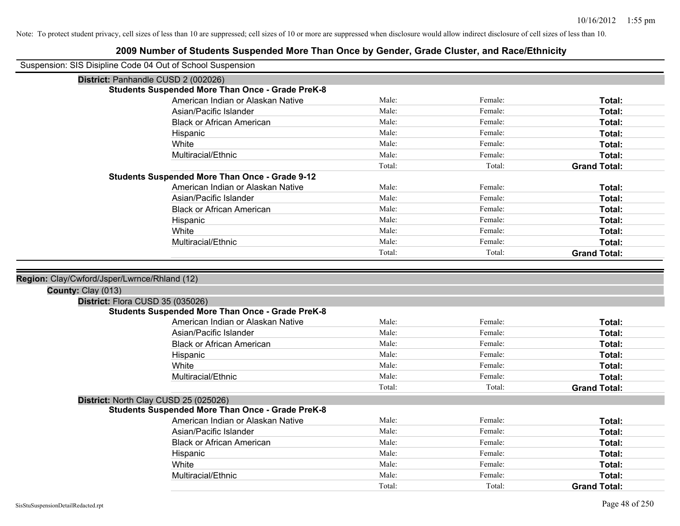| Suspension: SIS Disipline Code 04 Out of School Suspension |                                                                                              |        |         |                     |
|------------------------------------------------------------|----------------------------------------------------------------------------------------------|--------|---------|---------------------|
| District: Panhandle CUSD 2 (002026)                        |                                                                                              |        |         |                     |
|                                                            | <b>Students Suspended More Than Once - Grade PreK-8</b>                                      |        |         |                     |
|                                                            | American Indian or Alaskan Native                                                            | Male:  | Female: | Total:              |
|                                                            | Asian/Pacific Islander                                                                       | Male:  | Female: | Total:              |
|                                                            | <b>Black or African American</b>                                                             | Male:  | Female: | Total:              |
|                                                            | Hispanic                                                                                     | Male:  | Female: | Total:              |
|                                                            | White                                                                                        | Male:  | Female: | Total:              |
|                                                            | Multiracial/Ethnic                                                                           | Male:  | Female: | Total:              |
|                                                            |                                                                                              | Total: | Total:  | <b>Grand Total:</b> |
|                                                            | <b>Students Suspended More Than Once - Grade 9-12</b>                                        |        |         |                     |
|                                                            | American Indian or Alaskan Native                                                            | Male:  | Female: | Total:              |
|                                                            | Asian/Pacific Islander                                                                       | Male:  | Female: | Total:              |
|                                                            | <b>Black or African American</b>                                                             | Male:  | Female: | Total:              |
|                                                            | Hispanic                                                                                     | Male:  | Female: | Total:              |
|                                                            | White                                                                                        | Male:  | Female: | Total:              |
|                                                            | Multiracial/Ethnic                                                                           | Male:  | Female: | Total:              |
|                                                            |                                                                                              | Total: | Total:  | <b>Grand Total:</b> |
|                                                            |                                                                                              |        |         |                     |
|                                                            |                                                                                              |        |         |                     |
|                                                            |                                                                                              |        |         |                     |
| Region: Clay/Cwford/Jsper/Lwrnce/Rhland (12)               |                                                                                              |        |         |                     |
| County: Clay (013)                                         |                                                                                              |        |         |                     |
| District: Flora CUSD 35 (035026)                           | <b>Students Suspended More Than Once - Grade PreK-8</b>                                      |        |         |                     |
|                                                            | American Indian or Alaskan Native                                                            | Male:  | Female: | Total:              |
|                                                            | Asian/Pacific Islander                                                                       | Male:  | Female: | Total:              |
|                                                            | <b>Black or African American</b>                                                             | Male:  | Female: | Total:              |
|                                                            |                                                                                              | Male:  | Female: | Total:              |
|                                                            | Hispanic<br>White                                                                            | Male:  | Female: | Total:              |
|                                                            | Multiracial/Ethnic                                                                           | Male:  | Female: | Total:              |
|                                                            |                                                                                              | Total: | Total:  | <b>Grand Total:</b> |
|                                                            |                                                                                              |        |         |                     |
| District: North Clay CUSD 25 (025026)                      |                                                                                              |        |         |                     |
|                                                            | <b>Students Suspended More Than Once - Grade PreK-8</b><br>American Indian or Alaskan Native | Male:  | Female: | Total:              |
|                                                            | Asian/Pacific Islander                                                                       | Male:  | Female: | Total:              |
|                                                            | <b>Black or African American</b>                                                             | Male:  | Female: | Total:              |
|                                                            |                                                                                              | Male:  | Female: | Total:              |
|                                                            | Hispanic<br>White                                                                            | Male:  | Female: | Total:              |
|                                                            | Multiracial/Ethnic                                                                           | Male:  | Female: | Total:              |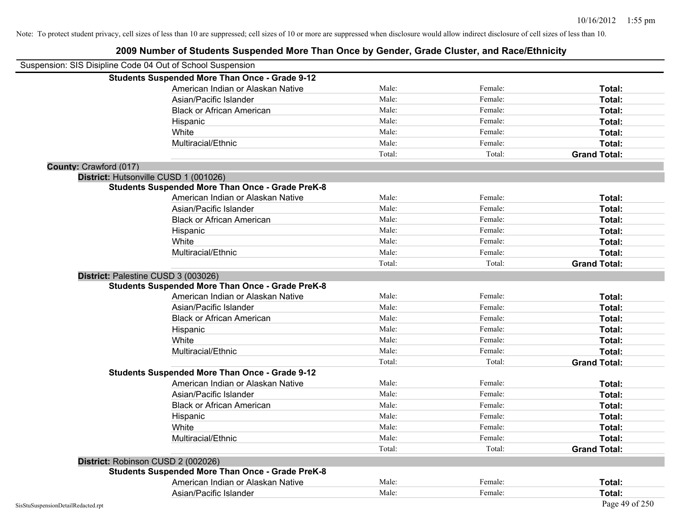|                                    | Suspension: SIS Disipline Code 04 Out of School Suspension |        |         |                     |
|------------------------------------|------------------------------------------------------------|--------|---------|---------------------|
|                                    | <b>Students Suspended More Than Once - Grade 9-12</b>      |        |         |                     |
|                                    | American Indian or Alaskan Native                          | Male:  | Female: | Total:              |
|                                    | Asian/Pacific Islander                                     | Male:  | Female: | Total:              |
|                                    | <b>Black or African American</b>                           | Male:  | Female: | Total:              |
|                                    | Hispanic                                                   | Male:  | Female: | Total:              |
|                                    | White                                                      | Male:  | Female: | Total:              |
|                                    | Multiracial/Ethnic                                         | Male:  | Female: | Total:              |
|                                    |                                                            | Total: | Total:  | <b>Grand Total:</b> |
| County: Crawford (017)             |                                                            |        |         |                     |
|                                    | District: Hutsonville CUSD 1 (001026)                      |        |         |                     |
|                                    | <b>Students Suspended More Than Once - Grade PreK-8</b>    |        |         |                     |
|                                    | American Indian or Alaskan Native                          | Male:  | Female: | Total:              |
|                                    | Asian/Pacific Islander                                     | Male:  | Female: | Total:              |
|                                    | <b>Black or African American</b>                           | Male:  | Female: | Total:              |
|                                    | Hispanic                                                   | Male:  | Female: | Total:              |
|                                    | White                                                      | Male:  | Female: | Total:              |
|                                    | Multiracial/Ethnic                                         | Male:  | Female: | Total:              |
|                                    |                                                            | Total: | Total:  | <b>Grand Total:</b> |
|                                    | District: Palestine CUSD 3 (003026)                        |        |         |                     |
|                                    | <b>Students Suspended More Than Once - Grade PreK-8</b>    |        |         |                     |
|                                    | American Indian or Alaskan Native                          | Male:  | Female: | Total:              |
|                                    | Asian/Pacific Islander                                     | Male:  | Female: | Total:              |
|                                    | <b>Black or African American</b>                           | Male:  | Female: | Total:              |
|                                    | Hispanic                                                   | Male:  | Female: | Total:              |
|                                    | White                                                      | Male:  | Female: | Total:              |
|                                    | Multiracial/Ethnic                                         | Male:  | Female: | Total:              |
|                                    |                                                            | Total: | Total:  | <b>Grand Total:</b> |
|                                    | <b>Students Suspended More Than Once - Grade 9-12</b>      |        |         |                     |
|                                    | American Indian or Alaskan Native                          | Male:  | Female: | Total:              |
|                                    | Asian/Pacific Islander                                     | Male:  | Female: | Total:              |
|                                    | <b>Black or African American</b>                           | Male:  | Female: | Total:              |
|                                    | Hispanic                                                   | Male:  | Female: | Total:              |
|                                    | White                                                      | Male:  | Female: | Total:              |
|                                    | Multiracial/Ethnic                                         | Male:  | Female: | Total:              |
|                                    |                                                            | Total: | Total:  | <b>Grand Total:</b> |
|                                    | District: Robinson CUSD 2 (002026)                         |        |         |                     |
|                                    | <b>Students Suspended More Than Once - Grade PreK-8</b>    |        |         |                     |
|                                    | American Indian or Alaskan Native                          | Male:  | Female: | Total:              |
|                                    | Asian/Pacific Islander                                     | Male:  | Female: | Total:              |
| SisStuSuspensionDetailRedacted.rpt |                                                            |        |         | Page 49 of 250      |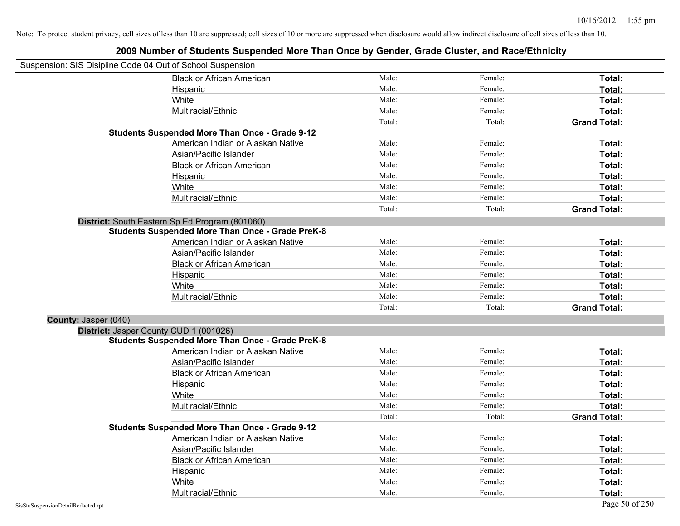| Suspension: SIS Disipline Code 04 Out of School Suspension |                                                         |        |         |                     |
|------------------------------------------------------------|---------------------------------------------------------|--------|---------|---------------------|
|                                                            | <b>Black or African American</b>                        | Male:  | Female: | Total:              |
|                                                            | Hispanic                                                | Male:  | Female: | Total:              |
|                                                            | White                                                   | Male:  | Female: | Total:              |
|                                                            | Multiracial/Ethnic                                      | Male:  | Female: | Total:              |
|                                                            |                                                         | Total: | Total:  | <b>Grand Total:</b> |
|                                                            | <b>Students Suspended More Than Once - Grade 9-12</b>   |        |         |                     |
|                                                            | American Indian or Alaskan Native                       | Male:  | Female: | Total:              |
|                                                            | Asian/Pacific Islander                                  | Male:  | Female: | Total:              |
|                                                            | <b>Black or African American</b>                        | Male:  | Female: | Total:              |
|                                                            | Hispanic                                                | Male:  | Female: | Total:              |
|                                                            | White                                                   | Male:  | Female: | Total:              |
|                                                            | Multiracial/Ethnic                                      | Male:  | Female: | Total:              |
|                                                            |                                                         | Total: | Total:  | <b>Grand Total:</b> |
|                                                            | District: South Eastern Sp Ed Program (801060)          |        |         |                     |
|                                                            | <b>Students Suspended More Than Once - Grade PreK-8</b> |        |         |                     |
|                                                            | American Indian or Alaskan Native                       | Male:  | Female: | Total:              |
|                                                            | Asian/Pacific Islander                                  | Male:  | Female: | Total:              |
|                                                            | <b>Black or African American</b>                        | Male:  | Female: | Total:              |
|                                                            | Hispanic                                                | Male:  | Female: | Total:              |
|                                                            | White                                                   | Male:  | Female: | Total:              |
|                                                            | Multiracial/Ethnic                                      | Male:  | Female: | Total:              |
|                                                            |                                                         | Total: | Total:  | <b>Grand Total:</b> |
| County: Jasper (040)                                       |                                                         |        |         |                     |
|                                                            | District: Jasper County CUD 1 (001026)                  |        |         |                     |
|                                                            | <b>Students Suspended More Than Once - Grade PreK-8</b> |        |         |                     |
|                                                            | American Indian or Alaskan Native                       | Male:  | Female: | Total:              |
|                                                            | Asian/Pacific Islander                                  | Male:  | Female: | Total:              |
|                                                            | <b>Black or African American</b>                        | Male:  | Female: | Total:              |
|                                                            | Hispanic                                                | Male:  | Female: | Total:              |
|                                                            | White                                                   | Male:  | Female: | Total:              |
|                                                            | Multiracial/Ethnic                                      | Male:  | Female: | Total:              |
|                                                            |                                                         | Total: | Total:  | <b>Grand Total:</b> |
|                                                            | <b>Students Suspended More Than Once - Grade 9-12</b>   |        |         |                     |
|                                                            | American Indian or Alaskan Native                       | Male:  | Female: | Total:              |
|                                                            | Asian/Pacific Islander                                  | Male:  | Female: | Total:              |
|                                                            | <b>Black or African American</b>                        | Male:  | Female: | Total:              |
|                                                            | Hispanic                                                | Male:  | Female: | Total:              |
|                                                            | White                                                   | Male:  | Female: | Total:              |
|                                                            | Multiracial/Ethnic                                      | Male:  | Female: | Total:              |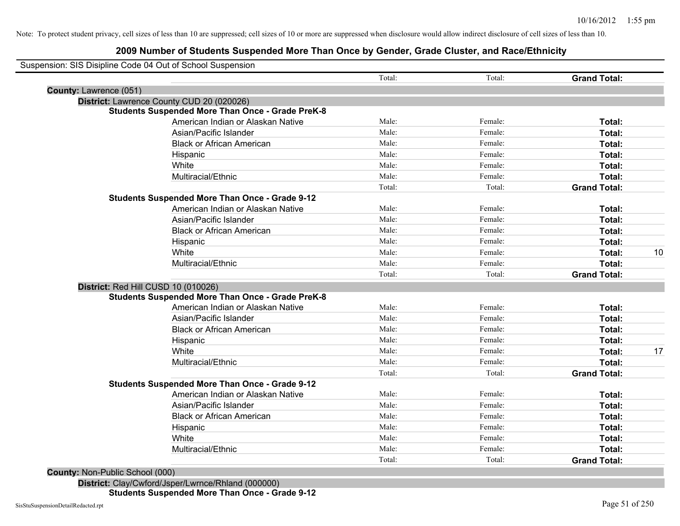#### **2009 Number of Students Suspended More Than Once by Gender, Grade Cluster, and Race/Ethnicity**

| Suspension: SIS Disipline Code 04 Out of School Suspension | Total: | Total:  | <b>Grand Total:</b> |    |
|------------------------------------------------------------|--------|---------|---------------------|----|
| County: Lawrence (051)                                     |        |         |                     |    |
| District: Lawrence County CUD 20 (020026)                  |        |         |                     |    |
| <b>Students Suspended More Than Once - Grade PreK-8</b>    |        |         |                     |    |
| American Indian or Alaskan Native                          | Male:  | Female: | Total:              |    |
| Asian/Pacific Islander                                     | Male:  | Female: | Total:              |    |
| <b>Black or African American</b>                           | Male:  | Female: | Total:              |    |
| Hispanic                                                   | Male:  | Female: | Total:              |    |
| White                                                      | Male:  | Female: | Total:              |    |
| Multiracial/Ethnic                                         | Male:  | Female: | Total:              |    |
|                                                            | Total: | Total:  | <b>Grand Total:</b> |    |
| <b>Students Suspended More Than Once - Grade 9-12</b>      |        |         |                     |    |
| American Indian or Alaskan Native                          | Male:  | Female: | Total:              |    |
| Asian/Pacific Islander                                     | Male:  | Female: | Total:              |    |
| <b>Black or African American</b>                           | Male:  | Female: | Total:              |    |
| Hispanic                                                   | Male:  | Female: | Total:              |    |
| White                                                      | Male:  | Female: | Total:              | 10 |
| Multiracial/Ethnic                                         | Male:  | Female: | Total:              |    |
|                                                            | Total: | Total:  | <b>Grand Total:</b> |    |
| District: Red Hill CUSD 10 (010026)                        |        |         |                     |    |
| <b>Students Suspended More Than Once - Grade PreK-8</b>    |        |         |                     |    |
| American Indian or Alaskan Native                          | Male:  | Female: | Total:              |    |
| Asian/Pacific Islander                                     | Male:  | Female: | Total:              |    |
| <b>Black or African American</b>                           | Male:  | Female: | Total:              |    |
| Hispanic                                                   | Male:  | Female: | Total:              |    |
| White                                                      | Male:  | Female: | Total:              | 17 |
| Multiracial/Ethnic                                         | Male:  | Female: | Total:              |    |
|                                                            | Total: | Total:  | <b>Grand Total:</b> |    |
| <b>Students Suspended More Than Once - Grade 9-12</b>      |        |         |                     |    |
| American Indian or Alaskan Native                          | Male:  | Female: | <b>Total:</b>       |    |
| Asian/Pacific Islander                                     | Male:  | Female: | Total:              |    |
| <b>Black or African American</b>                           | Male:  | Female: | Total:              |    |
| Hispanic                                                   | Male:  | Female: | Total:              |    |
| White                                                      | Male:  | Female: | Total:              |    |
| Multiracial/Ethnic                                         | Male:  | Female: | Total:              |    |
|                                                            | Total: | Total:  | <b>Grand Total:</b> |    |

**County:** Non-Public School (000)

**District:** Clay/Cwford/Jsper/Lwrnce/Rhland (000000) **Students Suspended More Than Once - Grade 9-12**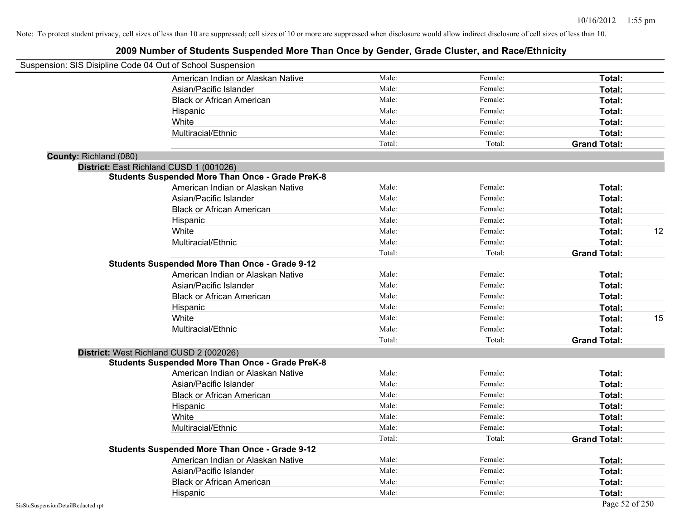| Suspension: SIS Disipline Code 04 Out of School Suspension |                                                         |        |         |                     |    |
|------------------------------------------------------------|---------------------------------------------------------|--------|---------|---------------------|----|
|                                                            | American Indian or Alaskan Native                       | Male:  | Female: | Total:              |    |
|                                                            | Asian/Pacific Islander                                  | Male:  | Female: | Total:              |    |
|                                                            | <b>Black or African American</b>                        | Male:  | Female: | Total:              |    |
|                                                            | Hispanic                                                | Male:  | Female: | Total:              |    |
|                                                            | White                                                   | Male:  | Female: | Total:              |    |
|                                                            | Multiracial/Ethnic                                      | Male:  | Female: | Total:              |    |
|                                                            |                                                         | Total: | Total:  | <b>Grand Total:</b> |    |
| County: Richland (080)                                     |                                                         |        |         |                     |    |
| District: East Richland CUSD 1 (001026)                    |                                                         |        |         |                     |    |
|                                                            | <b>Students Suspended More Than Once - Grade PreK-8</b> |        |         |                     |    |
|                                                            | American Indian or Alaskan Native                       | Male:  | Female: | Total:              |    |
|                                                            | Asian/Pacific Islander                                  | Male:  | Female: | Total:              |    |
|                                                            | <b>Black or African American</b>                        | Male:  | Female: | Total:              |    |
|                                                            | Hispanic                                                | Male:  | Female: | Total:              |    |
|                                                            | White                                                   | Male:  | Female: | Total:              | 12 |
|                                                            | Multiracial/Ethnic                                      | Male:  | Female: | Total:              |    |
|                                                            |                                                         | Total: | Total:  | <b>Grand Total:</b> |    |
|                                                            | <b>Students Suspended More Than Once - Grade 9-12</b>   |        |         |                     |    |
|                                                            | American Indian or Alaskan Native                       | Male:  | Female: | Total:              |    |
|                                                            | Asian/Pacific Islander                                  | Male:  | Female: | Total:              |    |
|                                                            | <b>Black or African American</b>                        | Male:  | Female: | Total:              |    |
|                                                            | Hispanic                                                | Male:  | Female: | Total:              |    |
|                                                            | White                                                   | Male:  | Female: | Total:              | 15 |
|                                                            | Multiracial/Ethnic                                      | Male:  | Female: | Total:              |    |
|                                                            |                                                         | Total: | Total:  | <b>Grand Total:</b> |    |
|                                                            | District: West Richland CUSD 2 (002026)                 |        |         |                     |    |
|                                                            | <b>Students Suspended More Than Once - Grade PreK-8</b> |        |         |                     |    |
|                                                            | American Indian or Alaskan Native                       | Male:  | Female: | Total:              |    |
|                                                            | Asian/Pacific Islander                                  | Male:  | Female: | Total:              |    |
|                                                            | <b>Black or African American</b>                        | Male:  | Female: | Total:              |    |
|                                                            | Hispanic                                                | Male:  | Female: | Total:              |    |
|                                                            | White                                                   | Male:  | Female: | Total:              |    |
|                                                            | Multiracial/Ethnic                                      | Male:  | Female: | Total:              |    |
|                                                            |                                                         | Total: | Total:  | <b>Grand Total:</b> |    |
|                                                            | <b>Students Suspended More Than Once - Grade 9-12</b>   |        |         |                     |    |
|                                                            | American Indian or Alaskan Native                       | Male:  | Female: | Total:              |    |
|                                                            | Asian/Pacific Islander                                  | Male:  | Female: | Total:              |    |
|                                                            | <b>Black or African American</b>                        | Male:  | Female: | Total:              |    |
|                                                            | Hispanic                                                | Male:  | Female: | Total:              |    |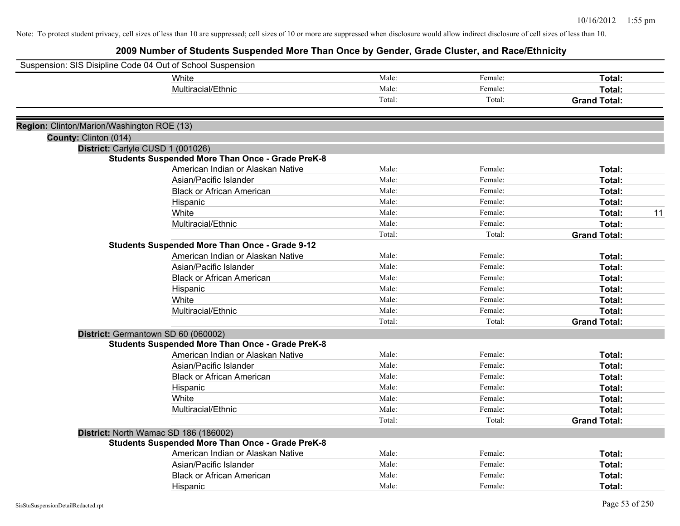|                                            | Suspension: SIS Disipline Code 04 Out of School Suspension                                   |                |         |                     |    |
|--------------------------------------------|----------------------------------------------------------------------------------------------|----------------|---------|---------------------|----|
|                                            | White                                                                                        | Male:          | Female: | Total:              |    |
|                                            | Multiracial/Ethnic                                                                           | Male:          | Female: | Total:              |    |
|                                            |                                                                                              | Total:         | Total:  | <b>Grand Total:</b> |    |
|                                            |                                                                                              |                |         |                     |    |
| Region: Clinton/Marion/Washington ROE (13) |                                                                                              |                |         |                     |    |
| County: Clinton (014)                      |                                                                                              |                |         |                     |    |
|                                            | District: Carlyle CUSD 1 (001026)<br><b>Students Suspended More Than Once - Grade PreK-8</b> |                |         |                     |    |
|                                            | American Indian or Alaskan Native                                                            | Male:          | Female: | Total:              |    |
|                                            | Asian/Pacific Islander                                                                       | Male:          | Female: | Total:              |    |
|                                            |                                                                                              | Male:          | Female: | Total:              |    |
|                                            | <b>Black or African American</b>                                                             | Male:          | Female: |                     |    |
|                                            | Hispanic<br>White                                                                            | Male:          | Female: | Total:              | 11 |
|                                            |                                                                                              | Male:          | Female: | Total:              |    |
|                                            | Multiracial/Ethnic                                                                           | Total:         |         | Total:              |    |
|                                            |                                                                                              |                | Total:  | <b>Grand Total:</b> |    |
|                                            | <b>Students Suspended More Than Once - Grade 9-12</b><br>American Indian or Alaskan Native   | Male:          | Female: |                     |    |
|                                            |                                                                                              | Male:          | Female: | Total:              |    |
|                                            | Asian/Pacific Islander                                                                       | Male:          | Female: | Total:              |    |
|                                            | <b>Black or African American</b>                                                             |                |         | Total:              |    |
|                                            | Hispanic                                                                                     | Male:<br>Male: | Female: | Total:              |    |
|                                            | White                                                                                        |                | Female: | Total:              |    |
|                                            | Multiracial/Ethnic                                                                           | Male:          | Female: | Total:              |    |
|                                            |                                                                                              | Total:         | Total:  | <b>Grand Total:</b> |    |
|                                            | District: Germantown SD 60 (060002)                                                          |                |         |                     |    |
|                                            | <b>Students Suspended More Than Once - Grade PreK-8</b>                                      |                |         |                     |    |
|                                            | American Indian or Alaskan Native                                                            | Male:          | Female: | Total:              |    |
|                                            | Asian/Pacific Islander                                                                       | Male:          | Female: | Total:              |    |
|                                            | <b>Black or African American</b>                                                             | Male:          | Female: | Total:              |    |
|                                            | Hispanic                                                                                     | Male:          | Female: | Total:              |    |
|                                            | White                                                                                        | Male:          | Female: | Total:              |    |
|                                            | Multiracial/Ethnic                                                                           | Male:          | Female: | Total:              |    |
|                                            |                                                                                              | Total:         | Total:  | <b>Grand Total:</b> |    |
|                                            | District: North Wamac SD 186 (186002)                                                        |                |         |                     |    |
|                                            | <b>Students Suspended More Than Once - Grade PreK-8</b>                                      |                |         |                     |    |
|                                            | American Indian or Alaskan Native                                                            | Male:          | Female: | Total:              |    |
|                                            | Asian/Pacific Islander                                                                       | Male:          | Female: | Total:              |    |
|                                            | <b>Black or African American</b>                                                             | Male:          | Female: | Total:              |    |
|                                            | Hispanic                                                                                     | Male:          | Female: | Total:              |    |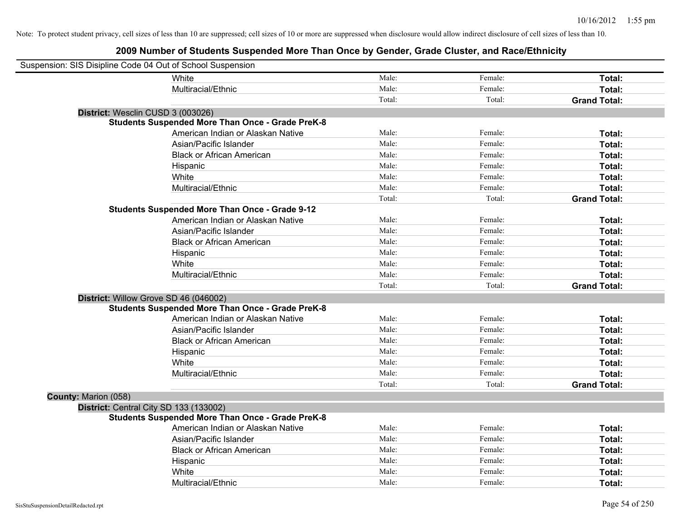| Suspension: SIS Disipline Code 04 Out of School Suspension |                                                         |        |         |                     |
|------------------------------------------------------------|---------------------------------------------------------|--------|---------|---------------------|
|                                                            | White                                                   | Male:  | Female: | Total:              |
|                                                            | Multiracial/Ethnic                                      | Male:  | Female: | Total:              |
|                                                            |                                                         | Total: | Total:  | <b>Grand Total:</b> |
| District: Wesclin CUSD 3 (003026)                          |                                                         |        |         |                     |
|                                                            | <b>Students Suspended More Than Once - Grade PreK-8</b> |        |         |                     |
|                                                            | American Indian or Alaskan Native                       | Male:  | Female: | Total:              |
|                                                            | Asian/Pacific Islander                                  | Male:  | Female: | Total:              |
|                                                            | <b>Black or African American</b>                        | Male:  | Female: | Total:              |
|                                                            | Hispanic                                                | Male:  | Female: | Total:              |
|                                                            | White                                                   | Male:  | Female: | Total:              |
|                                                            | Multiracial/Ethnic                                      | Male:  | Female: | Total:              |
|                                                            |                                                         | Total: | Total:  | <b>Grand Total:</b> |
|                                                            | <b>Students Suspended More Than Once - Grade 9-12</b>   |        |         |                     |
|                                                            | American Indian or Alaskan Native                       | Male:  | Female: | Total:              |
|                                                            | Asian/Pacific Islander                                  | Male:  | Female: | Total:              |
|                                                            | <b>Black or African American</b>                        | Male:  | Female: | Total:              |
|                                                            | Hispanic                                                | Male:  | Female: | Total:              |
|                                                            | White                                                   | Male:  | Female: | Total:              |
|                                                            | Multiracial/Ethnic                                      | Male:  | Female: | Total:              |
|                                                            |                                                         | Total: | Total:  | <b>Grand Total:</b> |
| District: Willow Grove SD 46 (046002)                      |                                                         |        |         |                     |
|                                                            | <b>Students Suspended More Than Once - Grade PreK-8</b> |        |         |                     |
|                                                            | American Indian or Alaskan Native                       | Male:  | Female: | Total:              |
|                                                            | Asian/Pacific Islander                                  | Male:  | Female: | Total:              |
|                                                            | <b>Black or African American</b>                        | Male:  | Female: | Total:              |
|                                                            | Hispanic                                                | Male:  | Female: | Total:              |
|                                                            | White                                                   | Male:  | Female: | Total:              |
|                                                            | Multiracial/Ethnic                                      | Male:  | Female: | Total:              |
|                                                            |                                                         | Total: | Total:  | <b>Grand Total:</b> |
| County: Marion (058)                                       |                                                         |        |         |                     |
| District: Central City SD 133 (133002)                     |                                                         |        |         |                     |
|                                                            | <b>Students Suspended More Than Once - Grade PreK-8</b> |        |         |                     |
|                                                            | American Indian or Alaskan Native                       | Male:  | Female: | Total:              |
|                                                            | Asian/Pacific Islander                                  | Male:  | Female: | Total:              |
|                                                            | <b>Black or African American</b>                        | Male:  | Female: | Total:              |
|                                                            | Hispanic                                                | Male:  | Female: | Total:              |
|                                                            | White                                                   | Male:  | Female: | Total:              |
|                                                            | Multiracial/Ethnic                                      | Male:  | Female: | Total:              |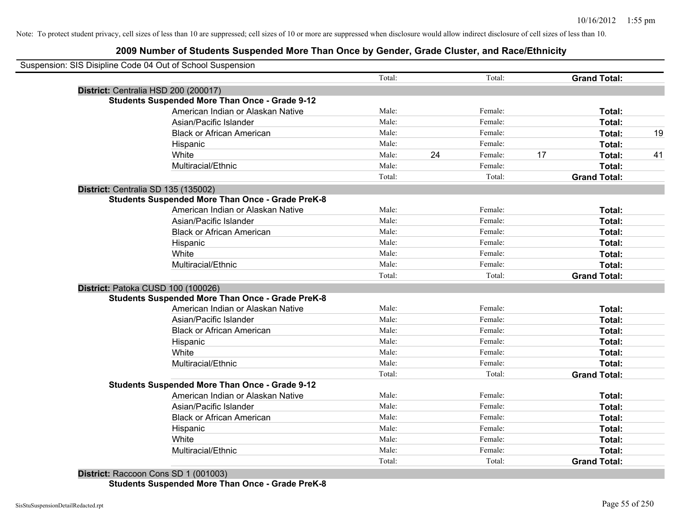| Suspension: SIS Disipline Code 04 Out of School Suspension |        |               |                     |    |
|------------------------------------------------------------|--------|---------------|---------------------|----|
|                                                            | Total: | Total:        | <b>Grand Total:</b> |    |
| District: Centralia HSD 200 (200017)                       |        |               |                     |    |
| <b>Students Suspended More Than Once - Grade 9-12</b>      |        |               |                     |    |
| American Indian or Alaskan Native                          | Male:  | Female:       | Total:              |    |
| Asian/Pacific Islander                                     | Male:  | Female:       | Total:              |    |
| <b>Black or African American</b>                           | Male:  | Female:       | Total:              | 19 |
| Hispanic                                                   | Male:  | Female:       | Total:              |    |
| White                                                      | Male:  | 24<br>Female: | 17<br>Total:        | 41 |
| Multiracial/Ethnic                                         | Male:  | Female:       | Total:              |    |
|                                                            | Total: | Total:        | <b>Grand Total:</b> |    |
| District: Centralia SD 135 (135002)                        |        |               |                     |    |
| <b>Students Suspended More Than Once - Grade PreK-8</b>    |        |               |                     |    |
| American Indian or Alaskan Native                          | Male:  | Female:       | Total:              |    |
| Asian/Pacific Islander                                     | Male:  | Female:       | Total:              |    |
| <b>Black or African American</b>                           | Male:  | Female:       | Total:              |    |
| Hispanic                                                   | Male:  | Female:       | Total:              |    |
| White                                                      | Male:  | Female:       | Total:              |    |
| Multiracial/Ethnic                                         | Male:  | Female:       | Total:              |    |
|                                                            | Total: | Total:        | <b>Grand Total:</b> |    |
| District: Patoka CUSD 100 (100026)                         |        |               |                     |    |
| <b>Students Suspended More Than Once - Grade PreK-8</b>    |        |               |                     |    |
| American Indian or Alaskan Native                          | Male:  | Female:       | Total:              |    |
| Asian/Pacific Islander                                     | Male:  | Female:       | Total:              |    |
| <b>Black or African American</b>                           | Male:  | Female:       | Total:              |    |
| Hispanic                                                   | Male:  | Female:       | Total:              |    |
| White                                                      | Male:  | Female:       | Total:              |    |
| Multiracial/Ethnic                                         | Male:  | Female:       | Total:              |    |
|                                                            | Total: | Total:        | <b>Grand Total:</b> |    |
| <b>Students Suspended More Than Once - Grade 9-12</b>      |        |               |                     |    |
| American Indian or Alaskan Native                          | Male:  | Female:       | Total:              |    |
| Asian/Pacific Islander                                     | Male:  | Female:       | Total:              |    |
| <b>Black or African American</b>                           | Male:  | Female:       | Total:              |    |
| Hispanic                                                   | Male:  | Female:       | Total:              |    |
| White                                                      | Male:  | Female:       | Total:              |    |
| Multiracial/Ethnic                                         | Male:  | Female:       | Total:              |    |
|                                                            | Total: | Total:        | <b>Grand Total:</b> |    |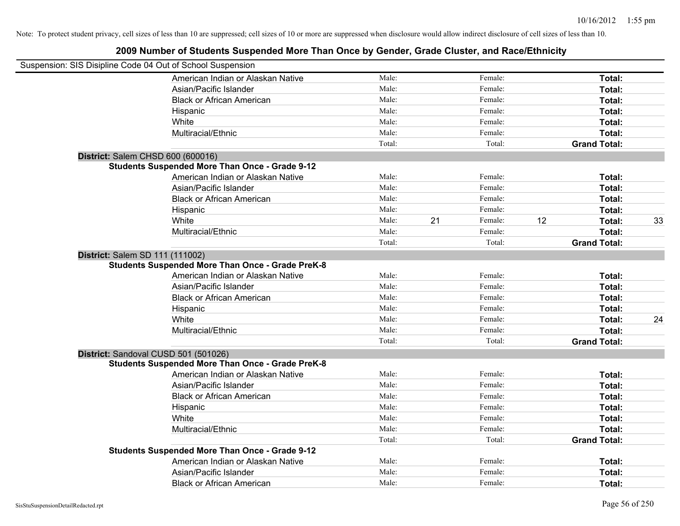| Suspension: SIS Disipline Code 04 Out of School Suspension |        |    |         |    |                     |    |
|------------------------------------------------------------|--------|----|---------|----|---------------------|----|
| American Indian or Alaskan Native                          | Male:  |    | Female: |    | Total:              |    |
| Asian/Pacific Islander                                     | Male:  |    | Female: |    | Total:              |    |
| <b>Black or African American</b>                           | Male:  |    | Female: |    | Total:              |    |
| Hispanic                                                   | Male:  |    | Female: |    | Total:              |    |
| White                                                      | Male:  |    | Female: |    | Total:              |    |
| Multiracial/Ethnic                                         | Male:  |    | Female: |    | Total:              |    |
|                                                            | Total: |    | Total:  |    | <b>Grand Total:</b> |    |
| District: Salem CHSD 600 (600016)                          |        |    |         |    |                     |    |
| <b>Students Suspended More Than Once - Grade 9-12</b>      |        |    |         |    |                     |    |
| American Indian or Alaskan Native                          | Male:  |    | Female: |    | Total:              |    |
| Asian/Pacific Islander                                     | Male:  |    | Female: |    | Total:              |    |
| <b>Black or African American</b>                           | Male:  |    | Female: |    | Total:              |    |
| Hispanic                                                   | Male:  |    | Female: |    | Total:              |    |
| White                                                      | Male:  | 21 | Female: | 12 | Total:              | 33 |
| Multiracial/Ethnic                                         | Male:  |    | Female: |    | Total:              |    |
|                                                            | Total: |    | Total:  |    | <b>Grand Total:</b> |    |
| District: Salem SD 111 (111002)                            |        |    |         |    |                     |    |
| <b>Students Suspended More Than Once - Grade PreK-8</b>    |        |    |         |    |                     |    |
| American Indian or Alaskan Native                          | Male:  |    | Female: |    | Total:              |    |
| Asian/Pacific Islander                                     | Male:  |    | Female: |    | Total:              |    |
| <b>Black or African American</b>                           | Male:  |    | Female: |    | Total:              |    |
| Hispanic                                                   | Male:  |    | Female: |    | Total:              |    |
| White                                                      | Male:  |    | Female: |    | Total:              | 24 |
| Multiracial/Ethnic                                         | Male:  |    | Female: |    | Total:              |    |
|                                                            | Total: |    | Total:  |    | <b>Grand Total:</b> |    |
| District: Sandoval CUSD 501 (501026)                       |        |    |         |    |                     |    |
| <b>Students Suspended More Than Once - Grade PreK-8</b>    |        |    |         |    |                     |    |
| American Indian or Alaskan Native                          | Male:  |    | Female: |    | Total:              |    |
| Asian/Pacific Islander                                     | Male:  |    | Female: |    | Total:              |    |
| <b>Black or African American</b>                           | Male:  |    | Female: |    | Total:              |    |
| Hispanic                                                   | Male:  |    | Female: |    | Total:              |    |
| White                                                      | Male:  |    | Female: |    | Total:              |    |
| Multiracial/Ethnic                                         | Male:  |    | Female: |    | Total:              |    |
|                                                            | Total: |    | Total:  |    | <b>Grand Total:</b> |    |
| <b>Students Suspended More Than Once - Grade 9-12</b>      |        |    |         |    |                     |    |
| American Indian or Alaskan Native                          | Male:  |    | Female: |    | Total:              |    |
| Asian/Pacific Islander                                     | Male:  |    | Female: |    | Total:              |    |
| <b>Black or African American</b>                           | Male:  |    | Female: |    | Total:              |    |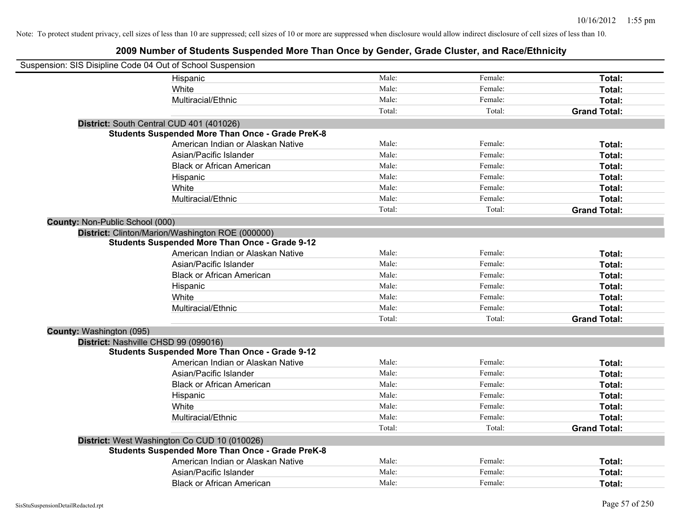| Suspension: SIS Disipline Code 04 Out of School Suspension |                                                         |        |         |                     |
|------------------------------------------------------------|---------------------------------------------------------|--------|---------|---------------------|
|                                                            | Hispanic                                                | Male:  | Female: | Total:              |
|                                                            | White                                                   | Male:  | Female: | Total:              |
|                                                            | Multiracial/Ethnic                                      | Male:  | Female: | Total:              |
|                                                            |                                                         | Total: | Total:  | <b>Grand Total:</b> |
|                                                            | District: South Central CUD 401 (401026)                |        |         |                     |
|                                                            | <b>Students Suspended More Than Once - Grade PreK-8</b> |        |         |                     |
|                                                            | American Indian or Alaskan Native                       | Male:  | Female: | Total:              |
|                                                            | Asian/Pacific Islander                                  | Male:  | Female: | Total:              |
|                                                            | <b>Black or African American</b>                        | Male:  | Female: | Total:              |
|                                                            | Hispanic                                                | Male:  | Female: | Total:              |
|                                                            | White                                                   | Male:  | Female: | Total:              |
|                                                            | Multiracial/Ethnic                                      | Male:  | Female: | Total:              |
|                                                            |                                                         | Total: | Total:  | <b>Grand Total:</b> |
| <b>County: Non-Public School (000)</b>                     |                                                         |        |         |                     |
|                                                            | District: Clinton/Marion/Washington ROE (000000)        |        |         |                     |
|                                                            | <b>Students Suspended More Than Once - Grade 9-12</b>   |        |         |                     |
|                                                            | American Indian or Alaskan Native                       | Male:  | Female: | Total:              |
|                                                            | Asian/Pacific Islander                                  | Male:  | Female: | Total:              |
|                                                            | <b>Black or African American</b>                        | Male:  | Female: | Total:              |
|                                                            | Hispanic                                                | Male:  | Female: | Total:              |
|                                                            | White                                                   | Male:  | Female: | Total:              |
|                                                            | Multiracial/Ethnic                                      | Male:  | Female: | Total:              |
|                                                            |                                                         | Total: | Total:  | <b>Grand Total:</b> |
| County: Washington (095)                                   |                                                         |        |         |                     |
| District: Nashville CHSD 99 (099016)                       |                                                         |        |         |                     |
|                                                            | <b>Students Suspended More Than Once - Grade 9-12</b>   |        |         |                     |
|                                                            | American Indian or Alaskan Native                       | Male:  | Female: | Total:              |
|                                                            | Asian/Pacific Islander                                  | Male:  | Female: | Total:              |
|                                                            | <b>Black or African American</b>                        | Male:  | Female: | Total:              |
|                                                            | Hispanic                                                | Male:  | Female: | Total:              |
|                                                            | White                                                   | Male:  | Female: | Total:              |
|                                                            | Multiracial/Ethnic                                      | Male:  | Female: | Total:              |
|                                                            |                                                         | Total: | Total:  | <b>Grand Total:</b> |
|                                                            | District: West Washington Co CUD 10 (010026)            |        |         |                     |
|                                                            | <b>Students Suspended More Than Once - Grade PreK-8</b> |        |         |                     |
|                                                            | American Indian or Alaskan Native                       | Male:  | Female: | Total:              |
|                                                            | Asian/Pacific Islander                                  | Male:  | Female: | Total:              |
|                                                            | <b>Black or African American</b>                        | Male:  | Female: | Total:              |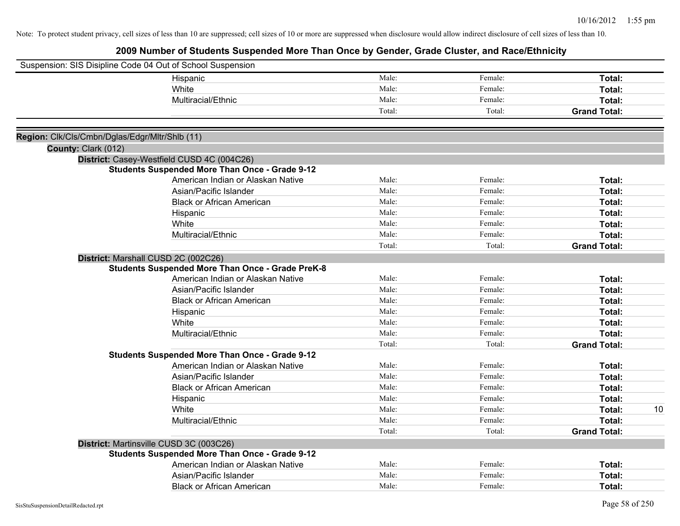|                                                | Suspension: SIS Disipline Code 04 Out of School Suspension |        |         |                     |    |
|------------------------------------------------|------------------------------------------------------------|--------|---------|---------------------|----|
|                                                | Hispanic                                                   | Male:  | Female: | Total:              |    |
|                                                | White                                                      | Male:  | Female: | Total:              |    |
|                                                | Multiracial/Ethnic                                         | Male:  | Female: | Total:              |    |
|                                                |                                                            | Total: | Total:  | <b>Grand Total:</b> |    |
|                                                |                                                            |        |         |                     |    |
| Region: Clk/Cls/Cmbn/Dglas/Edgr/Mltr/Shlb (11) |                                                            |        |         |                     |    |
| County: Clark (012)                            |                                                            |        |         |                     |    |
|                                                | District: Casey-Westfield CUSD 4C (004C26)                 |        |         |                     |    |
|                                                | <b>Students Suspended More Than Once - Grade 9-12</b>      |        |         |                     |    |
|                                                | American Indian or Alaskan Native                          | Male:  | Female: | Total:              |    |
|                                                | Asian/Pacific Islander                                     | Male:  | Female: | Total:              |    |
|                                                | <b>Black or African American</b>                           | Male:  | Female: | Total:              |    |
|                                                | Hispanic                                                   | Male:  | Female: | Total:              |    |
|                                                | White                                                      | Male:  | Female: | Total:              |    |
|                                                | Multiracial/Ethnic                                         | Male:  | Female: | Total:              |    |
|                                                |                                                            | Total: | Total:  | <b>Grand Total:</b> |    |
|                                                | District: Marshall CUSD 2C (002C26)                        |        |         |                     |    |
|                                                | <b>Students Suspended More Than Once - Grade PreK-8</b>    |        |         |                     |    |
|                                                | American Indian or Alaskan Native                          | Male:  | Female: | Total:              |    |
|                                                | Asian/Pacific Islander                                     | Male:  | Female: | Total:              |    |
|                                                | <b>Black or African American</b>                           | Male:  | Female: | Total:              |    |
|                                                | Hispanic                                                   | Male:  | Female: | Total:              |    |
|                                                | White                                                      | Male:  | Female: | <b>Total:</b>       |    |
|                                                | Multiracial/Ethnic                                         | Male:  | Female: | Total:              |    |
|                                                |                                                            | Total: | Total:  | <b>Grand Total:</b> |    |
|                                                | <b>Students Suspended More Than Once - Grade 9-12</b>      |        |         |                     |    |
|                                                | American Indian or Alaskan Native                          | Male:  | Female: | Total:              |    |
|                                                | Asian/Pacific Islander                                     | Male:  | Female: | Total:              |    |
|                                                | <b>Black or African American</b>                           | Male:  | Female: | Total:              |    |
|                                                | Hispanic                                                   | Male:  | Female: | Total:              |    |
|                                                | White                                                      | Male:  | Female: | Total:              | 10 |
|                                                | Multiracial/Ethnic                                         | Male:  | Female: | Total:              |    |
|                                                |                                                            | Total: | Total:  | <b>Grand Total:</b> |    |
|                                                | District: Martinsville CUSD 3C (003C26)                    |        |         |                     |    |
|                                                | <b>Students Suspended More Than Once - Grade 9-12</b>      |        |         |                     |    |
|                                                | American Indian or Alaskan Native                          | Male:  | Female: | Total:              |    |
|                                                | Asian/Pacific Islander                                     | Male:  | Female: | Total:              |    |
|                                                | <b>Black or African American</b>                           | Male:  | Female: | Total:              |    |
|                                                |                                                            |        |         |                     |    |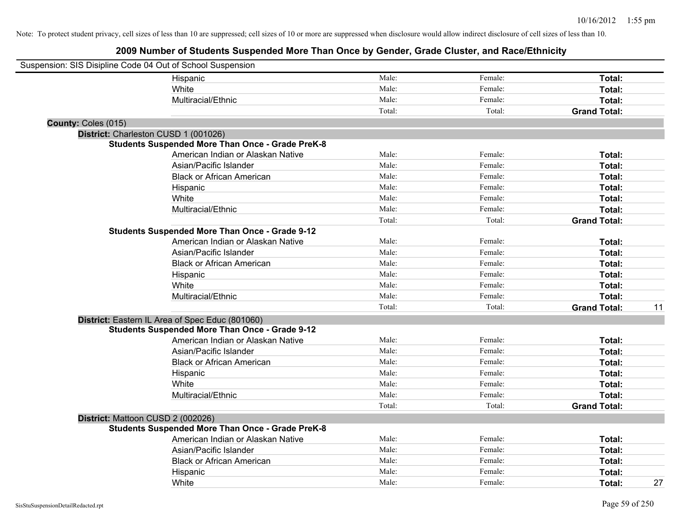| Suspension: SIS Disipline Code 04 Out of School Suspension |                                                         |        |         |                     |    |
|------------------------------------------------------------|---------------------------------------------------------|--------|---------|---------------------|----|
|                                                            | Hispanic                                                | Male:  | Female: | Total:              |    |
|                                                            | White                                                   | Male:  | Female: | Total:              |    |
|                                                            | Multiracial/Ethnic                                      | Male:  | Female: | Total:              |    |
|                                                            |                                                         | Total: | Total:  | <b>Grand Total:</b> |    |
| County: Coles (015)                                        |                                                         |        |         |                     |    |
| District: Charleston CUSD 1 (001026)                       |                                                         |        |         |                     |    |
|                                                            | <b>Students Suspended More Than Once - Grade PreK-8</b> |        |         |                     |    |
|                                                            | American Indian or Alaskan Native                       | Male:  | Female: | Total:              |    |
|                                                            | Asian/Pacific Islander                                  | Male:  | Female: | Total:              |    |
|                                                            | <b>Black or African American</b>                        | Male:  | Female: | Total:              |    |
|                                                            | Hispanic                                                | Male:  | Female: | Total:              |    |
|                                                            | White                                                   | Male:  | Female: | Total:              |    |
|                                                            | Multiracial/Ethnic                                      | Male:  | Female: | Total:              |    |
|                                                            |                                                         | Total: | Total:  | <b>Grand Total:</b> |    |
|                                                            | <b>Students Suspended More Than Once - Grade 9-12</b>   |        |         |                     |    |
|                                                            | American Indian or Alaskan Native                       | Male:  | Female: | Total:              |    |
|                                                            | Asian/Pacific Islander                                  | Male:  | Female: | Total:              |    |
|                                                            | <b>Black or African American</b>                        | Male:  | Female: | Total:              |    |
|                                                            | Hispanic                                                | Male:  | Female: | Total:              |    |
|                                                            | White                                                   | Male:  | Female: | Total:              |    |
|                                                            | Multiracial/Ethnic                                      | Male:  | Female: | Total:              |    |
|                                                            |                                                         | Total: | Total:  | <b>Grand Total:</b> | 11 |
|                                                            | District: Eastern IL Area of Spec Educ (801060)         |        |         |                     |    |
|                                                            | <b>Students Suspended More Than Once - Grade 9-12</b>   |        |         |                     |    |
|                                                            | American Indian or Alaskan Native                       | Male:  | Female: | Total:              |    |
|                                                            | Asian/Pacific Islander                                  | Male:  | Female: | Total:              |    |
|                                                            | <b>Black or African American</b>                        | Male:  | Female: | Total:              |    |
|                                                            | Hispanic                                                | Male:  | Female: | Total:              |    |
|                                                            | White                                                   | Male:  | Female: | Total:              |    |
|                                                            | Multiracial/Ethnic                                      | Male:  | Female: | Total:              |    |
|                                                            |                                                         | Total: | Total:  | <b>Grand Total:</b> |    |
| District: Mattoon CUSD 2 (002026)                          |                                                         |        |         |                     |    |
|                                                            | <b>Students Suspended More Than Once - Grade PreK-8</b> |        |         |                     |    |
|                                                            | American Indian or Alaskan Native                       | Male:  | Female: | Total:              |    |
|                                                            | Asian/Pacific Islander                                  | Male:  | Female: | Total:              |    |
|                                                            | <b>Black or African American</b>                        | Male:  | Female: | Total:              |    |
|                                                            | Hispanic                                                | Male:  | Female: | Total:              |    |
|                                                            | White                                                   | Male:  | Female: | Total:              | 27 |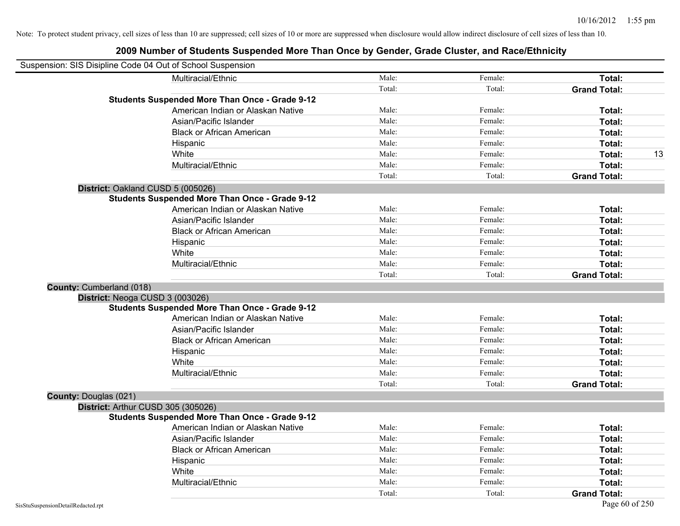| Suspension: SIS Disipline Code 04 Out of School Suspension |                                                       |        |         |                     |    |
|------------------------------------------------------------|-------------------------------------------------------|--------|---------|---------------------|----|
|                                                            | Multiracial/Ethnic                                    | Male:  | Female: | Total:              |    |
|                                                            |                                                       | Total: | Total:  | <b>Grand Total:</b> |    |
|                                                            | <b>Students Suspended More Than Once - Grade 9-12</b> |        |         |                     |    |
|                                                            | American Indian or Alaskan Native                     | Male:  | Female: | Total:              |    |
|                                                            | Asian/Pacific Islander                                | Male:  | Female: | Total:              |    |
|                                                            | <b>Black or African American</b>                      | Male:  | Female: | Total:              |    |
|                                                            | Hispanic                                              | Male:  | Female: | Total:              |    |
|                                                            | White                                                 | Male:  | Female: | Total:              | 13 |
|                                                            | Multiracial/Ethnic                                    | Male:  | Female: | Total:              |    |
|                                                            |                                                       | Total: | Total:  | <b>Grand Total:</b> |    |
| District: Oakland CUSD 5 (005026)                          |                                                       |        |         |                     |    |
|                                                            | <b>Students Suspended More Than Once - Grade 9-12</b> |        |         |                     |    |
|                                                            | American Indian or Alaskan Native                     | Male:  | Female: | Total:              |    |
|                                                            | Asian/Pacific Islander                                | Male:  | Female: | Total:              |    |
|                                                            | <b>Black or African American</b>                      | Male:  | Female: | Total:              |    |
|                                                            | Hispanic                                              | Male:  | Female: | Total:              |    |
|                                                            | White                                                 | Male:  | Female: | Total:              |    |
|                                                            | Multiracial/Ethnic                                    | Male:  | Female: | Total:              |    |
|                                                            |                                                       | Total: | Total:  | <b>Grand Total:</b> |    |
| County: Cumberland (018)                                   |                                                       |        |         |                     |    |
| District: Neoga CUSD 3 (003026)                            |                                                       |        |         |                     |    |
|                                                            | <b>Students Suspended More Than Once - Grade 9-12</b> |        |         |                     |    |
|                                                            | American Indian or Alaskan Native                     | Male:  | Female: | Total:              |    |
|                                                            | Asian/Pacific Islander                                | Male:  | Female: | Total:              |    |
|                                                            | <b>Black or African American</b>                      | Male:  | Female: | Total:              |    |
|                                                            | Hispanic                                              | Male:  | Female: | Total:              |    |
|                                                            | White                                                 | Male:  | Female: | Total:              |    |
|                                                            | Multiracial/Ethnic                                    | Male:  | Female: | Total:              |    |
|                                                            |                                                       | Total: | Total:  | <b>Grand Total:</b> |    |
| <b>County: Douglas (021)</b>                               |                                                       |        |         |                     |    |
| District: Arthur CUSD 305 (305026)                         |                                                       |        |         |                     |    |
|                                                            | <b>Students Suspended More Than Once - Grade 9-12</b> |        |         |                     |    |
|                                                            | American Indian or Alaskan Native                     | Male:  | Female: | Total:              |    |
|                                                            | Asian/Pacific Islander                                | Male:  | Female: | Total:              |    |
|                                                            | <b>Black or African American</b>                      | Male:  | Female: | Total:              |    |
|                                                            | Hispanic                                              | Male:  | Female: | Total:              |    |
|                                                            | White                                                 | Male:  | Female: | Total:              |    |
|                                                            | Multiracial/Ethnic                                    | Male:  | Female: | Total:              |    |
|                                                            |                                                       | Total: | Total:  | <b>Grand Total:</b> |    |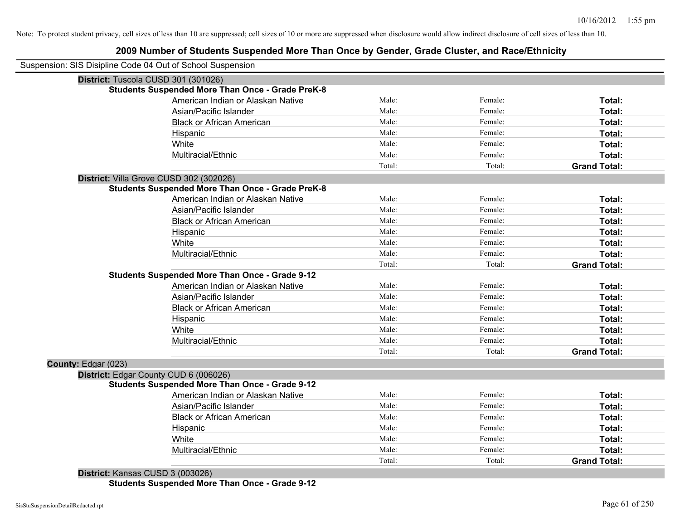#### **2009 Number of Students Suspended More Than Once by Gender, Grade Cluster, and Race/Ethnicity**

|                     | Suspension: SIS Disipline Code 04 Out of School Suspension |        |         |                     |
|---------------------|------------------------------------------------------------|--------|---------|---------------------|
|                     | District: Tuscola CUSD 301 (301026)                        |        |         |                     |
|                     | <b>Students Suspended More Than Once - Grade PreK-8</b>    |        |         |                     |
|                     | American Indian or Alaskan Native                          | Male:  | Female: | Total:              |
|                     | Asian/Pacific Islander                                     | Male:  | Female: | <b>Total:</b>       |
|                     | <b>Black or African American</b>                           | Male:  | Female: | Total:              |
|                     | Hispanic                                                   | Male:  | Female: | Total:              |
|                     | White                                                      | Male:  | Female: | Total:              |
|                     | Multiracial/Ethnic                                         | Male:  | Female: | Total:              |
|                     |                                                            | Total: | Total:  | <b>Grand Total:</b> |
|                     | District: Villa Grove CUSD 302 (302026)                    |        |         |                     |
|                     | <b>Students Suspended More Than Once - Grade PreK-8</b>    |        |         |                     |
|                     | American Indian or Alaskan Native                          | Male:  | Female: | Total:              |
|                     | Asian/Pacific Islander                                     | Male:  | Female: | Total:              |
|                     | <b>Black or African American</b>                           | Male:  | Female: | Total:              |
|                     | Hispanic                                                   | Male:  | Female: | Total:              |
|                     | White                                                      | Male:  | Female: | Total:              |
|                     | Multiracial/Ethnic                                         | Male:  | Female: | Total:              |
|                     |                                                            | Total: | Total:  | <b>Grand Total:</b> |
|                     | <b>Students Suspended More Than Once - Grade 9-12</b>      |        |         |                     |
|                     | American Indian or Alaskan Native                          | Male:  | Female: | Total:              |
|                     | Asian/Pacific Islander                                     | Male:  | Female: | <b>Total:</b>       |
|                     | <b>Black or African American</b>                           | Male:  | Female: | Total:              |
|                     | Hispanic                                                   | Male:  | Female: | Total:              |
|                     | White                                                      | Male:  | Female: | Total:              |
|                     | Multiracial/Ethnic                                         | Male:  | Female: | Total:              |
|                     |                                                            | Total: | Total:  | <b>Grand Total:</b> |
| County: Edgar (023) |                                                            |        |         |                     |
|                     | District: Edgar County CUD 6 (006026)                      |        |         |                     |
|                     | <b>Students Suspended More Than Once - Grade 9-12</b>      |        |         |                     |
|                     | American Indian or Alaskan Native                          | Male:  | Female: | Total:              |
|                     | Asian/Pacific Islander                                     | Male:  | Female: | <b>Total:</b>       |
|                     | <b>Black or African American</b>                           | Male:  | Female: | Total:              |
|                     | Hispanic                                                   | Male:  | Female: | Total:              |
|                     | White                                                      | Male:  | Female: | Total:              |
|                     | Multiracial/Ethnic                                         | Male:  | Female: | <b>Total:</b>       |
|                     |                                                            | Total: | Total:  | <b>Grand Total:</b> |
|                     |                                                            |        |         |                     |

**District:** Kansas CUSD 3 (003026) **Students Suspended More Than Once - Grade 9-12**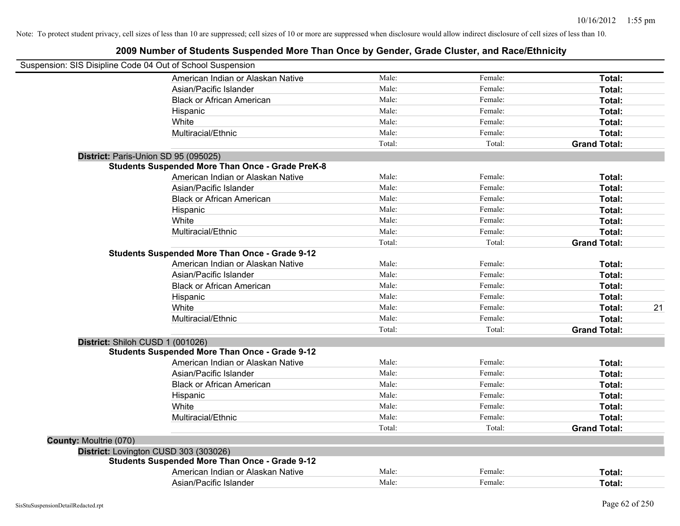| Suspension: SIS Disipline Code 04 Out of School Suspension |                                                         |        |         |                     |
|------------------------------------------------------------|---------------------------------------------------------|--------|---------|---------------------|
|                                                            | American Indian or Alaskan Native                       | Male:  | Female: | Total:              |
|                                                            | Asian/Pacific Islander                                  | Male:  | Female: | Total:              |
|                                                            | <b>Black or African American</b>                        | Male:  | Female: | Total:              |
|                                                            | Hispanic                                                | Male:  | Female: | Total:              |
|                                                            | White                                                   | Male:  | Female: | Total:              |
|                                                            | Multiracial/Ethnic                                      | Male:  | Female: | Total:              |
|                                                            |                                                         | Total: | Total:  | <b>Grand Total:</b> |
| District: Paris-Union SD 95 (095025)                       |                                                         |        |         |                     |
|                                                            | <b>Students Suspended More Than Once - Grade PreK-8</b> |        |         |                     |
|                                                            | American Indian or Alaskan Native                       | Male:  | Female: | Total:              |
|                                                            | Asian/Pacific Islander                                  | Male:  | Female: | Total:              |
|                                                            | <b>Black or African American</b>                        | Male:  | Female: | Total:              |
|                                                            | Hispanic                                                | Male:  | Female: | Total:              |
|                                                            | White                                                   | Male:  | Female: | Total:              |
|                                                            | Multiracial/Ethnic                                      | Male:  | Female: | Total:              |
|                                                            |                                                         | Total: | Total:  | <b>Grand Total:</b> |
|                                                            | <b>Students Suspended More Than Once - Grade 9-12</b>   |        |         |                     |
|                                                            | American Indian or Alaskan Native                       | Male:  | Female: | Total:              |
|                                                            | Asian/Pacific Islander                                  | Male:  | Female: | Total:              |
|                                                            | <b>Black or African American</b>                        | Male:  | Female: | Total:              |
|                                                            | Hispanic                                                | Male:  | Female: | Total:              |
|                                                            | White                                                   | Male:  | Female: | 21<br>Total:        |
|                                                            | Multiracial/Ethnic                                      | Male:  | Female: | Total:              |
|                                                            |                                                         | Total: | Total:  | <b>Grand Total:</b> |
| District: Shiloh CUSD 1 (001026)                           |                                                         |        |         |                     |
|                                                            | <b>Students Suspended More Than Once - Grade 9-12</b>   |        |         |                     |
|                                                            | American Indian or Alaskan Native                       | Male:  | Female: | Total:              |
|                                                            | Asian/Pacific Islander                                  | Male:  | Female: | Total:              |
|                                                            | <b>Black or African American</b>                        | Male:  | Female: | Total:              |
|                                                            | Hispanic                                                | Male:  | Female: | Total:              |
|                                                            | White                                                   | Male:  | Female: | Total:              |
|                                                            | Multiracial/Ethnic                                      | Male:  | Female: | Total:              |
|                                                            |                                                         | Total: | Total:  | <b>Grand Total:</b> |
| <b>County: Moultrie (070)</b>                              |                                                         |        |         |                     |
|                                                            | District: Lovington CUSD 303 (303026)                   |        |         |                     |
|                                                            | <b>Students Suspended More Than Once - Grade 9-12</b>   |        |         |                     |
|                                                            | American Indian or Alaskan Native                       | Male:  | Female: | Total:              |
|                                                            | Asian/Pacific Islander                                  | Male:  | Female: | Total:              |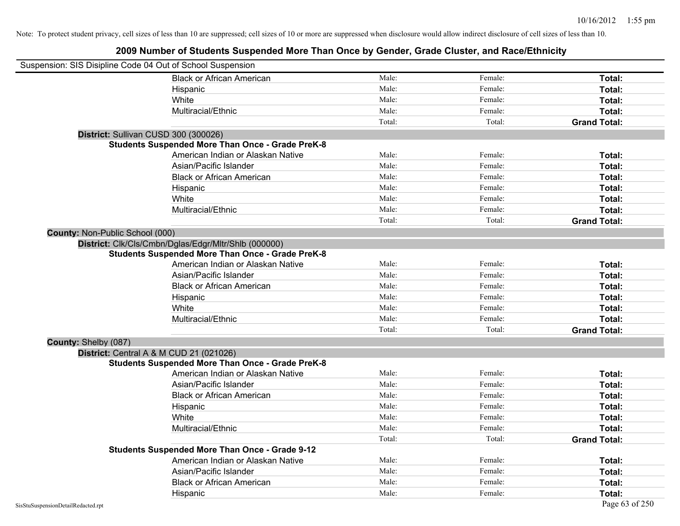| Suspension: SIS Disipline Code 04 Out of School Suspension |                                                         |        |         |                     |
|------------------------------------------------------------|---------------------------------------------------------|--------|---------|---------------------|
|                                                            | <b>Black or African American</b>                        | Male:  | Female: | Total:              |
|                                                            | Hispanic                                                | Male:  | Female: | Total:              |
|                                                            | White                                                   | Male:  | Female: | Total:              |
|                                                            | Multiracial/Ethnic                                      | Male:  | Female: | Total:              |
|                                                            |                                                         | Total: | Total:  | <b>Grand Total:</b> |
| District: Sullivan CUSD 300 (300026)                       |                                                         |        |         |                     |
|                                                            | <b>Students Suspended More Than Once - Grade PreK-8</b> |        |         |                     |
|                                                            | American Indian or Alaskan Native                       | Male:  | Female: | Total:              |
|                                                            | Asian/Pacific Islander                                  | Male:  | Female: | Total:              |
|                                                            | <b>Black or African American</b>                        | Male:  | Female: | Total:              |
|                                                            | Hispanic                                                | Male:  | Female: | Total:              |
|                                                            | White                                                   | Male:  | Female: | Total:              |
|                                                            | Multiracial/Ethnic                                      | Male:  | Female: | Total:              |
|                                                            |                                                         | Total: | Total:  | <b>Grand Total:</b> |
| <b>County: Non-Public School (000)</b>                     |                                                         |        |         |                     |
|                                                            | District: Clk/Cls/Cmbn/Dglas/Edgr/Mltr/Shlb (000000)    |        |         |                     |
|                                                            | <b>Students Suspended More Than Once - Grade PreK-8</b> |        |         |                     |
|                                                            | American Indian or Alaskan Native                       | Male:  | Female: | Total:              |
|                                                            | Asian/Pacific Islander                                  | Male:  | Female: | Total:              |
|                                                            | <b>Black or African American</b>                        | Male:  | Female: | Total:              |
|                                                            | Hispanic                                                | Male:  | Female: | Total:              |
|                                                            | White                                                   | Male:  | Female: | Total:              |
|                                                            | Multiracial/Ethnic                                      | Male:  | Female: | Total:              |
|                                                            |                                                         | Total: | Total:  | <b>Grand Total:</b> |
| County: Shelby (087)                                       |                                                         |        |         |                     |
| District: Central A & M CUD 21 (021026)                    |                                                         |        |         |                     |
|                                                            | <b>Students Suspended More Than Once - Grade PreK-8</b> |        |         |                     |
|                                                            | American Indian or Alaskan Native                       | Male:  | Female: | Total:              |
|                                                            | Asian/Pacific Islander                                  | Male:  | Female: | Total:              |
|                                                            | <b>Black or African American</b>                        | Male:  | Female: | Total:              |
|                                                            | Hispanic                                                | Male:  | Female: | Total:              |
|                                                            | White                                                   | Male:  | Female: | Total:              |
|                                                            | Multiracial/Ethnic                                      | Male:  | Female: | Total:              |
|                                                            |                                                         | Total: | Total:  | <b>Grand Total:</b> |
|                                                            | <b>Students Suspended More Than Once - Grade 9-12</b>   |        |         |                     |
|                                                            | American Indian or Alaskan Native                       | Male:  | Female: | Total:              |
|                                                            | Asian/Pacific Islander                                  | Male:  | Female: | Total:              |
|                                                            | <b>Black or African American</b>                        | Male:  | Female: | Total:              |
|                                                            | Hispanic                                                | Male:  | Female: | Total:              |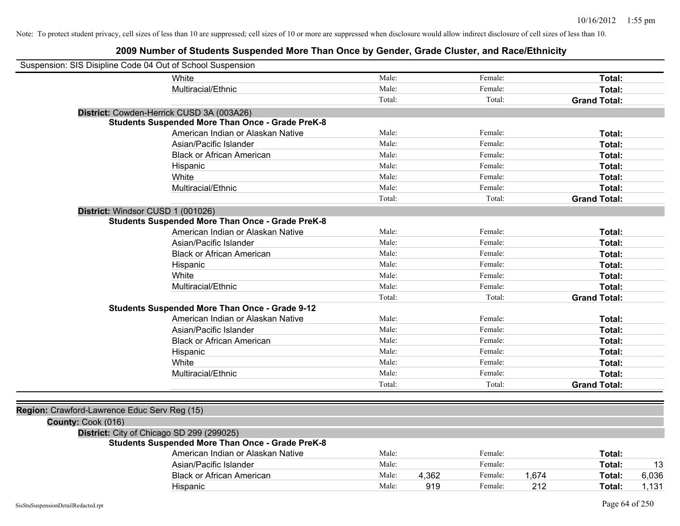| Suspension: SIS Disipline Code 04 Out of School Suspension |                                                         |        |       |         |       |                     |       |
|------------------------------------------------------------|---------------------------------------------------------|--------|-------|---------|-------|---------------------|-------|
|                                                            | White                                                   | Male:  |       | Female: |       | Total:              |       |
|                                                            | Multiracial/Ethnic                                      | Male:  |       | Female: |       | Total:              |       |
|                                                            |                                                         | Total: |       | Total:  |       | <b>Grand Total:</b> |       |
|                                                            | District: Cowden-Herrick CUSD 3A (003A26)               |        |       |         |       |                     |       |
|                                                            | <b>Students Suspended More Than Once - Grade PreK-8</b> |        |       |         |       |                     |       |
|                                                            | American Indian or Alaskan Native                       | Male:  |       | Female: |       | Total:              |       |
|                                                            | Asian/Pacific Islander                                  | Male:  |       | Female: |       | Total:              |       |
|                                                            | <b>Black or African American</b>                        | Male:  |       | Female: |       | Total:              |       |
|                                                            | Hispanic                                                | Male:  |       | Female: |       | Total:              |       |
|                                                            | White                                                   | Male:  |       | Female: |       | Total:              |       |
|                                                            | Multiracial/Ethnic                                      | Male:  |       | Female: |       | Total:              |       |
|                                                            |                                                         | Total: |       | Total:  |       | <b>Grand Total:</b> |       |
| District: Windsor CUSD 1 (001026)                          |                                                         |        |       |         |       |                     |       |
|                                                            | <b>Students Suspended More Than Once - Grade PreK-8</b> |        |       |         |       |                     |       |
|                                                            | American Indian or Alaskan Native                       | Male:  |       | Female: |       | Total:              |       |
|                                                            | Asian/Pacific Islander                                  | Male:  |       | Female: |       | Total:              |       |
|                                                            | <b>Black or African American</b>                        | Male:  |       | Female: |       | Total:              |       |
|                                                            | Hispanic                                                | Male:  |       | Female: |       | Total:              |       |
|                                                            | White                                                   | Male:  |       | Female: |       | Total:              |       |
|                                                            | Multiracial/Ethnic                                      | Male:  |       | Female: |       | Total:              |       |
|                                                            |                                                         | Total: |       | Total:  |       | <b>Grand Total:</b> |       |
|                                                            | <b>Students Suspended More Than Once - Grade 9-12</b>   |        |       |         |       |                     |       |
|                                                            | American Indian or Alaskan Native                       | Male:  |       | Female: |       | Total:              |       |
|                                                            | Asian/Pacific Islander                                  | Male:  |       | Female: |       | Total:              |       |
|                                                            | <b>Black or African American</b>                        | Male:  |       | Female: |       | Total:              |       |
|                                                            | Hispanic                                                | Male:  |       | Female: |       | Total:              |       |
|                                                            | White                                                   | Male:  |       | Female: |       | Total:              |       |
|                                                            | Multiracial/Ethnic                                      | Male:  |       | Female: |       | Total:              |       |
|                                                            |                                                         | Total: |       | Total:  |       | <b>Grand Total:</b> |       |
|                                                            |                                                         |        |       |         |       |                     |       |
| Region: Crawford-Lawrence Educ Serv Reg (15)               |                                                         |        |       |         |       |                     |       |
| County: Cook (016)                                         |                                                         |        |       |         |       |                     |       |
|                                                            | District: City of Chicago SD 299 (299025)               |        |       |         |       |                     |       |
|                                                            | <b>Students Suspended More Than Once - Grade PreK-8</b> |        |       |         |       |                     |       |
|                                                            | American Indian or Alaskan Native                       | Male:  |       | Female: |       | Total:              |       |
|                                                            | Asian/Pacific Islander                                  | Male:  |       | Female: |       | Total:              | 13    |
|                                                            | <b>Black or African American</b>                        | Male:  | 4,362 | Female: | 1,674 | Total:              | 6,036 |
|                                                            | Hispanic                                                | Male:  | 919   | Female: | 212   | Total:              | 1,131 |
|                                                            |                                                         |        |       |         |       |                     |       |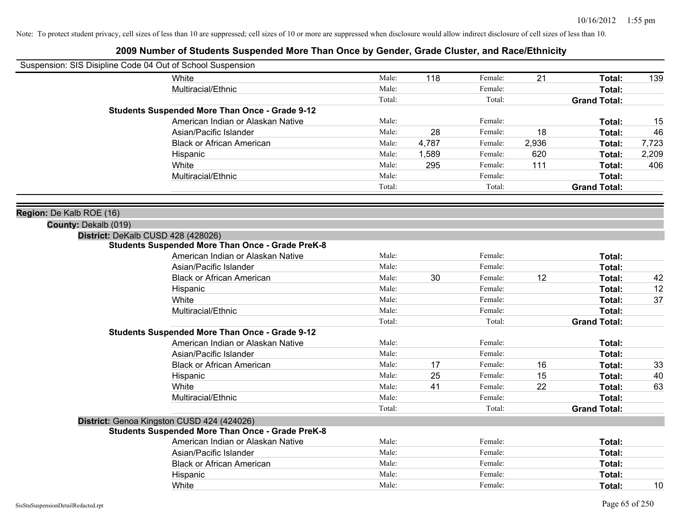| Suspension: SIS Disipline Code 04 Out of School Suspension |        |       |         |       |                     |       |
|------------------------------------------------------------|--------|-------|---------|-------|---------------------|-------|
| White                                                      | Male:  | 118   | Female: | 21    | Total:              | 139   |
| Multiracial/Ethnic                                         | Male:  |       | Female: |       | Total:              |       |
|                                                            | Total: |       | Total:  |       | <b>Grand Total:</b> |       |
| <b>Students Suspended More Than Once - Grade 9-12</b>      |        |       |         |       |                     |       |
| American Indian or Alaskan Native                          | Male:  |       | Female: |       | Total:              | 15    |
| Asian/Pacific Islander                                     | Male:  | 28    | Female: | 18    | Total:              | 46    |
| <b>Black or African American</b>                           | Male:  | 4,787 | Female: | 2,936 | Total:              | 7,723 |
| Hispanic                                                   | Male:  | 1,589 | Female: | 620   | Total:              | 2,209 |
| White                                                      | Male:  | 295   | Female: | 111   | Total:              | 406   |
| Multiracial/Ethnic                                         | Male:  |       | Female: |       | Total:              |       |
|                                                            | Total: |       | Total:  |       | <b>Grand Total:</b> |       |
| Region: De Kalb ROE (16)                                   |        |       |         |       |                     |       |
| County: Dekalb (019)                                       |        |       |         |       |                     |       |
| District: DeKalb CUSD 428 (428026)                         |        |       |         |       |                     |       |
| <b>Students Suspended More Than Once - Grade PreK-8</b>    |        |       |         |       |                     |       |
| American Indian or Alaskan Native                          | Male:  |       | Female: |       | Total:              |       |
| Asian/Pacific Islander                                     | Male:  |       | Female: |       | Total:              |       |
| <b>Black or African American</b>                           | Male:  | 30    | Female: | 12    | Total:              | 42    |
| Hispanic                                                   | Male:  |       | Female: |       | Total:              | 12    |
| White                                                      | Male:  |       | Female: |       | Total:              | 37    |
| Multiracial/Ethnic                                         | Male:  |       | Female: |       | Total:              |       |
|                                                            | Total: |       | Total:  |       | <b>Grand Total:</b> |       |
| <b>Students Suspended More Than Once - Grade 9-12</b>      |        |       |         |       |                     |       |
| American Indian or Alaskan Native                          | Male:  |       | Female: |       | Total:              |       |
| Asian/Pacific Islander                                     | Male:  |       | Female: |       | Total:              |       |
| <b>Black or African American</b>                           | Male:  | 17    | Female: | 16    | Total:              | 33    |
| Hispanic                                                   | Male:  | 25    | Female: | 15    | Total:              | 40    |
| White                                                      | Male:  | 41    | Female: | 22    | Total:              | 63    |
| Multiracial/Ethnic                                         | Male:  |       | Female: |       | Total:              |       |
|                                                            | Total: |       | Total:  |       | <b>Grand Total:</b> |       |
| District: Genoa Kingston CUSD 424 (424026)                 |        |       |         |       |                     |       |
| <b>Students Suspended More Than Once - Grade PreK-8</b>    |        |       |         |       |                     |       |
| American Indian or Alaskan Native                          | Male:  |       | Female: |       | Total:              |       |
| Asian/Pacific Islander                                     | Male:  |       | Female: |       | Total:              |       |
| <b>Black or African American</b>                           | Male:  |       | Female: |       | Total:              |       |
| Hispanic                                                   | Male:  |       | Female: |       | Total:              |       |
| White                                                      | Male:  |       | Female: |       | Total:              | 10    |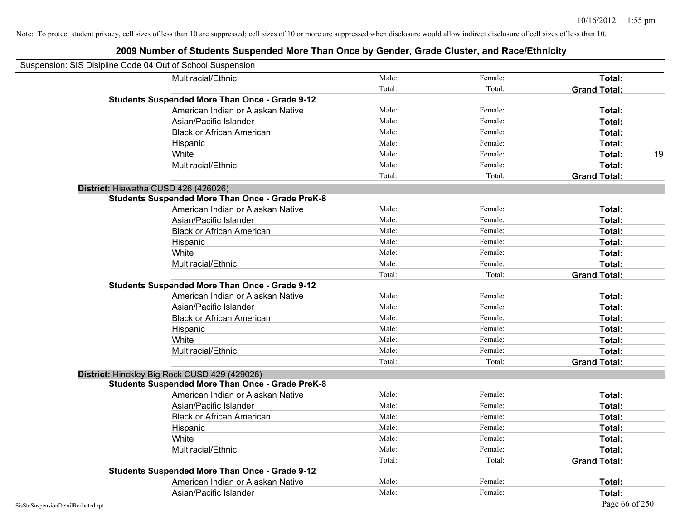| Suspension: SIS Disipline Code 04 Out of School Suspension |                                                         |        |         |                     |    |
|------------------------------------------------------------|---------------------------------------------------------|--------|---------|---------------------|----|
|                                                            | Multiracial/Ethnic                                      | Male:  | Female: | Total:              |    |
|                                                            |                                                         | Total: | Total:  | <b>Grand Total:</b> |    |
|                                                            | <b>Students Suspended More Than Once - Grade 9-12</b>   |        |         |                     |    |
|                                                            | American Indian or Alaskan Native                       | Male:  | Female: | Total:              |    |
|                                                            | Asian/Pacific Islander                                  | Male:  | Female: | Total:              |    |
|                                                            | <b>Black or African American</b>                        | Male:  | Female: | Total:              |    |
|                                                            | Hispanic                                                | Male:  | Female: | Total:              |    |
|                                                            | White                                                   | Male:  | Female: | Total:              | 19 |
|                                                            | Multiracial/Ethnic                                      | Male:  | Female: | Total:              |    |
|                                                            |                                                         | Total: | Total:  | <b>Grand Total:</b> |    |
| District: Hiawatha CUSD 426 (426026)                       |                                                         |        |         |                     |    |
|                                                            | <b>Students Suspended More Than Once - Grade PreK-8</b> |        |         |                     |    |
|                                                            | American Indian or Alaskan Native                       | Male:  | Female: | Total:              |    |
|                                                            | Asian/Pacific Islander                                  | Male:  | Female: | Total:              |    |
|                                                            | <b>Black or African American</b>                        | Male:  | Female: | Total:              |    |
|                                                            | Hispanic                                                | Male:  | Female: | Total:              |    |
|                                                            | White                                                   | Male:  | Female: | Total:              |    |
|                                                            | Multiracial/Ethnic                                      | Male:  | Female: | Total:              |    |
|                                                            |                                                         | Total: | Total:  | <b>Grand Total:</b> |    |
|                                                            | <b>Students Suspended More Than Once - Grade 9-12</b>   |        |         |                     |    |
|                                                            | American Indian or Alaskan Native                       | Male:  | Female: | Total:              |    |
|                                                            | Asian/Pacific Islander                                  | Male:  | Female: | Total:              |    |
|                                                            | <b>Black or African American</b>                        | Male:  | Female: | Total:              |    |
|                                                            | Hispanic                                                | Male:  | Female: | Total:              |    |
|                                                            | White                                                   | Male:  | Female: | Total:              |    |
|                                                            | Multiracial/Ethnic                                      | Male:  | Female: | Total:              |    |
|                                                            |                                                         | Total: | Total:  | <b>Grand Total:</b> |    |
| District: Hinckley Big Rock CUSD 429 (429026)              |                                                         |        |         |                     |    |
|                                                            | <b>Students Suspended More Than Once - Grade PreK-8</b> |        |         |                     |    |
|                                                            | American Indian or Alaskan Native                       | Male:  | Female: | Total:              |    |
|                                                            | Asian/Pacific Islander                                  | Male:  | Female: | Total:              |    |
|                                                            | <b>Black or African American</b>                        | Male:  | Female: | Total:              |    |
|                                                            | Hispanic                                                | Male:  | Female: | Total:              |    |
|                                                            | White                                                   | Male:  | Female: | Total:              |    |
|                                                            | Multiracial/Ethnic                                      | Male:  | Female: | Total:              |    |
|                                                            |                                                         | Total: | Total:  | <b>Grand Total:</b> |    |
|                                                            | <b>Students Suspended More Than Once - Grade 9-12</b>   |        |         |                     |    |
|                                                            | American Indian or Alaskan Native                       | Male:  | Female: | Total:              |    |
|                                                            | Asian/Pacific Islander                                  | Male:  | Female: | Total:              |    |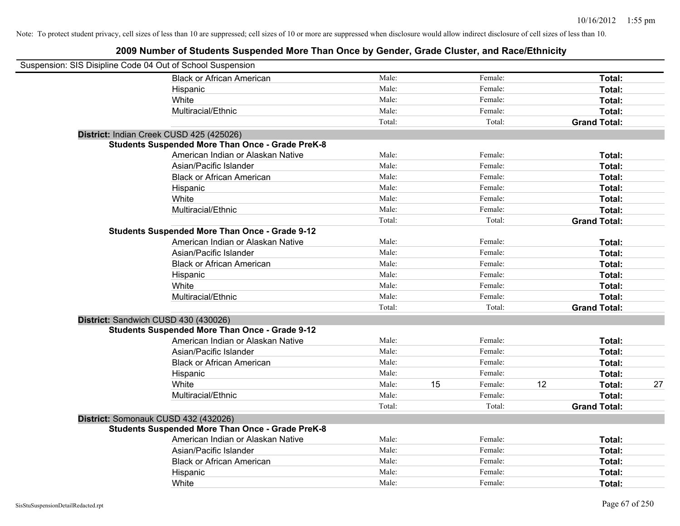| Suspension: SIS Disipline Code 04 Out of School Suspension |                                                         |        |    |         |    |                     |    |
|------------------------------------------------------------|---------------------------------------------------------|--------|----|---------|----|---------------------|----|
|                                                            | <b>Black or African American</b>                        | Male:  |    | Female: |    | Total:              |    |
|                                                            | Hispanic                                                | Male:  |    | Female: |    | Total:              |    |
|                                                            | White                                                   | Male:  |    | Female: |    | Total:              |    |
|                                                            | Multiracial/Ethnic                                      | Male:  |    | Female: |    | Total:              |    |
|                                                            |                                                         | Total: |    | Total:  |    | <b>Grand Total:</b> |    |
| District: Indian Creek CUSD 425 (425026)                   |                                                         |        |    |         |    |                     |    |
|                                                            | <b>Students Suspended More Than Once - Grade PreK-8</b> |        |    |         |    |                     |    |
|                                                            | American Indian or Alaskan Native                       | Male:  |    | Female: |    | Total:              |    |
|                                                            | Asian/Pacific Islander                                  | Male:  |    | Female: |    | Total:              |    |
|                                                            | <b>Black or African American</b>                        | Male:  |    | Female: |    | Total:              |    |
|                                                            | Hispanic                                                | Male:  |    | Female: |    | Total:              |    |
|                                                            | White                                                   | Male:  |    | Female: |    | Total:              |    |
|                                                            | Multiracial/Ethnic                                      | Male:  |    | Female: |    | Total:              |    |
|                                                            |                                                         | Total: |    | Total:  |    | <b>Grand Total:</b> |    |
|                                                            | <b>Students Suspended More Than Once - Grade 9-12</b>   |        |    |         |    |                     |    |
|                                                            | American Indian or Alaskan Native                       | Male:  |    | Female: |    | Total:              |    |
|                                                            | Asian/Pacific Islander                                  | Male:  |    | Female: |    | Total:              |    |
|                                                            | <b>Black or African American</b>                        | Male:  |    | Female: |    | Total:              |    |
|                                                            | Hispanic                                                | Male:  |    | Female: |    | Total:              |    |
|                                                            | White                                                   | Male:  |    | Female: |    | Total:              |    |
|                                                            | Multiracial/Ethnic                                      | Male:  |    | Female: |    | Total:              |    |
|                                                            |                                                         | Total: |    | Total:  |    | <b>Grand Total:</b> |    |
| District: Sandwich CUSD 430 (430026)                       |                                                         |        |    |         |    |                     |    |
|                                                            | <b>Students Suspended More Than Once - Grade 9-12</b>   |        |    |         |    |                     |    |
|                                                            | American Indian or Alaskan Native                       | Male:  |    | Female: |    | Total:              |    |
|                                                            | Asian/Pacific Islander                                  | Male:  |    | Female: |    | Total:              |    |
|                                                            | <b>Black or African American</b>                        | Male:  |    | Female: |    | Total:              |    |
|                                                            | Hispanic                                                | Male:  |    | Female: |    | Total:              |    |
|                                                            | White                                                   | Male:  | 15 | Female: | 12 | Total:              | 27 |
|                                                            | Multiracial/Ethnic                                      | Male:  |    | Female: |    | Total:              |    |
|                                                            |                                                         | Total: |    | Total:  |    | <b>Grand Total:</b> |    |
| District: Somonauk CUSD 432 (432026)                       |                                                         |        |    |         |    |                     |    |
|                                                            | <b>Students Suspended More Than Once - Grade PreK-8</b> |        |    |         |    |                     |    |
|                                                            | American Indian or Alaskan Native                       | Male:  |    | Female: |    | Total:              |    |
|                                                            | Asian/Pacific Islander                                  | Male:  |    | Female: |    | Total:              |    |
|                                                            | <b>Black or African American</b>                        | Male:  |    | Female: |    | Total:              |    |
|                                                            | Hispanic                                                | Male:  |    | Female: |    | Total:              |    |
|                                                            | White                                                   | Male:  |    | Female: |    | Total:              |    |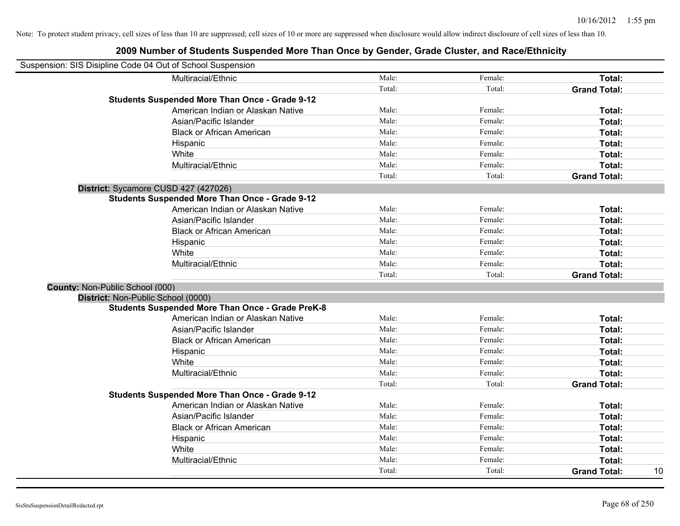| Suspension: SIS Disipline Code 04 Out of School Suspension |                                                         |        |         |                           |
|------------------------------------------------------------|---------------------------------------------------------|--------|---------|---------------------------|
|                                                            | Multiracial/Ethnic                                      | Male:  | Female: | Total:                    |
|                                                            |                                                         | Total: | Total:  | <b>Grand Total:</b>       |
|                                                            | <b>Students Suspended More Than Once - Grade 9-12</b>   |        |         |                           |
|                                                            | American Indian or Alaskan Native                       | Male:  | Female: | Total:                    |
|                                                            | Asian/Pacific Islander                                  | Male:  | Female: | Total:                    |
|                                                            | <b>Black or African American</b>                        | Male:  | Female: | Total:                    |
|                                                            | Hispanic                                                | Male:  | Female: | Total:                    |
|                                                            | White                                                   | Male:  | Female: | Total:                    |
|                                                            | Multiracial/Ethnic                                      | Male:  | Female: | <b>Total:</b>             |
|                                                            |                                                         | Total: | Total:  | <b>Grand Total:</b>       |
| District: Sycamore CUSD 427 (427026)                       |                                                         |        |         |                           |
|                                                            | <b>Students Suspended More Than Once - Grade 9-12</b>   |        |         |                           |
|                                                            | American Indian or Alaskan Native                       | Male:  | Female: | Total:                    |
|                                                            | Asian/Pacific Islander                                  | Male:  | Female: | Total:                    |
|                                                            | <b>Black or African American</b>                        | Male:  | Female: | Total:                    |
|                                                            | Hispanic                                                | Male:  | Female: | Total:                    |
|                                                            | White                                                   | Male:  | Female: | Total:                    |
|                                                            | Multiracial/Ethnic                                      | Male:  | Female: | Total:                    |
|                                                            |                                                         | Total: | Total:  | <b>Grand Total:</b>       |
| County: Non-Public School (000)                            |                                                         |        |         |                           |
| District: Non-Public School (0000)                         |                                                         |        |         |                           |
|                                                            | <b>Students Suspended More Than Once - Grade PreK-8</b> |        |         |                           |
|                                                            | American Indian or Alaskan Native                       | Male:  | Female: | Total:                    |
|                                                            | Asian/Pacific Islander                                  | Male:  | Female: | Total:                    |
|                                                            | <b>Black or African American</b>                        | Male:  | Female: | Total:                    |
|                                                            | Hispanic                                                | Male:  | Female: | Total:                    |
|                                                            | White                                                   | Male:  | Female: | Total:                    |
|                                                            | Multiracial/Ethnic                                      | Male:  | Female: | Total:                    |
|                                                            |                                                         | Total: | Total:  | <b>Grand Total:</b>       |
|                                                            | <b>Students Suspended More Than Once - Grade 9-12</b>   |        |         |                           |
|                                                            | American Indian or Alaskan Native                       | Male:  | Female: | Total:                    |
|                                                            | Asian/Pacific Islander                                  | Male:  | Female: | Total:                    |
|                                                            | <b>Black or African American</b>                        | Male:  | Female: | Total:                    |
|                                                            | Hispanic                                                | Male:  | Female: | Total:                    |
|                                                            | White                                                   | Male:  | Female: | Total:                    |
|                                                            | Multiracial/Ethnic                                      | Male:  | Female: | Total:                    |
|                                                            |                                                         | Total: | Total:  | 10<br><b>Grand Total:</b> |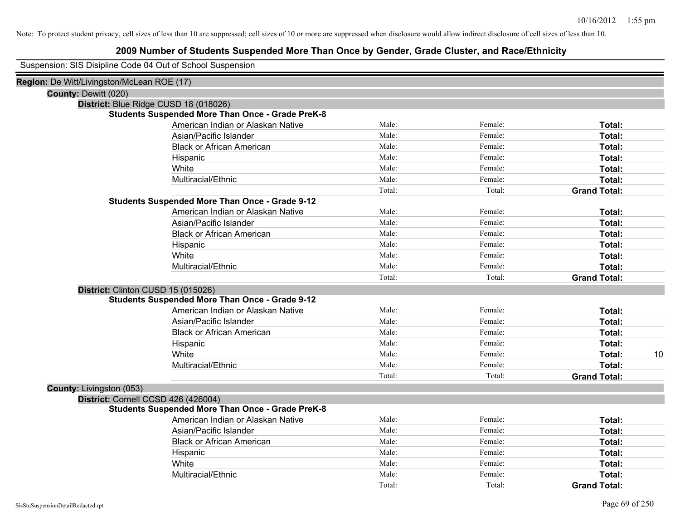| Suspension: SIS Disipline Code 04 Out of School Suspension |
|------------------------------------------------------------|
|------------------------------------------------------------|

| Region: De Witt/Livingston/McLean ROE (17)              |        |         |                     |    |
|---------------------------------------------------------|--------|---------|---------------------|----|
| <b>County: Dewitt (020)</b>                             |        |         |                     |    |
| District: Blue Ridge CUSD 18 (018026)                   |        |         |                     |    |
| <b>Students Suspended More Than Once - Grade PreK-8</b> |        |         |                     |    |
| American Indian or Alaskan Native                       | Male:  | Female: | Total:              |    |
| Asian/Pacific Islander                                  | Male:  | Female: | Total:              |    |
| <b>Black or African American</b>                        | Male:  | Female: | Total:              |    |
| Hispanic                                                | Male:  | Female: | Total:              |    |
| White                                                   | Male:  | Female: | Total:              |    |
| Multiracial/Ethnic                                      | Male:  | Female: | Total:              |    |
|                                                         | Total: | Total:  | <b>Grand Total:</b> |    |
| <b>Students Suspended More Than Once - Grade 9-12</b>   |        |         |                     |    |
| American Indian or Alaskan Native                       | Male:  | Female: | Total:              |    |
| Asian/Pacific Islander                                  | Male:  | Female: | Total:              |    |
| <b>Black or African American</b>                        | Male:  | Female: | Total:              |    |
| Hispanic                                                | Male:  | Female: | Total:              |    |
| White                                                   | Male:  | Female: | Total:              |    |
| Multiracial/Ethnic                                      | Male:  | Female: | Total:              |    |
|                                                         | Total: | Total:  | <b>Grand Total:</b> |    |
| District: Clinton CUSD 15 (015026)                      |        |         |                     |    |
| <b>Students Suspended More Than Once - Grade 9-12</b>   |        |         |                     |    |
| American Indian or Alaskan Native                       | Male:  | Female: | Total:              |    |
| Asian/Pacific Islander                                  | Male:  | Female: | Total:              |    |
| <b>Black or African American</b>                        | Male:  | Female: | Total:              |    |
| Hispanic                                                | Male:  | Female: | Total:              |    |
| White                                                   | Male:  | Female: | Total:              | 10 |
| Multiracial/Ethnic                                      | Male:  | Female: | Total:              |    |
|                                                         | Total: | Total:  | <b>Grand Total:</b> |    |
| County: Livingston (053)                                |        |         |                     |    |
| District: Cornell CCSD 426 (426004)                     |        |         |                     |    |
| <b>Students Suspended More Than Once - Grade PreK-8</b> |        |         |                     |    |
| American Indian or Alaskan Native                       | Male:  | Female: | Total:              |    |
| Asian/Pacific Islander                                  | Male:  | Female: | Total:              |    |
| <b>Black or African American</b>                        | Male:  | Female: | Total:              |    |
| Hispanic                                                | Male:  | Female: | Total:              |    |
| White                                                   | Male:  | Female: | Total:              |    |
| Multiracial/Ethnic                                      | Male:  | Female: | Total:              |    |
|                                                         | Total: | Total:  | <b>Grand Total:</b> |    |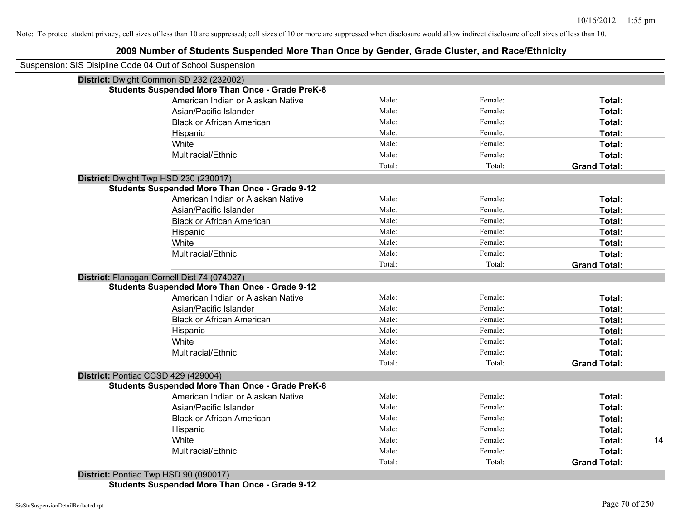## **2009 Number of Students Suspended More Than Once by Gender, Grade Cluster, and Race/Ethnicity**

| Suspension: SIS Disipline Code 04 Out of School Suspension |        |         |                     |                     |
|------------------------------------------------------------|--------|---------|---------------------|---------------------|
| District: Dwight Common SD 232 (232002)                    |        |         |                     |                     |
| <b>Students Suspended More Than Once - Grade PreK-8</b>    |        |         |                     |                     |
| American Indian or Alaskan Native                          | Male:  | Female: | Total:              |                     |
| Asian/Pacific Islander                                     | Male:  | Female: | Total:              |                     |
| <b>Black or African American</b>                           | Male:  | Female: | Total:              |                     |
| Hispanic                                                   | Male:  | Female: | Total:              |                     |
| White                                                      | Male:  | Female: | Total:              |                     |
| Multiracial/Ethnic                                         | Male:  | Female: | Total:              |                     |
|                                                            | Total: | Total:  | <b>Grand Total:</b> |                     |
| District: Dwight Twp HSD 230 (230017)                      |        |         |                     |                     |
| <b>Students Suspended More Than Once - Grade 9-12</b>      |        |         |                     |                     |
| American Indian or Alaskan Native                          | Male:  | Female: | Total:              |                     |
| Asian/Pacific Islander                                     | Male:  | Female: | Total:              |                     |
| <b>Black or African American</b>                           | Male:  | Female: | Total:              |                     |
| Hispanic                                                   | Male:  | Female: | Total:              |                     |
| White                                                      | Male:  | Female: | Total:              |                     |
| Multiracial/Ethnic                                         | Male:  | Female: | Total:              |                     |
|                                                            | Total: | Total:  | <b>Grand Total:</b> |                     |
| District: Flanagan-Cornell Dist 74 (074027)                |        |         |                     |                     |
| <b>Students Suspended More Than Once - Grade 9-12</b>      |        |         |                     |                     |
| American Indian or Alaskan Native                          | Male:  | Female: | Total:              |                     |
| Asian/Pacific Islander                                     | Male:  | Female: | Total:              |                     |
| <b>Black or African American</b>                           | Male:  | Female: | Total:              |                     |
| Hispanic                                                   | Male:  | Female: | Total:              |                     |
| White                                                      | Male:  | Female: | Total:              |                     |
| Multiracial/Ethnic                                         | Male:  | Female: | Total:              |                     |
|                                                            | Total: | Total:  | <b>Grand Total:</b> |                     |
| District: Pontiac CCSD 429 (429004)                        |        |         |                     |                     |
| <b>Students Suspended More Than Once - Grade PreK-8</b>    |        |         |                     |                     |
| American Indian or Alaskan Native                          | Male:  | Female: | Total:              |                     |
| Asian/Pacific Islander                                     | Male:  | Female: | Total:              |                     |
| <b>Black or African American</b>                           | Male:  | Female: | Total:              |                     |
| Hispanic                                                   | Male:  | Female: | Total:              |                     |
| White                                                      | Male:  | Female: | Total:              | 14                  |
| Multiracial/Ethnic                                         | Male:  | Female: | Total:              |                     |
|                                                            | Total: | Total:  |                     |                     |
| District: Pontiac Twp HSD 90 (090017)                      |        |         |                     | <b>Grand Total:</b> |

**Students Suspended More Than Once - Grade 9-12**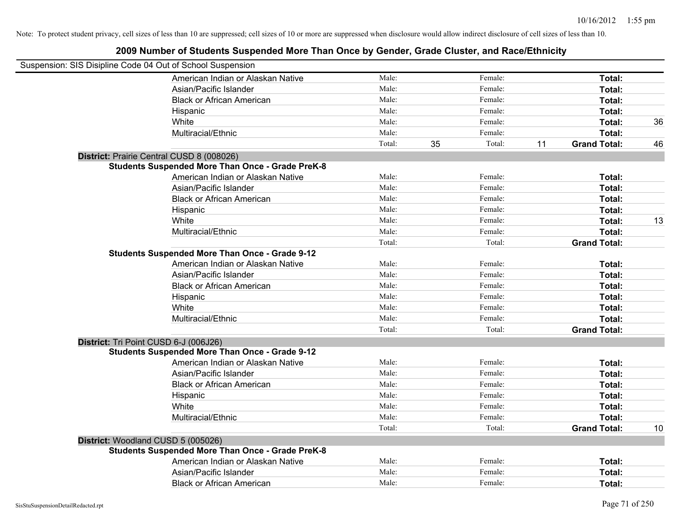| Suspension: SIS Disipline Code 04 Out of School Suspension |                                                         |        |    |         |    |                     |    |
|------------------------------------------------------------|---------------------------------------------------------|--------|----|---------|----|---------------------|----|
|                                                            | American Indian or Alaskan Native                       | Male:  |    | Female: |    | Total:              |    |
|                                                            | Asian/Pacific Islander                                  | Male:  |    | Female: |    | Total:              |    |
|                                                            | <b>Black or African American</b>                        | Male:  |    | Female: |    | Total:              |    |
|                                                            | Hispanic                                                | Male:  |    | Female: |    | Total:              |    |
|                                                            | White                                                   | Male:  |    | Female: |    | Total:              | 36 |
|                                                            | Multiracial/Ethnic                                      | Male:  |    | Female: |    | Total:              |    |
|                                                            |                                                         | Total: | 35 | Total:  | 11 | <b>Grand Total:</b> | 46 |
| District: Prairie Central CUSD 8 (008026)                  |                                                         |        |    |         |    |                     |    |
|                                                            | <b>Students Suspended More Than Once - Grade PreK-8</b> |        |    |         |    |                     |    |
|                                                            | American Indian or Alaskan Native                       | Male:  |    | Female: |    | Total:              |    |
|                                                            | Asian/Pacific Islander                                  | Male:  |    | Female: |    | Total:              |    |
|                                                            | <b>Black or African American</b>                        | Male:  |    | Female: |    | Total:              |    |
|                                                            | Hispanic                                                | Male:  |    | Female: |    | Total:              |    |
|                                                            | White                                                   | Male:  |    | Female: |    | Total:              | 13 |
|                                                            | Multiracial/Ethnic                                      | Male:  |    | Female: |    | Total:              |    |
|                                                            |                                                         | Total: |    | Total:  |    | <b>Grand Total:</b> |    |
|                                                            | <b>Students Suspended More Than Once - Grade 9-12</b>   |        |    |         |    |                     |    |
|                                                            | American Indian or Alaskan Native                       | Male:  |    | Female: |    | Total:              |    |
|                                                            | Asian/Pacific Islander                                  | Male:  |    | Female: |    | Total:              |    |
|                                                            | <b>Black or African American</b>                        | Male:  |    | Female: |    | Total:              |    |
|                                                            | Hispanic                                                | Male:  |    | Female: |    | Total:              |    |
|                                                            | White                                                   | Male:  |    | Female: |    | Total:              |    |
|                                                            | Multiracial/Ethnic                                      | Male:  |    | Female: |    | Total:              |    |
|                                                            |                                                         | Total: |    | Total:  |    | <b>Grand Total:</b> |    |
| District: Tri Point CUSD 6-J (006J26)                      |                                                         |        |    |         |    |                     |    |
|                                                            | <b>Students Suspended More Than Once - Grade 9-12</b>   |        |    |         |    |                     |    |
|                                                            | American Indian or Alaskan Native                       | Male:  |    | Female: |    | <b>Total:</b>       |    |
|                                                            | Asian/Pacific Islander                                  | Male:  |    | Female: |    | Total:              |    |
|                                                            | <b>Black or African American</b>                        | Male:  |    | Female: |    | Total:              |    |
|                                                            | Hispanic                                                | Male:  |    | Female: |    | Total:              |    |
|                                                            | White                                                   | Male:  |    | Female: |    | Total:              |    |
|                                                            | Multiracial/Ethnic                                      | Male:  |    | Female: |    | Total:              |    |
|                                                            |                                                         | Total: |    | Total:  |    | <b>Grand Total:</b> | 10 |
| District: Woodland CUSD 5 (005026)                         |                                                         |        |    |         |    |                     |    |
|                                                            | <b>Students Suspended More Than Once - Grade PreK-8</b> |        |    |         |    |                     |    |
|                                                            | American Indian or Alaskan Native                       | Male:  |    | Female: |    | Total:              |    |
|                                                            | Asian/Pacific Islander                                  | Male:  |    | Female: |    | <b>Total:</b>       |    |
|                                                            | <b>Black or African American</b>                        | Male:  |    | Female: |    | Total:              |    |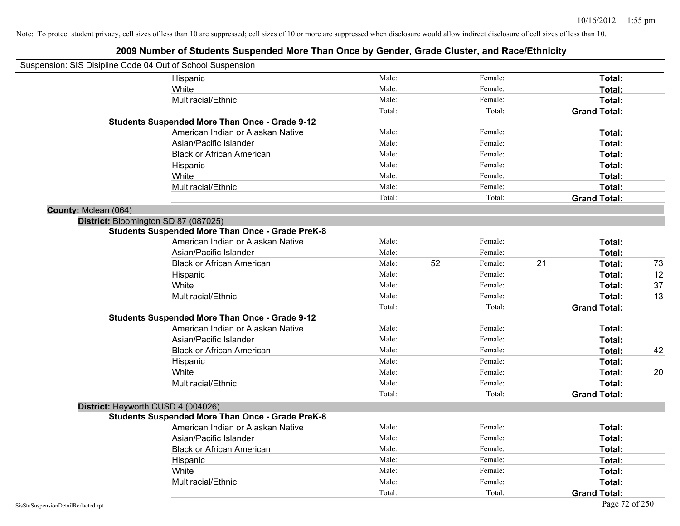| Suspension: SIS Disipline Code 04 Out of School Suspension |                                                         |        |    |         |    |                     |    |
|------------------------------------------------------------|---------------------------------------------------------|--------|----|---------|----|---------------------|----|
|                                                            | Hispanic                                                | Male:  |    | Female: |    | Total:              |    |
|                                                            | White                                                   | Male:  |    | Female: |    | Total:              |    |
|                                                            | Multiracial/Ethnic                                      | Male:  |    | Female: |    | Total:              |    |
|                                                            |                                                         | Total: |    | Total:  |    | <b>Grand Total:</b> |    |
|                                                            | <b>Students Suspended More Than Once - Grade 9-12</b>   |        |    |         |    |                     |    |
|                                                            | American Indian or Alaskan Native                       | Male:  |    | Female: |    | Total:              |    |
|                                                            | Asian/Pacific Islander                                  | Male:  |    | Female: |    | Total:              |    |
|                                                            | <b>Black or African American</b>                        | Male:  |    | Female: |    | Total:              |    |
|                                                            | Hispanic                                                | Male:  |    | Female: |    | Total:              |    |
|                                                            | White                                                   | Male:  |    | Female: |    | Total:              |    |
|                                                            | Multiracial/Ethnic                                      | Male:  |    | Female: |    | Total:              |    |
|                                                            |                                                         | Total: |    | Total:  |    | <b>Grand Total:</b> |    |
| County: Mclean (064)                                       |                                                         |        |    |         |    |                     |    |
| District: Bloomington SD 87 (087025)                       |                                                         |        |    |         |    |                     |    |
|                                                            | <b>Students Suspended More Than Once - Grade PreK-8</b> |        |    |         |    |                     |    |
|                                                            | American Indian or Alaskan Native                       | Male:  |    | Female: |    | Total:              |    |
|                                                            | Asian/Pacific Islander                                  | Male:  |    | Female: |    | Total:              |    |
|                                                            | <b>Black or African American</b>                        | Male:  | 52 | Female: | 21 | Total:              | 73 |
|                                                            | Hispanic                                                | Male:  |    | Female: |    | Total:              | 12 |
|                                                            | White                                                   | Male:  |    | Female: |    | Total:              | 37 |
|                                                            | Multiracial/Ethnic                                      | Male:  |    | Female: |    | Total:              | 13 |
|                                                            |                                                         | Total: |    | Total:  |    | <b>Grand Total:</b> |    |
|                                                            | <b>Students Suspended More Than Once - Grade 9-12</b>   |        |    |         |    |                     |    |
|                                                            | American Indian or Alaskan Native                       | Male:  |    | Female: |    | Total:              |    |
|                                                            | Asian/Pacific Islander                                  | Male:  |    | Female: |    | Total:              |    |
|                                                            | <b>Black or African American</b>                        | Male:  |    | Female: |    | Total:              | 42 |
|                                                            | Hispanic                                                | Male:  |    | Female: |    | Total:              |    |
|                                                            | White                                                   | Male:  |    | Female: |    | Total:              | 20 |
|                                                            | Multiracial/Ethnic                                      | Male:  |    | Female: |    | Total:              |    |
|                                                            |                                                         | Total: |    | Total:  |    | <b>Grand Total:</b> |    |
| District: Heyworth CUSD 4 (004026)                         |                                                         |        |    |         |    |                     |    |
|                                                            | <b>Students Suspended More Than Once - Grade PreK-8</b> |        |    |         |    |                     |    |
|                                                            | American Indian or Alaskan Native                       | Male:  |    | Female: |    | Total:              |    |
|                                                            | Asian/Pacific Islander                                  | Male:  |    | Female: |    | Total:              |    |
|                                                            | <b>Black or African American</b>                        | Male:  |    | Female: |    | Total:              |    |
|                                                            | Hispanic                                                | Male:  |    | Female: |    | Total:              |    |
|                                                            | White                                                   | Male:  |    | Female: |    | Total:              |    |
|                                                            | Multiracial/Ethnic                                      | Male:  |    | Female: |    | Total:              |    |
|                                                            |                                                         | Total: |    | Total:  |    | <b>Grand Total:</b> |    |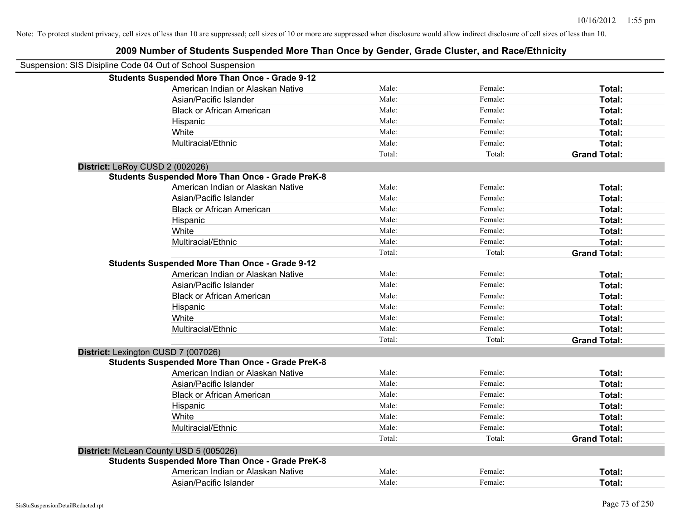| Suspension: SIS Disipline Code 04 Out of School Suspension |        |         |                     |
|------------------------------------------------------------|--------|---------|---------------------|
| <b>Students Suspended More Than Once - Grade 9-12</b>      |        |         |                     |
| American Indian or Alaskan Native                          | Male:  | Female: | Total:              |
| Asian/Pacific Islander                                     | Male:  | Female: | Total:              |
| <b>Black or African American</b>                           | Male:  | Female: | Total:              |
| Hispanic                                                   | Male:  | Female: | Total:              |
| White                                                      | Male:  | Female: | Total:              |
| Multiracial/Ethnic                                         | Male:  | Female: | Total:              |
|                                                            | Total: | Total:  | <b>Grand Total:</b> |
| District: LeRoy CUSD 2 (002026)                            |        |         |                     |
| <b>Students Suspended More Than Once - Grade PreK-8</b>    |        |         |                     |
| American Indian or Alaskan Native                          | Male:  | Female: | Total:              |
| Asian/Pacific Islander                                     | Male:  | Female: | Total:              |
| <b>Black or African American</b>                           | Male:  | Female: | Total:              |
| Hispanic                                                   | Male:  | Female: | Total:              |
| White                                                      | Male:  | Female: | Total:              |
| Multiracial/Ethnic                                         | Male:  | Female: | Total:              |
|                                                            | Total: | Total:  | <b>Grand Total:</b> |
| <b>Students Suspended More Than Once - Grade 9-12</b>      |        |         |                     |
| American Indian or Alaskan Native                          | Male:  | Female: | Total:              |
| Asian/Pacific Islander                                     | Male:  | Female: | Total:              |
| <b>Black or African American</b>                           | Male:  | Female: | Total:              |
| Hispanic                                                   | Male:  | Female: | Total:              |
| White                                                      | Male:  | Female: | Total:              |
| Multiracial/Ethnic                                         | Male:  | Female: | Total:              |
|                                                            | Total: | Total:  | <b>Grand Total:</b> |
| District: Lexington CUSD 7 (007026)                        |        |         |                     |
| <b>Students Suspended More Than Once - Grade PreK-8</b>    |        |         |                     |
| American Indian or Alaskan Native                          | Male:  | Female: | Total:              |
| Asian/Pacific Islander                                     | Male:  | Female: | Total:              |
| <b>Black or African American</b>                           | Male:  | Female: | Total:              |
| Hispanic                                                   | Male:  | Female: | Total:              |
| White                                                      | Male:  | Female: | Total:              |
| Multiracial/Ethnic                                         | Male:  | Female: | Total:              |
|                                                            | Total: | Total:  | <b>Grand Total:</b> |
| District: McLean County USD 5 (005026)                     |        |         |                     |
| <b>Students Suspended More Than Once - Grade PreK-8</b>    |        |         |                     |
| American Indian or Alaskan Native                          | Male:  | Female: | Total:              |
| Asian/Pacific Islander                                     | Male:  | Female: | Total:              |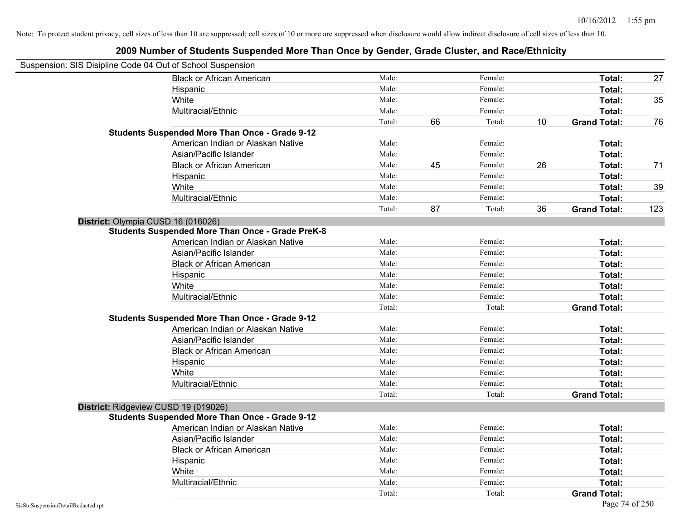| Suspension: SIS Disipline Code 04 Out of School Suspension |                                                         |        |    |         |    |                     |     |
|------------------------------------------------------------|---------------------------------------------------------|--------|----|---------|----|---------------------|-----|
|                                                            | <b>Black or African American</b>                        | Male:  |    | Female: |    | Total:              | 27  |
|                                                            | Hispanic                                                | Male:  |    | Female: |    | Total:              |     |
|                                                            | White                                                   | Male:  |    | Female: |    | Total:              | 35  |
|                                                            | Multiracial/Ethnic                                      | Male:  |    | Female: |    | Total:              |     |
|                                                            |                                                         | Total: | 66 | Total:  | 10 | <b>Grand Total:</b> | 76  |
|                                                            | <b>Students Suspended More Than Once - Grade 9-12</b>   |        |    |         |    |                     |     |
|                                                            | American Indian or Alaskan Native                       | Male:  |    | Female: |    | Total:              |     |
|                                                            | Asian/Pacific Islander                                  | Male:  |    | Female: |    | Total:              |     |
|                                                            | <b>Black or African American</b>                        | Male:  | 45 | Female: | 26 | Total:              | 71  |
|                                                            | Hispanic                                                | Male:  |    | Female: |    | Total:              |     |
|                                                            | White                                                   | Male:  |    | Female: |    | Total:              | 39  |
|                                                            | Multiracial/Ethnic                                      | Male:  |    | Female: |    | Total:              |     |
|                                                            |                                                         | Total: | 87 | Total:  | 36 | <b>Grand Total:</b> | 123 |
| District: Olympia CUSD 16 (016026)                         |                                                         |        |    |         |    |                     |     |
|                                                            | <b>Students Suspended More Than Once - Grade PreK-8</b> |        |    |         |    |                     |     |
|                                                            | American Indian or Alaskan Native                       | Male:  |    | Female: |    | Total:              |     |
|                                                            | Asian/Pacific Islander                                  | Male:  |    | Female: |    | Total:              |     |
|                                                            | <b>Black or African American</b>                        | Male:  |    | Female: |    | Total:              |     |
|                                                            | Hispanic                                                | Male:  |    | Female: |    | Total:              |     |
|                                                            | White                                                   | Male:  |    | Female: |    | Total:              |     |
|                                                            | Multiracial/Ethnic                                      | Male:  |    | Female: |    | Total:              |     |
|                                                            |                                                         | Total: |    | Total:  |    | <b>Grand Total:</b> |     |
|                                                            | <b>Students Suspended More Than Once - Grade 9-12</b>   |        |    |         |    |                     |     |
|                                                            | American Indian or Alaskan Native                       | Male:  |    | Female: |    | Total:              |     |
|                                                            | Asian/Pacific Islander                                  | Male:  |    | Female: |    | Total:              |     |
|                                                            | <b>Black or African American</b>                        | Male:  |    | Female: |    | Total:              |     |
|                                                            | Hispanic                                                | Male:  |    | Female: |    | Total:              |     |
|                                                            | White                                                   | Male:  |    | Female: |    | Total:              |     |
|                                                            | Multiracial/Ethnic                                      | Male:  |    | Female: |    | Total:              |     |
|                                                            |                                                         | Total: |    | Total:  |    | <b>Grand Total:</b> |     |
| District: Ridgeview CUSD 19 (019026)                       |                                                         |        |    |         |    |                     |     |
|                                                            | <b>Students Suspended More Than Once - Grade 9-12</b>   |        |    |         |    |                     |     |
|                                                            | American Indian or Alaskan Native                       | Male:  |    | Female: |    | Total:              |     |
|                                                            | Asian/Pacific Islander                                  | Male:  |    | Female: |    | Total:              |     |
|                                                            | <b>Black or African American</b>                        | Male:  |    | Female: |    | Total:              |     |
|                                                            | Hispanic                                                | Male:  |    | Female: |    | Total:              |     |
|                                                            | White                                                   | Male:  |    | Female: |    | Total:              |     |
|                                                            | Multiracial/Ethnic                                      | Male:  |    | Female: |    | Total:              |     |
|                                                            |                                                         | Total: |    | Total:  |    | <b>Grand Total:</b> |     |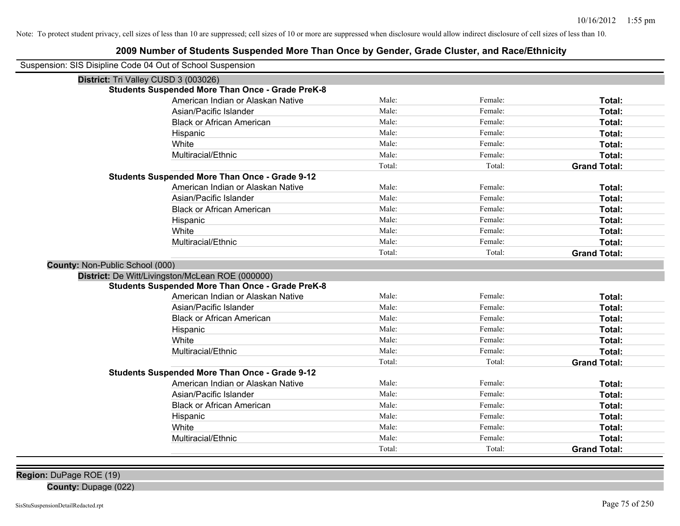## **2009 Number of Students Suspended More Than Once by Gender, Grade Cluster, and Race/Ethnicity**

| Suspension: SIS Disipline Code 04 Out of School Suspension |                                                         |        |         |                     |
|------------------------------------------------------------|---------------------------------------------------------|--------|---------|---------------------|
| District: Tri Valley CUSD 3 (003026)                       |                                                         |        |         |                     |
|                                                            | <b>Students Suspended More Than Once - Grade PreK-8</b> |        |         |                     |
|                                                            | American Indian or Alaskan Native                       | Male:  | Female: | Total:              |
|                                                            | Asian/Pacific Islander                                  | Male:  | Female: | Total:              |
|                                                            | <b>Black or African American</b>                        | Male:  | Female: | Total:              |
|                                                            | Hispanic                                                | Male:  | Female: | Total:              |
|                                                            | White                                                   | Male:  | Female: | Total:              |
|                                                            | Multiracial/Ethnic                                      | Male:  | Female: | Total:              |
|                                                            |                                                         | Total: | Total:  | <b>Grand Total:</b> |
|                                                            | <b>Students Suspended More Than Once - Grade 9-12</b>   |        |         |                     |
|                                                            | American Indian or Alaskan Native                       | Male:  | Female: | Total:              |
|                                                            | Asian/Pacific Islander                                  | Male:  | Female: | Total:              |
|                                                            | <b>Black or African American</b>                        | Male:  | Female: | Total:              |
|                                                            | Hispanic                                                | Male:  | Female: | Total:              |
|                                                            | White                                                   | Male:  | Female: | Total:              |
|                                                            | Multiracial/Ethnic                                      | Male:  | Female: | Total:              |
|                                                            |                                                         | Total: | Total:  | <b>Grand Total:</b> |
| County: Non-Public School (000)                            |                                                         |        |         |                     |
|                                                            | District: De Witt/Livingston/McLean ROE (000000)        |        |         |                     |
|                                                            | <b>Students Suspended More Than Once - Grade PreK-8</b> |        |         |                     |
|                                                            | American Indian or Alaskan Native                       | Male:  | Female: | Total:              |
|                                                            | Asian/Pacific Islander                                  | Male:  | Female: | Total:              |
|                                                            | <b>Black or African American</b>                        | Male:  | Female: | Total:              |
|                                                            | Hispanic                                                | Male:  | Female: | Total:              |
|                                                            | White                                                   | Male:  | Female: | Total:              |
|                                                            | Multiracial/Ethnic                                      | Male:  | Female: | Total:              |
|                                                            |                                                         | Total: | Total:  | <b>Grand Total:</b> |
|                                                            | <b>Students Suspended More Than Once - Grade 9-12</b>   |        |         |                     |
|                                                            | American Indian or Alaskan Native                       | Male:  | Female: | Total:              |
|                                                            | Asian/Pacific Islander                                  | Male:  | Female: | Total:              |
|                                                            | <b>Black or African American</b>                        | Male:  | Female: | Total:              |
|                                                            | Hispanic                                                | Male:  | Female: | Total:              |
|                                                            | White                                                   | Male:  | Female: | Total:              |
|                                                            | Multiracial/Ethnic                                      | Male:  | Female: | Total:              |
|                                                            |                                                         | Total: | Total:  | <b>Grand Total:</b> |

**Region:** DuPage ROE (19)

**County:** Dupage (022)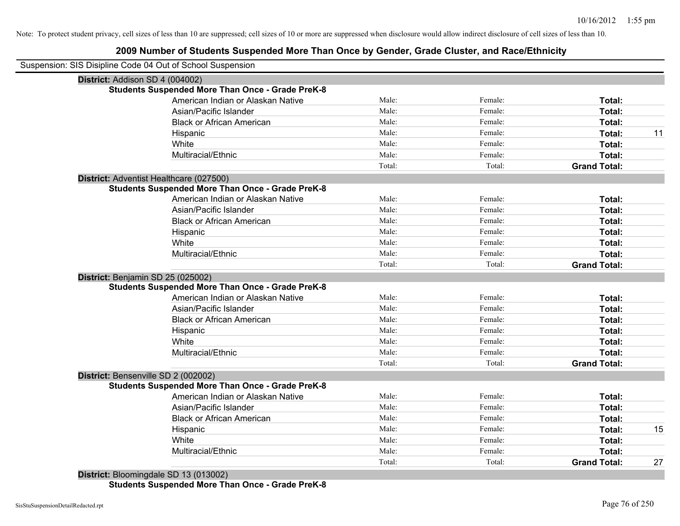## **2009 Number of Students Suspended More Than Once by Gender, Grade Cluster, and Race/Ethnicity**

|                                 | Suspension: SIS Disipline Code 04 Out of School Suspension |        |         |                     |
|---------------------------------|------------------------------------------------------------|--------|---------|---------------------|
| District: Addison SD 4 (004002) |                                                            |        |         |                     |
|                                 | <b>Students Suspended More Than Once - Grade PreK-8</b>    |        |         |                     |
|                                 | American Indian or Alaskan Native                          | Male:  | Female: | Total:              |
|                                 | Asian/Pacific Islander                                     | Male:  | Female: | Total:              |
|                                 | <b>Black or African American</b>                           | Male:  | Female: | Total:              |
|                                 | Hispanic                                                   | Male:  | Female: | Total:              |
|                                 | White                                                      | Male:  | Female: | Total:              |
|                                 | Multiracial/Ethnic                                         | Male:  | Female: | Total:              |
|                                 |                                                            | Total: | Total:  | <b>Grand Total:</b> |
|                                 | District: Adventist Healthcare (027500)                    |        |         |                     |
|                                 | <b>Students Suspended More Than Once - Grade PreK-8</b>    |        |         |                     |
|                                 | American Indian or Alaskan Native                          | Male:  | Female: | Total:              |
|                                 | Asian/Pacific Islander                                     | Male:  | Female: | Total:              |
|                                 | <b>Black or African American</b>                           | Male:  | Female: | Total:              |
|                                 | Hispanic                                                   | Male:  | Female: | Total:              |
|                                 | White                                                      | Male:  | Female: | Total:              |
|                                 | Multiracial/Ethnic                                         | Male:  | Female: | Total:              |
|                                 |                                                            | Total: | Total:  | <b>Grand Total:</b> |
|                                 | District: Benjamin SD 25 (025002)                          |        |         |                     |
|                                 | <b>Students Suspended More Than Once - Grade PreK-8</b>    |        |         |                     |
|                                 | American Indian or Alaskan Native                          | Male:  | Female: | Total:              |
|                                 | Asian/Pacific Islander                                     | Male:  | Female: | Total:              |
|                                 | <b>Black or African American</b>                           | Male:  | Female: | Total:              |
|                                 | Hispanic                                                   | Male:  | Female: | Total:              |
|                                 | White                                                      | Male:  | Female: | Total:              |
|                                 | Multiracial/Ethnic                                         | Male:  | Female: | Total:              |
|                                 |                                                            | Total: | Total:  | <b>Grand Total:</b> |
|                                 | District: Bensenville SD 2 (002002)                        |        |         |                     |
|                                 | <b>Students Suspended More Than Once - Grade PreK-8</b>    |        |         |                     |
|                                 | American Indian or Alaskan Native                          | Male:  | Female: | Total:              |
|                                 | Asian/Pacific Islander                                     | Male:  | Female: | Total:              |
|                                 | <b>Black or African American</b>                           | Male:  | Female: | Total:              |
|                                 | Hispanic                                                   | Male:  | Female: | Total:              |
|                                 | White                                                      | Male:  | Female: | Total:              |
|                                 | Multiracial/Ethnic                                         | Male:  | Female: | Total:              |
|                                 |                                                            |        | Total:  | <b>Grand Total:</b> |

**Students Suspended More Than Once - Grade PreK-8**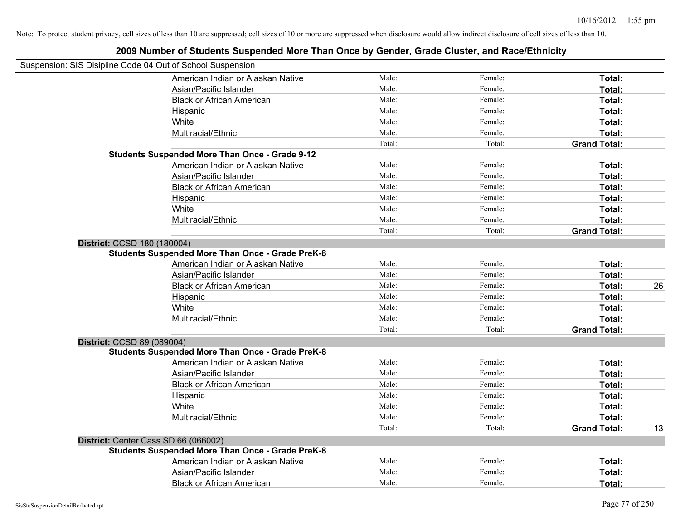|                             | Suspension: SIS Disipline Code 04 Out of School Suspension |        |         |                     |    |
|-----------------------------|------------------------------------------------------------|--------|---------|---------------------|----|
|                             | American Indian or Alaskan Native                          | Male:  | Female: | Total:              |    |
|                             | Asian/Pacific Islander                                     | Male:  | Female: | Total:              |    |
|                             | <b>Black or African American</b>                           | Male:  | Female: | Total:              |    |
|                             | Hispanic                                                   | Male:  | Female: | Total:              |    |
|                             | White                                                      | Male:  | Female: | Total:              |    |
|                             | Multiracial/Ethnic                                         | Male:  | Female: | Total:              |    |
|                             |                                                            | Total: | Total:  | <b>Grand Total:</b> |    |
|                             | <b>Students Suspended More Than Once - Grade 9-12</b>      |        |         |                     |    |
|                             | American Indian or Alaskan Native                          | Male:  | Female: | Total:              |    |
|                             | Asian/Pacific Islander                                     | Male:  | Female: | Total:              |    |
|                             | <b>Black or African American</b>                           | Male:  | Female: | Total:              |    |
|                             | Hispanic                                                   | Male:  | Female: | Total:              |    |
|                             | White                                                      | Male:  | Female: | Total:              |    |
|                             | Multiracial/Ethnic                                         | Male:  | Female: | Total:              |    |
|                             |                                                            | Total: | Total:  | <b>Grand Total:</b> |    |
| District: CCSD 180 (180004) |                                                            |        |         |                     |    |
|                             | <b>Students Suspended More Than Once - Grade PreK-8</b>    |        |         |                     |    |
|                             | American Indian or Alaskan Native                          | Male:  | Female: | Total:              |    |
|                             | Asian/Pacific Islander                                     | Male:  | Female: | Total:              |    |
|                             | <b>Black or African American</b>                           | Male:  | Female: | Total:              | 26 |
|                             | Hispanic                                                   | Male:  | Female: | Total:              |    |
|                             | White                                                      | Male:  | Female: | Total:              |    |
|                             | Multiracial/Ethnic                                         | Male:  | Female: | Total:              |    |
|                             |                                                            | Total: | Total:  | <b>Grand Total:</b> |    |
| District: CCSD 89 (089004)  |                                                            |        |         |                     |    |
|                             | <b>Students Suspended More Than Once - Grade PreK-8</b>    |        |         |                     |    |
|                             | American Indian or Alaskan Native                          | Male:  | Female: | Total:              |    |
|                             | Asian/Pacific Islander                                     | Male:  | Female: | Total:              |    |
|                             | <b>Black or African American</b>                           | Male:  | Female: | Total:              |    |
|                             | Hispanic                                                   | Male:  | Female: | Total:              |    |
|                             | White                                                      | Male:  | Female: | Total:              |    |
|                             | Multiracial/Ethnic                                         | Male:  | Female: | Total:              |    |
|                             |                                                            | Total: | Total:  | <b>Grand Total:</b> | 13 |
|                             | District: Center Cass SD 66 (066002)                       |        |         |                     |    |
|                             | <b>Students Suspended More Than Once - Grade PreK-8</b>    |        |         |                     |    |
|                             | American Indian or Alaskan Native                          | Male:  | Female: | Total:              |    |
|                             | Asian/Pacific Islander                                     | Male:  | Female: | Total:              |    |
|                             | <b>Black or African American</b>                           | Male:  | Female: | Total:              |    |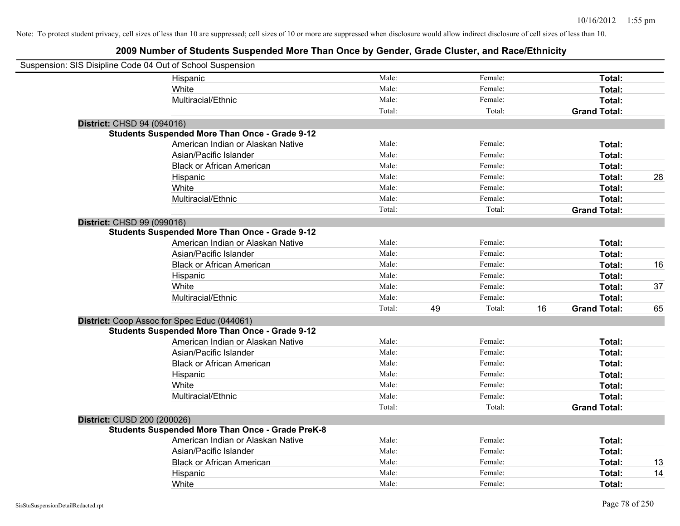| Suspension: SIS Disipline Code 04 Out of School Suspension |                                                         |        |    |         |    |                     |    |
|------------------------------------------------------------|---------------------------------------------------------|--------|----|---------|----|---------------------|----|
|                                                            | Hispanic                                                | Male:  |    | Female: |    | Total:              |    |
|                                                            | White                                                   | Male:  |    | Female: |    | Total:              |    |
|                                                            | Multiracial/Ethnic                                      | Male:  |    | Female: |    | Total:              |    |
|                                                            |                                                         | Total: |    | Total:  |    | <b>Grand Total:</b> |    |
| District: CHSD 94 (094016)                                 |                                                         |        |    |         |    |                     |    |
|                                                            | <b>Students Suspended More Than Once - Grade 9-12</b>   |        |    |         |    |                     |    |
|                                                            | American Indian or Alaskan Native                       | Male:  |    | Female: |    | Total:              |    |
|                                                            | Asian/Pacific Islander                                  | Male:  |    | Female: |    | Total:              |    |
|                                                            | <b>Black or African American</b>                        | Male:  |    | Female: |    | Total:              |    |
|                                                            | Hispanic                                                | Male:  |    | Female: |    | Total:              | 28 |
|                                                            | White                                                   | Male:  |    | Female: |    | Total:              |    |
|                                                            | Multiracial/Ethnic                                      | Male:  |    | Female: |    | Total:              |    |
|                                                            |                                                         | Total: |    | Total:  |    | <b>Grand Total:</b> |    |
| District: CHSD 99 (099016)                                 |                                                         |        |    |         |    |                     |    |
|                                                            | <b>Students Suspended More Than Once - Grade 9-12</b>   |        |    |         |    |                     |    |
|                                                            | American Indian or Alaskan Native                       | Male:  |    | Female: |    | Total:              |    |
|                                                            | Asian/Pacific Islander                                  | Male:  |    | Female: |    | Total:              |    |
|                                                            | <b>Black or African American</b>                        | Male:  |    | Female: |    | Total:              | 16 |
|                                                            | Hispanic                                                | Male:  |    | Female: |    | Total:              |    |
|                                                            | White                                                   | Male:  |    | Female: |    | Total:              | 37 |
|                                                            | Multiracial/Ethnic                                      | Male:  |    | Female: |    | Total:              |    |
|                                                            |                                                         | Total: | 49 | Total:  | 16 | <b>Grand Total:</b> | 65 |
|                                                            | District: Coop Assoc for Spec Educ (044061)             |        |    |         |    |                     |    |
|                                                            | <b>Students Suspended More Than Once - Grade 9-12</b>   |        |    |         |    |                     |    |
|                                                            | American Indian or Alaskan Native                       | Male:  |    | Female: |    | Total:              |    |
|                                                            | Asian/Pacific Islander                                  | Male:  |    | Female: |    | Total:              |    |
|                                                            | <b>Black or African American</b>                        | Male:  |    | Female: |    | Total:              |    |
|                                                            | Hispanic                                                | Male:  |    | Female: |    | Total:              |    |
|                                                            | White                                                   | Male:  |    | Female: |    | Total:              |    |
|                                                            | Multiracial/Ethnic                                      | Male:  |    | Female: |    | Total:              |    |
|                                                            |                                                         | Total: |    | Total:  |    | <b>Grand Total:</b> |    |
| District: CUSD 200 (200026)                                |                                                         |        |    |         |    |                     |    |
|                                                            | <b>Students Suspended More Than Once - Grade PreK-8</b> |        |    |         |    |                     |    |
|                                                            | American Indian or Alaskan Native                       | Male:  |    | Female: |    | Total:              |    |
|                                                            | Asian/Pacific Islander                                  | Male:  |    | Female: |    | Total:              |    |
|                                                            | <b>Black or African American</b>                        | Male:  |    | Female: |    | Total:              | 13 |
|                                                            | Hispanic                                                | Male:  |    | Female: |    | Total:              | 14 |
|                                                            | White                                                   | Male:  |    | Female: |    | Total:              |    |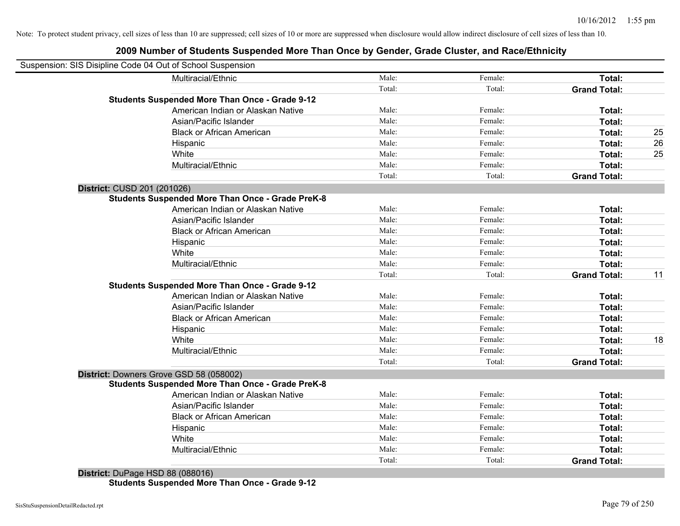## **2009 Number of Students Suspended More Than Once by Gender, Grade Cluster, and Race/Ethnicity**

| Suspension: SIS Disipline Code 04 Out of School Suspension |        |         |                     |    |
|------------------------------------------------------------|--------|---------|---------------------|----|
| Multiracial/Ethnic                                         | Male:  | Female: | Total:              |    |
|                                                            | Total: | Total:  | <b>Grand Total:</b> |    |
| <b>Students Suspended More Than Once - Grade 9-12</b>      |        |         |                     |    |
| American Indian or Alaskan Native                          | Male:  | Female: | Total:              |    |
| Asian/Pacific Islander                                     | Male:  | Female: | Total:              |    |
| <b>Black or African American</b>                           | Male:  | Female: | Total:              | 25 |
| Hispanic                                                   | Male:  | Female: | Total:              | 26 |
| White                                                      | Male:  | Female: | Total:              | 25 |
| Multiracial/Ethnic                                         | Male:  | Female: | Total:              |    |
|                                                            | Total: | Total:  | <b>Grand Total:</b> |    |
| District: CUSD 201 (201026)                                |        |         |                     |    |
| <b>Students Suspended More Than Once - Grade PreK-8</b>    |        |         |                     |    |
| American Indian or Alaskan Native                          | Male:  | Female: | Total:              |    |
| Asian/Pacific Islander                                     | Male:  | Female: | Total:              |    |
| <b>Black or African American</b>                           | Male:  | Female: | Total:              |    |
| Hispanic                                                   | Male:  | Female: | Total:              |    |
| White                                                      | Male:  | Female: | Total:              |    |
| Multiracial/Ethnic                                         | Male:  | Female: | Total:              |    |
|                                                            | Total: | Total:  | <b>Grand Total:</b> | 11 |
| <b>Students Suspended More Than Once - Grade 9-12</b>      |        |         |                     |    |
| American Indian or Alaskan Native                          | Male:  | Female: | Total:              |    |
| Asian/Pacific Islander                                     | Male:  | Female: | Total:              |    |
| <b>Black or African American</b>                           | Male:  | Female: | Total:              |    |
| Hispanic                                                   | Male:  | Female: | Total:              |    |
| White                                                      | Male:  | Female: | Total:              | 18 |
| Multiracial/Ethnic                                         | Male:  | Female: | Total:              |    |
|                                                            | Total: | Total:  | <b>Grand Total:</b> |    |
| District: Downers Grove GSD 58 (058002)                    |        |         |                     |    |
| <b>Students Suspended More Than Once - Grade PreK-8</b>    |        |         |                     |    |
| American Indian or Alaskan Native                          | Male:  | Female: | Total:              |    |
| Asian/Pacific Islander                                     | Male:  | Female: | Total:              |    |
| <b>Black or African American</b>                           | Male:  | Female: | Total:              |    |
| Hispanic                                                   | Male:  | Female: | Total:              |    |
| White                                                      | Male:  | Female: | Total:              |    |
| Multiracial/Ethnic                                         | Male:  | Female: | Total:              |    |
|                                                            | Total: | Total:  | <b>Grand Total:</b> |    |
| $B: 4:1:4.$ $D: 5:4:110D: 00$ (000040)                     |        |         |                     |    |

**District:** DuPage HSD 88 (088016) **Students Suspended More Than Once - Grade 9-12**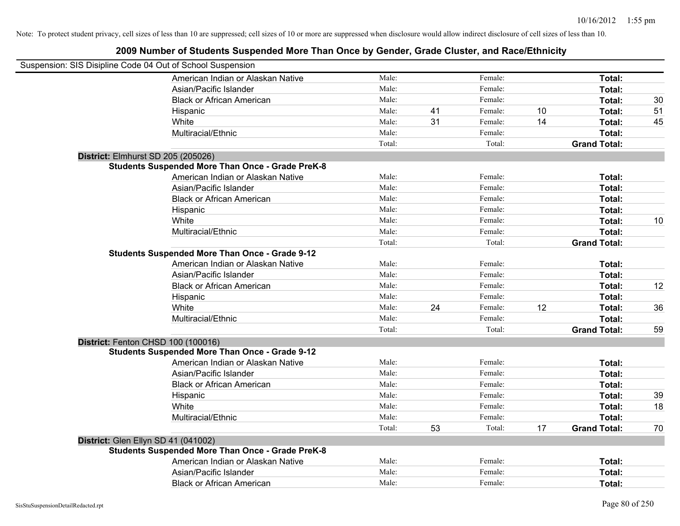| Suspension: SIS Disipline Code 04 Out of School Suspension |                                                         |        |    |         |    |                     |    |
|------------------------------------------------------------|---------------------------------------------------------|--------|----|---------|----|---------------------|----|
|                                                            | American Indian or Alaskan Native                       | Male:  |    | Female: |    | Total:              |    |
|                                                            | Asian/Pacific Islander                                  | Male:  |    | Female: |    | Total:              |    |
|                                                            | <b>Black or African American</b>                        | Male:  |    | Female: |    | Total:              | 30 |
|                                                            | Hispanic                                                | Male:  | 41 | Female: | 10 | Total:              | 51 |
|                                                            | White                                                   | Male:  | 31 | Female: | 14 | Total:              | 45 |
|                                                            | Multiracial/Ethnic                                      | Male:  |    | Female: |    | Total:              |    |
|                                                            |                                                         | Total: |    | Total:  |    | <b>Grand Total:</b> |    |
| District: Elmhurst SD 205 (205026)                         |                                                         |        |    |         |    |                     |    |
|                                                            | <b>Students Suspended More Than Once - Grade PreK-8</b> |        |    |         |    |                     |    |
|                                                            | American Indian or Alaskan Native                       | Male:  |    | Female: |    | Total:              |    |
|                                                            | Asian/Pacific Islander                                  | Male:  |    | Female: |    | Total:              |    |
|                                                            | <b>Black or African American</b>                        | Male:  |    | Female: |    | Total:              |    |
|                                                            | Hispanic                                                | Male:  |    | Female: |    | Total:              |    |
|                                                            | White                                                   | Male:  |    | Female: |    | <b>Total:</b>       | 10 |
|                                                            | Multiracial/Ethnic                                      | Male:  |    | Female: |    | Total:              |    |
|                                                            |                                                         | Total: |    | Total:  |    | <b>Grand Total:</b> |    |
|                                                            | <b>Students Suspended More Than Once - Grade 9-12</b>   |        |    |         |    |                     |    |
|                                                            | American Indian or Alaskan Native                       | Male:  |    | Female: |    | Total:              |    |
|                                                            | Asian/Pacific Islander                                  | Male:  |    | Female: |    | Total:              |    |
|                                                            | <b>Black or African American</b>                        | Male:  |    | Female: |    | Total:              | 12 |
|                                                            | Hispanic                                                | Male:  |    | Female: |    | Total:              |    |
|                                                            | White                                                   | Male:  | 24 | Female: | 12 | Total:              | 36 |
|                                                            | Multiracial/Ethnic                                      | Male:  |    | Female: |    | Total:              |    |
|                                                            |                                                         | Total: |    | Total:  |    | <b>Grand Total:</b> | 59 |
| District: Fenton CHSD 100 (100016)                         |                                                         |        |    |         |    |                     |    |
|                                                            | <b>Students Suspended More Than Once - Grade 9-12</b>   |        |    |         |    |                     |    |
|                                                            | American Indian or Alaskan Native                       | Male:  |    | Female: |    | Total:              |    |
|                                                            | Asian/Pacific Islander                                  | Male:  |    | Female: |    | Total:              |    |
|                                                            | <b>Black or African American</b>                        | Male:  |    | Female: |    | Total:              |    |
|                                                            | Hispanic                                                | Male:  |    | Female: |    | Total:              | 39 |
|                                                            | White                                                   | Male:  |    | Female: |    | Total:              | 18 |
|                                                            | Multiracial/Ethnic                                      | Male:  |    | Female: |    | Total:              |    |
|                                                            |                                                         | Total: | 53 | Total:  | 17 | <b>Grand Total:</b> | 70 |
| District: Glen Ellyn SD 41 (041002)                        |                                                         |        |    |         |    |                     |    |
|                                                            | <b>Students Suspended More Than Once - Grade PreK-8</b> |        |    |         |    |                     |    |
|                                                            | American Indian or Alaskan Native                       | Male:  |    | Female: |    | Total:              |    |
|                                                            | Asian/Pacific Islander                                  | Male:  |    | Female: |    | <b>Total:</b>       |    |
|                                                            | <b>Black or African American</b>                        | Male:  |    | Female: |    | Total:              |    |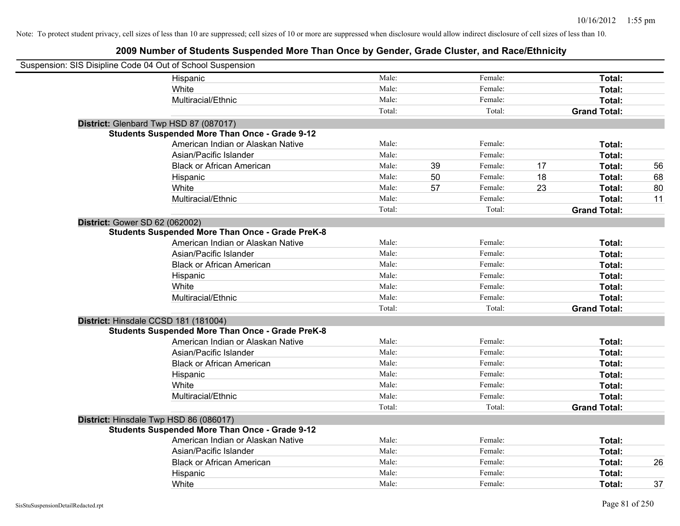| Suspension: SIS Disipline Code 04 Out of School Suspension |        |    |         |    |                     |    |
|------------------------------------------------------------|--------|----|---------|----|---------------------|----|
| Hispanic                                                   | Male:  |    | Female: |    | Total:              |    |
| White                                                      | Male:  |    | Female: |    | Total:              |    |
| Multiracial/Ethnic                                         | Male:  |    | Female: |    | Total:              |    |
|                                                            | Total: |    | Total:  |    | <b>Grand Total:</b> |    |
| District: Glenbard Twp HSD 87 (087017)                     |        |    |         |    |                     |    |
| <b>Students Suspended More Than Once - Grade 9-12</b>      |        |    |         |    |                     |    |
| American Indian or Alaskan Native                          | Male:  |    | Female: |    | Total:              |    |
| Asian/Pacific Islander                                     | Male:  |    | Female: |    | Total:              |    |
| <b>Black or African American</b>                           | Male:  | 39 | Female: | 17 | Total:              | 56 |
| Hispanic                                                   | Male:  | 50 | Female: | 18 | Total:              | 68 |
| White                                                      | Male:  | 57 | Female: | 23 | Total:              | 80 |
| Multiracial/Ethnic                                         | Male:  |    | Female: |    | Total:              | 11 |
|                                                            | Total: |    | Total:  |    | <b>Grand Total:</b> |    |
| <b>District: Gower SD 62 (062002)</b>                      |        |    |         |    |                     |    |
| <b>Students Suspended More Than Once - Grade PreK-8</b>    |        |    |         |    |                     |    |
| American Indian or Alaskan Native                          | Male:  |    | Female: |    | Total:              |    |
| Asian/Pacific Islander                                     | Male:  |    | Female: |    | Total:              |    |
| <b>Black or African American</b>                           | Male:  |    | Female: |    | Total:              |    |
| Hispanic                                                   | Male:  |    | Female: |    | Total:              |    |
| White                                                      | Male:  |    | Female: |    | Total:              |    |
| Multiracial/Ethnic                                         | Male:  |    | Female: |    | Total:              |    |
|                                                            | Total: |    | Total:  |    | <b>Grand Total:</b> |    |
| District: Hinsdale CCSD 181 (181004)                       |        |    |         |    |                     |    |
| <b>Students Suspended More Than Once - Grade PreK-8</b>    |        |    |         |    |                     |    |
| American Indian or Alaskan Native                          | Male:  |    | Female: |    | Total:              |    |
| Asian/Pacific Islander                                     | Male:  |    | Female: |    | Total:              |    |
| <b>Black or African American</b>                           | Male:  |    | Female: |    | Total:              |    |
| Hispanic                                                   | Male:  |    | Female: |    | Total:              |    |
| White                                                      | Male:  |    | Female: |    | Total:              |    |
| Multiracial/Ethnic                                         | Male:  |    | Female: |    | Total:              |    |
|                                                            | Total: |    | Total:  |    | <b>Grand Total:</b> |    |
| District: Hinsdale Twp HSD 86 (086017)                     |        |    |         |    |                     |    |
| <b>Students Suspended More Than Once - Grade 9-12</b>      |        |    |         |    |                     |    |
| American Indian or Alaskan Native                          | Male:  |    | Female: |    | Total:              |    |
| Asian/Pacific Islander                                     | Male:  |    | Female: |    | Total:              |    |
| <b>Black or African American</b>                           | Male:  |    | Female: |    | Total:              | 26 |
| Hispanic                                                   | Male:  |    | Female: |    | Total:              |    |
| White                                                      | Male:  |    | Female: |    | Total:              | 37 |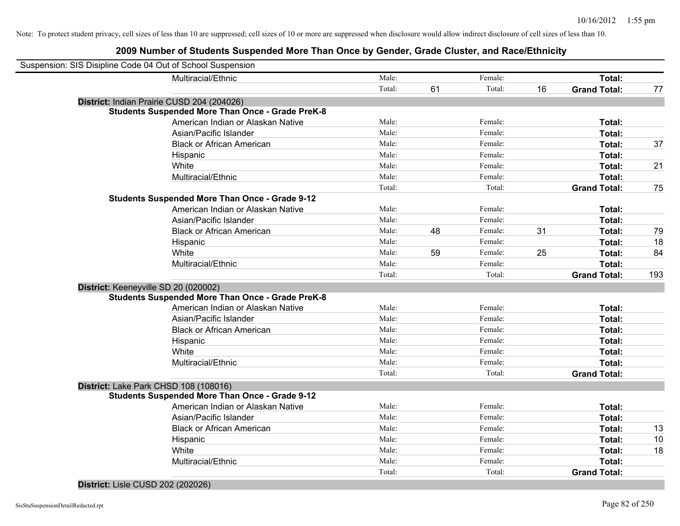## **2009 Number of Students Suspended More Than Once by Gender, Grade Cluster, and Race/Ethnicity**

|                                      | Suspension: SIS Disipline Code 04 Out of School Suspension |        |    |         |    |                     |     |
|--------------------------------------|------------------------------------------------------------|--------|----|---------|----|---------------------|-----|
|                                      | Multiracial/Ethnic                                         | Male:  |    | Female: |    | Total:              |     |
|                                      |                                                            | Total: | 61 | Total:  | 16 | <b>Grand Total:</b> | 77  |
|                                      | District: Indian Prairie CUSD 204 (204026)                 |        |    |         |    |                     |     |
|                                      | <b>Students Suspended More Than Once - Grade PreK-8</b>    |        |    |         |    |                     |     |
|                                      | American Indian or Alaskan Native                          | Male:  |    | Female: |    | Total:              |     |
|                                      | Asian/Pacific Islander                                     | Male:  |    | Female: |    | Total:              |     |
|                                      | <b>Black or African American</b>                           | Male:  |    | Female: |    | Total:              | 37  |
|                                      | Hispanic                                                   | Male:  |    | Female: |    | Total:              |     |
|                                      | White                                                      | Male:  |    | Female: |    | Total:              | 21  |
|                                      | Multiracial/Ethnic                                         | Male:  |    | Female: |    | Total:              |     |
|                                      |                                                            | Total: |    | Total:  |    | <b>Grand Total:</b> | 75  |
|                                      | <b>Students Suspended More Than Once - Grade 9-12</b>      |        |    |         |    |                     |     |
|                                      | American Indian or Alaskan Native                          | Male:  |    | Female: |    | Total:              |     |
|                                      | Asian/Pacific Islander                                     | Male:  |    | Female: |    | Total:              |     |
|                                      | <b>Black or African American</b>                           | Male:  | 48 | Female: | 31 | Total:              | 79  |
|                                      | Hispanic                                                   | Male:  |    | Female: |    | Total:              | 18  |
|                                      | White                                                      | Male:  | 59 | Female: | 25 | Total:              | 84  |
|                                      | Multiracial/Ethnic                                         | Male:  |    | Female: |    | Total:              |     |
|                                      |                                                            | Total: |    | Total:  |    | <b>Grand Total:</b> | 193 |
| District: Keeneyville SD 20 (020002) |                                                            |        |    |         |    |                     |     |
|                                      | <b>Students Suspended More Than Once - Grade PreK-8</b>    |        |    |         |    |                     |     |
|                                      | American Indian or Alaskan Native                          | Male:  |    | Female: |    | Total:              |     |
|                                      | Asian/Pacific Islander                                     | Male:  |    | Female: |    | Total:              |     |
|                                      | <b>Black or African American</b>                           | Male:  |    | Female: |    | Total:              |     |
|                                      | Hispanic                                                   | Male:  |    | Female: |    | Total:              |     |
|                                      | White                                                      | Male:  |    | Female: |    | Total:              |     |
|                                      | Multiracial/Ethnic                                         | Male:  |    | Female: |    | <b>Total:</b>       |     |
|                                      |                                                            | Total: |    | Total:  |    | <b>Grand Total:</b> |     |
|                                      | District: Lake Park CHSD 108 (108016)                      |        |    |         |    |                     |     |
|                                      | <b>Students Suspended More Than Once - Grade 9-12</b>      |        |    |         |    |                     |     |
|                                      | American Indian or Alaskan Native                          | Male:  |    | Female: |    | Total:              |     |
|                                      | Asian/Pacific Islander                                     | Male:  |    | Female: |    | Total:              |     |
|                                      | <b>Black or African American</b>                           | Male:  |    | Female: |    | Total:              | 13  |
|                                      | Hispanic                                                   | Male:  |    | Female: |    | Total:              | 10  |
|                                      | White                                                      | Male:  |    | Female: |    | Total:              | 18  |
|                                      | Multiracial/Ethnic                                         | Male:  |    | Female: |    | Total:              |     |
|                                      |                                                            | Total: |    | Total:  |    | <b>Grand Total:</b> |     |
|                                      |                                                            |        |    |         |    |                     |     |

**District:** Lisle CUSD 202 (202026)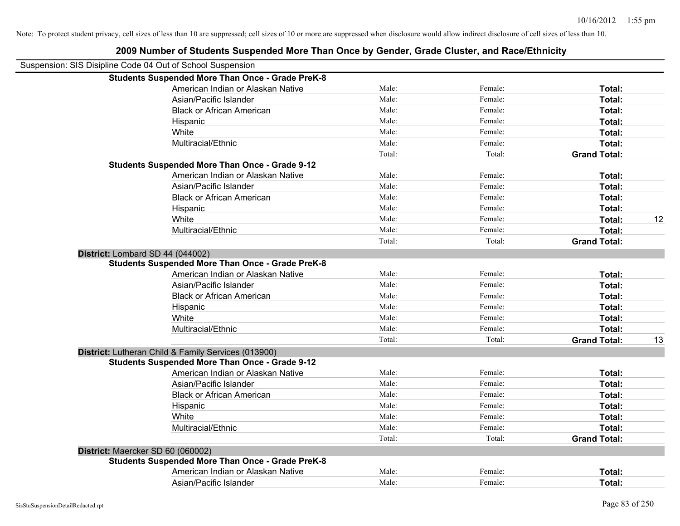| Suspension: SIS Disipline Code 04 Out of School Suspension |        |         |                     |    |
|------------------------------------------------------------|--------|---------|---------------------|----|
| <b>Students Suspended More Than Once - Grade PreK-8</b>    |        |         |                     |    |
| American Indian or Alaskan Native                          | Male:  | Female: | Total:              |    |
| Asian/Pacific Islander                                     | Male:  | Female: | Total:              |    |
| <b>Black or African American</b>                           | Male:  | Female: | Total:              |    |
| Hispanic                                                   | Male:  | Female: | Total:              |    |
| White                                                      | Male:  | Female: | Total:              |    |
| Multiracial/Ethnic                                         | Male:  | Female: | Total:              |    |
|                                                            | Total: | Total:  | <b>Grand Total:</b> |    |
| <b>Students Suspended More Than Once - Grade 9-12</b>      |        |         |                     |    |
| American Indian or Alaskan Native                          | Male:  | Female: | Total:              |    |
| Asian/Pacific Islander                                     | Male:  | Female: | Total:              |    |
| <b>Black or African American</b>                           | Male:  | Female: | Total:              |    |
| Hispanic                                                   | Male:  | Female: | Total:              |    |
| White                                                      | Male:  | Female: | Total:              | 12 |
| Multiracial/Ethnic                                         | Male:  | Female: | Total:              |    |
|                                                            | Total: | Total:  | <b>Grand Total:</b> |    |
| District: Lombard SD 44 (044002)                           |        |         |                     |    |
| <b>Students Suspended More Than Once - Grade PreK-8</b>    |        |         |                     |    |
| American Indian or Alaskan Native                          | Male:  | Female: | Total:              |    |
| Asian/Pacific Islander                                     | Male:  | Female: | Total:              |    |
| <b>Black or African American</b>                           | Male:  | Female: | Total:              |    |
| Hispanic                                                   | Male:  | Female: | Total:              |    |
| White                                                      | Male:  | Female: | Total:              |    |
| Multiracial/Ethnic                                         | Male:  | Female: | Total:              |    |
|                                                            | Total: | Total:  | <b>Grand Total:</b> | 13 |
| District: Lutheran Child & Family Services (013900)        |        |         |                     |    |
| <b>Students Suspended More Than Once - Grade 9-12</b>      |        |         |                     |    |
| American Indian or Alaskan Native                          | Male:  | Female: | Total:              |    |
| Asian/Pacific Islander                                     | Male:  | Female: | Total:              |    |
| <b>Black or African American</b>                           | Male:  | Female: | Total:              |    |
| Hispanic                                                   | Male:  | Female: | Total:              |    |
| White                                                      | Male:  | Female: | Total:              |    |
| Multiracial/Ethnic                                         | Male:  | Female: | Total:              |    |
|                                                            | Total: | Total:  | <b>Grand Total:</b> |    |
| District: Maercker SD 60 (060002)                          |        |         |                     |    |
| <b>Students Suspended More Than Once - Grade PreK-8</b>    |        |         |                     |    |
| American Indian or Alaskan Native                          | Male:  | Female: | Total:              |    |
| Asian/Pacific Islander                                     | Male:  | Female: | Total:              |    |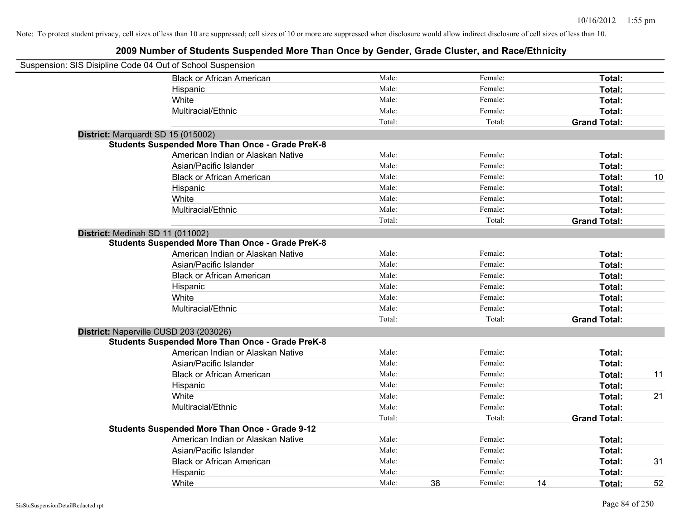| Suspension: SIS Disipline Code 04 Out of School Suspension |                                                         |        |               |                     |    |
|------------------------------------------------------------|---------------------------------------------------------|--------|---------------|---------------------|----|
|                                                            | <b>Black or African American</b>                        | Male:  | Female:       | Total:              |    |
|                                                            | Hispanic                                                | Male:  | Female:       | Total:              |    |
|                                                            | White                                                   | Male:  | Female:       | Total:              |    |
|                                                            | Multiracial/Ethnic                                      | Male:  | Female:       | Total:              |    |
|                                                            |                                                         | Total: | Total:        | <b>Grand Total:</b> |    |
| District: Marquardt SD 15 (015002)                         |                                                         |        |               |                     |    |
|                                                            | <b>Students Suspended More Than Once - Grade PreK-8</b> |        |               |                     |    |
|                                                            | American Indian or Alaskan Native                       | Male:  | Female:       | Total:              |    |
|                                                            | Asian/Pacific Islander                                  | Male:  | Female:       | Total:              |    |
|                                                            | <b>Black or African American</b>                        | Male:  | Female:       | Total:              | 10 |
|                                                            | Hispanic                                                | Male:  | Female:       | Total:              |    |
|                                                            | White                                                   | Male:  | Female:       | Total:              |    |
|                                                            | Multiracial/Ethnic                                      | Male:  | Female:       | Total:              |    |
|                                                            |                                                         | Total: | Total:        | <b>Grand Total:</b> |    |
| District: Medinah SD 11 (011002)                           |                                                         |        |               |                     |    |
|                                                            | <b>Students Suspended More Than Once - Grade PreK-8</b> |        |               |                     |    |
|                                                            | American Indian or Alaskan Native                       | Male:  | Female:       | Total:              |    |
|                                                            | Asian/Pacific Islander                                  | Male:  | Female:       | Total:              |    |
|                                                            | <b>Black or African American</b>                        | Male:  | Female:       | Total:              |    |
|                                                            | Hispanic                                                | Male:  | Female:       | Total:              |    |
|                                                            | White                                                   | Male:  | Female:       | Total:              |    |
|                                                            | Multiracial/Ethnic                                      | Male:  | Female:       | Total:              |    |
|                                                            |                                                         | Total: | Total:        | <b>Grand Total:</b> |    |
| District: Naperville CUSD 203 (203026)                     |                                                         |        |               |                     |    |
|                                                            | <b>Students Suspended More Than Once - Grade PreK-8</b> |        |               |                     |    |
|                                                            | American Indian or Alaskan Native                       | Male:  | Female:       | Total:              |    |
|                                                            | Asian/Pacific Islander                                  | Male:  | Female:       | Total:              |    |
|                                                            | <b>Black or African American</b>                        | Male:  | Female:       | Total:              | 11 |
|                                                            | Hispanic                                                | Male:  | Female:       | Total:              |    |
|                                                            | White                                                   | Male:  | Female:       | Total:              | 21 |
|                                                            | Multiracial/Ethnic                                      | Male:  | Female:       | Total:              |    |
|                                                            |                                                         | Total: | Total:        | <b>Grand Total:</b> |    |
|                                                            | Students Suspended More Than Once - Grade 9-12          |        |               |                     |    |
|                                                            | American Indian or Alaskan Native                       | Male:  | Female:       | Total:              |    |
|                                                            | Asian/Pacific Islander                                  | Male:  | Female:       | Total:              |    |
|                                                            | <b>Black or African American</b>                        | Male:  | Female:       | Total:              | 31 |
|                                                            | Hispanic                                                | Male:  | Female:       | Total:              |    |
|                                                            | White                                                   | Male:  | 38<br>Female: | 14<br>Total:        | 52 |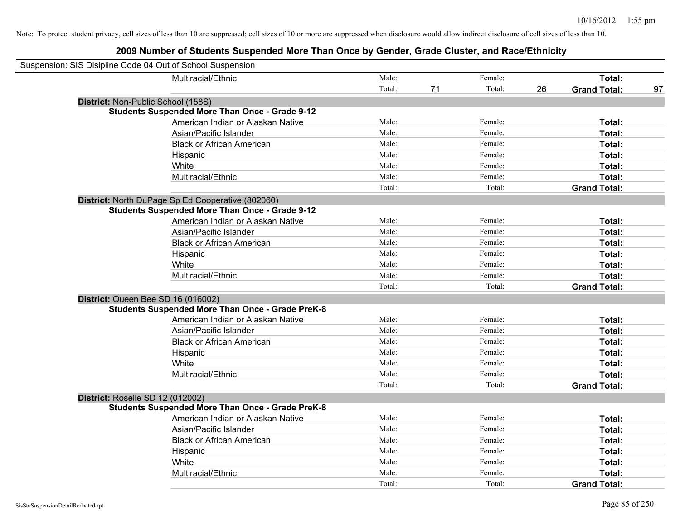| Suspension: SIS Disipline Code 04 Out of School Suspension |                                                         |        |    |         |    |                     |    |
|------------------------------------------------------------|---------------------------------------------------------|--------|----|---------|----|---------------------|----|
|                                                            | Multiracial/Ethnic                                      | Male:  |    | Female: |    | Total:              |    |
|                                                            |                                                         | Total: | 71 | Total:  | 26 | <b>Grand Total:</b> | 97 |
| District: Non-Public School (158S)                         |                                                         |        |    |         |    |                     |    |
|                                                            | <b>Students Suspended More Than Once - Grade 9-12</b>   |        |    |         |    |                     |    |
|                                                            | American Indian or Alaskan Native                       | Male:  |    | Female: |    | Total:              |    |
|                                                            | Asian/Pacific Islander                                  | Male:  |    | Female: |    | Total:              |    |
|                                                            | <b>Black or African American</b>                        | Male:  |    | Female: |    | Total:              |    |
|                                                            | Hispanic                                                | Male:  |    | Female: |    | Total:              |    |
|                                                            | White                                                   | Male:  |    | Female: |    | Total:              |    |
|                                                            | Multiracial/Ethnic                                      | Male:  |    | Female: |    | Total:              |    |
|                                                            |                                                         | Total: |    | Total:  |    | <b>Grand Total:</b> |    |
|                                                            | District: North DuPage Sp Ed Cooperative (802060)       |        |    |         |    |                     |    |
|                                                            | <b>Students Suspended More Than Once - Grade 9-12</b>   |        |    |         |    |                     |    |
|                                                            | American Indian or Alaskan Native                       | Male:  |    | Female: |    | Total:              |    |
|                                                            | Asian/Pacific Islander                                  | Male:  |    | Female: |    | Total:              |    |
|                                                            | <b>Black or African American</b>                        | Male:  |    | Female: |    | Total:              |    |
|                                                            | Hispanic                                                | Male:  |    | Female: |    | Total:              |    |
|                                                            | White                                                   | Male:  |    | Female: |    | Total:              |    |
|                                                            | Multiracial/Ethnic                                      | Male:  |    | Female: |    | Total:              |    |
|                                                            |                                                         | Total: |    | Total:  |    | <b>Grand Total:</b> |    |
| District: Queen Bee SD 16 (016002)                         |                                                         |        |    |         |    |                     |    |
|                                                            | <b>Students Suspended More Than Once - Grade PreK-8</b> |        |    |         |    |                     |    |
|                                                            | American Indian or Alaskan Native                       | Male:  |    | Female: |    | Total:              |    |
|                                                            | Asian/Pacific Islander                                  | Male:  |    | Female: |    | Total:              |    |
|                                                            | <b>Black or African American</b>                        | Male:  |    | Female: |    | Total:              |    |
|                                                            | Hispanic                                                | Male:  |    | Female: |    | Total:              |    |
|                                                            | White                                                   | Male:  |    | Female: |    | Total:              |    |
|                                                            | Multiracial/Ethnic                                      | Male:  |    | Female: |    | Total:              |    |
|                                                            |                                                         | Total: |    | Total:  |    | <b>Grand Total:</b> |    |
| District: Roselle SD 12 (012002)                           |                                                         |        |    |         |    |                     |    |
|                                                            | <b>Students Suspended More Than Once - Grade PreK-8</b> |        |    |         |    |                     |    |
|                                                            | American Indian or Alaskan Native                       | Male:  |    | Female: |    | Total:              |    |
|                                                            | Asian/Pacific Islander                                  | Male:  |    | Female: |    | Total:              |    |
|                                                            | <b>Black or African American</b>                        | Male:  |    | Female: |    | Total:              |    |
|                                                            | Hispanic                                                | Male:  |    | Female: |    | Total:              |    |
|                                                            | White                                                   | Male:  |    | Female: |    | Total:              |    |
|                                                            | Multiracial/Ethnic                                      | Male:  |    | Female: |    | Total:              |    |
|                                                            |                                                         | Total: |    | Total:  |    | <b>Grand Total:</b> |    |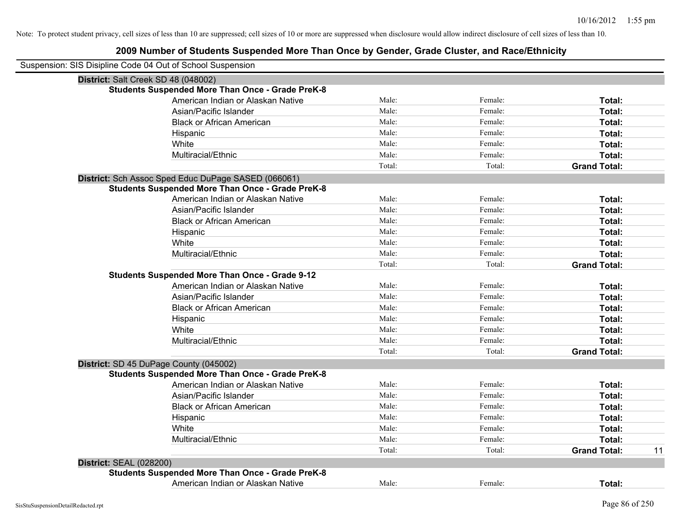| Suspension: SIS Disipline Code 04 Out of School Suspension |                                                         |        |         |                     |    |
|------------------------------------------------------------|---------------------------------------------------------|--------|---------|---------------------|----|
| District: Salt Creek SD 48 (048002)                        |                                                         |        |         |                     |    |
|                                                            | <b>Students Suspended More Than Once - Grade PreK-8</b> |        |         |                     |    |
|                                                            | American Indian or Alaskan Native                       | Male:  | Female: | Total:              |    |
|                                                            | Asian/Pacific Islander                                  | Male:  | Female: | Total:              |    |
|                                                            | <b>Black or African American</b>                        | Male:  | Female: | Total:              |    |
|                                                            | Hispanic                                                | Male:  | Female: | Total:              |    |
|                                                            | White                                                   | Male:  | Female: | Total:              |    |
|                                                            | Multiracial/Ethnic                                      | Male:  | Female: | Total:              |    |
|                                                            |                                                         | Total: | Total:  | <b>Grand Total:</b> |    |
|                                                            | District: Sch Assoc Sped Educ DuPage SASED (066061)     |        |         |                     |    |
|                                                            | <b>Students Suspended More Than Once - Grade PreK-8</b> |        |         |                     |    |
|                                                            | American Indian or Alaskan Native                       | Male:  | Female: | Total:              |    |
|                                                            | Asian/Pacific Islander                                  | Male:  | Female: | Total:              |    |
|                                                            | <b>Black or African American</b>                        | Male:  | Female: | Total:              |    |
|                                                            | Hispanic                                                | Male:  | Female: | Total:              |    |
|                                                            | White                                                   | Male:  | Female: | Total:              |    |
|                                                            | Multiracial/Ethnic                                      | Male:  | Female: | Total:              |    |
|                                                            |                                                         | Total: | Total:  | <b>Grand Total:</b> |    |
|                                                            | <b>Students Suspended More Than Once - Grade 9-12</b>   |        |         |                     |    |
|                                                            | American Indian or Alaskan Native                       | Male:  | Female: | Total:              |    |
|                                                            | Asian/Pacific Islander                                  | Male:  | Female: | Total:              |    |
|                                                            | <b>Black or African American</b>                        | Male:  | Female: | Total:              |    |
|                                                            | Hispanic                                                | Male:  | Female: | Total:              |    |
|                                                            | White                                                   | Male:  | Female: | Total:              |    |
|                                                            | Multiracial/Ethnic                                      | Male:  | Female: | Total:              |    |
|                                                            |                                                         | Total: | Total:  | <b>Grand Total:</b> |    |
|                                                            | District: SD 45 DuPage County (045002)                  |        |         |                     |    |
|                                                            | <b>Students Suspended More Than Once - Grade PreK-8</b> |        |         |                     |    |
|                                                            | American Indian or Alaskan Native                       | Male:  | Female: | Total:              |    |
|                                                            | Asian/Pacific Islander                                  | Male:  | Female: | Total:              |    |
|                                                            | <b>Black or African American</b>                        | Male:  | Female: | Total:              |    |
|                                                            | Hispanic                                                | Male:  | Female: | Total:              |    |
|                                                            | White                                                   | Male:  | Female: | Total:              |    |
|                                                            | Multiracial/Ethnic                                      | Male:  | Female: | Total:              |    |
|                                                            |                                                         | Total: | Total:  | <b>Grand Total:</b> | 11 |
| <b>District: SEAL (028200)</b>                             |                                                         |        |         |                     |    |
|                                                            | <b>Students Suspended More Than Once - Grade PreK-8</b> |        |         |                     |    |
|                                                            | American Indian or Alaskan Native                       | Male:  | Female: | Total:              |    |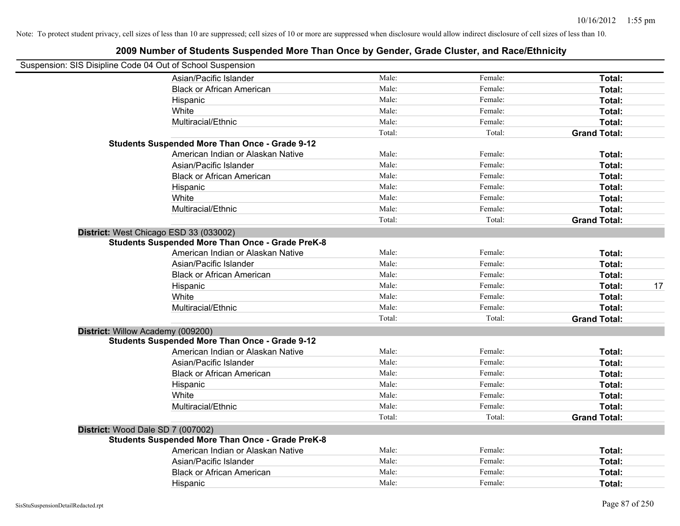| Suspension: SIS Disipline Code 04 Out of School Suspension |        |         |                     |    |
|------------------------------------------------------------|--------|---------|---------------------|----|
| Asian/Pacific Islander                                     | Male:  | Female: | Total:              |    |
| <b>Black or African American</b>                           | Male:  | Female: | Total:              |    |
| Hispanic                                                   | Male:  | Female: | Total:              |    |
| White                                                      | Male:  | Female: | Total:              |    |
| Multiracial/Ethnic                                         | Male:  | Female: | Total:              |    |
|                                                            | Total: | Total:  | <b>Grand Total:</b> |    |
| <b>Students Suspended More Than Once - Grade 9-12</b>      |        |         |                     |    |
| American Indian or Alaskan Native                          | Male:  | Female: | Total:              |    |
| Asian/Pacific Islander                                     | Male:  | Female: | Total:              |    |
| <b>Black or African American</b>                           | Male:  | Female: | Total:              |    |
| Hispanic                                                   | Male:  | Female: | Total:              |    |
| White                                                      | Male:  | Female: | Total:              |    |
| Multiracial/Ethnic                                         | Male:  | Female: | Total:              |    |
|                                                            | Total: | Total:  | <b>Grand Total:</b> |    |
| District: West Chicago ESD 33 (033002)                     |        |         |                     |    |
| <b>Students Suspended More Than Once - Grade PreK-8</b>    |        |         |                     |    |
| American Indian or Alaskan Native                          | Male:  | Female: | Total:              |    |
| Asian/Pacific Islander                                     | Male:  | Female: | Total:              |    |
| <b>Black or African American</b>                           | Male:  | Female: | Total:              |    |
| Hispanic                                                   | Male:  | Female: | Total:              | 17 |
| White                                                      | Male:  | Female: | Total:              |    |
| Multiracial/Ethnic                                         | Male:  | Female: | Total:              |    |
|                                                            | Total: | Total:  | <b>Grand Total:</b> |    |
| District: Willow Academy (009200)                          |        |         |                     |    |
| <b>Students Suspended More Than Once - Grade 9-12</b>      |        |         |                     |    |
| American Indian or Alaskan Native                          | Male:  | Female: | Total:              |    |
| Asian/Pacific Islander                                     | Male:  | Female: | Total:              |    |
| <b>Black or African American</b>                           | Male:  | Female: | Total:              |    |
| Hispanic                                                   | Male:  | Female: | Total:              |    |
| White                                                      | Male:  | Female: | Total:              |    |
| Multiracial/Ethnic                                         | Male:  | Female: | Total:              |    |
|                                                            | Total: | Total:  | <b>Grand Total:</b> |    |
| District: Wood Dale SD 7 (007002)                          |        |         |                     |    |
| <b>Students Suspended More Than Once - Grade PreK-8</b>    |        |         |                     |    |
| American Indian or Alaskan Native                          | Male:  | Female: | Total:              |    |
| Asian/Pacific Islander                                     | Male:  | Female: | Total:              |    |
| <b>Black or African American</b>                           | Male:  | Female: | Total:              |    |
| Hispanic                                                   | Male:  | Female: | Total:              |    |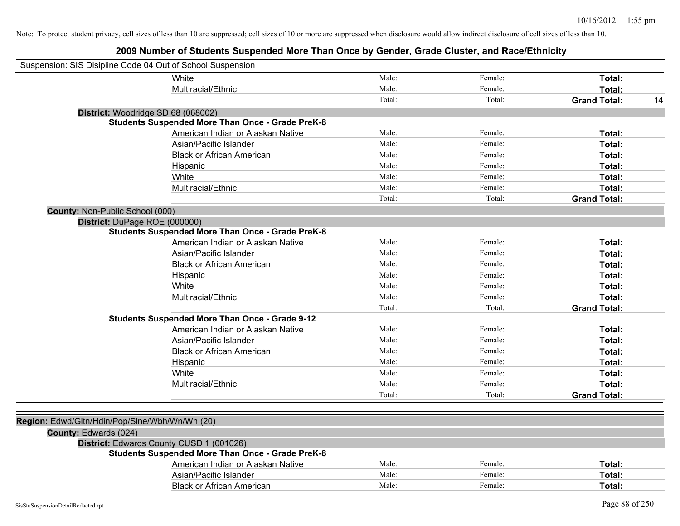|                                                | Suspension: SIS Disipline Code 04 Out of School Suspension |        |         |                     |    |
|------------------------------------------------|------------------------------------------------------------|--------|---------|---------------------|----|
|                                                | White                                                      | Male:  | Female: | Total:              |    |
|                                                | Multiracial/Ethnic                                         | Male:  | Female: | Total:              |    |
|                                                |                                                            | Total: | Total:  | <b>Grand Total:</b> | 14 |
|                                                | District: Woodridge SD 68 (068002)                         |        |         |                     |    |
|                                                | <b>Students Suspended More Than Once - Grade PreK-8</b>    |        |         |                     |    |
|                                                | American Indian or Alaskan Native                          | Male:  | Female: | Total:              |    |
|                                                | Asian/Pacific Islander                                     | Male:  | Female: | Total:              |    |
|                                                | <b>Black or African American</b>                           | Male:  | Female: | Total:              |    |
|                                                | Hispanic                                                   | Male:  | Female: | Total:              |    |
|                                                | White                                                      | Male:  | Female: | Total:              |    |
|                                                | Multiracial/Ethnic                                         | Male:  | Female: | Total:              |    |
|                                                |                                                            | Total: | Total:  | <b>Grand Total:</b> |    |
| County: Non-Public School (000)                |                                                            |        |         |                     |    |
|                                                | District: DuPage ROE (000000)                              |        |         |                     |    |
|                                                | <b>Students Suspended More Than Once - Grade PreK-8</b>    |        |         |                     |    |
|                                                | American Indian or Alaskan Native                          | Male:  | Female: | Total:              |    |
|                                                | Asian/Pacific Islander                                     | Male:  | Female: | Total:              |    |
|                                                | <b>Black or African American</b>                           | Male:  | Female: | Total:              |    |
|                                                | Hispanic                                                   | Male:  | Female: | Total:              |    |
|                                                | White                                                      | Male:  | Female: | Total:              |    |
|                                                | Multiracial/Ethnic                                         | Male:  | Female: | Total:              |    |
|                                                |                                                            | Total: | Total:  | <b>Grand Total:</b> |    |
|                                                | <b>Students Suspended More Than Once - Grade 9-12</b>      |        |         |                     |    |
|                                                | American Indian or Alaskan Native                          | Male:  | Female: | Total:              |    |
|                                                | Asian/Pacific Islander                                     | Male:  | Female: | Total:              |    |
|                                                | <b>Black or African American</b>                           | Male:  | Female: | Total:              |    |
|                                                | Hispanic                                                   | Male:  | Female: | Total:              |    |
|                                                | White                                                      | Male:  | Female: | Total:              |    |
|                                                | Multiracial/Ethnic                                         | Male:  | Female: | Total:              |    |
|                                                |                                                            | Total: | Total:  | <b>Grand Total:</b> |    |
|                                                |                                                            |        |         |                     |    |
| Region: Edwd/Gltn/Hdin/Pop/Slne/Wbh/Wn/Wh (20) |                                                            |        |         |                     |    |
| County: Edwards (024)                          |                                                            |        |         |                     |    |
|                                                | District: Edwards County CUSD 1 (001026)                   |        |         |                     |    |
|                                                | <b>Students Suspended More Than Once - Grade PreK-8</b>    |        |         |                     |    |
|                                                | American Indian or Alaskan Native                          | Male:  | Female: | Total:              |    |
|                                                | Asian/Pacific Islander                                     | Male:  | Female: | Total:              |    |
|                                                | <b>Black or African American</b>                           | Male:  | Female: | Total:              |    |
|                                                |                                                            |        |         |                     |    |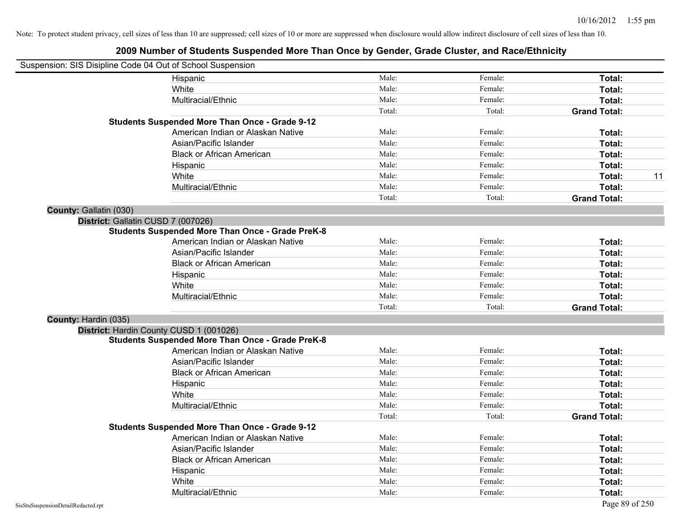|                        | Suspension: SIS Disipline Code 04 Out of School Suspension |        |         |                     |    |
|------------------------|------------------------------------------------------------|--------|---------|---------------------|----|
|                        | Hispanic                                                   | Male:  | Female: | Total:              |    |
|                        | White                                                      | Male:  | Female: | Total:              |    |
|                        | Multiracial/Ethnic                                         | Male:  | Female: | Total:              |    |
|                        |                                                            | Total: | Total:  | <b>Grand Total:</b> |    |
|                        | <b>Students Suspended More Than Once - Grade 9-12</b>      |        |         |                     |    |
|                        | American Indian or Alaskan Native                          | Male:  | Female: | Total:              |    |
|                        | Asian/Pacific Islander                                     | Male:  | Female: | Total:              |    |
|                        | <b>Black or African American</b>                           | Male:  | Female: | Total:              |    |
|                        | Hispanic                                                   | Male:  | Female: | Total:              |    |
|                        | White                                                      | Male:  | Female: | Total:              | 11 |
|                        | Multiracial/Ethnic                                         | Male:  | Female: | Total:              |    |
|                        |                                                            | Total: | Total:  | <b>Grand Total:</b> |    |
| County: Gallatin (030) |                                                            |        |         |                     |    |
|                        | District: Gallatin CUSD 7 (007026)                         |        |         |                     |    |
|                        | <b>Students Suspended More Than Once - Grade PreK-8</b>    |        |         |                     |    |
|                        | American Indian or Alaskan Native                          | Male:  | Female: | Total:              |    |
|                        | Asian/Pacific Islander                                     | Male:  | Female: | Total:              |    |
|                        | <b>Black or African American</b>                           | Male:  | Female: | Total:              |    |
|                        | Hispanic                                                   | Male:  | Female: | Total:              |    |
|                        | White                                                      | Male:  | Female: | Total:              |    |
|                        | Multiracial/Ethnic                                         | Male:  | Female: | Total:              |    |
|                        |                                                            | Total: | Total:  | <b>Grand Total:</b> |    |
| County: Hardin (035)   |                                                            |        |         |                     |    |
|                        | District: Hardin County CUSD 1 (001026)                    |        |         |                     |    |
|                        | <b>Students Suspended More Than Once - Grade PreK-8</b>    |        |         |                     |    |
|                        | American Indian or Alaskan Native                          | Male:  | Female: | Total:              |    |
|                        | Asian/Pacific Islander                                     | Male:  | Female: | Total:              |    |
|                        | <b>Black or African American</b>                           | Male:  | Female: | Total:              |    |
|                        | Hispanic                                                   | Male:  | Female: | Total:              |    |
|                        | White                                                      | Male:  | Female: | <b>Total:</b>       |    |
|                        | Multiracial/Ethnic                                         | Male:  | Female: | Total:              |    |
|                        |                                                            | Total: | Total:  | <b>Grand Total:</b> |    |
|                        | <b>Students Suspended More Than Once - Grade 9-12</b>      |        |         |                     |    |
|                        | American Indian or Alaskan Native                          | Male:  | Female: | Total:              |    |
|                        | Asian/Pacific Islander                                     | Male:  | Female: | Total:              |    |
|                        | <b>Black or African American</b>                           | Male:  | Female: | Total:              |    |
|                        | Hispanic                                                   | Male:  | Female: | Total:              |    |
|                        | White                                                      | Male:  | Female: | Total:              |    |
|                        | Multiracial/Ethnic                                         | Male:  | Female: | Total:              |    |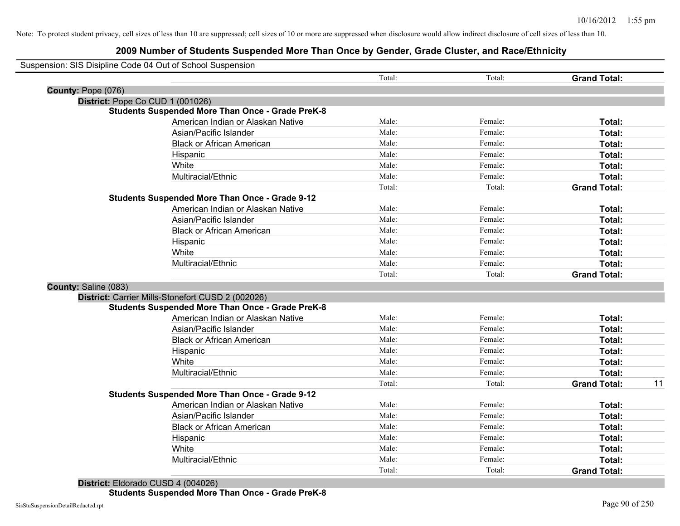|                      | Suspension: SIS Disipline Code 04 Out of School Suspension |        |         |                     |    |
|----------------------|------------------------------------------------------------|--------|---------|---------------------|----|
|                      |                                                            | Total: | Total:  | <b>Grand Total:</b> |    |
| County: Pope (076)   |                                                            |        |         |                     |    |
|                      | District: Pope Co CUD 1 (001026)                           |        |         |                     |    |
|                      | <b>Students Suspended More Than Once - Grade PreK-8</b>    |        |         |                     |    |
|                      | American Indian or Alaskan Native                          | Male:  | Female: | Total:              |    |
|                      | Asian/Pacific Islander                                     | Male:  | Female: | Total:              |    |
|                      | <b>Black or African American</b>                           | Male:  | Female: | Total:              |    |
|                      | Hispanic                                                   | Male:  | Female: | Total:              |    |
|                      | White                                                      | Male:  | Female: | Total:              |    |
|                      | Multiracial/Ethnic                                         | Male:  | Female: | Total:              |    |
|                      |                                                            | Total: | Total:  | <b>Grand Total:</b> |    |
|                      | <b>Students Suspended More Than Once - Grade 9-12</b>      |        |         |                     |    |
|                      | American Indian or Alaskan Native                          | Male:  | Female: | Total:              |    |
|                      | Asian/Pacific Islander                                     | Male:  | Female: | Total:              |    |
|                      | <b>Black or African American</b>                           | Male:  | Female: | Total:              |    |
|                      | Hispanic                                                   | Male:  | Female: | Total:              |    |
|                      | White                                                      | Male:  | Female: | Total:              |    |
|                      | Multiracial/Ethnic                                         | Male:  | Female: | Total:              |    |
|                      |                                                            | Total: | Total:  | <b>Grand Total:</b> |    |
| County: Saline (083) |                                                            |        |         |                     |    |
|                      | District: Carrier Mills-Stonefort CUSD 2 (002026)          |        |         |                     |    |
|                      | <b>Students Suspended More Than Once - Grade PreK-8</b>    |        |         |                     |    |
|                      | American Indian or Alaskan Native                          | Male:  | Female: | Total:              |    |
|                      | Asian/Pacific Islander                                     | Male:  | Female: | Total:              |    |
|                      | <b>Black or African American</b>                           | Male:  | Female: | Total:              |    |
|                      | Hispanic                                                   | Male:  | Female: | Total:              |    |
|                      | White                                                      | Male:  | Female: | Total:              |    |
|                      | Multiracial/Ethnic                                         | Male:  | Female: | Total:              |    |
|                      |                                                            | Total: | Total:  | <b>Grand Total:</b> | 11 |
|                      | <b>Students Suspended More Than Once - Grade 9-12</b>      |        |         |                     |    |
|                      | American Indian or Alaskan Native                          | Male:  | Female: | Total:              |    |
|                      | Asian/Pacific Islander                                     | Male:  | Female: | Total:              |    |
|                      | <b>Black or African American</b>                           | Male:  | Female: | Total:              |    |
|                      | Hispanic                                                   | Male:  | Female: | Total:              |    |
|                      | White                                                      | Male:  | Female: | Total:              |    |
|                      | Multiracial/Ethnic                                         | Male:  | Female: | Total:              |    |
|                      |                                                            | Total: | Total:  | <b>Grand Total:</b> |    |
|                      |                                                            |        |         |                     |    |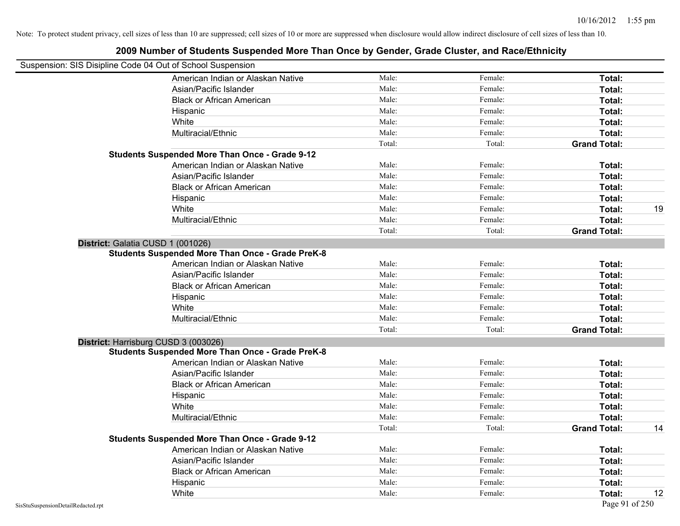| 2009 Number of Students Suspended More Than Once by Gender, Grade Cluster, and Race/Ethnicity |        |         |                     |    |
|-----------------------------------------------------------------------------------------------|--------|---------|---------------------|----|
| Suspension: SIS Disipline Code 04 Out of School Suspension                                    |        |         |                     |    |
| American Indian or Alaskan Native                                                             | Male:  | Female: | Total:              |    |
| Asian/Pacific Islander                                                                        | Male:  | Female: | Total:              |    |
| <b>Black or African American</b>                                                              | Male:  | Female: | Total:              |    |
| Hispanic                                                                                      | Male:  | Female: | Total:              |    |
| White                                                                                         | Male:  | Female: | Total:              |    |
| Multiracial/Ethnic                                                                            | Male:  | Female: | Total:              |    |
|                                                                                               | Total: | Total:  | <b>Grand Total:</b> |    |
| <b>Students Suspended More Than Once - Grade 9-12</b>                                         |        |         |                     |    |
| American Indian or Alaskan Native                                                             | Male:  | Female: | Total:              |    |
| Asian/Pacific Islander                                                                        | Male:  | Female: | Total:              |    |
| <b>Black or African American</b>                                                              | Male:  | Female: | Total:              |    |
| Hispanic                                                                                      | Male:  | Female: | Total:              |    |
| White                                                                                         | Male:  | Female: | Total:              | 19 |
| Multiracial/Ethnic                                                                            | Male:  | Female: | Total:              |    |
|                                                                                               | Total: | Total:  | <b>Grand Total:</b> |    |
| District: Galatia CUSD 1 (001026)                                                             |        |         |                     |    |
| <b>Students Suspended More Than Once - Grade PreK-8</b>                                       |        |         |                     |    |
| American Indian or Alaskan Native                                                             | Male:  | Female: | Total:              |    |
| Asian/Pacific Islander                                                                        | Male:  | Female: | Total:              |    |
| <b>Black or African American</b>                                                              | Male:  | Female: | Total:              |    |
| Hispanic                                                                                      | Male:  | Female: | Total:              |    |
| White                                                                                         | Male:  | Female: | Total:              |    |
| Multiracial/Ethnic                                                                            | Male:  | Female: | Total:              |    |
|                                                                                               | Total: | Total:  | <b>Grand Total:</b> |    |
| District: Harrisburg CUSD 3 (003026)                                                          |        |         |                     |    |
| <b>Students Suspended More Than Once - Grade PreK-8</b>                                       |        |         |                     |    |
| American Indian or Alaskan Native                                                             | Male:  | Female: | Total:              |    |
| Asian/Pacific Islander                                                                        | Male:  | Female: | Total:              |    |
| <b>Black or African American</b>                                                              | Male:  | Female: | Total:              |    |
| Hispanic                                                                                      | Male:  | Female: | Total:              |    |
| White                                                                                         | Male:  | Female: | Total:              |    |
| Multiracial/Ethnic                                                                            | Male:  | Female: | Total:              |    |
|                                                                                               | Total: | Total:  | <b>Grand Total:</b> | 14 |
| <b>Students Suspended More Than Once - Grade 9-12</b>                                         |        |         |                     |    |
| American Indian or Alaskan Native                                                             | Male:  | Female: | Total:              |    |
| Asian/Pacific Islander                                                                        | Male:  | Female: | Total:              |    |
| <b>Black or African American</b>                                                              | Male:  | Female: | Total:              |    |
| Hispanic                                                                                      | Male:  | Female: | Total:              |    |
| White                                                                                         | Male:  | Female: | Total:              | 12 |

#### SisStuSuspensionDetailRedacted.rpt Page 91 of 250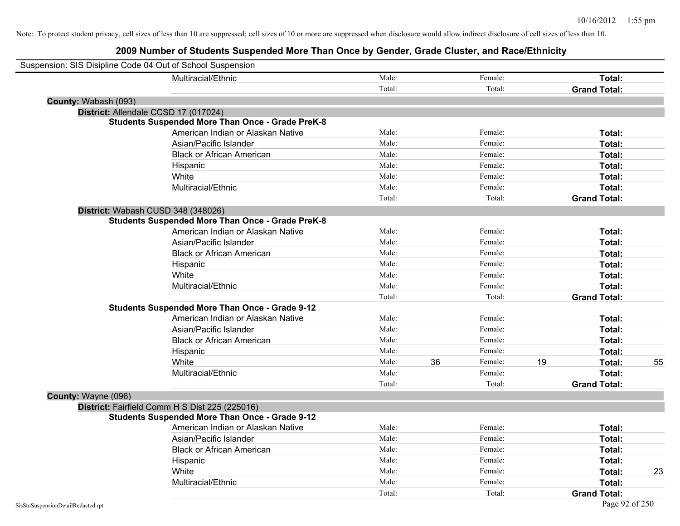|                      | Suspension: SIS Disipline Code 04 Out of School Suspension |        |    |         |    |                     |    |
|----------------------|------------------------------------------------------------|--------|----|---------|----|---------------------|----|
|                      | Multiracial/Ethnic                                         | Male:  |    | Female: |    | Total:              |    |
|                      |                                                            | Total: |    | Total:  |    | <b>Grand Total:</b> |    |
| County: Wabash (093) |                                                            |        |    |         |    |                     |    |
|                      | District: Allendale CCSD 17 (017024)                       |        |    |         |    |                     |    |
|                      | <b>Students Suspended More Than Once - Grade PreK-8</b>    |        |    |         |    |                     |    |
|                      | American Indian or Alaskan Native                          | Male:  |    | Female: |    | Total:              |    |
|                      | Asian/Pacific Islander                                     | Male:  |    | Female: |    | Total:              |    |
|                      | <b>Black or African American</b>                           | Male:  |    | Female: |    | Total:              |    |
|                      | Hispanic                                                   | Male:  |    | Female: |    | Total:              |    |
|                      | White                                                      | Male:  |    | Female: |    | Total:              |    |
|                      | Multiracial/Ethnic                                         | Male:  |    | Female: |    | Total:              |    |
|                      |                                                            | Total: |    | Total:  |    | <b>Grand Total:</b> |    |
|                      | District: Wabash CUSD 348 (348026)                         |        |    |         |    |                     |    |
|                      | <b>Students Suspended More Than Once - Grade PreK-8</b>    |        |    |         |    |                     |    |
|                      | American Indian or Alaskan Native                          | Male:  |    | Female: |    | Total:              |    |
|                      | Asian/Pacific Islander                                     | Male:  |    | Female: |    | Total:              |    |
|                      | <b>Black or African American</b>                           | Male:  |    | Female: |    | Total:              |    |
|                      | Hispanic                                                   | Male:  |    | Female: |    | Total:              |    |
|                      | White                                                      | Male:  |    | Female: |    | Total:              |    |
|                      | Multiracial/Ethnic                                         | Male:  |    | Female: |    | Total:              |    |
|                      |                                                            | Total: |    | Total:  |    | <b>Grand Total:</b> |    |
|                      | <b>Students Suspended More Than Once - Grade 9-12</b>      |        |    |         |    |                     |    |
|                      | American Indian or Alaskan Native                          | Male:  |    | Female: |    | Total:              |    |
|                      | Asian/Pacific Islander                                     | Male:  |    | Female: |    | Total:              |    |
|                      | <b>Black or African American</b>                           | Male:  |    | Female: |    | Total:              |    |
|                      | Hispanic                                                   | Male:  |    | Female: |    | Total:              |    |
|                      | White                                                      | Male:  | 36 | Female: | 19 | Total:              | 55 |
|                      | Multiracial/Ethnic                                         | Male:  |    | Female: |    | Total:              |    |
|                      |                                                            | Total: |    | Total:  |    | <b>Grand Total:</b> |    |
| County: Wayne (096)  |                                                            |        |    |         |    |                     |    |
|                      | District: Fairfield Comm H S Dist 225 (225016)             |        |    |         |    |                     |    |
|                      | <b>Students Suspended More Than Once - Grade 9-12</b>      |        |    |         |    |                     |    |
|                      | American Indian or Alaskan Native                          | Male:  |    | Female: |    | Total:              |    |
|                      | Asian/Pacific Islander                                     | Male:  |    | Female: |    | Total:              |    |
|                      | <b>Black or African American</b>                           | Male:  |    | Female: |    | Total:              |    |
|                      | Hispanic                                                   | Male:  |    | Female: |    | Total:              |    |
|                      | White                                                      | Male:  |    | Female: |    | Total:              | 23 |
|                      | Multiracial/Ethnic                                         | Male:  |    | Female: |    | Total:              |    |
|                      |                                                            | Total: |    | Total:  |    | <b>Grand Total:</b> |    |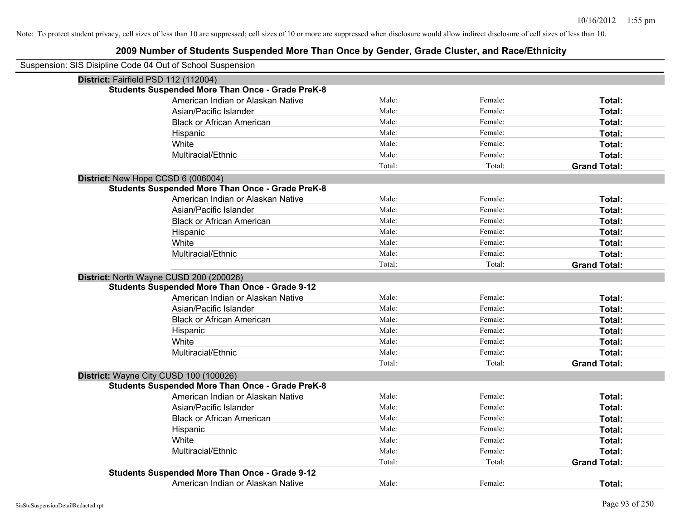| Suspension: SIS Disipline Code 04 Out of School Suspension |                                                         |        |         |                     |
|------------------------------------------------------------|---------------------------------------------------------|--------|---------|---------------------|
| District: Fairfield PSD 112 (112004)                       |                                                         |        |         |                     |
|                                                            | <b>Students Suspended More Than Once - Grade PreK-8</b> |        |         |                     |
|                                                            | American Indian or Alaskan Native                       | Male:  | Female: | Total:              |
|                                                            | Asian/Pacific Islander                                  | Male:  | Female: | Total:              |
|                                                            | <b>Black or African American</b>                        | Male:  | Female: | Total:              |
|                                                            | Hispanic                                                | Male:  | Female: | Total:              |
|                                                            | White                                                   | Male:  | Female: | Total:              |
|                                                            | Multiracial/Ethnic                                      | Male:  | Female: | Total:              |
|                                                            |                                                         | Total: | Total:  | <b>Grand Total:</b> |
| District: New Hope CCSD 6 (006004)                         |                                                         |        |         |                     |
|                                                            | <b>Students Suspended More Than Once - Grade PreK-8</b> |        |         |                     |
|                                                            | American Indian or Alaskan Native                       | Male:  | Female: | Total:              |
|                                                            | Asian/Pacific Islander                                  | Male:  | Female: | Total:              |
|                                                            | <b>Black or African American</b>                        | Male:  | Female: | Total:              |
|                                                            | Hispanic                                                | Male:  | Female: | Total:              |
|                                                            | White                                                   | Male:  | Female: | Total:              |
|                                                            | Multiracial/Ethnic                                      | Male:  | Female: | Total:              |
|                                                            |                                                         | Total: | Total:  | <b>Grand Total:</b> |
|                                                            | District: North Wayne CUSD 200 (200026)                 |        |         |                     |
|                                                            | <b>Students Suspended More Than Once - Grade 9-12</b>   |        |         |                     |
|                                                            | American Indian or Alaskan Native                       | Male:  | Female: | Total:              |
|                                                            | Asian/Pacific Islander                                  | Male:  | Female: | Total:              |
|                                                            | <b>Black or African American</b>                        | Male:  | Female: | Total:              |
|                                                            | Hispanic                                                | Male:  | Female: | Total:              |
|                                                            | White                                                   | Male:  | Female: | Total:              |
|                                                            | Multiracial/Ethnic                                      | Male:  | Female: | Total:              |
|                                                            |                                                         | Total: | Total:  | <b>Grand Total:</b> |
|                                                            | District: Wayne City CUSD 100 (100026)                  |        |         |                     |
|                                                            | <b>Students Suspended More Than Once - Grade PreK-8</b> |        |         |                     |
|                                                            | American Indian or Alaskan Native                       | Male:  | Female: | Total:              |
|                                                            | Asian/Pacific Islander                                  | Male:  | Female: | Total:              |
|                                                            | <b>Black or African American</b>                        | Male:  | Female: | Total:              |
|                                                            | Hispanic                                                | Male:  | Female: | Total:              |
|                                                            | White                                                   | Male:  | Female: | Total:              |
|                                                            | Multiracial/Ethnic                                      | Male:  | Female: | Total:              |
|                                                            |                                                         | Total: | Total:  | <b>Grand Total:</b> |
|                                                            | <b>Students Suspended More Than Once - Grade 9-12</b>   |        |         |                     |
|                                                            | American Indian or Alaskan Native                       | Male:  | Female: | Total:              |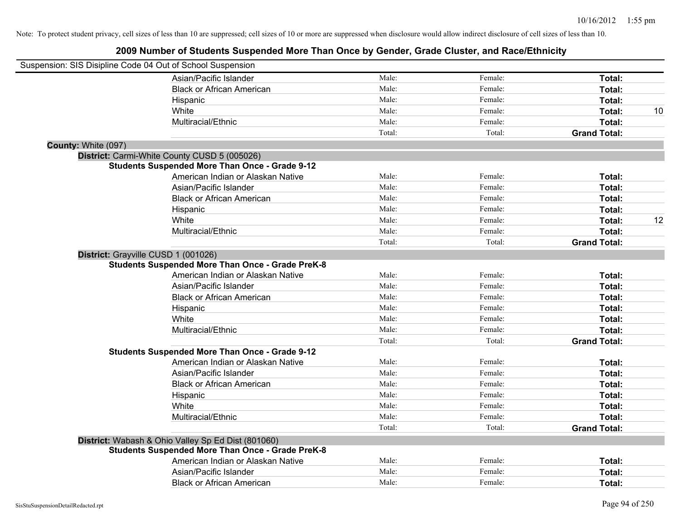| Suspension: SIS Disipline Code 04 Out of School Suspension |                                                         |        |         |                     |    |
|------------------------------------------------------------|---------------------------------------------------------|--------|---------|---------------------|----|
|                                                            | Asian/Pacific Islander                                  | Male:  | Female: | Total:              |    |
|                                                            | <b>Black or African American</b>                        | Male:  | Female: | Total:              |    |
|                                                            | Hispanic                                                | Male:  | Female: | Total:              |    |
|                                                            | White                                                   | Male:  | Female: | Total:              | 10 |
|                                                            | Multiracial/Ethnic                                      | Male:  | Female: | Total:              |    |
|                                                            |                                                         | Total: | Total:  | <b>Grand Total:</b> |    |
| County: White (097)                                        |                                                         |        |         |                     |    |
|                                                            | District: Carmi-White County CUSD 5 (005026)            |        |         |                     |    |
|                                                            | <b>Students Suspended More Than Once - Grade 9-12</b>   |        |         |                     |    |
|                                                            | American Indian or Alaskan Native                       | Male:  | Female: | Total:              |    |
|                                                            | Asian/Pacific Islander                                  | Male:  | Female: | Total:              |    |
|                                                            | <b>Black or African American</b>                        | Male:  | Female: | Total:              |    |
|                                                            | Hispanic                                                | Male:  | Female: | Total:              |    |
|                                                            | White                                                   | Male:  | Female: | Total:              | 12 |
|                                                            | Multiracial/Ethnic                                      | Male:  | Female: | Total:              |    |
|                                                            |                                                         | Total: | Total:  | <b>Grand Total:</b> |    |
| District: Grayville CUSD 1 (001026)                        |                                                         |        |         |                     |    |
|                                                            | <b>Students Suspended More Than Once - Grade PreK-8</b> |        |         |                     |    |
|                                                            | American Indian or Alaskan Native                       | Male:  | Female: | Total:              |    |
|                                                            | Asian/Pacific Islander                                  | Male:  | Female: | Total:              |    |
|                                                            | <b>Black or African American</b>                        | Male:  | Female: | Total:              |    |
|                                                            | Hispanic                                                | Male:  | Female: | Total:              |    |
|                                                            | White                                                   | Male:  | Female: | Total:              |    |
|                                                            | Multiracial/Ethnic                                      | Male:  | Female: | Total:              |    |
|                                                            |                                                         | Total: | Total:  | <b>Grand Total:</b> |    |
|                                                            | <b>Students Suspended More Than Once - Grade 9-12</b>   |        |         |                     |    |
|                                                            | American Indian or Alaskan Native                       | Male:  | Female: | Total:              |    |
|                                                            | Asian/Pacific Islander                                  | Male:  | Female: | Total:              |    |
|                                                            | <b>Black or African American</b>                        | Male:  | Female: | Total:              |    |
|                                                            | Hispanic                                                | Male:  | Female: | Total:              |    |
|                                                            | White                                                   | Male:  | Female: | Total:              |    |
|                                                            | Multiracial/Ethnic                                      | Male:  | Female: | Total:              |    |
|                                                            |                                                         | Total: | Total:  | <b>Grand Total:</b> |    |
|                                                            | District: Wabash & Ohio Valley Sp Ed Dist (801060)      |        |         |                     |    |
|                                                            | <b>Students Suspended More Than Once - Grade PreK-8</b> |        |         |                     |    |
|                                                            | American Indian or Alaskan Native                       | Male:  | Female: | Total:              |    |
|                                                            | Asian/Pacific Islander                                  | Male:  | Female: | <b>Total:</b>       |    |
|                                                            | <b>Black or African American</b>                        | Male:  | Female: | Total:              |    |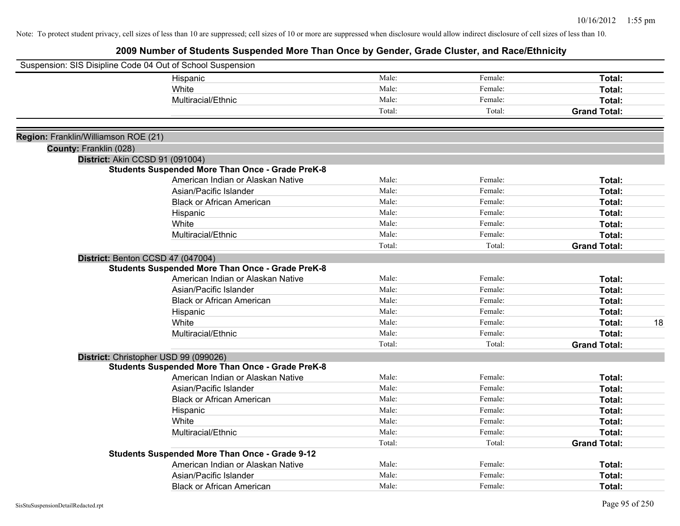|                                      | Suspension: SIS Disipline Code 04 Out of School Suspension |        |         |                     |
|--------------------------------------|------------------------------------------------------------|--------|---------|---------------------|
|                                      | Hispanic                                                   | Male:  | Female: | Total:              |
|                                      | White                                                      | Male:  | Female: | Total:              |
|                                      | Multiracial/Ethnic                                         | Male:  | Female: | Total:              |
|                                      |                                                            | Total: | Total:  | <b>Grand Total:</b> |
|                                      |                                                            |        |         |                     |
| Region: Franklin/Williamson ROE (21) |                                                            |        |         |                     |
| County: Franklin (028)               |                                                            |        |         |                     |
|                                      | District: Akin CCSD 91 (091004)                            |        |         |                     |
|                                      | <b>Students Suspended More Than Once - Grade PreK-8</b>    |        |         |                     |
|                                      | American Indian or Alaskan Native                          | Male:  | Female: | Total:              |
|                                      | Asian/Pacific Islander                                     | Male:  | Female: | Total:              |
|                                      | <b>Black or African American</b>                           | Male:  | Female: | Total:              |
|                                      | Hispanic                                                   | Male:  | Female: | Total:              |
|                                      | White                                                      | Male:  | Female: | Total:              |
|                                      | Multiracial/Ethnic                                         | Male:  | Female: | Total:              |
|                                      |                                                            | Total: | Total:  | <b>Grand Total:</b> |
|                                      | District: Benton CCSD 47 (047004)                          |        |         |                     |
|                                      | <b>Students Suspended More Than Once - Grade PreK-8</b>    |        |         |                     |
|                                      | American Indian or Alaskan Native                          | Male:  | Female: | Total:              |
|                                      | Asian/Pacific Islander                                     | Male:  | Female: | Total:              |
|                                      | <b>Black or African American</b>                           | Male:  | Female: | Total:              |
|                                      | Hispanic                                                   | Male:  | Female: | Total:              |
|                                      | White                                                      | Male:  | Female: | 18<br>Total:        |
|                                      | Multiracial/Ethnic                                         | Male:  | Female: | Total:              |
|                                      |                                                            | Total: | Total:  | <b>Grand Total:</b> |
|                                      | District: Christopher USD 99 (099026)                      |        |         |                     |
|                                      | <b>Students Suspended More Than Once - Grade PreK-8</b>    |        |         |                     |
|                                      | American Indian or Alaskan Native                          | Male:  | Female: | Total:              |
|                                      | Asian/Pacific Islander                                     | Male:  | Female: | Total:              |
|                                      | <b>Black or African American</b>                           | Male:  | Female: | Total:              |
|                                      | Hispanic                                                   | Male:  | Female: | Total:              |
|                                      | White                                                      | Male:  | Female: | Total:              |
|                                      | Multiracial/Ethnic                                         | Male:  | Female: | Total:              |
|                                      |                                                            | Total: | Total:  | <b>Grand Total:</b> |
|                                      | <b>Students Suspended More Than Once - Grade 9-12</b>      |        |         |                     |
|                                      | American Indian or Alaskan Native                          | Male:  | Female: | Total:              |
|                                      | Asian/Pacific Islander                                     | Male:  | Female: | Total:              |
|                                      | <b>Black or African American</b>                           | Male:  | Female: | Total:              |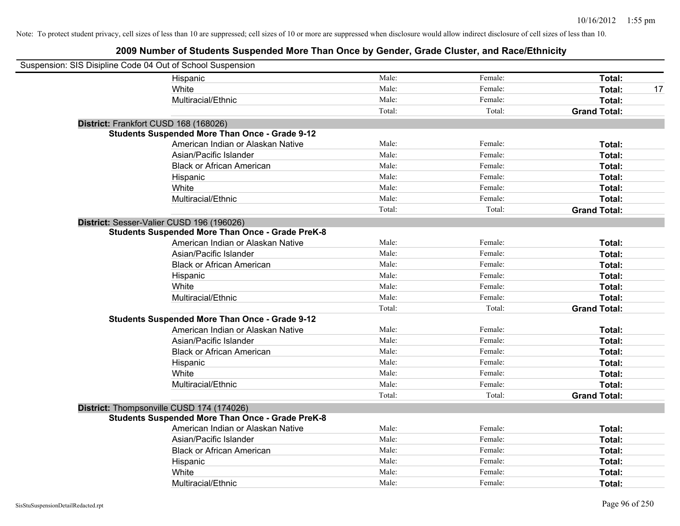| Suspension: SIS Disipline Code 04 Out of School Suspension |                                                         |        |         |                     |    |
|------------------------------------------------------------|---------------------------------------------------------|--------|---------|---------------------|----|
|                                                            | Hispanic                                                | Male:  | Female: | Total:              |    |
|                                                            | White                                                   | Male:  | Female: | Total:              | 17 |
|                                                            | Multiracial/Ethnic                                      | Male:  | Female: | Total:              |    |
|                                                            |                                                         | Total: | Total:  | <b>Grand Total:</b> |    |
| District: Frankfort CUSD 168 (168026)                      |                                                         |        |         |                     |    |
|                                                            | <b>Students Suspended More Than Once - Grade 9-12</b>   |        |         |                     |    |
|                                                            | American Indian or Alaskan Native                       | Male:  | Female: | Total:              |    |
|                                                            | Asian/Pacific Islander                                  | Male:  | Female: | Total:              |    |
|                                                            | <b>Black or African American</b>                        | Male:  | Female: | Total:              |    |
|                                                            | Hispanic                                                | Male:  | Female: | Total:              |    |
|                                                            | White                                                   | Male:  | Female: | Total:              |    |
|                                                            | Multiracial/Ethnic                                      | Male:  | Female: | Total:              |    |
|                                                            |                                                         | Total: | Total:  | <b>Grand Total:</b> |    |
| District: Sesser-Valier CUSD 196 (196026)                  |                                                         |        |         |                     |    |
|                                                            | <b>Students Suspended More Than Once - Grade PreK-8</b> |        |         |                     |    |
|                                                            | American Indian or Alaskan Native                       | Male:  | Female: | Total:              |    |
|                                                            | Asian/Pacific Islander                                  | Male:  | Female: | Total:              |    |
|                                                            | <b>Black or African American</b>                        | Male:  | Female: | Total:              |    |
|                                                            | Hispanic                                                | Male:  | Female: | Total:              |    |
|                                                            | White                                                   | Male:  | Female: | Total:              |    |
|                                                            | Multiracial/Ethnic                                      | Male:  | Female: | Total:              |    |
|                                                            |                                                         | Total: | Total:  | <b>Grand Total:</b> |    |
|                                                            | <b>Students Suspended More Than Once - Grade 9-12</b>   |        |         |                     |    |
|                                                            | American Indian or Alaskan Native                       | Male:  | Female: | Total:              |    |
|                                                            | Asian/Pacific Islander                                  | Male:  | Female: | Total:              |    |
|                                                            | <b>Black or African American</b>                        | Male:  | Female: | Total:              |    |
|                                                            | Hispanic                                                | Male:  | Female: | Total:              |    |
|                                                            | White                                                   | Male:  | Female: | Total:              |    |
|                                                            | Multiracial/Ethnic                                      | Male:  | Female: | Total:              |    |
|                                                            |                                                         | Total: | Total:  | <b>Grand Total:</b> |    |
|                                                            | District: Thompsonville CUSD 174 (174026)               |        |         |                     |    |
|                                                            | <b>Students Suspended More Than Once - Grade PreK-8</b> |        |         |                     |    |
|                                                            | American Indian or Alaskan Native                       | Male:  | Female: | Total:              |    |
|                                                            | Asian/Pacific Islander                                  | Male:  | Female: | Total:              |    |
|                                                            | <b>Black or African American</b>                        | Male:  | Female: | Total:              |    |
|                                                            | Hispanic                                                | Male:  | Female: | Total:              |    |
|                                                            | White                                                   | Male:  | Female: | Total:              |    |
|                                                            | Multiracial/Ethnic                                      | Male:  | Female: | Total:              |    |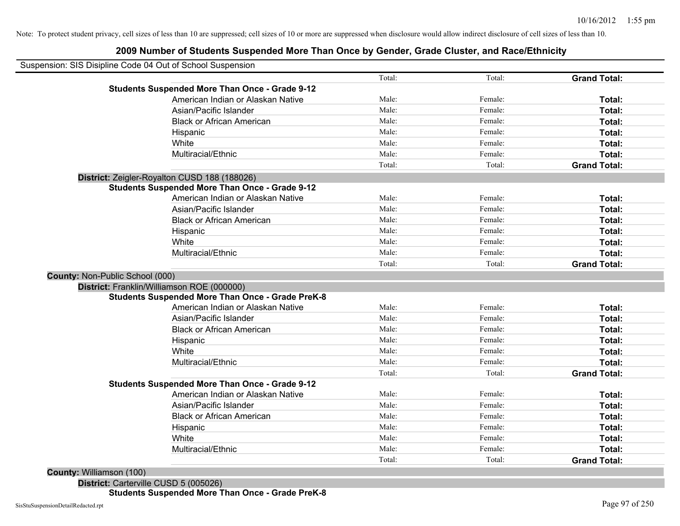## **2009 Number of Students Suspended More Than Once by Gender, Grade Cluster, and Race/Ethnicity**

| Suspension: SIS Disipline Code 04 Out of School Suspension |        |         |                     |
|------------------------------------------------------------|--------|---------|---------------------|
|                                                            | Total: | Total:  | <b>Grand Total:</b> |
| <b>Students Suspended More Than Once - Grade 9-12</b>      |        |         |                     |
| American Indian or Alaskan Native                          | Male:  | Female: | Total:              |
| Asian/Pacific Islander                                     | Male:  | Female: | Total:              |
| <b>Black or African American</b>                           | Male:  | Female: | Total:              |
| Hispanic                                                   | Male:  | Female: | Total:              |
| White                                                      | Male:  | Female: | Total:              |
| Multiracial/Ethnic                                         | Male:  | Female: | Total:              |
|                                                            | Total: | Total:  | <b>Grand Total:</b> |
| District: Zeigler-Royalton CUSD 188 (188026)               |        |         |                     |
| <b>Students Suspended More Than Once - Grade 9-12</b>      |        |         |                     |
| American Indian or Alaskan Native                          | Male:  | Female: | Total:              |
| Asian/Pacific Islander                                     | Male:  | Female: | Total:              |
| <b>Black or African American</b>                           | Male:  | Female: | Total:              |
| Hispanic                                                   | Male:  | Female: | Total:              |
| White                                                      | Male:  | Female: | Total:              |
| Multiracial/Ethnic                                         | Male:  | Female: | Total:              |
|                                                            | Total: | Total:  | <b>Grand Total:</b> |
| County: Non-Public School (000)                            |        |         |                     |
| District: Franklin/Williamson ROE (000000)                 |        |         |                     |
| <b>Students Suspended More Than Once - Grade PreK-8</b>    |        |         |                     |
| American Indian or Alaskan Native                          | Male:  | Female: | Total:              |
| Asian/Pacific Islander                                     | Male:  | Female: | Total:              |
| <b>Black or African American</b>                           | Male:  | Female: | Total:              |
| Hispanic                                                   | Male:  | Female: | Total:              |
| White                                                      | Male:  | Female: | Total:              |
| Multiracial/Ethnic                                         | Male:  | Female: | Total:              |
|                                                            | Total: | Total:  | <b>Grand Total:</b> |
| <b>Students Suspended More Than Once - Grade 9-12</b>      |        |         |                     |
| American Indian or Alaskan Native                          | Male:  | Female: | Total:              |
| Asian/Pacific Islander                                     | Male:  | Female: | Total:              |
| <b>Black or African American</b>                           | Male:  | Female: | Total:              |
| Hispanic                                                   | Male:  | Female: | Total:              |
| White                                                      | Male:  | Female: | Total:              |
| Multiracial/Ethnic                                         | Male:  | Female: | <b>Total:</b>       |
|                                                            | Total: | Total:  | <b>Grand Total:</b> |

**County:** Williamson (100)

**District:** Carterville CUSD 5 (005026) **Students Suspended More Than Once - Grade PreK-8**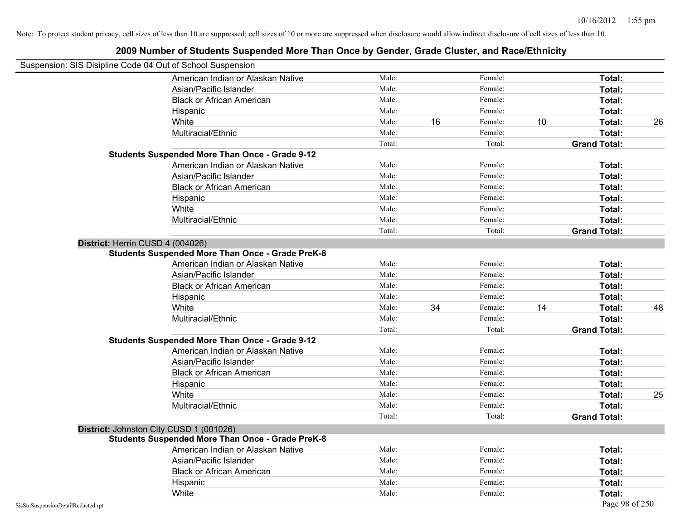| Suspension: SIS Disipline Code 04 Out of School Suspension |                                                         |        |    |         |    |                     |    |
|------------------------------------------------------------|---------------------------------------------------------|--------|----|---------|----|---------------------|----|
|                                                            | American Indian or Alaskan Native                       | Male:  |    | Female: |    | Total:              |    |
|                                                            | Asian/Pacific Islander                                  | Male:  |    | Female: |    | Total:              |    |
|                                                            | <b>Black or African American</b>                        | Male:  |    | Female: |    | Total:              |    |
|                                                            | Hispanic                                                | Male:  |    | Female: |    | Total:              |    |
|                                                            | White                                                   | Male:  | 16 | Female: | 10 | Total:              | 26 |
|                                                            | Multiracial/Ethnic                                      | Male:  |    | Female: |    | Total:              |    |
|                                                            |                                                         | Total: |    | Total:  |    | <b>Grand Total:</b> |    |
|                                                            | <b>Students Suspended More Than Once - Grade 9-12</b>   |        |    |         |    |                     |    |
|                                                            | American Indian or Alaskan Native                       | Male:  |    | Female: |    | Total:              |    |
|                                                            | Asian/Pacific Islander                                  | Male:  |    | Female: |    | Total:              |    |
|                                                            | <b>Black or African American</b>                        | Male:  |    | Female: |    | Total:              |    |
|                                                            | Hispanic                                                | Male:  |    | Female: |    | Total:              |    |
|                                                            | White                                                   | Male:  |    | Female: |    | Total:              |    |
|                                                            | Multiracial/Ethnic                                      | Male:  |    | Female: |    | Total:              |    |
|                                                            |                                                         | Total: |    | Total:  |    | <b>Grand Total:</b> |    |
|                                                            | District: Herrin CUSD 4 (004026)                        |        |    |         |    |                     |    |
|                                                            | <b>Students Suspended More Than Once - Grade PreK-8</b> |        |    |         |    |                     |    |
|                                                            | American Indian or Alaskan Native                       | Male:  |    | Female: |    | Total:              |    |
|                                                            | Asian/Pacific Islander                                  | Male:  |    | Female: |    | Total:              |    |
|                                                            | <b>Black or African American</b>                        | Male:  |    | Female: |    | Total:              |    |
|                                                            | Hispanic                                                | Male:  |    | Female: |    | Total:              |    |
|                                                            | White                                                   | Male:  | 34 | Female: | 14 | Total:              | 48 |
|                                                            | Multiracial/Ethnic                                      | Male:  |    | Female: |    | Total:              |    |
|                                                            |                                                         | Total: |    | Total:  |    | <b>Grand Total:</b> |    |
|                                                            | <b>Students Suspended More Than Once - Grade 9-12</b>   |        |    |         |    |                     |    |
|                                                            | American Indian or Alaskan Native                       | Male:  |    | Female: |    | Total:              |    |
|                                                            | Asian/Pacific Islander                                  | Male:  |    | Female: |    | Total:              |    |
|                                                            | <b>Black or African American</b>                        | Male:  |    | Female: |    | Total:              |    |
|                                                            | Hispanic                                                | Male:  |    | Female: |    | Total:              |    |
|                                                            | White                                                   | Male:  |    | Female: |    | Total:              | 25 |
|                                                            | Multiracial/Ethnic                                      | Male:  |    | Female: |    | Total:              |    |
|                                                            |                                                         | Total: |    | Total:  |    | <b>Grand Total:</b> |    |
|                                                            | District: Johnston City CUSD 1 (001026)                 |        |    |         |    |                     |    |
|                                                            | <b>Students Suspended More Than Once - Grade PreK-8</b> |        |    |         |    |                     |    |
|                                                            | American Indian or Alaskan Native                       | Male:  |    | Female: |    | Total:              |    |
|                                                            | Asian/Pacific Islander                                  | Male:  |    | Female: |    | Total:              |    |
|                                                            | <b>Black or African American</b>                        | Male:  |    | Female: |    | Total:              |    |
|                                                            | Hispanic                                                | Male:  |    | Female: |    | Total:              |    |
|                                                            | White                                                   | Male:  |    | Female: |    | Total:              |    |
| SisStuSuspensionDetailRedacted.rpt                         |                                                         |        |    |         |    | Page 98 of 250      |    |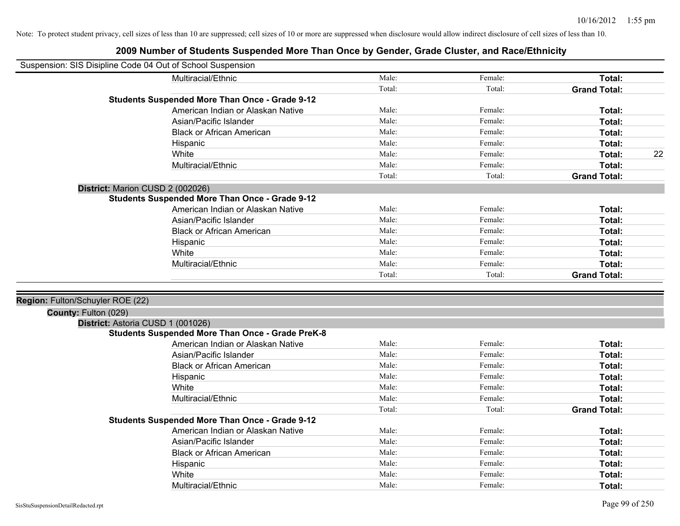| Suspension: SIS Disipline Code 04 Out of School Suspension |                                                         |        |         |                     |    |
|------------------------------------------------------------|---------------------------------------------------------|--------|---------|---------------------|----|
|                                                            | Multiracial/Ethnic                                      | Male:  | Female: | Total:              |    |
|                                                            |                                                         | Total: | Total:  | <b>Grand Total:</b> |    |
|                                                            | <b>Students Suspended More Than Once - Grade 9-12</b>   |        |         |                     |    |
|                                                            | American Indian or Alaskan Native                       | Male:  | Female: | Total:              |    |
|                                                            | Asian/Pacific Islander                                  | Male:  | Female: | Total:              |    |
|                                                            | <b>Black or African American</b>                        | Male:  | Female: | Total:              |    |
|                                                            | Hispanic                                                | Male:  | Female: | Total:              |    |
|                                                            | White                                                   | Male:  | Female: | Total:              | 22 |
|                                                            | Multiracial/Ethnic                                      | Male:  | Female: | Total:              |    |
|                                                            |                                                         | Total: | Total:  | <b>Grand Total:</b> |    |
|                                                            | District: Marion CUSD 2 (002026)                        |        |         |                     |    |
|                                                            | <b>Students Suspended More Than Once - Grade 9-12</b>   |        |         |                     |    |
|                                                            | American Indian or Alaskan Native                       | Male:  | Female: | Total:              |    |
|                                                            | Asian/Pacific Islander                                  | Male:  | Female: | Total:              |    |
|                                                            | <b>Black or African American</b>                        | Male:  | Female: | Total:              |    |
|                                                            | Hispanic                                                | Male:  | Female: | Total:              |    |
|                                                            | White                                                   | Male:  | Female: | Total:              |    |
|                                                            | Multiracial/Ethnic                                      | Male:  | Female: | Total:              |    |
|                                                            |                                                         | Total: | Total:  | <b>Grand Total:</b> |    |
|                                                            |                                                         |        |         |                     |    |
| Region: Fulton/Schuyler ROE (22)                           |                                                         |        |         |                     |    |
| County: Fulton (029)                                       |                                                         |        |         |                     |    |
|                                                            | District: Astoria CUSD 1 (001026)                       |        |         |                     |    |
|                                                            | <b>Students Suspended More Than Once - Grade PreK-8</b> |        |         |                     |    |
|                                                            | American Indian or Alaskan Native                       | Male:  | Female: | Total:              |    |
|                                                            | Asian/Pacific Islander                                  | Male:  | Female: | Total:              |    |
|                                                            | <b>Black or African American</b>                        | Male:  | Female: | Total:              |    |
|                                                            | Hispanic                                                | Male:  | Female: | Total:              |    |
|                                                            | White                                                   | Male:  | Female: | Total:              |    |
|                                                            | Multiracial/Ethnic                                      | Male:  | Female: | Total:              |    |
|                                                            |                                                         | Total: | Total:  | <b>Grand Total:</b> |    |
|                                                            | <b>Students Suspended More Than Once - Grade 9-12</b>   |        |         |                     |    |
|                                                            | American Indian or Alaskan Native                       | Male:  | Female: | Total:              |    |
|                                                            | Asian/Pacific Islander                                  | Male:  | Female: | Total:              |    |
|                                                            | <b>Black or African American</b>                        | Male:  | Female: | Total:              |    |
|                                                            | Hispanic                                                | Male:  | Female: | Total:              |    |
|                                                            | White                                                   | Male:  | Female: | Total:              |    |
|                                                            | Multiracial/Ethnic                                      | Male:  | Female: | Total:              |    |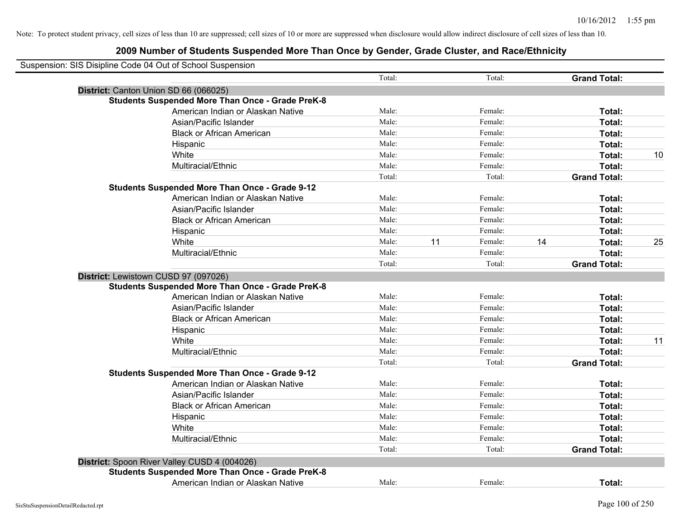| Suspension: SIS Disipline Code 04 Out of School Suspension |        |               |                     |    |
|------------------------------------------------------------|--------|---------------|---------------------|----|
|                                                            | Total: | Total:        | <b>Grand Total:</b> |    |
| District: Canton Union SD 66 (066025)                      |        |               |                     |    |
| <b>Students Suspended More Than Once - Grade PreK-8</b>    |        |               |                     |    |
| American Indian or Alaskan Native                          | Male:  | Female:       | Total:              |    |
| Asian/Pacific Islander                                     | Male:  | Female:       | Total:              |    |
| <b>Black or African American</b>                           | Male:  | Female:       | Total:              |    |
| Hispanic                                                   | Male:  | Female:       | Total:              |    |
| White                                                      | Male:  | Female:       | Total:              | 10 |
| Multiracial/Ethnic                                         | Male:  | Female:       | Total:              |    |
|                                                            | Total: | Total:        | <b>Grand Total:</b> |    |
| <b>Students Suspended More Than Once - Grade 9-12</b>      |        |               |                     |    |
| American Indian or Alaskan Native                          | Male:  | Female:       | Total:              |    |
| Asian/Pacific Islander                                     | Male:  | Female:       | Total:              |    |
| <b>Black or African American</b>                           | Male:  | Female:       | Total:              |    |
| Hispanic                                                   | Male:  | Female:       | Total:              |    |
| White                                                      | Male:  | 11<br>Female: | 14<br>Total:        | 25 |
| Multiracial/Ethnic                                         | Male:  | Female:       | Total:              |    |
|                                                            | Total: | Total:        | <b>Grand Total:</b> |    |
| District: Lewistown CUSD 97 (097026)                       |        |               |                     |    |
| <b>Students Suspended More Than Once - Grade PreK-8</b>    |        |               |                     |    |
| American Indian or Alaskan Native                          | Male:  | Female:       | Total:              |    |
| Asian/Pacific Islander                                     | Male:  | Female:       | Total:              |    |
| <b>Black or African American</b>                           | Male:  | Female:       | Total:              |    |
| Hispanic                                                   | Male:  | Female:       | Total:              |    |
| White                                                      | Male:  | Female:       | Total:              | 11 |
| Multiracial/Ethnic                                         | Male:  | Female:       | Total:              |    |
|                                                            | Total: | Total:        | <b>Grand Total:</b> |    |
| <b>Students Suspended More Than Once - Grade 9-12</b>      |        |               |                     |    |
| American Indian or Alaskan Native                          | Male:  | Female:       | Total:              |    |
| Asian/Pacific Islander                                     | Male:  | Female:       | Total:              |    |
| <b>Black or African American</b>                           | Male:  | Female:       | Total:              |    |
| Hispanic                                                   | Male:  | Female:       | Total:              |    |
| White                                                      | Male:  | Female:       | Total:              |    |
| Multiracial/Ethnic                                         | Male:  | Female:       | Total:              |    |
|                                                            | Total: | Total:        | <b>Grand Total:</b> |    |
| District: Spoon River Valley CUSD 4 (004026)               |        |               |                     |    |
| <b>Students Suspended More Than Once - Grade PreK-8</b>    |        |               |                     |    |
| American Indian or Alaskan Native                          | Male:  | Female:       | Total:              |    |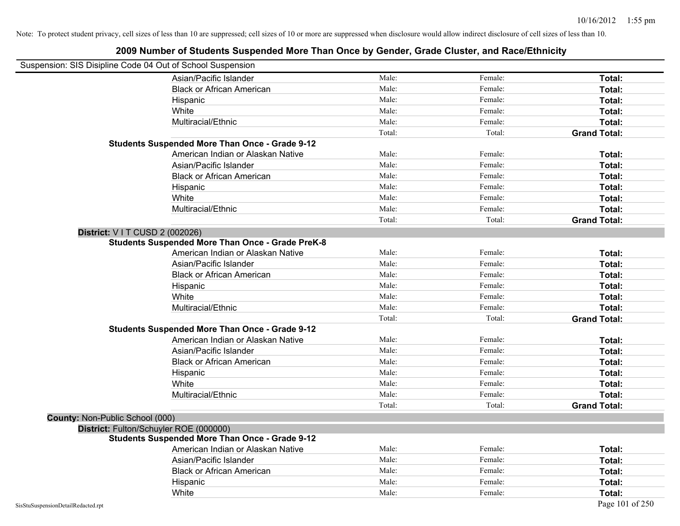| Suspension: SIS Disipline Code 04 Out of School Suspension |                                                         |        |         |                     |
|------------------------------------------------------------|---------------------------------------------------------|--------|---------|---------------------|
|                                                            | Asian/Pacific Islander                                  | Male:  | Female: | Total:              |
|                                                            | <b>Black or African American</b>                        | Male:  | Female: | Total:              |
|                                                            | Hispanic                                                | Male:  | Female: | Total:              |
|                                                            | White                                                   | Male:  | Female: | Total:              |
|                                                            | Multiracial/Ethnic                                      | Male:  | Female: | Total:              |
|                                                            |                                                         | Total: | Total:  | <b>Grand Total:</b> |
|                                                            | <b>Students Suspended More Than Once - Grade 9-12</b>   |        |         |                     |
|                                                            | American Indian or Alaskan Native                       | Male:  | Female: | Total:              |
|                                                            | Asian/Pacific Islander                                  | Male:  | Female: | Total:              |
|                                                            | <b>Black or African American</b>                        | Male:  | Female: | Total:              |
|                                                            | Hispanic                                                | Male:  | Female: | Total:              |
|                                                            | White                                                   | Male:  | Female: | Total:              |
|                                                            | Multiracial/Ethnic                                      | Male:  | Female: | Total:              |
|                                                            |                                                         | Total: | Total:  | <b>Grand Total:</b> |
| District: V I T CUSD 2 (002026)                            |                                                         |        |         |                     |
|                                                            | <b>Students Suspended More Than Once - Grade PreK-8</b> |        |         |                     |
|                                                            | American Indian or Alaskan Native                       | Male:  | Female: | Total:              |
|                                                            | Asian/Pacific Islander                                  | Male:  | Female: | Total:              |
|                                                            | <b>Black or African American</b>                        | Male:  | Female: | Total:              |
|                                                            | Hispanic                                                | Male:  | Female: | Total:              |
|                                                            | White                                                   | Male:  | Female: | Total:              |
|                                                            | Multiracial/Ethnic                                      | Male:  | Female: | Total:              |
|                                                            |                                                         | Total: | Total:  | <b>Grand Total:</b> |
|                                                            | <b>Students Suspended More Than Once - Grade 9-12</b>   |        |         |                     |
|                                                            | American Indian or Alaskan Native                       | Male:  | Female: | Total:              |
|                                                            | Asian/Pacific Islander                                  | Male:  | Female: | Total:              |
|                                                            | <b>Black or African American</b>                        | Male:  | Female: | Total:              |
|                                                            | Hispanic                                                | Male:  | Female: | Total:              |
|                                                            | White                                                   | Male:  | Female: | Total:              |
|                                                            | Multiracial/Ethnic                                      | Male:  | Female: | Total:              |
|                                                            |                                                         | Total: | Total:  | <b>Grand Total:</b> |
| County: Non-Public School (000)                            |                                                         |        |         |                     |
|                                                            | District: Fulton/Schuyler ROE (000000)                  |        |         |                     |
|                                                            | <b>Students Suspended More Than Once - Grade 9-12</b>   |        |         |                     |
|                                                            | American Indian or Alaskan Native                       | Male:  | Female: | Total:              |
|                                                            | Asian/Pacific Islander                                  | Male:  | Female: | Total:              |
|                                                            | <b>Black or African American</b>                        | Male:  | Female: | Total:              |
|                                                            | Hispanic                                                | Male:  | Female: | Total:              |
|                                                            | White                                                   | Male:  | Female: | Total:              |
| SisStuSuspensionDetailRedacted.rpt                         |                                                         |        |         | Page 101 of 250     |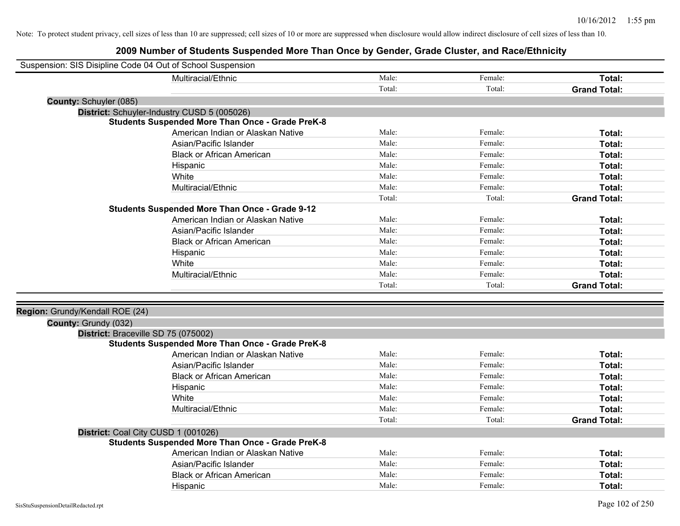| Suspension: SIS Disipline Code 04 Out of School Suspension |                                                         |        |         |                     |
|------------------------------------------------------------|---------------------------------------------------------|--------|---------|---------------------|
|                                                            | Multiracial/Ethnic                                      | Male:  | Female: | Total:              |
|                                                            |                                                         | Total: | Total:  | <b>Grand Total:</b> |
| County: Schuyler (085)                                     |                                                         |        |         |                     |
|                                                            | District: Schuyler-Industry CUSD 5 (005026)             |        |         |                     |
|                                                            | <b>Students Suspended More Than Once - Grade PreK-8</b> |        |         |                     |
|                                                            | American Indian or Alaskan Native                       | Male:  | Female: | Total:              |
|                                                            | Asian/Pacific Islander                                  | Male:  | Female: | Total:              |
|                                                            | <b>Black or African American</b>                        | Male:  | Female: | Total:              |
|                                                            | Hispanic                                                | Male:  | Female: | Total:              |
|                                                            | White                                                   | Male:  | Female: | Total:              |
|                                                            | Multiracial/Ethnic                                      | Male:  | Female: | Total:              |
|                                                            |                                                         | Total: | Total:  | <b>Grand Total:</b> |
|                                                            | <b>Students Suspended More Than Once - Grade 9-12</b>   |        |         |                     |
|                                                            | American Indian or Alaskan Native                       | Male:  | Female: | Total:              |
|                                                            | Asian/Pacific Islander                                  | Male:  | Female: | Total:              |
|                                                            | <b>Black or African American</b>                        | Male:  | Female: | Total:              |
|                                                            | Hispanic                                                | Male:  | Female: | Total:              |
|                                                            | White                                                   | Male:  | Female: | Total:              |
|                                                            | Multiracial/Ethnic                                      | Male:  | Female: | Total:              |
|                                                            |                                                         | Total: | Total:  | <b>Grand Total:</b> |
|                                                            |                                                         |        |         |                     |
| Region: Grundy/Kendall ROE (24)                            |                                                         |        |         |                     |
| County: Grundy (032)                                       |                                                         |        |         |                     |
| District: Braceville SD 75 (075002)                        |                                                         |        |         |                     |
|                                                            | <b>Students Suspended More Than Once - Grade PreK-8</b> |        |         |                     |
|                                                            | American Indian or Alaskan Native                       | Male:  | Female: | Total:              |
|                                                            | Asian/Pacific Islander                                  | Male:  | Female: | Total:              |
|                                                            | <b>Black or African American</b>                        | Male:  | Female: | Total:              |
|                                                            | Hispanic                                                | Male:  | Female: | Total:              |
|                                                            | White                                                   | Male:  | Female: | Total:              |
|                                                            | Multiracial/Ethnic                                      | Male:  | Female: | Total:              |
|                                                            |                                                         | Total: | Total:  | <b>Grand Total:</b> |
| District: Coal City CUSD 1 (001026)                        |                                                         |        |         |                     |
|                                                            | <b>Students Suspended More Than Once - Grade PreK-8</b> |        |         |                     |
|                                                            | American Indian or Alaskan Native                       | Male:  | Female: | Total:              |
|                                                            | Asian/Pacific Islander                                  | Male:  | Female: | Total:              |
|                                                            | <b>Black or African American</b>                        | Male:  | Female: | Total:              |
|                                                            | Hispanic                                                | Male:  | Female: | Total:              |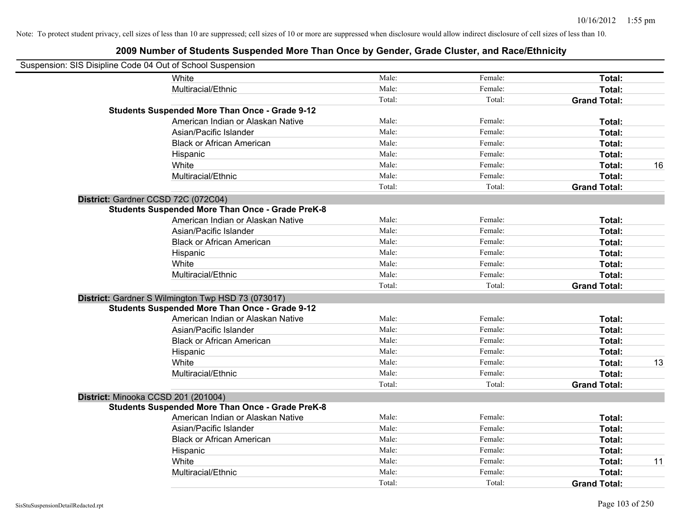| Suspension: SIS Disipline Code 04 Out of School Suspension |                                                         |        |         |                     |    |
|------------------------------------------------------------|---------------------------------------------------------|--------|---------|---------------------|----|
|                                                            | White                                                   | Male:  | Female: | Total:              |    |
|                                                            | Multiracial/Ethnic                                      | Male:  | Female: | Total:              |    |
|                                                            |                                                         | Total: | Total:  | <b>Grand Total:</b> |    |
|                                                            | <b>Students Suspended More Than Once - Grade 9-12</b>   |        |         |                     |    |
|                                                            | American Indian or Alaskan Native                       | Male:  | Female: | Total:              |    |
|                                                            | Asian/Pacific Islander                                  | Male:  | Female: | Total:              |    |
|                                                            | <b>Black or African American</b>                        | Male:  | Female: | Total:              |    |
|                                                            | Hispanic                                                | Male:  | Female: | Total:              |    |
|                                                            | White                                                   | Male:  | Female: | Total:              | 16 |
|                                                            | Multiracial/Ethnic                                      | Male:  | Female: | Total:              |    |
|                                                            |                                                         | Total: | Total:  | <b>Grand Total:</b> |    |
| District: Gardner CCSD 72C (072C04)                        |                                                         |        |         |                     |    |
|                                                            | <b>Students Suspended More Than Once - Grade PreK-8</b> |        |         |                     |    |
|                                                            | American Indian or Alaskan Native                       | Male:  | Female: | Total:              |    |
|                                                            | Asian/Pacific Islander                                  | Male:  | Female: | Total:              |    |
|                                                            | <b>Black or African American</b>                        | Male:  | Female: | Total:              |    |
|                                                            | Hispanic                                                | Male:  | Female: | Total:              |    |
|                                                            | White                                                   | Male:  | Female: | Total:              |    |
|                                                            | Multiracial/Ethnic                                      | Male:  | Female: | Total:              |    |
|                                                            |                                                         | Total: | Total:  | <b>Grand Total:</b> |    |
|                                                            | District: Gardner S Wilmington Twp HSD 73 (073017)      |        |         |                     |    |
|                                                            | <b>Students Suspended More Than Once - Grade 9-12</b>   |        |         |                     |    |
|                                                            | American Indian or Alaskan Native                       | Male:  | Female: | Total:              |    |
|                                                            | Asian/Pacific Islander                                  | Male:  | Female: | Total:              |    |
|                                                            | <b>Black or African American</b>                        | Male:  | Female: | Total:              |    |
|                                                            | Hispanic                                                | Male:  | Female: | Total:              |    |
|                                                            | White                                                   | Male:  | Female: | Total:              | 13 |
|                                                            | Multiracial/Ethnic                                      | Male:  | Female: | Total:              |    |
|                                                            |                                                         | Total: | Total:  | <b>Grand Total:</b> |    |
| District: Minooka CCSD 201 (201004)                        |                                                         |        |         |                     |    |
|                                                            | <b>Students Suspended More Than Once - Grade PreK-8</b> |        |         |                     |    |
|                                                            | American Indian or Alaskan Native                       | Male:  | Female: | Total:              |    |
|                                                            | Asian/Pacific Islander                                  | Male:  | Female: | Total:              |    |
|                                                            | <b>Black or African American</b>                        | Male:  | Female: | Total:              |    |
|                                                            | Hispanic                                                | Male:  | Female: | Total:              |    |
|                                                            | White                                                   | Male:  | Female: | Total:              | 11 |
|                                                            | Multiracial/Ethnic                                      | Male:  | Female: | Total:              |    |
|                                                            |                                                         | Total: | Total:  | <b>Grand Total:</b> |    |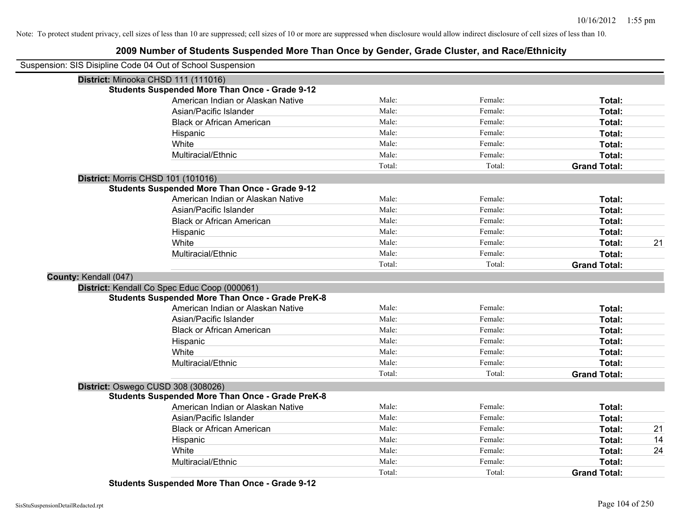# **2009 Number of Students Suspended More Than Once by Gender, Grade Cluster, and Race/Ethnicity**

|                       | Suspension: SIS Disipline Code 04 Out of School Suspension |        |         |                     |    |
|-----------------------|------------------------------------------------------------|--------|---------|---------------------|----|
|                       | District: Minooka CHSD 111 (111016)                        |        |         |                     |    |
|                       | <b>Students Suspended More Than Once - Grade 9-12</b>      |        |         |                     |    |
|                       | American Indian or Alaskan Native                          | Male:  | Female: | Total:              |    |
|                       | Asian/Pacific Islander                                     | Male:  | Female: | Total:              |    |
|                       | <b>Black or African American</b>                           | Male:  | Female: | Total:              |    |
|                       | Hispanic                                                   | Male:  | Female: | Total:              |    |
|                       | White                                                      | Male:  | Female: | Total:              |    |
|                       | Multiracial/Ethnic                                         | Male:  | Female: | Total:              |    |
|                       |                                                            | Total: | Total:  | <b>Grand Total:</b> |    |
|                       | <b>District: Morris CHSD 101 (101016)</b>                  |        |         |                     |    |
|                       | <b>Students Suspended More Than Once - Grade 9-12</b>      |        |         |                     |    |
|                       | American Indian or Alaskan Native                          | Male:  | Female: | Total:              |    |
|                       | Asian/Pacific Islander                                     | Male:  | Female: | Total:              |    |
|                       | <b>Black or African American</b>                           | Male:  | Female: | Total:              |    |
|                       | Hispanic                                                   | Male:  | Female: | Total:              |    |
|                       | White                                                      | Male:  | Female: | Total:              | 21 |
|                       | Multiracial/Ethnic                                         | Male:  | Female: | Total:              |    |
|                       |                                                            | Total: | Total:  | <b>Grand Total:</b> |    |
| County: Kendall (047) |                                                            |        |         |                     |    |
|                       | District: Kendall Co Spec Educ Coop (000061)               |        |         |                     |    |
|                       | <b>Students Suspended More Than Once - Grade PreK-8</b>    |        |         |                     |    |
|                       | American Indian or Alaskan Native                          | Male:  | Female: | Total:              |    |
|                       | Asian/Pacific Islander                                     | Male:  | Female: | Total:              |    |
|                       | <b>Black or African American</b>                           | Male:  | Female: | Total:              |    |
|                       | Hispanic                                                   | Male:  | Female: | Total:              |    |
|                       | White                                                      | Male:  | Female: | Total:              |    |
|                       | Multiracial/Ethnic                                         | Male:  | Female: | Total:              |    |
|                       |                                                            | Total: | Total:  | <b>Grand Total:</b> |    |
|                       | District: Oswego CUSD 308 (308026)                         |        |         |                     |    |
|                       | <b>Students Suspended More Than Once - Grade PreK-8</b>    |        |         |                     |    |
|                       | American Indian or Alaskan Native                          | Male:  | Female: | Total:              |    |
|                       | Asian/Pacific Islander                                     | Male:  | Female: | Total:              |    |
|                       | <b>Black or African American</b>                           | Male:  | Female: | Total:              | 21 |
|                       | Hispanic                                                   | Male:  | Female: | Total:              | 14 |
|                       | White                                                      | Male:  | Female: | Total:              | 24 |
|                       | Multiracial/Ethnic                                         | Male:  | Female: | Total:              |    |
|                       |                                                            | Total: | Total:  | <b>Grand Total:</b> |    |

**Students Suspended More Than Once - Grade 9-12**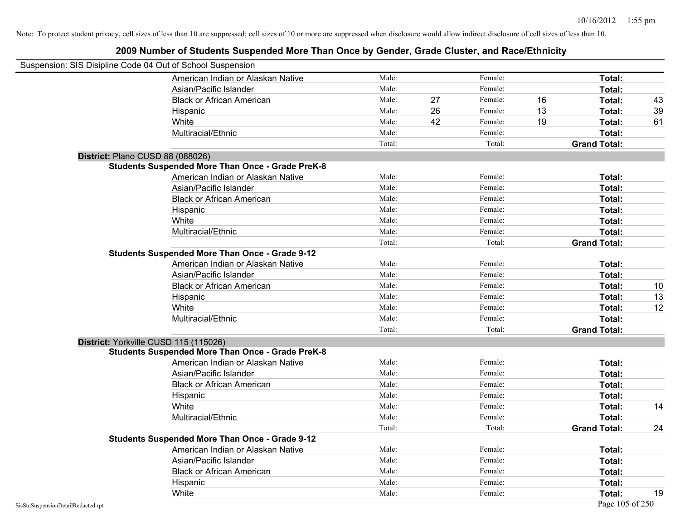| Suspension: SIS Disipline Code 04 Out of School Suspension |                                                         |        |    |         |    |                     |    |
|------------------------------------------------------------|---------------------------------------------------------|--------|----|---------|----|---------------------|----|
|                                                            | American Indian or Alaskan Native                       | Male:  |    | Female: |    | Total:              |    |
|                                                            | Asian/Pacific Islander                                  | Male:  |    | Female: |    | Total:              |    |
|                                                            | <b>Black or African American</b>                        | Male:  | 27 | Female: | 16 | Total:              | 43 |
|                                                            | Hispanic                                                | Male:  | 26 | Female: | 13 | Total:              | 39 |
|                                                            | White                                                   | Male:  | 42 | Female: | 19 | Total:              | 61 |
|                                                            | Multiracial/Ethnic                                      | Male:  |    | Female: |    | Total:              |    |
|                                                            |                                                         | Total: |    | Total:  |    | <b>Grand Total:</b> |    |
| District: Plano CUSD 88 (088026)                           |                                                         |        |    |         |    |                     |    |
|                                                            | <b>Students Suspended More Than Once - Grade PreK-8</b> |        |    |         |    |                     |    |
|                                                            | American Indian or Alaskan Native                       | Male:  |    | Female: |    | Total:              |    |
|                                                            | Asian/Pacific Islander                                  | Male:  |    | Female: |    | Total:              |    |
|                                                            | <b>Black or African American</b>                        | Male:  |    | Female: |    | Total:              |    |
|                                                            | Hispanic                                                | Male:  |    | Female: |    | Total:              |    |
|                                                            | White                                                   | Male:  |    | Female: |    | Total:              |    |
|                                                            | Multiracial/Ethnic                                      | Male:  |    | Female: |    | Total:              |    |
|                                                            |                                                         | Total: |    | Total:  |    | <b>Grand Total:</b> |    |
|                                                            | <b>Students Suspended More Than Once - Grade 9-12</b>   |        |    |         |    |                     |    |
|                                                            | American Indian or Alaskan Native                       | Male:  |    | Female: |    | Total:              |    |
|                                                            | Asian/Pacific Islander                                  | Male:  |    | Female: |    | Total:              |    |
|                                                            | <b>Black or African American</b>                        | Male:  |    | Female: |    | Total:              | 10 |
|                                                            | Hispanic                                                | Male:  |    | Female: |    | Total:              | 13 |
|                                                            | White                                                   | Male:  |    | Female: |    | Total:              | 12 |
|                                                            | Multiracial/Ethnic                                      | Male:  |    | Female: |    | Total:              |    |
|                                                            |                                                         | Total: |    | Total:  |    | <b>Grand Total:</b> |    |
|                                                            | District: Yorkville CUSD 115 (115026)                   |        |    |         |    |                     |    |
|                                                            | <b>Students Suspended More Than Once - Grade PreK-8</b> |        |    |         |    |                     |    |
|                                                            | American Indian or Alaskan Native                       | Male:  |    | Female: |    | Total:              |    |
|                                                            | Asian/Pacific Islander                                  | Male:  |    | Female: |    | Total:              |    |
|                                                            | <b>Black or African American</b>                        | Male:  |    | Female: |    | Total:              |    |
|                                                            | Hispanic                                                | Male:  |    | Female: |    | Total:              |    |
|                                                            | White                                                   | Male:  |    | Female: |    | Total:              | 14 |
|                                                            | Multiracial/Ethnic                                      | Male:  |    | Female: |    | Total:              |    |
|                                                            |                                                         | Total: |    | Total:  |    | <b>Grand Total:</b> | 24 |
|                                                            | <b>Students Suspended More Than Once - Grade 9-12</b>   |        |    |         |    |                     |    |
|                                                            | American Indian or Alaskan Native                       | Male:  |    | Female: |    | Total:              |    |
|                                                            | Asian/Pacific Islander                                  | Male:  |    | Female: |    | Total:              |    |
|                                                            | <b>Black or African American</b>                        | Male:  |    | Female: |    | Total:              |    |
|                                                            | Hispanic                                                | Male:  |    | Female: |    | Total:              |    |
|                                                            | White                                                   | Male:  |    | Female: |    | Total:              | 19 |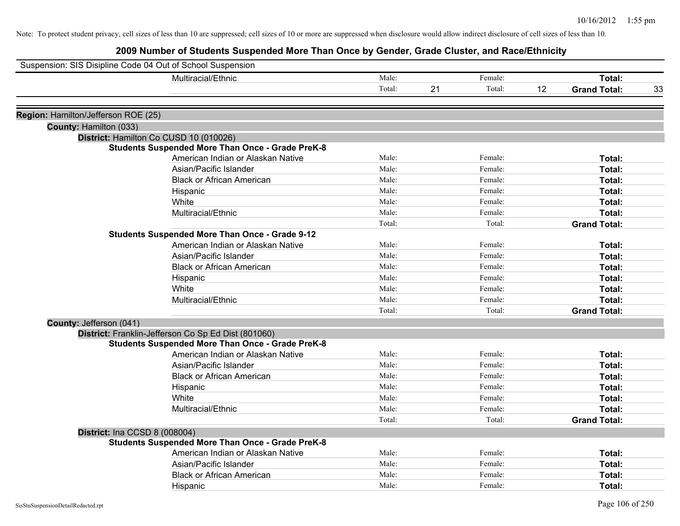| Suspension: SIS Disipline Code 04 Out of School Suspension |                                                         |        |    |         |    |                     |    |
|------------------------------------------------------------|---------------------------------------------------------|--------|----|---------|----|---------------------|----|
|                                                            | Multiracial/Ethnic                                      | Male:  |    | Female: |    | Total:              |    |
|                                                            |                                                         | Total: | 21 | Total:  | 12 | <b>Grand Total:</b> | 33 |
| Region: Hamilton/Jefferson ROE (25)                        |                                                         |        |    |         |    |                     |    |
| County: Hamilton (033)                                     |                                                         |        |    |         |    |                     |    |
|                                                            | District: Hamilton Co CUSD 10 (010026)                  |        |    |         |    |                     |    |
|                                                            | <b>Students Suspended More Than Once - Grade PreK-8</b> |        |    |         |    |                     |    |
|                                                            | American Indian or Alaskan Native                       | Male:  |    | Female: |    | Total:              |    |
|                                                            | Asian/Pacific Islander                                  | Male:  |    | Female: |    | Total:              |    |
|                                                            | <b>Black or African American</b>                        | Male:  |    | Female: |    | Total:              |    |
|                                                            | Hispanic                                                | Male:  |    | Female: |    | Total:              |    |
|                                                            | White                                                   | Male:  |    | Female: |    | Total:              |    |
|                                                            | Multiracial/Ethnic                                      | Male:  |    | Female: |    | Total:              |    |
|                                                            |                                                         | Total: |    | Total:  |    | <b>Grand Total:</b> |    |
|                                                            | <b>Students Suspended More Than Once - Grade 9-12</b>   |        |    |         |    |                     |    |
|                                                            | American Indian or Alaskan Native                       | Male:  |    | Female: |    | Total:              |    |
|                                                            | Asian/Pacific Islander                                  | Male:  |    | Female: |    | Total:              |    |
|                                                            | <b>Black or African American</b>                        | Male:  |    | Female: |    | Total:              |    |
|                                                            | Hispanic                                                | Male:  |    | Female: |    | Total:              |    |
|                                                            | White                                                   | Male:  |    | Female: |    | Total:              |    |
|                                                            | Multiracial/Ethnic                                      | Male:  |    | Female: |    | Total:              |    |
|                                                            |                                                         | Total: |    | Total:  |    | <b>Grand Total:</b> |    |
| County: Jefferson (041)                                    |                                                         |        |    |         |    |                     |    |
|                                                            | District: Franklin-Jefferson Co Sp Ed Dist (801060)     |        |    |         |    |                     |    |
|                                                            | <b>Students Suspended More Than Once - Grade PreK-8</b> |        |    |         |    |                     |    |
|                                                            | American Indian or Alaskan Native                       | Male:  |    | Female: |    | Total:              |    |
|                                                            | Asian/Pacific Islander                                  | Male:  |    | Female: |    | Total:              |    |
|                                                            | <b>Black or African American</b>                        | Male:  |    | Female: |    | Total:              |    |
|                                                            | Hispanic                                                | Male:  |    | Female: |    | Total:              |    |
|                                                            | White                                                   | Male:  |    | Female: |    | Total:              |    |
|                                                            | Multiracial/Ethnic                                      | Male:  |    | Female: |    | Total:              |    |
|                                                            |                                                         | Total: |    | Total:  |    | <b>Grand Total:</b> |    |
| District: Ina CCSD 8 (008004)                              |                                                         |        |    |         |    |                     |    |
|                                                            | <b>Students Suspended More Than Once - Grade PreK-8</b> |        |    |         |    |                     |    |
|                                                            | American Indian or Alaskan Native                       | Male:  |    | Female: |    | Total:              |    |
|                                                            | Asian/Pacific Islander                                  | Male:  |    | Female: |    | Total:              |    |
|                                                            | <b>Black or African American</b>                        | Male:  |    | Female: |    | Total:              |    |
|                                                            | Hispanic                                                | Male:  |    | Female: |    | Total:              |    |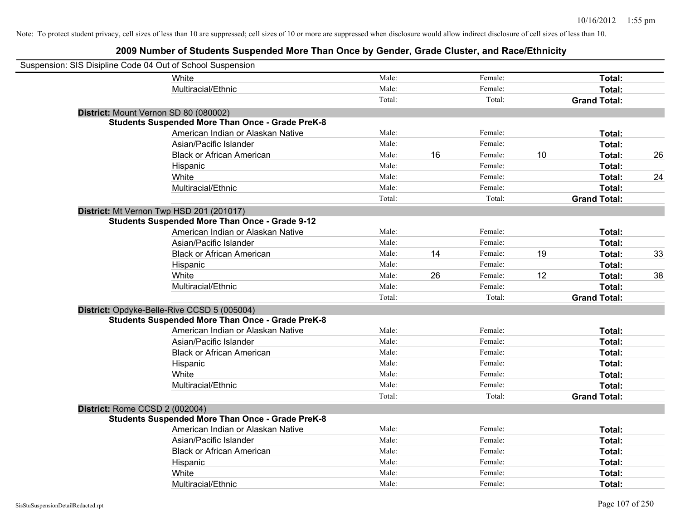| Suspension: SIS Disipline Code 04 Out of School Suspension |                                                         |        |    |         |    |                     |    |
|------------------------------------------------------------|---------------------------------------------------------|--------|----|---------|----|---------------------|----|
|                                                            | White                                                   | Male:  |    | Female: |    | Total:              |    |
|                                                            | Multiracial/Ethnic                                      | Male:  |    | Female: |    | Total:              |    |
|                                                            |                                                         | Total: |    | Total:  |    | <b>Grand Total:</b> |    |
|                                                            | District: Mount Vernon SD 80 (080002)                   |        |    |         |    |                     |    |
|                                                            | <b>Students Suspended More Than Once - Grade PreK-8</b> |        |    |         |    |                     |    |
|                                                            | American Indian or Alaskan Native                       | Male:  |    | Female: |    | Total:              |    |
|                                                            | Asian/Pacific Islander                                  | Male:  |    | Female: |    | Total:              |    |
|                                                            | <b>Black or African American</b>                        | Male:  | 16 | Female: | 10 | Total:              | 26 |
|                                                            | Hispanic                                                | Male:  |    | Female: |    | Total:              |    |
|                                                            | White                                                   | Male:  |    | Female: |    | Total:              | 24 |
|                                                            | Multiracial/Ethnic                                      | Male:  |    | Female: |    | Total:              |    |
|                                                            |                                                         | Total: |    | Total:  |    | <b>Grand Total:</b> |    |
|                                                            | District: Mt Vernon Twp HSD 201 (201017)                |        |    |         |    |                     |    |
|                                                            | <b>Students Suspended More Than Once - Grade 9-12</b>   |        |    |         |    |                     |    |
|                                                            | American Indian or Alaskan Native                       | Male:  |    | Female: |    | Total:              |    |
|                                                            | Asian/Pacific Islander                                  | Male:  |    | Female: |    | Total:              |    |
|                                                            | <b>Black or African American</b>                        | Male:  | 14 | Female: | 19 | Total:              | 33 |
|                                                            | Hispanic                                                | Male:  |    | Female: |    | Total:              |    |
|                                                            | White                                                   | Male:  | 26 | Female: | 12 | Total:              | 38 |
|                                                            | Multiracial/Ethnic                                      | Male:  |    | Female: |    | Total:              |    |
|                                                            |                                                         | Total: |    | Total:  |    | <b>Grand Total:</b> |    |
|                                                            | District: Opdyke-Belle-Rive CCSD 5 (005004)             |        |    |         |    |                     |    |
|                                                            | <b>Students Suspended More Than Once - Grade PreK-8</b> |        |    |         |    |                     |    |
|                                                            | American Indian or Alaskan Native                       | Male:  |    | Female: |    | Total:              |    |
|                                                            | Asian/Pacific Islander                                  | Male:  |    | Female: |    | Total:              |    |
|                                                            | <b>Black or African American</b>                        | Male:  |    | Female: |    | Total:              |    |
|                                                            | Hispanic                                                | Male:  |    | Female: |    | Total:              |    |
|                                                            | White                                                   | Male:  |    | Female: |    | Total:              |    |
|                                                            | Multiracial/Ethnic                                      | Male:  |    | Female: |    | Total:              |    |
|                                                            |                                                         | Total: |    | Total:  |    | <b>Grand Total:</b> |    |
| District: Rome CCSD 2 (002004)                             |                                                         |        |    |         |    |                     |    |
|                                                            | <b>Students Suspended More Than Once - Grade PreK-8</b> |        |    |         |    |                     |    |
|                                                            | American Indian or Alaskan Native                       | Male:  |    | Female: |    | Total:              |    |
|                                                            | Asian/Pacific Islander                                  | Male:  |    | Female: |    | Total:              |    |
|                                                            | <b>Black or African American</b>                        | Male:  |    | Female: |    | Total:              |    |
|                                                            | Hispanic                                                | Male:  |    | Female: |    | Total:              |    |
|                                                            | White                                                   | Male:  |    | Female: |    | Total:              |    |
|                                                            | Multiracial/Ethnic                                      | Male:  |    | Female: |    | Total:              |    |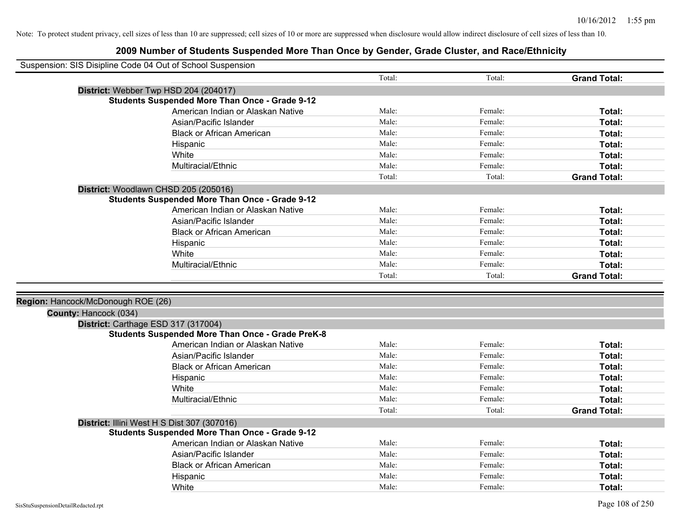| Suspension: SIS Disipline Code 04 Out of School Suspension |                                                         |        |         |                     |
|------------------------------------------------------------|---------------------------------------------------------|--------|---------|---------------------|
|                                                            |                                                         | Total: | Total:  | <b>Grand Total:</b> |
| District: Webber Twp HSD 204 (204017)                      |                                                         |        |         |                     |
|                                                            | <b>Students Suspended More Than Once - Grade 9-12</b>   |        |         |                     |
|                                                            | American Indian or Alaskan Native                       | Male:  | Female: | Total:              |
|                                                            | Asian/Pacific Islander                                  | Male:  | Female: | Total:              |
|                                                            | <b>Black or African American</b>                        | Male:  | Female: | Total:              |
|                                                            | Hispanic                                                | Male:  | Female: | Total:              |
|                                                            | White                                                   | Male:  | Female: | Total:              |
|                                                            | Multiracial/Ethnic                                      | Male:  | Female: | Total:              |
|                                                            |                                                         | Total: | Total:  | <b>Grand Total:</b> |
| District: Woodlawn CHSD 205 (205016)                       |                                                         |        |         |                     |
|                                                            | <b>Students Suspended More Than Once - Grade 9-12</b>   |        |         |                     |
|                                                            | American Indian or Alaskan Native                       | Male:  | Female: | Total:              |
|                                                            | Asian/Pacific Islander                                  | Male:  | Female: | Total:              |
|                                                            | <b>Black or African American</b>                        | Male:  | Female: | Total:              |
|                                                            | Hispanic                                                | Male:  | Female: | Total:              |
|                                                            | White                                                   | Male:  | Female: | Total:              |
|                                                            | Multiracial/Ethnic                                      | Male:  | Female: | Total:              |
|                                                            |                                                         | Total: | Total:  | <b>Grand Total:</b> |
|                                                            |                                                         |        |         |                     |
| Region: Hancock/McDonough ROE (26)                         |                                                         |        |         |                     |
| County: Hancock (034)                                      |                                                         |        |         |                     |
| District: Carthage ESD 317 (317004)                        |                                                         |        |         |                     |
|                                                            | <b>Students Suspended More Than Once - Grade PreK-8</b> |        |         |                     |
|                                                            | American Indian or Alaskan Native                       | Male:  | Female: | Total:              |
|                                                            | Asian/Pacific Islander                                  | Male:  | Female: | Total:              |
|                                                            | <b>Black or African American</b>                        | Male:  | Female: | Total:              |
|                                                            | Hispanic                                                | Male:  | Female: | Total:              |
|                                                            | White                                                   | Male:  | Female: | Total:              |
|                                                            | Multiracial/Ethnic                                      | Male:  | Female: | Total:              |
|                                                            |                                                         | Total: | Total:  | <b>Grand Total:</b> |
| District: Illini West H S Dist 307 (307016)                |                                                         |        |         |                     |
|                                                            | <b>Students Suspended More Than Once - Grade 9-12</b>   |        |         |                     |
|                                                            | American Indian or Alaskan Native                       | Male:  | Female: | Total:              |
|                                                            | Asian/Pacific Islander                                  | Male:  | Female: | Total:              |
|                                                            | <b>Black or African American</b>                        | Male:  | Female: | Total:              |
|                                                            | Hispanic                                                | Male:  | Female: | <b>Total:</b>       |
|                                                            | White                                                   | Male:  | Female: | Total:              |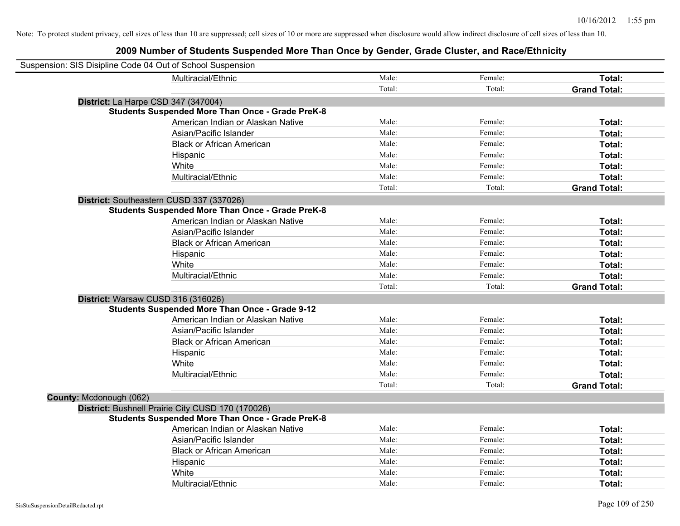| Suspension: SIS Disipline Code 04 Out of School Suspension |                                                         |        |         |                     |
|------------------------------------------------------------|---------------------------------------------------------|--------|---------|---------------------|
|                                                            | Multiracial/Ethnic                                      | Male:  | Female: | Total:              |
|                                                            |                                                         | Total: | Total:  | <b>Grand Total:</b> |
| District: La Harpe CSD 347 (347004)                        |                                                         |        |         |                     |
|                                                            | <b>Students Suspended More Than Once - Grade PreK-8</b> |        |         |                     |
|                                                            | American Indian or Alaskan Native                       | Male:  | Female: | Total:              |
|                                                            | Asian/Pacific Islander                                  | Male:  | Female: | Total:              |
|                                                            | <b>Black or African American</b>                        | Male:  | Female: | Total:              |
|                                                            | Hispanic                                                | Male:  | Female: | Total:              |
|                                                            | White                                                   | Male:  | Female: | Total:              |
|                                                            | Multiracial/Ethnic                                      | Male:  | Female: | Total:              |
|                                                            |                                                         | Total: | Total:  | <b>Grand Total:</b> |
|                                                            | District: Southeastern CUSD 337 (337026)                |        |         |                     |
|                                                            | <b>Students Suspended More Than Once - Grade PreK-8</b> |        |         |                     |
|                                                            | American Indian or Alaskan Native                       | Male:  | Female: | Total:              |
|                                                            | Asian/Pacific Islander                                  | Male:  | Female: | Total:              |
|                                                            | <b>Black or African American</b>                        | Male:  | Female: | Total:              |
|                                                            | Hispanic                                                | Male:  | Female: | Total:              |
|                                                            | White                                                   | Male:  | Female: | Total:              |
|                                                            | Multiracial/Ethnic                                      | Male:  | Female: | Total:              |
|                                                            |                                                         | Total: | Total:  | <b>Grand Total:</b> |
| District: Warsaw CUSD 316 (316026)                         |                                                         |        |         |                     |
|                                                            | <b>Students Suspended More Than Once - Grade 9-12</b>   |        |         |                     |
|                                                            | American Indian or Alaskan Native                       | Male:  | Female: | Total:              |
|                                                            | Asian/Pacific Islander                                  | Male:  | Female: | Total:              |
|                                                            | <b>Black or African American</b>                        | Male:  | Female: | Total:              |
|                                                            | Hispanic                                                | Male:  | Female: | Total:              |
|                                                            | White                                                   | Male:  | Female: | Total:              |
|                                                            | Multiracial/Ethnic                                      | Male:  | Female: | Total:              |
|                                                            |                                                         | Total: | Total:  | <b>Grand Total:</b> |
| County: Mcdonough (062)                                    |                                                         |        |         |                     |
|                                                            | District: Bushnell Prairie City CUSD 170 (170026)       |        |         |                     |
|                                                            | <b>Students Suspended More Than Once - Grade PreK-8</b> |        |         |                     |
|                                                            | American Indian or Alaskan Native                       | Male:  | Female: | Total:              |
|                                                            | Asian/Pacific Islander                                  | Male:  | Female: | Total:              |
|                                                            | <b>Black or African American</b>                        | Male:  | Female: | Total:              |
|                                                            | Hispanic                                                | Male:  | Female: | Total:              |
|                                                            | White                                                   | Male:  | Female: | Total:              |
|                                                            | Multiracial/Ethnic                                      | Male:  | Female: | Total:              |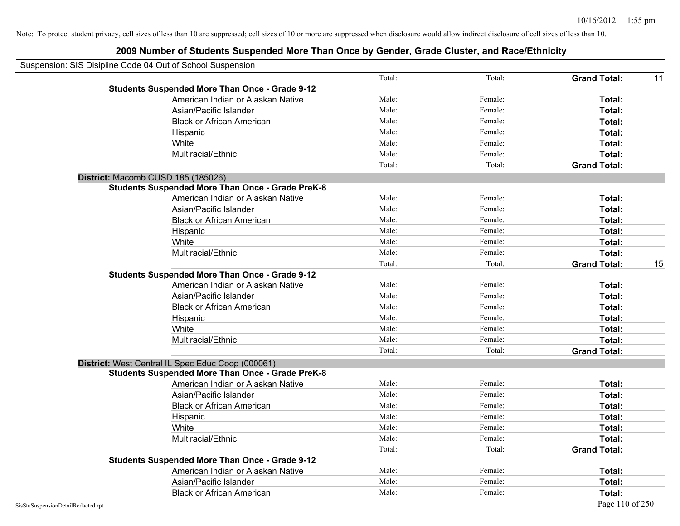| Suspension: SIS Disipline Code 04 Out of School Suspension |        |         |                     |    |
|------------------------------------------------------------|--------|---------|---------------------|----|
|                                                            | Total: | Total:  | <b>Grand Total:</b> | 11 |
| <b>Students Suspended More Than Once - Grade 9-12</b>      |        |         |                     |    |
| American Indian or Alaskan Native                          | Male:  | Female: | Total:              |    |
| Asian/Pacific Islander                                     | Male:  | Female: | Total:              |    |
| <b>Black or African American</b>                           | Male:  | Female: | Total:              |    |
| Hispanic                                                   | Male:  | Female: | Total:              |    |
| White                                                      | Male:  | Female: | Total:              |    |
| Multiracial/Ethnic                                         | Male:  | Female: | Total:              |    |
|                                                            | Total: | Total:  | <b>Grand Total:</b> |    |
| District: Macomb CUSD 185 (185026)                         |        |         |                     |    |
| <b>Students Suspended More Than Once - Grade PreK-8</b>    |        |         |                     |    |
| American Indian or Alaskan Native                          | Male:  | Female: | Total:              |    |
| Asian/Pacific Islander                                     | Male:  | Female: | Total:              |    |
| <b>Black or African American</b>                           | Male:  | Female: | Total:              |    |
| Hispanic                                                   | Male:  | Female: | Total:              |    |
| White                                                      | Male:  | Female: | Total:              |    |
| Multiracial/Ethnic                                         | Male:  | Female: | Total:              |    |
|                                                            | Total: | Total:  | <b>Grand Total:</b> | 15 |
| <b>Students Suspended More Than Once - Grade 9-12</b>      |        |         |                     |    |
| American Indian or Alaskan Native                          | Male:  | Female: | Total:              |    |
| Asian/Pacific Islander                                     | Male:  | Female: | Total:              |    |
| <b>Black or African American</b>                           | Male:  | Female: | Total:              |    |
| Hispanic                                                   | Male:  | Female: | Total:              |    |
| White                                                      | Male:  | Female: | Total:              |    |
| Multiracial/Ethnic                                         | Male:  | Female: | Total:              |    |
|                                                            | Total: | Total:  | <b>Grand Total:</b> |    |
| District: West Central IL Spec Educ Coop (000061)          |        |         |                     |    |
| <b>Students Suspended More Than Once - Grade PreK-8</b>    |        |         |                     |    |
| American Indian or Alaskan Native                          | Male:  | Female: | Total:              |    |
| Asian/Pacific Islander                                     | Male:  | Female: | Total:              |    |
| <b>Black or African American</b>                           | Male:  | Female: | Total:              |    |
| Hispanic                                                   | Male:  | Female: | Total:              |    |
| White                                                      | Male:  | Female: | Total:              |    |
| Multiracial/Ethnic                                         | Male:  | Female: | Total:              |    |
|                                                            | Total: | Total:  | <b>Grand Total:</b> |    |
| <b>Students Suspended More Than Once - Grade 9-12</b>      |        |         |                     |    |
| American Indian or Alaskan Native                          | Male:  | Female: | Total:              |    |
| Asian/Pacific Islander                                     | Male:  | Female: | Total:              |    |
| <b>Black or African American</b>                           | Male:  | Female: | Total:              |    |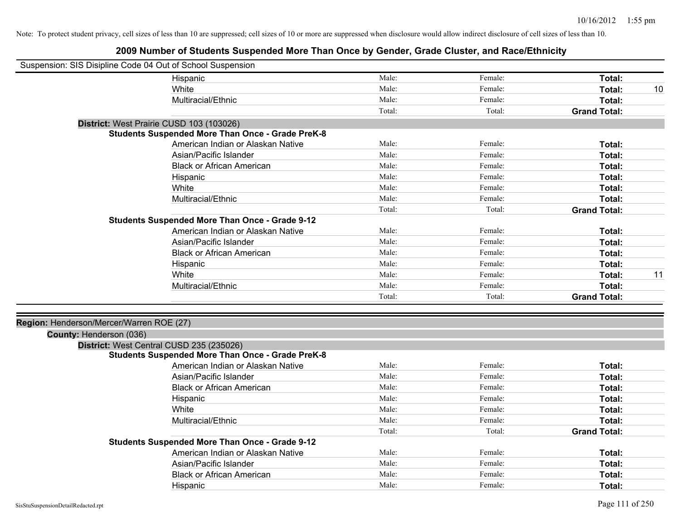| Suspension: SIS Disipline Code 04 Out of School Suspension |                                                         |        |         |                     |    |
|------------------------------------------------------------|---------------------------------------------------------|--------|---------|---------------------|----|
|                                                            | Hispanic                                                | Male:  | Female: | Total:              |    |
|                                                            | White                                                   | Male:  | Female: | Total:              | 10 |
|                                                            | Multiracial/Ethnic                                      | Male:  | Female: | Total:              |    |
|                                                            |                                                         | Total: | Total:  | <b>Grand Total:</b> |    |
| District: West Prairie CUSD 103 (103026)                   |                                                         |        |         |                     |    |
|                                                            | <b>Students Suspended More Than Once - Grade PreK-8</b> |        |         |                     |    |
|                                                            | American Indian or Alaskan Native                       | Male:  | Female: | Total:              |    |
|                                                            | Asian/Pacific Islander                                  | Male:  | Female: | Total:              |    |
|                                                            | <b>Black or African American</b>                        | Male:  | Female: | Total:              |    |
|                                                            | Hispanic                                                | Male:  | Female: | Total:              |    |
|                                                            | White                                                   | Male:  | Female: | Total:              |    |
|                                                            | Multiracial/Ethnic                                      | Male:  | Female: | Total:              |    |
|                                                            |                                                         | Total: | Total:  | <b>Grand Total:</b> |    |
|                                                            | <b>Students Suspended More Than Once - Grade 9-12</b>   |        |         |                     |    |
|                                                            | American Indian or Alaskan Native                       | Male:  | Female: | Total:              |    |
|                                                            | Asian/Pacific Islander                                  | Male:  | Female: | Total:              |    |
|                                                            | <b>Black or African American</b>                        | Male:  | Female: | Total:              |    |
|                                                            | Hispanic                                                | Male:  | Female: | Total:              |    |
|                                                            | White                                                   | Male:  | Female: | Total:              | 11 |
|                                                            | Multiracial/Ethnic                                      | Male:  | Female: | Total:              |    |
|                                                            |                                                         | Total: | Total:  | <b>Grand Total:</b> |    |
|                                                            |                                                         |        |         |                     |    |
| Region: Henderson/Mercer/Warren ROE (27)                   |                                                         |        |         |                     |    |
| County: Henderson (036)                                    |                                                         |        |         |                     |    |
| District: West Central CUSD 235 (235026)                   |                                                         |        |         |                     |    |
|                                                            | <b>Students Suspended More Than Once - Grade PreK-8</b> |        |         |                     |    |
|                                                            | American Indian or Alaskan Native                       | Male:  | Female: | Total:              |    |
|                                                            | Asian/Pacific Islander                                  | Male:  | Female: | Total:              |    |
|                                                            | <b>Black or African American</b>                        | Male:  | Female: | Total:              |    |
|                                                            | Hispanic                                                | Male:  | Female: | Total:              |    |
|                                                            | White                                                   | Male:  | Female: | Total:              |    |
|                                                            | Multiracial/Ethnic                                      | Male:  | Female: | Total:              |    |
|                                                            |                                                         | Total: | Total:  | <b>Grand Total:</b> |    |
|                                                            | <b>Students Suspended More Than Once - Grade 9-12</b>   |        |         |                     |    |
|                                                            | American Indian or Alaskan Native                       | Male:  | Female: | Total:              |    |
|                                                            | Asian/Pacific Islander                                  | Male:  | Female: | Total:              |    |
|                                                            | <b>Black or African American</b>                        | Male:  | Female: | Total:              |    |
|                                                            | Hispanic                                                | Male:  | Female: | Total:              |    |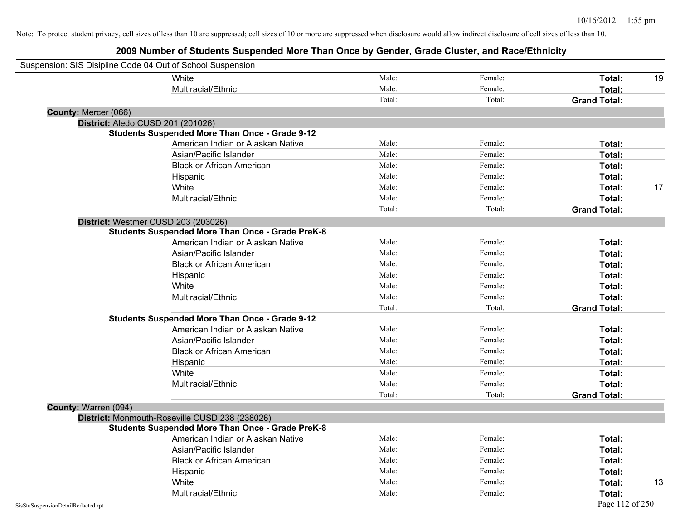|                                    | White                                                   | Male:  | Female: | Total:              | 19 |
|------------------------------------|---------------------------------------------------------|--------|---------|---------------------|----|
|                                    | Multiracial/Ethnic                                      | Male:  | Female: | Total:              |    |
|                                    |                                                         | Total: | Total:  | <b>Grand Total:</b> |    |
| County: Mercer (066)               |                                                         |        |         |                     |    |
|                                    | District: Aledo CUSD 201 (201026)                       |        |         |                     |    |
|                                    | <b>Students Suspended More Than Once - Grade 9-12</b>   |        |         |                     |    |
|                                    | American Indian or Alaskan Native                       | Male:  | Female: | Total:              |    |
|                                    | Asian/Pacific Islander                                  | Male:  | Female: | Total:              |    |
|                                    | <b>Black or African American</b>                        | Male:  | Female: | Total:              |    |
|                                    | Hispanic                                                | Male:  | Female: | Total:              |    |
|                                    | White                                                   | Male:  | Female: | Total:              | 17 |
|                                    | Multiracial/Ethnic                                      | Male:  | Female: | Total:              |    |
|                                    |                                                         | Total: | Total:  | <b>Grand Total:</b> |    |
|                                    | District: Westmer CUSD 203 (203026)                     |        |         |                     |    |
|                                    | <b>Students Suspended More Than Once - Grade PreK-8</b> |        |         |                     |    |
|                                    | American Indian or Alaskan Native                       | Male:  | Female: | Total:              |    |
|                                    | Asian/Pacific Islander                                  | Male:  | Female: | Total:              |    |
|                                    | <b>Black or African American</b>                        | Male:  | Female: | Total:              |    |
|                                    | Hispanic                                                | Male:  | Female: | Total:              |    |
|                                    | White                                                   | Male:  | Female: | Total:              |    |
|                                    | Multiracial/Ethnic                                      | Male:  | Female: | Total:              |    |
|                                    |                                                         | Total: | Total:  | <b>Grand Total:</b> |    |
|                                    | <b>Students Suspended More Than Once - Grade 9-12</b>   |        |         |                     |    |
|                                    | American Indian or Alaskan Native                       | Male:  | Female: | Total:              |    |
|                                    | Asian/Pacific Islander                                  | Male:  | Female: | Total:              |    |
|                                    | <b>Black or African American</b>                        | Male:  | Female: | Total:              |    |
|                                    | Hispanic                                                | Male:  | Female: | Total:              |    |
|                                    | White                                                   | Male:  | Female: | Total:              |    |
|                                    | Multiracial/Ethnic                                      | Male:  | Female: | Total:              |    |
|                                    |                                                         | Total: | Total:  | <b>Grand Total:</b> |    |
| County: Warren (094)               |                                                         |        |         |                     |    |
|                                    | District: Monmouth-Roseville CUSD 238 (238026)          |        |         |                     |    |
|                                    | <b>Students Suspended More Than Once - Grade PreK-8</b> |        |         |                     |    |
|                                    | American Indian or Alaskan Native                       | Male:  | Female: | Total:              |    |
|                                    | Asian/Pacific Islander                                  | Male:  | Female: | Total:              |    |
|                                    | <b>Black or African American</b>                        | Male:  | Female: | Total:              |    |
|                                    | Hispanic                                                | Male:  | Female: | Total:              |    |
|                                    | White                                                   | Male:  | Female: | Total:              | 13 |
|                                    | Multiracial/Ethnic                                      | Male:  | Female: | Total:              |    |
| SisStuSuspensionDetailRedacted.rpt |                                                         |        |         | Page 112 of 250     |    |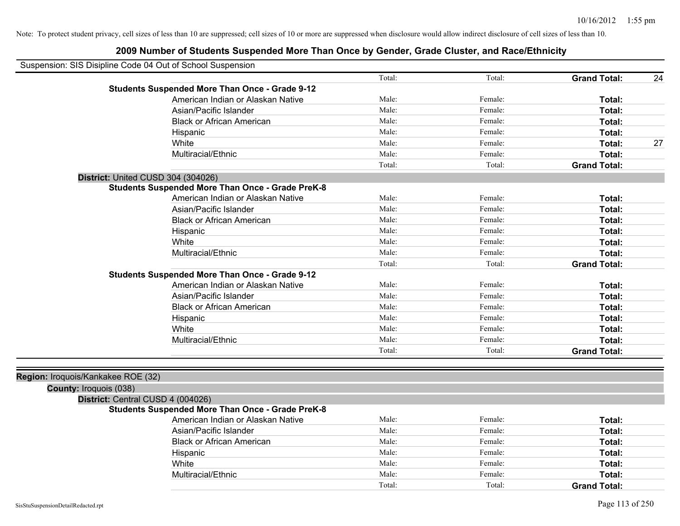| Suspension: SIS Disipline Code 04 Out of School Suspension |                                                         |        |         |                     |    |
|------------------------------------------------------------|---------------------------------------------------------|--------|---------|---------------------|----|
|                                                            |                                                         | Total: | Total:  | <b>Grand Total:</b> | 24 |
|                                                            | <b>Students Suspended More Than Once - Grade 9-12</b>   |        |         |                     |    |
|                                                            | American Indian or Alaskan Native                       | Male:  | Female: | Total:              |    |
|                                                            | Asian/Pacific Islander                                  | Male:  | Female: | Total:              |    |
|                                                            | <b>Black or African American</b>                        | Male:  | Female: | Total:              |    |
|                                                            | Hispanic                                                | Male:  | Female: | Total:              |    |
|                                                            | White                                                   | Male:  | Female: | Total:              | 27 |
|                                                            | Multiracial/Ethnic                                      | Male:  | Female: | Total:              |    |
|                                                            |                                                         | Total: | Total:  | <b>Grand Total:</b> |    |
| District: United CUSD 304 (304026)                         |                                                         |        |         |                     |    |
|                                                            | <b>Students Suspended More Than Once - Grade PreK-8</b> |        |         |                     |    |
|                                                            | American Indian or Alaskan Native                       | Male:  | Female: | Total:              |    |
|                                                            | Asian/Pacific Islander                                  | Male:  | Female: | Total:              |    |
|                                                            | <b>Black or African American</b>                        | Male:  | Female: | Total:              |    |
|                                                            | Hispanic                                                | Male:  | Female: | Total:              |    |
|                                                            | White                                                   | Male:  | Female: | Total:              |    |
|                                                            | Multiracial/Ethnic                                      | Male:  | Female: | Total:              |    |
|                                                            |                                                         | Total: | Total:  | <b>Grand Total:</b> |    |
|                                                            | <b>Students Suspended More Than Once - Grade 9-12</b>   |        |         |                     |    |
|                                                            | American Indian or Alaskan Native                       | Male:  | Female: | Total:              |    |
|                                                            | Asian/Pacific Islander                                  | Male:  | Female: | Total:              |    |
|                                                            | <b>Black or African American</b>                        | Male:  | Female: | Total:              |    |
|                                                            | Hispanic                                                | Male:  | Female: | Total:              |    |
|                                                            | White                                                   | Male:  | Female: | Total:              |    |
|                                                            | Multiracial/Ethnic                                      | Male:  | Female: | Total:              |    |
|                                                            |                                                         | Total: | Total:  | <b>Grand Total:</b> |    |
| Region: Iroquois/Kankakee ROE (32)                         |                                                         |        |         |                     |    |
| County: Iroquois (038)                                     |                                                         |        |         |                     |    |
| District: Central CUSD 4 (004026)                          |                                                         |        |         |                     |    |
|                                                            | <b>Students Suspended More Than Once - Grade PreK-8</b> |        |         |                     |    |
|                                                            | American Indian or Alaskan Native                       | Male:  | Female: | Total:              |    |
|                                                            | Asian/Pacific Islander                                  | Male:  | Female: | Total:              |    |
|                                                            | <b>Black or African American</b>                        | Male:  | Female: | Total:              |    |
|                                                            | Hispanic                                                | Male:  | Female: | Total:              |    |
|                                                            | White                                                   | Male:  | Female: | Total:              |    |
|                                                            | Multiracial/Ethnic                                      | Male:  | Female: | Total:              |    |
|                                                            |                                                         | Total: | Total:  | <b>Grand Total:</b> |    |
|                                                            |                                                         |        |         |                     |    |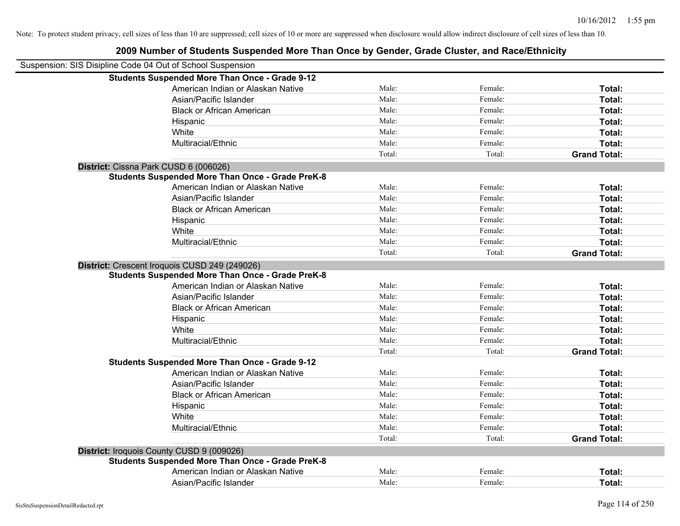| Suspension: SIS Disipline Code 04 Out of School Suspension |        |         |                     |
|------------------------------------------------------------|--------|---------|---------------------|
| <b>Students Suspended More Than Once - Grade 9-12</b>      |        |         |                     |
| American Indian or Alaskan Native                          | Male:  | Female: | Total:              |
| Asian/Pacific Islander                                     | Male:  | Female: | Total:              |
| <b>Black or African American</b>                           | Male:  | Female: | Total:              |
| Hispanic                                                   | Male:  | Female: | Total:              |
| White                                                      | Male:  | Female: | Total:              |
| Multiracial/Ethnic                                         | Male:  | Female: | Total:              |
|                                                            | Total: | Total:  | <b>Grand Total:</b> |
| District: Cissna Park CUSD 6 (006026)                      |        |         |                     |
| <b>Students Suspended More Than Once - Grade PreK-8</b>    |        |         |                     |
| American Indian or Alaskan Native                          | Male:  | Female: | Total:              |
| Asian/Pacific Islander                                     | Male:  | Female: | Total:              |
| <b>Black or African American</b>                           | Male:  | Female: | Total:              |
| Hispanic                                                   | Male:  | Female: | Total:              |
| White                                                      | Male:  | Female: | Total:              |
| Multiracial/Ethnic                                         | Male:  | Female: | Total:              |
|                                                            | Total: | Total:  | <b>Grand Total:</b> |
| District: Crescent Iroquois CUSD 249 (249026)              |        |         |                     |
| <b>Students Suspended More Than Once - Grade PreK-8</b>    |        |         |                     |
| American Indian or Alaskan Native                          | Male:  | Female: | Total:              |
| Asian/Pacific Islander                                     | Male:  | Female: | Total:              |
| <b>Black or African American</b>                           | Male:  | Female: | Total:              |
| Hispanic                                                   | Male:  | Female: | Total:              |
| White                                                      | Male:  | Female: | Total:              |
| Multiracial/Ethnic                                         | Male:  | Female: | Total:              |
|                                                            | Total: | Total:  | <b>Grand Total:</b> |
| <b>Students Suspended More Than Once - Grade 9-12</b>      |        |         |                     |
| American Indian or Alaskan Native                          | Male:  | Female: | Total:              |
| Asian/Pacific Islander                                     | Male:  | Female: | Total:              |
| <b>Black or African American</b>                           | Male:  | Female: | Total:              |
| Hispanic                                                   | Male:  | Female: | Total:              |
| White                                                      | Male:  | Female: | Total:              |
| Multiracial/Ethnic                                         | Male:  | Female: | Total:              |
|                                                            | Total: | Total:  | <b>Grand Total:</b> |
| District: Iroquois County CUSD 9 (009026)                  |        |         |                     |
| <b>Students Suspended More Than Once - Grade PreK-8</b>    |        |         |                     |
| American Indian or Alaskan Native                          | Male:  | Female: | Total:              |
| Asian/Pacific Islander                                     | Male:  | Female: | Total:              |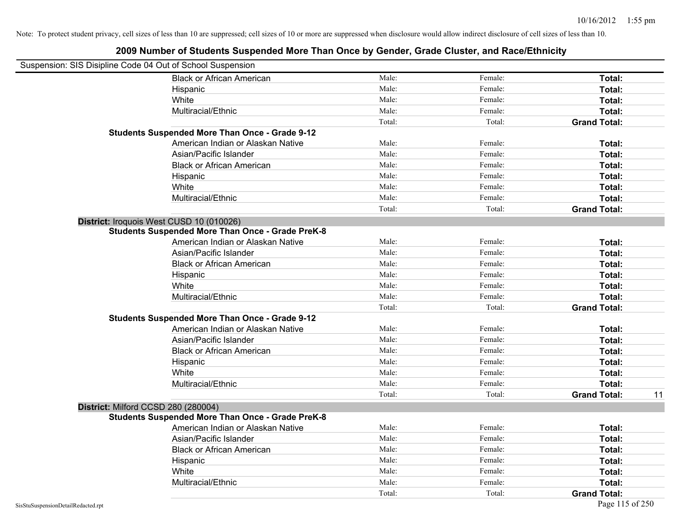| Suspension: SIS Disipline Code 04 Out of School Suspension |                                                         |        |         |                     |    |
|------------------------------------------------------------|---------------------------------------------------------|--------|---------|---------------------|----|
|                                                            | <b>Black or African American</b>                        | Male:  | Female: | Total:              |    |
|                                                            | Hispanic                                                | Male:  | Female: | Total:              |    |
|                                                            | White                                                   | Male:  | Female: | Total:              |    |
|                                                            | Multiracial/Ethnic                                      | Male:  | Female: | Total:              |    |
|                                                            |                                                         | Total: | Total:  | <b>Grand Total:</b> |    |
|                                                            | <b>Students Suspended More Than Once - Grade 9-12</b>   |        |         |                     |    |
|                                                            | American Indian or Alaskan Native                       | Male:  | Female: | Total:              |    |
|                                                            | Asian/Pacific Islander                                  | Male:  | Female: | Total:              |    |
|                                                            | <b>Black or African American</b>                        | Male:  | Female: | Total:              |    |
|                                                            | Hispanic                                                | Male:  | Female: | Total:              |    |
|                                                            | White                                                   | Male:  | Female: | Total:              |    |
|                                                            | Multiracial/Ethnic                                      | Male:  | Female: | Total:              |    |
|                                                            |                                                         | Total: | Total:  | <b>Grand Total:</b> |    |
|                                                            | District: Iroquois West CUSD 10 (010026)                |        |         |                     |    |
|                                                            | <b>Students Suspended More Than Once - Grade PreK-8</b> |        |         |                     |    |
|                                                            | American Indian or Alaskan Native                       | Male:  | Female: | Total:              |    |
|                                                            | Asian/Pacific Islander                                  | Male:  | Female: | Total:              |    |
|                                                            | <b>Black or African American</b>                        | Male:  | Female: | Total:              |    |
|                                                            | Hispanic                                                | Male:  | Female: | Total:              |    |
|                                                            | White                                                   | Male:  | Female: | Total:              |    |
|                                                            | Multiracial/Ethnic                                      | Male:  | Female: | Total:              |    |
|                                                            |                                                         | Total: | Total:  | <b>Grand Total:</b> |    |
|                                                            | <b>Students Suspended More Than Once - Grade 9-12</b>   |        |         |                     |    |
|                                                            | American Indian or Alaskan Native                       | Male:  | Female: | Total:              |    |
|                                                            | Asian/Pacific Islander                                  | Male:  | Female: | Total:              |    |
|                                                            | <b>Black or African American</b>                        | Male:  | Female: | Total:              |    |
|                                                            | Hispanic                                                | Male:  | Female: | Total:              |    |
|                                                            | White                                                   | Male:  | Female: | Total:              |    |
|                                                            | Multiracial/Ethnic                                      | Male:  | Female: | Total:              |    |
|                                                            |                                                         | Total: | Total:  | <b>Grand Total:</b> | 11 |
|                                                            | District: Milford CCSD 280 (280004)                     |        |         |                     |    |
|                                                            | <b>Students Suspended More Than Once - Grade PreK-8</b> |        |         |                     |    |
|                                                            | American Indian or Alaskan Native                       | Male:  | Female: | Total:              |    |
|                                                            | Asian/Pacific Islander                                  | Male:  | Female: | Total:              |    |
|                                                            | <b>Black or African American</b>                        | Male:  | Female: | Total:              |    |
|                                                            | Hispanic                                                | Male:  | Female: | Total:              |    |
|                                                            | White                                                   | Male:  | Female: | Total:              |    |
|                                                            | Multiracial/Ethnic                                      | Male:  | Female: | Total:              |    |
|                                                            |                                                         | Total: | Total:  | <b>Grand Total:</b> |    |
| SisStuSuspensionDetailRedacted.rpt                         |                                                         |        |         | Page 115 of 250     |    |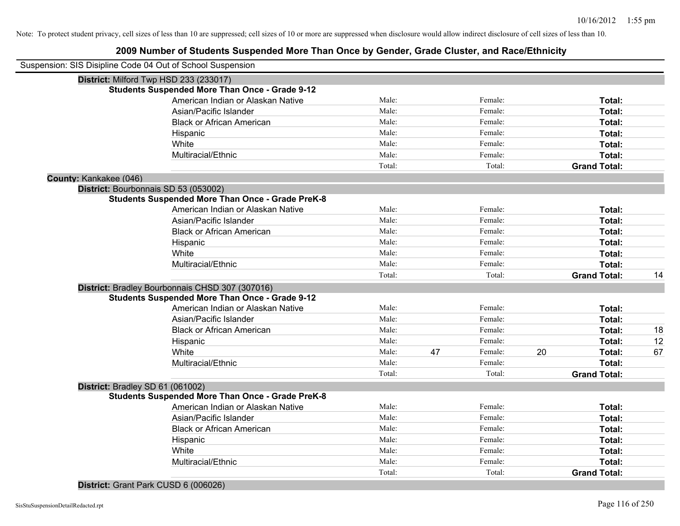| Suspension: SIS Disipline Code 04 Out of School Suspension |        |    |         |    |                     |    |
|------------------------------------------------------------|--------|----|---------|----|---------------------|----|
| District: Milford Twp HSD 233 (233017)                     |        |    |         |    |                     |    |
| <b>Students Suspended More Than Once - Grade 9-12</b>      |        |    |         |    |                     |    |
| American Indian or Alaskan Native                          | Male:  |    | Female: |    | Total:              |    |
| Asian/Pacific Islander                                     | Male:  |    | Female: |    | Total:              |    |
| <b>Black or African American</b>                           | Male:  |    | Female: |    | Total:              |    |
| Hispanic                                                   | Male:  |    | Female: |    | Total:              |    |
| White                                                      | Male:  |    | Female: |    | Total:              |    |
| Multiracial/Ethnic                                         | Male:  |    | Female: |    | Total:              |    |
|                                                            | Total: |    | Total:  |    | <b>Grand Total:</b> |    |
| County: Kankakee (046)                                     |        |    |         |    |                     |    |
| District: Bourbonnais SD 53 (053002)                       |        |    |         |    |                     |    |
| <b>Students Suspended More Than Once - Grade PreK-8</b>    |        |    |         |    |                     |    |
| American Indian or Alaskan Native                          | Male:  |    | Female: |    | Total:              |    |
| Asian/Pacific Islander                                     | Male:  |    | Female: |    | Total:              |    |
| <b>Black or African American</b>                           | Male:  |    | Female: |    | Total:              |    |
| Hispanic                                                   | Male:  |    | Female: |    | Total:              |    |
| White                                                      | Male:  |    | Female: |    | Total:              |    |
| Multiracial/Ethnic                                         | Male:  |    | Female: |    | <b>Total:</b>       |    |
|                                                            | Total: |    | Total:  |    | <b>Grand Total:</b> | 14 |
| District: Bradley Bourbonnais CHSD 307 (307016)            |        |    |         |    |                     |    |
| <b>Students Suspended More Than Once - Grade 9-12</b>      |        |    |         |    |                     |    |
| American Indian or Alaskan Native                          | Male:  |    | Female: |    | Total:              |    |
| Asian/Pacific Islander                                     | Male:  |    | Female: |    | Total:              |    |
| <b>Black or African American</b>                           | Male:  |    | Female: |    | Total:              | 18 |
| Hispanic                                                   | Male:  |    | Female: |    | Total:              | 12 |
| White                                                      | Male:  | 47 | Female: | 20 | Total:              | 67 |
| Multiracial/Ethnic                                         | Male:  |    | Female: |    | <b>Total:</b>       |    |
|                                                            | Total: |    | Total:  |    | <b>Grand Total:</b> |    |
| District: Bradley SD 61 (061002)                           |        |    |         |    |                     |    |
| <b>Students Suspended More Than Once - Grade PreK-8</b>    |        |    |         |    |                     |    |
| American Indian or Alaskan Native                          | Male:  |    | Female: |    | Total:              |    |
| Asian/Pacific Islander                                     | Male:  |    | Female: |    | Total:              |    |
| <b>Black or African American</b>                           | Male:  |    | Female: |    | Total:              |    |
| Hispanic                                                   | Male:  |    | Female: |    | Total:              |    |
| White                                                      | Male:  |    | Female: |    | Total:              |    |
| Multiracial/Ethnic                                         | Male:  |    | Female: |    | Total:              |    |
|                                                            | Total: |    | Total:  |    | <b>Grand Total:</b> |    |
|                                                            |        |    |         |    |                     |    |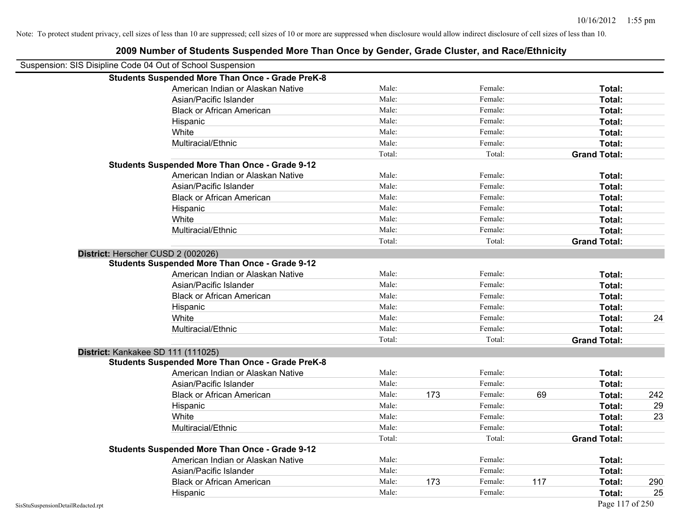|                                                            | <u>zuus munnen on Students Suspended more Than Once by Gender, Grade Cluster, and Nace/Lumncity</u> |        |     |         |     |                     |     |
|------------------------------------------------------------|-----------------------------------------------------------------------------------------------------|--------|-----|---------|-----|---------------------|-----|
| Suspension: SIS Disipline Code 04 Out of School Suspension |                                                                                                     |        |     |         |     |                     |     |
|                                                            | <b>Students Suspended More Than Once - Grade PreK-8</b>                                             |        |     |         |     |                     |     |
|                                                            | American Indian or Alaskan Native                                                                   | Male:  |     | Female: |     | Total:              |     |
|                                                            | Asian/Pacific Islander                                                                              | Male:  |     | Female: |     | Total:              |     |
|                                                            | <b>Black or African American</b>                                                                    | Male:  |     | Female: |     | Total:              |     |
|                                                            | Hispanic                                                                                            | Male:  |     | Female: |     | Total:              |     |
|                                                            | White                                                                                               | Male:  |     | Female: |     | Total:              |     |
|                                                            | Multiracial/Ethnic                                                                                  | Male:  |     | Female: |     | Total:              |     |
|                                                            |                                                                                                     | Total: |     | Total:  |     | <b>Grand Total:</b> |     |
|                                                            | <b>Students Suspended More Than Once - Grade 9-12</b>                                               |        |     |         |     |                     |     |
|                                                            | American Indian or Alaskan Native                                                                   | Male:  |     | Female: |     | Total:              |     |
|                                                            | Asian/Pacific Islander                                                                              | Male:  |     | Female: |     | Total:              |     |
|                                                            | <b>Black or African American</b>                                                                    | Male:  |     | Female: |     | Total:              |     |
|                                                            | Hispanic                                                                                            | Male:  |     | Female: |     | Total:              |     |
|                                                            | White                                                                                               | Male:  |     | Female: |     | Total:              |     |
|                                                            | Multiracial/Ethnic                                                                                  | Male:  |     | Female: |     | Total:              |     |
|                                                            |                                                                                                     | Total: |     | Total:  |     | <b>Grand Total:</b> |     |
| District: Herscher CUSD 2 (002026)                         |                                                                                                     |        |     |         |     |                     |     |
|                                                            | <b>Students Suspended More Than Once - Grade 9-12</b>                                               |        |     |         |     |                     |     |
|                                                            | American Indian or Alaskan Native                                                                   | Male:  |     | Female: |     | Total:              |     |
|                                                            | Asian/Pacific Islander                                                                              | Male:  |     | Female: |     | Total:              |     |
|                                                            | <b>Black or African American</b>                                                                    | Male:  |     | Female: |     | Total:              |     |
|                                                            | Hispanic                                                                                            | Male:  |     | Female: |     | Total:              |     |
|                                                            | White                                                                                               | Male:  |     | Female: |     | Total:              | 24  |
|                                                            | Multiracial/Ethnic                                                                                  | Male:  |     | Female: |     | Total:              |     |
|                                                            |                                                                                                     | Total: |     | Total:  |     | <b>Grand Total:</b> |     |
| District: Kankakee SD 111 (111025)                         |                                                                                                     |        |     |         |     |                     |     |
|                                                            | <b>Students Suspended More Than Once - Grade PreK-8</b>                                             |        |     |         |     |                     |     |
|                                                            | American Indian or Alaskan Native                                                                   | Male:  |     | Female: |     | Total:              |     |
|                                                            | Asian/Pacific Islander                                                                              | Male:  |     | Female: |     | Total:              |     |
|                                                            | <b>Black or African American</b>                                                                    | Male:  | 173 | Female: | 69  | Total:              | 242 |
|                                                            | Hispanic                                                                                            | Male:  |     | Female: |     | Total:              | 29  |
|                                                            | White                                                                                               | Male:  |     | Female: |     | Total:              | 23  |
|                                                            | Multiracial/Ethnic                                                                                  | Male:  |     | Female: |     | Total:              |     |
|                                                            |                                                                                                     | Total: |     | Total:  |     | <b>Grand Total:</b> |     |
|                                                            | Students Suspended More Than Once - Grade 9-12                                                      |        |     |         |     |                     |     |
|                                                            | American Indian or Alaskan Native                                                                   | Male:  |     | Female: |     | Total:              |     |
|                                                            | Asian/Pacific Islander                                                                              | Male:  |     | Female: |     | Total:              |     |
|                                                            | <b>Black or African American</b>                                                                    | Male:  | 173 | Female: | 117 | Total:              | 290 |
|                                                            | Hispanic                                                                                            | Male:  |     | Female: |     | Total:              | 25  |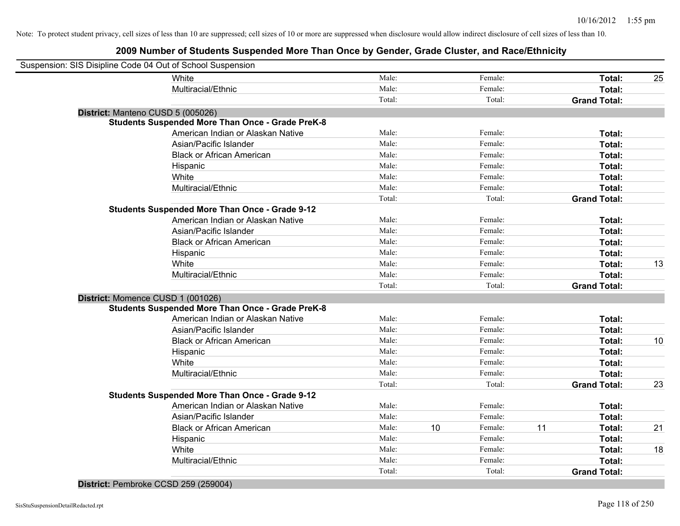### **2009 Number of Students Suspended More Than Once by Gender, Grade Cluster, and Race/Ethnicity**

| Suspension: SIS Disipline Code 04 Out of School Suspension |                                                         |        |    |         |    |                     |    |
|------------------------------------------------------------|---------------------------------------------------------|--------|----|---------|----|---------------------|----|
|                                                            | White                                                   | Male:  |    | Female: |    | Total:              | 25 |
|                                                            | Multiracial/Ethnic                                      | Male:  |    | Female: |    | Total:              |    |
|                                                            |                                                         | Total: |    | Total:  |    | <b>Grand Total:</b> |    |
|                                                            | District: Manteno CUSD 5 (005026)                       |        |    |         |    |                     |    |
|                                                            | <b>Students Suspended More Than Once - Grade PreK-8</b> |        |    |         |    |                     |    |
|                                                            | American Indian or Alaskan Native                       | Male:  |    | Female: |    | Total:              |    |
|                                                            | Asian/Pacific Islander                                  | Male:  |    | Female: |    | Total:              |    |
|                                                            | <b>Black or African American</b>                        | Male:  |    | Female: |    | Total:              |    |
|                                                            | Hispanic                                                | Male:  |    | Female: |    | Total:              |    |
|                                                            | White                                                   | Male:  |    | Female: |    | Total:              |    |
|                                                            | Multiracial/Ethnic                                      | Male:  |    | Female: |    | Total:              |    |
|                                                            |                                                         | Total: |    | Total:  |    | <b>Grand Total:</b> |    |
|                                                            | <b>Students Suspended More Than Once - Grade 9-12</b>   |        |    |         |    |                     |    |
|                                                            | American Indian or Alaskan Native                       | Male:  |    | Female: |    | Total:              |    |
|                                                            | Asian/Pacific Islander                                  | Male:  |    | Female: |    | Total:              |    |
|                                                            | <b>Black or African American</b>                        | Male:  |    | Female: |    | Total:              |    |
|                                                            | Hispanic                                                | Male:  |    | Female: |    | Total:              |    |
|                                                            | White                                                   | Male:  |    | Female: |    | Total:              | 13 |
|                                                            | Multiracial/Ethnic                                      | Male:  |    | Female: |    | Total:              |    |
|                                                            |                                                         | Total: |    | Total:  |    | <b>Grand Total:</b> |    |
|                                                            | District: Momence CUSD 1 (001026)                       |        |    |         |    |                     |    |
|                                                            | <b>Students Suspended More Than Once - Grade PreK-8</b> |        |    |         |    |                     |    |
|                                                            | American Indian or Alaskan Native                       | Male:  |    | Female: |    | Total:              |    |
|                                                            | Asian/Pacific Islander                                  | Male:  |    | Female: |    | Total:              |    |
|                                                            | <b>Black or African American</b>                        | Male:  |    | Female: |    | Total:              | 10 |
|                                                            | Hispanic                                                | Male:  |    | Female: |    | Total:              |    |
|                                                            | White                                                   | Male:  |    | Female: |    | Total:              |    |
|                                                            | Multiracial/Ethnic                                      | Male:  |    | Female: |    | Total:              |    |
|                                                            |                                                         | Total: |    | Total:  |    | <b>Grand Total:</b> | 23 |
|                                                            | <b>Students Suspended More Than Once - Grade 9-12</b>   |        |    |         |    |                     |    |
|                                                            | American Indian or Alaskan Native                       | Male:  |    | Female: |    | Total:              |    |
|                                                            | Asian/Pacific Islander                                  | Male:  |    | Female: |    | Total:              |    |
|                                                            | <b>Black or African American</b>                        | Male:  | 10 | Female: | 11 | Total:              | 21 |
|                                                            | Hispanic                                                | Male:  |    | Female: |    | Total:              |    |
|                                                            | White                                                   | Male:  |    | Female: |    | Total:              | 18 |
|                                                            | Multiracial/Ethnic                                      | Male:  |    | Female: |    | Total:              |    |
|                                                            |                                                         | Total: |    | Total:  |    | <b>Grand Total:</b> |    |
|                                                            |                                                         |        |    |         |    |                     |    |

#### **District:** Pembroke CCSD 259 (259004)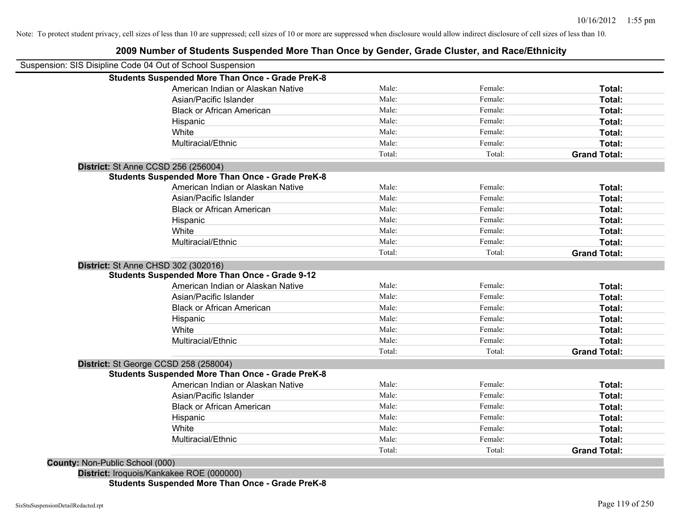# **2009 Number of Students Suspended More Than Once by Gender, Grade Cluster, and Race/Ethnicity**

| Suspension: SIS Disipline Code 04 Out of School Suspension |                                                         |        |         |                     |
|------------------------------------------------------------|---------------------------------------------------------|--------|---------|---------------------|
|                                                            | <b>Students Suspended More Than Once - Grade PreK-8</b> |        |         |                     |
|                                                            | American Indian or Alaskan Native                       | Male:  | Female: | Total:              |
|                                                            | Asian/Pacific Islander                                  | Male:  | Female: | Total:              |
|                                                            | <b>Black or African American</b>                        | Male:  | Female: | Total:              |
|                                                            | Hispanic                                                | Male:  | Female: | Total:              |
|                                                            | White                                                   | Male:  | Female: | Total:              |
|                                                            | Multiracial/Ethnic                                      | Male:  | Female: | Total:              |
|                                                            |                                                         | Total: | Total:  | <b>Grand Total:</b> |
| <b>District: St Anne CCSD 256 (256004)</b>                 |                                                         |        |         |                     |
|                                                            | <b>Students Suspended More Than Once - Grade PreK-8</b> |        |         |                     |
|                                                            | American Indian or Alaskan Native                       | Male:  | Female: | Total:              |
|                                                            | Asian/Pacific Islander                                  | Male:  | Female: | Total:              |
|                                                            | <b>Black or African American</b>                        | Male:  | Female: | Total:              |
|                                                            | Hispanic                                                | Male:  | Female: | Total:              |
|                                                            | White                                                   | Male:  | Female: | Total:              |
|                                                            | Multiracial/Ethnic                                      | Male:  | Female: | Total:              |
|                                                            |                                                         | Total: | Total:  | <b>Grand Total:</b> |
| <b>District: St Anne CHSD 302 (302016)</b>                 |                                                         |        |         |                     |
|                                                            | <b>Students Suspended More Than Once - Grade 9-12</b>   |        |         |                     |
|                                                            | American Indian or Alaskan Native                       | Male:  | Female: | Total:              |
|                                                            | Asian/Pacific Islander                                  | Male:  | Female: | Total:              |
|                                                            | <b>Black or African American</b>                        | Male:  | Female: | Total:              |
|                                                            | Hispanic                                                | Male:  | Female: | Total:              |
|                                                            | White                                                   | Male:  | Female: | Total:              |
|                                                            | Multiracial/Ethnic                                      | Male:  | Female: | Total:              |
|                                                            |                                                         | Total: | Total:  | <b>Grand Total:</b> |
| District: St George CCSD 258 (258004)                      |                                                         |        |         |                     |
|                                                            | <b>Students Suspended More Than Once - Grade PreK-8</b> |        |         |                     |
|                                                            | American Indian or Alaskan Native                       | Male:  | Female: | Total:              |
|                                                            | Asian/Pacific Islander                                  | Male:  | Female: | Total:              |
|                                                            | <b>Black or African American</b>                        | Male:  | Female: | Total:              |
|                                                            | Hispanic                                                | Male:  | Female: | Total:              |
|                                                            | White                                                   | Male:  | Female: | Total:              |
|                                                            | Multiracial/Ethnic                                      | Male:  | Female: | Total:              |
|                                                            |                                                         | Total: | Total:  | <b>Grand Total:</b> |
| County: Non-Public School (000)                            |                                                         |        |         |                     |
|                                                            | District: Iroquois/Kankakee ROE (000000)                |        |         |                     |

**Students Suspended More Than Once - Grade PreK-8**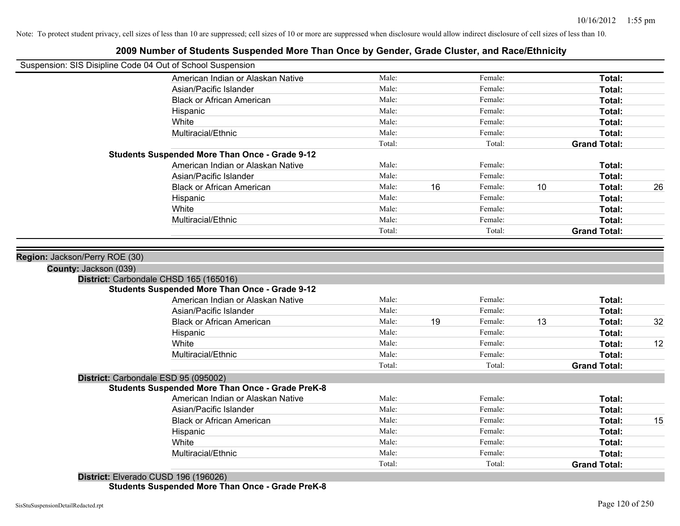|                       | Suspension: SIS Disipline Code 04 Out of School Suspension |                |    |                    |    |                               |    |
|-----------------------|------------------------------------------------------------|----------------|----|--------------------|----|-------------------------------|----|
|                       | American Indian or Alaskan Native                          | Male:          |    | Female:            |    | Total:                        |    |
|                       | Asian/Pacific Islander                                     | Male:          |    | Female:            |    | Total:                        |    |
|                       | <b>Black or African American</b>                           | Male:          |    | Female:            |    | Total:                        |    |
|                       | Hispanic                                                   | Male:          |    | Female:            |    | Total:                        |    |
|                       | White                                                      | Male:          |    | Female:            |    | Total:                        |    |
|                       | Multiracial/Ethnic                                         | Male:          |    | Female:            |    | Total:                        |    |
|                       |                                                            | Total:         |    | Total:             |    | <b>Grand Total:</b>           |    |
|                       | <b>Students Suspended More Than Once - Grade 9-12</b>      |                |    |                    |    |                               |    |
|                       | American Indian or Alaskan Native                          | Male:          |    | Female:            |    | Total:                        |    |
|                       | Asian/Pacific Islander                                     | Male:          |    | Female:            |    | Total:                        |    |
|                       | <b>Black or African American</b>                           | Male:          | 16 | Female:            | 10 | Total:                        | 26 |
|                       | Hispanic                                                   | Male:          |    | Female:            |    | Total:                        |    |
|                       | White                                                      | Male:          |    | Female:            |    | Total:                        |    |
|                       | Multiracial/Ethnic                                         | Male:          |    | Female:            |    | Total:                        |    |
|                       |                                                            | Total:         |    | Total:             |    | <b>Grand Total:</b>           |    |
| County: Jackson (039) |                                                            |                |    |                    |    |                               |    |
|                       |                                                            |                |    |                    |    |                               |    |
|                       | District: Carbondale CHSD 165 (165016)                     |                |    |                    |    |                               |    |
|                       | <b>Students Suspended More Than Once - Grade 9-12</b>      | Male:          |    | Female:            |    |                               |    |
|                       | American Indian or Alaskan Native                          |                |    |                    |    | Total:                        |    |
|                       | Asian/Pacific Islander                                     | Male:<br>Male: |    | Female:<br>Female: |    | Total:                        |    |
|                       | <b>Black or African American</b>                           |                | 19 |                    | 13 | Total:                        | 32 |
|                       | Hispanic                                                   | Male:<br>Male: |    | Female:<br>Female: |    | Total:                        |    |
|                       | White                                                      | Male:          |    | Female:            |    | Total:<br>Total:              | 12 |
|                       | Multiracial/Ethnic                                         | Total:         |    | Total:             |    | <b>Grand Total:</b>           |    |
|                       | District: Carbondale ESD 95 (095002)                       |                |    |                    |    |                               |    |
|                       | <b>Students Suspended More Than Once - Grade PreK-8</b>    |                |    |                    |    |                               |    |
|                       | American Indian or Alaskan Native                          | Male:          |    | Female:            |    | Total:                        |    |
|                       | Asian/Pacific Islander                                     | Male:          |    | Female:            |    | Total:                        |    |
|                       | <b>Black or African American</b>                           | Male:          |    | Female:            |    | Total:                        | 15 |
|                       | Hispanic                                                   | Male:          |    | Female:            |    | Total:                        |    |
|                       | White                                                      | Male:          |    | Female:            |    | Total:                        |    |
|                       | Multiracial/Ethnic                                         | Male:          |    | Female:            |    | Total:<br><b>Grand Total:</b> |    |

### **2009 Number of Students Suspended More Than Once by Gender, Grade Cluster, and Race/Ethnicity**

**District:** Elverado CUSD 196 (196026) **Students Suspended More Than Once - Grade PreK-8**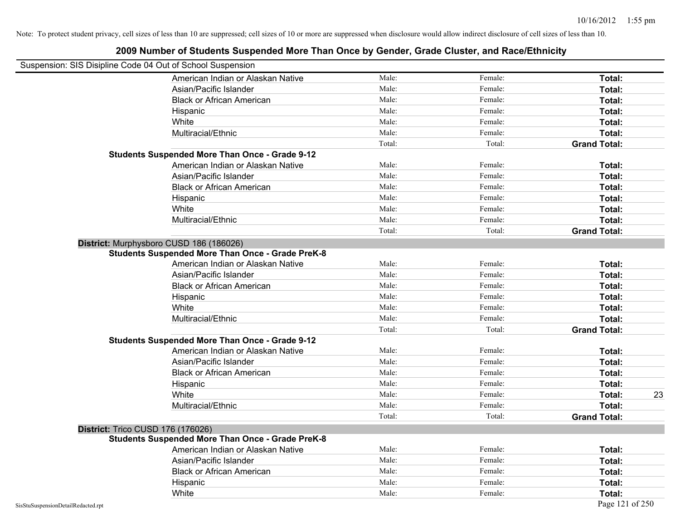| Suspension: SIS Disipline Code 04 Out of School Suspension | <b>EVALUATION OF DIAMOTIC DAUPOTAGE MOTO THAN DITOL BY DUITAGE, DIAMO DIAGUOI, AND INAUGULATION</b> |        |         |                     |
|------------------------------------------------------------|-----------------------------------------------------------------------------------------------------|--------|---------|---------------------|
|                                                            | American Indian or Alaskan Native                                                                   | Male:  | Female: | Total:              |
|                                                            | Asian/Pacific Islander                                                                              | Male:  | Female: | Total:              |
|                                                            | <b>Black or African American</b>                                                                    | Male:  | Female: | Total:              |
|                                                            | Hispanic                                                                                            | Male:  | Female: | Total:              |
|                                                            | White                                                                                               | Male:  | Female: | Total:              |
|                                                            | Multiracial/Ethnic                                                                                  | Male:  | Female: | Total:              |
|                                                            |                                                                                                     | Total: | Total:  | <b>Grand Total:</b> |
|                                                            | <b>Students Suspended More Than Once - Grade 9-12</b>                                               |        |         |                     |
|                                                            | American Indian or Alaskan Native                                                                   | Male:  | Female: | Total:              |
|                                                            | Asian/Pacific Islander                                                                              | Male:  | Female: | Total:              |
|                                                            | <b>Black or African American</b>                                                                    | Male:  | Female: | Total:              |
|                                                            | Hispanic                                                                                            | Male:  | Female: | Total:              |
|                                                            | White                                                                                               | Male:  | Female: | Total:              |
|                                                            | Multiracial/Ethnic                                                                                  | Male:  | Female: | Total:              |
|                                                            |                                                                                                     | Total: | Total:  | <b>Grand Total:</b> |
|                                                            | District: Murphysboro CUSD 186 (186026)                                                             |        |         |                     |
|                                                            | <b>Students Suspended More Than Once - Grade PreK-8</b>                                             |        |         |                     |
|                                                            | American Indian or Alaskan Native                                                                   | Male:  | Female: | Total:              |
|                                                            | Asian/Pacific Islander                                                                              | Male:  | Female: | Total:              |
|                                                            | <b>Black or African American</b>                                                                    | Male:  | Female: | Total:              |
|                                                            | Hispanic                                                                                            | Male:  | Female: | Total:              |
|                                                            | White                                                                                               | Male:  | Female: | Total:              |
|                                                            | Multiracial/Ethnic                                                                                  | Male:  | Female: | Total:              |
|                                                            |                                                                                                     | Total: | Total:  | <b>Grand Total:</b> |
|                                                            | <b>Students Suspended More Than Once - Grade 9-12</b>                                               |        |         |                     |
|                                                            | American Indian or Alaskan Native                                                                   | Male:  | Female: | Total:              |
|                                                            | Asian/Pacific Islander                                                                              | Male:  | Female: | Total:              |
|                                                            | <b>Black or African American</b>                                                                    | Male:  | Female: | Total:              |
|                                                            | Hispanic                                                                                            | Male:  | Female: | Total:              |
|                                                            | White                                                                                               | Male:  | Female: | 23<br>Total:        |
|                                                            | Multiracial/Ethnic                                                                                  | Male:  | Female: | Total:              |
|                                                            |                                                                                                     | Total: | Total:  | <b>Grand Total:</b> |
| <b>District: Trico CUSD 176 (176026)</b>                   |                                                                                                     |        |         |                     |
|                                                            | <b>Students Suspended More Than Once - Grade PreK-8</b>                                             |        |         |                     |
|                                                            | American Indian or Alaskan Native                                                                   | Male:  | Female: | Total:              |
|                                                            | Asian/Pacific Islander                                                                              | Male:  | Female: | Total:              |
|                                                            | <b>Black or African American</b>                                                                    | Male:  | Female: | Total:              |
|                                                            | Hispanic                                                                                            | Male:  | Female: | Total:              |
|                                                            | White                                                                                               | Male:  | Female: | Total:              |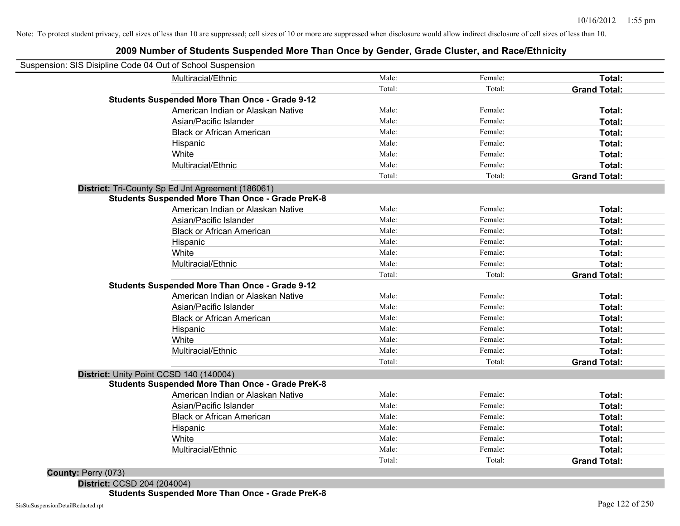### **2009 Number of Students Suspended More Than Once by Gender, Grade Cluster, and Race/Ethnicity**

| Suspension: SIS Disipline Code 04 Out of School Suspension |        |         |                     |
|------------------------------------------------------------|--------|---------|---------------------|
| Multiracial/Ethnic                                         | Male:  | Female: | Total:              |
|                                                            | Total: | Total:  | <b>Grand Total:</b> |
| <b>Students Suspended More Than Once - Grade 9-12</b>      |        |         |                     |
| American Indian or Alaskan Native                          | Male:  | Female: | Total:              |
| Asian/Pacific Islander                                     | Male:  | Female: | Total:              |
| <b>Black or African American</b>                           | Male:  | Female: | Total:              |
| Hispanic                                                   | Male:  | Female: | Total:              |
| White                                                      | Male:  | Female: | Total:              |
| Multiracial/Ethnic                                         | Male:  | Female: | Total:              |
|                                                            | Total: | Total:  | <b>Grand Total:</b> |
| District: Tri-County Sp Ed Jnt Agreement (186061)          |        |         |                     |
| <b>Students Suspended More Than Once - Grade PreK-8</b>    |        |         |                     |
| American Indian or Alaskan Native                          | Male:  | Female: | Total:              |
| Asian/Pacific Islander                                     | Male:  | Female: | Total:              |
| <b>Black or African American</b>                           | Male:  | Female: | Total:              |
| Hispanic                                                   | Male:  | Female: | Total:              |
| White                                                      | Male:  | Female: | Total:              |
| Multiracial/Ethnic                                         | Male:  | Female: | Total:              |
|                                                            | Total: | Total:  | <b>Grand Total:</b> |
| <b>Students Suspended More Than Once - Grade 9-12</b>      |        |         |                     |
| American Indian or Alaskan Native                          | Male:  | Female: | Total:              |
| Asian/Pacific Islander                                     | Male:  | Female: | Total:              |
| <b>Black or African American</b>                           | Male:  | Female: | Total:              |
| Hispanic                                                   | Male:  | Female: | Total:              |
| White                                                      | Male:  | Female: | Total:              |
| Multiracial/Ethnic                                         | Male:  | Female: | Total:              |
|                                                            | Total: | Total:  | <b>Grand Total:</b> |
| District: Unity Point CCSD 140 (140004)                    |        |         |                     |
| <b>Students Suspended More Than Once - Grade PreK-8</b>    |        |         |                     |
| American Indian or Alaskan Native                          | Male:  | Female: | Total:              |
| Asian/Pacific Islander                                     | Male:  | Female: | Total:              |
| <b>Black or African American</b>                           | Male:  | Female: | Total:              |
| Hispanic                                                   | Male:  | Female: | Total:              |
| White                                                      | Male:  | Female: | Total:              |
| Multiracial/Ethnic                                         | Male:  | Female: | Total:              |
|                                                            | Total: | Total:  | <b>Grand Total:</b> |
| County: Perry (073)                                        |        |         |                     |

**District:** CCSD 204 (204004) **Students Suspended More Than Once - Grade PreK-8**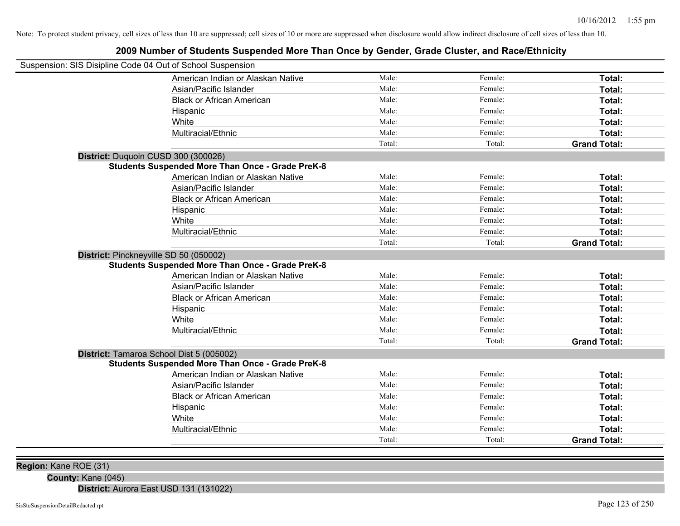### **2009 Number of Students Suspended More Than Once by Gender, Grade Cluster, and Race/Ethnicity**

| Suspension: SIS Disipline Code 04 Out of School Suspension |                                                         |        |         |                     |
|------------------------------------------------------------|---------------------------------------------------------|--------|---------|---------------------|
|                                                            | American Indian or Alaskan Native                       | Male:  | Female: | Total:              |
|                                                            | Asian/Pacific Islander                                  | Male:  | Female: | Total:              |
|                                                            | <b>Black or African American</b>                        | Male:  | Female: | Total:              |
|                                                            | Hispanic                                                | Male:  | Female: | Total:              |
|                                                            | White                                                   | Male:  | Female: | Total:              |
|                                                            | Multiracial/Ethnic                                      | Male:  | Female: | Total:              |
|                                                            |                                                         | Total: | Total:  | <b>Grand Total:</b> |
| District: Duquoin CUSD 300 (300026)                        |                                                         |        |         |                     |
|                                                            | <b>Students Suspended More Than Once - Grade PreK-8</b> |        |         |                     |
|                                                            | American Indian or Alaskan Native                       | Male:  | Female: | Total:              |
|                                                            | Asian/Pacific Islander                                  | Male:  | Female: | Total:              |
|                                                            | <b>Black or African American</b>                        | Male:  | Female: | Total:              |
|                                                            | Hispanic                                                | Male:  | Female: | Total:              |
|                                                            | White                                                   | Male:  | Female: | Total:              |
|                                                            | Multiracial/Ethnic                                      | Male:  | Female: | Total:              |
|                                                            |                                                         | Total: | Total:  | <b>Grand Total:</b> |
| District: Pinckneyville SD 50 (050002)                     | <b>Students Suspended More Than Once - Grade PreK-8</b> |        |         |                     |
|                                                            | American Indian or Alaskan Native                       | Male:  | Female: | Total:              |
|                                                            | Asian/Pacific Islander                                  | Male:  | Female: | Total:              |
|                                                            | <b>Black or African American</b>                        | Male:  | Female: | Total:              |
|                                                            | Hispanic                                                | Male:  | Female: | Total:              |
|                                                            | White                                                   | Male:  | Female: | Total:              |
|                                                            | Multiracial/Ethnic                                      | Male:  | Female: | Total:              |
|                                                            |                                                         | Total: | Total:  | <b>Grand Total:</b> |
| District: Tamaroa School Dist 5 (005002)                   | <b>Students Suspended More Than Once - Grade PreK-8</b> |        |         |                     |
|                                                            | American Indian or Alaskan Native                       | Male:  | Female: | Total:              |
|                                                            | Asian/Pacific Islander                                  | Male:  | Female: | Total:              |
|                                                            | <b>Black or African American</b>                        | Male:  | Female: | Total:              |
|                                                            | Hispanic                                                | Male:  | Female: | Total:              |
|                                                            | White                                                   | Male:  | Female: | Total:              |
|                                                            | Multiracial/Ethnic                                      | Male:  | Female: | Total:              |
|                                                            |                                                         | Total: | Total:  | <b>Grand Total:</b> |
|                                                            |                                                         |        |         |                     |

**Region:** Kane ROE (31)

**County:** Kane (045)

**District:** Aurora East USD 131 (131022)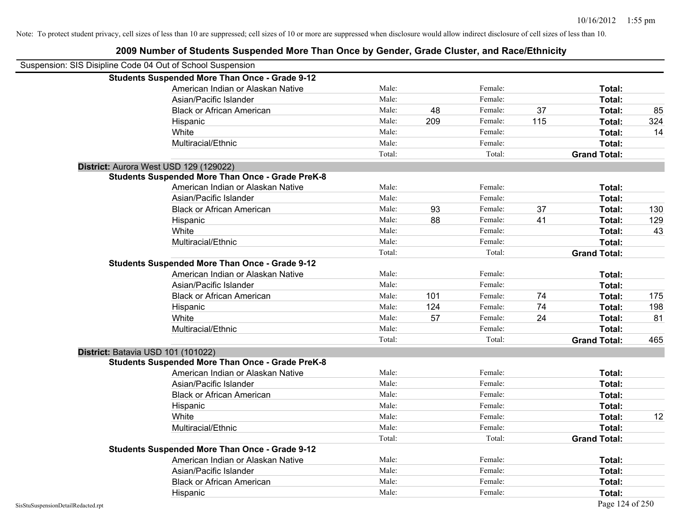| Suspension: SIS Disipline Code 04 Out of School Suspension |                                                         |        |     |         |     |                     |     |
|------------------------------------------------------------|---------------------------------------------------------|--------|-----|---------|-----|---------------------|-----|
|                                                            | <b>Students Suspended More Than Once - Grade 9-12</b>   |        |     |         |     |                     |     |
|                                                            | American Indian or Alaskan Native                       | Male:  |     | Female: |     | Total:              |     |
|                                                            | Asian/Pacific Islander                                  | Male:  |     | Female: |     | Total:              |     |
|                                                            | <b>Black or African American</b>                        | Male:  | 48  | Female: | 37  | Total:              | 85  |
|                                                            | Hispanic                                                | Male:  | 209 | Female: | 115 | Total:              | 324 |
|                                                            | White                                                   | Male:  |     | Female: |     | Total:              | 14  |
|                                                            | Multiracial/Ethnic                                      | Male:  |     | Female: |     | Total:              |     |
|                                                            |                                                         | Total: |     | Total:  |     | <b>Grand Total:</b> |     |
|                                                            | District: Aurora West USD 129 (129022)                  |        |     |         |     |                     |     |
|                                                            | <b>Students Suspended More Than Once - Grade PreK-8</b> |        |     |         |     |                     |     |
|                                                            | American Indian or Alaskan Native                       | Male:  |     | Female: |     | Total:              |     |
|                                                            | Asian/Pacific Islander                                  | Male:  |     | Female: |     | Total:              |     |
|                                                            | <b>Black or African American</b>                        | Male:  | 93  | Female: | 37  | Total:              | 130 |
|                                                            | Hispanic                                                | Male:  | 88  | Female: | 41  | Total:              | 129 |
|                                                            | White                                                   | Male:  |     | Female: |     | Total:              | 43  |
|                                                            | Multiracial/Ethnic                                      | Male:  |     | Female: |     | Total:              |     |
|                                                            |                                                         | Total: |     | Total:  |     | <b>Grand Total:</b> |     |
|                                                            | <b>Students Suspended More Than Once - Grade 9-12</b>   |        |     |         |     |                     |     |
|                                                            | American Indian or Alaskan Native                       | Male:  |     | Female: |     | Total:              |     |
|                                                            | Asian/Pacific Islander                                  | Male:  |     | Female: |     | Total:              |     |
|                                                            | <b>Black or African American</b>                        | Male:  | 101 | Female: | 74  | Total:              | 175 |
|                                                            | Hispanic                                                | Male:  | 124 | Female: | 74  | Total:              | 198 |
|                                                            | White                                                   | Male:  | 57  | Female: | 24  | Total:              | 81  |
|                                                            | Multiracial/Ethnic                                      | Male:  |     | Female: |     | Total:              |     |
|                                                            |                                                         | Total: |     | Total:  |     | <b>Grand Total:</b> | 465 |
| District: Batavia USD 101 (101022)                         |                                                         |        |     |         |     |                     |     |
|                                                            | <b>Students Suspended More Than Once - Grade PreK-8</b> |        |     |         |     |                     |     |
|                                                            | American Indian or Alaskan Native                       | Male:  |     | Female: |     | Total:              |     |
|                                                            | Asian/Pacific Islander                                  | Male:  |     | Female: |     | Total:              |     |
|                                                            | <b>Black or African American</b>                        | Male:  |     | Female: |     | Total:              |     |
|                                                            | Hispanic                                                | Male:  |     | Female: |     | Total:              |     |
|                                                            | White                                                   | Male:  |     | Female: |     | Total:              | 12  |
|                                                            | Multiracial/Ethnic                                      | Male:  |     | Female: |     | Total:              |     |
|                                                            |                                                         | Total: |     | Total:  |     | <b>Grand Total:</b> |     |
|                                                            | <b>Students Suspended More Than Once - Grade 9-12</b>   |        |     |         |     |                     |     |
|                                                            | American Indian or Alaskan Native                       | Male:  |     | Female: |     | Total:              |     |
|                                                            | Asian/Pacific Islander                                  | Male:  |     | Female: |     | Total:              |     |
|                                                            | <b>Black or African American</b>                        | Male:  |     | Female: |     | Total:              |     |
|                                                            | Hispanic                                                | Male:  |     | Female: |     | Total:              |     |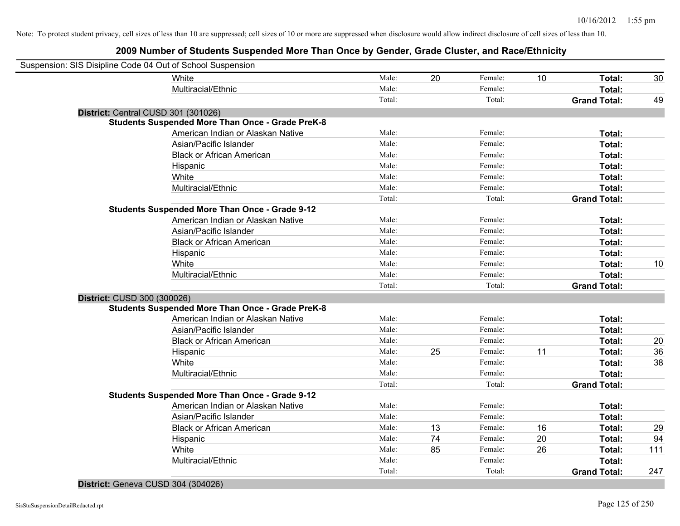### **2009 Number of Students Suspended More Than Once by Gender, Grade Cluster, and Race/Ethnicity**

| Suspension: SIS Disipline Code 04 Out of School Suspension |                                                         |        |    |         |    |                     |     |
|------------------------------------------------------------|---------------------------------------------------------|--------|----|---------|----|---------------------|-----|
|                                                            | White                                                   | Male:  | 20 | Female: | 10 | Total:              | 30  |
|                                                            | Multiracial/Ethnic                                      | Male:  |    | Female: |    | Total:              |     |
|                                                            |                                                         | Total: |    | Total:  |    | <b>Grand Total:</b> | 49  |
| District: Central CUSD 301 (301026)                        |                                                         |        |    |         |    |                     |     |
|                                                            | <b>Students Suspended More Than Once - Grade PreK-8</b> |        |    |         |    |                     |     |
|                                                            | American Indian or Alaskan Native                       | Male:  |    | Female: |    | Total:              |     |
|                                                            | Asian/Pacific Islander                                  | Male:  |    | Female: |    | Total:              |     |
|                                                            | <b>Black or African American</b>                        | Male:  |    | Female: |    | Total:              |     |
|                                                            | Hispanic                                                | Male:  |    | Female: |    | Total:              |     |
|                                                            | White                                                   | Male:  |    | Female: |    | Total:              |     |
|                                                            | Multiracial/Ethnic                                      | Male:  |    | Female: |    | Total:              |     |
|                                                            |                                                         | Total: |    | Total:  |    | <b>Grand Total:</b> |     |
|                                                            | <b>Students Suspended More Than Once - Grade 9-12</b>   |        |    |         |    |                     |     |
|                                                            | American Indian or Alaskan Native                       | Male:  |    | Female: |    | Total:              |     |
|                                                            | Asian/Pacific Islander                                  | Male:  |    | Female: |    | Total:              |     |
|                                                            | <b>Black or African American</b>                        | Male:  |    | Female: |    | Total:              |     |
|                                                            | Hispanic                                                | Male:  |    | Female: |    | Total:              |     |
|                                                            | White                                                   | Male:  |    | Female: |    | Total:              | 10  |
|                                                            | Multiracial/Ethnic                                      | Male:  |    | Female: |    | Total:              |     |
|                                                            |                                                         | Total: |    | Total:  |    | <b>Grand Total:</b> |     |
| District: CUSD 300 (300026)                                |                                                         |        |    |         |    |                     |     |
|                                                            | <b>Students Suspended More Than Once - Grade PreK-8</b> |        |    |         |    |                     |     |
|                                                            | American Indian or Alaskan Native                       | Male:  |    | Female: |    | Total:              |     |
|                                                            | Asian/Pacific Islander                                  | Male:  |    | Female: |    | Total:              |     |
|                                                            | <b>Black or African American</b>                        | Male:  |    | Female: |    | Total:              | 20  |
|                                                            | Hispanic                                                | Male:  | 25 | Female: | 11 | Total:              | 36  |
|                                                            | White                                                   | Male:  |    | Female: |    | Total:              | 38  |
|                                                            | Multiracial/Ethnic                                      | Male:  |    | Female: |    | Total:              |     |
|                                                            |                                                         | Total: |    | Total:  |    | <b>Grand Total:</b> |     |
|                                                            | <b>Students Suspended More Than Once - Grade 9-12</b>   |        |    |         |    |                     |     |
|                                                            | American Indian or Alaskan Native                       | Male:  |    | Female: |    | Total:              |     |
|                                                            | Asian/Pacific Islander                                  | Male:  |    | Female: |    | Total:              |     |
|                                                            | <b>Black or African American</b>                        | Male:  | 13 | Female: | 16 | Total:              | 29  |
|                                                            | Hispanic                                                | Male:  | 74 | Female: | 20 | Total:              | 94  |
|                                                            | White                                                   | Male:  | 85 | Female: | 26 | Total:              | 111 |
|                                                            | Multiracial/Ethnic                                      | Male:  |    | Female: |    | Total:              |     |
|                                                            |                                                         | Total: |    | Total:  |    | <b>Grand Total:</b> | 247 |
|                                                            |                                                         |        |    |         |    |                     |     |

#### **District:** Geneva CUSD 304 (304026)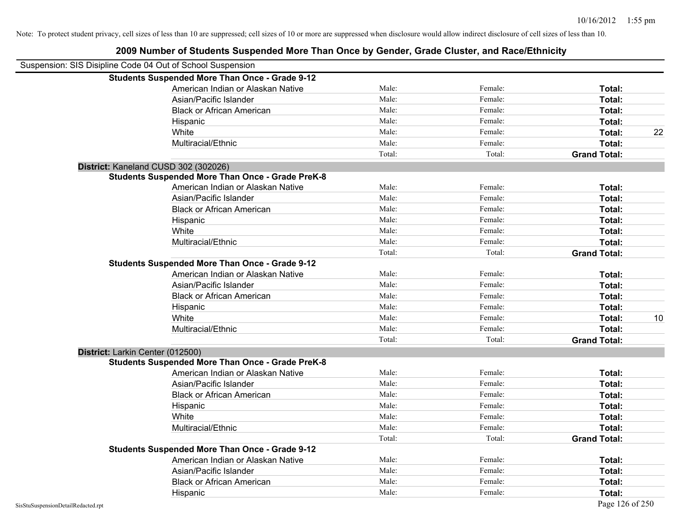| Suspension: SIS Disipline Code 04 Out of School Suspension |                                                         |        |         |                     |    |
|------------------------------------------------------------|---------------------------------------------------------|--------|---------|---------------------|----|
|                                                            | <b>Students Suspended More Than Once - Grade 9-12</b>   |        |         |                     |    |
|                                                            | American Indian or Alaskan Native                       | Male:  | Female: | Total:              |    |
|                                                            | Asian/Pacific Islander                                  | Male:  | Female: | Total:              |    |
|                                                            | <b>Black or African American</b>                        | Male:  | Female: | Total:              |    |
|                                                            | Hispanic                                                | Male:  | Female: | Total:              |    |
|                                                            | White                                                   | Male:  | Female: | Total:              | 22 |
|                                                            | Multiracial/Ethnic                                      | Male:  | Female: | Total:              |    |
|                                                            |                                                         | Total: | Total:  | <b>Grand Total:</b> |    |
|                                                            | District: Kaneland CUSD 302 (302026)                    |        |         |                     |    |
|                                                            | <b>Students Suspended More Than Once - Grade PreK-8</b> |        |         |                     |    |
|                                                            | American Indian or Alaskan Native                       | Male:  | Female: | Total:              |    |
|                                                            | Asian/Pacific Islander                                  | Male:  | Female: | Total:              |    |
|                                                            | <b>Black or African American</b>                        | Male:  | Female: | Total:              |    |
|                                                            | Hispanic                                                | Male:  | Female: | Total:              |    |
|                                                            | White                                                   | Male:  | Female: | Total:              |    |
|                                                            | Multiracial/Ethnic                                      | Male:  | Female: | Total:              |    |
|                                                            |                                                         | Total: | Total:  | <b>Grand Total:</b> |    |
|                                                            | <b>Students Suspended More Than Once - Grade 9-12</b>   |        |         |                     |    |
|                                                            | American Indian or Alaskan Native                       | Male:  | Female: | Total:              |    |
|                                                            | Asian/Pacific Islander                                  | Male:  | Female: | Total:              |    |
|                                                            | <b>Black or African American</b>                        | Male:  | Female: | Total:              |    |
|                                                            | Hispanic                                                | Male:  | Female: | Total:              |    |
|                                                            | White                                                   | Male:  | Female: | Total:              | 10 |
|                                                            | Multiracial/Ethnic                                      | Male:  | Female: | Total:              |    |
|                                                            |                                                         | Total: | Total:  | <b>Grand Total:</b> |    |
| District: Larkin Center (012500)                           |                                                         |        |         |                     |    |
|                                                            | <b>Students Suspended More Than Once - Grade PreK-8</b> |        |         |                     |    |
|                                                            | American Indian or Alaskan Native                       | Male:  | Female: | Total:              |    |
|                                                            | Asian/Pacific Islander                                  | Male:  | Female: | Total:              |    |
|                                                            | <b>Black or African American</b>                        | Male:  | Female: | Total:              |    |
|                                                            | Hispanic                                                | Male:  | Female: | Total:              |    |
|                                                            | White                                                   | Male:  | Female: | Total:              |    |
|                                                            | Multiracial/Ethnic                                      | Male:  | Female: | Total:              |    |
|                                                            |                                                         | Total: | Total:  | <b>Grand Total:</b> |    |
|                                                            | <b>Students Suspended More Than Once - Grade 9-12</b>   |        |         |                     |    |
|                                                            | American Indian or Alaskan Native                       | Male:  | Female: | Total:              |    |
|                                                            | Asian/Pacific Islander                                  | Male:  | Female: | Total:              |    |
|                                                            | <b>Black or African American</b>                        | Male:  | Female: | Total:              |    |
|                                                            | Hispanic                                                | Male:  | Female: | Total:              |    |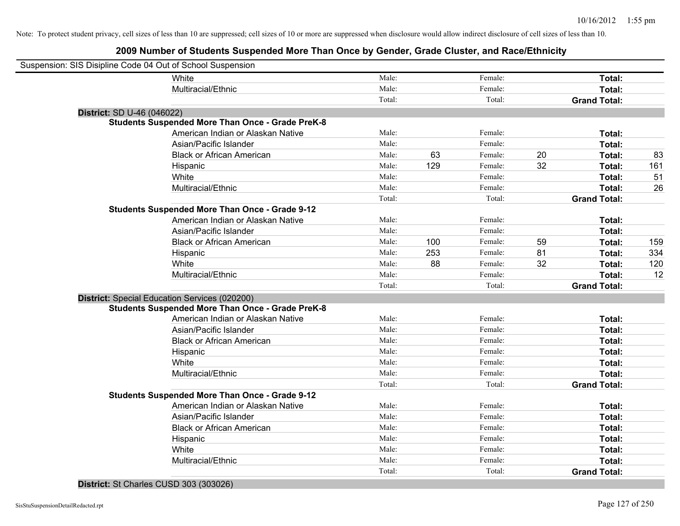### **2009 Number of Students Suspended More Than Once by Gender, Grade Cluster, and Race/Ethnicity**

| Suspension: SIS Disipline Code 04 Out of School Suspension |                                                         |        |     |         |    |                     |     |
|------------------------------------------------------------|---------------------------------------------------------|--------|-----|---------|----|---------------------|-----|
|                                                            | White                                                   | Male:  |     | Female: |    | Total:              |     |
|                                                            | Multiracial/Ethnic                                      | Male:  |     | Female: |    | Total:              |     |
|                                                            |                                                         | Total: |     | Total:  |    | <b>Grand Total:</b> |     |
| District: SD U-46 (046022)                                 |                                                         |        |     |         |    |                     |     |
|                                                            | <b>Students Suspended More Than Once - Grade PreK-8</b> |        |     |         |    |                     |     |
|                                                            | American Indian or Alaskan Native                       | Male:  |     | Female: |    | Total:              |     |
|                                                            | Asian/Pacific Islander                                  | Male:  |     | Female: |    | Total:              |     |
|                                                            | <b>Black or African American</b>                        | Male:  | 63  | Female: | 20 | Total:              | 83  |
|                                                            | Hispanic                                                | Male:  | 129 | Female: | 32 | Total:              | 161 |
|                                                            | White                                                   | Male:  |     | Female: |    | Total:              | 51  |
|                                                            | Multiracial/Ethnic                                      | Male:  |     | Female: |    | Total:              | 26  |
|                                                            |                                                         | Total: |     | Total:  |    | <b>Grand Total:</b> |     |
|                                                            | <b>Students Suspended More Than Once - Grade 9-12</b>   |        |     |         |    |                     |     |
|                                                            | American Indian or Alaskan Native                       | Male:  |     | Female: |    | Total:              |     |
|                                                            | Asian/Pacific Islander                                  | Male:  |     | Female: |    | Total:              |     |
|                                                            | <b>Black or African American</b>                        | Male:  | 100 | Female: | 59 | Total:              | 159 |
|                                                            | Hispanic                                                | Male:  | 253 | Female: | 81 | Total:              | 334 |
|                                                            | White                                                   | Male:  | 88  | Female: | 32 | Total:              | 120 |
|                                                            | Multiracial/Ethnic                                      | Male:  |     | Female: |    | Total:              | 12  |
|                                                            |                                                         | Total: |     | Total:  |    | <b>Grand Total:</b> |     |
|                                                            | District: Special Education Services (020200)           |        |     |         |    |                     |     |
|                                                            | <b>Students Suspended More Than Once - Grade PreK-8</b> |        |     |         |    |                     |     |
|                                                            | American Indian or Alaskan Native                       | Male:  |     | Female: |    | Total:              |     |
|                                                            | Asian/Pacific Islander                                  | Male:  |     | Female: |    | Total:              |     |
|                                                            | <b>Black or African American</b>                        | Male:  |     | Female: |    | Total:              |     |
|                                                            | Hispanic                                                | Male:  |     | Female: |    | Total:              |     |
|                                                            | White                                                   | Male:  |     | Female: |    | Total:              |     |
|                                                            | Multiracial/Ethnic                                      | Male:  |     | Female: |    | Total:              |     |
|                                                            |                                                         | Total: |     | Total:  |    | <b>Grand Total:</b> |     |
|                                                            | <b>Students Suspended More Than Once - Grade 9-12</b>   |        |     |         |    |                     |     |
|                                                            | American Indian or Alaskan Native                       | Male:  |     | Female: |    | Total:              |     |
|                                                            | Asian/Pacific Islander                                  | Male:  |     | Female: |    | Total:              |     |
|                                                            | <b>Black or African American</b>                        | Male:  |     | Female: |    | Total:              |     |
|                                                            | Hispanic                                                | Male:  |     | Female: |    | Total:              |     |
|                                                            | White                                                   | Male:  |     | Female: |    | Total:              |     |
|                                                            | Multiracial/Ethnic                                      | Male:  |     | Female: |    | Total:              |     |
|                                                            |                                                         | Total: |     | Total:  |    | <b>Grand Total:</b> |     |
|                                                            |                                                         |        |     |         |    |                     |     |

### **District:** St Charles CUSD 303 (303026)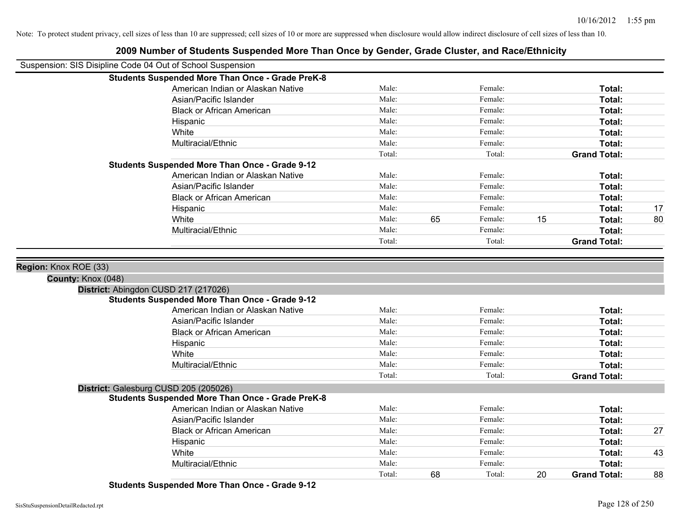| Suspension: SIS Disipline Code 04 Out of School Suspension                                    |        |    |         |    |                     |    |
|-----------------------------------------------------------------------------------------------|--------|----|---------|----|---------------------|----|
| <b>Students Suspended More Than Once - Grade PreK-8</b>                                       |        |    |         |    |                     |    |
| American Indian or Alaskan Native                                                             | Male:  |    | Female: |    | Total:              |    |
| Asian/Pacific Islander                                                                        | Male:  |    | Female: |    | Total:              |    |
| <b>Black or African American</b>                                                              | Male:  |    | Female: |    | Total:              |    |
| Hispanic                                                                                      | Male:  |    | Female: |    | Total:              |    |
| White                                                                                         | Male:  |    | Female: |    | Total:              |    |
| Multiracial/Ethnic                                                                            | Male:  |    | Female: |    | Total:              |    |
|                                                                                               | Total: |    | Total:  |    | <b>Grand Total:</b> |    |
| <b>Students Suspended More Than Once - Grade 9-12</b>                                         |        |    |         |    |                     |    |
| American Indian or Alaskan Native                                                             | Male:  |    | Female: |    | Total:              |    |
| Asian/Pacific Islander                                                                        | Male:  |    | Female: |    | Total:              |    |
| <b>Black or African American</b>                                                              | Male:  |    | Female: |    | Total:              |    |
| Hispanic                                                                                      | Male:  |    | Female: |    | Total:              | 17 |
| White                                                                                         | Male:  | 65 | Female: | 15 | Total:              | 80 |
| Multiracial/Ethnic                                                                            | Male:  |    | Female: |    | Total:              |    |
|                                                                                               | Total: |    | Total:  |    | <b>Grand Total:</b> |    |
| District: Abingdon CUSD 217 (217026)<br><b>Students Suspended More Than Once - Grade 9-12</b> |        |    |         |    |                     |    |
| American Indian or Alaskan Native                                                             | Male:  |    | Female: |    | Total:              |    |
| Asian/Pacific Islander                                                                        | Male:  |    | Female: |    | Total:              |    |
| <b>Black or African American</b>                                                              | Male:  |    | Female: |    | Total:              |    |
| Hispanic                                                                                      | Male:  |    | Female: |    | Total:              |    |
| White                                                                                         | Male:  |    | Female: |    | Total:              |    |
| Multiracial/Ethnic                                                                            | Male:  |    | Female: |    | Total:              |    |
|                                                                                               | Total: |    | Total:  |    | <b>Grand Total:</b> |    |
| District: Galesburg CUSD 205 (205026)                                                         |        |    |         |    |                     |    |
| <b>Students Suspended More Than Once - Grade PreK-8</b>                                       |        |    |         |    |                     |    |
| American Indian or Alaskan Native                                                             | Male:  |    | Female: |    | Total:              |    |
| Asian/Pacific Islander                                                                        | Male:  |    | Female: |    | Total:              |    |
| <b>Black or African American</b>                                                              | Male:  |    | Female: |    | Total:              | 27 |
| Hispanic                                                                                      | Male:  |    | Female: |    | Total:              |    |
| White                                                                                         | Male:  |    | Female: |    | Total:              | 43 |
| Multiracial/Ethnic                                                                            | Male:  |    | Female: |    | Total:              |    |
|                                                                                               | Total: | 68 | Total:  | 20 | <b>Grand Total:</b> | 88 |

### **2009 Number of Students Suspended More Than Once by Gender, Grade Cluster, and Race/Ethnicity**

**Students Suspended More Than Once - Grade 9-12**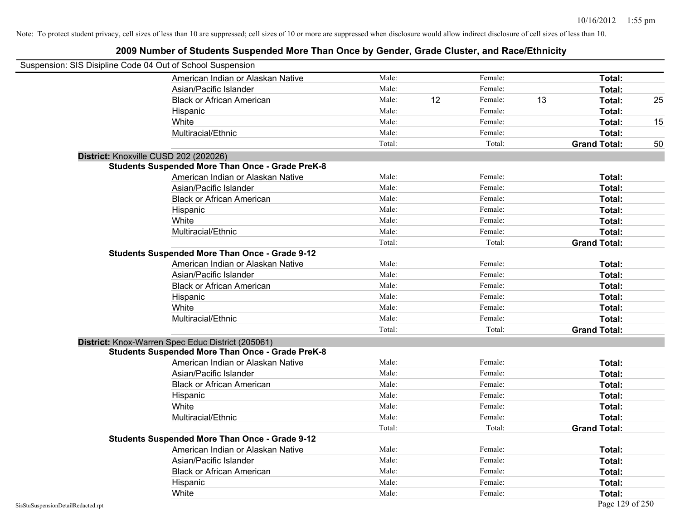| Suspension: SIS Disipline Code 04 Out of School Suspension |                                                         |        |    |         |    |                     |    |
|------------------------------------------------------------|---------------------------------------------------------|--------|----|---------|----|---------------------|----|
|                                                            | American Indian or Alaskan Native                       | Male:  |    | Female: |    | Total:              |    |
|                                                            | Asian/Pacific Islander                                  | Male:  |    | Female: |    | Total:              |    |
|                                                            | <b>Black or African American</b>                        | Male:  | 12 | Female: | 13 | Total:              | 25 |
|                                                            | Hispanic                                                | Male:  |    | Female: |    | Total:              |    |
|                                                            | White                                                   | Male:  |    | Female: |    | Total:              | 15 |
|                                                            | Multiracial/Ethnic                                      | Male:  |    | Female: |    | Total:              |    |
|                                                            |                                                         | Total: |    | Total:  |    | <b>Grand Total:</b> | 50 |
| District: Knoxville CUSD 202 (202026)                      |                                                         |        |    |         |    |                     |    |
|                                                            | <b>Students Suspended More Than Once - Grade PreK-8</b> |        |    |         |    |                     |    |
|                                                            | American Indian or Alaskan Native                       | Male:  |    | Female: |    | Total:              |    |
|                                                            | Asian/Pacific Islander                                  | Male:  |    | Female: |    | Total:              |    |
|                                                            | <b>Black or African American</b>                        | Male:  |    | Female: |    | Total:              |    |
|                                                            | Hispanic                                                | Male:  |    | Female: |    | Total:              |    |
|                                                            | White                                                   | Male:  |    | Female: |    | Total:              |    |
|                                                            | Multiracial/Ethnic                                      | Male:  |    | Female: |    | Total:              |    |
|                                                            |                                                         | Total: |    | Total:  |    | <b>Grand Total:</b> |    |
|                                                            | <b>Students Suspended More Than Once - Grade 9-12</b>   |        |    |         |    |                     |    |
|                                                            | American Indian or Alaskan Native                       | Male:  |    | Female: |    | Total:              |    |
|                                                            | Asian/Pacific Islander                                  | Male:  |    | Female: |    | Total:              |    |
|                                                            | <b>Black or African American</b>                        | Male:  |    | Female: |    | Total:              |    |
|                                                            | Hispanic                                                | Male:  |    | Female: |    | Total:              |    |
|                                                            | White                                                   | Male:  |    | Female: |    | Total:              |    |
|                                                            | Multiracial/Ethnic                                      | Male:  |    | Female: |    | Total:              |    |
|                                                            |                                                         | Total: |    | Total:  |    | <b>Grand Total:</b> |    |
|                                                            | District: Knox-Warren Spec Educ District (205061)       |        |    |         |    |                     |    |
|                                                            | <b>Students Suspended More Than Once - Grade PreK-8</b> |        |    |         |    |                     |    |
|                                                            | American Indian or Alaskan Native                       | Male:  |    | Female: |    | Total:              |    |
|                                                            | Asian/Pacific Islander                                  | Male:  |    | Female: |    | Total:              |    |
|                                                            | <b>Black or African American</b>                        | Male:  |    | Female: |    | Total:              |    |
|                                                            | Hispanic                                                | Male:  |    | Female: |    | Total:              |    |
|                                                            | White                                                   | Male:  |    | Female: |    | Total:              |    |
|                                                            | Multiracial/Ethnic                                      | Male:  |    | Female: |    | Total:              |    |
|                                                            |                                                         | Total: |    | Total:  |    | <b>Grand Total:</b> |    |
|                                                            | <b>Students Suspended More Than Once - Grade 9-12</b>   |        |    |         |    |                     |    |
|                                                            | American Indian or Alaskan Native                       | Male:  |    | Female: |    | Total:              |    |
|                                                            | Asian/Pacific Islander                                  | Male:  |    | Female: |    | Total:              |    |
|                                                            | <b>Black or African American</b>                        | Male:  |    | Female: |    | Total:              |    |
|                                                            | Hispanic                                                | Male:  |    | Female: |    | <b>Total:</b>       |    |
|                                                            | White                                                   | Male:  |    | Female: |    | Total:              |    |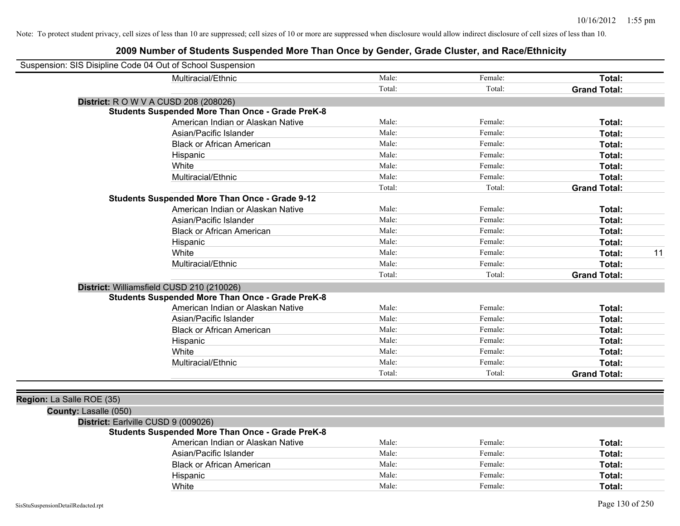|                           | Suspension: SIS Disipline Code 04 Out of School Suspension |        |         |                     |    |
|---------------------------|------------------------------------------------------------|--------|---------|---------------------|----|
|                           | Multiracial/Ethnic                                         | Male:  | Female: | Total:              |    |
|                           |                                                            | Total: | Total:  | <b>Grand Total:</b> |    |
|                           | <b>District:</b> R O W V A CUSD 208 (208026)               |        |         |                     |    |
|                           | <b>Students Suspended More Than Once - Grade PreK-8</b>    |        |         |                     |    |
|                           | American Indian or Alaskan Native                          | Male:  | Female: | Total:              |    |
|                           | Asian/Pacific Islander                                     | Male:  | Female: | Total:              |    |
|                           | <b>Black or African American</b>                           | Male:  | Female: | Total:              |    |
|                           | Hispanic                                                   | Male:  | Female: | Total:              |    |
|                           | White                                                      | Male:  | Female: | Total:              |    |
|                           | Multiracial/Ethnic                                         | Male:  | Female: | Total:              |    |
|                           |                                                            | Total: | Total:  | <b>Grand Total:</b> |    |
|                           | <b>Students Suspended More Than Once - Grade 9-12</b>      |        |         |                     |    |
|                           | American Indian or Alaskan Native                          | Male:  | Female: | Total:              |    |
|                           | Asian/Pacific Islander                                     | Male:  | Female: | Total:              |    |
|                           | <b>Black or African American</b>                           | Male:  | Female: | Total:              |    |
|                           | Hispanic                                                   | Male:  | Female: | Total:              |    |
|                           | White                                                      | Male:  | Female: | Total:              | 11 |
|                           | Multiracial/Ethnic                                         | Male:  | Female: | Total:              |    |
|                           |                                                            | Total: | Total:  | <b>Grand Total:</b> |    |
|                           | District: Williamsfield CUSD 210 (210026)                  |        |         |                     |    |
|                           | <b>Students Suspended More Than Once - Grade PreK-8</b>    |        |         |                     |    |
|                           | American Indian or Alaskan Native                          | Male:  | Female: | Total:              |    |
|                           | Asian/Pacific Islander                                     | Male:  | Female: | Total:              |    |
|                           | <b>Black or African American</b>                           | Male:  | Female: | Total:              |    |
|                           | Hispanic                                                   | Male:  | Female: | Total:              |    |
|                           | White                                                      | Male:  | Female: | Total:              |    |
|                           | Multiracial/Ethnic                                         | Male:  | Female: | Total:              |    |
|                           |                                                            | Total: | Total:  | <b>Grand Total:</b> |    |
|                           |                                                            |        |         |                     |    |
| Region: La Salle ROE (35) |                                                            |        |         |                     |    |
| County: Lasalle (050)     |                                                            |        |         |                     |    |
|                           | District: Earlville CUSD 9 (009026)                        |        |         |                     |    |
|                           | <b>Students Suspended More Than Once - Grade PreK-8</b>    |        |         |                     |    |
|                           | American Indian or Alaskan Native                          | Male:  | Female: | Total:              |    |
|                           | Asian/Pacific Islander                                     | Male:  | Female: | Total:              |    |
|                           | <b>Black or African American</b>                           | Male:  | Female: | Total:              |    |
|                           | Hispanic                                                   | Male:  | Female: | Total:              |    |
|                           | White                                                      | Male:  | Female: | Total:              |    |
|                           |                                                            |        |         |                     |    |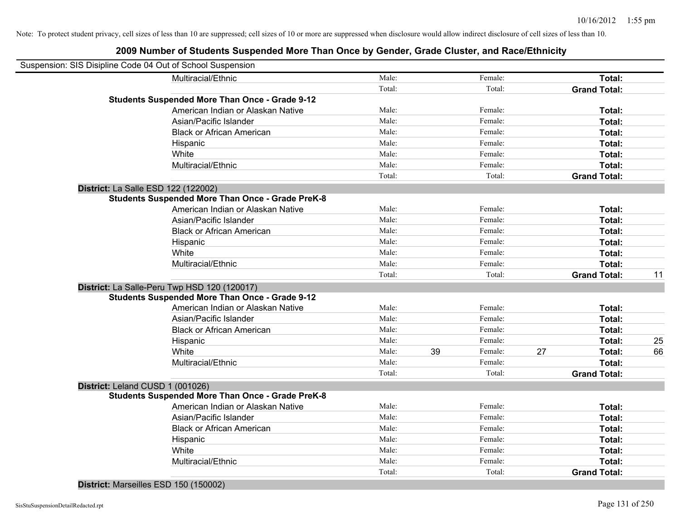| Male:                                                                                                                                                                                                                                                                                                                                                                                                                                                                                                                                                                                                                                                                                                                                                                                                                                                                                                                                                                                                   |                                                                                                                     | Female: |                                                                                    | Total:              |                                                                                                                                      |
|---------------------------------------------------------------------------------------------------------------------------------------------------------------------------------------------------------------------------------------------------------------------------------------------------------------------------------------------------------------------------------------------------------------------------------------------------------------------------------------------------------------------------------------------------------------------------------------------------------------------------------------------------------------------------------------------------------------------------------------------------------------------------------------------------------------------------------------------------------------------------------------------------------------------------------------------------------------------------------------------------------|---------------------------------------------------------------------------------------------------------------------|---------|------------------------------------------------------------------------------------|---------------------|--------------------------------------------------------------------------------------------------------------------------------------|
| Total:                                                                                                                                                                                                                                                                                                                                                                                                                                                                                                                                                                                                                                                                                                                                                                                                                                                                                                                                                                                                  |                                                                                                                     | Total:  |                                                                                    | <b>Grand Total:</b> |                                                                                                                                      |
|                                                                                                                                                                                                                                                                                                                                                                                                                                                                                                                                                                                                                                                                                                                                                                                                                                                                                                                                                                                                         |                                                                                                                     |         |                                                                                    |                     |                                                                                                                                      |
| Male:                                                                                                                                                                                                                                                                                                                                                                                                                                                                                                                                                                                                                                                                                                                                                                                                                                                                                                                                                                                                   |                                                                                                                     | Female: |                                                                                    | Total:              |                                                                                                                                      |
| Male:                                                                                                                                                                                                                                                                                                                                                                                                                                                                                                                                                                                                                                                                                                                                                                                                                                                                                                                                                                                                   |                                                                                                                     | Female: |                                                                                    | Total:              |                                                                                                                                      |
| Male:                                                                                                                                                                                                                                                                                                                                                                                                                                                                                                                                                                                                                                                                                                                                                                                                                                                                                                                                                                                                   |                                                                                                                     | Female: |                                                                                    | Total:              |                                                                                                                                      |
| Male:                                                                                                                                                                                                                                                                                                                                                                                                                                                                                                                                                                                                                                                                                                                                                                                                                                                                                                                                                                                                   |                                                                                                                     | Female: |                                                                                    | Total:              |                                                                                                                                      |
| Male:                                                                                                                                                                                                                                                                                                                                                                                                                                                                                                                                                                                                                                                                                                                                                                                                                                                                                                                                                                                                   |                                                                                                                     | Female: |                                                                                    | Total:              |                                                                                                                                      |
| Male:                                                                                                                                                                                                                                                                                                                                                                                                                                                                                                                                                                                                                                                                                                                                                                                                                                                                                                                                                                                                   |                                                                                                                     | Female: |                                                                                    | Total:              |                                                                                                                                      |
| Total:                                                                                                                                                                                                                                                                                                                                                                                                                                                                                                                                                                                                                                                                                                                                                                                                                                                                                                                                                                                                  |                                                                                                                     | Total:  |                                                                                    | <b>Grand Total:</b> |                                                                                                                                      |
|                                                                                                                                                                                                                                                                                                                                                                                                                                                                                                                                                                                                                                                                                                                                                                                                                                                                                                                                                                                                         |                                                                                                                     |         |                                                                                    |                     |                                                                                                                                      |
|                                                                                                                                                                                                                                                                                                                                                                                                                                                                                                                                                                                                                                                                                                                                                                                                                                                                                                                                                                                                         |                                                                                                                     |         |                                                                                    |                     |                                                                                                                                      |
| Male:                                                                                                                                                                                                                                                                                                                                                                                                                                                                                                                                                                                                                                                                                                                                                                                                                                                                                                                                                                                                   |                                                                                                                     | Female: |                                                                                    | Total:              |                                                                                                                                      |
| Male:                                                                                                                                                                                                                                                                                                                                                                                                                                                                                                                                                                                                                                                                                                                                                                                                                                                                                                                                                                                                   |                                                                                                                     | Female: |                                                                                    | Total:              |                                                                                                                                      |
| Male:                                                                                                                                                                                                                                                                                                                                                                                                                                                                                                                                                                                                                                                                                                                                                                                                                                                                                                                                                                                                   |                                                                                                                     | Female: |                                                                                    | Total:              |                                                                                                                                      |
| Male:                                                                                                                                                                                                                                                                                                                                                                                                                                                                                                                                                                                                                                                                                                                                                                                                                                                                                                                                                                                                   |                                                                                                                     | Female: |                                                                                    | Total:              |                                                                                                                                      |
| Male:                                                                                                                                                                                                                                                                                                                                                                                                                                                                                                                                                                                                                                                                                                                                                                                                                                                                                                                                                                                                   |                                                                                                                     | Female: |                                                                                    | Total:              |                                                                                                                                      |
| Male:                                                                                                                                                                                                                                                                                                                                                                                                                                                                                                                                                                                                                                                                                                                                                                                                                                                                                                                                                                                                   |                                                                                                                     | Female: |                                                                                    | Total:              |                                                                                                                                      |
| Total:                                                                                                                                                                                                                                                                                                                                                                                                                                                                                                                                                                                                                                                                                                                                                                                                                                                                                                                                                                                                  |                                                                                                                     | Total:  |                                                                                    | <b>Grand Total:</b> | 11                                                                                                                                   |
|                                                                                                                                                                                                                                                                                                                                                                                                                                                                                                                                                                                                                                                                                                                                                                                                                                                                                                                                                                                                         |                                                                                                                     |         |                                                                                    |                     |                                                                                                                                      |
|                                                                                                                                                                                                                                                                                                                                                                                                                                                                                                                                                                                                                                                                                                                                                                                                                                                                                                                                                                                                         |                                                                                                                     |         |                                                                                    |                     |                                                                                                                                      |
| Male:                                                                                                                                                                                                                                                                                                                                                                                                                                                                                                                                                                                                                                                                                                                                                                                                                                                                                                                                                                                                   |                                                                                                                     | Female: |                                                                                    | Total:              |                                                                                                                                      |
|                                                                                                                                                                                                                                                                                                                                                                                                                                                                                                                                                                                                                                                                                                                                                                                                                                                                                                                                                                                                         |                                                                                                                     |         |                                                                                    |                     |                                                                                                                                      |
|                                                                                                                                                                                                                                                                                                                                                                                                                                                                                                                                                                                                                                                                                                                                                                                                                                                                                                                                                                                                         |                                                                                                                     | Female: |                                                                                    |                     |                                                                                                                                      |
|                                                                                                                                                                                                                                                                                                                                                                                                                                                                                                                                                                                                                                                                                                                                                                                                                                                                                                                                                                                                         |                                                                                                                     | Female: |                                                                                    | Total:              | 25                                                                                                                                   |
|                                                                                                                                                                                                                                                                                                                                                                                                                                                                                                                                                                                                                                                                                                                                                                                                                                                                                                                                                                                                         |                                                                                                                     | Female: |                                                                                    |                     | 66                                                                                                                                   |
|                                                                                                                                                                                                                                                                                                                                                                                                                                                                                                                                                                                                                                                                                                                                                                                                                                                                                                                                                                                                         |                                                                                                                     | Female: |                                                                                    |                     |                                                                                                                                      |
|                                                                                                                                                                                                                                                                                                                                                                                                                                                                                                                                                                                                                                                                                                                                                                                                                                                                                                                                                                                                         |                                                                                                                     |         |                                                                                    |                     |                                                                                                                                      |
|                                                                                                                                                                                                                                                                                                                                                                                                                                                                                                                                                                                                                                                                                                                                                                                                                                                                                                                                                                                                         |                                                                                                                     |         |                                                                                    |                     |                                                                                                                                      |
|                                                                                                                                                                                                                                                                                                                                                                                                                                                                                                                                                                                                                                                                                                                                                                                                                                                                                                                                                                                                         |                                                                                                                     |         |                                                                                    |                     |                                                                                                                                      |
|                                                                                                                                                                                                                                                                                                                                                                                                                                                                                                                                                                                                                                                                                                                                                                                                                                                                                                                                                                                                         |                                                                                                                     |         |                                                                                    |                     |                                                                                                                                      |
|                                                                                                                                                                                                                                                                                                                                                                                                                                                                                                                                                                                                                                                                                                                                                                                                                                                                                                                                                                                                         |                                                                                                                     |         |                                                                                    |                     |                                                                                                                                      |
|                                                                                                                                                                                                                                                                                                                                                                                                                                                                                                                                                                                                                                                                                                                                                                                                                                                                                                                                                                                                         |                                                                                                                     |         |                                                                                    |                     |                                                                                                                                      |
|                                                                                                                                                                                                                                                                                                                                                                                                                                                                                                                                                                                                                                                                                                                                                                                                                                                                                                                                                                                                         |                                                                                                                     | Female: |                                                                                    | Total:              |                                                                                                                                      |
|                                                                                                                                                                                                                                                                                                                                                                                                                                                                                                                                                                                                                                                                                                                                                                                                                                                                                                                                                                                                         |                                                                                                                     |         |                                                                                    |                     |                                                                                                                                      |
|                                                                                                                                                                                                                                                                                                                                                                                                                                                                                                                                                                                                                                                                                                                                                                                                                                                                                                                                                                                                         |                                                                                                                     |         |                                                                                    |                     |                                                                                                                                      |
|                                                                                                                                                                                                                                                                                                                                                                                                                                                                                                                                                                                                                                                                                                                                                                                                                                                                                                                                                                                                         |                                                                                                                     |         |                                                                                    |                     |                                                                                                                                      |
| Suspension: SIS Disipline Code 04 Out of School Suspension<br>Multiracial/Ethnic<br><b>Students Suspended More Than Once - Grade 9-12</b><br>American Indian or Alaskan Native<br>Asian/Pacific Islander<br><b>Black or African American</b><br>Hispanic<br>Multiracial/Ethnic<br>District: La Salle ESD 122 (122002)<br><b>Students Suspended More Than Once - Grade PreK-8</b><br>American Indian or Alaskan Native<br>Asian/Pacific Islander<br><b>Black or African American</b><br>Hispanic<br>Multiracial/Ethnic<br>District: La Salle-Peru Twp HSD 120 (120017)<br><b>Students Suspended More Than Once - Grade 9-12</b><br>American Indian or Alaskan Native<br>Asian/Pacific Islander<br><b>Black or African American</b><br>Hispanic<br>Multiracial/Ethnic<br>District: Leland CUSD 1 (001026)<br><b>Students Suspended More Than Once - Grade PreK-8</b><br>American Indian or Alaskan Native<br>Asian/Pacific Islander<br><b>Black or African American</b><br>Hispanic<br>Multiracial/Ethnic | Male:<br>Male:<br>Male:<br>Male:<br>Male:<br>Total:<br>Male:<br>Male:<br>Male:<br>Male:<br>Male:<br>Male:<br>Total: | 39      | Female:<br>Total:<br>Female:<br>Female:<br>Female:<br>Female:<br>Female:<br>Total: | 27                  | Total:<br>Total:<br>Total:<br>Total:<br><b>Grand Total:</b><br>Total:<br>Total:<br>Total:<br>Total:<br>Total:<br><b>Grand Total:</b> |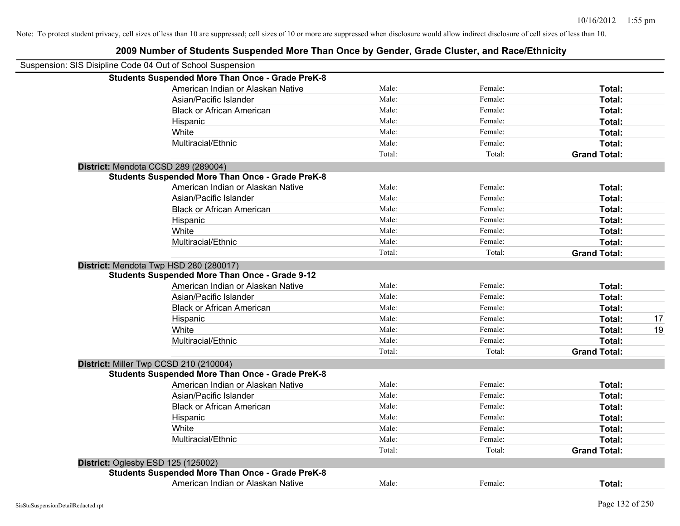| Suspension: SIS Disipline Code 04 Out of School Suspension |        |         |                     |    |
|------------------------------------------------------------|--------|---------|---------------------|----|
| <b>Students Suspended More Than Once - Grade PreK-8</b>    |        |         |                     |    |
| American Indian or Alaskan Native                          | Male:  | Female: | Total:              |    |
| Asian/Pacific Islander                                     | Male:  | Female: | Total:              |    |
| <b>Black or African American</b>                           | Male:  | Female: | Total:              |    |
| Hispanic                                                   | Male:  | Female: | Total:              |    |
| White                                                      | Male:  | Female: | Total:              |    |
| Multiracial/Ethnic                                         | Male:  | Female: | Total:              |    |
|                                                            | Total: | Total:  | <b>Grand Total:</b> |    |
| District: Mendota CCSD 289 (289004)                        |        |         |                     |    |
| <b>Students Suspended More Than Once - Grade PreK-8</b>    |        |         |                     |    |
| American Indian or Alaskan Native                          | Male:  | Female: | Total:              |    |
| Asian/Pacific Islander                                     | Male:  | Female: | Total:              |    |
| <b>Black or African American</b>                           | Male:  | Female: | Total:              |    |
| Hispanic                                                   | Male:  | Female: | Total:              |    |
| White                                                      | Male:  | Female: | Total:              |    |
| Multiracial/Ethnic                                         | Male:  | Female: | Total:              |    |
|                                                            | Total: | Total:  | <b>Grand Total:</b> |    |
| District: Mendota Twp HSD 280 (280017)                     |        |         |                     |    |
| <b>Students Suspended More Than Once - Grade 9-12</b>      |        |         |                     |    |
| American Indian or Alaskan Native                          | Male:  | Female: | Total:              |    |
| Asian/Pacific Islander                                     | Male:  | Female: | Total:              |    |
| <b>Black or African American</b>                           | Male:  | Female: | Total:              |    |
| Hispanic                                                   | Male:  | Female: | Total:              | 17 |
| White                                                      | Male:  | Female: | Total:              | 19 |
| Multiracial/Ethnic                                         | Male:  | Female: | Total:              |    |
|                                                            | Total: | Total:  | <b>Grand Total:</b> |    |
| District: Miller Twp CCSD 210 (210004)                     |        |         |                     |    |
| <b>Students Suspended More Than Once - Grade PreK-8</b>    |        |         |                     |    |
| American Indian or Alaskan Native                          | Male:  | Female: | Total:              |    |
| Asian/Pacific Islander                                     | Male:  | Female: | Total:              |    |
| <b>Black or African American</b>                           | Male:  | Female: | Total:              |    |
| Hispanic                                                   | Male:  | Female: | Total:              |    |
| White                                                      | Male:  | Female: | Total:              |    |
| Multiracial/Ethnic                                         | Male:  | Female: | Total:              |    |
|                                                            | Total: | Total:  | <b>Grand Total:</b> |    |
| District: Oglesby ESD 125 (125002)                         |        |         |                     |    |
| <b>Students Suspended More Than Once - Grade PreK-8</b>    |        |         |                     |    |
| American Indian or Alaskan Native                          | Male:  | Female: | Total:              |    |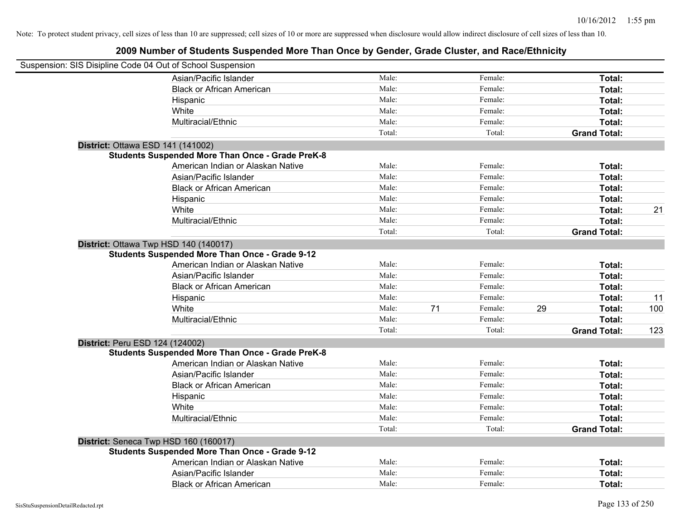| Suspension: SIS Disipline Code 04 Out of School Suspension |                                                         |        |    |         |    |                     |     |
|------------------------------------------------------------|---------------------------------------------------------|--------|----|---------|----|---------------------|-----|
|                                                            | Asian/Pacific Islander                                  | Male:  |    | Female: |    | Total:              |     |
|                                                            | <b>Black or African American</b>                        | Male:  |    | Female: |    | Total:              |     |
|                                                            | Hispanic                                                | Male:  |    | Female: |    | Total:              |     |
|                                                            | White                                                   | Male:  |    | Female: |    | Total:              |     |
|                                                            | Multiracial/Ethnic                                      | Male:  |    | Female: |    | Total:              |     |
|                                                            |                                                         | Total: |    | Total:  |    | <b>Grand Total:</b> |     |
|                                                            | District: Ottawa ESD 141 (141002)                       |        |    |         |    |                     |     |
|                                                            | <b>Students Suspended More Than Once - Grade PreK-8</b> |        |    |         |    |                     |     |
|                                                            | American Indian or Alaskan Native                       | Male:  |    | Female: |    | Total:              |     |
|                                                            | Asian/Pacific Islander                                  | Male:  |    | Female: |    | Total:              |     |
|                                                            | <b>Black or African American</b>                        | Male:  |    | Female: |    | Total:              |     |
|                                                            | Hispanic                                                | Male:  |    | Female: |    | Total:              |     |
|                                                            | White                                                   | Male:  |    | Female: |    | Total:              | 21  |
|                                                            | Multiracial/Ethnic                                      | Male:  |    | Female: |    | Total:              |     |
|                                                            |                                                         | Total: |    | Total:  |    | <b>Grand Total:</b> |     |
|                                                            | District: Ottawa Twp HSD 140 (140017)                   |        |    |         |    |                     |     |
|                                                            | <b>Students Suspended More Than Once - Grade 9-12</b>   |        |    |         |    |                     |     |
|                                                            | American Indian or Alaskan Native                       | Male:  |    | Female: |    | Total:              |     |
|                                                            | Asian/Pacific Islander                                  | Male:  |    | Female: |    | Total:              |     |
|                                                            | <b>Black or African American</b>                        | Male:  |    | Female: |    | Total:              |     |
|                                                            | Hispanic                                                | Male:  |    | Female: |    | Total:              | 11  |
|                                                            | White                                                   | Male:  | 71 | Female: | 29 | Total:              | 100 |
|                                                            | Multiracial/Ethnic                                      | Male:  |    | Female: |    | Total:              |     |
|                                                            |                                                         | Total: |    | Total:  |    | <b>Grand Total:</b> | 123 |
| District: Peru ESD 124 (124002)                            |                                                         |        |    |         |    |                     |     |
|                                                            | <b>Students Suspended More Than Once - Grade PreK-8</b> |        |    |         |    |                     |     |
|                                                            | American Indian or Alaskan Native                       | Male:  |    | Female: |    | Total:              |     |
|                                                            | Asian/Pacific Islander                                  | Male:  |    | Female: |    | Total:              |     |
|                                                            | <b>Black or African American</b>                        | Male:  |    | Female: |    | Total:              |     |
|                                                            | Hispanic                                                | Male:  |    | Female: |    | Total:              |     |
|                                                            | White                                                   | Male:  |    | Female: |    | Total:              |     |
|                                                            | Multiracial/Ethnic                                      | Male:  |    | Female: |    | Total:              |     |
|                                                            |                                                         | Total: |    | Total:  |    | <b>Grand Total:</b> |     |
|                                                            | District: Seneca Twp HSD 160 (160017)                   |        |    |         |    |                     |     |
|                                                            | <b>Students Suspended More Than Once - Grade 9-12</b>   |        |    |         |    |                     |     |
|                                                            | American Indian or Alaskan Native                       | Male:  |    | Female: |    | Total:              |     |
|                                                            | Asian/Pacific Islander                                  | Male:  |    | Female: |    | Total:              |     |
|                                                            | <b>Black or African American</b>                        | Male:  |    | Female: |    | Total:              |     |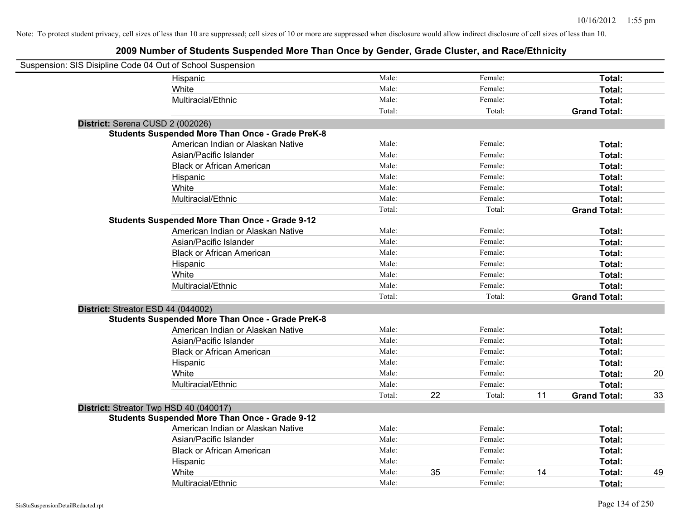| Suspension: SIS Disipline Code 04 Out of School Suspension |                                                         |        |    |         |    |                     |    |
|------------------------------------------------------------|---------------------------------------------------------|--------|----|---------|----|---------------------|----|
|                                                            | Hispanic                                                | Male:  |    | Female: |    | Total:              |    |
|                                                            | White                                                   | Male:  |    | Female: |    | Total:              |    |
|                                                            | Multiracial/Ethnic                                      | Male:  |    | Female: |    | Total:              |    |
|                                                            |                                                         | Total: |    | Total:  |    | <b>Grand Total:</b> |    |
| District: Serena CUSD 2 (002026)                           |                                                         |        |    |         |    |                     |    |
|                                                            | <b>Students Suspended More Than Once - Grade PreK-8</b> |        |    |         |    |                     |    |
|                                                            | American Indian or Alaskan Native                       | Male:  |    | Female: |    | Total:              |    |
|                                                            | Asian/Pacific Islander                                  | Male:  |    | Female: |    | Total:              |    |
|                                                            | <b>Black or African American</b>                        | Male:  |    | Female: |    | Total:              |    |
|                                                            | Hispanic                                                | Male:  |    | Female: |    | Total:              |    |
|                                                            | White                                                   | Male:  |    | Female: |    | Total:              |    |
|                                                            | Multiracial/Ethnic                                      | Male:  |    | Female: |    | Total:              |    |
|                                                            |                                                         | Total: |    | Total:  |    | <b>Grand Total:</b> |    |
|                                                            | <b>Students Suspended More Than Once - Grade 9-12</b>   |        |    |         |    |                     |    |
|                                                            | American Indian or Alaskan Native                       | Male:  |    | Female: |    | Total:              |    |
|                                                            | Asian/Pacific Islander                                  | Male:  |    | Female: |    | Total:              |    |
|                                                            | <b>Black or African American</b>                        | Male:  |    | Female: |    | Total:              |    |
|                                                            | Hispanic                                                | Male:  |    | Female: |    | Total:              |    |
|                                                            | White                                                   | Male:  |    | Female: |    | Total:              |    |
|                                                            | Multiracial/Ethnic                                      | Male:  |    | Female: |    | Total:              |    |
|                                                            |                                                         | Total: |    | Total:  |    | <b>Grand Total:</b> |    |
| District: Streator ESD 44 (044002)                         |                                                         |        |    |         |    |                     |    |
|                                                            | <b>Students Suspended More Than Once - Grade PreK-8</b> |        |    |         |    |                     |    |
|                                                            | American Indian or Alaskan Native                       | Male:  |    | Female: |    | Total:              |    |
|                                                            | Asian/Pacific Islander                                  | Male:  |    | Female: |    | Total:              |    |
|                                                            | <b>Black or African American</b>                        | Male:  |    | Female: |    | Total:              |    |
|                                                            | Hispanic                                                | Male:  |    | Female: |    | Total:              |    |
|                                                            | White                                                   | Male:  |    | Female: |    | Total:              | 20 |
|                                                            | Multiracial/Ethnic                                      | Male:  |    | Female: |    | Total:              |    |
|                                                            |                                                         | Total: | 22 | Total:  | 11 | <b>Grand Total:</b> | 33 |
| District: Streator Twp HSD 40 (040017)                     |                                                         |        |    |         |    |                     |    |
|                                                            | <b>Students Suspended More Than Once - Grade 9-12</b>   |        |    |         |    |                     |    |
|                                                            | American Indian or Alaskan Native                       | Male:  |    | Female: |    | Total:              |    |
|                                                            | Asian/Pacific Islander                                  | Male:  |    | Female: |    | Total:              |    |
|                                                            | <b>Black or African American</b>                        | Male:  |    | Female: |    | Total:              |    |
|                                                            | Hispanic                                                | Male:  |    | Female: |    | Total:              |    |
|                                                            | White                                                   | Male:  | 35 | Female: | 14 | Total:              | 49 |
|                                                            | Multiracial/Ethnic                                      | Male:  |    | Female: |    | Total:              |    |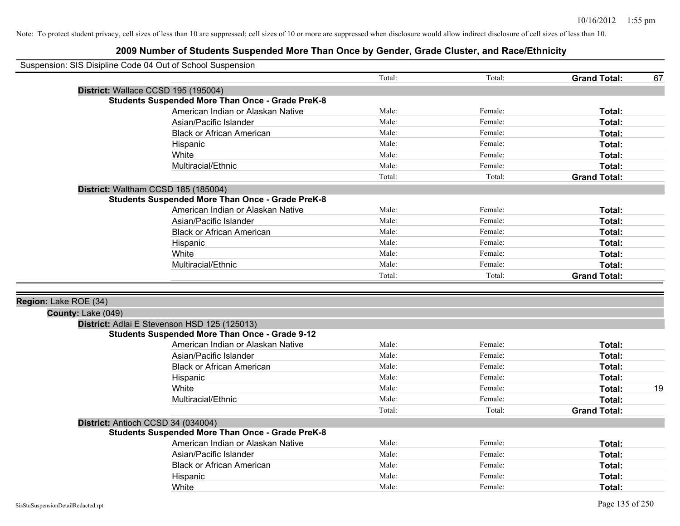|                       | Suspension: SIS Disipline Code 04 Out of School Suspension |        |         |                     |    |
|-----------------------|------------------------------------------------------------|--------|---------|---------------------|----|
|                       |                                                            | Total: | Total:  | <b>Grand Total:</b> | 67 |
|                       | District: Wallace CCSD 195 (195004)                        |        |         |                     |    |
|                       | <b>Students Suspended More Than Once - Grade PreK-8</b>    |        |         |                     |    |
|                       | American Indian or Alaskan Native                          | Male:  | Female: | Total:              |    |
|                       | Asian/Pacific Islander                                     | Male:  | Female: | Total:              |    |
|                       | <b>Black or African American</b>                           | Male:  | Female: | Total:              |    |
|                       | Hispanic                                                   | Male:  | Female: | Total:              |    |
|                       | White                                                      | Male:  | Female: | Total:              |    |
|                       | Multiracial/Ethnic                                         | Male:  | Female: | Total:              |    |
|                       |                                                            | Total: | Total:  | <b>Grand Total:</b> |    |
|                       | District: Waltham CCSD 185 (185004)                        |        |         |                     |    |
|                       | <b>Students Suspended More Than Once - Grade PreK-8</b>    |        |         |                     |    |
|                       | American Indian or Alaskan Native                          | Male:  | Female: | Total:              |    |
|                       | Asian/Pacific Islander                                     | Male:  | Female: | Total:              |    |
|                       | <b>Black or African American</b>                           | Male:  | Female: | Total:              |    |
|                       | Hispanic                                                   | Male:  | Female: | Total:              |    |
|                       | White                                                      | Male:  | Female: | Total:              |    |
|                       | Multiracial/Ethnic                                         | Male:  | Female: | Total:              |    |
|                       |                                                            | Total: | Total:  | <b>Grand Total:</b> |    |
|                       |                                                            |        |         |                     |    |
| Region: Lake ROE (34) |                                                            |        |         |                     |    |
| County: Lake (049)    |                                                            |        |         |                     |    |
|                       | District: Adlai E Stevenson HSD 125 (125013)               |        |         |                     |    |
|                       | <b>Students Suspended More Than Once - Grade 9-12</b>      |        |         |                     |    |
|                       | American Indian or Alaskan Native                          | Male:  | Female: | Total:              |    |
|                       | Asian/Pacific Islander                                     | Male:  | Female: | Total:              |    |
|                       | <b>Black or African American</b>                           | Male:  | Female: | <b>Total:</b>       |    |
|                       | Hispanic                                                   | Male:  | Female: | Total:              |    |
|                       | White                                                      | Male:  | Female: | Total:              | 19 |
|                       | Multiracial/Ethnic                                         | Male:  | Female: | Total:              |    |
|                       |                                                            | Total: | Total:  | <b>Grand Total:</b> |    |
|                       | District: Antioch CCSD 34 (034004)                         |        |         |                     |    |
|                       | <b>Students Suspended More Than Once - Grade PreK-8</b>    |        |         |                     |    |
|                       | American Indian or Alaskan Native                          | Male:  | Female: | Total:              |    |
|                       | Asian/Pacific Islander                                     | Male:  | Female: | Total:              |    |
|                       | <b>Black or African American</b>                           | Male:  | Female: | Total:              |    |
|                       | Hispanic                                                   | Male:  | Female: | Total:              |    |
|                       | White                                                      | Male:  | Female: | Total:              |    |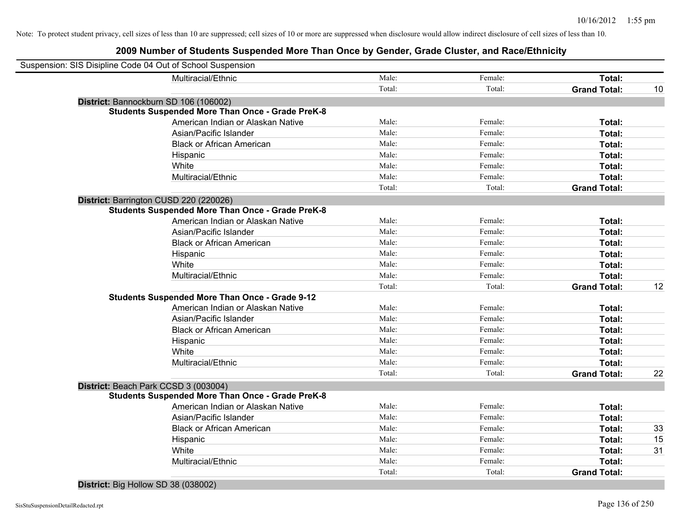| Multiracial/Ethnic<br>Male:<br>Female:<br>Total:<br>Total:<br>Total:<br><b>Grand Total:</b><br>District: Bannockburn SD 106 (106002)<br><b>Students Suspended More Than Once - Grade PreK-8</b><br>American Indian or Alaskan Native<br>Male:<br>Female:<br>Total:<br>Male:<br>Asian/Pacific Islander<br>Female:<br>Total:<br>Male:<br>Female:<br><b>Black or African American</b><br>Total:<br>Male:<br>Female:<br>Total:<br>Hispanic<br>White<br>Male:<br>Female:<br>Total:<br>Multiracial/Ethnic<br>Male:<br>Female:<br><b>Total:</b><br>Total:<br>Total:<br><b>Grand Total:</b><br>District: Barrington CUSD 220 (220026)<br><b>Students Suspended More Than Once - Grade PreK-8</b><br>American Indian or Alaskan Native<br>Male:<br>Female:<br>Total:<br>Male:<br>Female:<br>Asian/Pacific Islander<br>Total:<br>Male:<br>Female:<br>Total:<br><b>Black or African American</b><br>Male:<br>Female:<br>Total:<br>Hispanic<br>Male:<br>White<br>Female:<br>Total:<br>Multiracial/Ethnic<br>Male:<br>Female:<br><b>Total:</b><br>Total:<br>Total:<br><b>Grand Total:</b><br>Students Suspended More Than Once - Grade 9-12<br>Male:<br>Female:<br>American Indian or Alaskan Native<br>Total:<br>Male:<br>Female:<br>Asian/Pacific Islander<br>Total:<br>Male:<br>Female:<br><b>Black or African American</b><br>Total:<br>Male:<br>Female:<br>Total:<br>Hispanic<br>Male:<br>Female:<br>White<br><b>Total:</b><br>Male:<br>Female:<br><b>Total:</b><br>Multiracial/Ethnic<br>Total:<br>Total:<br><b>Grand Total:</b><br>District: Beach Park CCSD 3 (003004)<br><b>Students Suspended More Than Once - Grade PreK-8</b><br>American Indian or Alaskan Native<br>Male:<br>Female:<br>Total:<br>Male:<br>Female:<br>Asian/Pacific Islander<br>Total:<br><b>Black or African American</b><br>Male:<br>Female:<br>Total:<br>Male:<br>Female:<br>Hispanic<br>Total:<br>White<br>Male:<br>Female:<br><b>Total:</b><br>Multiracial/Ethnic<br>Male:<br>Female:<br><b>Total:</b><br>Total:<br>Total:<br><b>Grand Total:</b> | Suspension: SIS Disipline Code 04 Out of School Suspension |  |    |
|-------------------------------------------------------------------------------------------------------------------------------------------------------------------------------------------------------------------------------------------------------------------------------------------------------------------------------------------------------------------------------------------------------------------------------------------------------------------------------------------------------------------------------------------------------------------------------------------------------------------------------------------------------------------------------------------------------------------------------------------------------------------------------------------------------------------------------------------------------------------------------------------------------------------------------------------------------------------------------------------------------------------------------------------------------------------------------------------------------------------------------------------------------------------------------------------------------------------------------------------------------------------------------------------------------------------------------------------------------------------------------------------------------------------------------------------------------------------------------------------------------------------------------------------------------------------------------------------------------------------------------------------------------------------------------------------------------------------------------------------------------------------------------------------------------------------------------------------------------------------------------------------------------------------------------------------------------------------------------------------------------------------------|------------------------------------------------------------|--|----|
|                                                                                                                                                                                                                                                                                                                                                                                                                                                                                                                                                                                                                                                                                                                                                                                                                                                                                                                                                                                                                                                                                                                                                                                                                                                                                                                                                                                                                                                                                                                                                                                                                                                                                                                                                                                                                                                                                                                                                                                                                         |                                                            |  |    |
|                                                                                                                                                                                                                                                                                                                                                                                                                                                                                                                                                                                                                                                                                                                                                                                                                                                                                                                                                                                                                                                                                                                                                                                                                                                                                                                                                                                                                                                                                                                                                                                                                                                                                                                                                                                                                                                                                                                                                                                                                         |                                                            |  | 10 |
|                                                                                                                                                                                                                                                                                                                                                                                                                                                                                                                                                                                                                                                                                                                                                                                                                                                                                                                                                                                                                                                                                                                                                                                                                                                                                                                                                                                                                                                                                                                                                                                                                                                                                                                                                                                                                                                                                                                                                                                                                         |                                                            |  |    |
|                                                                                                                                                                                                                                                                                                                                                                                                                                                                                                                                                                                                                                                                                                                                                                                                                                                                                                                                                                                                                                                                                                                                                                                                                                                                                                                                                                                                                                                                                                                                                                                                                                                                                                                                                                                                                                                                                                                                                                                                                         |                                                            |  |    |
|                                                                                                                                                                                                                                                                                                                                                                                                                                                                                                                                                                                                                                                                                                                                                                                                                                                                                                                                                                                                                                                                                                                                                                                                                                                                                                                                                                                                                                                                                                                                                                                                                                                                                                                                                                                                                                                                                                                                                                                                                         |                                                            |  |    |
|                                                                                                                                                                                                                                                                                                                                                                                                                                                                                                                                                                                                                                                                                                                                                                                                                                                                                                                                                                                                                                                                                                                                                                                                                                                                                                                                                                                                                                                                                                                                                                                                                                                                                                                                                                                                                                                                                                                                                                                                                         |                                                            |  |    |
|                                                                                                                                                                                                                                                                                                                                                                                                                                                                                                                                                                                                                                                                                                                                                                                                                                                                                                                                                                                                                                                                                                                                                                                                                                                                                                                                                                                                                                                                                                                                                                                                                                                                                                                                                                                                                                                                                                                                                                                                                         |                                                            |  |    |
|                                                                                                                                                                                                                                                                                                                                                                                                                                                                                                                                                                                                                                                                                                                                                                                                                                                                                                                                                                                                                                                                                                                                                                                                                                                                                                                                                                                                                                                                                                                                                                                                                                                                                                                                                                                                                                                                                                                                                                                                                         |                                                            |  |    |
|                                                                                                                                                                                                                                                                                                                                                                                                                                                                                                                                                                                                                                                                                                                                                                                                                                                                                                                                                                                                                                                                                                                                                                                                                                                                                                                                                                                                                                                                                                                                                                                                                                                                                                                                                                                                                                                                                                                                                                                                                         |                                                            |  |    |
|                                                                                                                                                                                                                                                                                                                                                                                                                                                                                                                                                                                                                                                                                                                                                                                                                                                                                                                                                                                                                                                                                                                                                                                                                                                                                                                                                                                                                                                                                                                                                                                                                                                                                                                                                                                                                                                                                                                                                                                                                         |                                                            |  |    |
|                                                                                                                                                                                                                                                                                                                                                                                                                                                                                                                                                                                                                                                                                                                                                                                                                                                                                                                                                                                                                                                                                                                                                                                                                                                                                                                                                                                                                                                                                                                                                                                                                                                                                                                                                                                                                                                                                                                                                                                                                         |                                                            |  |    |
|                                                                                                                                                                                                                                                                                                                                                                                                                                                                                                                                                                                                                                                                                                                                                                                                                                                                                                                                                                                                                                                                                                                                                                                                                                                                                                                                                                                                                                                                                                                                                                                                                                                                                                                                                                                                                                                                                                                                                                                                                         |                                                            |  |    |
|                                                                                                                                                                                                                                                                                                                                                                                                                                                                                                                                                                                                                                                                                                                                                                                                                                                                                                                                                                                                                                                                                                                                                                                                                                                                                                                                                                                                                                                                                                                                                                                                                                                                                                                                                                                                                                                                                                                                                                                                                         |                                                            |  |    |
|                                                                                                                                                                                                                                                                                                                                                                                                                                                                                                                                                                                                                                                                                                                                                                                                                                                                                                                                                                                                                                                                                                                                                                                                                                                                                                                                                                                                                                                                                                                                                                                                                                                                                                                                                                                                                                                                                                                                                                                                                         |                                                            |  |    |
|                                                                                                                                                                                                                                                                                                                                                                                                                                                                                                                                                                                                                                                                                                                                                                                                                                                                                                                                                                                                                                                                                                                                                                                                                                                                                                                                                                                                                                                                                                                                                                                                                                                                                                                                                                                                                                                                                                                                                                                                                         |                                                            |  |    |
|                                                                                                                                                                                                                                                                                                                                                                                                                                                                                                                                                                                                                                                                                                                                                                                                                                                                                                                                                                                                                                                                                                                                                                                                                                                                                                                                                                                                                                                                                                                                                                                                                                                                                                                                                                                                                                                                                                                                                                                                                         |                                                            |  |    |
|                                                                                                                                                                                                                                                                                                                                                                                                                                                                                                                                                                                                                                                                                                                                                                                                                                                                                                                                                                                                                                                                                                                                                                                                                                                                                                                                                                                                                                                                                                                                                                                                                                                                                                                                                                                                                                                                                                                                                                                                                         |                                                            |  |    |
|                                                                                                                                                                                                                                                                                                                                                                                                                                                                                                                                                                                                                                                                                                                                                                                                                                                                                                                                                                                                                                                                                                                                                                                                                                                                                                                                                                                                                                                                                                                                                                                                                                                                                                                                                                                                                                                                                                                                                                                                                         |                                                            |  |    |
|                                                                                                                                                                                                                                                                                                                                                                                                                                                                                                                                                                                                                                                                                                                                                                                                                                                                                                                                                                                                                                                                                                                                                                                                                                                                                                                                                                                                                                                                                                                                                                                                                                                                                                                                                                                                                                                                                                                                                                                                                         |                                                            |  |    |
|                                                                                                                                                                                                                                                                                                                                                                                                                                                                                                                                                                                                                                                                                                                                                                                                                                                                                                                                                                                                                                                                                                                                                                                                                                                                                                                                                                                                                                                                                                                                                                                                                                                                                                                                                                                                                                                                                                                                                                                                                         |                                                            |  | 12 |
|                                                                                                                                                                                                                                                                                                                                                                                                                                                                                                                                                                                                                                                                                                                                                                                                                                                                                                                                                                                                                                                                                                                                                                                                                                                                                                                                                                                                                                                                                                                                                                                                                                                                                                                                                                                                                                                                                                                                                                                                                         |                                                            |  |    |
|                                                                                                                                                                                                                                                                                                                                                                                                                                                                                                                                                                                                                                                                                                                                                                                                                                                                                                                                                                                                                                                                                                                                                                                                                                                                                                                                                                                                                                                                                                                                                                                                                                                                                                                                                                                                                                                                                                                                                                                                                         |                                                            |  |    |
|                                                                                                                                                                                                                                                                                                                                                                                                                                                                                                                                                                                                                                                                                                                                                                                                                                                                                                                                                                                                                                                                                                                                                                                                                                                                                                                                                                                                                                                                                                                                                                                                                                                                                                                                                                                                                                                                                                                                                                                                                         |                                                            |  |    |
|                                                                                                                                                                                                                                                                                                                                                                                                                                                                                                                                                                                                                                                                                                                                                                                                                                                                                                                                                                                                                                                                                                                                                                                                                                                                                                                                                                                                                                                                                                                                                                                                                                                                                                                                                                                                                                                                                                                                                                                                                         |                                                            |  |    |
|                                                                                                                                                                                                                                                                                                                                                                                                                                                                                                                                                                                                                                                                                                                                                                                                                                                                                                                                                                                                                                                                                                                                                                                                                                                                                                                                                                                                                                                                                                                                                                                                                                                                                                                                                                                                                                                                                                                                                                                                                         |                                                            |  |    |
|                                                                                                                                                                                                                                                                                                                                                                                                                                                                                                                                                                                                                                                                                                                                                                                                                                                                                                                                                                                                                                                                                                                                                                                                                                                                                                                                                                                                                                                                                                                                                                                                                                                                                                                                                                                                                                                                                                                                                                                                                         |                                                            |  |    |
|                                                                                                                                                                                                                                                                                                                                                                                                                                                                                                                                                                                                                                                                                                                                                                                                                                                                                                                                                                                                                                                                                                                                                                                                                                                                                                                                                                                                                                                                                                                                                                                                                                                                                                                                                                                                                                                                                                                                                                                                                         |                                                            |  |    |
|                                                                                                                                                                                                                                                                                                                                                                                                                                                                                                                                                                                                                                                                                                                                                                                                                                                                                                                                                                                                                                                                                                                                                                                                                                                                                                                                                                                                                                                                                                                                                                                                                                                                                                                                                                                                                                                                                                                                                                                                                         |                                                            |  | 22 |
|                                                                                                                                                                                                                                                                                                                                                                                                                                                                                                                                                                                                                                                                                                                                                                                                                                                                                                                                                                                                                                                                                                                                                                                                                                                                                                                                                                                                                                                                                                                                                                                                                                                                                                                                                                                                                                                                                                                                                                                                                         |                                                            |  |    |
|                                                                                                                                                                                                                                                                                                                                                                                                                                                                                                                                                                                                                                                                                                                                                                                                                                                                                                                                                                                                                                                                                                                                                                                                                                                                                                                                                                                                                                                                                                                                                                                                                                                                                                                                                                                                                                                                                                                                                                                                                         |                                                            |  |    |
|                                                                                                                                                                                                                                                                                                                                                                                                                                                                                                                                                                                                                                                                                                                                                                                                                                                                                                                                                                                                                                                                                                                                                                                                                                                                                                                                                                                                                                                                                                                                                                                                                                                                                                                                                                                                                                                                                                                                                                                                                         |                                                            |  |    |
|                                                                                                                                                                                                                                                                                                                                                                                                                                                                                                                                                                                                                                                                                                                                                                                                                                                                                                                                                                                                                                                                                                                                                                                                                                                                                                                                                                                                                                                                                                                                                                                                                                                                                                                                                                                                                                                                                                                                                                                                                         |                                                            |  |    |
|                                                                                                                                                                                                                                                                                                                                                                                                                                                                                                                                                                                                                                                                                                                                                                                                                                                                                                                                                                                                                                                                                                                                                                                                                                                                                                                                                                                                                                                                                                                                                                                                                                                                                                                                                                                                                                                                                                                                                                                                                         |                                                            |  | 33 |
|                                                                                                                                                                                                                                                                                                                                                                                                                                                                                                                                                                                                                                                                                                                                                                                                                                                                                                                                                                                                                                                                                                                                                                                                                                                                                                                                                                                                                                                                                                                                                                                                                                                                                                                                                                                                                                                                                                                                                                                                                         |                                                            |  | 15 |
|                                                                                                                                                                                                                                                                                                                                                                                                                                                                                                                                                                                                                                                                                                                                                                                                                                                                                                                                                                                                                                                                                                                                                                                                                                                                                                                                                                                                                                                                                                                                                                                                                                                                                                                                                                                                                                                                                                                                                                                                                         |                                                            |  | 31 |
|                                                                                                                                                                                                                                                                                                                                                                                                                                                                                                                                                                                                                                                                                                                                                                                                                                                                                                                                                                                                                                                                                                                                                                                                                                                                                                                                                                                                                                                                                                                                                                                                                                                                                                                                                                                                                                                                                                                                                                                                                         |                                                            |  |    |
|                                                                                                                                                                                                                                                                                                                                                                                                                                                                                                                                                                                                                                                                                                                                                                                                                                                                                                                                                                                                                                                                                                                                                                                                                                                                                                                                                                                                                                                                                                                                                                                                                                                                                                                                                                                                                                                                                                                                                                                                                         |                                                            |  |    |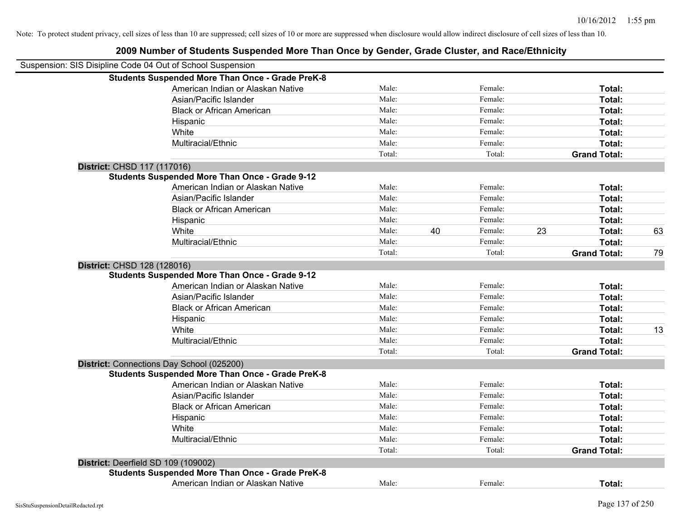|                                     | Suspension: SIS Disipline Code 04 Out of School Suspension |        |    |         |    |                     |    |
|-------------------------------------|------------------------------------------------------------|--------|----|---------|----|---------------------|----|
|                                     | <b>Students Suspended More Than Once - Grade PreK-8</b>    |        |    |         |    |                     |    |
|                                     | American Indian or Alaskan Native                          | Male:  |    | Female: |    | Total:              |    |
|                                     | Asian/Pacific Islander                                     | Male:  |    | Female: |    | Total:              |    |
|                                     | <b>Black or African American</b>                           | Male:  |    | Female: |    | Total:              |    |
|                                     | Hispanic                                                   | Male:  |    | Female: |    | Total:              |    |
|                                     | White                                                      | Male:  |    | Female: |    | Total:              |    |
|                                     | Multiracial/Ethnic                                         | Male:  |    | Female: |    | Total:              |    |
|                                     |                                                            | Total: |    | Total:  |    | <b>Grand Total:</b> |    |
| District: CHSD 117 (117016)         |                                                            |        |    |         |    |                     |    |
|                                     | <b>Students Suspended More Than Once - Grade 9-12</b>      |        |    |         |    |                     |    |
|                                     | American Indian or Alaskan Native                          | Male:  |    | Female: |    | Total:              |    |
|                                     | Asian/Pacific Islander                                     | Male:  |    | Female: |    | Total:              |    |
|                                     | <b>Black or African American</b>                           | Male:  |    | Female: |    | Total:              |    |
|                                     | Hispanic                                                   | Male:  |    | Female: |    | Total:              |    |
|                                     | White                                                      | Male:  | 40 | Female: | 23 | Total:              | 63 |
|                                     | Multiracial/Ethnic                                         | Male:  |    | Female: |    | Total:              |    |
|                                     |                                                            | Total: |    | Total:  |    | <b>Grand Total:</b> | 79 |
| District: CHSD 128 (128016)         |                                                            |        |    |         |    |                     |    |
|                                     | <b>Students Suspended More Than Once - Grade 9-12</b>      |        |    |         |    |                     |    |
|                                     | American Indian or Alaskan Native                          | Male:  |    | Female: |    | Total:              |    |
|                                     | Asian/Pacific Islander                                     | Male:  |    | Female: |    | Total:              |    |
|                                     | <b>Black or African American</b>                           | Male:  |    | Female: |    | Total:              |    |
|                                     | Hispanic                                                   | Male:  |    | Female: |    | Total:              |    |
|                                     | White                                                      | Male:  |    | Female: |    | Total:              | 13 |
|                                     | Multiracial/Ethnic                                         | Male:  |    | Female: |    | Total:              |    |
|                                     |                                                            | Total: |    | Total:  |    | <b>Grand Total:</b> |    |
|                                     | District: Connections Day School (025200)                  |        |    |         |    |                     |    |
|                                     | <b>Students Suspended More Than Once - Grade PreK-8</b>    |        |    |         |    |                     |    |
|                                     | American Indian or Alaskan Native                          | Male:  |    | Female: |    | Total:              |    |
|                                     | Asian/Pacific Islander                                     | Male:  |    | Female: |    | Total:              |    |
|                                     | <b>Black or African American</b>                           | Male:  |    | Female: |    | Total:              |    |
|                                     | Hispanic                                                   | Male:  |    | Female: |    | Total:              |    |
|                                     | White                                                      | Male:  |    | Female: |    | Total:              |    |
|                                     | Multiracial/Ethnic                                         | Male:  |    | Female: |    | Total:              |    |
|                                     |                                                            | Total: |    | Total:  |    | <b>Grand Total:</b> |    |
| District: Deerfield SD 109 (109002) |                                                            |        |    |         |    |                     |    |
|                                     | <b>Students Suspended More Than Once - Grade PreK-8</b>    |        |    |         |    |                     |    |
|                                     | American Indian or Alaskan Native                          | Male:  |    | Female: |    | Total:              |    |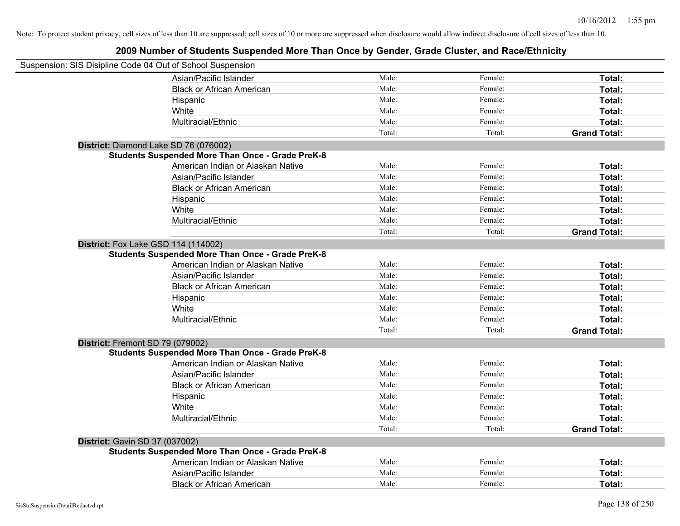| Suspension: SIS Disipline Code 04 Out of School Suspension |                                                         |        |         |                     |
|------------------------------------------------------------|---------------------------------------------------------|--------|---------|---------------------|
|                                                            | Asian/Pacific Islander                                  | Male:  | Female: | Total:              |
|                                                            | <b>Black or African American</b>                        | Male:  | Female: | Total:              |
|                                                            | Hispanic                                                | Male:  | Female: | Total:              |
|                                                            | White                                                   | Male:  | Female: | Total:              |
|                                                            | Multiracial/Ethnic                                      | Male:  | Female: | Total:              |
|                                                            |                                                         | Total: | Total:  | <b>Grand Total:</b> |
| District: Diamond Lake SD 76 (076002)                      |                                                         |        |         |                     |
|                                                            | <b>Students Suspended More Than Once - Grade PreK-8</b> |        |         |                     |
|                                                            | American Indian or Alaskan Native                       | Male:  | Female: | Total:              |
|                                                            | Asian/Pacific Islander                                  | Male:  | Female: | Total:              |
|                                                            | <b>Black or African American</b>                        | Male:  | Female: | Total:              |
|                                                            | Hispanic                                                | Male:  | Female: | Total:              |
|                                                            | White                                                   | Male:  | Female: | Total:              |
|                                                            | Multiracial/Ethnic                                      | Male:  | Female: | Total:              |
|                                                            |                                                         | Total: | Total:  | <b>Grand Total:</b> |
| District: Fox Lake GSD 114 (114002)                        |                                                         |        |         |                     |
|                                                            | <b>Students Suspended More Than Once - Grade PreK-8</b> |        |         |                     |
|                                                            | American Indian or Alaskan Native                       | Male:  | Female: | Total:              |
|                                                            | Asian/Pacific Islander                                  | Male:  | Female: | Total:              |
|                                                            | <b>Black or African American</b>                        | Male:  | Female: | Total:              |
|                                                            | Hispanic                                                | Male:  | Female: | Total:              |
|                                                            | White                                                   | Male:  | Female: | Total:              |
|                                                            | Multiracial/Ethnic                                      | Male:  | Female: | Total:              |
|                                                            |                                                         | Total: | Total:  | <b>Grand Total:</b> |
| District: Fremont SD 79 (079002)                           |                                                         |        |         |                     |
|                                                            | <b>Students Suspended More Than Once - Grade PreK-8</b> |        |         |                     |
|                                                            | American Indian or Alaskan Native                       | Male:  | Female: | Total:              |
|                                                            | Asian/Pacific Islander                                  | Male:  | Female: | Total:              |
|                                                            | <b>Black or African American</b>                        | Male:  | Female: | Total:              |
|                                                            | Hispanic                                                | Male:  | Female: | Total:              |
|                                                            | White                                                   | Male:  | Female: | Total:              |
|                                                            | Multiracial/Ethnic                                      | Male:  | Female: | <b>Total:</b>       |
|                                                            |                                                         | Total: | Total:  | <b>Grand Total:</b> |
| <b>District: Gavin SD 37 (037002)</b>                      |                                                         |        |         |                     |
|                                                            | <b>Students Suspended More Than Once - Grade PreK-8</b> |        |         |                     |
|                                                            | American Indian or Alaskan Native                       | Male:  | Female: | Total:              |
|                                                            | Asian/Pacific Islander                                  | Male:  | Female: | Total:              |
|                                                            | <b>Black or African American</b>                        | Male:  | Female: | Total:              |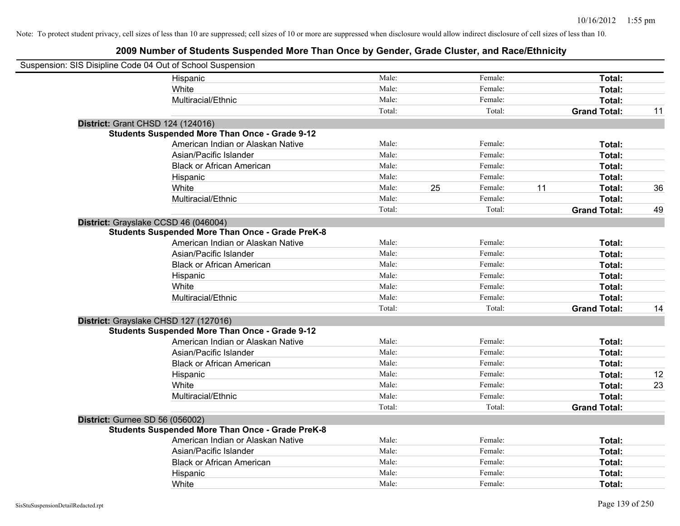| Suspension: SIS Disipline Code 04 Out of School Suspension |                                                         |        |    |         |    |                     |    |
|------------------------------------------------------------|---------------------------------------------------------|--------|----|---------|----|---------------------|----|
|                                                            | Hispanic                                                | Male:  |    | Female: |    | Total:              |    |
|                                                            | White                                                   | Male:  |    | Female: |    | Total:              |    |
|                                                            | Multiracial/Ethnic                                      | Male:  |    | Female: |    | Total:              |    |
|                                                            |                                                         | Total: |    | Total:  |    | <b>Grand Total:</b> | 11 |
| District: Grant CHSD 124 (124016)                          |                                                         |        |    |         |    |                     |    |
|                                                            | <b>Students Suspended More Than Once - Grade 9-12</b>   |        |    |         |    |                     |    |
|                                                            | American Indian or Alaskan Native                       | Male:  |    | Female: |    | Total:              |    |
|                                                            | Asian/Pacific Islander                                  | Male:  |    | Female: |    | Total:              |    |
|                                                            | <b>Black or African American</b>                        | Male:  |    | Female: |    | Total:              |    |
|                                                            | Hispanic                                                | Male:  |    | Female: |    | Total:              |    |
|                                                            | White                                                   | Male:  | 25 | Female: | 11 | Total:              | 36 |
|                                                            | Multiracial/Ethnic                                      | Male:  |    | Female: |    | Total:              |    |
|                                                            |                                                         | Total: |    | Total:  |    | <b>Grand Total:</b> | 49 |
| District: Grayslake CCSD 46 (046004)                       |                                                         |        |    |         |    |                     |    |
|                                                            | <b>Students Suspended More Than Once - Grade PreK-8</b> |        |    |         |    |                     |    |
|                                                            | American Indian or Alaskan Native                       | Male:  |    | Female: |    | Total:              |    |
|                                                            | Asian/Pacific Islander                                  | Male:  |    | Female: |    | Total:              |    |
|                                                            | <b>Black or African American</b>                        | Male:  |    | Female: |    | Total:              |    |
|                                                            | Hispanic                                                | Male:  |    | Female: |    | Total:              |    |
|                                                            | White                                                   | Male:  |    | Female: |    | Total:              |    |
|                                                            | Multiracial/Ethnic                                      | Male:  |    | Female: |    | Total:              |    |
|                                                            |                                                         | Total: |    | Total:  |    | <b>Grand Total:</b> | 14 |
| District: Grayslake CHSD 127 (127016)                      |                                                         |        |    |         |    |                     |    |
|                                                            | <b>Students Suspended More Than Once - Grade 9-12</b>   |        |    |         |    |                     |    |
|                                                            | American Indian or Alaskan Native                       | Male:  |    | Female: |    | Total:              |    |
|                                                            | Asian/Pacific Islander                                  | Male:  |    | Female: |    | Total:              |    |
|                                                            | <b>Black or African American</b>                        | Male:  |    | Female: |    | Total:              |    |
|                                                            | Hispanic                                                | Male:  |    | Female: |    | Total:              | 12 |
|                                                            | White                                                   | Male:  |    | Female: |    | Total:              | 23 |
|                                                            | Multiracial/Ethnic                                      | Male:  |    | Female: |    | Total:              |    |
|                                                            |                                                         | Total: |    | Total:  |    | <b>Grand Total:</b> |    |
| District: Gurnee SD 56 (056002)                            |                                                         |        |    |         |    |                     |    |
|                                                            | <b>Students Suspended More Than Once - Grade PreK-8</b> |        |    |         |    |                     |    |
|                                                            | American Indian or Alaskan Native                       | Male:  |    | Female: |    | Total:              |    |
|                                                            | Asian/Pacific Islander                                  | Male:  |    | Female: |    | Total:              |    |
|                                                            | <b>Black or African American</b>                        | Male:  |    | Female: |    | Total:              |    |
|                                                            | Hispanic                                                | Male:  |    | Female: |    | Total:              |    |
|                                                            | White                                                   | Male:  |    | Female: |    | Total:              |    |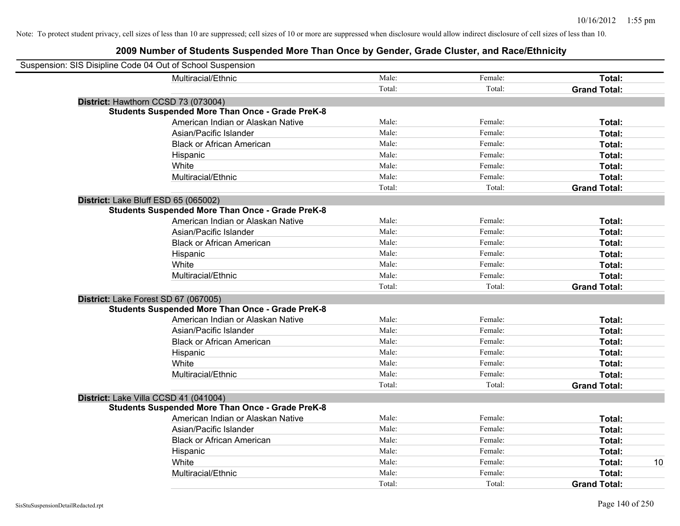| Suspension: SIS Disipline Code 04 Out of School Suspension |                                                         |        |         |                     |
|------------------------------------------------------------|---------------------------------------------------------|--------|---------|---------------------|
|                                                            | Multiracial/Ethnic                                      | Male:  | Female: | Total:              |
|                                                            |                                                         | Total: | Total:  | <b>Grand Total:</b> |
| District: Hawthorn CCSD 73 (073004)                        |                                                         |        |         |                     |
|                                                            | <b>Students Suspended More Than Once - Grade PreK-8</b> |        |         |                     |
|                                                            | American Indian or Alaskan Native                       | Male:  | Female: | Total:              |
|                                                            | Asian/Pacific Islander                                  | Male:  | Female: | Total:              |
|                                                            | <b>Black or African American</b>                        | Male:  | Female: | Total:              |
|                                                            | Hispanic                                                | Male:  | Female: | Total:              |
|                                                            | White                                                   | Male:  | Female: | Total:              |
|                                                            | Multiracial/Ethnic                                      | Male:  | Female: | Total:              |
|                                                            |                                                         | Total: | Total:  | <b>Grand Total:</b> |
| District: Lake Bluff ESD 65 (065002)                       |                                                         |        |         |                     |
|                                                            | <b>Students Suspended More Than Once - Grade PreK-8</b> |        |         |                     |
|                                                            | American Indian or Alaskan Native                       | Male:  | Female: | Total:              |
|                                                            | Asian/Pacific Islander                                  | Male:  | Female: | Total:              |
|                                                            | <b>Black or African American</b>                        | Male:  | Female: | Total:              |
|                                                            | Hispanic                                                | Male:  | Female: | Total:              |
|                                                            | White                                                   | Male:  | Female: | Total:              |
|                                                            | Multiracial/Ethnic                                      | Male:  | Female: | Total:              |
|                                                            |                                                         | Total: | Total:  | <b>Grand Total:</b> |
| District: Lake Forest SD 67 (067005)                       |                                                         |        |         |                     |
|                                                            | <b>Students Suspended More Than Once - Grade PreK-8</b> |        |         |                     |
|                                                            | American Indian or Alaskan Native                       | Male:  | Female: | Total:              |
|                                                            | Asian/Pacific Islander                                  | Male:  | Female: | Total:              |
|                                                            | <b>Black or African American</b>                        | Male:  | Female: | Total:              |
|                                                            | Hispanic                                                | Male:  | Female: | Total:              |
|                                                            | White                                                   | Male:  | Female: | Total:              |
|                                                            | Multiracial/Ethnic                                      | Male:  | Female: | Total:              |
|                                                            |                                                         | Total: | Total:  | <b>Grand Total:</b> |
| District: Lake Villa CCSD 41 (041004)                      |                                                         |        |         |                     |
|                                                            | <b>Students Suspended More Than Once - Grade PreK-8</b> |        |         |                     |
|                                                            | American Indian or Alaskan Native                       | Male:  | Female: | Total:              |
|                                                            | Asian/Pacific Islander                                  | Male:  | Female: | Total:              |
|                                                            | <b>Black or African American</b>                        | Male:  | Female: | Total:              |
|                                                            | Hispanic                                                | Male:  | Female: | Total:              |
|                                                            | White                                                   | Male:  | Female: | 10<br>Total:        |
|                                                            | Multiracial/Ethnic                                      | Male:  | Female: | Total:              |
|                                                            |                                                         | Total: | Total:  | <b>Grand Total:</b> |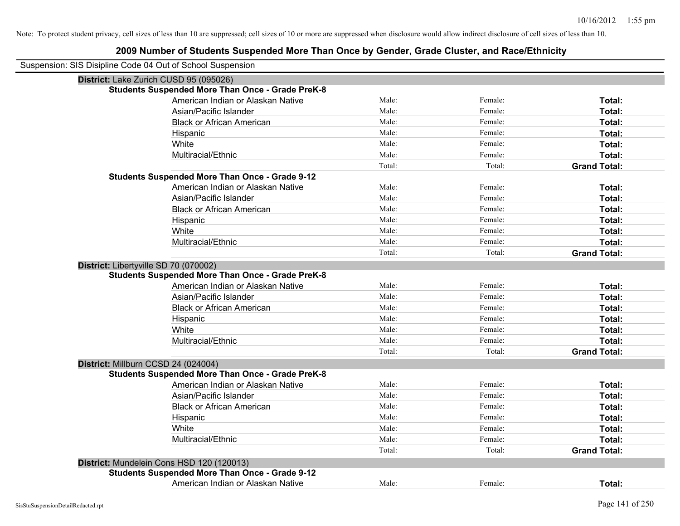| Suspension: SIS Disipline Code 04 Out of School Suspension |                                                         |        |         |                     |
|------------------------------------------------------------|---------------------------------------------------------|--------|---------|---------------------|
| District: Lake Zurich CUSD 95 (095026)                     |                                                         |        |         |                     |
|                                                            | <b>Students Suspended More Than Once - Grade PreK-8</b> |        |         |                     |
|                                                            | American Indian or Alaskan Native                       | Male:  | Female: | Total:              |
|                                                            | Asian/Pacific Islander                                  | Male:  | Female: | Total:              |
|                                                            | <b>Black or African American</b>                        | Male:  | Female: | Total:              |
|                                                            | Hispanic                                                | Male:  | Female: | Total:              |
|                                                            | White                                                   | Male:  | Female: | Total:              |
|                                                            | Multiracial/Ethnic                                      | Male:  | Female: | Total:              |
|                                                            |                                                         | Total: | Total:  | <b>Grand Total:</b> |
|                                                            | <b>Students Suspended More Than Once - Grade 9-12</b>   |        |         |                     |
|                                                            | American Indian or Alaskan Native                       | Male:  | Female: | Total:              |
|                                                            | Asian/Pacific Islander                                  | Male:  | Female: | Total:              |
|                                                            | <b>Black or African American</b>                        | Male:  | Female: | Total:              |
|                                                            | Hispanic                                                | Male:  | Female: | Total:              |
|                                                            | White                                                   | Male:  | Female: | Total:              |
|                                                            | Multiracial/Ethnic                                      | Male:  | Female: | Total:              |
|                                                            |                                                         | Total: | Total:  | <b>Grand Total:</b> |
| District: Libertyville SD 70 (070002)                      |                                                         |        |         |                     |
|                                                            | <b>Students Suspended More Than Once - Grade PreK-8</b> |        |         |                     |
|                                                            | American Indian or Alaskan Native                       | Male:  | Female: | Total:              |
|                                                            | Asian/Pacific Islander                                  | Male:  | Female: | Total:              |
|                                                            | <b>Black or African American</b>                        | Male:  | Female: | Total:              |
|                                                            | Hispanic                                                | Male:  | Female: | Total:              |
|                                                            | White                                                   | Male:  | Female: | Total:              |
|                                                            | Multiracial/Ethnic                                      | Male:  | Female: | Total:              |
|                                                            |                                                         | Total: | Total:  | <b>Grand Total:</b> |
| District: Millburn CCSD 24 (024004)                        |                                                         |        |         |                     |
|                                                            | <b>Students Suspended More Than Once - Grade PreK-8</b> |        |         |                     |
|                                                            | American Indian or Alaskan Native                       | Male:  | Female: | Total:              |
|                                                            | Asian/Pacific Islander                                  | Male:  | Female: | Total:              |
|                                                            | <b>Black or African American</b>                        | Male:  | Female: | Total:              |
|                                                            | Hispanic                                                | Male:  | Female: | Total:              |
|                                                            | White                                                   | Male:  | Female: | Total:              |
|                                                            | Multiracial/Ethnic                                      | Male:  | Female: | Total:              |
|                                                            |                                                         | Total: | Total:  | <b>Grand Total:</b> |
| District: Mundelein Cons HSD 120 (120013)                  |                                                         |        |         |                     |
|                                                            | <b>Students Suspended More Than Once - Grade 9-12</b>   |        |         |                     |
|                                                            | American Indian or Alaskan Native                       | Male:  | Female: | Total:              |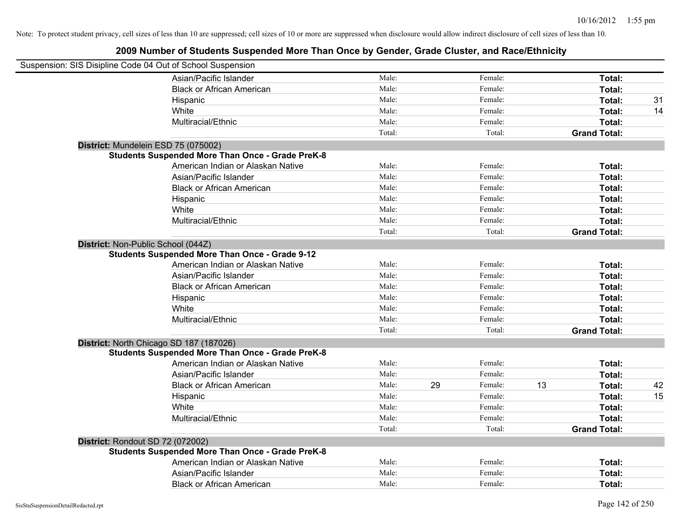| Suspension: SIS Disipline Code 04 Out of School Suspension |        |               |                     |    |
|------------------------------------------------------------|--------|---------------|---------------------|----|
| Asian/Pacific Islander                                     | Male:  | Female:       | Total:              |    |
| <b>Black or African American</b>                           | Male:  | Female:       | Total:              |    |
| Hispanic                                                   | Male:  | Female:       | Total:              | 31 |
| White                                                      | Male:  | Female:       | Total:              | 14 |
| Multiracial/Ethnic                                         | Male:  | Female:       | Total:              |    |
|                                                            | Total: | Total:        | <b>Grand Total:</b> |    |
| District: Mundelein ESD 75 (075002)                        |        |               |                     |    |
| <b>Students Suspended More Than Once - Grade PreK-8</b>    |        |               |                     |    |
| American Indian or Alaskan Native                          | Male:  | Female:       | Total:              |    |
| Asian/Pacific Islander                                     | Male:  | Female:       | Total:              |    |
| <b>Black or African American</b>                           | Male:  | Female:       | Total:              |    |
| Hispanic                                                   | Male:  | Female:       | Total:              |    |
| White                                                      | Male:  | Female:       | Total:              |    |
| Multiracial/Ethnic                                         | Male:  | Female:       | Total:              |    |
|                                                            | Total: | Total:        | <b>Grand Total:</b> |    |
| District: Non-Public School (044Z)                         |        |               |                     |    |
| <b>Students Suspended More Than Once - Grade 9-12</b>      |        |               |                     |    |
| American Indian or Alaskan Native                          | Male:  | Female:       | Total:              |    |
| Asian/Pacific Islander                                     | Male:  | Female:       | Total:              |    |
| <b>Black or African American</b>                           | Male:  | Female:       | Total:              |    |
| Hispanic                                                   | Male:  | Female:       | Total:              |    |
| White                                                      | Male:  | Female:       | Total:              |    |
| Multiracial/Ethnic                                         | Male:  | Female:       | Total:              |    |
|                                                            | Total: | Total:        | <b>Grand Total:</b> |    |
| District: North Chicago SD 187 (187026)                    |        |               |                     |    |
| <b>Students Suspended More Than Once - Grade PreK-8</b>    |        |               |                     |    |
| American Indian or Alaskan Native                          | Male:  | Female:       | Total:              |    |
| Asian/Pacific Islander                                     | Male:  | Female:       | Total:              |    |
| <b>Black or African American</b>                           | Male:  | 29<br>Female: | 13<br>Total:        | 42 |
| Hispanic                                                   | Male:  | Female:       | Total:              | 15 |
| White                                                      | Male:  | Female:       | Total:              |    |
| Multiracial/Ethnic                                         | Male:  | Female:       | Total:              |    |
|                                                            | Total: | Total:        | <b>Grand Total:</b> |    |
| District: Rondout SD 72 (072002)                           |        |               |                     |    |
| <b>Students Suspended More Than Once - Grade PreK-8</b>    |        |               |                     |    |
| American Indian or Alaskan Native                          | Male:  | Female:       | Total:              |    |
| Asian/Pacific Islander                                     | Male:  | Female:       | Total:              |    |
| <b>Black or African American</b>                           | Male:  | Female:       | Total:              |    |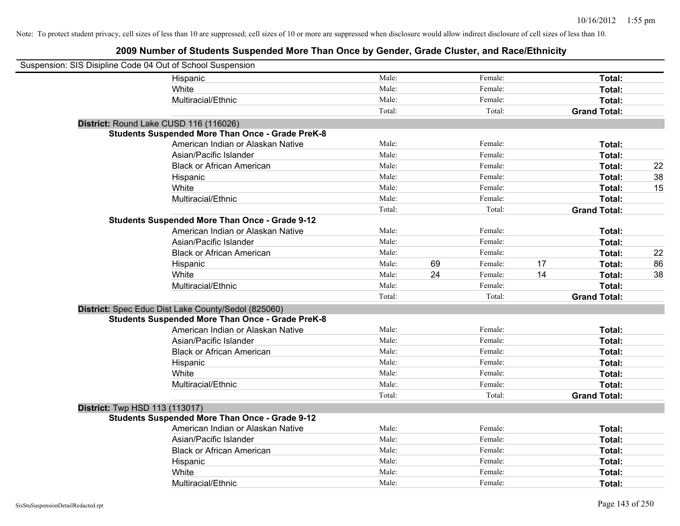| Suspension: SIS Disipline Code 04 Out of School Suspension |                                                         |        |    |         |    |                     |    |
|------------------------------------------------------------|---------------------------------------------------------|--------|----|---------|----|---------------------|----|
|                                                            | Hispanic                                                | Male:  |    | Female: |    | Total:              |    |
|                                                            | White                                                   | Male:  |    | Female: |    | Total:              |    |
|                                                            | Multiracial/Ethnic                                      | Male:  |    | Female: |    | Total:              |    |
|                                                            |                                                         | Total: |    | Total:  |    | <b>Grand Total:</b> |    |
| District: Round Lake CUSD 116 (116026)                     |                                                         |        |    |         |    |                     |    |
|                                                            | <b>Students Suspended More Than Once - Grade PreK-8</b> |        |    |         |    |                     |    |
|                                                            | American Indian or Alaskan Native                       | Male:  |    | Female: |    | Total:              |    |
|                                                            | Asian/Pacific Islander                                  | Male:  |    | Female: |    | Total:              |    |
|                                                            | <b>Black or African American</b>                        | Male:  |    | Female: |    | Total:              | 22 |
|                                                            | Hispanic                                                | Male:  |    | Female: |    | Total:              | 38 |
|                                                            | White                                                   | Male:  |    | Female: |    | Total:              | 15 |
|                                                            | Multiracial/Ethnic                                      | Male:  |    | Female: |    | Total:              |    |
|                                                            |                                                         | Total: |    | Total:  |    | <b>Grand Total:</b> |    |
|                                                            | <b>Students Suspended More Than Once - Grade 9-12</b>   |        |    |         |    |                     |    |
|                                                            | American Indian or Alaskan Native                       | Male:  |    | Female: |    | Total:              |    |
|                                                            | Asian/Pacific Islander                                  | Male:  |    | Female: |    | Total:              |    |
|                                                            | <b>Black or African American</b>                        | Male:  |    | Female: |    | Total:              | 22 |
|                                                            | Hispanic                                                | Male:  | 69 | Female: | 17 | Total:              | 86 |
|                                                            | White                                                   | Male:  | 24 | Female: | 14 | Total:              | 38 |
|                                                            | Multiracial/Ethnic                                      | Male:  |    | Female: |    | Total:              |    |
|                                                            |                                                         | Total: |    | Total:  |    | <b>Grand Total:</b> |    |
|                                                            | District: Spec Educ Dist Lake County/Sedol (825060)     |        |    |         |    |                     |    |
|                                                            | <b>Students Suspended More Than Once - Grade PreK-8</b> |        |    |         |    |                     |    |
|                                                            | American Indian or Alaskan Native                       | Male:  |    | Female: |    | Total:              |    |
|                                                            | Asian/Pacific Islander                                  | Male:  |    | Female: |    | Total:              |    |
|                                                            | <b>Black or African American</b>                        | Male:  |    | Female: |    | Total:              |    |
|                                                            | Hispanic                                                | Male:  |    | Female: |    | Total:              |    |
|                                                            | White                                                   | Male:  |    | Female: |    | Total:              |    |
|                                                            | Multiracial/Ethnic                                      | Male:  |    | Female: |    | Total:              |    |
|                                                            |                                                         | Total: |    | Total:  |    | <b>Grand Total:</b> |    |
| <b>District:</b> Twp HSD 113 (113017)                      |                                                         |        |    |         |    |                     |    |
|                                                            | <b>Students Suspended More Than Once - Grade 9-12</b>   |        |    |         |    |                     |    |
|                                                            | American Indian or Alaskan Native                       | Male:  |    | Female: |    | Total:              |    |
|                                                            | Asian/Pacific Islander                                  | Male:  |    | Female: |    | Total:              |    |
|                                                            | <b>Black or African American</b>                        | Male:  |    | Female: |    | Total:              |    |
|                                                            | Hispanic                                                | Male:  |    | Female: |    | Total:              |    |
|                                                            | White                                                   | Male:  |    | Female: |    | <b>Total:</b>       |    |
|                                                            | Multiracial/Ethnic                                      | Male:  |    | Female: |    | Total:              |    |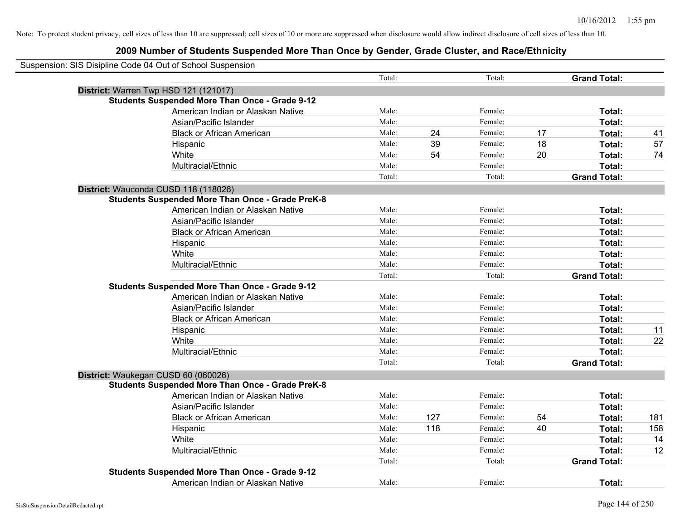| Suspension: SIS Disipline Code 04 Out of School Suspension |        |     |         |    |                     |     |
|------------------------------------------------------------|--------|-----|---------|----|---------------------|-----|
|                                                            | Total: |     | Total:  |    | <b>Grand Total:</b> |     |
| District: Warren Twp HSD 121 (121017)                      |        |     |         |    |                     |     |
| <b>Students Suspended More Than Once - Grade 9-12</b>      |        |     |         |    |                     |     |
| American Indian or Alaskan Native                          | Male:  |     | Female: |    | Total:              |     |
| Asian/Pacific Islander                                     | Male:  |     | Female: |    | Total:              |     |
| <b>Black or African American</b>                           | Male:  | 24  | Female: | 17 | Total:              | 41  |
| Hispanic                                                   | Male:  | 39  | Female: | 18 | Total:              | 57  |
| White                                                      | Male:  | 54  | Female: | 20 | Total:              | 74  |
| Multiracial/Ethnic                                         | Male:  |     | Female: |    | Total:              |     |
|                                                            | Total: |     | Total:  |    | <b>Grand Total:</b> |     |
| District: Wauconda CUSD 118 (118026)                       |        |     |         |    |                     |     |
| <b>Students Suspended More Than Once - Grade PreK-8</b>    |        |     |         |    |                     |     |
| American Indian or Alaskan Native                          | Male:  |     | Female: |    | Total:              |     |
| Asian/Pacific Islander                                     | Male:  |     | Female: |    | Total:              |     |
| <b>Black or African American</b>                           | Male:  |     | Female: |    | Total:              |     |
| Hispanic                                                   | Male:  |     | Female: |    | Total:              |     |
| White                                                      | Male:  |     | Female: |    | Total:              |     |
| Multiracial/Ethnic                                         | Male:  |     | Female: |    | Total:              |     |
|                                                            | Total: |     | Total:  |    | <b>Grand Total:</b> |     |
| <b>Students Suspended More Than Once - Grade 9-12</b>      |        |     |         |    |                     |     |
| American Indian or Alaskan Native                          | Male:  |     | Female: |    | Total:              |     |
| Asian/Pacific Islander                                     | Male:  |     | Female: |    | Total:              |     |
| <b>Black or African American</b>                           | Male:  |     | Female: |    | Total:              |     |
| Hispanic                                                   | Male:  |     | Female: |    | Total:              | 11  |
| White                                                      | Male:  |     | Female: |    | Total:              | 22  |
| Multiracial/Ethnic                                         | Male:  |     | Female: |    | Total:              |     |
|                                                            | Total: |     | Total:  |    | <b>Grand Total:</b> |     |
| District: Waukegan CUSD 60 (060026)                        |        |     |         |    |                     |     |
| <b>Students Suspended More Than Once - Grade PreK-8</b>    |        |     |         |    |                     |     |
| American Indian or Alaskan Native                          | Male:  |     | Female: |    | Total:              |     |
| Asian/Pacific Islander                                     | Male:  |     | Female: |    | Total:              |     |
| <b>Black or African American</b>                           | Male:  | 127 | Female: | 54 | Total:              | 181 |
| Hispanic                                                   | Male:  | 118 | Female: | 40 | Total:              | 158 |
| White                                                      | Male:  |     | Female: |    | Total:              | 14  |
| Multiracial/Ethnic                                         | Male:  |     | Female: |    | Total:              | 12  |
|                                                            | Total: |     | Total:  |    | <b>Grand Total:</b> |     |
| <b>Students Suspended More Than Once - Grade 9-12</b>      |        |     |         |    |                     |     |
| American Indian or Alaskan Native                          | Male:  |     | Female: |    | Total:              |     |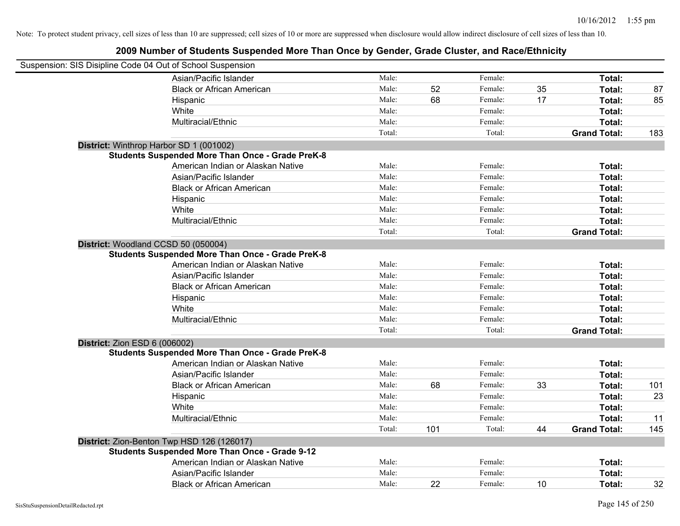| Suspension: SIS Disipline Code 04 Out of School Suspension |                                                         |        |     |         |    |                     |     |
|------------------------------------------------------------|---------------------------------------------------------|--------|-----|---------|----|---------------------|-----|
|                                                            | Asian/Pacific Islander                                  | Male:  |     | Female: |    | Total:              |     |
|                                                            | <b>Black or African American</b>                        | Male:  | 52  | Female: | 35 | Total:              | 87  |
|                                                            | Hispanic                                                | Male:  | 68  | Female: | 17 | Total:              | 85  |
|                                                            | White                                                   | Male:  |     | Female: |    | Total:              |     |
|                                                            | Multiracial/Ethnic                                      | Male:  |     | Female: |    | Total:              |     |
|                                                            |                                                         | Total: |     | Total:  |    | <b>Grand Total:</b> | 183 |
| District: Winthrop Harbor SD 1 (001002)                    |                                                         |        |     |         |    |                     |     |
|                                                            | <b>Students Suspended More Than Once - Grade PreK-8</b> |        |     |         |    |                     |     |
|                                                            | American Indian or Alaskan Native                       | Male:  |     | Female: |    | Total:              |     |
|                                                            | Asian/Pacific Islander                                  | Male:  |     | Female: |    | Total:              |     |
|                                                            | <b>Black or African American</b>                        | Male:  |     | Female: |    | Total:              |     |
|                                                            | Hispanic                                                | Male:  |     | Female: |    | Total:              |     |
|                                                            | White                                                   | Male:  |     | Female: |    | Total:              |     |
|                                                            | Multiracial/Ethnic                                      | Male:  |     | Female: |    | Total:              |     |
|                                                            |                                                         | Total: |     | Total:  |    | <b>Grand Total:</b> |     |
| District: Woodland CCSD 50 (050004)                        |                                                         |        |     |         |    |                     |     |
|                                                            | <b>Students Suspended More Than Once - Grade PreK-8</b> |        |     |         |    |                     |     |
|                                                            | American Indian or Alaskan Native                       | Male:  |     | Female: |    | Total:              |     |
|                                                            | Asian/Pacific Islander                                  | Male:  |     | Female: |    | Total:              |     |
|                                                            | <b>Black or African American</b>                        | Male:  |     | Female: |    | Total:              |     |
|                                                            | Hispanic                                                | Male:  |     | Female: |    | Total:              |     |
|                                                            | White                                                   | Male:  |     | Female: |    | Total:              |     |
|                                                            | Multiracial/Ethnic                                      | Male:  |     | Female: |    | Total:              |     |
|                                                            |                                                         | Total: |     | Total:  |    | <b>Grand Total:</b> |     |
| <b>District: Zion ESD 6 (006002)</b>                       |                                                         |        |     |         |    |                     |     |
|                                                            | <b>Students Suspended More Than Once - Grade PreK-8</b> |        |     |         |    |                     |     |
|                                                            | American Indian or Alaskan Native                       | Male:  |     | Female: |    | Total:              |     |
|                                                            | Asian/Pacific Islander                                  | Male:  |     | Female: |    | Total:              |     |
|                                                            | <b>Black or African American</b>                        | Male:  | 68  | Female: | 33 | Total:              | 101 |
|                                                            | Hispanic                                                | Male:  |     | Female: |    | Total:              | 23  |
|                                                            | White                                                   | Male:  |     | Female: |    | Total:              |     |
|                                                            | Multiracial/Ethnic                                      | Male:  |     | Female: |    | Total:              | 11  |
|                                                            |                                                         | Total: | 101 | Total:  | 44 | <b>Grand Total:</b> | 145 |
|                                                            | District: Zion-Benton Twp HSD 126 (126017)              |        |     |         |    |                     |     |
|                                                            | <b>Students Suspended More Than Once - Grade 9-12</b>   |        |     |         |    |                     |     |
|                                                            | American Indian or Alaskan Native                       | Male:  |     | Female: |    | Total:              |     |
|                                                            | Asian/Pacific Islander                                  | Male:  |     | Female: |    | Total:              |     |
|                                                            | <b>Black or African American</b>                        | Male:  | 22  | Female: | 10 | Total:              | 32  |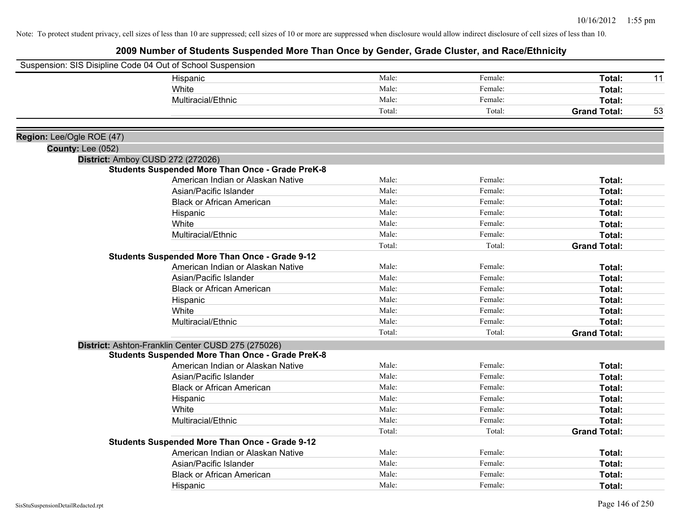| Suspension: SIS Disipline Code 04 Out of School Suspension |                                                         |        |         |                     |    |
|------------------------------------------------------------|---------------------------------------------------------|--------|---------|---------------------|----|
|                                                            | Hispanic                                                | Male:  | Female: | Total:              | 11 |
|                                                            | White                                                   | Male:  | Female: | Total:              |    |
|                                                            | Multiracial/Ethnic                                      | Male:  | Female: | Total:              |    |
|                                                            |                                                         | Total: | Total:  | <b>Grand Total:</b> | 53 |
|                                                            |                                                         |        |         |                     |    |
| Region: Lee/Ogle ROE (47)                                  |                                                         |        |         |                     |    |
| <b>County: Lee (052)</b>                                   |                                                         |        |         |                     |    |
|                                                            | District: Amboy CUSD 272 (272026)                       |        |         |                     |    |
|                                                            | <b>Students Suspended More Than Once - Grade PreK-8</b> |        |         |                     |    |
|                                                            | American Indian or Alaskan Native                       | Male:  | Female: | Total:              |    |
|                                                            | Asian/Pacific Islander                                  | Male:  | Female: | Total:              |    |
|                                                            | <b>Black or African American</b>                        | Male:  | Female: | Total:              |    |
|                                                            | Hispanic                                                | Male:  | Female: | Total:              |    |
|                                                            | White                                                   | Male:  | Female: | Total:              |    |
|                                                            | Multiracial/Ethnic                                      | Male:  | Female: | Total:              |    |
|                                                            |                                                         | Total: | Total:  | <b>Grand Total:</b> |    |
|                                                            | <b>Students Suspended More Than Once - Grade 9-12</b>   |        |         |                     |    |
|                                                            | American Indian or Alaskan Native                       | Male:  | Female: | Total:              |    |
|                                                            | Asian/Pacific Islander                                  | Male:  | Female: | Total:              |    |
|                                                            | <b>Black or African American</b>                        | Male:  | Female: | Total:              |    |
|                                                            | Hispanic                                                | Male:  | Female: | Total:              |    |
|                                                            | White                                                   | Male:  | Female: | Total:              |    |
|                                                            | Multiracial/Ethnic                                      | Male:  | Female: | Total:              |    |
|                                                            |                                                         | Total: | Total:  | <b>Grand Total:</b> |    |
|                                                            | District: Ashton-Franklin Center CUSD 275 (275026)      |        |         |                     |    |
|                                                            | <b>Students Suspended More Than Once - Grade PreK-8</b> |        |         |                     |    |
|                                                            | American Indian or Alaskan Native                       | Male:  | Female: | Total:              |    |
|                                                            | Asian/Pacific Islander                                  | Male:  | Female: | Total:              |    |
|                                                            | <b>Black or African American</b>                        | Male:  | Female: | Total:              |    |
|                                                            | Hispanic                                                | Male:  | Female: | Total:              |    |
|                                                            | White                                                   | Male:  | Female: | Total:              |    |
|                                                            | Multiracial/Ethnic                                      | Male:  | Female: | Total:              |    |
|                                                            |                                                         | Total: | Total:  | <b>Grand Total:</b> |    |
|                                                            | <b>Students Suspended More Than Once - Grade 9-12</b>   |        |         |                     |    |
|                                                            | American Indian or Alaskan Native                       | Male:  | Female: | Total:              |    |
|                                                            | Asian/Pacific Islander                                  | Male:  | Female: | Total:              |    |
|                                                            | <b>Black or African American</b>                        | Male:  | Female: | Total:              |    |
|                                                            | Hispanic                                                | Male:  | Female: | Total:              |    |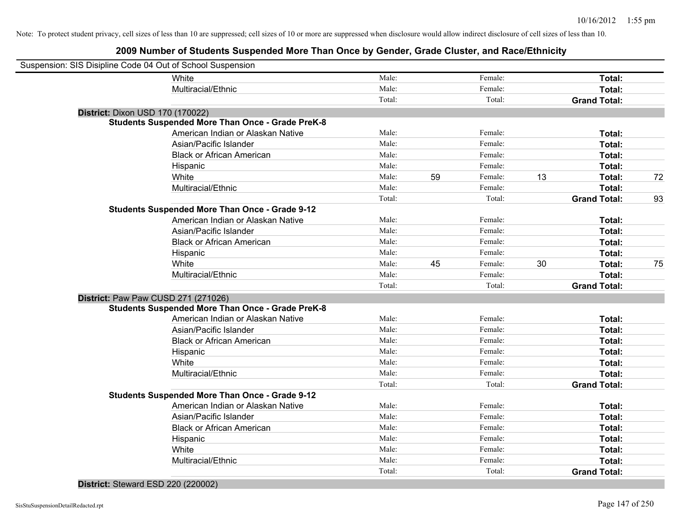### **2009 Number of Students Suspended More Than Once by Gender, Grade Cluster, and Race/Ethnicity**

| Suspension: SIS Disipline Code 04 Out of School Suspension |                                                         |        |    |         |    |                     |    |
|------------------------------------------------------------|---------------------------------------------------------|--------|----|---------|----|---------------------|----|
|                                                            | White                                                   | Male:  |    | Female: |    | Total:              |    |
|                                                            | Multiracial/Ethnic                                      | Male:  |    | Female: |    | Total:              |    |
|                                                            |                                                         | Total: |    | Total:  |    | <b>Grand Total:</b> |    |
| District: Dixon USD 170 (170022)                           |                                                         |        |    |         |    |                     |    |
|                                                            | <b>Students Suspended More Than Once - Grade PreK-8</b> |        |    |         |    |                     |    |
|                                                            | American Indian or Alaskan Native                       | Male:  |    | Female: |    | Total:              |    |
|                                                            | Asian/Pacific Islander                                  | Male:  |    | Female: |    | Total:              |    |
|                                                            | <b>Black or African American</b>                        | Male:  |    | Female: |    | Total:              |    |
|                                                            | Hispanic                                                | Male:  |    | Female: |    | Total:              |    |
|                                                            | White                                                   | Male:  | 59 | Female: | 13 | Total:              | 72 |
|                                                            | Multiracial/Ethnic                                      | Male:  |    | Female: |    | Total:              |    |
|                                                            |                                                         | Total: |    | Total:  |    | <b>Grand Total:</b> | 93 |
|                                                            | <b>Students Suspended More Than Once - Grade 9-12</b>   |        |    |         |    |                     |    |
|                                                            | American Indian or Alaskan Native                       | Male:  |    | Female: |    | Total:              |    |
|                                                            | Asian/Pacific Islander                                  | Male:  |    | Female: |    | Total:              |    |
|                                                            | <b>Black or African American</b>                        | Male:  |    | Female: |    | Total:              |    |
|                                                            | Hispanic                                                | Male:  |    | Female: |    | Total:              |    |
|                                                            | White                                                   | Male:  | 45 | Female: | 30 | Total:              | 75 |
|                                                            | Multiracial/Ethnic                                      | Male:  |    | Female: |    | Total:              |    |
|                                                            |                                                         | Total: |    | Total:  |    | <b>Grand Total:</b> |    |
|                                                            | District: Paw Paw CUSD 271 (271026)                     |        |    |         |    |                     |    |
|                                                            | <b>Students Suspended More Than Once - Grade PreK-8</b> |        |    |         |    |                     |    |
|                                                            | American Indian or Alaskan Native                       | Male:  |    | Female: |    | Total:              |    |
|                                                            | Asian/Pacific Islander                                  | Male:  |    | Female: |    | Total:              |    |
|                                                            | <b>Black or African American</b>                        | Male:  |    | Female: |    | Total:              |    |
|                                                            | Hispanic                                                | Male:  |    | Female: |    | Total:              |    |
|                                                            | White                                                   | Male:  |    | Female: |    | Total:              |    |
|                                                            | Multiracial/Ethnic                                      | Male:  |    | Female: |    | Total:              |    |
|                                                            |                                                         | Total: |    | Total:  |    | <b>Grand Total:</b> |    |
|                                                            | <b>Students Suspended More Than Once - Grade 9-12</b>   |        |    |         |    |                     |    |
|                                                            | American Indian or Alaskan Native                       | Male:  |    | Female: |    | Total:              |    |
|                                                            | Asian/Pacific Islander                                  | Male:  |    | Female: |    | Total:              |    |
|                                                            | <b>Black or African American</b>                        | Male:  |    | Female: |    | Total:              |    |
|                                                            | Hispanic                                                | Male:  |    | Female: |    | Total:              |    |
|                                                            | White                                                   | Male:  |    | Female: |    | Total:              |    |
|                                                            | Multiracial/Ethnic                                      | Male:  |    | Female: |    | Total:              |    |
|                                                            |                                                         | Total: |    | Total:  |    | <b>Grand Total:</b> |    |
|                                                            |                                                         |        |    |         |    |                     |    |

#### **District:** Steward ESD 220 (220002)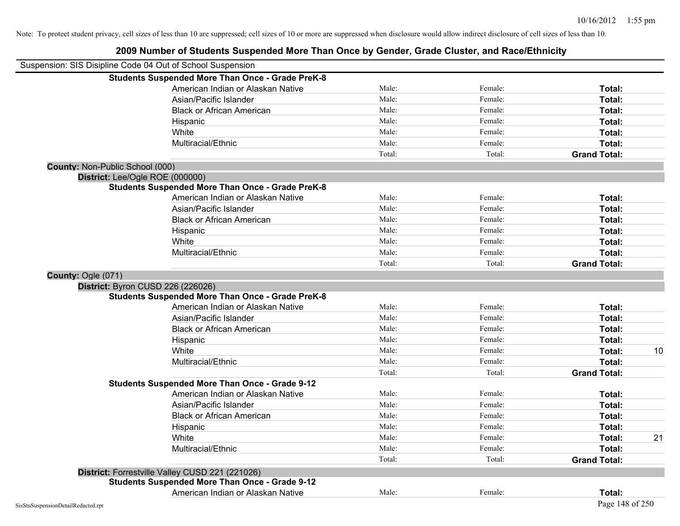|                                    | Suspension: SIS Disipline Code 04 Out of School Suspension |        |         |                     |    |
|------------------------------------|------------------------------------------------------------|--------|---------|---------------------|----|
|                                    | <b>Students Suspended More Than Once - Grade PreK-8</b>    |        |         |                     |    |
|                                    | American Indian or Alaskan Native                          | Male:  | Female: | Total:              |    |
|                                    | Asian/Pacific Islander                                     | Male:  | Female: | Total:              |    |
|                                    | <b>Black or African American</b>                           | Male:  | Female: | Total:              |    |
|                                    | Hispanic                                                   | Male:  | Female: | Total:              |    |
|                                    | White                                                      | Male:  | Female: | Total:              |    |
|                                    | Multiracial/Ethnic                                         | Male:  | Female: | Total:              |    |
|                                    |                                                            | Total: | Total:  | <b>Grand Total:</b> |    |
| County: Non-Public School (000)    |                                                            |        |         |                     |    |
|                                    | District: Lee/Ogle ROE (000000)                            |        |         |                     |    |
|                                    | <b>Students Suspended More Than Once - Grade PreK-8</b>    |        |         |                     |    |
|                                    | American Indian or Alaskan Native                          | Male:  | Female: | Total:              |    |
|                                    | Asian/Pacific Islander                                     | Male:  | Female: | Total:              |    |
|                                    | <b>Black or African American</b>                           | Male:  | Female: | Total:              |    |
|                                    | Hispanic                                                   | Male:  | Female: | Total:              |    |
|                                    | White                                                      | Male:  | Female: | Total:              |    |
|                                    | Multiracial/Ethnic                                         | Male:  | Female: | Total:              |    |
|                                    |                                                            | Total: | Total:  | <b>Grand Total:</b> |    |
| County: Ogle (071)                 |                                                            |        |         |                     |    |
|                                    | District: Byron CUSD 226 (226026)                          |        |         |                     |    |
|                                    | <b>Students Suspended More Than Once - Grade PreK-8</b>    |        |         |                     |    |
|                                    | American Indian or Alaskan Native                          | Male:  | Female: | Total:              |    |
|                                    | Asian/Pacific Islander                                     | Male:  | Female: | Total:              |    |
|                                    | <b>Black or African American</b>                           | Male:  | Female: | Total:              |    |
|                                    | Hispanic                                                   | Male:  | Female: | Total:              |    |
|                                    | White                                                      | Male:  | Female: | Total:              | 10 |
|                                    | Multiracial/Ethnic                                         | Male:  | Female: | Total:              |    |
|                                    |                                                            | Total: | Total:  | <b>Grand Total:</b> |    |
|                                    | <b>Students Suspended More Than Once - Grade 9-12</b>      |        |         |                     |    |
|                                    | American Indian or Alaskan Native                          | Male:  | Female: | Total:              |    |
|                                    | Asian/Pacific Islander                                     | Male:  | Female: | Total:              |    |
|                                    | <b>Black or African American</b>                           | Male:  | Female: | Total:              |    |
|                                    | Hispanic                                                   | Male:  | Female: | Total:              |    |
|                                    | White                                                      | Male:  | Female: | Total:              | 21 |
|                                    | Multiracial/Ethnic                                         | Male:  | Female: | Total:              |    |
|                                    |                                                            | Total: | Total:  | <b>Grand Total:</b> |    |
|                                    | District: Forrestville Valley CUSD 221 (221026)            |        |         |                     |    |
|                                    | <b>Students Suspended More Than Once - Grade 9-12</b>      |        |         |                     |    |
|                                    | American Indian or Alaskan Native                          | Male:  | Female: | Total:              |    |
| SisStuSuspensionDetailRedacted.rpt |                                                            |        |         | Page 148 of 250     |    |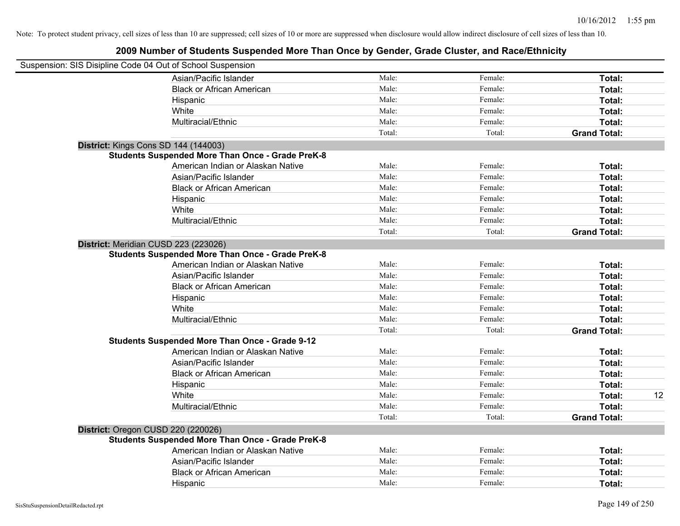| Suspension: SIS Disipline Code 04 Out of School Suspension |                                                         |        |         |                     |    |
|------------------------------------------------------------|---------------------------------------------------------|--------|---------|---------------------|----|
|                                                            | Asian/Pacific Islander                                  | Male:  | Female: | Total:              |    |
|                                                            | <b>Black or African American</b>                        | Male:  | Female: | Total:              |    |
|                                                            | Hispanic                                                | Male:  | Female: | Total:              |    |
|                                                            | White                                                   | Male:  | Female: | Total:              |    |
|                                                            | Multiracial/Ethnic                                      | Male:  | Female: | Total:              |    |
|                                                            |                                                         | Total: | Total:  | <b>Grand Total:</b> |    |
| District: Kings Cons SD 144 (144003)                       |                                                         |        |         |                     |    |
|                                                            | <b>Students Suspended More Than Once - Grade PreK-8</b> |        |         |                     |    |
|                                                            | American Indian or Alaskan Native                       | Male:  | Female: | Total:              |    |
|                                                            | Asian/Pacific Islander                                  | Male:  | Female: | Total:              |    |
|                                                            | <b>Black or African American</b>                        | Male:  | Female: | Total:              |    |
|                                                            | Hispanic                                                | Male:  | Female: | Total:              |    |
|                                                            | White                                                   | Male:  | Female: | Total:              |    |
|                                                            | Multiracial/Ethnic                                      | Male:  | Female: | Total:              |    |
|                                                            |                                                         | Total: | Total:  | <b>Grand Total:</b> |    |
| District: Meridian CUSD 223 (223026)                       |                                                         |        |         |                     |    |
|                                                            | <b>Students Suspended More Than Once - Grade PreK-8</b> |        |         |                     |    |
|                                                            | American Indian or Alaskan Native                       | Male:  | Female: | Total:              |    |
|                                                            | Asian/Pacific Islander                                  | Male:  | Female: | Total:              |    |
|                                                            | <b>Black or African American</b>                        | Male:  | Female: | Total:              |    |
|                                                            | Hispanic                                                | Male:  | Female: | Total:              |    |
|                                                            | White                                                   | Male:  | Female: | Total:              |    |
|                                                            | Multiracial/Ethnic                                      | Male:  | Female: | Total:              |    |
|                                                            |                                                         | Total: | Total:  | <b>Grand Total:</b> |    |
|                                                            | <b>Students Suspended More Than Once - Grade 9-12</b>   |        |         |                     |    |
|                                                            | American Indian or Alaskan Native                       | Male:  | Female: | Total:              |    |
|                                                            | Asian/Pacific Islander                                  | Male:  | Female: | Total:              |    |
|                                                            | <b>Black or African American</b>                        | Male:  | Female: | Total:              |    |
|                                                            | Hispanic                                                | Male:  | Female: | Total:              |    |
|                                                            | White                                                   | Male:  | Female: | Total:              | 12 |
|                                                            | Multiracial/Ethnic                                      | Male:  | Female: | Total:              |    |
|                                                            |                                                         | Total: | Total:  | <b>Grand Total:</b> |    |
| District: Oregon CUSD 220 (220026)                         |                                                         |        |         |                     |    |
|                                                            | <b>Students Suspended More Than Once - Grade PreK-8</b> |        |         |                     |    |
|                                                            | American Indian or Alaskan Native                       | Male:  | Female: | Total:              |    |
|                                                            | Asian/Pacific Islander                                  | Male:  | Female: | Total:              |    |
|                                                            | <b>Black or African American</b>                        | Male:  | Female: | Total:              |    |
|                                                            | Hispanic                                                | Male:  | Female: | Total:              |    |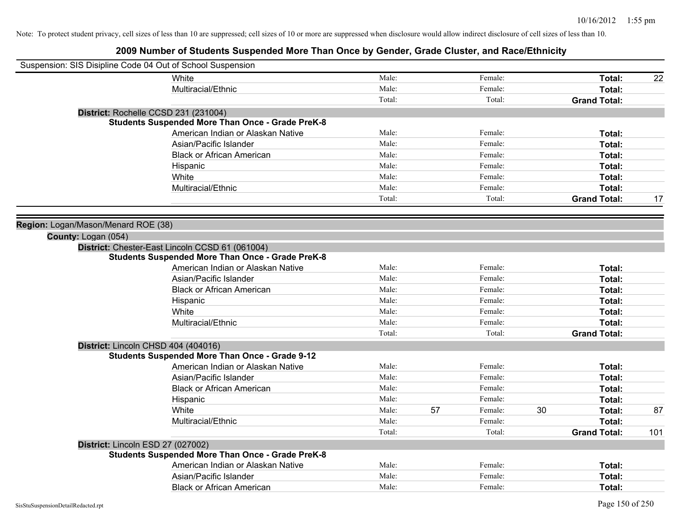| Suspension: SIS Disipline Code 04 Out of School Suspension |                                                         |        |    |         |    |                     |     |
|------------------------------------------------------------|---------------------------------------------------------|--------|----|---------|----|---------------------|-----|
| White                                                      |                                                         | Male:  |    | Female: |    | Total:              | 22  |
| Multiracial/Ethnic                                         |                                                         | Male:  |    | Female: |    | Total:              |     |
|                                                            |                                                         | Total: |    | Total:  |    | <b>Grand Total:</b> |     |
| District: Rochelle CCSD 231 (231004)                       |                                                         |        |    |         |    |                     |     |
|                                                            | <b>Students Suspended More Than Once - Grade PreK-8</b> |        |    |         |    |                     |     |
|                                                            | American Indian or Alaskan Native                       | Male:  |    | Female: |    | Total:              |     |
| Asian/Pacific Islander                                     |                                                         | Male:  |    | Female: |    | Total:              |     |
|                                                            | <b>Black or African American</b>                        | Male:  |    | Female: |    | Total:              |     |
| Hispanic                                                   |                                                         | Male:  |    | Female: |    | Total:              |     |
| White                                                      |                                                         | Male:  |    | Female: |    | Total:              |     |
| Multiracial/Ethnic                                         |                                                         | Male:  |    | Female: |    | Total:              |     |
|                                                            |                                                         | Total: |    | Total:  |    | <b>Grand Total:</b> | 17  |
|                                                            |                                                         |        |    |         |    |                     |     |
| Region: Logan/Mason/Menard ROE (38)                        |                                                         |        |    |         |    |                     |     |
| County: Logan (054)                                        |                                                         |        |    |         |    |                     |     |
| District: Chester-East Lincoln CCSD 61 (061004)            |                                                         |        |    |         |    |                     |     |
|                                                            | <b>Students Suspended More Than Once - Grade PreK-8</b> |        |    |         |    |                     |     |
|                                                            | American Indian or Alaskan Native                       | Male:  |    | Female: |    | Total:              |     |
| Asian/Pacific Islander                                     |                                                         | Male:  |    | Female: |    | Total:              |     |
|                                                            | <b>Black or African American</b>                        | Male:  |    | Female: |    | Total:              |     |
| Hispanic                                                   |                                                         | Male:  |    | Female: |    | Total:              |     |
| White                                                      |                                                         | Male:  |    | Female: |    | Total:              |     |
| Multiracial/Ethnic                                         |                                                         | Male:  |    | Female: |    | Total:              |     |
|                                                            |                                                         | Total: |    | Total:  |    | <b>Grand Total:</b> |     |
| District: Lincoln CHSD 404 (404016)                        |                                                         |        |    |         |    |                     |     |
| <b>Students Suspended More Than Once - Grade 9-12</b>      |                                                         |        |    |         |    |                     |     |
|                                                            | American Indian or Alaskan Native                       | Male:  |    | Female: |    | Total:              |     |
| Asian/Pacific Islander                                     |                                                         | Male:  |    | Female: |    | Total:              |     |
|                                                            | <b>Black or African American</b>                        | Male:  |    | Female: |    | Total:              |     |
| Hispanic                                                   |                                                         | Male:  |    | Female: |    | Total:              |     |
| <b>White</b>                                               |                                                         | Male:  | 57 | Female: | 30 | Total:              | 87  |
| Multiracial/Ethnic                                         |                                                         | Male:  |    | Female: |    | Total:              |     |
|                                                            |                                                         | Total: |    | Total:  |    | <b>Grand Total:</b> | 101 |
| District: Lincoln ESD 27 (027002)                          |                                                         |        |    |         |    |                     |     |
|                                                            | <b>Students Suspended More Than Once - Grade PreK-8</b> |        |    |         |    |                     |     |
|                                                            | American Indian or Alaskan Native                       | Male:  |    | Female: |    | Total:              |     |
| Asian/Pacific Islander                                     |                                                         | Male:  |    | Female: |    | Total:              |     |
|                                                            | <b>Black or African American</b>                        | Male:  |    | Female: |    | Total:              |     |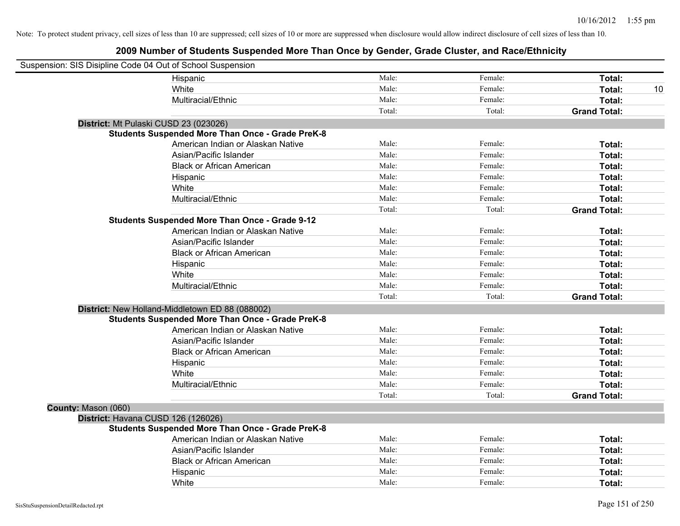|                     | Suspension: SIS Disipline Code 04 Out of School Suspension |        |         |                     |    |
|---------------------|------------------------------------------------------------|--------|---------|---------------------|----|
|                     | Hispanic                                                   | Male:  | Female: | Total:              |    |
|                     | White                                                      | Male:  | Female: | Total:              | 10 |
|                     | Multiracial/Ethnic                                         | Male:  | Female: | Total:              |    |
|                     |                                                            | Total: | Total:  | <b>Grand Total:</b> |    |
|                     | District: Mt Pulaski CUSD 23 (023026)                      |        |         |                     |    |
|                     | <b>Students Suspended More Than Once - Grade PreK-8</b>    |        |         |                     |    |
|                     | American Indian or Alaskan Native                          | Male:  | Female: | Total:              |    |
|                     | Asian/Pacific Islander                                     | Male:  | Female: | Total:              |    |
|                     | <b>Black or African American</b>                           | Male:  | Female: | Total:              |    |
|                     | Hispanic                                                   | Male:  | Female: | Total:              |    |
|                     | White                                                      | Male:  | Female: | Total:              |    |
|                     | Multiracial/Ethnic                                         | Male:  | Female: | Total:              |    |
|                     |                                                            | Total: | Total:  | <b>Grand Total:</b> |    |
|                     | <b>Students Suspended More Than Once - Grade 9-12</b>      |        |         |                     |    |
|                     | American Indian or Alaskan Native                          | Male:  | Female: | Total:              |    |
|                     | Asian/Pacific Islander                                     | Male:  | Female: | Total:              |    |
|                     | <b>Black or African American</b>                           | Male:  | Female: | Total:              |    |
|                     | Hispanic                                                   | Male:  | Female: | Total:              |    |
|                     | White                                                      | Male:  | Female: | Total:              |    |
|                     | Multiracial/Ethnic                                         | Male:  | Female: | Total:              |    |
|                     |                                                            | Total: | Total:  | <b>Grand Total:</b> |    |
|                     | District: New Holland-Middletown ED 88 (088002)            |        |         |                     |    |
|                     | <b>Students Suspended More Than Once - Grade PreK-8</b>    |        |         |                     |    |
|                     | American Indian or Alaskan Native                          | Male:  | Female: | Total:              |    |
|                     | Asian/Pacific Islander                                     | Male:  | Female: | Total:              |    |
|                     | <b>Black or African American</b>                           | Male:  | Female: | Total:              |    |
|                     | Hispanic                                                   | Male:  | Female: | Total:              |    |
|                     | White                                                      | Male:  | Female: | Total:              |    |
|                     | Multiracial/Ethnic                                         | Male:  | Female: | Total:              |    |
|                     |                                                            | Total: | Total:  | <b>Grand Total:</b> |    |
| County: Mason (060) |                                                            |        |         |                     |    |
|                     | District: Havana CUSD 126 (126026)                         |        |         |                     |    |
|                     | <b>Students Suspended More Than Once - Grade PreK-8</b>    |        |         |                     |    |
|                     | American Indian or Alaskan Native                          | Male:  | Female: | Total:              |    |
|                     | Asian/Pacific Islander                                     | Male:  | Female: | Total:              |    |
|                     | <b>Black or African American</b>                           | Male:  | Female: | Total:              |    |
|                     | Hispanic                                                   | Male:  | Female: | Total:              |    |
|                     | White                                                      | Male:  | Female: | Total:              |    |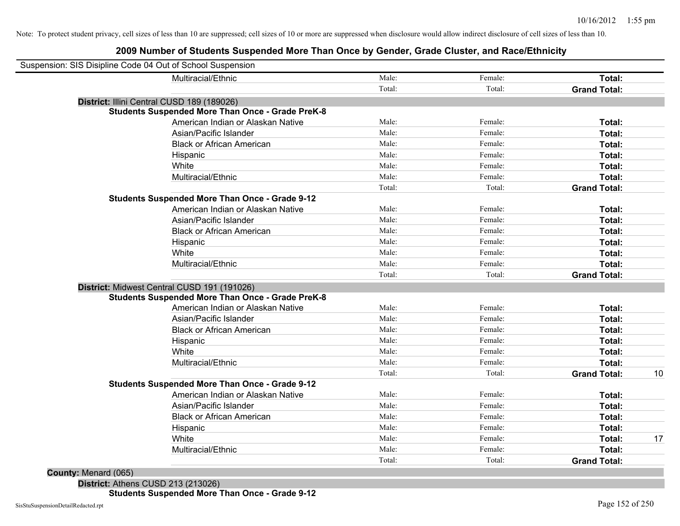### **2009 Number of Students Suspended More Than Once by Gender, Grade Cluster, and Race/Ethnicity**

| Suspension: SIS Disipline Code 04 Out of School Suspension |                                                         |        |         |                     |    |
|------------------------------------------------------------|---------------------------------------------------------|--------|---------|---------------------|----|
|                                                            | Multiracial/Ethnic                                      | Male:  | Female: | Total:              |    |
|                                                            |                                                         | Total: | Total:  | <b>Grand Total:</b> |    |
|                                                            | District: Illini Central CUSD 189 (189026)              |        |         |                     |    |
|                                                            | <b>Students Suspended More Than Once - Grade PreK-8</b> |        |         |                     |    |
|                                                            | American Indian or Alaskan Native                       | Male:  | Female: | Total:              |    |
|                                                            | Asian/Pacific Islander                                  | Male:  | Female: | Total:              |    |
|                                                            | <b>Black or African American</b>                        | Male:  | Female: | Total:              |    |
|                                                            | Hispanic                                                | Male:  | Female: | Total:              |    |
|                                                            | White                                                   | Male:  | Female: | Total:              |    |
|                                                            | Multiracial/Ethnic                                      | Male:  | Female: | Total:              |    |
|                                                            |                                                         | Total: | Total:  | <b>Grand Total:</b> |    |
|                                                            | <b>Students Suspended More Than Once - Grade 9-12</b>   |        |         |                     |    |
|                                                            | American Indian or Alaskan Native                       | Male:  | Female: | Total:              |    |
|                                                            | Asian/Pacific Islander                                  | Male:  | Female: | Total:              |    |
|                                                            | <b>Black or African American</b>                        | Male:  | Female: | Total:              |    |
|                                                            | Hispanic                                                | Male:  | Female: | Total:              |    |
|                                                            | White                                                   | Male:  | Female: | Total:              |    |
|                                                            | Multiracial/Ethnic                                      | Male:  | Female: | Total:              |    |
|                                                            |                                                         | Total: | Total:  | <b>Grand Total:</b> |    |
|                                                            | District: Midwest Central CUSD 191 (191026)             |        |         |                     |    |
|                                                            | <b>Students Suspended More Than Once - Grade PreK-8</b> |        |         |                     |    |
|                                                            | American Indian or Alaskan Native                       | Male:  | Female: | Total:              |    |
|                                                            | Asian/Pacific Islander                                  | Male:  | Female: | Total:              |    |
|                                                            | <b>Black or African American</b>                        | Male:  | Female: | Total:              |    |
|                                                            | Hispanic                                                | Male:  | Female: | Total:              |    |
|                                                            | White                                                   | Male:  | Female: | Total:              |    |
|                                                            | Multiracial/Ethnic                                      | Male:  | Female: | Total:              |    |
|                                                            |                                                         | Total: | Total:  | <b>Grand Total:</b> | 10 |
|                                                            | <b>Students Suspended More Than Once - Grade 9-12</b>   |        |         |                     |    |
|                                                            | American Indian or Alaskan Native                       | Male:  | Female: | Total:              |    |
|                                                            | Asian/Pacific Islander                                  | Male:  | Female: | Total:              |    |
|                                                            | <b>Black or African American</b>                        | Male:  | Female: | Total:              |    |
|                                                            | Hispanic                                                | Male:  | Female: | Total:              |    |
|                                                            | White                                                   | Male:  | Female: | Total:              | 17 |
|                                                            | Multiracial/Ethnic                                      | Male:  | Female: | Total:              |    |
|                                                            |                                                         | Total: | Total:  | <b>Grand Total:</b> |    |

**County:** Menard (065)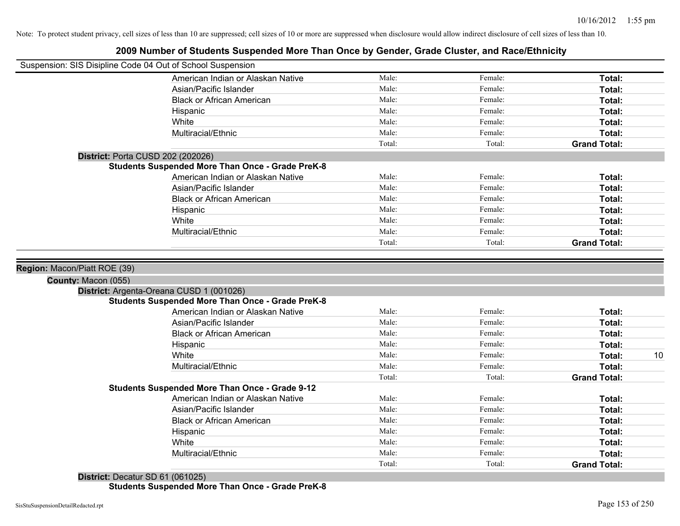|                                                            | 2009 Number Of Students Suspended MOTE Than Once by Ochuer, Stade Stuster, and Nace/Lumbery |        |         |                     |
|------------------------------------------------------------|---------------------------------------------------------------------------------------------|--------|---------|---------------------|
| Suspension: SIS Disipline Code 04 Out of School Suspension |                                                                                             |        |         |                     |
|                                                            | American Indian or Alaskan Native                                                           | Male:  | Female: | Total:              |
|                                                            | Asian/Pacific Islander                                                                      | Male:  | Female: | Total:              |
|                                                            | <b>Black or African American</b>                                                            | Male:  | Female: | Total:              |
|                                                            | Hispanic                                                                                    | Male:  | Female: | Total:              |
|                                                            | White                                                                                       | Male:  | Female: | Total:              |
|                                                            | Multiracial/Ethnic                                                                          | Male:  | Female: | Total:              |
|                                                            |                                                                                             | Total: | Total:  | <b>Grand Total:</b> |
|                                                            | District: Porta CUSD 202 (202026)                                                           |        |         |                     |
|                                                            | <b>Students Suspended More Than Once - Grade PreK-8</b>                                     |        |         |                     |
|                                                            | American Indian or Alaskan Native                                                           | Male:  | Female: | Total:              |
|                                                            | Asian/Pacific Islander                                                                      | Male:  | Female: | Total:              |
|                                                            | <b>Black or African American</b>                                                            | Male:  | Female: | Total:              |
|                                                            | Hispanic                                                                                    | Male:  | Female: | Total:              |
|                                                            | White                                                                                       | Male:  | Female: | Total:              |
|                                                            | Multiracial/Ethnic                                                                          | Male:  | Female: | Total:              |
|                                                            |                                                                                             | Total: | Total:  | <b>Grand Total:</b> |
|                                                            |                                                                                             |        |         |                     |
| Region: Macon/Piatt ROE (39)                               |                                                                                             |        |         |                     |
| County: Macon (055)                                        |                                                                                             |        |         |                     |
|                                                            | District: Argenta-Oreana CUSD 1 (001026)                                                    |        |         |                     |
|                                                            | <b>Students Suspended More Than Once - Grade PreK-8</b>                                     |        |         |                     |
|                                                            | American Indian or Alaskan Native                                                           | Male:  | Female: | Total:              |
|                                                            | Asian/Pacific Islander                                                                      | Male:  | Female: | Total:              |
|                                                            | <b>Black or African American</b>                                                            | Male:  | Female: | Total:              |
|                                                            | Hispanic                                                                                    | Male:  | Female: | Total:              |
|                                                            | White                                                                                       | Male:  | Female: | 10<br>Total:        |
|                                                            | Multiracial/Ethnic                                                                          | Male:  | Female: | Total:              |
|                                                            |                                                                                             | Total: | Total:  | <b>Grand Total:</b> |
|                                                            | <b>Students Suspended More Than Once - Grade 9-12</b>                                       |        |         |                     |
|                                                            | American Indian or Alaskan Native                                                           | Male:  | Female: | Total:              |
|                                                            | Asian/Pacific Islander                                                                      | Male:  | Female: | Total:              |
|                                                            | <b>Black or African American</b>                                                            | Male:  | Female: | Total:              |
|                                                            | Hispanic                                                                                    | Male:  | Female: | Total:              |
|                                                            | White                                                                                       | Male:  | Female: | Total:              |
|                                                            | Multiracial/Ethnic                                                                          | Male:  | Female: | Total:              |
|                                                            |                                                                                             | Total: | Total:  | <b>Grand Total:</b> |
|                                                            |                                                                                             |        |         |                     |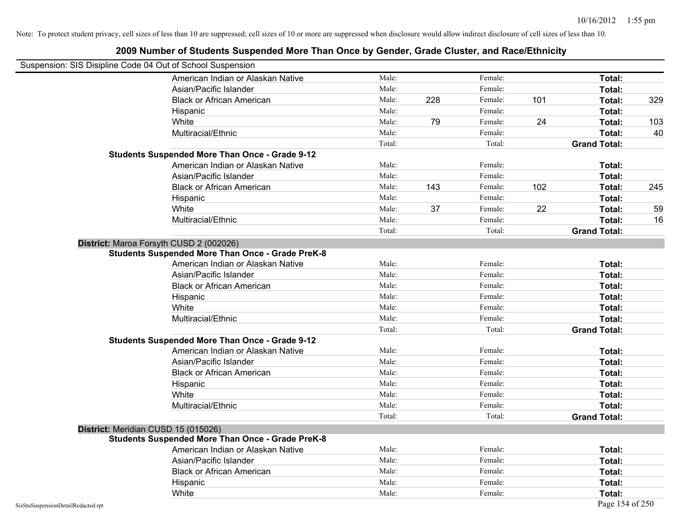| Suspension: SIS Disipline Code 04 Out of School Suspension |                                                         |        |     |         |     |                     |     |
|------------------------------------------------------------|---------------------------------------------------------|--------|-----|---------|-----|---------------------|-----|
|                                                            | American Indian or Alaskan Native                       | Male:  |     | Female: |     | Total:              |     |
|                                                            | Asian/Pacific Islander                                  | Male:  |     | Female: |     | Total:              |     |
|                                                            | <b>Black or African American</b>                        | Male:  | 228 | Female: | 101 | Total:              | 329 |
|                                                            | Hispanic                                                | Male:  |     | Female: |     | Total:              |     |
|                                                            | White                                                   | Male:  | 79  | Female: | 24  | Total:              | 103 |
|                                                            | Multiracial/Ethnic                                      | Male:  |     | Female: |     | Total:              | 40  |
|                                                            |                                                         | Total: |     | Total:  |     | <b>Grand Total:</b> |     |
|                                                            | <b>Students Suspended More Than Once - Grade 9-12</b>   |        |     |         |     |                     |     |
|                                                            | American Indian or Alaskan Native                       | Male:  |     | Female: |     | Total:              |     |
|                                                            | Asian/Pacific Islander                                  | Male:  |     | Female: |     | Total:              |     |
|                                                            | <b>Black or African American</b>                        | Male:  | 143 | Female: | 102 | Total:              | 245 |
|                                                            | Hispanic                                                | Male:  |     | Female: |     | Total:              |     |
|                                                            | White                                                   | Male:  | 37  | Female: | 22  | Total:              | 59  |
|                                                            | Multiracial/Ethnic                                      | Male:  |     | Female: |     | Total:              | 16  |
|                                                            |                                                         | Total: |     | Total:  |     | <b>Grand Total:</b> |     |
|                                                            | District: Maroa Forsyth CUSD 2 (002026)                 |        |     |         |     |                     |     |
|                                                            | <b>Students Suspended More Than Once - Grade PreK-8</b> |        |     |         |     |                     |     |
|                                                            | American Indian or Alaskan Native                       | Male:  |     | Female: |     | Total:              |     |
|                                                            | Asian/Pacific Islander                                  | Male:  |     | Female: |     | Total:              |     |
|                                                            | <b>Black or African American</b>                        | Male:  |     | Female: |     | Total:              |     |
|                                                            | Hispanic                                                | Male:  |     | Female: |     | Total:              |     |
|                                                            | White                                                   | Male:  |     | Female: |     | Total:              |     |
|                                                            | Multiracial/Ethnic                                      | Male:  |     | Female: |     | Total:              |     |
|                                                            |                                                         | Total: |     | Total:  |     | <b>Grand Total:</b> |     |
|                                                            | <b>Students Suspended More Than Once - Grade 9-12</b>   |        |     |         |     |                     |     |
|                                                            | American Indian or Alaskan Native                       | Male:  |     | Female: |     | Total:              |     |
|                                                            | Asian/Pacific Islander                                  | Male:  |     | Female: |     | Total:              |     |
|                                                            | <b>Black or African American</b>                        | Male:  |     | Female: |     | Total:              |     |
|                                                            | Hispanic                                                | Male:  |     | Female: |     | Total:              |     |
|                                                            | White                                                   | Male:  |     | Female: |     | Total:              |     |
|                                                            | Multiracial/Ethnic                                      | Male:  |     | Female: |     | Total:              |     |
|                                                            |                                                         | Total: |     | Total:  |     | <b>Grand Total:</b> |     |
|                                                            | District: Meridian CUSD 15 (015026)                     |        |     |         |     |                     |     |
|                                                            | <b>Students Suspended More Than Once - Grade PreK-8</b> |        |     |         |     |                     |     |
|                                                            | American Indian or Alaskan Native                       | Male:  |     | Female: |     | Total:              |     |
|                                                            | Asian/Pacific Islander                                  | Male:  |     | Female: |     | Total:              |     |
|                                                            | <b>Black or African American</b>                        | Male:  |     | Female: |     | Total:              |     |
|                                                            | Hispanic                                                | Male:  |     | Female: |     | Total:              |     |
|                                                            | White                                                   | Male:  |     | Female: |     | Total:              |     |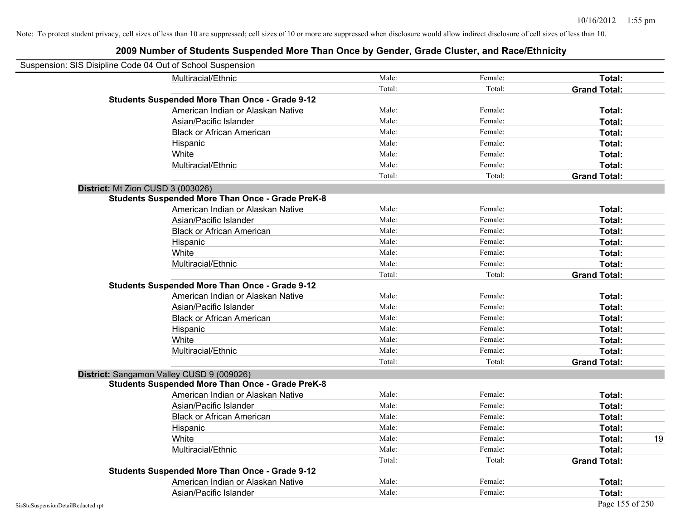| Suspension: SIS Disipline Code 04 Out of School Suspension |                                                         |        |         |                     |    |
|------------------------------------------------------------|---------------------------------------------------------|--------|---------|---------------------|----|
|                                                            | Multiracial/Ethnic                                      | Male:  | Female: | Total:              |    |
|                                                            |                                                         | Total: | Total:  | <b>Grand Total:</b> |    |
|                                                            | <b>Students Suspended More Than Once - Grade 9-12</b>   |        |         |                     |    |
|                                                            | American Indian or Alaskan Native                       | Male:  | Female: | Total:              |    |
|                                                            | Asian/Pacific Islander                                  | Male:  | Female: | Total:              |    |
|                                                            | <b>Black or African American</b>                        | Male:  | Female: | Total:              |    |
|                                                            | Hispanic                                                | Male:  | Female: | Total:              |    |
|                                                            | White                                                   | Male:  | Female: | Total:              |    |
|                                                            | Multiracial/Ethnic                                      | Male:  | Female: | Total:              |    |
|                                                            |                                                         | Total: | Total:  | <b>Grand Total:</b> |    |
| District: Mt Zion CUSD 3 (003026)                          |                                                         |        |         |                     |    |
|                                                            | <b>Students Suspended More Than Once - Grade PreK-8</b> |        |         |                     |    |
|                                                            | American Indian or Alaskan Native                       | Male:  | Female: | Total:              |    |
|                                                            | Asian/Pacific Islander                                  | Male:  | Female: | Total:              |    |
|                                                            | <b>Black or African American</b>                        | Male:  | Female: | Total:              |    |
|                                                            | Hispanic                                                | Male:  | Female: | Total:              |    |
|                                                            | White                                                   | Male:  | Female: | Total:              |    |
|                                                            | Multiracial/Ethnic                                      | Male:  | Female: | Total:              |    |
|                                                            |                                                         | Total: | Total:  | <b>Grand Total:</b> |    |
|                                                            | <b>Students Suspended More Than Once - Grade 9-12</b>   |        |         |                     |    |
|                                                            | American Indian or Alaskan Native                       | Male:  | Female: | Total:              |    |
|                                                            | Asian/Pacific Islander                                  | Male:  | Female: | Total:              |    |
|                                                            | <b>Black or African American</b>                        | Male:  | Female: | Total:              |    |
|                                                            | Hispanic                                                | Male:  | Female: | Total:              |    |
|                                                            | White                                                   | Male:  | Female: | Total:              |    |
|                                                            | Multiracial/Ethnic                                      | Male:  | Female: | Total:              |    |
|                                                            |                                                         | Total: | Total:  | <b>Grand Total:</b> |    |
|                                                            | District: Sangamon Valley CUSD 9 (009026)               |        |         |                     |    |
|                                                            | <b>Students Suspended More Than Once - Grade PreK-8</b> |        |         |                     |    |
|                                                            | American Indian or Alaskan Native                       | Male:  | Female: | Total:              |    |
|                                                            | Asian/Pacific Islander                                  | Male:  | Female: | Total:              |    |
|                                                            | <b>Black or African American</b>                        | Male:  | Female: | Total:              |    |
|                                                            | Hispanic                                                | Male:  | Female: | Total:              |    |
|                                                            | White                                                   | Male:  | Female: | Total:              | 19 |
|                                                            | Multiracial/Ethnic                                      | Male:  | Female: | Total:              |    |
|                                                            |                                                         | Total: | Total:  | <b>Grand Total:</b> |    |
|                                                            | <b>Students Suspended More Than Once - Grade 9-12</b>   |        |         |                     |    |
|                                                            | American Indian or Alaskan Native                       | Male:  | Female: | Total:              |    |
|                                                            | Asian/Pacific Islander                                  | Male:  | Female: | Total:              |    |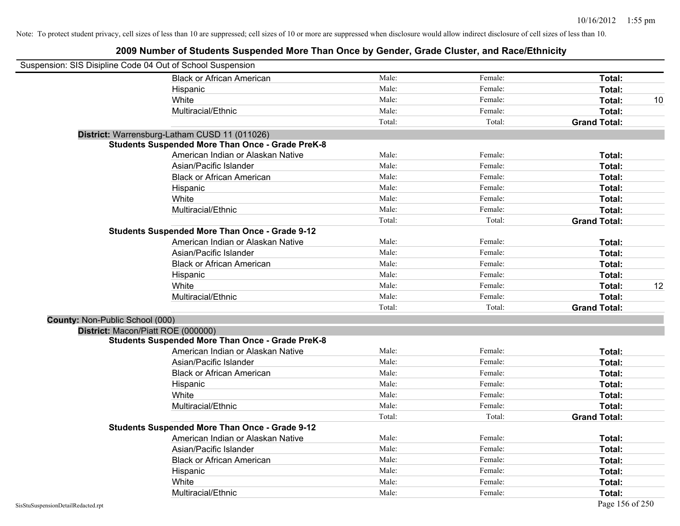| Suspension: SIS Disipline Code 04 Out of School Suspension |                                                         |        |         |                     |    |
|------------------------------------------------------------|---------------------------------------------------------|--------|---------|---------------------|----|
|                                                            | <b>Black or African American</b>                        | Male:  | Female: | Total:              |    |
|                                                            | Hispanic                                                | Male:  | Female: | Total:              |    |
|                                                            | White                                                   | Male:  | Female: | Total:              | 10 |
|                                                            | Multiracial/Ethnic                                      | Male:  | Female: | Total:              |    |
|                                                            |                                                         | Total: | Total:  | <b>Grand Total:</b> |    |
|                                                            | District: Warrensburg-Latham CUSD 11 (011026)           |        |         |                     |    |
|                                                            | <b>Students Suspended More Than Once - Grade PreK-8</b> |        |         |                     |    |
|                                                            | American Indian or Alaskan Native                       | Male:  | Female: | Total:              |    |
|                                                            | Asian/Pacific Islander                                  | Male:  | Female: | Total:              |    |
|                                                            | <b>Black or African American</b>                        | Male:  | Female: | Total:              |    |
|                                                            | Hispanic                                                | Male:  | Female: | Total:              |    |
|                                                            | White                                                   | Male:  | Female: | Total:              |    |
|                                                            | Multiracial/Ethnic                                      | Male:  | Female: | Total:              |    |
|                                                            |                                                         | Total: | Total:  | <b>Grand Total:</b> |    |
|                                                            | <b>Students Suspended More Than Once - Grade 9-12</b>   |        |         |                     |    |
|                                                            | American Indian or Alaskan Native                       | Male:  | Female: | Total:              |    |
|                                                            | Asian/Pacific Islander                                  | Male:  | Female: | Total:              |    |
|                                                            | <b>Black or African American</b>                        | Male:  | Female: | Total:              |    |
|                                                            | Hispanic                                                | Male:  | Female: | Total:              |    |
|                                                            | White                                                   | Male:  | Female: | Total:              | 12 |
|                                                            | Multiracial/Ethnic                                      | Male:  | Female: | Total:              |    |
|                                                            |                                                         | Total: | Total:  | <b>Grand Total:</b> |    |
| <b>County: Non-Public School (000)</b>                     |                                                         |        |         |                     |    |
| District: Macon/Piatt ROE (000000)                         |                                                         |        |         |                     |    |
|                                                            | <b>Students Suspended More Than Once - Grade PreK-8</b> |        |         |                     |    |
|                                                            | American Indian or Alaskan Native                       | Male:  | Female: | Total:              |    |
|                                                            | Asian/Pacific Islander                                  | Male:  | Female: | Total:              |    |
|                                                            | <b>Black or African American</b>                        | Male:  | Female: | Total:              |    |
|                                                            | Hispanic                                                | Male:  | Female: | Total:              |    |
|                                                            | White                                                   | Male:  | Female: | Total:              |    |
|                                                            | Multiracial/Ethnic                                      | Male:  | Female: | Total:              |    |
|                                                            |                                                         | Total: | Total:  | <b>Grand Total:</b> |    |
|                                                            | <b>Students Suspended More Than Once - Grade 9-12</b>   |        |         |                     |    |
|                                                            | American Indian or Alaskan Native                       | Male:  | Female: | Total:              |    |
|                                                            | Asian/Pacific Islander                                  | Male:  | Female: | Total:              |    |
|                                                            | <b>Black or African American</b>                        | Male:  | Female: | Total:              |    |
|                                                            | Hispanic                                                | Male:  | Female: | Total:              |    |
|                                                            | White                                                   | Male:  | Female: | Total:              |    |
|                                                            | Multiracial/Ethnic                                      | Male:  | Female: | Total:              |    |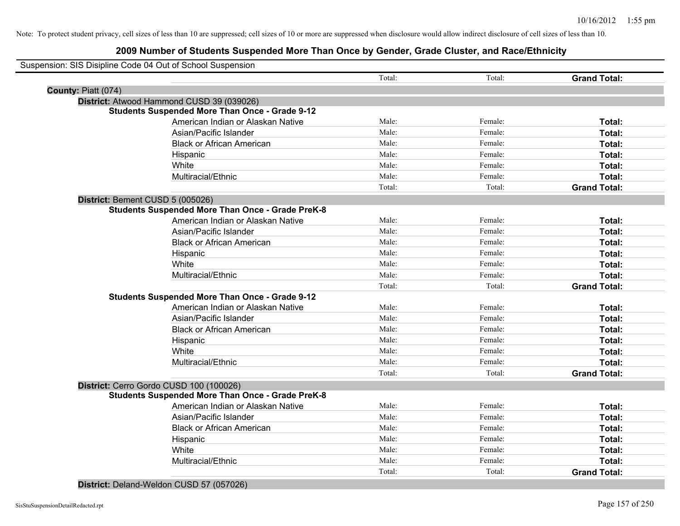### **2009 Number of Students Suspended More Than Once by Gender, Grade Cluster, and Race/Ethnicity**

|                     | Suspension: SIS Disipline Code 04 Out of School Suspension |        |         |                     |
|---------------------|------------------------------------------------------------|--------|---------|---------------------|
|                     |                                                            | Total: | Total:  | <b>Grand Total:</b> |
| County: Piatt (074) |                                                            |        |         |                     |
|                     | District: Atwood Hammond CUSD 39 (039026)                  |        |         |                     |
|                     | <b>Students Suspended More Than Once - Grade 9-12</b>      |        |         |                     |
|                     | American Indian or Alaskan Native                          | Male:  | Female: | Total:              |
|                     | Asian/Pacific Islander                                     | Male:  | Female: | Total:              |
|                     | <b>Black or African American</b>                           | Male:  | Female: | Total:              |
|                     | Hispanic                                                   | Male:  | Female: | Total:              |
|                     | White                                                      | Male:  | Female: | Total:              |
|                     | Multiracial/Ethnic                                         | Male:  | Female: | Total:              |
|                     |                                                            | Total: | Total:  | <b>Grand Total:</b> |
|                     | District: Bement CUSD 5 (005026)                           |        |         |                     |
|                     | <b>Students Suspended More Than Once - Grade PreK-8</b>    |        |         |                     |
|                     | American Indian or Alaskan Native                          | Male:  | Female: | Total:              |
|                     | Asian/Pacific Islander                                     | Male:  | Female: | Total:              |
|                     | <b>Black or African American</b>                           | Male:  | Female: | Total:              |
|                     | Hispanic                                                   | Male:  | Female: | Total:              |
|                     | White                                                      | Male:  | Female: | Total:              |
|                     | Multiracial/Ethnic                                         | Male:  | Female: | Total:              |
|                     |                                                            | Total: | Total:  | <b>Grand Total:</b> |
|                     | <b>Students Suspended More Than Once - Grade 9-12</b>      |        |         |                     |
|                     | American Indian or Alaskan Native                          | Male:  | Female: | Total:              |
|                     | Asian/Pacific Islander                                     | Male:  | Female: | Total:              |
|                     | <b>Black or African American</b>                           | Male:  | Female: | Total:              |
|                     | Hispanic                                                   | Male:  | Female: | Total:              |
|                     | White                                                      | Male:  | Female: | Total:              |
|                     | Multiracial/Ethnic                                         | Male:  | Female: | Total:              |
|                     |                                                            | Total: | Total:  | <b>Grand Total:</b> |
|                     | District: Cerro Gordo CUSD 100 (100026)                    |        |         |                     |
|                     | <b>Students Suspended More Than Once - Grade PreK-8</b>    |        |         |                     |
|                     | American Indian or Alaskan Native                          | Male:  | Female: | Total:              |
|                     | Asian/Pacific Islander                                     | Male:  | Female: | Total:              |
|                     | <b>Black or African American</b>                           | Male:  | Female: | Total:              |
|                     | Hispanic                                                   | Male:  | Female: | Total:              |
|                     | White                                                      | Male:  | Female: | Total:              |
|                     | Multiracial/Ethnic                                         | Male:  | Female: | Total:              |
|                     |                                                            | Total: | Total:  | <b>Grand Total:</b> |

**District:** Deland-Weldon CUSD 57 (057026)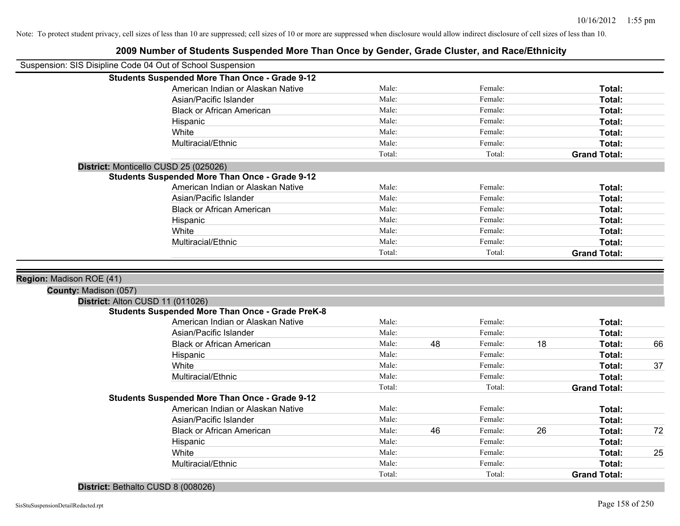|                                                            | 2009 Number of Students Suspended More Than Once by Sender, Stade Stuster, and Nace/Lumbery |        |    |         |    |                     |    |
|------------------------------------------------------------|---------------------------------------------------------------------------------------------|--------|----|---------|----|---------------------|----|
| Suspension: SIS Disipline Code 04 Out of School Suspension |                                                                                             |        |    |         |    |                     |    |
|                                                            | <b>Students Suspended More Than Once - Grade 9-12</b>                                       |        |    |         |    |                     |    |
|                                                            | American Indian or Alaskan Native                                                           | Male:  |    | Female: |    | Total:              |    |
|                                                            | Asian/Pacific Islander                                                                      | Male:  |    | Female: |    | Total:              |    |
|                                                            | <b>Black or African American</b>                                                            | Male:  |    | Female: |    | Total:              |    |
|                                                            | Hispanic                                                                                    | Male:  |    | Female: |    | Total:              |    |
|                                                            | White                                                                                       | Male:  |    | Female: |    | Total:              |    |
|                                                            | Multiracial/Ethnic                                                                          | Male:  |    | Female: |    | Total:              |    |
|                                                            |                                                                                             | Total: |    | Total:  |    | <b>Grand Total:</b> |    |
|                                                            | District: Monticello CUSD 25 (025026)                                                       |        |    |         |    |                     |    |
|                                                            | <b>Students Suspended More Than Once - Grade 9-12</b>                                       |        |    |         |    |                     |    |
|                                                            | American Indian or Alaskan Native                                                           | Male:  |    | Female: |    | Total:              |    |
|                                                            | Asian/Pacific Islander                                                                      | Male:  |    | Female: |    | Total:              |    |
|                                                            | <b>Black or African American</b>                                                            | Male:  |    | Female: |    | Total:              |    |
|                                                            | Hispanic                                                                                    | Male:  |    | Female: |    | Total:              |    |
|                                                            | White                                                                                       | Male:  |    | Female: |    | Total:              |    |
|                                                            | Multiracial/Ethnic                                                                          | Male:  |    | Female: |    | Total:              |    |
|                                                            |                                                                                             | Total: |    | Total:  |    | <b>Grand Total:</b> |    |
| Region: Madison ROE (41)<br>County: Madison (057)          |                                                                                             |        |    |         |    |                     |    |
| District: Alton CUSD 11 (011026)                           | <b>Students Suspended More Than Once - Grade PreK-8</b>                                     |        |    |         |    |                     |    |
|                                                            | American Indian or Alaskan Native                                                           | Male:  |    | Female: |    | Total:              |    |
|                                                            | Asian/Pacific Islander                                                                      | Male:  |    | Female: |    | Total:              |    |
|                                                            | <b>Black or African American</b>                                                            | Male:  | 48 | Female: | 18 | Total:              | 66 |
|                                                            | Hispanic                                                                                    | Male:  |    | Female: |    | Total:              |    |
|                                                            | White                                                                                       | Male:  |    | Female: |    | Total:              | 37 |
|                                                            | Multiracial/Ethnic                                                                          | Male:  |    | Female: |    | Total:              |    |
|                                                            |                                                                                             | Total: |    | Total:  |    | <b>Grand Total:</b> |    |
|                                                            | <b>Students Suspended More Than Once - Grade 9-12</b>                                       |        |    |         |    |                     |    |
|                                                            | American Indian or Alaskan Native                                                           | Male:  |    | Female: |    | Total:              |    |
|                                                            | Asian/Pacific Islander                                                                      | Male:  |    | Female: |    | Total:              |    |
|                                                            | <b>Black or African American</b>                                                            | Male:  | 46 | Female: | 26 | Total:              | 72 |
|                                                            | Hispanic                                                                                    | Male:  |    | Female: |    | Total:              |    |
|                                                            | White                                                                                       | Male:  |    | Female: |    | Total:              | 25 |
|                                                            | Multiracial/Ethnic                                                                          | Male:  |    | Female: |    | Total:              |    |
|                                                            |                                                                                             |        |    |         |    |                     |    |
|                                                            |                                                                                             | Total: |    | Total:  |    | <b>Grand Total:</b> |    |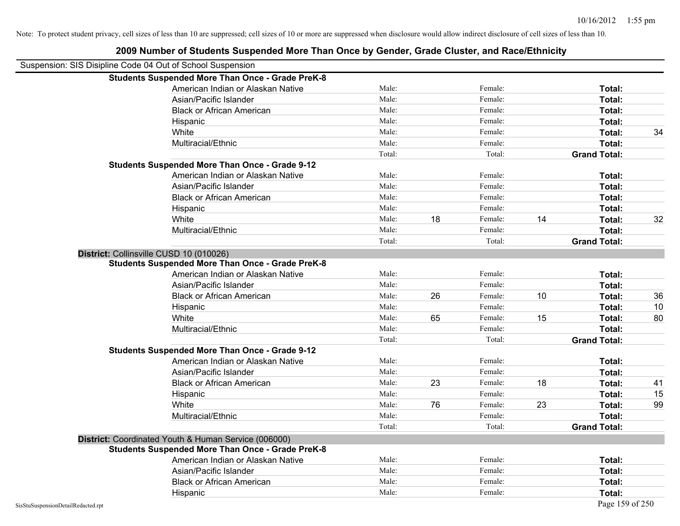|                                                            | 2009 Number of Students Suspended More Than Once by Gender, Grade Cluster, and Race/Ethnicity |        |    |         |    |                     |    |
|------------------------------------------------------------|-----------------------------------------------------------------------------------------------|--------|----|---------|----|---------------------|----|
| Suspension: SIS Disipline Code 04 Out of School Suspension |                                                                                               |        |    |         |    |                     |    |
|                                                            | <b>Students Suspended More Than Once - Grade PreK-8</b>                                       |        |    |         |    |                     |    |
|                                                            | American Indian or Alaskan Native                                                             | Male:  |    | Female: |    | Total:              |    |
|                                                            | Asian/Pacific Islander                                                                        | Male:  |    | Female: |    | Total:              |    |
|                                                            | <b>Black or African American</b>                                                              | Male:  |    | Female: |    | Total:              |    |
|                                                            | Hispanic                                                                                      | Male:  |    | Female: |    | Total:              |    |
|                                                            | White                                                                                         | Male:  |    | Female: |    | Total:              | 34 |
|                                                            | Multiracial/Ethnic                                                                            | Male:  |    | Female: |    | Total:              |    |
|                                                            |                                                                                               | Total: |    | Total:  |    | <b>Grand Total:</b> |    |
|                                                            | <b>Students Suspended More Than Once - Grade 9-12</b>                                         |        |    |         |    |                     |    |
|                                                            | American Indian or Alaskan Native                                                             | Male:  |    | Female: |    | Total:              |    |
|                                                            | Asian/Pacific Islander                                                                        | Male:  |    | Female: |    | Total:              |    |
|                                                            | <b>Black or African American</b>                                                              | Male:  |    | Female: |    | Total:              |    |
|                                                            | Hispanic                                                                                      | Male:  |    | Female: |    | Total:              |    |
|                                                            | White                                                                                         | Male:  | 18 | Female: | 14 | Total:              | 32 |
|                                                            | Multiracial/Ethnic                                                                            | Male:  |    | Female: |    | Total:              |    |
|                                                            |                                                                                               | Total: |    | Total:  |    | <b>Grand Total:</b> |    |
|                                                            | District: Collinsville CUSD 10 (010026)                                                       |        |    |         |    |                     |    |
|                                                            | <b>Students Suspended More Than Once - Grade PreK-8</b>                                       |        |    |         |    |                     |    |
|                                                            | American Indian or Alaskan Native                                                             | Male:  |    | Female: |    | Total:              |    |
|                                                            | Asian/Pacific Islander                                                                        | Male:  |    | Female: |    | Total:              |    |
|                                                            | <b>Black or African American</b>                                                              | Male:  | 26 | Female: | 10 | Total:              | 36 |
|                                                            | Hispanic                                                                                      | Male:  |    | Female: |    | Total:              | 10 |
|                                                            | White                                                                                         | Male:  | 65 | Female: | 15 | Total:              | 80 |
|                                                            | Multiracial/Ethnic                                                                            | Male:  |    | Female: |    | Total:              |    |
|                                                            |                                                                                               | Total: |    | Total:  |    | <b>Grand Total:</b> |    |
|                                                            | <b>Students Suspended More Than Once - Grade 9-12</b>                                         |        |    |         |    |                     |    |
|                                                            | American Indian or Alaskan Native                                                             | Male:  |    | Female: |    | Total:              |    |
|                                                            | Asian/Pacific Islander                                                                        | Male:  |    | Female: |    | Total:              |    |
|                                                            | <b>Black or African American</b>                                                              | Male:  | 23 | Female: | 18 | Total:              | 41 |
|                                                            | Hispanic                                                                                      | Male:  |    | Female: |    | Total:              | 15 |
|                                                            | White                                                                                         | Male:  | 76 | Female: | 23 | Total:              | 99 |
|                                                            | Multiracial/Ethnic                                                                            | Male:  |    | Female: |    | Total:              |    |
|                                                            |                                                                                               | Total: |    | Total:  |    | <b>Grand Total:</b> |    |
|                                                            | District: Coordinated Youth & Human Service (006000)                                          |        |    |         |    |                     |    |
|                                                            | <b>Students Suspended More Than Once - Grade PreK-8</b>                                       |        |    |         |    |                     |    |
|                                                            | American Indian or Alaskan Native                                                             | Male:  |    | Female: |    | Total:              |    |
|                                                            | Asian/Pacific Islander                                                                        | Male:  |    | Female: |    | Total:              |    |
|                                                            | <b>Black or African American</b>                                                              | Male:  |    | Female: |    | Total:              |    |
|                                                            | Hispanic                                                                                      | Male:  |    | Female: |    | Total:              |    |
| SisStuSuspensionDetailRedacted.rpt                         |                                                                                               |        |    |         |    | Page 159 of 250     |    |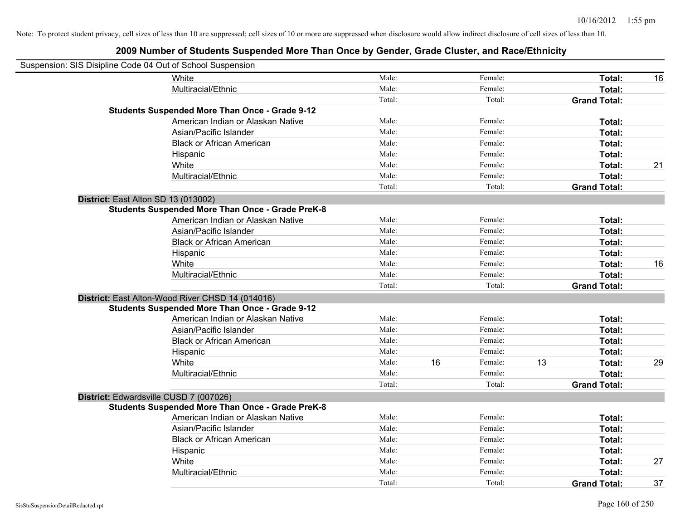| Suspension: SIS Disipline Code 04 Out of School Suspension |                                                         |        |    |         |    |                     |    |
|------------------------------------------------------------|---------------------------------------------------------|--------|----|---------|----|---------------------|----|
|                                                            | White                                                   | Male:  |    | Female: |    | Total:              | 16 |
|                                                            | Multiracial/Ethnic                                      | Male:  |    | Female: |    | Total:              |    |
|                                                            |                                                         | Total: |    | Total:  |    | <b>Grand Total:</b> |    |
|                                                            | <b>Students Suspended More Than Once - Grade 9-12</b>   |        |    |         |    |                     |    |
|                                                            | American Indian or Alaskan Native                       | Male:  |    | Female: |    | Total:              |    |
|                                                            | Asian/Pacific Islander                                  | Male:  |    | Female: |    | Total:              |    |
|                                                            | <b>Black or African American</b>                        | Male:  |    | Female: |    | Total:              |    |
|                                                            | Hispanic                                                | Male:  |    | Female: |    | Total:              |    |
|                                                            | White                                                   | Male:  |    | Female: |    | Total:              | 21 |
|                                                            | Multiracial/Ethnic                                      | Male:  |    | Female: |    | Total:              |    |
|                                                            |                                                         | Total: |    | Total:  |    | <b>Grand Total:</b> |    |
| District: East Alton SD 13 (013002)                        |                                                         |        |    |         |    |                     |    |
|                                                            | <b>Students Suspended More Than Once - Grade PreK-8</b> |        |    |         |    |                     |    |
|                                                            | American Indian or Alaskan Native                       | Male:  |    | Female: |    | Total:              |    |
|                                                            | Asian/Pacific Islander                                  | Male:  |    | Female: |    | Total:              |    |
|                                                            | <b>Black or African American</b>                        | Male:  |    | Female: |    | Total:              |    |
|                                                            | Hispanic                                                | Male:  |    | Female: |    | Total:              |    |
|                                                            | White                                                   | Male:  |    | Female: |    | Total:              | 16 |
|                                                            | Multiracial/Ethnic                                      | Male:  |    | Female: |    | Total:              |    |
|                                                            |                                                         | Total: |    | Total:  |    | <b>Grand Total:</b> |    |
|                                                            | District: East Alton-Wood River CHSD 14 (014016)        |        |    |         |    |                     |    |
|                                                            | <b>Students Suspended More Than Once - Grade 9-12</b>   |        |    |         |    |                     |    |
|                                                            | American Indian or Alaskan Native                       | Male:  |    | Female: |    | Total:              |    |
|                                                            | Asian/Pacific Islander                                  | Male:  |    | Female: |    | Total:              |    |
|                                                            | <b>Black or African American</b>                        | Male:  |    | Female: |    | Total:              |    |
|                                                            | Hispanic                                                | Male:  |    | Female: |    | Total:              |    |
|                                                            | White                                                   | Male:  | 16 | Female: | 13 | Total:              | 29 |
|                                                            | Multiracial/Ethnic                                      | Male:  |    | Female: |    | Total:              |    |
|                                                            |                                                         | Total: |    | Total:  |    | <b>Grand Total:</b> |    |
| District: Edwardsville CUSD 7 (007026)                     |                                                         |        |    |         |    |                     |    |
|                                                            | <b>Students Suspended More Than Once - Grade PreK-8</b> |        |    |         |    |                     |    |
|                                                            | American Indian or Alaskan Native                       | Male:  |    | Female: |    | Total:              |    |
|                                                            | Asian/Pacific Islander                                  | Male:  |    | Female: |    | Total:              |    |
|                                                            | <b>Black or African American</b>                        | Male:  |    | Female: |    | Total:              |    |
|                                                            | Hispanic                                                | Male:  |    | Female: |    | Total:              |    |
|                                                            | White                                                   | Male:  |    | Female: |    | Total:              | 27 |
|                                                            | Multiracial/Ethnic                                      | Male:  |    | Female: |    | Total:              |    |
|                                                            |                                                         | Total: |    | Total:  |    | <b>Grand Total:</b> | 37 |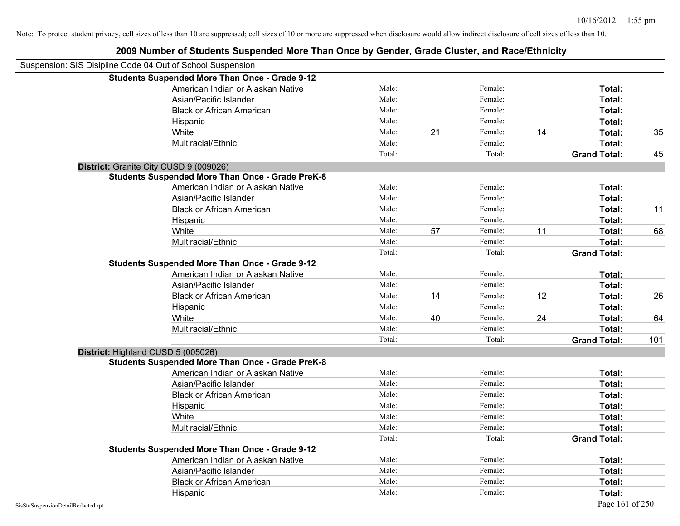| Suspension: SIS Disipline Code 04 Out of School Suspension |        |    |         |    |                     |     |
|------------------------------------------------------------|--------|----|---------|----|---------------------|-----|
| <b>Students Suspended More Than Once - Grade 9-12</b>      |        |    |         |    |                     |     |
| American Indian or Alaskan Native                          | Male:  |    | Female: |    | Total:              |     |
| Asian/Pacific Islander                                     | Male:  |    | Female: |    | Total:              |     |
| <b>Black or African American</b>                           | Male:  |    | Female: |    | Total:              |     |
| Hispanic                                                   | Male:  |    | Female: |    | Total:              |     |
| White                                                      | Male:  | 21 | Female: | 14 | Total:              | 35  |
| Multiracial/Ethnic                                         | Male:  |    | Female: |    | Total:              |     |
|                                                            | Total: |    | Total:  |    | <b>Grand Total:</b> | 45  |
| District: Granite City CUSD 9 (009026)                     |        |    |         |    |                     |     |
| <b>Students Suspended More Than Once - Grade PreK-8</b>    |        |    |         |    |                     |     |
| American Indian or Alaskan Native                          | Male:  |    | Female: |    | Total:              |     |
| Asian/Pacific Islander                                     | Male:  |    | Female: |    | Total:              |     |
| <b>Black or African American</b>                           | Male:  |    | Female: |    | Total:              | 11  |
| Hispanic                                                   | Male:  |    | Female: |    | Total:              |     |
| White                                                      | Male:  | 57 | Female: | 11 | Total:              | 68  |
| Multiracial/Ethnic                                         | Male:  |    | Female: |    | Total:              |     |
|                                                            | Total: |    | Total:  |    | <b>Grand Total:</b> |     |
| <b>Students Suspended More Than Once - Grade 9-12</b>      |        |    |         |    |                     |     |
| American Indian or Alaskan Native                          | Male:  |    | Female: |    | Total:              |     |
| Asian/Pacific Islander                                     | Male:  |    | Female: |    | Total:              |     |
| <b>Black or African American</b>                           | Male:  | 14 | Female: | 12 | Total:              | 26  |
| Hispanic                                                   | Male:  |    | Female: |    | Total:              |     |
| White                                                      | Male:  | 40 | Female: | 24 | Total:              | 64  |
| Multiracial/Ethnic                                         | Male:  |    | Female: |    | Total:              |     |
|                                                            | Total: |    | Total:  |    | <b>Grand Total:</b> | 101 |
| District: Highland CUSD 5 (005026)                         |        |    |         |    |                     |     |
| <b>Students Suspended More Than Once - Grade PreK-8</b>    |        |    |         |    |                     |     |
| American Indian or Alaskan Native                          | Male:  |    | Female: |    | Total:              |     |
| Asian/Pacific Islander                                     | Male:  |    | Female: |    | Total:              |     |
| <b>Black or African American</b>                           | Male:  |    | Female: |    | Total:              |     |
| Hispanic                                                   | Male:  |    | Female: |    | Total:              |     |
| White                                                      | Male:  |    | Female: |    | Total:              |     |
| Multiracial/Ethnic                                         | Male:  |    | Female: |    | Total:              |     |
|                                                            | Total: |    | Total:  |    | <b>Grand Total:</b> |     |
| <b>Students Suspended More Than Once - Grade 9-12</b>      |        |    |         |    |                     |     |
| American Indian or Alaskan Native                          | Male:  |    | Female: |    | Total:              |     |
| Asian/Pacific Islander                                     | Male:  |    | Female: |    | Total:              |     |
| <b>Black or African American</b>                           | Male:  |    | Female: |    | Total:              |     |
| Hispanic                                                   | Male:  |    | Female: |    | Total:              |     |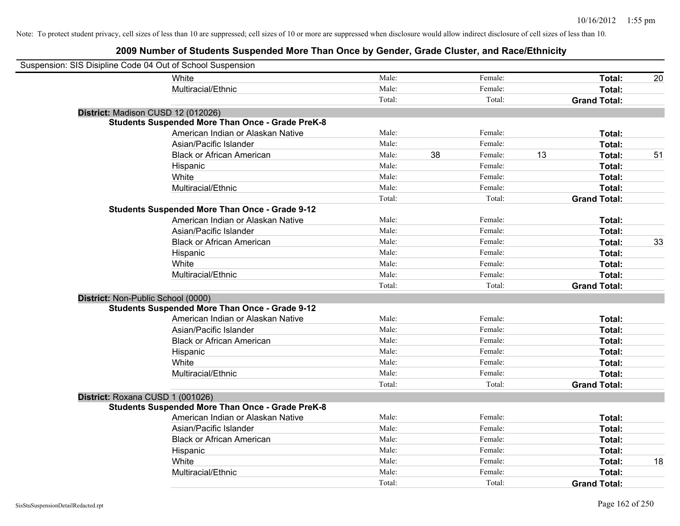| Suspension: SIS Disipline Code 04 Out of School Suspension |                                                         |        |    |         |    |                     |    |
|------------------------------------------------------------|---------------------------------------------------------|--------|----|---------|----|---------------------|----|
|                                                            | <b>White</b>                                            | Male:  |    | Female: |    | Total:              | 20 |
|                                                            | Multiracial/Ethnic                                      | Male:  |    | Female: |    | Total:              |    |
|                                                            |                                                         | Total: |    | Total:  |    | <b>Grand Total:</b> |    |
| District: Madison CUSD 12 (012026)                         |                                                         |        |    |         |    |                     |    |
|                                                            | <b>Students Suspended More Than Once - Grade PreK-8</b> |        |    |         |    |                     |    |
|                                                            | American Indian or Alaskan Native                       | Male:  |    | Female: |    | Total:              |    |
|                                                            | Asian/Pacific Islander                                  | Male:  |    | Female: |    | Total:              |    |
|                                                            | <b>Black or African American</b>                        | Male:  | 38 | Female: | 13 | Total:              | 51 |
|                                                            | Hispanic                                                | Male:  |    | Female: |    | Total:              |    |
|                                                            | White                                                   | Male:  |    | Female: |    | Total:              |    |
|                                                            | Multiracial/Ethnic                                      | Male:  |    | Female: |    | Total:              |    |
|                                                            |                                                         | Total: |    | Total:  |    | <b>Grand Total:</b> |    |
|                                                            | <b>Students Suspended More Than Once - Grade 9-12</b>   |        |    |         |    |                     |    |
|                                                            | American Indian or Alaskan Native                       | Male:  |    | Female: |    | Total:              |    |
|                                                            | Asian/Pacific Islander                                  | Male:  |    | Female: |    | Total:              |    |
|                                                            | <b>Black or African American</b>                        | Male:  |    | Female: |    | Total:              | 33 |
|                                                            | Hispanic                                                | Male:  |    | Female: |    | Total:              |    |
|                                                            | White                                                   | Male:  |    | Female: |    | Total:              |    |
|                                                            | Multiracial/Ethnic                                      | Male:  |    | Female: |    | Total:              |    |
|                                                            |                                                         | Total: |    | Total:  |    | <b>Grand Total:</b> |    |
| District: Non-Public School (0000)                         |                                                         |        |    |         |    |                     |    |
|                                                            | <b>Students Suspended More Than Once - Grade 9-12</b>   |        |    |         |    |                     |    |
|                                                            | American Indian or Alaskan Native                       | Male:  |    | Female: |    | Total:              |    |
|                                                            | Asian/Pacific Islander                                  | Male:  |    | Female: |    | Total:              |    |
|                                                            | <b>Black or African American</b>                        | Male:  |    | Female: |    | Total:              |    |
|                                                            | Hispanic                                                | Male:  |    | Female: |    | Total:              |    |
|                                                            | White                                                   | Male:  |    | Female: |    | Total:              |    |
|                                                            | Multiracial/Ethnic                                      | Male:  |    | Female: |    | Total:              |    |
|                                                            |                                                         | Total: |    | Total:  |    | <b>Grand Total:</b> |    |
| District: Roxana CUSD 1 (001026)                           |                                                         |        |    |         |    |                     |    |
|                                                            | <b>Students Suspended More Than Once - Grade PreK-8</b> |        |    |         |    |                     |    |
|                                                            | American Indian or Alaskan Native                       | Male:  |    | Female: |    | Total:              |    |
|                                                            | Asian/Pacific Islander                                  | Male:  |    | Female: |    | Total:              |    |
|                                                            | <b>Black or African American</b>                        | Male:  |    | Female: |    | Total:              |    |
|                                                            | Hispanic                                                | Male:  |    | Female: |    | Total:              |    |
|                                                            | White                                                   | Male:  |    | Female: |    | Total:              | 18 |
|                                                            | Multiracial/Ethnic                                      | Male:  |    | Female: |    | Total:              |    |
|                                                            |                                                         | Total: |    | Total:  |    | <b>Grand Total:</b> |    |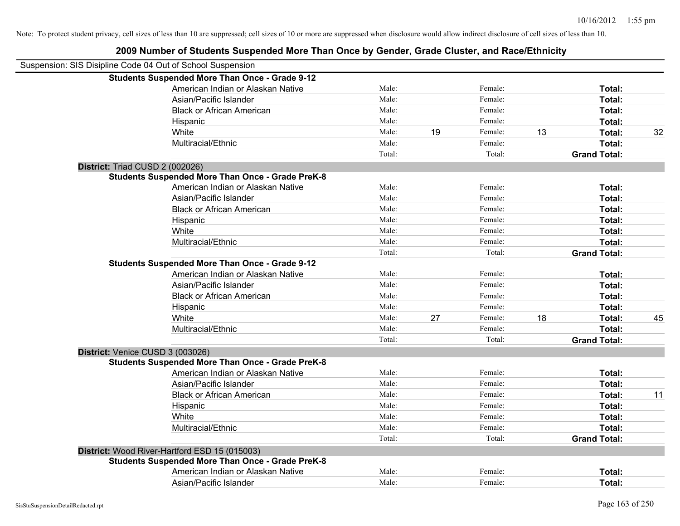| Suspension: SIS Disipline Code 04 Out of School Suspension |        |    |         |    |                     |    |
|------------------------------------------------------------|--------|----|---------|----|---------------------|----|
| <b>Students Suspended More Than Once - Grade 9-12</b>      |        |    |         |    |                     |    |
| American Indian or Alaskan Native                          | Male:  |    | Female: |    | Total:              |    |
| Asian/Pacific Islander                                     | Male:  |    | Female: |    | Total:              |    |
| <b>Black or African American</b>                           | Male:  |    | Female: |    | Total:              |    |
| Hispanic                                                   | Male:  |    | Female: |    | Total:              |    |
| White                                                      | Male:  | 19 | Female: | 13 | Total:              | 32 |
| Multiracial/Ethnic                                         | Male:  |    | Female: |    | Total:              |    |
|                                                            | Total: |    | Total:  |    | <b>Grand Total:</b> |    |
| District: Triad CUSD 2 (002026)                            |        |    |         |    |                     |    |
| <b>Students Suspended More Than Once - Grade PreK-8</b>    |        |    |         |    |                     |    |
| American Indian or Alaskan Native                          | Male:  |    | Female: |    | Total:              |    |
| Asian/Pacific Islander                                     | Male:  |    | Female: |    | Total:              |    |
| <b>Black or African American</b>                           | Male:  |    | Female: |    | Total:              |    |
| Hispanic                                                   | Male:  |    | Female: |    | Total:              |    |
| White                                                      | Male:  |    | Female: |    | Total:              |    |
| Multiracial/Ethnic                                         | Male:  |    | Female: |    | Total:              |    |
|                                                            | Total: |    | Total:  |    | <b>Grand Total:</b> |    |
| <b>Students Suspended More Than Once - Grade 9-12</b>      |        |    |         |    |                     |    |
| American Indian or Alaskan Native                          | Male:  |    | Female: |    | Total:              |    |
| Asian/Pacific Islander                                     | Male:  |    | Female: |    | Total:              |    |
| <b>Black or African American</b>                           | Male:  |    | Female: |    | Total:              |    |
| Hispanic                                                   | Male:  |    | Female: |    | Total:              |    |
| White                                                      | Male:  | 27 | Female: | 18 | Total:              | 45 |
| Multiracial/Ethnic                                         | Male:  |    | Female: |    | Total:              |    |
|                                                            | Total: |    | Total:  |    | <b>Grand Total:</b> |    |
| District: Venice CUSD 3 (003026)                           |        |    |         |    |                     |    |
| <b>Students Suspended More Than Once - Grade PreK-8</b>    |        |    |         |    |                     |    |
| American Indian or Alaskan Native                          | Male:  |    | Female: |    | Total:              |    |
| Asian/Pacific Islander                                     | Male:  |    | Female: |    | Total:              |    |
| <b>Black or African American</b>                           | Male:  |    | Female: |    | Total:              | 11 |
| Hispanic                                                   | Male:  |    | Female: |    | Total:              |    |
| White                                                      | Male:  |    | Female: |    | Total:              |    |
| Multiracial/Ethnic                                         | Male:  |    | Female: |    | <b>Total:</b>       |    |
|                                                            | Total: |    | Total:  |    | <b>Grand Total:</b> |    |
| District: Wood River-Hartford ESD 15 (015003)              |        |    |         |    |                     |    |
| <b>Students Suspended More Than Once - Grade PreK-8</b>    |        |    |         |    |                     |    |
| American Indian or Alaskan Native                          | Male:  |    | Female: |    | <b>Total:</b>       |    |
| Asian/Pacific Islander                                     | Male:  |    | Female: |    | Total:              |    |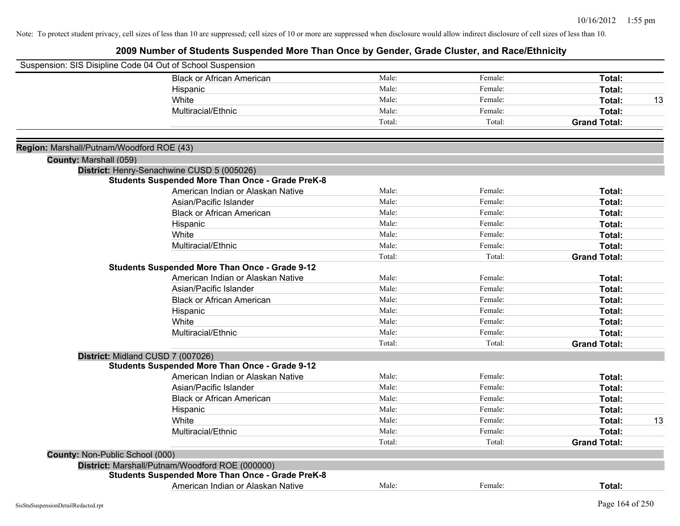|                                           | Suspension: SIS Disipline Code 04 Out of School Suspension |        |         |                     |    |
|-------------------------------------------|------------------------------------------------------------|--------|---------|---------------------|----|
|                                           | <b>Black or African American</b>                           | Male:  | Female: | Total:              |    |
|                                           | Hispanic                                                   | Male:  | Female: | Total:              |    |
|                                           | White                                                      | Male:  | Female: | Total:              | 13 |
|                                           | Multiracial/Ethnic                                         | Male:  | Female: | Total:              |    |
|                                           |                                                            | Total: | Total:  | <b>Grand Total:</b> |    |
| Region: Marshall/Putnam/Woodford ROE (43) |                                                            |        |         |                     |    |
| County: Marshall (059)                    |                                                            |        |         |                     |    |
|                                           | District: Henry-Senachwine CUSD 5 (005026)                 |        |         |                     |    |
|                                           | <b>Students Suspended More Than Once - Grade PreK-8</b>    |        |         |                     |    |
|                                           | American Indian or Alaskan Native                          | Male:  | Female: | Total:              |    |
|                                           | Asian/Pacific Islander                                     | Male:  | Female: | Total:              |    |
|                                           | <b>Black or African American</b>                           | Male:  | Female: | Total:              |    |
|                                           | Hispanic                                                   | Male:  | Female: | Total:              |    |
|                                           | White                                                      | Male:  | Female: | Total:              |    |
|                                           | Multiracial/Ethnic                                         | Male:  | Female: | Total:              |    |
|                                           |                                                            | Total: | Total:  | <b>Grand Total:</b> |    |
|                                           | <b>Students Suspended More Than Once - Grade 9-12</b>      |        |         |                     |    |
|                                           | American Indian or Alaskan Native                          | Male:  | Female: | Total:              |    |
|                                           | Asian/Pacific Islander                                     | Male:  | Female: | Total:              |    |
|                                           | <b>Black or African American</b>                           | Male:  | Female: | Total:              |    |
|                                           | Hispanic                                                   | Male:  | Female: | Total:              |    |
|                                           | White                                                      | Male:  | Female: | Total:              |    |
|                                           | Multiracial/Ethnic                                         | Male:  | Female: | Total:              |    |
|                                           |                                                            | Total: | Total:  | <b>Grand Total:</b> |    |
|                                           | District: Midland CUSD 7 (007026)                          |        |         |                     |    |
|                                           | <b>Students Suspended More Than Once - Grade 9-12</b>      |        |         |                     |    |
|                                           | American Indian or Alaskan Native                          | Male:  | Female: | Total:              |    |
|                                           | Asian/Pacific Islander                                     | Male:  | Female: | Total:              |    |
|                                           | <b>Black or African American</b>                           | Male:  | Female: | Total:              |    |
|                                           | Hispanic                                                   | Male:  | Female: | Total:              |    |
|                                           | White                                                      | Male:  | Female: | Total:              | 13 |
|                                           | Multiracial/Ethnic                                         | Male:  | Female: | Total:              |    |
|                                           |                                                            | Total: | Total:  | <b>Grand Total:</b> |    |
| County: Non-Public School (000)           |                                                            |        |         |                     |    |
|                                           | District: Marshall/Putnam/Woodford ROE (000000)            |        |         |                     |    |
|                                           | <b>Students Suspended More Than Once - Grade PreK-8</b>    |        |         |                     |    |
|                                           | American Indian or Alaskan Native                          | Male:  | Female: | Total:              |    |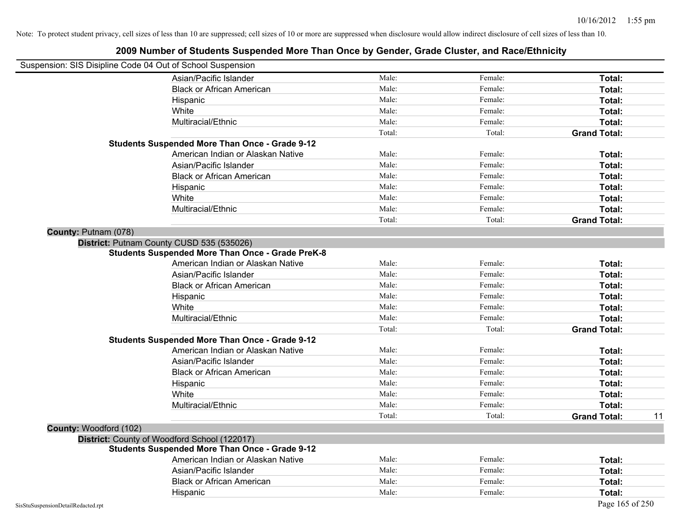| Suspension: SIS Disipline Code 04 Out of School Suspension |                                                         |        |         |                           |
|------------------------------------------------------------|---------------------------------------------------------|--------|---------|---------------------------|
|                                                            | Asian/Pacific Islander                                  | Male:  | Female: | Total:                    |
|                                                            | <b>Black or African American</b>                        | Male:  | Female: | Total:                    |
|                                                            | Hispanic                                                | Male:  | Female: | Total:                    |
|                                                            | White                                                   | Male:  | Female: | Total:                    |
|                                                            | Multiracial/Ethnic                                      | Male:  | Female: | Total:                    |
|                                                            |                                                         | Total: | Total:  | <b>Grand Total:</b>       |
|                                                            | <b>Students Suspended More Than Once - Grade 9-12</b>   |        |         |                           |
|                                                            | American Indian or Alaskan Native                       | Male:  | Female: | Total:                    |
|                                                            | Asian/Pacific Islander                                  | Male:  | Female: | Total:                    |
|                                                            | <b>Black or African American</b>                        | Male:  | Female: | Total:                    |
|                                                            | Hispanic                                                | Male:  | Female: | Total:                    |
|                                                            | White                                                   | Male:  | Female: | Total:                    |
|                                                            | Multiracial/Ethnic                                      | Male:  | Female: | Total:                    |
|                                                            |                                                         | Total: | Total:  | <b>Grand Total:</b>       |
| County: Putnam (078)                                       |                                                         |        |         |                           |
|                                                            | District: Putnam County CUSD 535 (535026)               |        |         |                           |
|                                                            | <b>Students Suspended More Than Once - Grade PreK-8</b> |        |         |                           |
|                                                            | American Indian or Alaskan Native                       | Male:  | Female: | Total:                    |
|                                                            | Asian/Pacific Islander                                  | Male:  | Female: | Total:                    |
|                                                            | <b>Black or African American</b>                        | Male:  | Female: | Total:                    |
|                                                            | Hispanic                                                | Male:  | Female: | Total:                    |
|                                                            | White                                                   | Male:  | Female: | Total:                    |
|                                                            | Multiracial/Ethnic                                      | Male:  | Female: | Total:                    |
|                                                            |                                                         | Total: | Total:  | <b>Grand Total:</b>       |
|                                                            | <b>Students Suspended More Than Once - Grade 9-12</b>   |        |         |                           |
|                                                            | American Indian or Alaskan Native                       | Male:  | Female: | Total:                    |
|                                                            | Asian/Pacific Islander                                  | Male:  | Female: | Total:                    |
|                                                            | <b>Black or African American</b>                        | Male:  | Female: | Total:                    |
|                                                            | Hispanic                                                | Male:  | Female: | Total:                    |
|                                                            | White                                                   | Male:  | Female: | Total:                    |
|                                                            | Multiracial/Ethnic                                      | Male:  | Female: | Total:                    |
|                                                            |                                                         | Total: | Total:  | <b>Grand Total:</b><br>11 |
| County: Woodford (102)                                     |                                                         |        |         |                           |
|                                                            | District: County of Woodford School (122017)            |        |         |                           |
|                                                            | <b>Students Suspended More Than Once - Grade 9-12</b>   |        |         |                           |
|                                                            | American Indian or Alaskan Native                       | Male:  | Female: | Total:                    |
|                                                            | Asian/Pacific Islander                                  | Male:  | Female: | Total:                    |
|                                                            | <b>Black or African American</b>                        | Male:  | Female: | Total:                    |
|                                                            | Hispanic                                                | Male:  | Female: | Total:                    |
| SisStuSuspensionDetailRedacted.rpt                         |                                                         |        |         | Page 165 of 250           |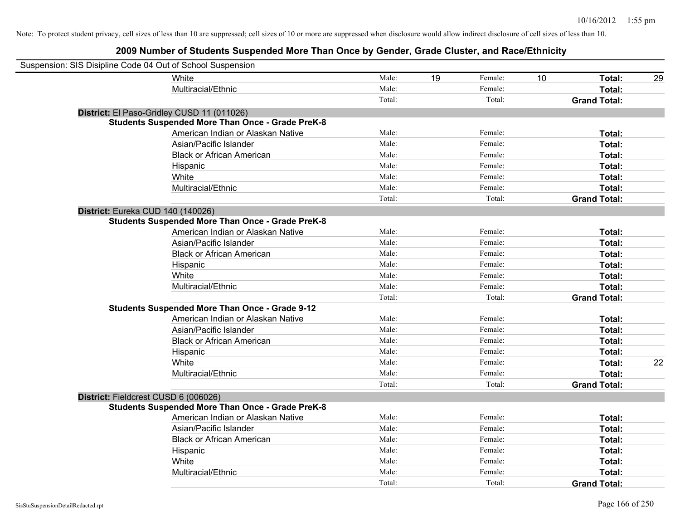| Suspension: SIS Disipline Code 04 Out of School Suspension |                                                         |        |    |         |    |                     |    |
|------------------------------------------------------------|---------------------------------------------------------|--------|----|---------|----|---------------------|----|
| White                                                      |                                                         | Male:  | 19 | Female: | 10 | Total:              | 29 |
|                                                            | Multiracial/Ethnic                                      | Male:  |    | Female: |    | Total:              |    |
|                                                            |                                                         | Total: |    | Total:  |    | <b>Grand Total:</b> |    |
| District: El Paso-Gridley CUSD 11 (011026)                 |                                                         |        |    |         |    |                     |    |
|                                                            | <b>Students Suspended More Than Once - Grade PreK-8</b> |        |    |         |    |                     |    |
|                                                            | American Indian or Alaskan Native                       | Male:  |    | Female: |    | Total:              |    |
|                                                            | Asian/Pacific Islander                                  | Male:  |    | Female: |    | Total:              |    |
|                                                            | <b>Black or African American</b>                        | Male:  |    | Female: |    | Total:              |    |
|                                                            | Hispanic                                                | Male:  |    | Female: |    | Total:              |    |
| White                                                      |                                                         | Male:  |    | Female: |    | Total:              |    |
|                                                            | Multiracial/Ethnic                                      | Male:  |    | Female: |    | Total:              |    |
|                                                            |                                                         | Total: |    | Total:  |    | <b>Grand Total:</b> |    |
| District: Eureka CUD 140 (140026)                          |                                                         |        |    |         |    |                     |    |
|                                                            | <b>Students Suspended More Than Once - Grade PreK-8</b> |        |    |         |    |                     |    |
|                                                            | American Indian or Alaskan Native                       | Male:  |    | Female: |    | Total:              |    |
|                                                            | Asian/Pacific Islander                                  | Male:  |    | Female: |    | Total:              |    |
|                                                            | <b>Black or African American</b>                        | Male:  |    | Female: |    | Total:              |    |
|                                                            | Hispanic                                                | Male:  |    | Female: |    | Total:              |    |
| White                                                      |                                                         | Male:  |    | Female: |    | Total:              |    |
|                                                            | Multiracial/Ethnic                                      | Male:  |    | Female: |    | Total:              |    |
|                                                            |                                                         | Total: |    | Total:  |    | <b>Grand Total:</b> |    |
|                                                            | <b>Students Suspended More Than Once - Grade 9-12</b>   |        |    |         |    |                     |    |
|                                                            | American Indian or Alaskan Native                       | Male:  |    | Female: |    | Total:              |    |
|                                                            | Asian/Pacific Islander                                  | Male:  |    | Female: |    | Total:              |    |
|                                                            | <b>Black or African American</b>                        | Male:  |    | Female: |    | Total:              |    |
|                                                            | Hispanic                                                | Male:  |    | Female: |    | Total:              |    |
| White                                                      |                                                         | Male:  |    | Female: |    | Total:              | 22 |
|                                                            | Multiracial/Ethnic                                      | Male:  |    | Female: |    | Total:              |    |
|                                                            |                                                         | Total: |    | Total:  |    | <b>Grand Total:</b> |    |
| District: Fieldcrest CUSD 6 (006026)                       |                                                         |        |    |         |    |                     |    |
|                                                            | <b>Students Suspended More Than Once - Grade PreK-8</b> |        |    |         |    |                     |    |
|                                                            | American Indian or Alaskan Native                       | Male:  |    | Female: |    | Total:              |    |
|                                                            | Asian/Pacific Islander                                  | Male:  |    | Female: |    | Total:              |    |
|                                                            | <b>Black or African American</b>                        | Male:  |    | Female: |    | Total:              |    |
|                                                            | Hispanic                                                | Male:  |    | Female: |    | Total:              |    |
| White                                                      |                                                         | Male:  |    | Female: |    | Total:              |    |
|                                                            | Multiracial/Ethnic                                      | Male:  |    | Female: |    | Total:              |    |
|                                                            |                                                         | Total: |    | Total:  |    | <b>Grand Total:</b> |    |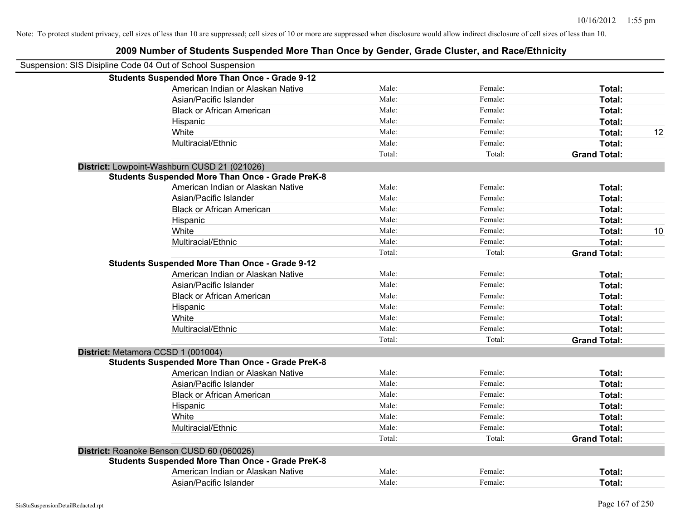| Suspension: SIS Disipline Code 04 Out of School Suspension |        |         |                     |    |
|------------------------------------------------------------|--------|---------|---------------------|----|
| <b>Students Suspended More Than Once - Grade 9-12</b>      |        |         |                     |    |
| American Indian or Alaskan Native                          | Male:  | Female: | Total:              |    |
| Asian/Pacific Islander                                     | Male:  | Female: | Total:              |    |
| <b>Black or African American</b>                           | Male:  | Female: | Total:              |    |
| Hispanic                                                   | Male:  | Female: | Total:              |    |
| White                                                      | Male:  | Female: | Total:              | 12 |
| Multiracial/Ethnic                                         | Male:  | Female: | Total:              |    |
|                                                            | Total: | Total:  | <b>Grand Total:</b> |    |
| District: Lowpoint-Washburn CUSD 21 (021026)               |        |         |                     |    |
| <b>Students Suspended More Than Once - Grade PreK-8</b>    |        |         |                     |    |
| American Indian or Alaskan Native                          | Male:  | Female: | Total:              |    |
| Asian/Pacific Islander                                     | Male:  | Female: | Total:              |    |
| <b>Black or African American</b>                           | Male:  | Female: | Total:              |    |
| Hispanic                                                   | Male:  | Female: | Total:              |    |
| White                                                      | Male:  | Female: | Total:              | 10 |
| Multiracial/Ethnic                                         | Male:  | Female: | Total:              |    |
|                                                            | Total: | Total:  | <b>Grand Total:</b> |    |
| <b>Students Suspended More Than Once - Grade 9-12</b>      |        |         |                     |    |
| American Indian or Alaskan Native                          | Male:  | Female: | Total:              |    |
| Asian/Pacific Islander                                     | Male:  | Female: | Total:              |    |
| <b>Black or African American</b>                           | Male:  | Female: | Total:              |    |
| Hispanic                                                   | Male:  | Female: | Total:              |    |
| White                                                      | Male:  | Female: | Total:              |    |
| Multiracial/Ethnic                                         | Male:  | Female: | Total:              |    |
|                                                            | Total: | Total:  | <b>Grand Total:</b> |    |
| District: Metamora CCSD 1 (001004)                         |        |         |                     |    |
| <b>Students Suspended More Than Once - Grade PreK-8</b>    |        |         |                     |    |
| American Indian or Alaskan Native                          | Male:  | Female: | Total:              |    |
| Asian/Pacific Islander                                     | Male:  | Female: | Total:              |    |
| <b>Black or African American</b>                           | Male:  | Female: | Total:              |    |
| Hispanic                                                   | Male:  | Female: | Total:              |    |
| White                                                      | Male:  | Female: | Total:              |    |
| Multiracial/Ethnic                                         | Male:  | Female: | Total:              |    |
|                                                            | Total: | Total:  | <b>Grand Total:</b> |    |
| District: Roanoke Benson CUSD 60 (060026)                  |        |         |                     |    |
| <b>Students Suspended More Than Once - Grade PreK-8</b>    |        |         |                     |    |
| American Indian or Alaskan Native                          | Male:  | Female: | Total:              |    |
| Asian/Pacific Islander                                     | Male:  | Female: | Total:              |    |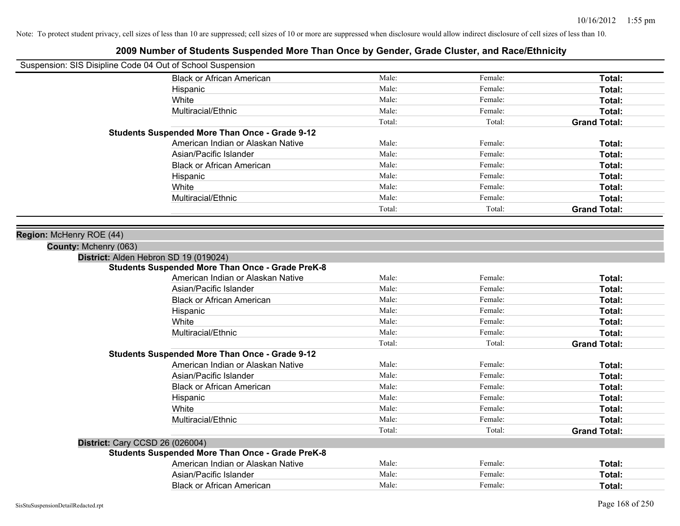| Suspension: SIS Disipline Code 04 Out of School Suspension |                                                         |        |         |                     |
|------------------------------------------------------------|---------------------------------------------------------|--------|---------|---------------------|
|                                                            | <b>Black or African American</b>                        | Male:  | Female: | Total:              |
|                                                            | Hispanic                                                | Male:  | Female: | Total:              |
|                                                            | White                                                   | Male:  | Female: | Total:              |
|                                                            | Multiracial/Ethnic                                      | Male:  | Female: | Total:              |
|                                                            |                                                         | Total: | Total:  | <b>Grand Total:</b> |
|                                                            | <b>Students Suspended More Than Once - Grade 9-12</b>   |        |         |                     |
|                                                            | American Indian or Alaskan Native                       | Male:  | Female: | Total:              |
|                                                            | Asian/Pacific Islander                                  | Male:  | Female: | Total:              |
|                                                            | <b>Black or African American</b>                        | Male:  | Female: | Total:              |
|                                                            | Hispanic                                                | Male:  | Female: | Total:              |
|                                                            | White                                                   | Male:  | Female: | Total:              |
|                                                            | Multiracial/Ethnic                                      | Male:  | Female: | Total:              |
|                                                            |                                                         | Total: | Total:  | <b>Grand Total:</b> |
|                                                            |                                                         |        |         |                     |
| Region: McHenry ROE (44)<br>County: Mchenry (063)          |                                                         |        |         |                     |
| District: Alden Hebron SD 19 (019024)                      |                                                         |        |         |                     |
|                                                            | <b>Students Suspended More Than Once - Grade PreK-8</b> |        |         |                     |
|                                                            | American Indian or Alaskan Native                       | Male:  | Female: | Total:              |
|                                                            | Asian/Pacific Islander                                  | Male:  | Female: | Total:              |
|                                                            | <b>Black or African American</b>                        | Male:  | Female: | Total:              |
|                                                            | Hispanic                                                | Male:  | Female: | Total:              |
|                                                            | White                                                   | Male:  | Female: | Total:              |
|                                                            | Multiracial/Ethnic                                      | Male:  | Female: | Total:              |
|                                                            |                                                         | Total: | Total:  | <b>Grand Total:</b> |
|                                                            | <b>Students Suspended More Than Once - Grade 9-12</b>   |        |         |                     |
|                                                            | American Indian or Alaskan Native                       | Male:  | Female: | Total:              |
|                                                            | Asian/Pacific Islander                                  | Male:  | Female: | Total:              |
|                                                            | <b>Black or African American</b>                        | Male:  | Female: | Total:              |
|                                                            | Hispanic                                                | Male:  | Female: | Total:              |
|                                                            | White                                                   | Male:  | Female: | Total:              |
|                                                            | Multiracial/Ethnic                                      | Male:  | Female: | Total:              |
|                                                            |                                                         | Total: | Total:  | <b>Grand Total:</b> |
| District: Cary CCSD 26 (026004)                            |                                                         |        |         |                     |
|                                                            | <b>Students Suspended More Than Once - Grade PreK-8</b> |        |         |                     |
|                                                            | American Indian or Alaskan Native                       | Male:  | Female: | Total:              |
|                                                            | Asian/Pacific Islander                                  | Male:  | Female: | Total:              |
|                                                            | <b>Black or African American</b>                        | Male:  | Female: | Total:              |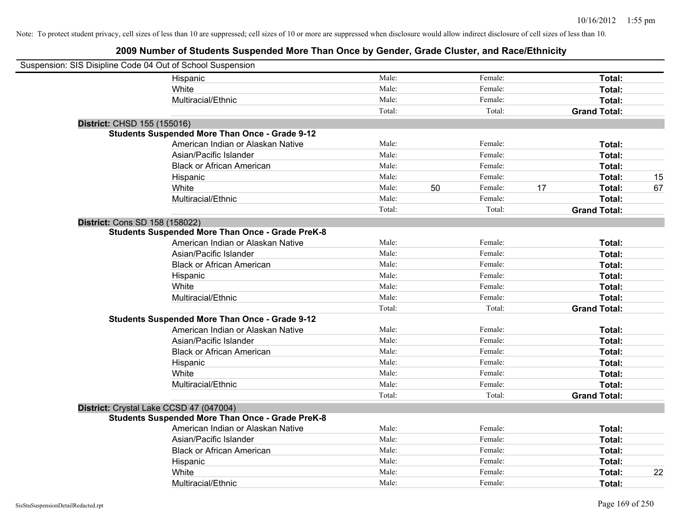| Suspension: SIS Disipline Code 04 Out of School Suspension |                                                         |        |    |         |    |                     |    |
|------------------------------------------------------------|---------------------------------------------------------|--------|----|---------|----|---------------------|----|
|                                                            | Hispanic                                                | Male:  |    | Female: |    | Total:              |    |
|                                                            | White                                                   | Male:  |    | Female: |    | Total:              |    |
|                                                            | Multiracial/Ethnic                                      | Male:  |    | Female: |    | Total:              |    |
|                                                            |                                                         | Total: |    | Total:  |    | <b>Grand Total:</b> |    |
| District: CHSD 155 (155016)                                |                                                         |        |    |         |    |                     |    |
|                                                            | <b>Students Suspended More Than Once - Grade 9-12</b>   |        |    |         |    |                     |    |
|                                                            | American Indian or Alaskan Native                       | Male:  |    | Female: |    | Total:              |    |
|                                                            | Asian/Pacific Islander                                  | Male:  |    | Female: |    | Total:              |    |
|                                                            | <b>Black or African American</b>                        | Male:  |    | Female: |    | Total:              |    |
|                                                            | Hispanic                                                | Male:  |    | Female: |    | Total:              | 15 |
|                                                            | White                                                   | Male:  | 50 | Female: | 17 | Total:              | 67 |
|                                                            | Multiracial/Ethnic                                      | Male:  |    | Female: |    | Total:              |    |
|                                                            |                                                         | Total: |    | Total:  |    | <b>Grand Total:</b> |    |
| <b>District: Cons SD 158 (158022)</b>                      |                                                         |        |    |         |    |                     |    |
|                                                            | <b>Students Suspended More Than Once - Grade PreK-8</b> |        |    |         |    |                     |    |
|                                                            | American Indian or Alaskan Native                       | Male:  |    | Female: |    | Total:              |    |
|                                                            | Asian/Pacific Islander                                  | Male:  |    | Female: |    | Total:              |    |
|                                                            | <b>Black or African American</b>                        | Male:  |    | Female: |    | Total:              |    |
|                                                            | Hispanic                                                | Male:  |    | Female: |    | Total:              |    |
|                                                            | White                                                   | Male:  |    | Female: |    | Total:              |    |
|                                                            | Multiracial/Ethnic                                      | Male:  |    | Female: |    | Total:              |    |
|                                                            |                                                         | Total: |    | Total:  |    | <b>Grand Total:</b> |    |
|                                                            | <b>Students Suspended More Than Once - Grade 9-12</b>   |        |    |         |    |                     |    |
|                                                            | American Indian or Alaskan Native                       | Male:  |    | Female: |    | Total:              |    |
|                                                            | Asian/Pacific Islander                                  | Male:  |    | Female: |    | Total:              |    |
|                                                            | <b>Black or African American</b>                        | Male:  |    | Female: |    | Total:              |    |
|                                                            | Hispanic                                                | Male:  |    | Female: |    | Total:              |    |
|                                                            | White                                                   | Male:  |    | Female: |    | Total:              |    |
|                                                            | Multiracial/Ethnic                                      | Male:  |    | Female: |    | Total:              |    |
|                                                            |                                                         | Total: |    | Total:  |    | <b>Grand Total:</b> |    |
| District: Crystal Lake CCSD 47 (047004)                    |                                                         |        |    |         |    |                     |    |
|                                                            | <b>Students Suspended More Than Once - Grade PreK-8</b> |        |    |         |    |                     |    |
|                                                            | American Indian or Alaskan Native                       | Male:  |    | Female: |    | Total:              |    |
|                                                            | Asian/Pacific Islander                                  | Male:  |    | Female: |    | Total:              |    |
|                                                            | <b>Black or African American</b>                        | Male:  |    | Female: |    | Total:              |    |
|                                                            | Hispanic                                                | Male:  |    | Female: |    | Total:              |    |
|                                                            | White                                                   | Male:  |    | Female: |    | Total:              | 22 |
|                                                            | Multiracial/Ethnic                                      | Male:  |    | Female: |    | Total:              |    |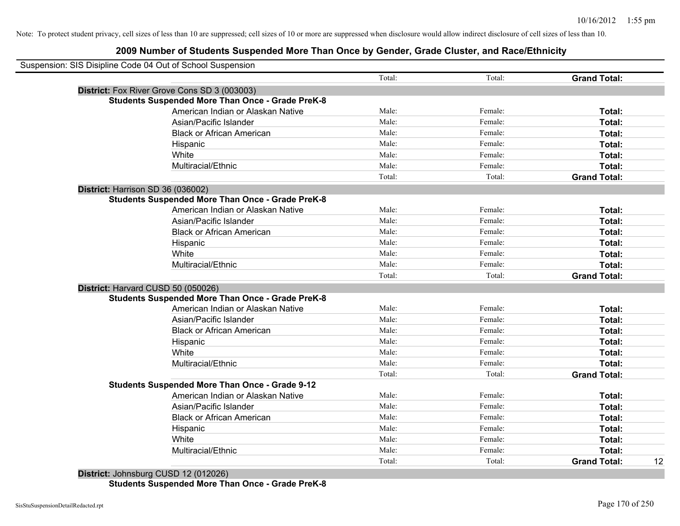| Suspension: SIS Disipline Code 04 Out of School Suspension |                                                         |        |         |                           |
|------------------------------------------------------------|---------------------------------------------------------|--------|---------|---------------------------|
|                                                            |                                                         | Total: | Total:  | <b>Grand Total:</b>       |
|                                                            | District: Fox River Grove Cons SD 3 (003003)            |        |         |                           |
|                                                            | <b>Students Suspended More Than Once - Grade PreK-8</b> |        |         |                           |
|                                                            | American Indian or Alaskan Native                       | Male:  | Female: | Total:                    |
|                                                            | Asian/Pacific Islander                                  | Male:  | Female: | Total:                    |
|                                                            | <b>Black or African American</b>                        | Male:  | Female: | Total:                    |
|                                                            | Hispanic                                                | Male:  | Female: | Total:                    |
|                                                            | White                                                   | Male:  | Female: | Total:                    |
|                                                            | Multiracial/Ethnic                                      | Male:  | Female: | Total:                    |
|                                                            |                                                         | Total: | Total:  | <b>Grand Total:</b>       |
| District: Harrison SD 36 (036002)                          |                                                         |        |         |                           |
|                                                            | <b>Students Suspended More Than Once - Grade PreK-8</b> |        |         |                           |
|                                                            | American Indian or Alaskan Native                       | Male:  | Female: | Total:                    |
|                                                            | Asian/Pacific Islander                                  | Male:  | Female: | Total:                    |
|                                                            | <b>Black or African American</b>                        | Male:  | Female: | Total:                    |
|                                                            | Hispanic                                                | Male:  | Female: | Total:                    |
|                                                            | White                                                   | Male:  | Female: | Total:                    |
|                                                            | Multiracial/Ethnic                                      | Male:  | Female: | Total:                    |
|                                                            |                                                         | Total: | Total:  | <b>Grand Total:</b>       |
| District: Harvard CUSD 50 (050026)                         |                                                         |        |         |                           |
|                                                            | <b>Students Suspended More Than Once - Grade PreK-8</b> |        |         |                           |
|                                                            | American Indian or Alaskan Native                       | Male:  | Female: | Total:                    |
|                                                            | Asian/Pacific Islander                                  | Male:  | Female: | Total:                    |
|                                                            | <b>Black or African American</b>                        | Male:  | Female: | Total:                    |
|                                                            | Hispanic                                                | Male:  | Female: | Total:                    |
|                                                            | White                                                   | Male:  | Female: | Total:                    |
|                                                            | Multiracial/Ethnic                                      | Male:  | Female: | Total:                    |
|                                                            |                                                         | Total: | Total:  | <b>Grand Total:</b>       |
|                                                            | <b>Students Suspended More Than Once - Grade 9-12</b>   |        |         |                           |
|                                                            | American Indian or Alaskan Native                       | Male:  | Female: | Total:                    |
|                                                            | Asian/Pacific Islander                                  | Male:  | Female: | Total:                    |
|                                                            | <b>Black or African American</b>                        | Male:  | Female: | Total:                    |
|                                                            | Hispanic                                                | Male:  | Female: | Total:                    |
|                                                            | White                                                   | Male:  | Female: | Total:                    |
|                                                            | Multiracial/Ethnic                                      | Male:  | Female: | Total:                    |
|                                                            |                                                         | Total: | Total:  | 12<br><b>Grand Total:</b> |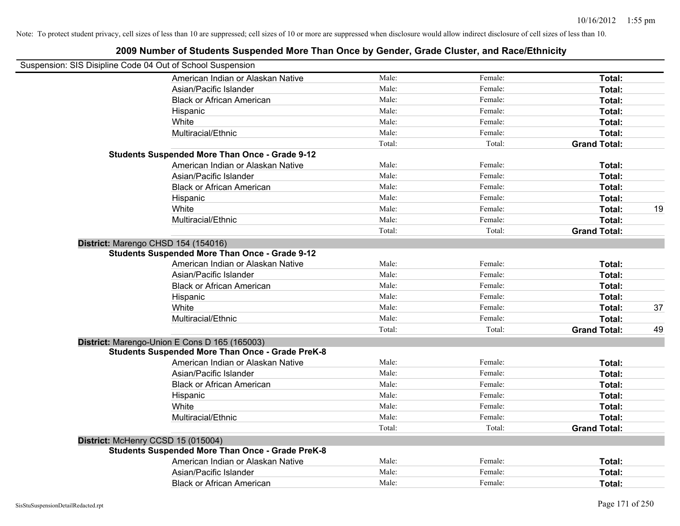| Suspension: SIS Disipline Code 04 Out of School Suspension |        |         |                     |    |
|------------------------------------------------------------|--------|---------|---------------------|----|
| American Indian or Alaskan Native                          | Male:  | Female: | Total:              |    |
| Asian/Pacific Islander                                     | Male:  | Female: | Total:              |    |
| <b>Black or African American</b>                           | Male:  | Female: | Total:              |    |
| Hispanic                                                   | Male:  | Female: | Total:              |    |
| White                                                      | Male:  | Female: | Total:              |    |
| Multiracial/Ethnic                                         | Male:  | Female: | Total:              |    |
|                                                            | Total: | Total:  | <b>Grand Total:</b> |    |
| <b>Students Suspended More Than Once - Grade 9-12</b>      |        |         |                     |    |
| American Indian or Alaskan Native                          | Male:  | Female: | Total:              |    |
| Asian/Pacific Islander                                     | Male:  | Female: | Total:              |    |
| <b>Black or African American</b>                           | Male:  | Female: | Total:              |    |
| Hispanic                                                   | Male:  | Female: | Total:              |    |
| White                                                      | Male:  | Female: | Total:              | 19 |
| Multiracial/Ethnic                                         | Male:  | Female: | Total:              |    |
|                                                            | Total: | Total:  | <b>Grand Total:</b> |    |
| District: Marengo CHSD 154 (154016)                        |        |         |                     |    |
| <b>Students Suspended More Than Once - Grade 9-12</b>      |        |         |                     |    |
| American Indian or Alaskan Native                          | Male:  | Female: | Total:              |    |
| Asian/Pacific Islander                                     | Male:  | Female: | Total:              |    |
| <b>Black or African American</b>                           | Male:  | Female: | Total:              |    |
| Hispanic                                                   | Male:  | Female: | Total:              |    |
| White                                                      | Male:  | Female: | Total:              | 37 |
| Multiracial/Ethnic                                         | Male:  | Female: | Total:              |    |
|                                                            | Total: | Total:  | <b>Grand Total:</b> | 49 |
| District: Marengo-Union E Cons D 165 (165003)              |        |         |                     |    |
| <b>Students Suspended More Than Once - Grade PreK-8</b>    |        |         |                     |    |
| American Indian or Alaskan Native                          | Male:  | Female: | Total:              |    |
| Asian/Pacific Islander                                     | Male:  | Female: | Total:              |    |
| <b>Black or African American</b>                           | Male:  | Female: | Total:              |    |
| Hispanic                                                   | Male:  | Female: | Total:              |    |
| White                                                      | Male:  | Female: | Total:              |    |
| Multiracial/Ethnic                                         | Male:  | Female: | Total:              |    |
|                                                            | Total: | Total:  | <b>Grand Total:</b> |    |
| District: McHenry CCSD 15 (015004)                         |        |         |                     |    |
| <b>Students Suspended More Than Once - Grade PreK-8</b>    |        |         |                     |    |
| American Indian or Alaskan Native                          | Male:  | Female: | Total:              |    |
| Asian/Pacific Islander                                     | Male:  | Female: | Total:              |    |
| <b>Black or African American</b>                           | Male:  | Female: | Total:              |    |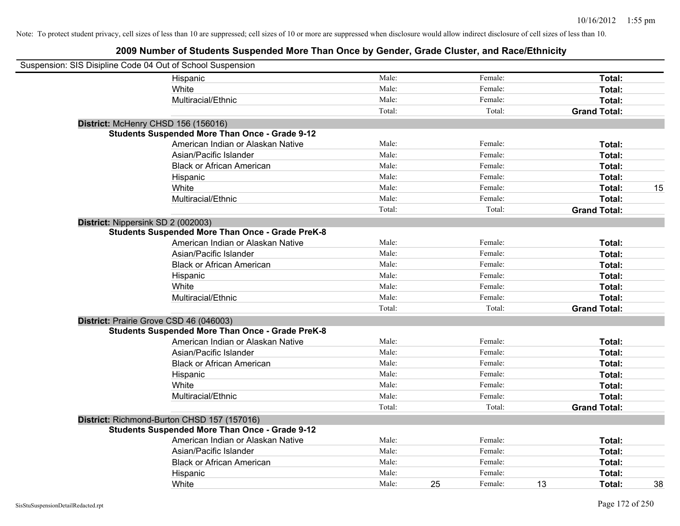| Suspension: SIS Disipline Code 04 Out of School Suspension |                                                         |        |    |         |    |                     |    |
|------------------------------------------------------------|---------------------------------------------------------|--------|----|---------|----|---------------------|----|
|                                                            | Hispanic                                                | Male:  |    | Female: |    | Total:              |    |
|                                                            | White                                                   | Male:  |    | Female: |    | Total:              |    |
|                                                            | Multiracial/Ethnic                                      | Male:  |    | Female: |    | Total:              |    |
|                                                            |                                                         | Total: |    | Total:  |    | <b>Grand Total:</b> |    |
| District: McHenry CHSD 156 (156016)                        |                                                         |        |    |         |    |                     |    |
|                                                            | <b>Students Suspended More Than Once - Grade 9-12</b>   |        |    |         |    |                     |    |
|                                                            | American Indian or Alaskan Native                       | Male:  |    | Female: |    | Total:              |    |
|                                                            | Asian/Pacific Islander                                  | Male:  |    | Female: |    | Total:              |    |
|                                                            | <b>Black or African American</b>                        | Male:  |    | Female: |    | Total:              |    |
|                                                            | Hispanic                                                | Male:  |    | Female: |    | Total:              |    |
|                                                            | White                                                   | Male:  |    | Female: |    | Total:              | 15 |
|                                                            | Multiracial/Ethnic                                      | Male:  |    | Female: |    | Total:              |    |
|                                                            |                                                         | Total: |    | Total:  |    | <b>Grand Total:</b> |    |
| District: Nippersink SD 2 (002003)                         |                                                         |        |    |         |    |                     |    |
|                                                            | <b>Students Suspended More Than Once - Grade PreK-8</b> |        |    |         |    |                     |    |
|                                                            | American Indian or Alaskan Native                       | Male:  |    | Female: |    | Total:              |    |
|                                                            | Asian/Pacific Islander                                  | Male:  |    | Female: |    | Total:              |    |
|                                                            | <b>Black or African American</b>                        | Male:  |    | Female: |    | Total:              |    |
|                                                            | Hispanic                                                | Male:  |    | Female: |    | Total:              |    |
|                                                            | White                                                   | Male:  |    | Female: |    | Total:              |    |
|                                                            | Multiracial/Ethnic                                      | Male:  |    | Female: |    | Total:              |    |
|                                                            |                                                         | Total: |    | Total:  |    | <b>Grand Total:</b> |    |
| District: Prairie Grove CSD 46 (046003)                    |                                                         |        |    |         |    |                     |    |
|                                                            | <b>Students Suspended More Than Once - Grade PreK-8</b> |        |    |         |    |                     |    |
|                                                            | American Indian or Alaskan Native                       | Male:  |    | Female: |    | Total:              |    |
|                                                            | Asian/Pacific Islander                                  | Male:  |    | Female: |    | Total:              |    |
|                                                            | <b>Black or African American</b>                        | Male:  |    | Female: |    | Total:              |    |
|                                                            | Hispanic                                                | Male:  |    | Female: |    | Total:              |    |
|                                                            | White                                                   | Male:  |    | Female: |    | Total:              |    |
|                                                            | Multiracial/Ethnic                                      | Male:  |    | Female: |    | Total:              |    |
|                                                            |                                                         | Total: |    | Total:  |    | <b>Grand Total:</b> |    |
|                                                            | District: Richmond-Burton CHSD 157 (157016)             |        |    |         |    |                     |    |
|                                                            | <b>Students Suspended More Than Once - Grade 9-12</b>   |        |    |         |    |                     |    |
|                                                            | American Indian or Alaskan Native                       | Male:  |    | Female: |    | Total:              |    |
|                                                            | Asian/Pacific Islander                                  | Male:  |    | Female: |    | Total:              |    |
|                                                            | <b>Black or African American</b>                        | Male:  |    | Female: |    | Total:              |    |
|                                                            | Hispanic                                                | Male:  |    | Female: |    | Total:              |    |
|                                                            | White                                                   | Male:  | 25 | Female: | 13 | Total:              | 38 |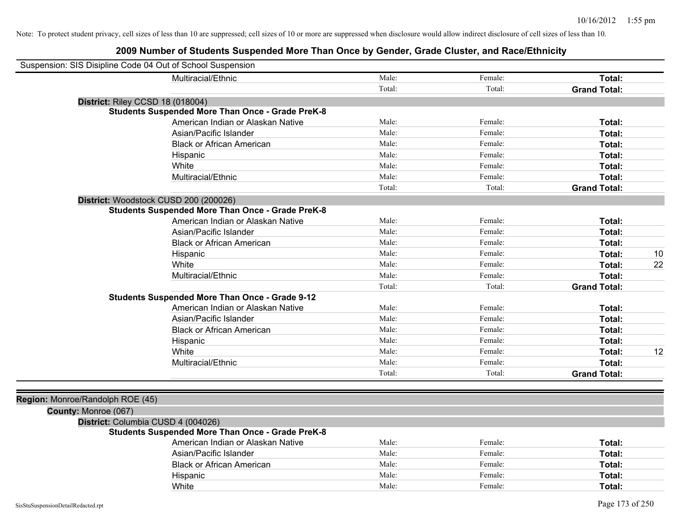| Suspension: SIS Disipline Code 04 Out of School Suspension |                                                         |        |         |                     |    |
|------------------------------------------------------------|---------------------------------------------------------|--------|---------|---------------------|----|
|                                                            | Multiracial/Ethnic                                      | Male:  | Female: | Total:              |    |
|                                                            |                                                         | Total: | Total:  | <b>Grand Total:</b> |    |
|                                                            | District: Riley CCSD 18 (018004)                        |        |         |                     |    |
|                                                            | <b>Students Suspended More Than Once - Grade PreK-8</b> |        |         |                     |    |
|                                                            | American Indian or Alaskan Native                       | Male:  | Female: | Total:              |    |
|                                                            | Asian/Pacific Islander                                  | Male:  | Female: | Total:              |    |
|                                                            | <b>Black or African American</b>                        | Male:  | Female: | Total:              |    |
|                                                            | Hispanic                                                | Male:  | Female: | Total:              |    |
|                                                            | White                                                   | Male:  | Female: | Total:              |    |
|                                                            | Multiracial/Ethnic                                      | Male:  | Female: | Total:              |    |
|                                                            |                                                         | Total: | Total:  | <b>Grand Total:</b> |    |
|                                                            | District: Woodstock CUSD 200 (200026)                   |        |         |                     |    |
|                                                            | <b>Students Suspended More Than Once - Grade PreK-8</b> |        |         |                     |    |
|                                                            | American Indian or Alaskan Native                       | Male:  | Female: | Total:              |    |
|                                                            | Asian/Pacific Islander                                  | Male:  | Female: | Total:              |    |
|                                                            | <b>Black or African American</b>                        | Male:  | Female: | Total:              |    |
|                                                            | Hispanic                                                | Male:  | Female: | Total:              | 10 |
|                                                            | White                                                   | Male:  | Female: | Total:              | 22 |
|                                                            | Multiracial/Ethnic                                      | Male:  | Female: | Total:              |    |
|                                                            |                                                         | Total: | Total:  | <b>Grand Total:</b> |    |
|                                                            | <b>Students Suspended More Than Once - Grade 9-12</b>   |        |         |                     |    |
|                                                            | American Indian or Alaskan Native                       | Male:  | Female: | Total:              |    |
|                                                            | Asian/Pacific Islander                                  | Male:  | Female: | Total:              |    |
|                                                            | <b>Black or African American</b>                        | Male:  | Female: | Total:              |    |
|                                                            | Hispanic                                                | Male:  | Female: | Total:              |    |
|                                                            | White                                                   | Male:  | Female: | Total:              | 12 |
|                                                            | Multiracial/Ethnic                                      | Male:  | Female: | Total:              |    |
|                                                            |                                                         | Total: | Total:  | <b>Grand Total:</b> |    |
|                                                            |                                                         |        |         |                     |    |
| Region: Monroe/Randolph ROE (45)                           |                                                         |        |         |                     |    |
| County: Monroe (067)                                       |                                                         |        |         |                     |    |
|                                                            | District: Columbia CUSD 4 (004026)                      |        |         |                     |    |
|                                                            | <b>Students Suspended More Than Once - Grade PreK-8</b> |        |         |                     |    |
|                                                            | American Indian or Alaskan Native                       | Male:  | Female: | Total:              |    |
|                                                            | Asian/Pacific Islander                                  | Male:  | Female: | Total:              |    |
|                                                            | <b>Black or African American</b>                        | Male:  | Female: | Total:              |    |
|                                                            | Hispanic                                                | Male:  | Female: | Total:              |    |
|                                                            | White                                                   | Male:  | Female: | Total:              |    |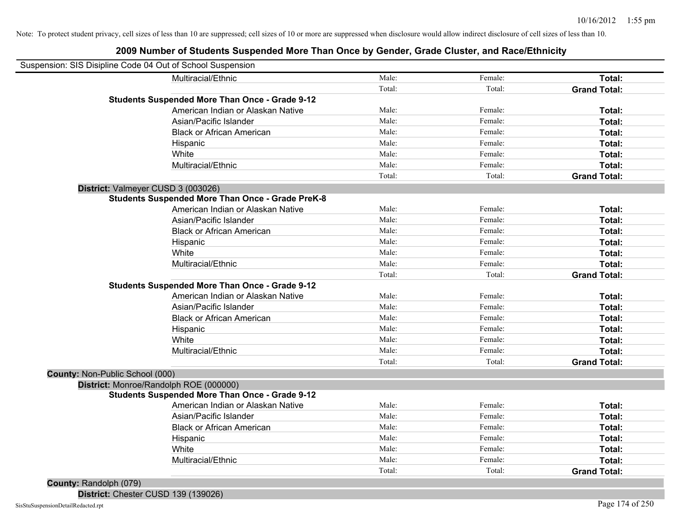### **2009 Number of Students Suspended More Than Once by Gender, Grade Cluster, and Race/Ethnicity**

| Suspension: SIS Disipline Code 04 Out of School Suspension |        |         |                     |
|------------------------------------------------------------|--------|---------|---------------------|
| Multiracial/Ethnic                                         | Male:  | Female: | Total:              |
|                                                            | Total: | Total:  | <b>Grand Total:</b> |
| <b>Students Suspended More Than Once - Grade 9-12</b>      |        |         |                     |
| American Indian or Alaskan Native                          | Male:  | Female: | Total:              |
| Asian/Pacific Islander                                     | Male:  | Female: | Total:              |
| <b>Black or African American</b>                           | Male:  | Female: | Total:              |
| Hispanic                                                   | Male:  | Female: | Total:              |
| White                                                      | Male:  | Female: | Total:              |
| Multiracial/Ethnic                                         | Male:  | Female: | Total:              |
|                                                            | Total: | Total:  | <b>Grand Total:</b> |
| District: Valmeyer CUSD 3 (003026)                         |        |         |                     |
| <b>Students Suspended More Than Once - Grade PreK-8</b>    |        |         |                     |
| American Indian or Alaskan Native                          | Male:  | Female: | Total:              |
| Asian/Pacific Islander                                     | Male:  | Female: | <b>Total:</b>       |
| <b>Black or African American</b>                           | Male:  | Female: | Total:              |
| Hispanic                                                   | Male:  | Female: | Total:              |
| White                                                      | Male:  | Female: | Total:              |
| Multiracial/Ethnic                                         | Male:  | Female: | Total:              |
|                                                            | Total: | Total:  | <b>Grand Total:</b> |
| <b>Students Suspended More Than Once - Grade 9-12</b>      |        |         |                     |
| American Indian or Alaskan Native                          | Male:  | Female: | Total:              |
| Asian/Pacific Islander                                     | Male:  | Female: | Total:              |
| <b>Black or African American</b>                           | Male:  | Female: | Total:              |
| Hispanic                                                   | Male:  | Female: | Total:              |
| White                                                      | Male:  | Female: | Total:              |
| Multiracial/Ethnic                                         | Male:  | Female: | Total:              |
|                                                            | Total: | Total:  | <b>Grand Total:</b> |
| County: Non-Public School (000)                            |        |         |                     |
| District: Monroe/Randolph ROE (000000)                     |        |         |                     |
| <b>Students Suspended More Than Once - Grade 9-12</b>      |        |         |                     |
| American Indian or Alaskan Native                          | Male:  | Female: | Total:              |
| Asian/Pacific Islander                                     | Male:  | Female: | Total:              |
| <b>Black or African American</b>                           | Male:  | Female: | Total:              |
| Hispanic                                                   | Male:  | Female: | <b>Total:</b>       |
| White                                                      | Male:  | Female: | Total:              |
| Multiracial/Ethnic                                         | Male:  | Female: | Total:              |
|                                                            | Total: | Total:  | <b>Grand Total:</b> |
| County: Randolph (079)                                     |        |         |                     |

**District:** Chester CUSD 139 (139026)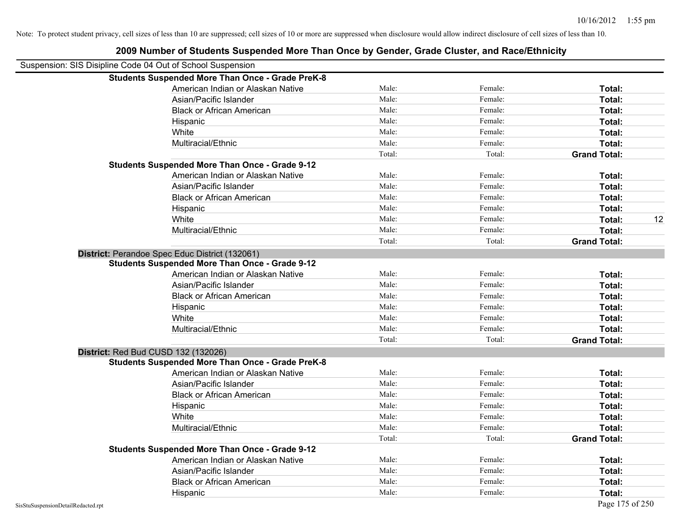|                                                            | 2009 Number of Students Suspended More Than Once by Gender, Grade Cluster, and Nace/Lumicity |        |         |                     |    |
|------------------------------------------------------------|----------------------------------------------------------------------------------------------|--------|---------|---------------------|----|
| Suspension: SIS Disipline Code 04 Out of School Suspension |                                                                                              |        |         |                     |    |
|                                                            | <b>Students Suspended More Than Once - Grade PreK-8</b>                                      |        |         |                     |    |
|                                                            | American Indian or Alaskan Native                                                            | Male:  | Female: | Total:              |    |
|                                                            | Asian/Pacific Islander                                                                       | Male:  | Female: | Total:              |    |
|                                                            | <b>Black or African American</b>                                                             | Male:  | Female: | Total:              |    |
|                                                            | Hispanic                                                                                     | Male:  | Female: | Total:              |    |
|                                                            | White                                                                                        | Male:  | Female: | Total:              |    |
|                                                            | Multiracial/Ethnic                                                                           | Male:  | Female: | Total:              |    |
|                                                            |                                                                                              | Total: | Total:  | <b>Grand Total:</b> |    |
|                                                            | <b>Students Suspended More Than Once - Grade 9-12</b>                                        |        |         |                     |    |
|                                                            | American Indian or Alaskan Native                                                            | Male:  | Female: | Total:              |    |
|                                                            | Asian/Pacific Islander                                                                       | Male:  | Female: | Total:              |    |
|                                                            | <b>Black or African American</b>                                                             | Male:  | Female: | Total:              |    |
|                                                            | Hispanic                                                                                     | Male:  | Female: | Total:              |    |
|                                                            | White                                                                                        | Male:  | Female: | Total:              | 12 |
|                                                            | Multiracial/Ethnic                                                                           | Male:  | Female: | Total:              |    |
|                                                            |                                                                                              | Total: | Total:  | <b>Grand Total:</b> |    |
|                                                            | District: Perandoe Spec Educ District (132061)                                               |        |         |                     |    |
|                                                            | <b>Students Suspended More Than Once - Grade 9-12</b>                                        |        |         |                     |    |
|                                                            | American Indian or Alaskan Native                                                            | Male:  | Female: | Total:              |    |
|                                                            | Asian/Pacific Islander                                                                       | Male:  | Female: | Total:              |    |
|                                                            | <b>Black or African American</b>                                                             | Male:  | Female: | Total:              |    |
|                                                            | Hispanic                                                                                     | Male:  | Female: | Total:              |    |
|                                                            | White                                                                                        | Male:  | Female: | Total:              |    |
|                                                            | Multiracial/Ethnic                                                                           | Male:  | Female: | Total:              |    |
|                                                            |                                                                                              | Total: | Total:  | <b>Grand Total:</b> |    |
| <b>District: Red Bud CUSD 132 (132026)</b>                 |                                                                                              |        |         |                     |    |
|                                                            | <b>Students Suspended More Than Once - Grade PreK-8</b>                                      |        |         |                     |    |
|                                                            | American Indian or Alaskan Native                                                            | Male:  | Female: | Total:              |    |
|                                                            | Asian/Pacific Islander                                                                       | Male:  | Female: | Total:              |    |
|                                                            | <b>Black or African American</b>                                                             | Male:  | Female: | Total:              |    |
|                                                            | Hispanic                                                                                     | Male:  | Female: | Total:              |    |
|                                                            | White                                                                                        | Male:  | Female: | Total:              |    |
|                                                            | Multiracial/Ethnic                                                                           | Male:  | Female: | Total:              |    |
|                                                            |                                                                                              | Total: | Total:  | <b>Grand Total:</b> |    |
|                                                            | <b>Students Suspended More Than Once - Grade 9-12</b>                                        |        |         |                     |    |
|                                                            | American Indian or Alaskan Native                                                            | Male:  | Female: | Total:              |    |
|                                                            | Asian/Pacific Islander                                                                       | Male:  | Female: | Total:              |    |
|                                                            | <b>Black or African American</b>                                                             | Male:  | Female: | Total:              |    |
|                                                            | Hispanic                                                                                     | Male:  | Female: | Total:              |    |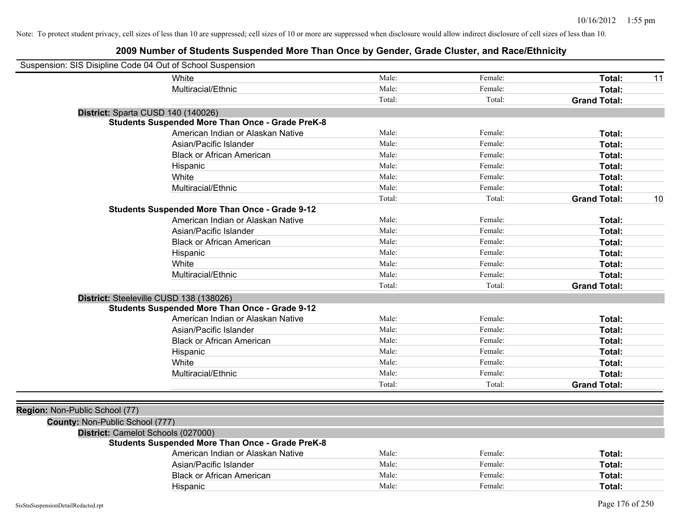| Suspension: SIS Disipline Code 04 Out of School Suspension |                                                         |        |         |                           |
|------------------------------------------------------------|---------------------------------------------------------|--------|---------|---------------------------|
|                                                            | White                                                   | Male:  | Female: | Total:<br>11              |
|                                                            | Multiracial/Ethnic                                      | Male:  | Female: | Total:                    |
|                                                            |                                                         | Total: | Total:  | <b>Grand Total:</b>       |
|                                                            | District: Sparta CUSD 140 (140026)                      |        |         |                           |
|                                                            | <b>Students Suspended More Than Once - Grade PreK-8</b> |        |         |                           |
|                                                            | American Indian or Alaskan Native                       | Male:  | Female: | Total:                    |
|                                                            | Asian/Pacific Islander                                  | Male:  | Female: | Total:                    |
|                                                            | <b>Black or African American</b>                        | Male:  | Female: | Total:                    |
|                                                            | Hispanic                                                | Male:  | Female: | Total:                    |
|                                                            | White                                                   | Male:  | Female: | Total:                    |
|                                                            | Multiracial/Ethnic                                      | Male:  | Female: | Total:                    |
|                                                            |                                                         | Total: | Total:  | 10<br><b>Grand Total:</b> |
|                                                            | <b>Students Suspended More Than Once - Grade 9-12</b>   |        |         |                           |
|                                                            | American Indian or Alaskan Native                       | Male:  | Female: | Total:                    |
|                                                            | Asian/Pacific Islander                                  | Male:  | Female: | Total:                    |
|                                                            | <b>Black or African American</b>                        | Male:  | Female: | Total:                    |
|                                                            | Hispanic                                                | Male:  | Female: | Total:                    |
|                                                            | White                                                   | Male:  | Female: | Total:                    |
|                                                            | Multiracial/Ethnic                                      | Male:  | Female: | Total:                    |
|                                                            |                                                         | Total: | Total:  | <b>Grand Total:</b>       |
|                                                            | District: Steeleville CUSD 138 (138026)                 |        |         |                           |
|                                                            | <b>Students Suspended More Than Once - Grade 9-12</b>   |        |         |                           |
|                                                            | American Indian or Alaskan Native                       | Male:  | Female: | Total:                    |
|                                                            | Asian/Pacific Islander                                  | Male:  | Female: | Total:                    |
|                                                            | <b>Black or African American</b>                        | Male:  | Female: | Total:                    |
|                                                            | Hispanic                                                | Male:  | Female: | Total:                    |
|                                                            | White                                                   | Male:  | Female: | Total:                    |
|                                                            | Multiracial/Ethnic                                      | Male:  | Female: | Total:                    |
|                                                            |                                                         | Total: | Total:  | <b>Grand Total:</b>       |
|                                                            |                                                         |        |         |                           |
| Region: Non-Public School (77)                             |                                                         |        |         |                           |
| County: Non-Public School (777)                            |                                                         |        |         |                           |
|                                                            | District: Camelot Schools (027000)                      |        |         |                           |
|                                                            | <b>Students Suspended More Than Once - Grade PreK-8</b> |        |         |                           |
|                                                            | American Indian or Alaskan Native                       | Male:  | Female: | Total:                    |
|                                                            | Asian/Pacific Islander                                  | Male:  | Female: | Total:                    |
|                                                            | <b>Black or African American</b>                        | Male:  | Female: | Total:                    |
|                                                            | Hispanic                                                | Male:  | Female: | Total:                    |
| SisStuSuspensionDetailRedacted.rpt                         |                                                         |        |         | Page 176 of 250           |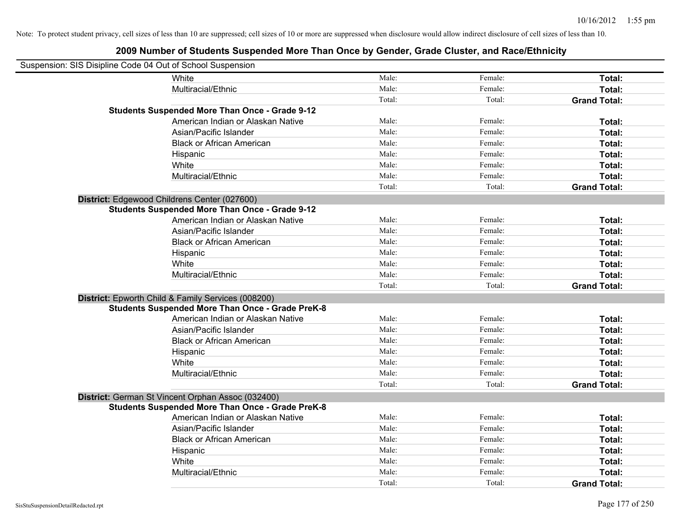| Suspension: SIS Disipline Code 04 Out of School Suspension |                                                         |        |         |                     |
|------------------------------------------------------------|---------------------------------------------------------|--------|---------|---------------------|
|                                                            | <b>White</b>                                            | Male:  | Female: | Total:              |
|                                                            | Multiracial/Ethnic                                      | Male:  | Female: | Total:              |
|                                                            |                                                         | Total: | Total:  | <b>Grand Total:</b> |
|                                                            | <b>Students Suspended More Than Once - Grade 9-12</b>   |        |         |                     |
|                                                            | American Indian or Alaskan Native                       | Male:  | Female: | Total:              |
|                                                            | Asian/Pacific Islander                                  | Male:  | Female: | Total:              |
|                                                            | <b>Black or African American</b>                        | Male:  | Female: | Total:              |
|                                                            | Hispanic                                                | Male:  | Female: | Total:              |
|                                                            | White                                                   | Male:  | Female: | Total:              |
|                                                            | Multiracial/Ethnic                                      | Male:  | Female: | Total:              |
|                                                            |                                                         | Total: | Total:  | <b>Grand Total:</b> |
|                                                            | District: Edgewood Childrens Center (027600)            |        |         |                     |
|                                                            | <b>Students Suspended More Than Once - Grade 9-12</b>   |        |         |                     |
|                                                            | American Indian or Alaskan Native                       | Male:  | Female: | Total:              |
|                                                            | Asian/Pacific Islander                                  | Male:  | Female: | Total:              |
|                                                            | <b>Black or African American</b>                        | Male:  | Female: | Total:              |
|                                                            | Hispanic                                                | Male:  | Female: | Total:              |
|                                                            | White                                                   | Male:  | Female: | Total:              |
|                                                            | Multiracial/Ethnic                                      | Male:  | Female: | Total:              |
|                                                            |                                                         | Total: | Total:  | <b>Grand Total:</b> |
|                                                            | District: Epworth Child & Family Services (008200)      |        |         |                     |
|                                                            | <b>Students Suspended More Than Once - Grade PreK-8</b> |        |         |                     |
|                                                            | American Indian or Alaskan Native                       | Male:  | Female: | Total:              |
|                                                            | Asian/Pacific Islander                                  | Male:  | Female: | Total:              |
|                                                            | <b>Black or African American</b>                        | Male:  | Female: | Total:              |
|                                                            | Hispanic                                                | Male:  | Female: | Total:              |
|                                                            | White                                                   | Male:  | Female: | Total:              |
|                                                            | Multiracial/Ethnic                                      | Male:  | Female: | Total:              |
|                                                            |                                                         | Total: | Total:  | <b>Grand Total:</b> |
|                                                            | District: German St Vincent Orphan Assoc (032400)       |        |         |                     |
|                                                            | <b>Students Suspended More Than Once - Grade PreK-8</b> |        |         |                     |
|                                                            | American Indian or Alaskan Native                       | Male:  | Female: | Total:              |
|                                                            | Asian/Pacific Islander                                  | Male:  | Female: | Total:              |
|                                                            | <b>Black or African American</b>                        | Male:  | Female: | Total:              |
|                                                            | Hispanic                                                | Male:  | Female: | Total:              |
|                                                            | White                                                   | Male:  | Female: | Total:              |
|                                                            | Multiracial/Ethnic                                      | Male:  | Female: | Total:              |
|                                                            |                                                         | Total: | Total:  | <b>Grand Total:</b> |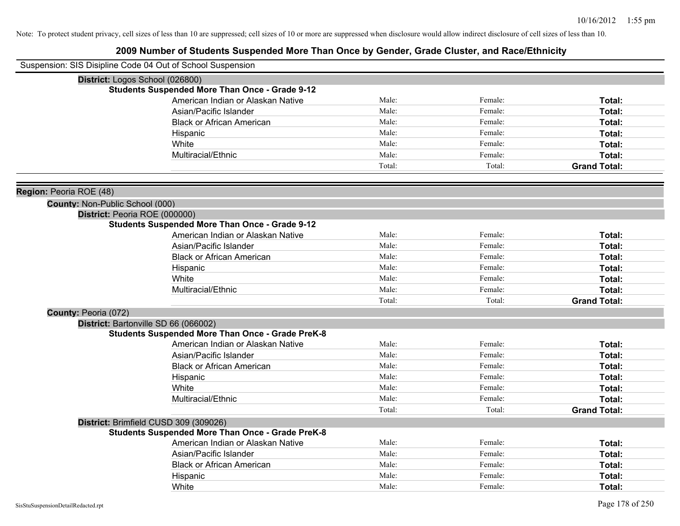|                                 | Suspension: SIS Disipline Code 04 Out of School Suspension                             |        |         |                     |
|---------------------------------|----------------------------------------------------------------------------------------|--------|---------|---------------------|
|                                 | District: Logos School (026800)                                                        |        |         |                     |
|                                 | <b>Students Suspended More Than Once - Grade 9-12</b>                                  |        |         |                     |
|                                 | American Indian or Alaskan Native                                                      | Male:  | Female: | Total:              |
|                                 | Asian/Pacific Islander                                                                 | Male:  | Female: | Total:              |
|                                 | <b>Black or African American</b>                                                       | Male:  | Female: | Total:              |
|                                 | Hispanic                                                                               | Male:  | Female: | Total:              |
|                                 | White                                                                                  | Male:  | Female: | Total:              |
|                                 | Multiracial/Ethnic                                                                     | Male:  | Female: | Total:              |
|                                 |                                                                                        | Total: | Total:  | <b>Grand Total:</b> |
| Region: Peoria ROE (48)         |                                                                                        |        |         |                     |
| County: Non-Public School (000) |                                                                                        |        |         |                     |
|                                 | District: Peoria ROE (000000)<br><b>Students Suspended More Than Once - Grade 9-12</b> |        |         |                     |
|                                 | American Indian or Alaskan Native                                                      | Male:  | Female: | Total:              |
|                                 | Asian/Pacific Islander                                                                 | Male:  | Female: | Total:              |
|                                 | <b>Black or African American</b>                                                       | Male:  | Female: | Total:              |
|                                 | Hispanic                                                                               | Male:  | Female: | Total:              |
|                                 | White                                                                                  | Male:  | Female: | Total:              |
|                                 | Multiracial/Ethnic                                                                     | Male:  | Female: | Total:              |
|                                 |                                                                                        | Total: | Total:  | <b>Grand Total:</b> |
| County: Peoria (072)            |                                                                                        |        |         |                     |
|                                 | District: Bartonville SD 66 (066002)                                                   |        |         |                     |
|                                 | <b>Students Suspended More Than Once - Grade PreK-8</b>                                |        |         |                     |
|                                 | American Indian or Alaskan Native                                                      | Male:  | Female: | Total:              |
|                                 | Asian/Pacific Islander                                                                 | Male:  | Female: | Total:              |
|                                 | <b>Black or African American</b>                                                       | Male:  | Female: | Total:              |
|                                 | Hispanic                                                                               | Male:  | Female: | Total:              |
|                                 | White                                                                                  | Male:  | Female: | Total:              |
|                                 | Multiracial/Ethnic                                                                     | Male:  | Female: | Total:              |
|                                 |                                                                                        | Total: | Total:  | <b>Grand Total:</b> |
|                                 | District: Brimfield CUSD 309 (309026)                                                  |        |         |                     |
|                                 | <b>Students Suspended More Than Once - Grade PreK-8</b>                                |        |         |                     |
|                                 | American Indian or Alaskan Native                                                      | Male:  | Female: | Total:              |
|                                 | Asian/Pacific Islander                                                                 | Male:  | Female: | Total:              |
|                                 | <b>Black or African American</b>                                                       | Male:  | Female: | Total:              |
|                                 | Hispanic                                                                               | Male:  | Female: | Total:              |
|                                 | White                                                                                  | Male:  | Female: | Total:              |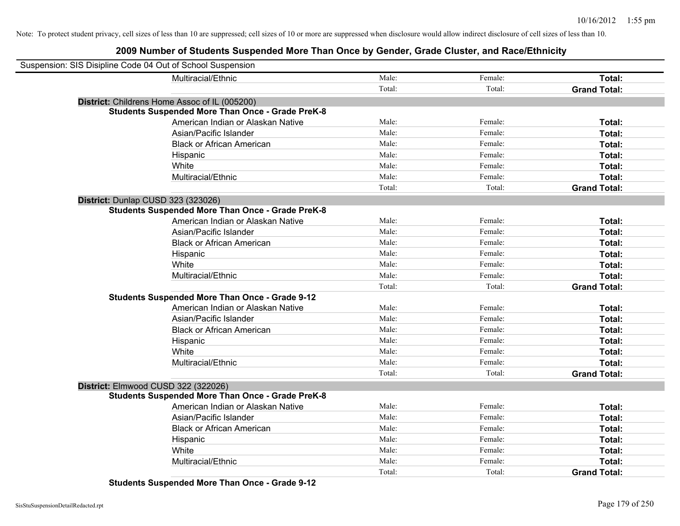# **2009 Number of Students Suspended More Than Once by Gender, Grade Cluster, and Race/Ethnicity**

| Suspension: SIS Disipline Code 04 Out of School Suspension |                                                         |        |         |                     |
|------------------------------------------------------------|---------------------------------------------------------|--------|---------|---------------------|
|                                                            | Multiracial/Ethnic                                      | Male:  | Female: | Total:              |
|                                                            |                                                         | Total: | Total:  | <b>Grand Total:</b> |
|                                                            | District: Childrens Home Assoc of IL (005200)           |        |         |                     |
|                                                            | <b>Students Suspended More Than Once - Grade PreK-8</b> |        |         |                     |
|                                                            | American Indian or Alaskan Native                       | Male:  | Female: | Total:              |
|                                                            | Asian/Pacific Islander                                  | Male:  | Female: | Total:              |
|                                                            | <b>Black or African American</b>                        | Male:  | Female: | Total:              |
|                                                            | Hispanic                                                | Male:  | Female: | Total:              |
|                                                            | White                                                   | Male:  | Female: | Total:              |
|                                                            | Multiracial/Ethnic                                      | Male:  | Female: | Total:              |
|                                                            |                                                         | Total: | Total:  | <b>Grand Total:</b> |
| District: Dunlap CUSD 323 (323026)                         |                                                         |        |         |                     |
|                                                            | <b>Students Suspended More Than Once - Grade PreK-8</b> |        |         |                     |
|                                                            | American Indian or Alaskan Native                       | Male:  | Female: | <b>Total:</b>       |
|                                                            | Asian/Pacific Islander                                  | Male:  | Female: | Total:              |
|                                                            | <b>Black or African American</b>                        | Male:  | Female: | Total:              |
|                                                            | Hispanic                                                | Male:  | Female: | Total:              |
|                                                            | White                                                   | Male:  | Female: | Total:              |
|                                                            | Multiracial/Ethnic                                      | Male:  | Female: | Total:              |
|                                                            |                                                         | Total: | Total:  | <b>Grand Total:</b> |
|                                                            | <b>Students Suspended More Than Once - Grade 9-12</b>   |        |         |                     |
|                                                            | American Indian or Alaskan Native                       | Male:  | Female: | Total:              |
|                                                            | Asian/Pacific Islander                                  | Male:  | Female: | Total:              |
|                                                            | <b>Black or African American</b>                        | Male:  | Female: | Total:              |
|                                                            | Hispanic                                                | Male:  | Female: | Total:              |
|                                                            | White                                                   | Male:  | Female: | Total:              |
|                                                            | Multiracial/Ethnic                                      | Male:  | Female: | Total:              |
|                                                            |                                                         | Total: | Total:  | <b>Grand Total:</b> |
| District: Elmwood CUSD 322 (322026)                        |                                                         |        |         |                     |
|                                                            | <b>Students Suspended More Than Once - Grade PreK-8</b> |        |         |                     |
|                                                            | American Indian or Alaskan Native                       | Male:  | Female: | Total:              |
|                                                            | Asian/Pacific Islander                                  | Male:  | Female: | Total:              |
|                                                            | <b>Black or African American</b>                        | Male:  | Female: | Total:              |
|                                                            | Hispanic                                                | Male:  | Female: | Total:              |
|                                                            | White                                                   | Male:  | Female: | Total:              |
|                                                            | Multiracial/Ethnic                                      | Male:  | Female: | Total:              |
|                                                            |                                                         | Total: | Total:  | <b>Grand Total:</b> |

**Students Suspended More Than Once - Grade 9-12**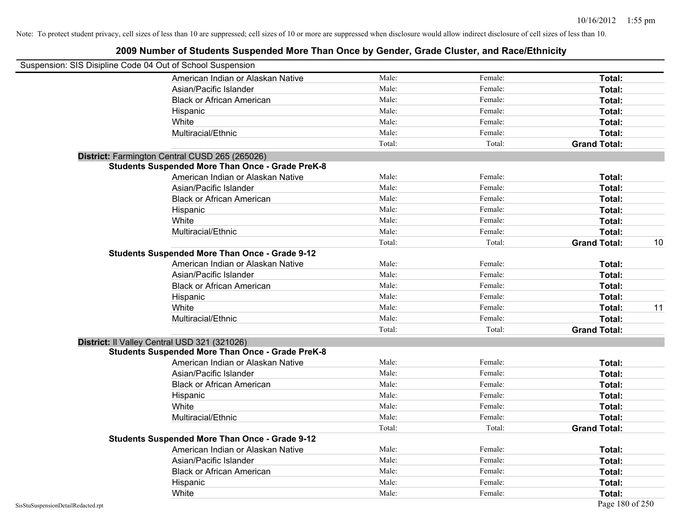| Suspension: SIS Disipline Code 04 Out of School Suspension |                                                         |        |         |                     |    |
|------------------------------------------------------------|---------------------------------------------------------|--------|---------|---------------------|----|
|                                                            | American Indian or Alaskan Native                       | Male:  | Female: | Total:              |    |
|                                                            | Asian/Pacific Islander                                  | Male:  | Female: | Total:              |    |
|                                                            | <b>Black or African American</b>                        | Male:  | Female: | Total:              |    |
|                                                            | Hispanic                                                | Male:  | Female: | Total:              |    |
|                                                            | White                                                   | Male:  | Female: | Total:              |    |
|                                                            | Multiracial/Ethnic                                      | Male:  | Female: | Total:              |    |
|                                                            |                                                         | Total: | Total:  | <b>Grand Total:</b> |    |
|                                                            | District: Farmington Central CUSD 265 (265026)          |        |         |                     |    |
|                                                            | <b>Students Suspended More Than Once - Grade PreK-8</b> |        |         |                     |    |
|                                                            | American Indian or Alaskan Native                       | Male:  | Female: | Total:              |    |
|                                                            | Asian/Pacific Islander                                  | Male:  | Female: | Total:              |    |
|                                                            | <b>Black or African American</b>                        | Male:  | Female: | Total:              |    |
|                                                            | Hispanic                                                | Male:  | Female: | Total:              |    |
|                                                            | White                                                   | Male:  | Female: | Total:              |    |
|                                                            | Multiracial/Ethnic                                      | Male:  | Female: | Total:              |    |
|                                                            |                                                         | Total: | Total:  | <b>Grand Total:</b> | 10 |
|                                                            | <b>Students Suspended More Than Once - Grade 9-12</b>   |        |         |                     |    |
|                                                            | American Indian or Alaskan Native                       | Male:  | Female: | Total:              |    |
|                                                            | Asian/Pacific Islander                                  | Male:  | Female: | Total:              |    |
|                                                            | <b>Black or African American</b>                        | Male:  | Female: | Total:              |    |
|                                                            | Hispanic                                                | Male:  | Female: | Total:              |    |
|                                                            | White                                                   | Male:  | Female: | Total:              | 11 |
|                                                            | Multiracial/Ethnic                                      | Male:  | Female: | Total:              |    |
|                                                            |                                                         | Total: | Total:  | <b>Grand Total:</b> |    |
|                                                            | District: Il Valley Central USD 321 (321026)            |        |         |                     |    |
|                                                            | <b>Students Suspended More Than Once - Grade PreK-8</b> |        |         |                     |    |
|                                                            | American Indian or Alaskan Native                       | Male:  | Female: | Total:              |    |
|                                                            | Asian/Pacific Islander                                  | Male:  | Female: | Total:              |    |
|                                                            | <b>Black or African American</b>                        | Male:  | Female: | Total:              |    |
|                                                            | Hispanic                                                | Male:  | Female: | Total:              |    |
|                                                            | White                                                   | Male:  | Female: | Total:              |    |
|                                                            | Multiracial/Ethnic                                      | Male:  | Female: | Total:              |    |
|                                                            |                                                         | Total: | Total:  | <b>Grand Total:</b> |    |
|                                                            | <b>Students Suspended More Than Once - Grade 9-12</b>   |        |         |                     |    |
|                                                            | American Indian or Alaskan Native                       | Male:  | Female: | Total:              |    |
|                                                            | Asian/Pacific Islander                                  | Male:  | Female: | Total:              |    |
|                                                            | <b>Black or African American</b>                        | Male:  | Female: | Total:              |    |
|                                                            | Hispanic                                                | Male:  | Female: | Total:              |    |
|                                                            | White                                                   | Male:  | Female: | Total:              |    |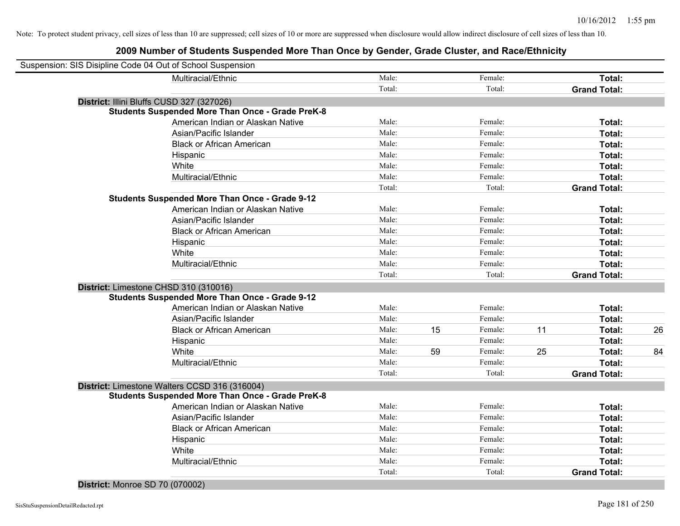| Suspension: SIS Disipline Code 04 Out of School Suspension |                                                         |        |    |         |    |                     |    |
|------------------------------------------------------------|---------------------------------------------------------|--------|----|---------|----|---------------------|----|
|                                                            | Multiracial/Ethnic                                      | Male:  |    | Female: |    | Total:              |    |
|                                                            |                                                         | Total: |    | Total:  |    | <b>Grand Total:</b> |    |
| District: Illini Bluffs CUSD 327 (327026)                  |                                                         |        |    |         |    |                     |    |
|                                                            | <b>Students Suspended More Than Once - Grade PreK-8</b> |        |    |         |    |                     |    |
|                                                            | American Indian or Alaskan Native                       | Male:  |    | Female: |    | Total:              |    |
|                                                            | Asian/Pacific Islander                                  | Male:  |    | Female: |    | Total:              |    |
|                                                            | <b>Black or African American</b>                        | Male:  |    | Female: |    | Total:              |    |
|                                                            | Hispanic                                                | Male:  |    | Female: |    | Total:              |    |
|                                                            | White                                                   | Male:  |    | Female: |    | Total:              |    |
|                                                            | Multiracial/Ethnic                                      | Male:  |    | Female: |    | Total:              |    |
|                                                            |                                                         | Total: |    | Total:  |    | <b>Grand Total:</b> |    |
|                                                            | <b>Students Suspended More Than Once - Grade 9-12</b>   |        |    |         |    |                     |    |
|                                                            | American Indian or Alaskan Native                       | Male:  |    | Female: |    | Total:              |    |
|                                                            | Asian/Pacific Islander                                  | Male:  |    | Female: |    | Total:              |    |
|                                                            | <b>Black or African American</b>                        | Male:  |    | Female: |    | Total:              |    |
|                                                            | Hispanic                                                | Male:  |    | Female: |    | Total:              |    |
|                                                            | White                                                   | Male:  |    | Female: |    | Total:              |    |
|                                                            | Multiracial/Ethnic                                      | Male:  |    | Female: |    | Total:              |    |
|                                                            |                                                         | Total: |    | Total:  |    | <b>Grand Total:</b> |    |
| District: Limestone CHSD 310 (310016)                      |                                                         |        |    |         |    |                     |    |
|                                                            | <b>Students Suspended More Than Once - Grade 9-12</b>   |        |    |         |    |                     |    |
|                                                            | American Indian or Alaskan Native                       | Male:  |    | Female: |    | Total:              |    |
|                                                            | Asian/Pacific Islander                                  | Male:  |    | Female: |    | Total:              |    |
|                                                            | <b>Black or African American</b>                        | Male:  | 15 | Female: | 11 | Total:              | 26 |
|                                                            | Hispanic                                                | Male:  |    | Female: |    | Total:              |    |
|                                                            | White                                                   | Male:  | 59 | Female: | 25 | Total:              | 84 |
|                                                            | Multiracial/Ethnic                                      | Male:  |    | Female: |    | Total:              |    |
|                                                            |                                                         | Total: |    | Total:  |    | <b>Grand Total:</b> |    |
|                                                            | District: Limestone Walters CCSD 316 (316004)           |        |    |         |    |                     |    |
|                                                            | <b>Students Suspended More Than Once - Grade PreK-8</b> |        |    |         |    |                     |    |
|                                                            | American Indian or Alaskan Native                       | Male:  |    | Female: |    | Total:              |    |
|                                                            | Asian/Pacific Islander                                  | Male:  |    | Female: |    | Total:              |    |
|                                                            | <b>Black or African American</b>                        | Male:  |    | Female: |    | Total:              |    |
|                                                            | Hispanic                                                | Male:  |    | Female: |    | Total:              |    |
|                                                            | White                                                   | Male:  |    | Female: |    | Total:              |    |
|                                                            | Multiracial/Ethnic                                      | Male:  |    | Female: |    | Total:              |    |
|                                                            |                                                         |        |    |         |    |                     |    |
|                                                            |                                                         | Total: |    | Total:  |    | <b>Grand Total:</b> |    |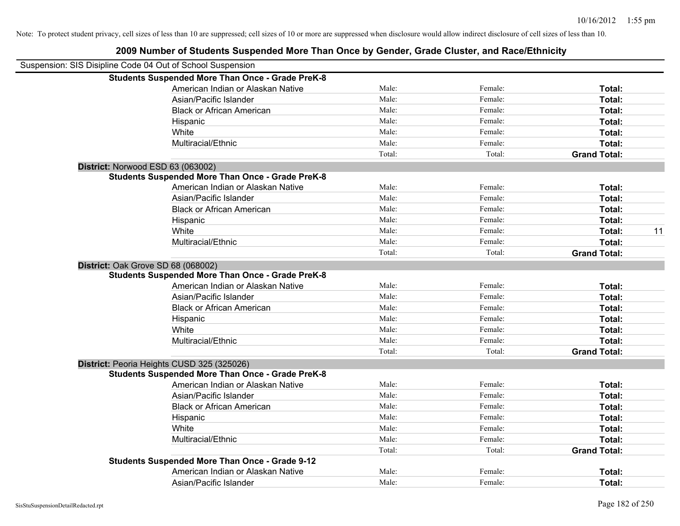| Suspension: SIS Disipline Code 04 Out of School Suspension |                                                         |        |         |                     |    |
|------------------------------------------------------------|---------------------------------------------------------|--------|---------|---------------------|----|
|                                                            | <b>Students Suspended More Than Once - Grade PreK-8</b> |        |         |                     |    |
|                                                            | American Indian or Alaskan Native                       | Male:  | Female: | Total:              |    |
|                                                            | Asian/Pacific Islander                                  | Male:  | Female: | Total:              |    |
|                                                            | <b>Black or African American</b>                        | Male:  | Female: | Total:              |    |
|                                                            | Hispanic                                                | Male:  | Female: | Total:              |    |
|                                                            | White                                                   | Male:  | Female: | Total:              |    |
|                                                            | Multiracial/Ethnic                                      | Male:  | Female: | Total:              |    |
|                                                            |                                                         | Total: | Total:  | <b>Grand Total:</b> |    |
|                                                            | District: Norwood ESD 63 (063002)                       |        |         |                     |    |
|                                                            | <b>Students Suspended More Than Once - Grade PreK-8</b> |        |         |                     |    |
|                                                            | American Indian or Alaskan Native                       | Male:  | Female: | Total:              |    |
|                                                            | Asian/Pacific Islander                                  | Male:  | Female: | Total:              |    |
|                                                            | <b>Black or African American</b>                        | Male:  | Female: | Total:              |    |
|                                                            | Hispanic                                                | Male:  | Female: | Total:              |    |
|                                                            | White                                                   | Male:  | Female: | Total:              | 11 |
|                                                            | Multiracial/Ethnic                                      | Male:  | Female: | Total:              |    |
|                                                            |                                                         | Total: | Total:  | <b>Grand Total:</b> |    |
|                                                            | District: Oak Grove SD 68 (068002)                      |        |         |                     |    |
|                                                            | <b>Students Suspended More Than Once - Grade PreK-8</b> |        |         |                     |    |
|                                                            | American Indian or Alaskan Native                       | Male:  | Female: | Total:              |    |
|                                                            | Asian/Pacific Islander                                  | Male:  | Female: | Total:              |    |
|                                                            | <b>Black or African American</b>                        | Male:  | Female: | Total:              |    |
|                                                            | Hispanic                                                | Male:  | Female: | Total:              |    |
|                                                            | White                                                   | Male:  | Female: | Total:              |    |
|                                                            | Multiracial/Ethnic                                      | Male:  | Female: | Total:              |    |
|                                                            |                                                         | Total: | Total:  | <b>Grand Total:</b> |    |
|                                                            | District: Peoria Heights CUSD 325 (325026)              |        |         |                     |    |
|                                                            | <b>Students Suspended More Than Once - Grade PreK-8</b> |        |         |                     |    |
|                                                            | American Indian or Alaskan Native                       | Male:  | Female: | Total:              |    |
|                                                            | Asian/Pacific Islander                                  | Male:  | Female: | Total:              |    |
|                                                            | <b>Black or African American</b>                        | Male:  | Female: | Total:              |    |
|                                                            | Hispanic                                                | Male:  | Female: | Total:              |    |
|                                                            | White                                                   | Male:  | Female: | Total:              |    |
|                                                            | Multiracial/Ethnic                                      | Male:  | Female: | Total:              |    |
|                                                            |                                                         | Total: | Total:  | <b>Grand Total:</b> |    |
|                                                            | <b>Students Suspended More Than Once - Grade 9-12</b>   |        |         |                     |    |
|                                                            | American Indian or Alaskan Native                       | Male:  | Female: | Total:              |    |
|                                                            | Asian/Pacific Islander                                  | Male:  | Female: | Total:              |    |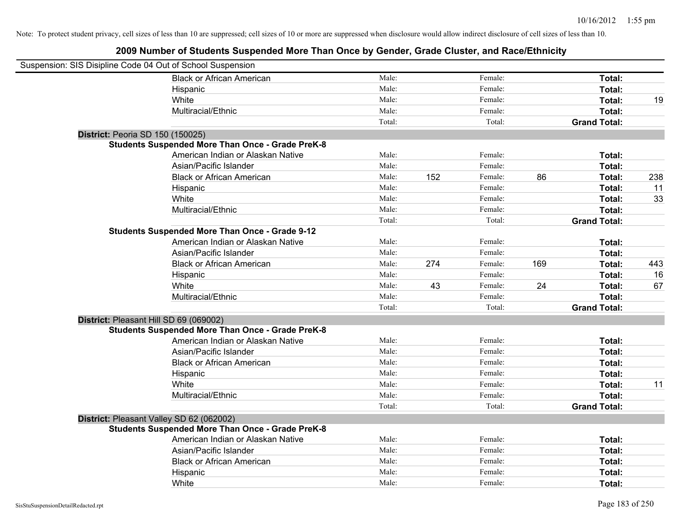| Suspension: SIS Disipline Code 04 Out of School Suspension |                                                         |        |     |         |     |                     |     |
|------------------------------------------------------------|---------------------------------------------------------|--------|-----|---------|-----|---------------------|-----|
|                                                            | <b>Black or African American</b>                        | Male:  |     | Female: |     | Total:              |     |
|                                                            | Hispanic                                                | Male:  |     | Female: |     | <b>Total:</b>       |     |
|                                                            | White                                                   | Male:  |     | Female: |     | Total:              | 19  |
|                                                            | Multiracial/Ethnic                                      | Male:  |     | Female: |     | Total:              |     |
|                                                            |                                                         | Total: |     | Total:  |     | <b>Grand Total:</b> |     |
| District: Peoria SD 150 (150025)                           |                                                         |        |     |         |     |                     |     |
|                                                            | <b>Students Suspended More Than Once - Grade PreK-8</b> |        |     |         |     |                     |     |
|                                                            | American Indian or Alaskan Native                       | Male:  |     | Female: |     | Total:              |     |
|                                                            | Asian/Pacific Islander                                  | Male:  |     | Female: |     | Total:              |     |
|                                                            | <b>Black or African American</b>                        | Male:  | 152 | Female: | 86  | Total:              | 238 |
|                                                            | Hispanic                                                | Male:  |     | Female: |     | Total:              | 11  |
|                                                            | White                                                   | Male:  |     | Female: |     | Total:              | 33  |
|                                                            | Multiracial/Ethnic                                      | Male:  |     | Female: |     | Total:              |     |
|                                                            |                                                         | Total: |     | Total:  |     | <b>Grand Total:</b> |     |
|                                                            | <b>Students Suspended More Than Once - Grade 9-12</b>   |        |     |         |     |                     |     |
|                                                            | American Indian or Alaskan Native                       | Male:  |     | Female: |     | Total:              |     |
|                                                            | Asian/Pacific Islander                                  | Male:  |     | Female: |     | Total:              |     |
|                                                            | <b>Black or African American</b>                        | Male:  | 274 | Female: | 169 | Total:              | 443 |
|                                                            | Hispanic                                                | Male:  |     | Female: |     | Total:              | 16  |
|                                                            | White                                                   | Male:  | 43  | Female: | 24  | Total:              | 67  |
|                                                            | Multiracial/Ethnic                                      | Male:  |     | Female: |     | Total:              |     |
|                                                            |                                                         | Total: |     | Total:  |     | <b>Grand Total:</b> |     |
| District: Pleasant Hill SD 69 (069002)                     |                                                         |        |     |         |     |                     |     |
|                                                            | <b>Students Suspended More Than Once - Grade PreK-8</b> |        |     |         |     |                     |     |
|                                                            | American Indian or Alaskan Native                       | Male:  |     | Female: |     | Total:              |     |
|                                                            | Asian/Pacific Islander                                  | Male:  |     | Female: |     | Total:              |     |
|                                                            | <b>Black or African American</b>                        | Male:  |     | Female: |     | Total:              |     |
|                                                            | Hispanic                                                | Male:  |     | Female: |     | Total:              |     |
|                                                            | White                                                   | Male:  |     | Female: |     | Total:              | 11  |
|                                                            | Multiracial/Ethnic                                      | Male:  |     | Female: |     | Total:              |     |
|                                                            |                                                         | Total: |     | Total:  |     | <b>Grand Total:</b> |     |
| District: Pleasant Valley SD 62 (062002)                   |                                                         |        |     |         |     |                     |     |
|                                                            | <b>Students Suspended More Than Once - Grade PreK-8</b> |        |     |         |     |                     |     |
|                                                            | American Indian or Alaskan Native                       | Male:  |     | Female: |     | Total:              |     |
|                                                            | Asian/Pacific Islander                                  | Male:  |     | Female: |     | Total:              |     |
|                                                            | <b>Black or African American</b>                        | Male:  |     | Female: |     | Total:              |     |
|                                                            | Hispanic                                                | Male:  |     | Female: |     | Total:              |     |
|                                                            | White                                                   | Male:  |     | Female: |     | Total:              |     |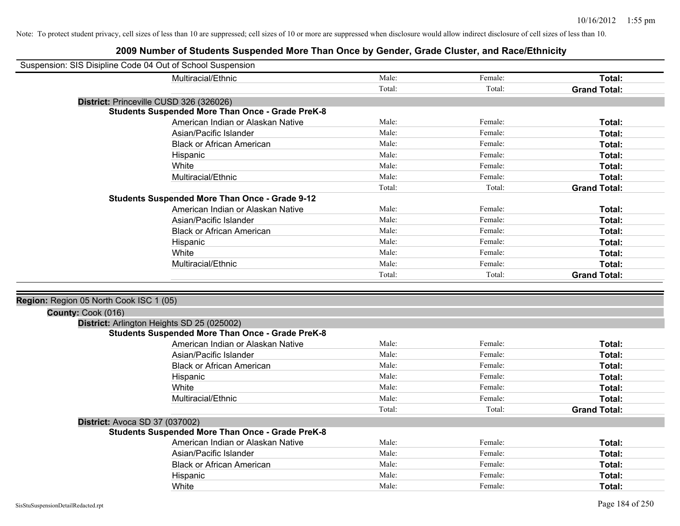| Suspension: SIS Disipline Code 04 Out of School Suspension |                                                         |        |         |                     |
|------------------------------------------------------------|---------------------------------------------------------|--------|---------|---------------------|
|                                                            | Multiracial/Ethnic                                      | Male:  | Female: | Total:              |
|                                                            |                                                         | Total: | Total:  | <b>Grand Total:</b> |
|                                                            | District: Princeville CUSD 326 (326026)                 |        |         |                     |
|                                                            | <b>Students Suspended More Than Once - Grade PreK-8</b> |        |         |                     |
|                                                            | American Indian or Alaskan Native                       | Male:  | Female: | Total:              |
|                                                            | Asian/Pacific Islander                                  | Male:  | Female: | Total:              |
|                                                            | <b>Black or African American</b>                        | Male:  | Female: | Total:              |
|                                                            | Hispanic                                                | Male:  | Female: | Total:              |
|                                                            | White                                                   | Male:  | Female: | Total:              |
|                                                            | Multiracial/Ethnic                                      | Male:  | Female: | Total:              |
|                                                            |                                                         | Total: | Total:  | <b>Grand Total:</b> |
|                                                            | <b>Students Suspended More Than Once - Grade 9-12</b>   |        |         |                     |
|                                                            | American Indian or Alaskan Native                       | Male:  | Female: | Total:              |
|                                                            | Asian/Pacific Islander                                  | Male:  | Female: | Total:              |
|                                                            | <b>Black or African American</b>                        | Male:  | Female: | Total:              |
|                                                            | Hispanic                                                | Male:  | Female: | Total:              |
|                                                            | White                                                   | Male:  | Female: | Total:              |
|                                                            | Multiracial/Ethnic                                      | Male:  | Female: | Total:              |
|                                                            |                                                         | Total: | Total:  | <b>Grand Total:</b> |
|                                                            |                                                         |        |         |                     |
| Region: Region 05 North Cook ISC 1 (05)                    |                                                         |        |         |                     |
| County: Cook (016)                                         |                                                         |        |         |                     |
|                                                            | District: Arlington Heights SD 25 (025002)              |        |         |                     |
|                                                            | <b>Students Suspended More Than Once - Grade PreK-8</b> |        |         |                     |
|                                                            | American Indian or Alaskan Native                       | Male:  | Female: | Total:              |
|                                                            | Asian/Pacific Islander                                  | Male:  | Female: | Total:              |
|                                                            | <b>Black or African American</b>                        | Male:  | Female: | Total:              |
|                                                            | Hispanic                                                | Male:  | Female: | Total:              |
|                                                            | White                                                   | Male:  | Female: | Total:              |
|                                                            | Multiracial/Ethnic                                      | Male:  | Female: | Total:              |
|                                                            |                                                         | Total: | Total:  | <b>Grand Total:</b> |
| <b>District: Avoca SD 37 (037002)</b>                      |                                                         |        |         |                     |
|                                                            | <b>Students Suspended More Than Once - Grade PreK-8</b> |        |         |                     |
|                                                            | American Indian or Alaskan Native                       | Male:  | Female: | Total:              |
|                                                            | Asian/Pacific Islander                                  | Male:  | Female: | Total:              |
|                                                            | <b>Black or African American</b>                        | Male:  | Female: | Total:              |
|                                                            | Hispanic                                                | Male:  | Female: | <b>Total:</b>       |
|                                                            | White                                                   | Male:  | Female: | Total:              |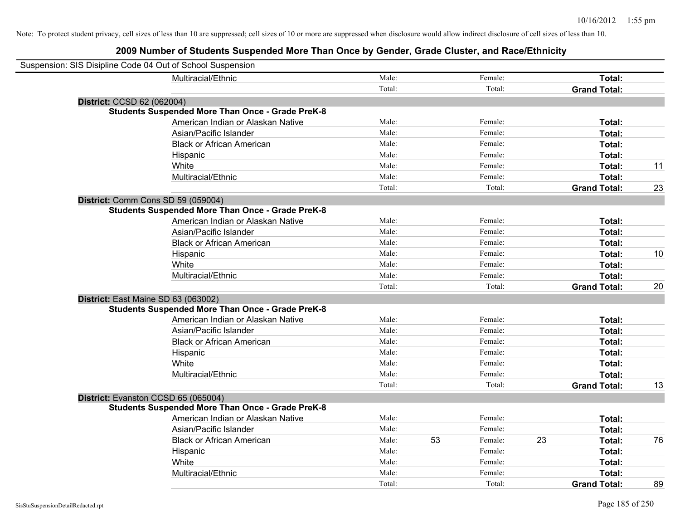| Suspension: SIS Disipline Code 04 Out of School Suspension |                                                         |        |    |         |    |                     |    |
|------------------------------------------------------------|---------------------------------------------------------|--------|----|---------|----|---------------------|----|
|                                                            | Multiracial/Ethnic                                      | Male:  |    | Female: |    | Total:              |    |
|                                                            |                                                         | Total: |    | Total:  |    | <b>Grand Total:</b> |    |
| District: CCSD 62 (062004)                                 |                                                         |        |    |         |    |                     |    |
|                                                            | <b>Students Suspended More Than Once - Grade PreK-8</b> |        |    |         |    |                     |    |
|                                                            | American Indian or Alaskan Native                       | Male:  |    | Female: |    | Total:              |    |
|                                                            | Asian/Pacific Islander                                  | Male:  |    | Female: |    | Total:              |    |
|                                                            | <b>Black or African American</b>                        | Male:  |    | Female: |    | Total:              |    |
|                                                            | Hispanic                                                | Male:  |    | Female: |    | Total:              |    |
|                                                            | White                                                   | Male:  |    | Female: |    | Total:              | 11 |
|                                                            | Multiracial/Ethnic                                      | Male:  |    | Female: |    | Total:              |    |
|                                                            |                                                         | Total: |    | Total:  |    | <b>Grand Total:</b> | 23 |
| District: Comm Cons SD 59 (059004)                         |                                                         |        |    |         |    |                     |    |
|                                                            | <b>Students Suspended More Than Once - Grade PreK-8</b> |        |    |         |    |                     |    |
|                                                            | American Indian or Alaskan Native                       | Male:  |    | Female: |    | Total:              |    |
|                                                            | Asian/Pacific Islander                                  | Male:  |    | Female: |    | Total:              |    |
|                                                            | <b>Black or African American</b>                        | Male:  |    | Female: |    | Total:              |    |
|                                                            | Hispanic                                                | Male:  |    | Female: |    | Total:              | 10 |
|                                                            | White                                                   | Male:  |    | Female: |    | Total:              |    |
|                                                            | Multiracial/Ethnic                                      | Male:  |    | Female: |    | Total:              |    |
|                                                            |                                                         | Total: |    | Total:  |    | <b>Grand Total:</b> | 20 |
| District: East Maine SD 63 (063002)                        |                                                         |        |    |         |    |                     |    |
|                                                            | <b>Students Suspended More Than Once - Grade PreK-8</b> |        |    |         |    |                     |    |
|                                                            | American Indian or Alaskan Native                       | Male:  |    | Female: |    | Total:              |    |
|                                                            | Asian/Pacific Islander                                  | Male:  |    | Female: |    | Total:              |    |
|                                                            | <b>Black or African American</b>                        | Male:  |    | Female: |    | Total:              |    |
|                                                            | Hispanic                                                | Male:  |    | Female: |    | Total:              |    |
|                                                            | White                                                   | Male:  |    | Female: |    | Total:              |    |
|                                                            | Multiracial/Ethnic                                      | Male:  |    | Female: |    | Total:              |    |
|                                                            |                                                         | Total: |    | Total:  |    | <b>Grand Total:</b> | 13 |
| District: Evanston CCSD 65 (065004)                        |                                                         |        |    |         |    |                     |    |
|                                                            | <b>Students Suspended More Than Once - Grade PreK-8</b> |        |    |         |    |                     |    |
|                                                            | American Indian or Alaskan Native                       | Male:  |    | Female: |    | Total:              |    |
|                                                            | Asian/Pacific Islander                                  | Male:  |    | Female: |    | Total:              |    |
|                                                            | <b>Black or African American</b>                        | Male:  | 53 | Female: | 23 | Total:              | 76 |
|                                                            | Hispanic                                                | Male:  |    | Female: |    | Total:              |    |
|                                                            | White                                                   | Male:  |    | Female: |    | Total:              |    |
|                                                            | Multiracial/Ethnic                                      | Male:  |    | Female: |    | Total:              |    |
|                                                            |                                                         | Total: |    | Total:  |    | <b>Grand Total:</b> | 89 |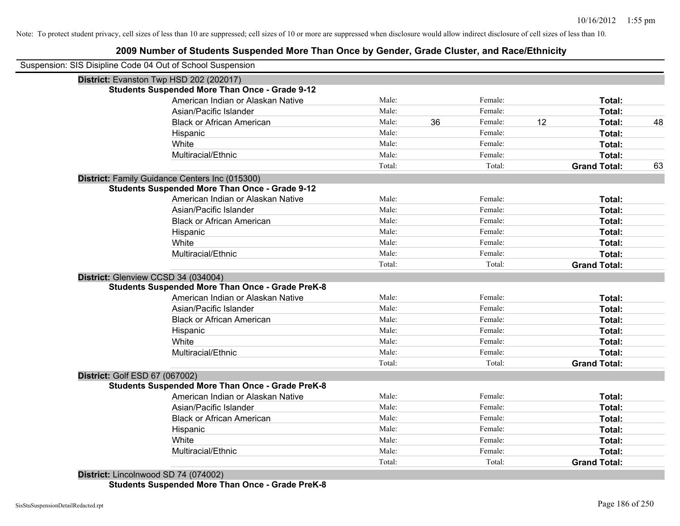# **2009 Number of Students Suspended More Than Once by Gender, Grade Cluster, and Race/Ethnicity**

|                                | Suspension: SIS Disipline Code 04 Out of School Suspension |        |    |         |    |                     |    |
|--------------------------------|------------------------------------------------------------|--------|----|---------|----|---------------------|----|
|                                | District: Evanston Twp HSD 202 (202017)                    |        |    |         |    |                     |    |
|                                | <b>Students Suspended More Than Once - Grade 9-12</b>      |        |    |         |    |                     |    |
|                                | American Indian or Alaskan Native                          | Male:  |    | Female: |    | Total:              |    |
|                                | Asian/Pacific Islander                                     | Male:  |    | Female: |    | Total:              |    |
|                                | <b>Black or African American</b>                           | Male:  | 36 | Female: | 12 | Total:              | 48 |
|                                | Hispanic                                                   | Male:  |    | Female: |    | Total:              |    |
|                                | White                                                      | Male:  |    | Female: |    | Total:              |    |
|                                | Multiracial/Ethnic                                         | Male:  |    | Female: |    | Total:              |    |
|                                |                                                            | Total: |    | Total:  |    | <b>Grand Total:</b> | 63 |
|                                | District: Family Guidance Centers Inc (015300)             |        |    |         |    |                     |    |
|                                | <b>Students Suspended More Than Once - Grade 9-12</b>      |        |    |         |    |                     |    |
|                                | American Indian or Alaskan Native                          | Male:  |    | Female: |    | Total:              |    |
|                                | Asian/Pacific Islander                                     | Male:  |    | Female: |    | Total:              |    |
|                                | <b>Black or African American</b>                           | Male:  |    | Female: |    | Total:              |    |
|                                | Hispanic                                                   | Male:  |    | Female: |    | Total:              |    |
|                                | White                                                      | Male:  |    | Female: |    | Total:              |    |
|                                | Multiracial/Ethnic                                         | Male:  |    | Female: |    | Total:              |    |
|                                |                                                            | Total: |    | Total:  |    | <b>Grand Total:</b> |    |
|                                | District: Glenview CCSD 34 (034004)                        |        |    |         |    |                     |    |
|                                | <b>Students Suspended More Than Once - Grade PreK-8</b>    |        |    |         |    |                     |    |
|                                | American Indian or Alaskan Native                          | Male:  |    | Female: |    | Total:              |    |
|                                | Asian/Pacific Islander                                     | Male:  |    | Female: |    | Total:              |    |
|                                | <b>Black or African American</b>                           | Male:  |    | Female: |    | Total:              |    |
|                                | Hispanic                                                   | Male:  |    | Female: |    | Total:              |    |
|                                | White                                                      | Male:  |    | Female: |    | Total:              |    |
|                                | Multiracial/Ethnic                                         | Male:  |    | Female: |    | Total:              |    |
|                                |                                                            | Total: |    | Total:  |    | <b>Grand Total:</b> |    |
| District: Golf ESD 67 (067002) |                                                            |        |    |         |    |                     |    |
|                                | <b>Students Suspended More Than Once - Grade PreK-8</b>    |        |    |         |    |                     |    |
|                                | American Indian or Alaskan Native                          | Male:  |    | Female: |    | Total:              |    |
|                                | Asian/Pacific Islander                                     | Male:  |    | Female: |    | Total:              |    |
|                                | <b>Black or African American</b>                           | Male:  |    | Female: |    | Total:              |    |
|                                | Hispanic                                                   | Male:  |    | Female: |    | Total:              |    |
|                                | White                                                      | Male:  |    | Female: |    | Total:              |    |
|                                | Multiracial/Ethnic                                         | Male:  |    | Female: |    | Total:              |    |
|                                |                                                            | Total: |    | Total:  |    | <b>Grand Total:</b> |    |

**Students Suspended More Than Once - Grade PreK-8**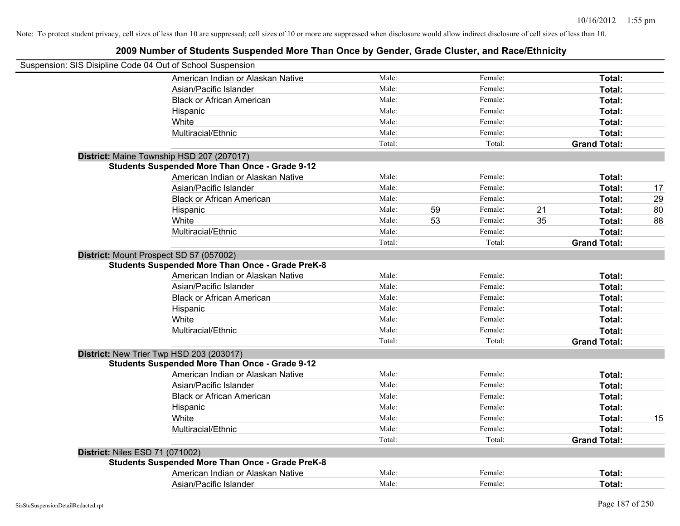|                                        | Suspension: SIS Disipline Code 04 Out of School Suspension |        |    |         |    |                     |    |
|----------------------------------------|------------------------------------------------------------|--------|----|---------|----|---------------------|----|
|                                        | American Indian or Alaskan Native                          | Male:  |    | Female: |    | Total:              |    |
|                                        | Asian/Pacific Islander                                     | Male:  |    | Female: |    | Total:              |    |
|                                        | <b>Black or African American</b>                           | Male:  |    | Female: |    | Total:              |    |
|                                        | Hispanic                                                   | Male:  |    | Female: |    | Total:              |    |
|                                        | White                                                      | Male:  |    | Female: |    | Total:              |    |
|                                        | Multiracial/Ethnic                                         | Male:  |    | Female: |    | Total:              |    |
|                                        |                                                            | Total: |    | Total:  |    | <b>Grand Total:</b> |    |
|                                        | District: Maine Township HSD 207 (207017)                  |        |    |         |    |                     |    |
|                                        | <b>Students Suspended More Than Once - Grade 9-12</b>      |        |    |         |    |                     |    |
|                                        | American Indian or Alaskan Native                          | Male:  |    | Female: |    | Total:              |    |
|                                        | Asian/Pacific Islander                                     | Male:  |    | Female: |    | Total:              | 17 |
|                                        | <b>Black or African American</b>                           | Male:  |    | Female: |    | Total:              | 29 |
|                                        | Hispanic                                                   | Male:  | 59 | Female: | 21 | Total:              | 80 |
|                                        | White                                                      | Male:  | 53 | Female: | 35 | Total:              | 88 |
|                                        | Multiracial/Ethnic                                         | Male:  |    | Female: |    | Total:              |    |
|                                        |                                                            | Total: |    | Total:  |    | <b>Grand Total:</b> |    |
|                                        | District: Mount Prospect SD 57 (057002)                    |        |    |         |    |                     |    |
|                                        | <b>Students Suspended More Than Once - Grade PreK-8</b>    |        |    |         |    |                     |    |
|                                        | American Indian or Alaskan Native                          | Male:  |    | Female: |    | Total:              |    |
|                                        | Asian/Pacific Islander                                     | Male:  |    | Female: |    | Total:              |    |
|                                        | <b>Black or African American</b>                           | Male:  |    | Female: |    | Total:              |    |
|                                        | Hispanic                                                   | Male:  |    | Female: |    | Total:              |    |
|                                        | White                                                      | Male:  |    | Female: |    | Total:              |    |
|                                        | Multiracial/Ethnic                                         | Male:  |    | Female: |    | Total:              |    |
|                                        |                                                            | Total: |    | Total:  |    | <b>Grand Total:</b> |    |
|                                        | District: New Trier Twp HSD 203 (203017)                   |        |    |         |    |                     |    |
|                                        | <b>Students Suspended More Than Once - Grade 9-12</b>      |        |    |         |    |                     |    |
|                                        | American Indian or Alaskan Native                          | Male:  |    | Female: |    | Total:              |    |
|                                        | Asian/Pacific Islander                                     | Male:  |    | Female: |    | Total:              |    |
|                                        | <b>Black or African American</b>                           | Male:  |    | Female: |    | Total:              |    |
|                                        | Hispanic                                                   | Male:  |    | Female: |    | Total:              |    |
|                                        | White                                                      | Male:  |    | Female: |    | Total:              | 15 |
|                                        | Multiracial/Ethnic                                         | Male:  |    | Female: |    | Total:              |    |
|                                        |                                                            | Total: |    | Total:  |    | <b>Grand Total:</b> |    |
| <b>District: Niles ESD 71 (071002)</b> |                                                            |        |    |         |    |                     |    |
|                                        | <b>Students Suspended More Than Once - Grade PreK-8</b>    |        |    |         |    |                     |    |
|                                        | American Indian or Alaskan Native                          | Male:  |    | Female: |    | Total:              |    |
|                                        | Asian/Pacific Islander                                     | Male:  |    | Female: |    | Total:              |    |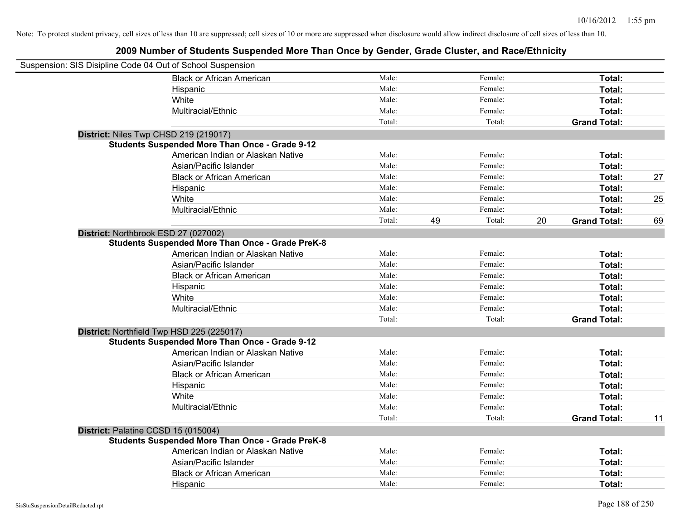| Suspension: SIS Disipline Code 04 Out of School Suspension |                                   |        |    |         |    |                     |    |
|------------------------------------------------------------|-----------------------------------|--------|----|---------|----|---------------------|----|
| <b>Black or African American</b>                           |                                   | Male:  |    | Female: |    | Total:              |    |
| Hispanic                                                   |                                   | Male:  |    | Female: |    | Total:              |    |
| White                                                      |                                   | Male:  |    | Female: |    | Total:              |    |
| Multiracial/Ethnic                                         |                                   | Male:  |    | Female: |    | Total:              |    |
|                                                            |                                   | Total: |    | Total:  |    | <b>Grand Total:</b> |    |
| District: Niles Twp CHSD 219 (219017)                      |                                   |        |    |         |    |                     |    |
| <b>Students Suspended More Than Once - Grade 9-12</b>      |                                   |        |    |         |    |                     |    |
|                                                            | American Indian or Alaskan Native | Male:  |    | Female: |    | Total:              |    |
| Asian/Pacific Islander                                     |                                   | Male:  |    | Female: |    | Total:              |    |
| <b>Black or African American</b>                           |                                   | Male:  |    | Female: |    | Total:              | 27 |
| Hispanic                                                   |                                   | Male:  |    | Female: |    | Total:              |    |
| White                                                      |                                   | Male:  |    | Female: |    | Total:              | 25 |
| Multiracial/Ethnic                                         |                                   | Male:  |    | Female: |    | Total:              |    |
|                                                            |                                   | Total: | 49 | Total:  | 20 | <b>Grand Total:</b> | 69 |
| District: Northbrook ESD 27 (027002)                       |                                   |        |    |         |    |                     |    |
| <b>Students Suspended More Than Once - Grade PreK-8</b>    |                                   |        |    |         |    |                     |    |
|                                                            | American Indian or Alaskan Native | Male:  |    | Female: |    | Total:              |    |
| Asian/Pacific Islander                                     |                                   | Male:  |    | Female: |    | Total:              |    |
| <b>Black or African American</b>                           |                                   | Male:  |    | Female: |    | Total:              |    |
| Hispanic                                                   |                                   | Male:  |    | Female: |    | Total:              |    |
| White                                                      |                                   | Male:  |    | Female: |    | Total:              |    |
| Multiracial/Ethnic                                         |                                   | Male:  |    | Female: |    | Total:              |    |
|                                                            |                                   | Total: |    | Total:  |    | <b>Grand Total:</b> |    |
| District: Northfield Twp HSD 225 (225017)                  |                                   |        |    |         |    |                     |    |
| <b>Students Suspended More Than Once - Grade 9-12</b>      |                                   |        |    |         |    |                     |    |
|                                                            | American Indian or Alaskan Native | Male:  |    | Female: |    | Total:              |    |
| Asian/Pacific Islander                                     |                                   | Male:  |    | Female: |    | Total:              |    |
| <b>Black or African American</b>                           |                                   | Male:  |    | Female: |    | Total:              |    |
| Hispanic                                                   |                                   | Male:  |    | Female: |    | Total:              |    |
| White                                                      |                                   | Male:  |    | Female: |    | Total:              |    |
| Multiracial/Ethnic                                         |                                   | Male:  |    | Female: |    | Total:              |    |
|                                                            |                                   | Total: |    | Total:  |    | <b>Grand Total:</b> | 11 |
| District: Palatine CCSD 15 (015004)                        |                                   |        |    |         |    |                     |    |
| <b>Students Suspended More Than Once - Grade PreK-8</b>    |                                   |        |    |         |    |                     |    |
|                                                            | American Indian or Alaskan Native | Male:  |    | Female: |    | Total:              |    |
| Asian/Pacific Islander                                     |                                   | Male:  |    | Female: |    | Total:              |    |
| <b>Black or African American</b>                           |                                   | Male:  |    | Female: |    | Total:              |    |
| Hispanic                                                   |                                   | Male:  |    | Female: |    | Total:              |    |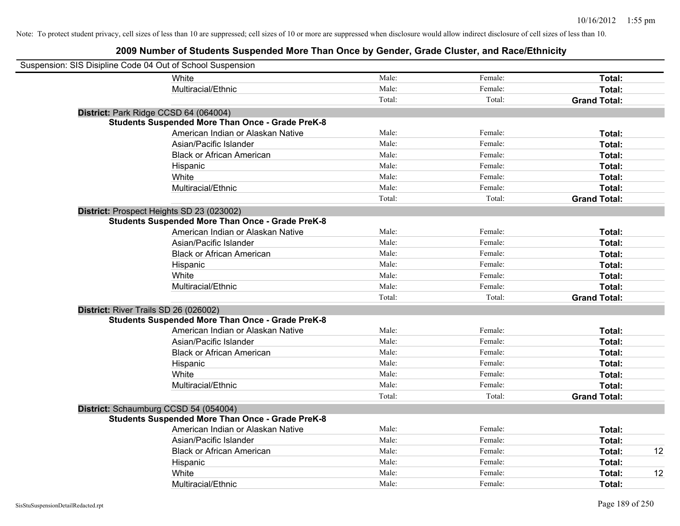| Suspension: SIS Disipline Code 04 Out of School Suspension |                                                         |        |         |                     |    |
|------------------------------------------------------------|---------------------------------------------------------|--------|---------|---------------------|----|
|                                                            | <b>White</b>                                            | Male:  | Female: | Total:              |    |
|                                                            | Multiracial/Ethnic                                      | Male:  | Female: | Total:              |    |
|                                                            |                                                         | Total: | Total:  | <b>Grand Total:</b> |    |
| District: Park Ridge CCSD 64 (064004)                      |                                                         |        |         |                     |    |
|                                                            | <b>Students Suspended More Than Once - Grade PreK-8</b> |        |         |                     |    |
|                                                            | American Indian or Alaskan Native                       | Male:  | Female: | Total:              |    |
|                                                            | Asian/Pacific Islander                                  | Male:  | Female: | Total:              |    |
|                                                            | <b>Black or African American</b>                        | Male:  | Female: | Total:              |    |
|                                                            | Hispanic                                                | Male:  | Female: | Total:              |    |
|                                                            | White                                                   | Male:  | Female: | Total:              |    |
|                                                            | Multiracial/Ethnic                                      | Male:  | Female: | Total:              |    |
|                                                            |                                                         | Total: | Total:  | <b>Grand Total:</b> |    |
|                                                            | District: Prospect Heights SD 23 (023002)               |        |         |                     |    |
|                                                            | <b>Students Suspended More Than Once - Grade PreK-8</b> |        |         |                     |    |
|                                                            | American Indian or Alaskan Native                       | Male:  | Female: | Total:              |    |
|                                                            | Asian/Pacific Islander                                  | Male:  | Female: | Total:              |    |
|                                                            | <b>Black or African American</b>                        | Male:  | Female: | Total:              |    |
|                                                            | Hispanic                                                | Male:  | Female: | Total:              |    |
|                                                            | White                                                   | Male:  | Female: | Total:              |    |
|                                                            | Multiracial/Ethnic                                      | Male:  | Female: | Total:              |    |
|                                                            |                                                         | Total: | Total:  | <b>Grand Total:</b> |    |
| District: River Trails SD 26 (026002)                      |                                                         |        |         |                     |    |
|                                                            | <b>Students Suspended More Than Once - Grade PreK-8</b> |        |         |                     |    |
|                                                            | American Indian or Alaskan Native                       | Male:  | Female: | Total:              |    |
|                                                            | Asian/Pacific Islander                                  | Male:  | Female: | Total:              |    |
|                                                            | <b>Black or African American</b>                        | Male:  | Female: | Total:              |    |
|                                                            | Hispanic                                                | Male:  | Female: | Total:              |    |
|                                                            | White                                                   | Male:  | Female: | Total:              |    |
|                                                            | Multiracial/Ethnic                                      | Male:  | Female: | Total:              |    |
|                                                            |                                                         | Total: | Total:  | <b>Grand Total:</b> |    |
|                                                            | District: Schaumburg CCSD 54 (054004)                   |        |         |                     |    |
|                                                            | <b>Students Suspended More Than Once - Grade PreK-8</b> |        |         |                     |    |
|                                                            | American Indian or Alaskan Native                       | Male:  | Female: | Total:              |    |
|                                                            | Asian/Pacific Islander                                  | Male:  | Female: | Total:              |    |
|                                                            | <b>Black or African American</b>                        | Male:  | Female: | Total:              | 12 |
|                                                            | Hispanic                                                | Male:  | Female: | Total:              |    |
|                                                            | White                                                   | Male:  | Female: | Total:              | 12 |
|                                                            | Multiracial/Ethnic                                      | Male:  | Female: | Total:              |    |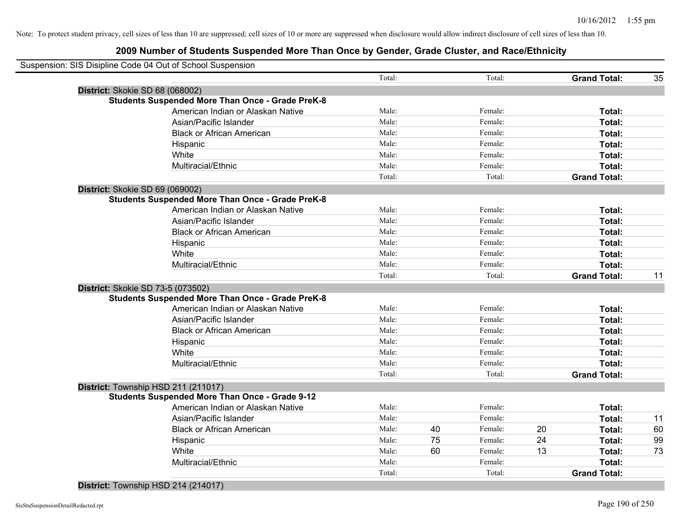| Suspension: SIS Disipline Code 04 Out of School Suspension |                                                         |        |    |         |    |                     |    |
|------------------------------------------------------------|---------------------------------------------------------|--------|----|---------|----|---------------------|----|
|                                                            |                                                         | Total: |    | Total:  |    | <b>Grand Total:</b> | 35 |
| District: Skokie SD 68 (068002)                            |                                                         |        |    |         |    |                     |    |
|                                                            | <b>Students Suspended More Than Once - Grade PreK-8</b> |        |    |         |    |                     |    |
|                                                            | American Indian or Alaskan Native                       | Male:  |    | Female: |    | Total:              |    |
|                                                            | Asian/Pacific Islander                                  | Male:  |    | Female: |    | Total:              |    |
|                                                            | <b>Black or African American</b>                        | Male:  |    | Female: |    | Total:              |    |
|                                                            | Hispanic                                                | Male:  |    | Female: |    | Total:              |    |
|                                                            | White                                                   | Male:  |    | Female: |    | Total:              |    |
|                                                            | Multiracial/Ethnic                                      | Male:  |    | Female: |    | Total:              |    |
|                                                            |                                                         | Total: |    | Total:  |    | <b>Grand Total:</b> |    |
| District: Skokie SD 69 (069002)                            |                                                         |        |    |         |    |                     |    |
|                                                            | <b>Students Suspended More Than Once - Grade PreK-8</b> |        |    |         |    |                     |    |
|                                                            | American Indian or Alaskan Native                       | Male:  |    | Female: |    | Total:              |    |
|                                                            | Asian/Pacific Islander                                  | Male:  |    | Female: |    | Total:              |    |
|                                                            | <b>Black or African American</b>                        | Male:  |    | Female: |    | Total:              |    |
|                                                            | Hispanic                                                | Male:  |    | Female: |    | Total:              |    |
|                                                            | White                                                   | Male:  |    | Female: |    | Total:              |    |
|                                                            | Multiracial/Ethnic                                      | Male:  |    | Female: |    | Total:              |    |
|                                                            |                                                         | Total: |    | Total:  |    | <b>Grand Total:</b> | 11 |
| District: Skokie SD 73-5 (073502)                          |                                                         |        |    |         |    |                     |    |
|                                                            | <b>Students Suspended More Than Once - Grade PreK-8</b> |        |    |         |    |                     |    |
|                                                            | American Indian or Alaskan Native                       | Male:  |    | Female: |    | Total:              |    |
|                                                            | Asian/Pacific Islander                                  | Male:  |    | Female: |    | Total:              |    |
|                                                            | <b>Black or African American</b>                        | Male:  |    | Female: |    | Total:              |    |
|                                                            | Hispanic                                                | Male:  |    | Female: |    | Total:              |    |
|                                                            | White                                                   | Male:  |    | Female: |    | Total:              |    |
|                                                            | Multiracial/Ethnic                                      | Male:  |    | Female: |    | <b>Total:</b>       |    |
|                                                            |                                                         | Total: |    | Total:  |    | <b>Grand Total:</b> |    |
| District: Township HSD 211 (211017)                        |                                                         |        |    |         |    |                     |    |
|                                                            | <b>Students Suspended More Than Once - Grade 9-12</b>   |        |    |         |    |                     |    |
|                                                            | American Indian or Alaskan Native                       | Male:  |    | Female: |    | <b>Total:</b>       |    |
|                                                            | Asian/Pacific Islander                                  | Male:  |    | Female: |    | Total:              | 11 |
|                                                            | <b>Black or African American</b>                        | Male:  | 40 | Female: | 20 | Total:              | 60 |
|                                                            | Hispanic                                                | Male:  | 75 | Female: | 24 | Total:              | 99 |
|                                                            | White                                                   | Male:  | 60 | Female: | 13 | Total:              | 73 |
|                                                            | Multiracial/Ethnic                                      | Male:  |    | Female: |    | Total:              |    |
|                                                            |                                                         | Total: |    | Total:  |    | <b>Grand Total:</b> |    |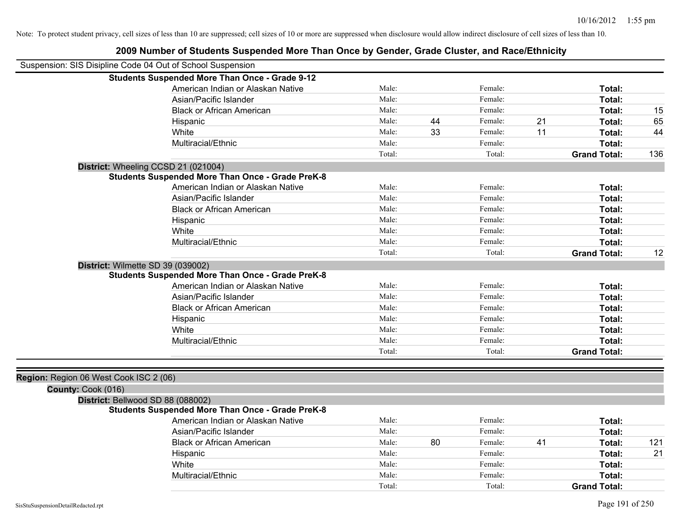|                                                            | 2009 Number of Students Suspended More Than Once by Gender, Grade Cluster, and Race/Ethnicity |        |    |         |    |                     |     |
|------------------------------------------------------------|-----------------------------------------------------------------------------------------------|--------|----|---------|----|---------------------|-----|
| Suspension: SIS Disipline Code 04 Out of School Suspension |                                                                                               |        |    |         |    |                     |     |
|                                                            | <b>Students Suspended More Than Once - Grade 9-12</b>                                         |        |    |         |    |                     |     |
|                                                            | American Indian or Alaskan Native                                                             | Male:  |    | Female: |    | Total:              |     |
|                                                            | Asian/Pacific Islander                                                                        | Male:  |    | Female: |    | Total:              |     |
|                                                            | <b>Black or African American</b>                                                              | Male:  |    | Female: |    | Total:              | 15  |
|                                                            | Hispanic                                                                                      | Male:  | 44 | Female: | 21 | Total:              | 65  |
|                                                            | White                                                                                         | Male:  | 33 | Female: | 11 | Total:              | 44  |
|                                                            | Multiracial/Ethnic                                                                            | Male:  |    | Female: |    | Total:              |     |
|                                                            |                                                                                               | Total: |    | Total:  |    | <b>Grand Total:</b> | 136 |
|                                                            | District: Wheeling CCSD 21 (021004)                                                           |        |    |         |    |                     |     |
|                                                            | <b>Students Suspended More Than Once - Grade PreK-8</b>                                       |        |    |         |    |                     |     |
|                                                            | American Indian or Alaskan Native                                                             | Male:  |    | Female: |    | Total:              |     |
|                                                            | Asian/Pacific Islander                                                                        | Male:  |    | Female: |    | Total:              |     |
|                                                            | <b>Black or African American</b>                                                              | Male:  |    | Female: |    | Total:              |     |
|                                                            | Hispanic                                                                                      | Male:  |    | Female: |    | Total:              |     |
|                                                            | White                                                                                         | Male:  |    | Female: |    | Total:              |     |
|                                                            | Multiracial/Ethnic                                                                            | Male:  |    | Female: |    | Total:              |     |
|                                                            |                                                                                               | Total: |    | Total:  |    | <b>Grand Total:</b> | 12  |
| District: Wilmette SD 39 (039002)                          |                                                                                               |        |    |         |    |                     |     |
|                                                            | <b>Students Suspended More Than Once - Grade PreK-8</b>                                       |        |    |         |    |                     |     |
|                                                            | American Indian or Alaskan Native                                                             | Male:  |    | Female: |    | Total:              |     |
|                                                            | Asian/Pacific Islander                                                                        | Male:  |    | Female: |    | Total:              |     |
|                                                            | <b>Black or African American</b>                                                              | Male:  |    | Female: |    | Total:              |     |
|                                                            | Hispanic                                                                                      | Male:  |    | Female: |    | Total:              |     |
|                                                            | White                                                                                         | Male:  |    | Female: |    | Total:              |     |
|                                                            | Multiracial/Ethnic                                                                            | Male:  |    | Female: |    | Total:              |     |
|                                                            |                                                                                               | Total: |    | Total:  |    | <b>Grand Total:</b> |     |
|                                                            |                                                                                               |        |    |         |    |                     |     |
| Region: Region 06 West Cook ISC 2 (06)                     |                                                                                               |        |    |         |    |                     |     |
| County: Cook (016)                                         |                                                                                               |        |    |         |    |                     |     |
| District: Bellwood SD 88 (088002)                          |                                                                                               |        |    |         |    |                     |     |
|                                                            | <b>Students Suspended More Than Once - Grade PreK-8</b>                                       |        |    |         |    |                     |     |
|                                                            | American Indian or Alaskan Native                                                             | Male:  |    | Female: |    | Total:              |     |
|                                                            | Asian/Pacific Islander                                                                        | Male:  |    | Female: |    | Total:              |     |
|                                                            | <b>Black or African American</b>                                                              | Male:  | 80 | Female: | 41 | Total:              | 121 |
|                                                            | Hispanic                                                                                      | Male:  |    | Female: |    | Total:              | 21  |
|                                                            | White                                                                                         | Male:  |    | Female: |    | Total:              |     |
|                                                            | Multiracial/Ethnic                                                                            | Male:  |    | Female: |    | Total:              |     |
|                                                            |                                                                                               | Total: |    | Total:  |    | <b>Grand Total:</b> |     |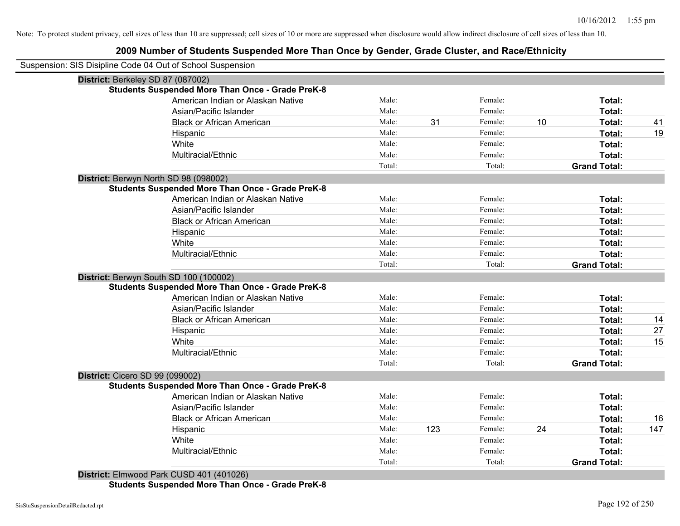# **2009 Number of Students Suspended More Than Once by Gender, Grade Cluster, and Race/Ethnicity**

| Suspension: SIS Disipline Code 04 Out of School Suspension |                                   |        |     |         |    |                     |     |
|------------------------------------------------------------|-----------------------------------|--------|-----|---------|----|---------------------|-----|
| District: Berkeley SD 87 (087002)                          |                                   |        |     |         |    |                     |     |
| <b>Students Suspended More Than Once - Grade PreK-8</b>    |                                   |        |     |         |    |                     |     |
|                                                            | American Indian or Alaskan Native | Male:  |     | Female: |    | Total:              |     |
| Asian/Pacific Islander                                     |                                   | Male:  |     | Female: |    | Total:              |     |
| <b>Black or African American</b>                           |                                   | Male:  | 31  | Female: | 10 | Total:              | 41  |
| Hispanic                                                   |                                   | Male:  |     | Female: |    | Total:              | 19  |
| White                                                      |                                   | Male:  |     | Female: |    | Total:              |     |
| Multiracial/Ethnic                                         |                                   | Male:  |     | Female: |    | Total:              |     |
|                                                            |                                   | Total: |     | Total:  |    | <b>Grand Total:</b> |     |
| District: Berwyn North SD 98 (098002)                      |                                   |        |     |         |    |                     |     |
| <b>Students Suspended More Than Once - Grade PreK-8</b>    |                                   |        |     |         |    |                     |     |
|                                                            | American Indian or Alaskan Native | Male:  |     | Female: |    | <b>Total:</b>       |     |
| Asian/Pacific Islander                                     |                                   | Male:  |     | Female: |    | Total:              |     |
| <b>Black or African American</b>                           |                                   | Male:  |     | Female: |    | Total:              |     |
| Hispanic                                                   |                                   | Male:  |     | Female: |    | Total:              |     |
| White                                                      |                                   | Male:  |     | Female: |    | Total:              |     |
| Multiracial/Ethnic                                         |                                   | Male:  |     | Female: |    | Total:              |     |
|                                                            |                                   | Total: |     | Total:  |    | <b>Grand Total:</b> |     |
| District: Berwyn South SD 100 (100002)                     |                                   |        |     |         |    |                     |     |
| <b>Students Suspended More Than Once - Grade PreK-8</b>    |                                   |        |     |         |    |                     |     |
|                                                            | American Indian or Alaskan Native | Male:  |     | Female: |    | Total:              |     |
| Asian/Pacific Islander                                     |                                   | Male:  |     | Female: |    | Total:              |     |
| <b>Black or African American</b>                           |                                   | Male:  |     | Female: |    | Total:              | 14  |
| Hispanic                                                   |                                   | Male:  |     | Female: |    | Total:              | 27  |
| White                                                      |                                   | Male:  |     | Female: |    | Total:              | 15  |
| Multiracial/Ethnic                                         |                                   | Male:  |     | Female: |    | Total:              |     |
|                                                            |                                   | Total: |     | Total:  |    | <b>Grand Total:</b> |     |
| District: Cicero SD 99 (099002)                            |                                   |        |     |         |    |                     |     |
| <b>Students Suspended More Than Once - Grade PreK-8</b>    |                                   |        |     |         |    |                     |     |
|                                                            | American Indian or Alaskan Native | Male:  |     | Female: |    | Total:              |     |
| Asian/Pacific Islander                                     |                                   | Male:  |     | Female: |    | Total:              |     |
| <b>Black or African American</b>                           |                                   | Male:  |     | Female: |    | Total:              | 16  |
| Hispanic                                                   |                                   | Male:  | 123 | Female: | 24 | Total:              | 147 |
| White                                                      |                                   | Male:  |     | Female: |    | Total:              |     |
| Multiracial/Ethnic                                         |                                   | Male:  |     | Female: |    | Total:              |     |
|                                                            |                                   | Total: |     | Total:  |    | <b>Grand Total:</b> |     |

**Students Suspended More Than Once - Grade PreK-8**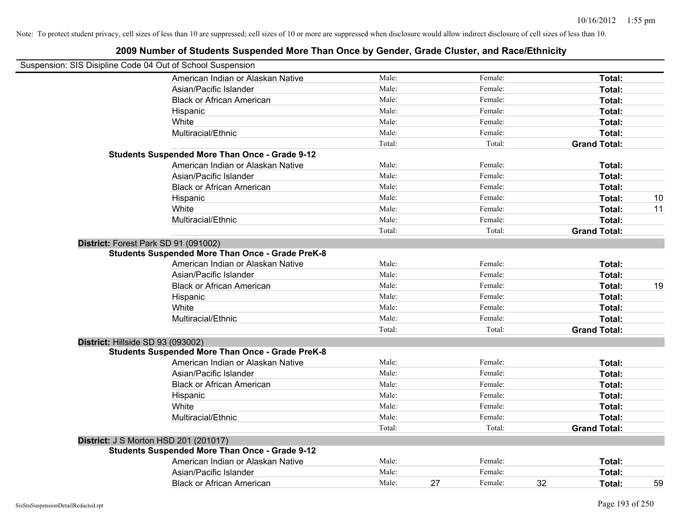|                                                            | 2009 Number of Students Suspended More Than Once by Gender, Grade Cluster, and Race/Ethnicity   |        |    |         |    |                     |    |
|------------------------------------------------------------|-------------------------------------------------------------------------------------------------|--------|----|---------|----|---------------------|----|
| Suspension: SIS Disipline Code 04 Out of School Suspension |                                                                                                 |        |    |         |    |                     |    |
|                                                            | American Indian or Alaskan Native                                                               | Male:  |    | Female: |    | Total:              |    |
|                                                            | Asian/Pacific Islander                                                                          | Male:  |    | Female: |    | Total:              |    |
|                                                            | <b>Black or African American</b>                                                                | Male:  |    | Female: |    | Total:              |    |
|                                                            | Hispanic                                                                                        | Male:  |    | Female: |    | Total:              |    |
|                                                            | White                                                                                           | Male:  |    | Female: |    | Total:              |    |
|                                                            | Multiracial/Ethnic                                                                              | Male:  |    | Female: |    | Total:              |    |
|                                                            |                                                                                                 | Total: |    | Total:  |    | <b>Grand Total:</b> |    |
|                                                            | <b>Students Suspended More Than Once - Grade 9-12</b>                                           |        |    |         |    |                     |    |
|                                                            | American Indian or Alaskan Native                                                               | Male:  |    | Female: |    | Total:              |    |
|                                                            | Asian/Pacific Islander                                                                          | Male:  |    | Female: |    | Total:              |    |
|                                                            | <b>Black or African American</b>                                                                | Male:  |    | Female: |    | Total:              |    |
|                                                            | Hispanic                                                                                        | Male:  |    | Female: |    | Total:              | 10 |
|                                                            | White                                                                                           | Male:  |    | Female: |    | Total:              | 11 |
|                                                            | Multiracial/Ethnic                                                                              | Male:  |    | Female: |    | Total:              |    |
|                                                            |                                                                                                 | Total: |    | Total:  |    | <b>Grand Total:</b> |    |
|                                                            | District: Forest Park SD 91 (091002)<br><b>Students Suspended More Than Once - Grade PreK-8</b> |        |    |         |    |                     |    |
|                                                            | American Indian or Alaskan Native                                                               | Male:  |    | Female: |    | Total:              |    |
|                                                            | Asian/Pacific Islander                                                                          | Male:  |    | Female: |    | Total:              |    |
|                                                            | <b>Black or African American</b>                                                                | Male:  |    | Female: |    | Total:              | 19 |
|                                                            | Hispanic                                                                                        | Male:  |    | Female: |    | Total:              |    |
|                                                            | White                                                                                           | Male:  |    | Female: |    | Total:              |    |
|                                                            | Multiracial/Ethnic                                                                              | Male:  |    | Female: |    | Total:              |    |
|                                                            |                                                                                                 | Total: |    | Total:  |    | <b>Grand Total:</b> |    |
| District: Hillside SD 93 (093002)                          | <b>Students Suspended More Than Once - Grade PreK-8</b>                                         |        |    |         |    |                     |    |
|                                                            | American Indian or Alaskan Native                                                               | Male:  |    | Female: |    | Total:              |    |
|                                                            | Asian/Pacific Islander                                                                          | Male:  |    | Female: |    | Total:              |    |
|                                                            | <b>Black or African American</b>                                                                | Male:  |    | Female: |    | Total:              |    |
|                                                            | Hispanic                                                                                        | Male:  |    | Female: |    | Total:              |    |
|                                                            | White                                                                                           | Male:  |    | Female: |    | Total:              |    |
|                                                            | Multiracial/Ethnic                                                                              | Male:  |    | Female: |    | Total:              |    |
|                                                            |                                                                                                 | Total: |    | Total:  |    | <b>Grand Total:</b> |    |
|                                                            | District: J S Morton HSD 201 (201017)                                                           |        |    |         |    |                     |    |
|                                                            | <b>Students Suspended More Than Once - Grade 9-12</b>                                           |        |    |         |    |                     |    |
|                                                            | American Indian or Alaskan Native                                                               | Male:  |    | Female: |    | Total:              |    |
|                                                            | Asian/Pacific Islander                                                                          | Male:  |    | Female: |    | Total:              |    |
|                                                            | <b>Black or African American</b>                                                                | Male:  | 27 | Female: | 32 | Total:              | 59 |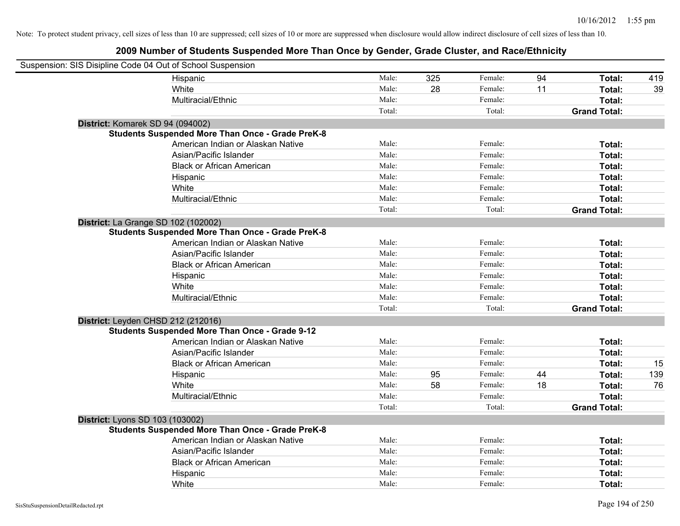| Suspension: SIS Disipline Code 04 Out of School Suspension |                                                         |        |     |         |    |                     |     |
|------------------------------------------------------------|---------------------------------------------------------|--------|-----|---------|----|---------------------|-----|
|                                                            | Hispanic                                                | Male:  | 325 | Female: | 94 | Total:              | 419 |
|                                                            | White                                                   | Male:  | 28  | Female: | 11 | Total:              | 39  |
|                                                            | Multiracial/Ethnic                                      | Male:  |     | Female: |    | Total:              |     |
|                                                            |                                                         | Total: |     | Total:  |    | <b>Grand Total:</b> |     |
| District: Komarek SD 94 (094002)                           |                                                         |        |     |         |    |                     |     |
|                                                            | <b>Students Suspended More Than Once - Grade PreK-8</b> |        |     |         |    |                     |     |
|                                                            | American Indian or Alaskan Native                       | Male:  |     | Female: |    | Total:              |     |
|                                                            | Asian/Pacific Islander                                  | Male:  |     | Female: |    | Total:              |     |
|                                                            | <b>Black or African American</b>                        | Male:  |     | Female: |    | Total:              |     |
|                                                            | Hispanic                                                | Male:  |     | Female: |    | Total:              |     |
|                                                            | White                                                   | Male:  |     | Female: |    | Total:              |     |
|                                                            | Multiracial/Ethnic                                      | Male:  |     | Female: |    | Total:              |     |
|                                                            |                                                         | Total: |     | Total:  |    | <b>Grand Total:</b> |     |
| <b>District:</b> La Grange SD 102 (102002)                 |                                                         |        |     |         |    |                     |     |
|                                                            | <b>Students Suspended More Than Once - Grade PreK-8</b> |        |     |         |    |                     |     |
|                                                            | American Indian or Alaskan Native                       | Male:  |     | Female: |    | Total:              |     |
|                                                            | Asian/Pacific Islander                                  | Male:  |     | Female: |    | Total:              |     |
|                                                            | <b>Black or African American</b>                        | Male:  |     | Female: |    | Total:              |     |
|                                                            | Hispanic                                                | Male:  |     | Female: |    | Total:              |     |
|                                                            | White                                                   | Male:  |     | Female: |    | Total:              |     |
|                                                            | Multiracial/Ethnic                                      | Male:  |     | Female: |    | Total:              |     |
|                                                            |                                                         | Total: |     | Total:  |    | <b>Grand Total:</b> |     |
| District: Leyden CHSD 212 (212016)                         |                                                         |        |     |         |    |                     |     |
|                                                            | <b>Students Suspended More Than Once - Grade 9-12</b>   |        |     |         |    |                     |     |
|                                                            | American Indian or Alaskan Native                       | Male:  |     | Female: |    | Total:              |     |
|                                                            | Asian/Pacific Islander                                  | Male:  |     | Female: |    | Total:              |     |
|                                                            | <b>Black or African American</b>                        | Male:  |     | Female: |    | Total:              | 15  |
|                                                            | Hispanic                                                | Male:  | 95  | Female: | 44 | Total:              | 139 |
|                                                            | White                                                   | Male:  | 58  | Female: | 18 | Total:              | 76  |
|                                                            | Multiracial/Ethnic                                      | Male:  |     | Female: |    | Total:              |     |
|                                                            |                                                         | Total: |     | Total:  |    | <b>Grand Total:</b> |     |
| District: Lyons SD 103 (103002)                            |                                                         |        |     |         |    |                     |     |
|                                                            | <b>Students Suspended More Than Once - Grade PreK-8</b> |        |     |         |    |                     |     |
|                                                            | American Indian or Alaskan Native                       | Male:  |     | Female: |    | Total:              |     |
|                                                            | Asian/Pacific Islander                                  | Male:  |     | Female: |    | Total:              |     |
|                                                            | <b>Black or African American</b>                        | Male:  |     | Female: |    | Total:              |     |
|                                                            | Hispanic                                                | Male:  |     | Female: |    | Total:              |     |
|                                                            | White                                                   | Male:  |     | Female: |    | Total:              |     |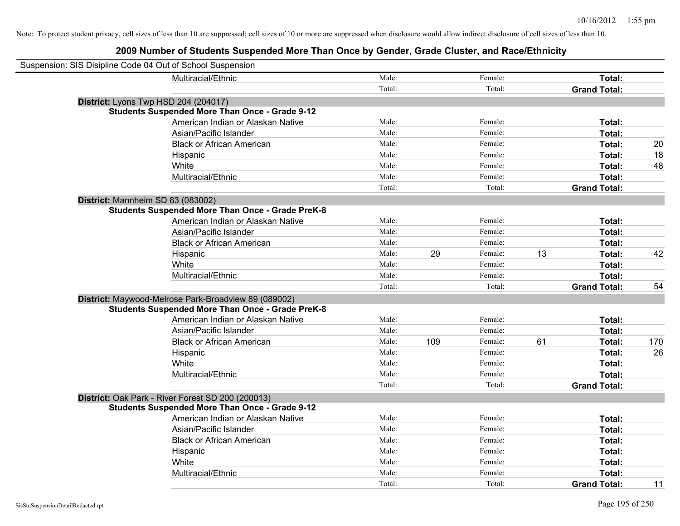| Suspension: SIS Disipline Code 04 Out of School Suspension |                                                         |        |     |         |    |                     |     |
|------------------------------------------------------------|---------------------------------------------------------|--------|-----|---------|----|---------------------|-----|
|                                                            | Multiracial/Ethnic                                      | Male:  |     | Female: |    | Total:              |     |
|                                                            |                                                         | Total: |     | Total:  |    | <b>Grand Total:</b> |     |
| District: Lyons Twp HSD 204 (204017)                       |                                                         |        |     |         |    |                     |     |
|                                                            | <b>Students Suspended More Than Once - Grade 9-12</b>   |        |     |         |    |                     |     |
|                                                            | American Indian or Alaskan Native                       | Male:  |     | Female: |    | Total:              |     |
|                                                            | Asian/Pacific Islander                                  | Male:  |     | Female: |    | Total:              |     |
|                                                            | <b>Black or African American</b>                        | Male:  |     | Female: |    | Total:              | 20  |
|                                                            | Hispanic                                                | Male:  |     | Female: |    | Total:              | 18  |
|                                                            | White                                                   | Male:  |     | Female: |    | Total:              | 48  |
|                                                            | Multiracial/Ethnic                                      | Male:  |     | Female: |    | Total:              |     |
|                                                            |                                                         | Total: |     | Total:  |    | <b>Grand Total:</b> |     |
| District: Mannheim SD 83 (083002)                          |                                                         |        |     |         |    |                     |     |
|                                                            | <b>Students Suspended More Than Once - Grade PreK-8</b> |        |     |         |    |                     |     |
|                                                            | American Indian or Alaskan Native                       | Male:  |     | Female: |    | Total:              |     |
|                                                            | Asian/Pacific Islander                                  | Male:  |     | Female: |    | Total:              |     |
|                                                            | <b>Black or African American</b>                        | Male:  |     | Female: |    | Total:              |     |
|                                                            | Hispanic                                                | Male:  | 29  | Female: | 13 | Total:              | 42  |
|                                                            | White                                                   | Male:  |     | Female: |    | Total:              |     |
|                                                            | Multiracial/Ethnic                                      | Male:  |     | Female: |    | Total:              |     |
|                                                            |                                                         | Total: |     | Total:  |    | <b>Grand Total:</b> | 54  |
|                                                            | District: Maywood-Melrose Park-Broadview 89 (089002)    |        |     |         |    |                     |     |
|                                                            | <b>Students Suspended More Than Once - Grade PreK-8</b> |        |     |         |    |                     |     |
|                                                            | American Indian or Alaskan Native                       | Male:  |     | Female: |    | Total:              |     |
|                                                            | Asian/Pacific Islander                                  | Male:  |     | Female: |    | Total:              |     |
|                                                            | <b>Black or African American</b>                        | Male:  | 109 | Female: | 61 | Total:              | 170 |
|                                                            | Hispanic                                                | Male:  |     | Female: |    | Total:              | 26  |
|                                                            | White                                                   | Male:  |     | Female: |    | Total:              |     |
|                                                            | Multiracial/Ethnic                                      | Male:  |     | Female: |    | Total:              |     |
|                                                            |                                                         | Total: |     | Total:  |    | <b>Grand Total:</b> |     |
|                                                            | District: Oak Park - River Forest SD 200 (200013)       |        |     |         |    |                     |     |
|                                                            | <b>Students Suspended More Than Once - Grade 9-12</b>   |        |     |         |    |                     |     |
|                                                            | American Indian or Alaskan Native                       | Male:  |     | Female: |    | Total:              |     |
|                                                            | Asian/Pacific Islander                                  | Male:  |     | Female: |    | Total:              |     |
|                                                            | <b>Black or African American</b>                        | Male:  |     | Female: |    | Total:              |     |
|                                                            | Hispanic                                                | Male:  |     | Female: |    | Total:              |     |
|                                                            | White                                                   | Male:  |     | Female: |    | Total:              |     |
|                                                            | Multiracial/Ethnic                                      | Male:  |     | Female: |    | Total:              |     |
|                                                            |                                                         | Total: |     | Total:  |    | <b>Grand Total:</b> | 11  |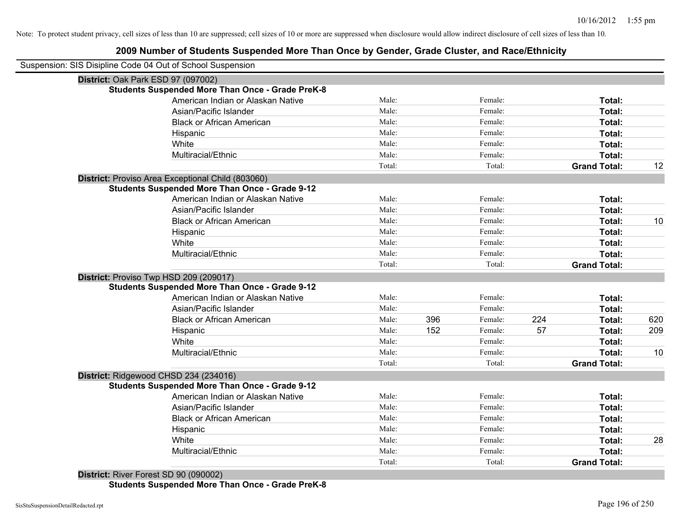# **2009 Number of Students Suspended More Than Once by Gender, Grade Cluster, and Race/Ethnicity**

| Suspension: SIS Disipline Code 04 Out of School Suspension |        |     |         |     |                     |     |
|------------------------------------------------------------|--------|-----|---------|-----|---------------------|-----|
| District: Oak Park ESD 97 (097002)                         |        |     |         |     |                     |     |
| <b>Students Suspended More Than Once - Grade PreK-8</b>    |        |     |         |     |                     |     |
| American Indian or Alaskan Native                          | Male:  |     | Female: |     | Total:              |     |
| Asian/Pacific Islander                                     | Male:  |     | Female: |     | Total:              |     |
| <b>Black or African American</b>                           | Male:  |     | Female: |     | Total:              |     |
| Hispanic                                                   | Male:  |     | Female: |     | Total:              |     |
| White                                                      | Male:  |     | Female: |     | Total:              |     |
| Multiracial/Ethnic                                         | Male:  |     | Female: |     | Total:              |     |
|                                                            | Total: |     | Total:  |     | <b>Grand Total:</b> | 12  |
| District: Proviso Area Exceptional Child (803060)          |        |     |         |     |                     |     |
| <b>Students Suspended More Than Once - Grade 9-12</b>      |        |     |         |     |                     |     |
| American Indian or Alaskan Native                          | Male:  |     | Female: |     | Total:              |     |
| Asian/Pacific Islander                                     | Male:  |     | Female: |     | Total:              |     |
| <b>Black or African American</b>                           | Male:  |     | Female: |     | Total:              | 10  |
| Hispanic                                                   | Male:  |     | Female: |     | Total:              |     |
| White                                                      | Male:  |     | Female: |     | Total:              |     |
| Multiracial/Ethnic                                         | Male:  |     | Female: |     | Total:              |     |
|                                                            | Total: |     | Total:  |     | <b>Grand Total:</b> |     |
| District: Proviso Twp HSD 209 (209017)                     |        |     |         |     |                     |     |
| <b>Students Suspended More Than Once - Grade 9-12</b>      |        |     |         |     |                     |     |
| American Indian or Alaskan Native                          | Male:  |     | Female: |     | Total:              |     |
| Asian/Pacific Islander                                     | Male:  |     | Female: |     | Total:              |     |
| <b>Black or African American</b>                           | Male:  | 396 | Female: | 224 | Total:              | 620 |
| Hispanic                                                   | Male:  | 152 | Female: | 57  | Total:              | 209 |
| White                                                      | Male:  |     | Female: |     | Total:              |     |
| Multiracial/Ethnic                                         | Male:  |     | Female: |     | Total:              | 10  |
|                                                            | Total: |     | Total:  |     | <b>Grand Total:</b> |     |
| District: Ridgewood CHSD 234 (234016)                      |        |     |         |     |                     |     |
| <b>Students Suspended More Than Once - Grade 9-12</b>      |        |     |         |     |                     |     |
| American Indian or Alaskan Native                          | Male:  |     | Female: |     | Total:              |     |
| Asian/Pacific Islander                                     | Male:  |     | Female: |     | Total:              |     |
| <b>Black or African American</b>                           | Male:  |     | Female: |     | Total:              |     |
| Hispanic                                                   | Male:  |     | Female: |     | Total:              |     |
| White                                                      | Male:  |     | Female: |     | Total:              | 28  |
| Multiracial/Ethnic                                         | Male:  |     | Female: |     | Total:              |     |
|                                                            | Total: |     | Total:  |     | <b>Grand Total:</b> |     |
| District: River Forest SD 90 (090002)                      |        |     |         |     |                     |     |

**Students Suspended More Than Once - Grade PreK-8**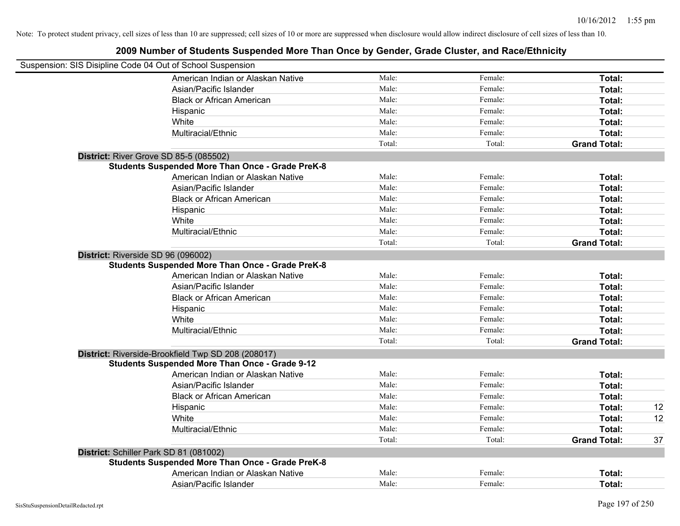| Suspension: SIS Disipline Code 04 Out of School Suspension |        |         |                     |    |
|------------------------------------------------------------|--------|---------|---------------------|----|
| American Indian or Alaskan Native                          | Male:  | Female: | Total:              |    |
| Asian/Pacific Islander                                     | Male:  | Female: | Total:              |    |
| <b>Black or African American</b>                           | Male:  | Female: | Total:              |    |
| Hispanic                                                   | Male:  | Female: | Total:              |    |
| White                                                      | Male:  | Female: | Total:              |    |
| Multiracial/Ethnic                                         | Male:  | Female: | Total:              |    |
|                                                            | Total: | Total:  | <b>Grand Total:</b> |    |
| District: River Grove SD 85-5 (085502)                     |        |         |                     |    |
| <b>Students Suspended More Than Once - Grade PreK-8</b>    |        |         |                     |    |
| American Indian or Alaskan Native                          | Male:  | Female: | Total:              |    |
| Asian/Pacific Islander                                     | Male:  | Female: | Total:              |    |
| <b>Black or African American</b>                           | Male:  | Female: | Total:              |    |
| Hispanic                                                   | Male:  | Female: | Total:              |    |
| White                                                      | Male:  | Female: | Total:              |    |
| Multiracial/Ethnic                                         | Male:  | Female: | Total:              |    |
|                                                            | Total: | Total:  | <b>Grand Total:</b> |    |
| District: Riverside SD 96 (096002)                         |        |         |                     |    |
| <b>Students Suspended More Than Once - Grade PreK-8</b>    |        |         |                     |    |
| American Indian or Alaskan Native                          | Male:  | Female: | Total:              |    |
| Asian/Pacific Islander                                     | Male:  | Female: | Total:              |    |
| <b>Black or African American</b>                           | Male:  | Female: | Total:              |    |
| Hispanic                                                   | Male:  | Female: | Total:              |    |
| White                                                      | Male:  | Female: | Total:              |    |
| Multiracial/Ethnic                                         | Male:  | Female: | Total:              |    |
|                                                            | Total: | Total:  | <b>Grand Total:</b> |    |
| District: Riverside-Brookfield Twp SD 208 (208017)         |        |         |                     |    |
| <b>Students Suspended More Than Once - Grade 9-12</b>      |        |         |                     |    |
| American Indian or Alaskan Native                          | Male:  | Female: | Total:              |    |
| Asian/Pacific Islander                                     | Male:  | Female: | Total:              |    |
| <b>Black or African American</b>                           | Male:  | Female: | Total:              |    |
| Hispanic                                                   | Male:  | Female: | Total:              | 12 |
| White                                                      | Male:  | Female: | Total:              | 12 |
| Multiracial/Ethnic                                         | Male:  | Female: | Total:              |    |
|                                                            | Total: | Total:  | <b>Grand Total:</b> | 37 |
| District: Schiller Park SD 81 (081002)                     |        |         |                     |    |
| <b>Students Suspended More Than Once - Grade PreK-8</b>    |        |         |                     |    |
| American Indian or Alaskan Native                          | Male:  | Female: | Total:              |    |
| Asian/Pacific Islander                                     | Male:  | Female: | Total:              |    |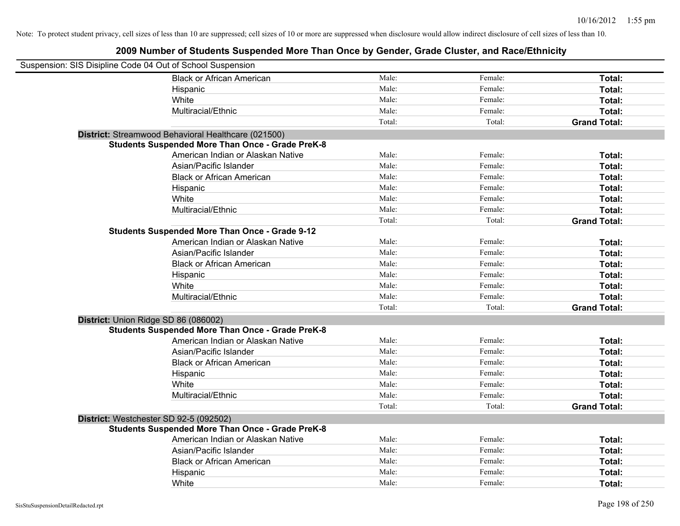| Suspension: SIS Disipline Code 04 Out of School Suspension |                                                         |        |         |                     |
|------------------------------------------------------------|---------------------------------------------------------|--------|---------|---------------------|
|                                                            | <b>Black or African American</b>                        | Male:  | Female: | Total:              |
|                                                            | Hispanic                                                | Male:  | Female: | Total:              |
|                                                            | White                                                   | Male:  | Female: | Total:              |
|                                                            | Multiracial/Ethnic                                      | Male:  | Female: | Total:              |
|                                                            |                                                         | Total: | Total:  | <b>Grand Total:</b> |
|                                                            | District: Streamwood Behavioral Healthcare (021500)     |        |         |                     |
|                                                            | <b>Students Suspended More Than Once - Grade PreK-8</b> |        |         |                     |
|                                                            | American Indian or Alaskan Native                       | Male:  | Female: | Total:              |
|                                                            | Asian/Pacific Islander                                  | Male:  | Female: | Total:              |
|                                                            | <b>Black or African American</b>                        | Male:  | Female: | Total:              |
|                                                            | Hispanic                                                | Male:  | Female: | Total:              |
|                                                            | White                                                   | Male:  | Female: | Total:              |
|                                                            | Multiracial/Ethnic                                      | Male:  | Female: | Total:              |
|                                                            |                                                         | Total: | Total:  | <b>Grand Total:</b> |
|                                                            | <b>Students Suspended More Than Once - Grade 9-12</b>   |        |         |                     |
|                                                            | American Indian or Alaskan Native                       | Male:  | Female: | Total:              |
|                                                            | Asian/Pacific Islander                                  | Male:  | Female: | Total:              |
|                                                            | <b>Black or African American</b>                        | Male:  | Female: | Total:              |
|                                                            | Hispanic                                                | Male:  | Female: | Total:              |
|                                                            | White                                                   | Male:  | Female: | Total:              |
|                                                            | Multiracial/Ethnic                                      | Male:  | Female: | Total:              |
|                                                            |                                                         | Total: | Total:  | <b>Grand Total:</b> |
| District: Union Ridge SD 86 (086002)                       |                                                         |        |         |                     |
|                                                            | <b>Students Suspended More Than Once - Grade PreK-8</b> |        |         |                     |
|                                                            | American Indian or Alaskan Native                       | Male:  | Female: | Total:              |
|                                                            | Asian/Pacific Islander                                  | Male:  | Female: | Total:              |
|                                                            | <b>Black or African American</b>                        | Male:  | Female: | Total:              |
|                                                            | Hispanic                                                | Male:  | Female: | Total:              |
|                                                            | White                                                   | Male:  | Female: | Total:              |
|                                                            | Multiracial/Ethnic                                      | Male:  | Female: | Total:              |
|                                                            |                                                         | Total: | Total:  | <b>Grand Total:</b> |
| District: Westchester SD 92-5 (092502)                     |                                                         |        |         |                     |
|                                                            | <b>Students Suspended More Than Once - Grade PreK-8</b> |        |         |                     |
|                                                            | American Indian or Alaskan Native                       | Male:  | Female: | Total:              |
|                                                            | Asian/Pacific Islander                                  | Male:  | Female: | Total:              |
|                                                            | <b>Black or African American</b>                        | Male:  | Female: | Total:              |
|                                                            | Hispanic                                                | Male:  | Female: | Total:              |
|                                                            | White                                                   | Male:  | Female: | Total:              |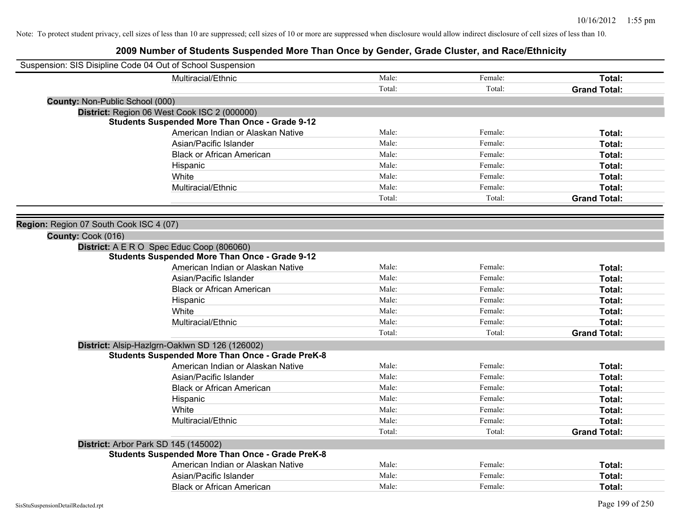| Suspension: SIS Disipline Code 04 Out of School Suspension |                                                         |        |         |                     |
|------------------------------------------------------------|---------------------------------------------------------|--------|---------|---------------------|
|                                                            | Multiracial/Ethnic                                      | Male:  | Female: | Total:              |
|                                                            |                                                         | Total: | Total:  | <b>Grand Total:</b> |
| <b>County: Non-Public School (000)</b>                     |                                                         |        |         |                     |
|                                                            | District: Region 06 West Cook ISC 2 (000000)            |        |         |                     |
|                                                            | <b>Students Suspended More Than Once - Grade 9-12</b>   |        |         |                     |
|                                                            | American Indian or Alaskan Native                       | Male:  | Female: | Total:              |
|                                                            | Asian/Pacific Islander                                  | Male:  | Female: | Total:              |
|                                                            | <b>Black or African American</b>                        | Male:  | Female: | Total:              |
|                                                            | Hispanic                                                | Male:  | Female: | Total:              |
|                                                            | White                                                   | Male:  | Female: | Total:              |
|                                                            | Multiracial/Ethnic                                      | Male:  | Female: | Total:              |
|                                                            |                                                         | Total: | Total:  | <b>Grand Total:</b> |
|                                                            |                                                         |        |         |                     |
| Region: Region 07 South Cook ISC 4 (07)                    |                                                         |        |         |                     |
| County: Cook (016)                                         |                                                         |        |         |                     |
|                                                            | District: A E R O Spec Educ Coop (806060)               |        |         |                     |
|                                                            | <b>Students Suspended More Than Once - Grade 9-12</b>   |        |         |                     |
|                                                            | American Indian or Alaskan Native                       | Male:  | Female: | Total:              |
|                                                            | Asian/Pacific Islander                                  | Male:  | Female: | Total:              |
|                                                            | <b>Black or African American</b>                        | Male:  | Female: | Total:              |
|                                                            | Hispanic                                                | Male:  | Female: | Total:              |
|                                                            | White                                                   | Male:  | Female: | Total:              |
|                                                            | Multiracial/Ethnic                                      | Male:  | Female: | Total:              |
|                                                            |                                                         | Total: | Total:  | <b>Grand Total:</b> |
|                                                            | District: Alsip-Hazlgrn-Oaklwn SD 126 (126002)          |        |         |                     |
|                                                            | <b>Students Suspended More Than Once - Grade PreK-8</b> |        |         |                     |
|                                                            | American Indian or Alaskan Native                       | Male:  | Female: | Total:              |
|                                                            | Asian/Pacific Islander                                  | Male:  | Female: | Total:              |
|                                                            | <b>Black or African American</b>                        | Male:  | Female: | Total:              |
|                                                            | Hispanic                                                | Male:  | Female: | Total:              |
|                                                            | White                                                   | Male:  | Female: | Total:              |
|                                                            | Multiracial/Ethnic                                      | Male:  | Female: | Total:              |
|                                                            |                                                         | Total: | Total:  | <b>Grand Total:</b> |
|                                                            | District: Arbor Park SD 145 (145002)                    |        |         |                     |
|                                                            | <b>Students Suspended More Than Once - Grade PreK-8</b> |        |         |                     |
|                                                            | American Indian or Alaskan Native                       | Male:  | Female: | Total:              |
|                                                            | Asian/Pacific Islander                                  | Male:  | Female: | Total:              |
|                                                            | <b>Black or African American</b>                        | Male:  | Female: | Total:              |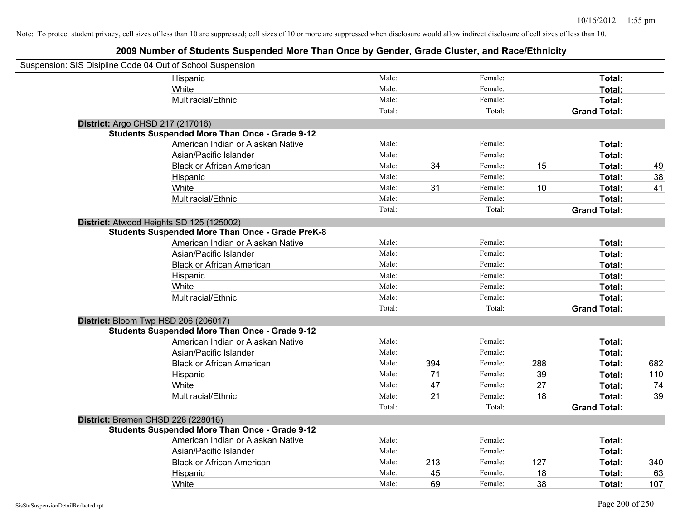| Suspension: SIS Disipline Code 04 Out of School Suspension |                                                         |        |     |         |     |                     |     |
|------------------------------------------------------------|---------------------------------------------------------|--------|-----|---------|-----|---------------------|-----|
|                                                            | Hispanic                                                | Male:  |     | Female: |     | Total:              |     |
|                                                            | White                                                   | Male:  |     | Female: |     | Total:              |     |
|                                                            | Multiracial/Ethnic                                      | Male:  |     | Female: |     | Total:              |     |
|                                                            |                                                         | Total: |     | Total:  |     | <b>Grand Total:</b> |     |
| District: Argo CHSD 217 (217016)                           |                                                         |        |     |         |     |                     |     |
|                                                            | <b>Students Suspended More Than Once - Grade 9-12</b>   |        |     |         |     |                     |     |
|                                                            | American Indian or Alaskan Native                       | Male:  |     | Female: |     | Total:              |     |
|                                                            | Asian/Pacific Islander                                  | Male:  |     | Female: |     | Total:              |     |
|                                                            | <b>Black or African American</b>                        | Male:  | 34  | Female: | 15  | Total:              | 49  |
|                                                            | Hispanic                                                | Male:  |     | Female: |     | Total:              | 38  |
|                                                            | White                                                   | Male:  | 31  | Female: | 10  | Total:              | 41  |
|                                                            | Multiracial/Ethnic                                      | Male:  |     | Female: |     | Total:              |     |
|                                                            |                                                         | Total: |     | Total:  |     | <b>Grand Total:</b> |     |
| District: Atwood Heights SD 125 (125002)                   |                                                         |        |     |         |     |                     |     |
|                                                            | <b>Students Suspended More Than Once - Grade PreK-8</b> |        |     |         |     |                     |     |
|                                                            | American Indian or Alaskan Native                       | Male:  |     | Female: |     | Total:              |     |
|                                                            | Asian/Pacific Islander                                  | Male:  |     | Female: |     | Total:              |     |
|                                                            | <b>Black or African American</b>                        | Male:  |     | Female: |     | Total:              |     |
|                                                            | Hispanic                                                | Male:  |     | Female: |     | Total:              |     |
|                                                            | White                                                   | Male:  |     | Female: |     | Total:              |     |
|                                                            | Multiracial/Ethnic                                      | Male:  |     | Female: |     | Total:              |     |
|                                                            |                                                         | Total: |     | Total:  |     | <b>Grand Total:</b> |     |
| District: Bloom Twp HSD 206 (206017)                       |                                                         |        |     |         |     |                     |     |
|                                                            | <b>Students Suspended More Than Once - Grade 9-12</b>   |        |     |         |     |                     |     |
|                                                            | American Indian or Alaskan Native                       | Male:  |     | Female: |     | Total:              |     |
|                                                            | Asian/Pacific Islander                                  | Male:  |     | Female: |     | Total:              |     |
|                                                            | <b>Black or African American</b>                        | Male:  | 394 | Female: | 288 | Total:              | 682 |
|                                                            | Hispanic                                                | Male:  | 71  | Female: | 39  | Total:              | 110 |
|                                                            | White                                                   | Male:  | 47  | Female: | 27  | Total:              | 74  |
|                                                            | Multiracial/Ethnic                                      | Male:  | 21  | Female: | 18  | Total:              | 39  |
|                                                            |                                                         | Total: |     | Total:  |     | <b>Grand Total:</b> |     |
| District: Bremen CHSD 228 (228016)                         |                                                         |        |     |         |     |                     |     |
|                                                            | <b>Students Suspended More Than Once - Grade 9-12</b>   |        |     |         |     |                     |     |
|                                                            | American Indian or Alaskan Native                       | Male:  |     | Female: |     | Total:              |     |
|                                                            | Asian/Pacific Islander                                  | Male:  |     | Female: |     | Total:              |     |
|                                                            | <b>Black or African American</b>                        | Male:  | 213 | Female: | 127 | Total:              | 340 |
|                                                            | Hispanic                                                | Male:  | 45  | Female: | 18  | Total:              | 63  |
|                                                            | White                                                   | Male:  | 69  | Female: | 38  | Total:              | 107 |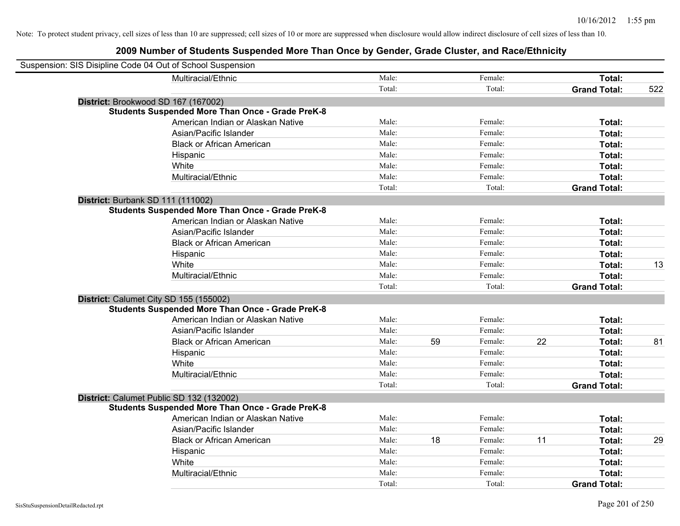| Suspension: SIS Disipline Code 04 Out of School Suspension |                                                         |        |    |         |    |                     |     |
|------------------------------------------------------------|---------------------------------------------------------|--------|----|---------|----|---------------------|-----|
|                                                            | Multiracial/Ethnic                                      | Male:  |    | Female: |    | Total:              |     |
|                                                            |                                                         | Total: |    | Total:  |    | <b>Grand Total:</b> | 522 |
| District: Brookwood SD 167 (167002)                        |                                                         |        |    |         |    |                     |     |
|                                                            | <b>Students Suspended More Than Once - Grade PreK-8</b> |        |    |         |    |                     |     |
|                                                            | American Indian or Alaskan Native                       | Male:  |    | Female: |    | Total:              |     |
|                                                            | Asian/Pacific Islander                                  | Male:  |    | Female: |    | Total:              |     |
|                                                            | <b>Black or African American</b>                        | Male:  |    | Female: |    | Total:              |     |
|                                                            | Hispanic                                                | Male:  |    | Female: |    | Total:              |     |
|                                                            | White                                                   | Male:  |    | Female: |    | Total:              |     |
|                                                            | Multiracial/Ethnic                                      | Male:  |    | Female: |    | Total:              |     |
|                                                            |                                                         | Total: |    | Total:  |    | <b>Grand Total:</b> |     |
| District: Burbank SD 111 (111002)                          |                                                         |        |    |         |    |                     |     |
|                                                            | <b>Students Suspended More Than Once - Grade PreK-8</b> |        |    |         |    |                     |     |
|                                                            | American Indian or Alaskan Native                       | Male:  |    | Female: |    | Total:              |     |
|                                                            | Asian/Pacific Islander                                  | Male:  |    | Female: |    | Total:              |     |
|                                                            | <b>Black or African American</b>                        | Male:  |    | Female: |    | Total:              |     |
|                                                            | Hispanic                                                | Male:  |    | Female: |    | Total:              |     |
|                                                            | White                                                   | Male:  |    | Female: |    | Total:              | 13  |
|                                                            | Multiracial/Ethnic                                      | Male:  |    | Female: |    | Total:              |     |
|                                                            |                                                         | Total: |    | Total:  |    | <b>Grand Total:</b> |     |
| District: Calumet City SD 155 (155002)                     |                                                         |        |    |         |    |                     |     |
|                                                            | <b>Students Suspended More Than Once - Grade PreK-8</b> |        |    |         |    |                     |     |
|                                                            | American Indian or Alaskan Native                       | Male:  |    | Female: |    | Total:              |     |
|                                                            | Asian/Pacific Islander                                  | Male:  |    | Female: |    | Total:              |     |
|                                                            | <b>Black or African American</b>                        | Male:  | 59 | Female: | 22 | Total:              | 81  |
|                                                            | Hispanic                                                | Male:  |    | Female: |    | Total:              |     |
|                                                            | White                                                   | Male:  |    | Female: |    | Total:              |     |
|                                                            | Multiracial/Ethnic                                      | Male:  |    | Female: |    | Total:              |     |
|                                                            |                                                         | Total: |    | Total:  |    | <b>Grand Total:</b> |     |
| District: Calumet Public SD 132 (132002)                   |                                                         |        |    |         |    |                     |     |
|                                                            | <b>Students Suspended More Than Once - Grade PreK-8</b> |        |    |         |    |                     |     |
|                                                            | American Indian or Alaskan Native                       | Male:  |    | Female: |    | Total:              |     |
|                                                            | Asian/Pacific Islander                                  | Male:  |    | Female: |    | Total:              |     |
|                                                            | <b>Black or African American</b>                        | Male:  | 18 | Female: | 11 | Total:              | 29  |
|                                                            | Hispanic                                                | Male:  |    | Female: |    | Total:              |     |
|                                                            | White                                                   | Male:  |    | Female: |    | Total:              |     |
|                                                            | Multiracial/Ethnic                                      | Male:  |    | Female: |    | Total:              |     |
|                                                            |                                                         | Total: |    | Total:  |    | <b>Grand Total:</b> |     |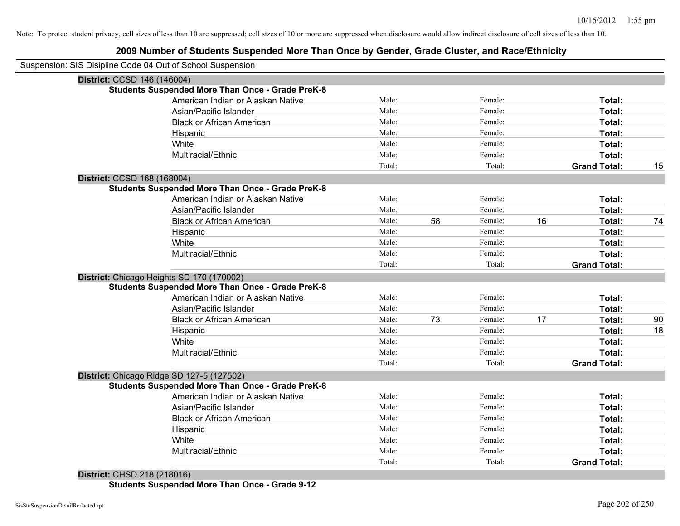## **2009 Number of Students Suspended More Than Once by Gender, Grade Cluster, and Race/Ethnicity**

| Suspension: SIS Disipline Code 04 Out of School Suspension |                                                         |        |    |         |    |                     |    |
|------------------------------------------------------------|---------------------------------------------------------|--------|----|---------|----|---------------------|----|
| District: CCSD 146 (146004)                                |                                                         |        |    |         |    |                     |    |
|                                                            | Students Suspended More Than Once - Grade PreK-8        |        |    |         |    |                     |    |
|                                                            | American Indian or Alaskan Native                       | Male:  |    | Female: |    | Total:              |    |
|                                                            | Asian/Pacific Islander                                  | Male:  |    | Female: |    | Total:              |    |
|                                                            | <b>Black or African American</b>                        | Male:  |    | Female: |    | Total:              |    |
| Hispanic                                                   |                                                         | Male:  |    | Female: |    | Total:              |    |
| White                                                      |                                                         | Male:  |    | Female: |    | Total:              |    |
|                                                            | Multiracial/Ethnic                                      | Male:  |    | Female: |    | Total:              |    |
|                                                            |                                                         | Total: |    | Total:  |    | <b>Grand Total:</b> | 15 |
| District: CCSD 168 (168004)                                |                                                         |        |    |         |    |                     |    |
|                                                            | <b>Students Suspended More Than Once - Grade PreK-8</b> |        |    |         |    |                     |    |
|                                                            | American Indian or Alaskan Native                       | Male:  |    | Female: |    | Total:              |    |
|                                                            | Asian/Pacific Islander                                  | Male:  |    | Female: |    | Total:              |    |
|                                                            | <b>Black or African American</b>                        | Male:  | 58 | Female: | 16 | Total:              | 74 |
| Hispanic                                                   |                                                         | Male:  |    | Female: |    | Total:              |    |
| White                                                      |                                                         | Male:  |    | Female: |    | Total:              |    |
| Multiracial/Ethnic                                         |                                                         | Male:  |    | Female: |    | Total:              |    |
|                                                            |                                                         | Total: |    | Total:  |    | <b>Grand Total:</b> |    |
| District: Chicago Heights SD 170 (170002)                  |                                                         |        |    |         |    |                     |    |
|                                                            | <b>Students Suspended More Than Once - Grade PreK-8</b> |        |    |         |    |                     |    |
|                                                            | American Indian or Alaskan Native                       | Male:  |    | Female: |    | Total:              |    |
|                                                            | Asian/Pacific Islander                                  | Male:  |    | Female: |    | Total:              |    |
|                                                            | <b>Black or African American</b>                        | Male:  | 73 | Female: | 17 | Total:              | 90 |
| Hispanic                                                   |                                                         | Male:  |    | Female: |    | Total:              | 18 |
| White                                                      |                                                         | Male:  |    | Female: |    | Total:              |    |
| Multiracial/Ethnic                                         |                                                         | Male:  |    | Female: |    | Total:              |    |
|                                                            |                                                         | Total: |    | Total:  |    | <b>Grand Total:</b> |    |
| District: Chicago Ridge SD 127-5 (127502)                  |                                                         |        |    |         |    |                     |    |
|                                                            | <b>Students Suspended More Than Once - Grade PreK-8</b> |        |    |         |    |                     |    |
|                                                            | American Indian or Alaskan Native                       | Male:  |    | Female: |    | Total:              |    |
|                                                            | Asian/Pacific Islander                                  | Male:  |    | Female: |    | Total:              |    |
|                                                            | <b>Black or African American</b>                        | Male:  |    | Female: |    | Total:              |    |
| Hispanic                                                   |                                                         | Male:  |    | Female: |    | Total:              |    |
| White                                                      |                                                         | Male:  |    | Female: |    | Total:              |    |
| Multiracial/Ethnic                                         |                                                         | Male:  |    | Female: |    | Total:              |    |
|                                                            |                                                         | Total: |    | Total:  |    | <b>Grand Total:</b> |    |

**District:** CHSD 218 (218016) **Students Suspended More Than Once - Grade 9-12**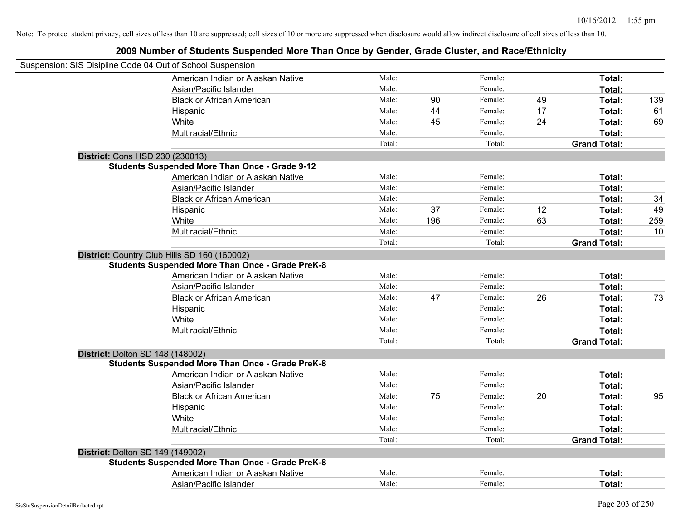| Suspension: SIS Disipline Code 04 Out of School Suspension                                              |        |     |         |    |                     |     |
|---------------------------------------------------------------------------------------------------------|--------|-----|---------|----|---------------------|-----|
| American Indian or Alaskan Native                                                                       | Male:  |     | Female: |    | Total:              |     |
| Asian/Pacific Islander                                                                                  | Male:  |     | Female: |    | Total:              |     |
| <b>Black or African American</b>                                                                        | Male:  | 90  | Female: | 49 | Total:              | 139 |
| Hispanic                                                                                                | Male:  | 44  | Female: | 17 | Total:              | 61  |
| White                                                                                                   | Male:  | 45  | Female: | 24 | Total:              | 69  |
| Multiracial/Ethnic                                                                                      | Male:  |     | Female: |    | Total:              |     |
|                                                                                                         | Total: |     | Total:  |    | <b>Grand Total:</b> |     |
| District: Cons HSD 230 (230013)                                                                         |        |     |         |    |                     |     |
| <b>Students Suspended More Than Once - Grade 9-12</b>                                                   |        |     |         |    |                     |     |
| American Indian or Alaskan Native                                                                       | Male:  |     | Female: |    | Total:              |     |
| Asian/Pacific Islander                                                                                  | Male:  |     | Female: |    | Total:              |     |
| <b>Black or African American</b>                                                                        | Male:  |     | Female: |    | Total:              | 34  |
| Hispanic                                                                                                | Male:  | 37  | Female: | 12 | Total:              | 49  |
| White                                                                                                   | Male:  | 196 | Female: | 63 | Total:              | 259 |
| Multiracial/Ethnic                                                                                      | Male:  |     | Female: |    | Total:              | 10  |
|                                                                                                         | Total: |     | Total:  |    | <b>Grand Total:</b> |     |
| District: Country Club Hills SD 160 (160002)<br><b>Students Suspended More Than Once - Grade PreK-8</b> |        |     |         |    |                     |     |
| American Indian or Alaskan Native                                                                       | Male:  |     | Female: |    | Total:              |     |
| Asian/Pacific Islander                                                                                  | Male:  |     | Female: |    | Total:              |     |
| <b>Black or African American</b>                                                                        | Male:  | 47  | Female: | 26 | Total:              | 73  |
| Hispanic                                                                                                | Male:  |     | Female: |    | Total:              |     |
| White                                                                                                   | Male:  |     | Female: |    | Total:              |     |
| Multiracial/Ethnic                                                                                      | Male:  |     | Female: |    | Total:              |     |
|                                                                                                         | Total: |     | Total:  |    | <b>Grand Total:</b> |     |
| <b>District: Dolton SD 148 (148002)</b>                                                                 |        |     |         |    |                     |     |
| <b>Students Suspended More Than Once - Grade PreK-8</b>                                                 |        |     |         |    |                     |     |
| American Indian or Alaskan Native                                                                       | Male:  |     | Female: |    | <b>Total:</b>       |     |
| Asian/Pacific Islander                                                                                  | Male:  |     | Female: |    | Total:              |     |
| <b>Black or African American</b>                                                                        | Male:  | 75  | Female: | 20 | Total:              | 95  |
| Hispanic                                                                                                | Male:  |     | Female: |    | Total:              |     |
| White                                                                                                   | Male:  |     | Female: |    | Total:              |     |
| Multiracial/Ethnic                                                                                      | Male:  |     | Female: |    | Total:              |     |
|                                                                                                         | Total: |     | Total:  |    | <b>Grand Total:</b> |     |
| <b>District: Dolton SD 149 (149002)</b>                                                                 |        |     |         |    |                     |     |
| <b>Students Suspended More Than Once - Grade PreK-8</b>                                                 |        |     |         |    |                     |     |
| American Indian or Alaskan Native                                                                       | Male:  |     | Female: |    | Total:              |     |
| Asian/Pacific Islander                                                                                  | Male:  |     | Female: |    | Total:              |     |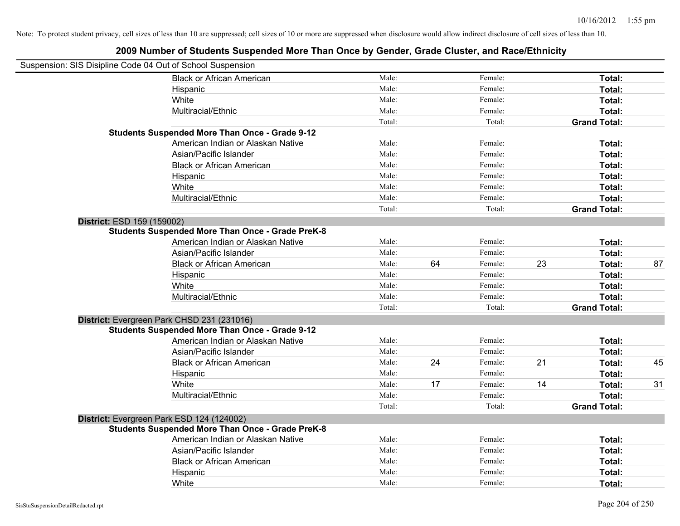|                            | Suspension: SIS Disipline Code 04 Out of School Suspension |        |    |         |    |                     |    |
|----------------------------|------------------------------------------------------------|--------|----|---------|----|---------------------|----|
|                            | <b>Black or African American</b>                           | Male:  |    | Female: |    | Total:              |    |
|                            | Hispanic                                                   | Male:  |    | Female: |    | Total:              |    |
|                            | White                                                      | Male:  |    | Female: |    | Total:              |    |
|                            | Multiracial/Ethnic                                         | Male:  |    | Female: |    | Total:              |    |
|                            |                                                            | Total: |    | Total:  |    | <b>Grand Total:</b> |    |
|                            | <b>Students Suspended More Than Once - Grade 9-12</b>      |        |    |         |    |                     |    |
|                            | American Indian or Alaskan Native                          | Male:  |    | Female: |    | Total:              |    |
|                            | Asian/Pacific Islander                                     | Male:  |    | Female: |    | Total:              |    |
|                            | <b>Black or African American</b>                           | Male:  |    | Female: |    | Total:              |    |
|                            | Hispanic                                                   | Male:  |    | Female: |    | Total:              |    |
|                            | White                                                      | Male:  |    | Female: |    | Total:              |    |
|                            | Multiracial/Ethnic                                         | Male:  |    | Female: |    | Total:              |    |
|                            |                                                            | Total: |    | Total:  |    | <b>Grand Total:</b> |    |
| District: ESD 159 (159002) |                                                            |        |    |         |    |                     |    |
|                            | <b>Students Suspended More Than Once - Grade PreK-8</b>    |        |    |         |    |                     |    |
|                            | American Indian or Alaskan Native                          | Male:  |    | Female: |    | Total:              |    |
|                            | Asian/Pacific Islander                                     | Male:  |    | Female: |    | Total:              |    |
|                            | <b>Black or African American</b>                           | Male:  | 64 | Female: | 23 | Total:              | 87 |
|                            | Hispanic                                                   | Male:  |    | Female: |    | Total:              |    |
|                            | White                                                      | Male:  |    | Female: |    | Total:              |    |
|                            | Multiracial/Ethnic                                         | Male:  |    | Female: |    | Total:              |    |
|                            |                                                            | Total: |    | Total:  |    | <b>Grand Total:</b> |    |
|                            | District: Evergreen Park CHSD 231 (231016)                 |        |    |         |    |                     |    |
|                            | <b>Students Suspended More Than Once - Grade 9-12</b>      |        |    |         |    |                     |    |
|                            | American Indian or Alaskan Native                          | Male:  |    | Female: |    | Total:              |    |
|                            | Asian/Pacific Islander                                     | Male:  |    | Female: |    | Total:              |    |
|                            | <b>Black or African American</b>                           | Male:  | 24 | Female: | 21 | Total:              | 45 |
|                            | Hispanic                                                   | Male:  |    | Female: |    | Total:              |    |
|                            | White                                                      | Male:  | 17 | Female: | 14 | Total:              | 31 |
|                            | Multiracial/Ethnic                                         | Male:  |    | Female: |    | Total:              |    |
|                            |                                                            | Total: |    | Total:  |    | <b>Grand Total:</b> |    |
|                            | District: Evergreen Park ESD 124 (124002)                  |        |    |         |    |                     |    |
|                            | <b>Students Suspended More Than Once - Grade PreK-8</b>    |        |    |         |    |                     |    |
|                            | American Indian or Alaskan Native                          | Male:  |    | Female: |    | Total:              |    |
|                            | Asian/Pacific Islander                                     | Male:  |    | Female: |    | Total:              |    |
|                            | <b>Black or African American</b>                           | Male:  |    | Female: |    | Total:              |    |
|                            | Hispanic                                                   | Male:  |    | Female: |    | Total:              |    |
|                            | White                                                      | Male:  |    | Female: |    | Total:              |    |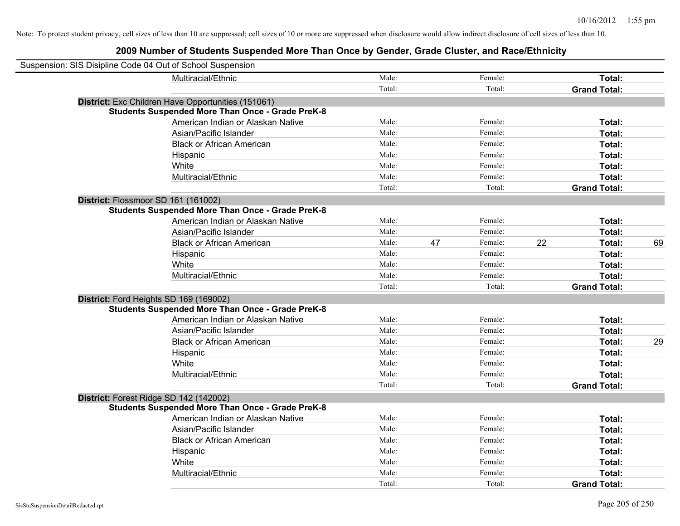| Suspension: SIS Disipline Code 04 Out of School Suspension |                                                         |        |    |         |    |                     |    |
|------------------------------------------------------------|---------------------------------------------------------|--------|----|---------|----|---------------------|----|
|                                                            | Multiracial/Ethnic                                      | Male:  |    | Female: |    | Total:              |    |
|                                                            |                                                         | Total: |    | Total:  |    | <b>Grand Total:</b> |    |
|                                                            | District: Exc Children Have Opportunities (151061)      |        |    |         |    |                     |    |
|                                                            | <b>Students Suspended More Than Once - Grade PreK-8</b> |        |    |         |    |                     |    |
|                                                            | American Indian or Alaskan Native                       | Male:  |    | Female: |    | Total:              |    |
|                                                            | Asian/Pacific Islander                                  | Male:  |    | Female: |    | Total:              |    |
|                                                            | <b>Black or African American</b>                        | Male:  |    | Female: |    | Total:              |    |
|                                                            | Hispanic                                                | Male:  |    | Female: |    | Total:              |    |
|                                                            | White                                                   | Male:  |    | Female: |    | Total:              |    |
|                                                            | Multiracial/Ethnic                                      | Male:  |    | Female: |    | Total:              |    |
|                                                            |                                                         | Total: |    | Total:  |    | <b>Grand Total:</b> |    |
| District: Flossmoor SD 161 (161002)                        |                                                         |        |    |         |    |                     |    |
|                                                            | <b>Students Suspended More Than Once - Grade PreK-8</b> |        |    |         |    |                     |    |
|                                                            | American Indian or Alaskan Native                       | Male:  |    | Female: |    | Total:              |    |
|                                                            | Asian/Pacific Islander                                  | Male:  |    | Female: |    | Total:              |    |
|                                                            | <b>Black or African American</b>                        | Male:  | 47 | Female: | 22 | Total:              | 69 |
|                                                            | Hispanic                                                | Male:  |    | Female: |    | Total:              |    |
|                                                            | White                                                   | Male:  |    | Female: |    | Total:              |    |
|                                                            | Multiracial/Ethnic                                      | Male:  |    | Female: |    | Total:              |    |
|                                                            |                                                         | Total: |    | Total:  |    | <b>Grand Total:</b> |    |
| District: Ford Heights SD 169 (169002)                     |                                                         |        |    |         |    |                     |    |
|                                                            | <b>Students Suspended More Than Once - Grade PreK-8</b> |        |    |         |    |                     |    |
|                                                            | American Indian or Alaskan Native                       | Male:  |    | Female: |    | Total:              |    |
|                                                            | Asian/Pacific Islander                                  | Male:  |    | Female: |    | Total:              |    |
|                                                            | <b>Black or African American</b>                        | Male:  |    | Female: |    | Total:              | 29 |
|                                                            | Hispanic                                                | Male:  |    | Female: |    | Total:              |    |
|                                                            | White                                                   | Male:  |    | Female: |    | Total:              |    |
|                                                            | Multiracial/Ethnic                                      | Male:  |    | Female: |    | Total:              |    |
|                                                            |                                                         | Total: |    | Total:  |    | <b>Grand Total:</b> |    |
| District: Forest Ridge SD 142 (142002)                     |                                                         |        |    |         |    |                     |    |
|                                                            | <b>Students Suspended More Than Once - Grade PreK-8</b> |        |    |         |    |                     |    |
|                                                            | American Indian or Alaskan Native                       | Male:  |    | Female: |    | Total:              |    |
|                                                            | Asian/Pacific Islander                                  | Male:  |    | Female: |    | Total:              |    |
|                                                            | <b>Black or African American</b>                        | Male:  |    | Female: |    | Total:              |    |
|                                                            | Hispanic                                                | Male:  |    | Female: |    | Total:              |    |
|                                                            | White                                                   | Male:  |    | Female: |    | Total:              |    |
|                                                            | Multiracial/Ethnic                                      | Male:  |    | Female: |    | Total:              |    |
|                                                            |                                                         | Total: |    | Total:  |    | <b>Grand Total:</b> |    |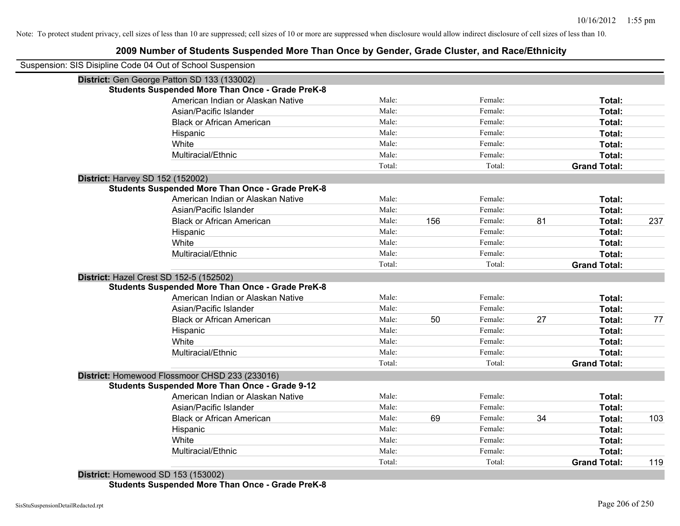# **2009 Number of Students Suspended More Than Once by Gender, Grade Cluster, and Race/Ethnicity**

| Suspension: SIS Disipline Code 04 Out of School Suspension<br>District: Gen George Patton SD 133 (133002)<br><b>Students Suspended More Than Once - Grade PreK-8</b><br>American Indian or Alaskan Native<br>Male:<br>Female:<br>Male:<br>Female:<br>Asian/Pacific Islander<br><b>Black or African American</b><br>Male:<br>Female:<br>Female:<br>Male:<br>Hispanic<br>White<br>Male:<br>Female:<br>Multiracial/Ethnic<br>Male:<br>Female:<br>Total:<br>Total:<br>District: Harvey SD 152 (152002)<br><b>Students Suspended More Than Once - Grade PreK-8</b><br>Male:<br>Female:<br>American Indian or Alaskan Native<br>Male:<br>Female:<br>Asian/Pacific Islander<br>Male:<br>Female:<br>81<br>156<br><b>Black or African American</b><br>Male:<br>Female:<br>Hispanic<br>Male:<br>Female:<br>White<br>Male:<br>Female:<br>Multiracial/Ethnic<br>Total:<br>Total:<br>District: Hazel Crest SD 152-5 (152502)<br><b>Students Suspended More Than Once - Grade PreK-8</b><br>American Indian or Alaskan Native<br>Male:<br>Female:<br>Male:<br>Asian/Pacific Islander<br>Female:<br>Male:<br>50<br>27<br><b>Black or African American</b><br>Female:<br>Male:<br>Female:<br>Hispanic<br>White<br>Male:<br>Female:<br>Male:<br>Multiracial/Ethnic<br>Female:<br>Total:<br>Total:<br>District: Homewood Flossmoor CHSD 233 (233016)<br><b>Students Suspended More Than Once - Grade 9-12</b><br>Male:<br>Female:<br>American Indian or Alaskan Native<br>Male:<br>Asian/Pacific Islander<br>Female:<br>69<br>34<br>Male:<br>Female:<br><b>Black or African American</b><br>Male:<br>Female:<br>Hispanic<br>White<br>Male:<br>Female:<br>Multiracial/Ethnic<br>Male:<br>Female: |                     |     |
|-------------------------------------------------------------------------------------------------------------------------------------------------------------------------------------------------------------------------------------------------------------------------------------------------------------------------------------------------------------------------------------------------------------------------------------------------------------------------------------------------------------------------------------------------------------------------------------------------------------------------------------------------------------------------------------------------------------------------------------------------------------------------------------------------------------------------------------------------------------------------------------------------------------------------------------------------------------------------------------------------------------------------------------------------------------------------------------------------------------------------------------------------------------------------------------------------------------------------------------------------------------------------------------------------------------------------------------------------------------------------------------------------------------------------------------------------------------------------------------------------------------------------------------------------------------------------------------------------------------------------------------------------------------------------------|---------------------|-----|
|                                                                                                                                                                                                                                                                                                                                                                                                                                                                                                                                                                                                                                                                                                                                                                                                                                                                                                                                                                                                                                                                                                                                                                                                                                                                                                                                                                                                                                                                                                                                                                                                                                                                               |                     |     |
|                                                                                                                                                                                                                                                                                                                                                                                                                                                                                                                                                                                                                                                                                                                                                                                                                                                                                                                                                                                                                                                                                                                                                                                                                                                                                                                                                                                                                                                                                                                                                                                                                                                                               |                     |     |
|                                                                                                                                                                                                                                                                                                                                                                                                                                                                                                                                                                                                                                                                                                                                                                                                                                                                                                                                                                                                                                                                                                                                                                                                                                                                                                                                                                                                                                                                                                                                                                                                                                                                               |                     |     |
|                                                                                                                                                                                                                                                                                                                                                                                                                                                                                                                                                                                                                                                                                                                                                                                                                                                                                                                                                                                                                                                                                                                                                                                                                                                                                                                                                                                                                                                                                                                                                                                                                                                                               | Total:              |     |
|                                                                                                                                                                                                                                                                                                                                                                                                                                                                                                                                                                                                                                                                                                                                                                                                                                                                                                                                                                                                                                                                                                                                                                                                                                                                                                                                                                                                                                                                                                                                                                                                                                                                               | Total:              |     |
|                                                                                                                                                                                                                                                                                                                                                                                                                                                                                                                                                                                                                                                                                                                                                                                                                                                                                                                                                                                                                                                                                                                                                                                                                                                                                                                                                                                                                                                                                                                                                                                                                                                                               | Total:              |     |
|                                                                                                                                                                                                                                                                                                                                                                                                                                                                                                                                                                                                                                                                                                                                                                                                                                                                                                                                                                                                                                                                                                                                                                                                                                                                                                                                                                                                                                                                                                                                                                                                                                                                               | Total:              |     |
|                                                                                                                                                                                                                                                                                                                                                                                                                                                                                                                                                                                                                                                                                                                                                                                                                                                                                                                                                                                                                                                                                                                                                                                                                                                                                                                                                                                                                                                                                                                                                                                                                                                                               | Total:              |     |
|                                                                                                                                                                                                                                                                                                                                                                                                                                                                                                                                                                                                                                                                                                                                                                                                                                                                                                                                                                                                                                                                                                                                                                                                                                                                                                                                                                                                                                                                                                                                                                                                                                                                               | Total:              |     |
|                                                                                                                                                                                                                                                                                                                                                                                                                                                                                                                                                                                                                                                                                                                                                                                                                                                                                                                                                                                                                                                                                                                                                                                                                                                                                                                                                                                                                                                                                                                                                                                                                                                                               | <b>Grand Total:</b> |     |
|                                                                                                                                                                                                                                                                                                                                                                                                                                                                                                                                                                                                                                                                                                                                                                                                                                                                                                                                                                                                                                                                                                                                                                                                                                                                                                                                                                                                                                                                                                                                                                                                                                                                               |                     |     |
|                                                                                                                                                                                                                                                                                                                                                                                                                                                                                                                                                                                                                                                                                                                                                                                                                                                                                                                                                                                                                                                                                                                                                                                                                                                                                                                                                                                                                                                                                                                                                                                                                                                                               |                     |     |
|                                                                                                                                                                                                                                                                                                                                                                                                                                                                                                                                                                                                                                                                                                                                                                                                                                                                                                                                                                                                                                                                                                                                                                                                                                                                                                                                                                                                                                                                                                                                                                                                                                                                               | Total:              |     |
|                                                                                                                                                                                                                                                                                                                                                                                                                                                                                                                                                                                                                                                                                                                                                                                                                                                                                                                                                                                                                                                                                                                                                                                                                                                                                                                                                                                                                                                                                                                                                                                                                                                                               | Total:              |     |
|                                                                                                                                                                                                                                                                                                                                                                                                                                                                                                                                                                                                                                                                                                                                                                                                                                                                                                                                                                                                                                                                                                                                                                                                                                                                                                                                                                                                                                                                                                                                                                                                                                                                               | Total:              | 237 |
|                                                                                                                                                                                                                                                                                                                                                                                                                                                                                                                                                                                                                                                                                                                                                                                                                                                                                                                                                                                                                                                                                                                                                                                                                                                                                                                                                                                                                                                                                                                                                                                                                                                                               | Total:              |     |
|                                                                                                                                                                                                                                                                                                                                                                                                                                                                                                                                                                                                                                                                                                                                                                                                                                                                                                                                                                                                                                                                                                                                                                                                                                                                                                                                                                                                                                                                                                                                                                                                                                                                               | Total:              |     |
|                                                                                                                                                                                                                                                                                                                                                                                                                                                                                                                                                                                                                                                                                                                                                                                                                                                                                                                                                                                                                                                                                                                                                                                                                                                                                                                                                                                                                                                                                                                                                                                                                                                                               | Total:              |     |
|                                                                                                                                                                                                                                                                                                                                                                                                                                                                                                                                                                                                                                                                                                                                                                                                                                                                                                                                                                                                                                                                                                                                                                                                                                                                                                                                                                                                                                                                                                                                                                                                                                                                               | <b>Grand Total:</b> |     |
|                                                                                                                                                                                                                                                                                                                                                                                                                                                                                                                                                                                                                                                                                                                                                                                                                                                                                                                                                                                                                                                                                                                                                                                                                                                                                                                                                                                                                                                                                                                                                                                                                                                                               |                     |     |
|                                                                                                                                                                                                                                                                                                                                                                                                                                                                                                                                                                                                                                                                                                                                                                                                                                                                                                                                                                                                                                                                                                                                                                                                                                                                                                                                                                                                                                                                                                                                                                                                                                                                               |                     |     |
|                                                                                                                                                                                                                                                                                                                                                                                                                                                                                                                                                                                                                                                                                                                                                                                                                                                                                                                                                                                                                                                                                                                                                                                                                                                                                                                                                                                                                                                                                                                                                                                                                                                                               | Total:              |     |
|                                                                                                                                                                                                                                                                                                                                                                                                                                                                                                                                                                                                                                                                                                                                                                                                                                                                                                                                                                                                                                                                                                                                                                                                                                                                                                                                                                                                                                                                                                                                                                                                                                                                               | Total:              |     |
|                                                                                                                                                                                                                                                                                                                                                                                                                                                                                                                                                                                                                                                                                                                                                                                                                                                                                                                                                                                                                                                                                                                                                                                                                                                                                                                                                                                                                                                                                                                                                                                                                                                                               | Total:              | 77  |
|                                                                                                                                                                                                                                                                                                                                                                                                                                                                                                                                                                                                                                                                                                                                                                                                                                                                                                                                                                                                                                                                                                                                                                                                                                                                                                                                                                                                                                                                                                                                                                                                                                                                               | Total:              |     |
|                                                                                                                                                                                                                                                                                                                                                                                                                                                                                                                                                                                                                                                                                                                                                                                                                                                                                                                                                                                                                                                                                                                                                                                                                                                                                                                                                                                                                                                                                                                                                                                                                                                                               | Total:              |     |
|                                                                                                                                                                                                                                                                                                                                                                                                                                                                                                                                                                                                                                                                                                                                                                                                                                                                                                                                                                                                                                                                                                                                                                                                                                                                                                                                                                                                                                                                                                                                                                                                                                                                               | Total:              |     |
|                                                                                                                                                                                                                                                                                                                                                                                                                                                                                                                                                                                                                                                                                                                                                                                                                                                                                                                                                                                                                                                                                                                                                                                                                                                                                                                                                                                                                                                                                                                                                                                                                                                                               | <b>Grand Total:</b> |     |
|                                                                                                                                                                                                                                                                                                                                                                                                                                                                                                                                                                                                                                                                                                                                                                                                                                                                                                                                                                                                                                                                                                                                                                                                                                                                                                                                                                                                                                                                                                                                                                                                                                                                               |                     |     |
|                                                                                                                                                                                                                                                                                                                                                                                                                                                                                                                                                                                                                                                                                                                                                                                                                                                                                                                                                                                                                                                                                                                                                                                                                                                                                                                                                                                                                                                                                                                                                                                                                                                                               |                     |     |
|                                                                                                                                                                                                                                                                                                                                                                                                                                                                                                                                                                                                                                                                                                                                                                                                                                                                                                                                                                                                                                                                                                                                                                                                                                                                                                                                                                                                                                                                                                                                                                                                                                                                               | Total:              |     |
|                                                                                                                                                                                                                                                                                                                                                                                                                                                                                                                                                                                                                                                                                                                                                                                                                                                                                                                                                                                                                                                                                                                                                                                                                                                                                                                                                                                                                                                                                                                                                                                                                                                                               | Total:              |     |
|                                                                                                                                                                                                                                                                                                                                                                                                                                                                                                                                                                                                                                                                                                                                                                                                                                                                                                                                                                                                                                                                                                                                                                                                                                                                                                                                                                                                                                                                                                                                                                                                                                                                               | Total:              | 103 |
|                                                                                                                                                                                                                                                                                                                                                                                                                                                                                                                                                                                                                                                                                                                                                                                                                                                                                                                                                                                                                                                                                                                                                                                                                                                                                                                                                                                                                                                                                                                                                                                                                                                                               | Total:              |     |
|                                                                                                                                                                                                                                                                                                                                                                                                                                                                                                                                                                                                                                                                                                                                                                                                                                                                                                                                                                                                                                                                                                                                                                                                                                                                                                                                                                                                                                                                                                                                                                                                                                                                               | Total:              |     |
|                                                                                                                                                                                                                                                                                                                                                                                                                                                                                                                                                                                                                                                                                                                                                                                                                                                                                                                                                                                                                                                                                                                                                                                                                                                                                                                                                                                                                                                                                                                                                                                                                                                                               | Total:              |     |
| Total:<br>Total:                                                                                                                                                                                                                                                                                                                                                                                                                                                                                                                                                                                                                                                                                                                                                                                                                                                                                                                                                                                                                                                                                                                                                                                                                                                                                                                                                                                                                                                                                                                                                                                                                                                              | <b>Grand Total:</b> | 119 |

**District:** Homewood SD 153 (153002) **Students Suspended More Than Once - Grade PreK-8**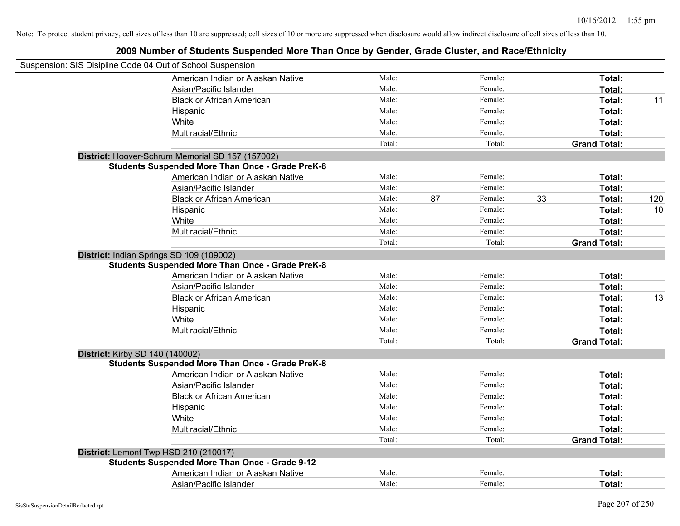| 2009 Number of Students Suspended More Than Once by Gender, Grade Cluster, and Race/Ethnicity |        |    |         |    |                     |     |
|-----------------------------------------------------------------------------------------------|--------|----|---------|----|---------------------|-----|
| Suspension: SIS Disipline Code 04 Out of School Suspension                                    |        |    |         |    |                     |     |
| American Indian or Alaskan Native                                                             | Male:  |    | Female: |    | Total:              |     |
| Asian/Pacific Islander                                                                        | Male:  |    | Female: |    | Total:              |     |
| <b>Black or African American</b>                                                              | Male:  |    | Female: |    | Total:              | 11  |
| Hispanic                                                                                      | Male:  |    | Female: |    | Total:              |     |
| White                                                                                         | Male:  |    | Female: |    | Total:              |     |
| Multiracial/Ethnic                                                                            | Male:  |    | Female: |    | Total:              |     |
|                                                                                               | Total: |    | Total:  |    | <b>Grand Total:</b> |     |
| District: Hoover-Schrum Memorial SD 157 (157002)                                              |        |    |         |    |                     |     |
| <b>Students Suspended More Than Once - Grade PreK-8</b>                                       |        |    |         |    |                     |     |
| American Indian or Alaskan Native                                                             | Male:  |    | Female: |    | Total:              |     |
| Asian/Pacific Islander                                                                        | Male:  |    | Female: |    | Total:              |     |
| <b>Black or African American</b>                                                              | Male:  | 87 | Female: | 33 | Total:              | 120 |
| Hispanic                                                                                      | Male:  |    | Female: |    | Total:              | 10  |
| White                                                                                         | Male:  |    | Female: |    | Total:              |     |
| Multiracial/Ethnic                                                                            | Male:  |    | Female: |    | Total:              |     |
|                                                                                               | Total: |    | Total:  |    | <b>Grand Total:</b> |     |
| District: Indian Springs SD 109 (109002)                                                      |        |    |         |    |                     |     |
| <b>Students Suspended More Than Once - Grade PreK-8</b>                                       |        |    |         |    |                     |     |
| American Indian or Alaskan Native                                                             | Male:  |    | Female: |    | <b>Total:</b>       |     |
| Asian/Pacific Islander                                                                        | Male:  |    | Female: |    | Total:              |     |
| <b>Black or African American</b>                                                              | Male:  |    | Female: |    | Total:              | 13  |
| Hispanic                                                                                      | Male:  |    | Female: |    | Total:              |     |
| White                                                                                         | Male:  |    | Female: |    | Total:              |     |
| Multiracial/Ethnic                                                                            | Male:  |    | Female: |    | Total:              |     |
|                                                                                               | Total: |    | Total:  |    | <b>Grand Total:</b> |     |
| District: Kirby SD 140 (140002)                                                               |        |    |         |    |                     |     |
| <b>Students Suspended More Than Once - Grade PreK-8</b>                                       |        |    |         |    |                     |     |
| American Indian or Alaskan Native                                                             | Male:  |    | Female: |    | Total:              |     |
| Asian/Pacific Islander                                                                        | Male:  |    | Female: |    | Total:              |     |
| <b>Black or African American</b>                                                              | Male:  |    | Female: |    | Total:              |     |
| Hispanic                                                                                      | Male:  |    | Female: |    | Total:              |     |
| White                                                                                         | Male:  |    | Female: |    | Total:              |     |
| Multiracial/Ethnic                                                                            | Male:  |    | Female: |    | Total:              |     |
|                                                                                               | Total: |    | Total:  |    | <b>Grand Total:</b> |     |
| District: Lemont Twp HSD 210 (210017)                                                         |        |    |         |    |                     |     |
| <b>Students Suspended More Than Once - Grade 9-12</b>                                         |        |    |         |    |                     |     |
| American Indian or Alaskan Native                                                             | Male:  |    | Female: |    | Total:              |     |
| Asian/Pacific Islander                                                                        | Male:  |    | Female: |    | Total:              |     |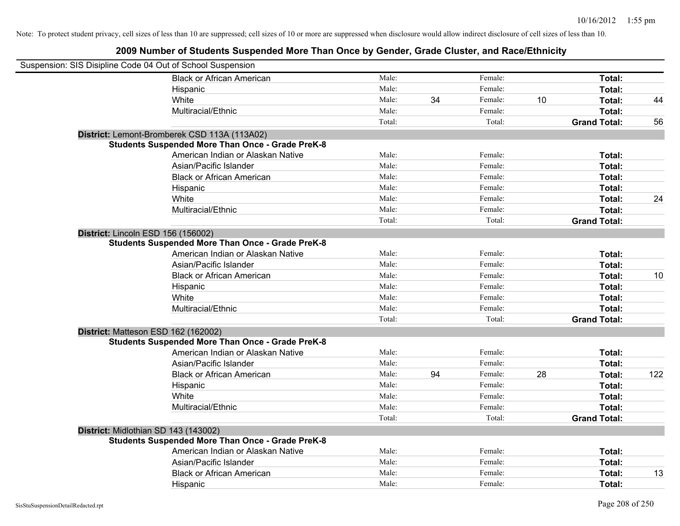| Suspension: SIS Disipline Code 04 Out of School Suspension |        |    |         |    |                     |     |
|------------------------------------------------------------|--------|----|---------|----|---------------------|-----|
| <b>Black or African American</b>                           | Male:  |    | Female: |    | Total:              |     |
| Hispanic                                                   | Male:  |    | Female: |    | Total:              |     |
| White                                                      | Male:  | 34 | Female: | 10 | Total:              | 44  |
| Multiracial/Ethnic                                         | Male:  |    | Female: |    | Total:              |     |
|                                                            | Total: |    | Total:  |    | <b>Grand Total:</b> | 56  |
| District: Lemont-Bromberek CSD 113A (113A02)               |        |    |         |    |                     |     |
| <b>Students Suspended More Than Once - Grade PreK-8</b>    |        |    |         |    |                     |     |
| American Indian or Alaskan Native                          | Male:  |    | Female: |    | Total:              |     |
| Asian/Pacific Islander                                     | Male:  |    | Female: |    | Total:              |     |
| <b>Black or African American</b>                           | Male:  |    | Female: |    | Total:              |     |
| Hispanic                                                   | Male:  |    | Female: |    | Total:              |     |
| White                                                      | Male:  |    | Female: |    | Total:              | 24  |
| Multiracial/Ethnic                                         | Male:  |    | Female: |    | Total:              |     |
|                                                            | Total: |    | Total:  |    | <b>Grand Total:</b> |     |
| District: Lincoln ESD 156 (156002)                         |        |    |         |    |                     |     |
| <b>Students Suspended More Than Once - Grade PreK-8</b>    |        |    |         |    |                     |     |
| American Indian or Alaskan Native                          | Male:  |    | Female: |    | Total:              |     |
| Asian/Pacific Islander                                     | Male:  |    | Female: |    | Total:              |     |
| <b>Black or African American</b>                           | Male:  |    | Female: |    | Total:              | 10  |
| Hispanic                                                   | Male:  |    | Female: |    | Total:              |     |
| White                                                      | Male:  |    | Female: |    | Total:              |     |
| Multiracial/Ethnic                                         | Male:  |    | Female: |    | Total:              |     |
|                                                            | Total: |    | Total:  |    | <b>Grand Total:</b> |     |
| District: Matteson ESD 162 (162002)                        |        |    |         |    |                     |     |
| <b>Students Suspended More Than Once - Grade PreK-8</b>    |        |    |         |    |                     |     |
| American Indian or Alaskan Native                          | Male:  |    | Female: |    | Total:              |     |
| Asian/Pacific Islander                                     | Male:  |    | Female: |    | Total:              |     |
| <b>Black or African American</b>                           | Male:  | 94 | Female: | 28 | Total:              | 122 |
| Hispanic                                                   | Male:  |    | Female: |    | Total:              |     |
| White                                                      | Male:  |    | Female: |    | Total:              |     |
| Multiracial/Ethnic                                         | Male:  |    | Female: |    | Total:              |     |
|                                                            | Total: |    | Total:  |    | <b>Grand Total:</b> |     |
| District: Midlothian SD 143 (143002)                       |        |    |         |    |                     |     |
| <b>Students Suspended More Than Once - Grade PreK-8</b>    |        |    |         |    |                     |     |
| American Indian or Alaskan Native                          | Male:  |    | Female: |    | Total:              |     |
| Asian/Pacific Islander                                     | Male:  |    | Female: |    | Total:              |     |
| <b>Black or African American</b>                           | Male:  |    | Female: |    | Total:              | 13  |
| Hispanic                                                   | Male:  |    | Female: |    | Total:              |     |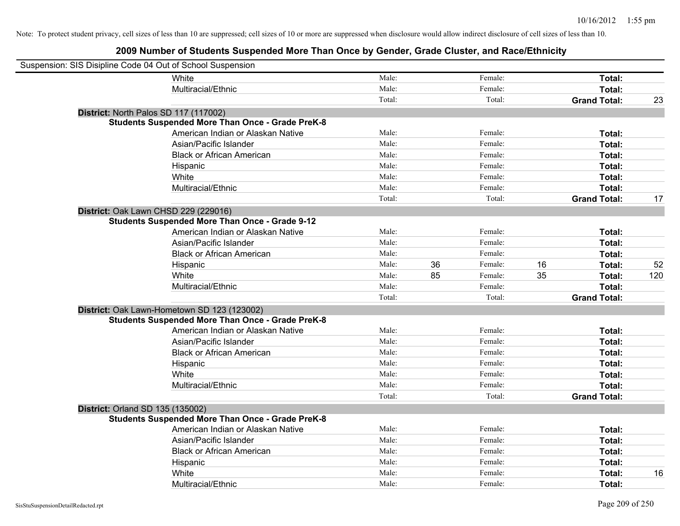| Suspension: SIS Disipline Code 04 Out of School Suspension |                                                         |        |    |         |    |                     |     |
|------------------------------------------------------------|---------------------------------------------------------|--------|----|---------|----|---------------------|-----|
|                                                            | <b>White</b>                                            | Male:  |    | Female: |    | Total:              |     |
|                                                            | Multiracial/Ethnic                                      | Male:  |    | Female: |    | Total:              |     |
|                                                            |                                                         | Total: |    | Total:  |    | <b>Grand Total:</b> | 23  |
|                                                            | District: North Palos SD 117 (117002)                   |        |    |         |    |                     |     |
|                                                            | <b>Students Suspended More Than Once - Grade PreK-8</b> |        |    |         |    |                     |     |
|                                                            | American Indian or Alaskan Native                       | Male:  |    | Female: |    | Total:              |     |
|                                                            | Asian/Pacific Islander                                  | Male:  |    | Female: |    | Total:              |     |
|                                                            | <b>Black or African American</b>                        | Male:  |    | Female: |    | Total:              |     |
|                                                            | Hispanic                                                | Male:  |    | Female: |    | Total:              |     |
|                                                            | White                                                   | Male:  |    | Female: |    | Total:              |     |
|                                                            | Multiracial/Ethnic                                      | Male:  |    | Female: |    | Total:              |     |
|                                                            |                                                         | Total: |    | Total:  |    | <b>Grand Total:</b> | 17  |
|                                                            | District: Oak Lawn CHSD 229 (229016)                    |        |    |         |    |                     |     |
|                                                            | <b>Students Suspended More Than Once - Grade 9-12</b>   |        |    |         |    |                     |     |
|                                                            | American Indian or Alaskan Native                       | Male:  |    | Female: |    | Total:              |     |
|                                                            | Asian/Pacific Islander                                  | Male:  |    | Female: |    | Total:              |     |
|                                                            | <b>Black or African American</b>                        | Male:  |    | Female: |    | Total:              |     |
|                                                            | Hispanic                                                | Male:  | 36 | Female: | 16 | Total:              | 52  |
|                                                            | White                                                   | Male:  | 85 | Female: | 35 | Total:              | 120 |
|                                                            | Multiracial/Ethnic                                      | Male:  |    | Female: |    | Total:              |     |
|                                                            |                                                         | Total: |    | Total:  |    | <b>Grand Total:</b> |     |
|                                                            | District: Oak Lawn-Hometown SD 123 (123002)             |        |    |         |    |                     |     |
|                                                            | <b>Students Suspended More Than Once - Grade PreK-8</b> |        |    |         |    |                     |     |
|                                                            | American Indian or Alaskan Native                       | Male:  |    | Female: |    | Total:              |     |
|                                                            | Asian/Pacific Islander                                  | Male:  |    | Female: |    | Total:              |     |
|                                                            | <b>Black or African American</b>                        | Male:  |    | Female: |    | Total:              |     |
|                                                            | Hispanic                                                | Male:  |    | Female: |    | Total:              |     |
|                                                            | White                                                   | Male:  |    | Female: |    | Total:              |     |
|                                                            | Multiracial/Ethnic                                      | Male:  |    | Female: |    | Total:              |     |
|                                                            |                                                         | Total: |    | Total:  |    | <b>Grand Total:</b> |     |
| <b>District: Orland SD 135 (135002)</b>                    |                                                         |        |    |         |    |                     |     |
|                                                            | <b>Students Suspended More Than Once - Grade PreK-8</b> |        |    |         |    |                     |     |
|                                                            | American Indian or Alaskan Native                       | Male:  |    | Female: |    | Total:              |     |
|                                                            | Asian/Pacific Islander                                  | Male:  |    | Female: |    | Total:              |     |
|                                                            | <b>Black or African American</b>                        | Male:  |    | Female: |    | Total:              |     |
|                                                            | Hispanic                                                | Male:  |    | Female: |    | Total:              |     |
|                                                            | White                                                   | Male:  |    | Female: |    | Total:              | 16  |
|                                                            | Multiracial/Ethnic                                      | Male:  |    | Female: |    | Total:              |     |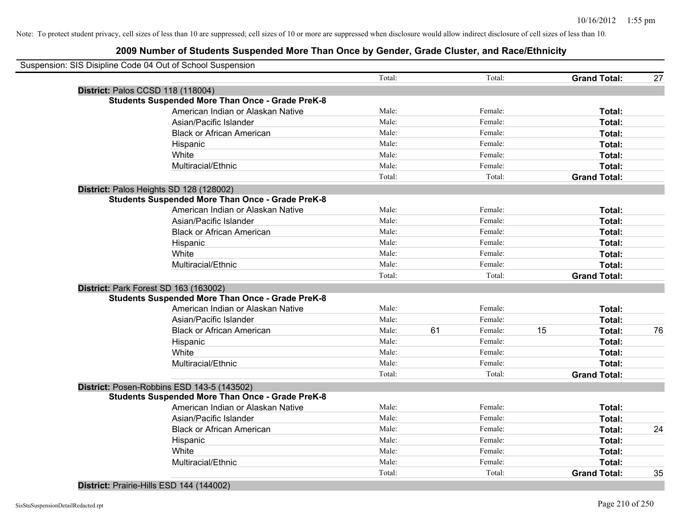| Suspension: SIS Disipline Code 04 Out of School Suspension |        |    |         |    |                     |    |
|------------------------------------------------------------|--------|----|---------|----|---------------------|----|
|                                                            | Total: |    | Total:  |    | <b>Grand Total:</b> | 27 |
| District: Palos CCSD 118 (118004)                          |        |    |         |    |                     |    |
| <b>Students Suspended More Than Once - Grade PreK-8</b>    |        |    |         |    |                     |    |
| American Indian or Alaskan Native                          | Male:  |    | Female: |    | Total:              |    |
| Asian/Pacific Islander                                     | Male:  |    | Female: |    | Total:              |    |
| <b>Black or African American</b>                           | Male:  |    | Female: |    | Total:              |    |
| Hispanic                                                   | Male:  |    | Female: |    | Total:              |    |
| White                                                      | Male:  |    | Female: |    | Total:              |    |
| Multiracial/Ethnic                                         | Male:  |    | Female: |    | Total:              |    |
|                                                            | Total: |    | Total:  |    | <b>Grand Total:</b> |    |
| District: Palos Heights SD 128 (128002)                    |        |    |         |    |                     |    |
| <b>Students Suspended More Than Once - Grade PreK-8</b>    |        |    |         |    |                     |    |
| American Indian or Alaskan Native                          | Male:  |    | Female: |    | Total:              |    |
| Asian/Pacific Islander                                     | Male:  |    | Female: |    | Total:              |    |
| <b>Black or African American</b>                           | Male:  |    | Female: |    | Total:              |    |
| Hispanic                                                   | Male:  |    | Female: |    | Total:              |    |
| White                                                      | Male:  |    | Female: |    | Total:              |    |
| Multiracial/Ethnic                                         | Male:  |    | Female: |    | Total:              |    |
|                                                            | Total: |    | Total:  |    | <b>Grand Total:</b> |    |
| District: Park Forest SD 163 (163002)                      |        |    |         |    |                     |    |
| <b>Students Suspended More Than Once - Grade PreK-8</b>    |        |    |         |    |                     |    |
| American Indian or Alaskan Native                          | Male:  |    | Female: |    | Total:              |    |
| Asian/Pacific Islander                                     | Male:  |    | Female: |    | Total:              |    |
| <b>Black or African American</b>                           | Male:  | 61 | Female: | 15 | Total:              | 76 |
| Hispanic                                                   | Male:  |    | Female: |    | Total:              |    |
| White                                                      | Male:  |    | Female: |    | Total:              |    |
| Multiracial/Ethnic                                         | Male:  |    | Female: |    | <b>Total:</b>       |    |
|                                                            | Total: |    | Total:  |    | <b>Grand Total:</b> |    |
| District: Posen-Robbins ESD 143-5 (143502)                 |        |    |         |    |                     |    |
| <b>Students Suspended More Than Once - Grade PreK-8</b>    |        |    |         |    |                     |    |
| American Indian or Alaskan Native                          | Male:  |    | Female: |    | Total:              |    |
| Asian/Pacific Islander                                     | Male:  |    | Female: |    | Total:              |    |
| <b>Black or African American</b>                           | Male:  |    | Female: |    | Total:              | 24 |
| Hispanic                                                   | Male:  |    | Female: |    | Total:              |    |
| White                                                      | Male:  |    | Female: |    | Total:              |    |
| Multiracial/Ethnic                                         | Male:  |    | Female: |    | Total:              |    |
|                                                            | Total: |    | Total:  |    | <b>Grand Total:</b> | 35 |
|                                                            |        |    |         |    |                     |    |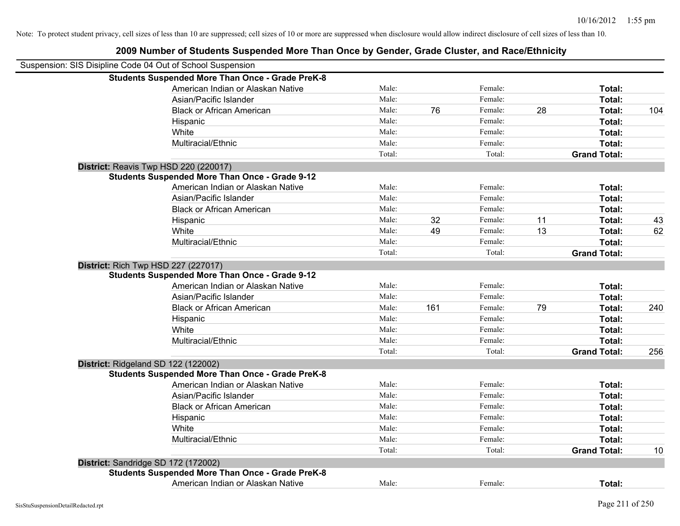| Note: To protect student privacy, cell sizes of less than 10 are suppressed; cell sizes of 10 or more are suppressed when disclosure would allow indirect disclosure of cell sizes of less than 10. |        |     |         |    |                     |     |
|-----------------------------------------------------------------------------------------------------------------------------------------------------------------------------------------------------|--------|-----|---------|----|---------------------|-----|
| 2009 Number of Students Suspended More Than Once by Gender, Grade Cluster, and Race/Ethnicity                                                                                                       |        |     |         |    |                     |     |
| Suspension: SIS Disipline Code 04 Out of School Suspension                                                                                                                                          |        |     |         |    |                     |     |
| <b>Students Suspended More Than Once - Grade PreK-8</b>                                                                                                                                             |        |     |         |    |                     |     |
| American Indian or Alaskan Native                                                                                                                                                                   | Male:  |     | Female: |    | Total:              |     |
| Asian/Pacific Islander                                                                                                                                                                              | Male:  |     | Female: |    | Total:              |     |
| <b>Black or African American</b>                                                                                                                                                                    | Male:  | 76  | Female: | 28 | Total:              | 104 |
| Hispanic                                                                                                                                                                                            | Male:  |     | Female: |    | Total:              |     |
| White                                                                                                                                                                                               | Male:  |     | Female: |    | Total:              |     |
| Multiracial/Ethnic                                                                                                                                                                                  | Male:  |     | Female: |    | Total:              |     |
|                                                                                                                                                                                                     | Total: |     | Total:  |    | <b>Grand Total:</b> |     |
| District: Reavis Twp HSD 220 (220017)                                                                                                                                                               |        |     |         |    |                     |     |
| <b>Students Suspended More Than Once - Grade 9-12</b>                                                                                                                                               |        |     |         |    |                     |     |
| American Indian or Alaskan Native                                                                                                                                                                   | Male:  |     | Female: |    | Total:              |     |
| Asian/Pacific Islander                                                                                                                                                                              | Male:  |     | Female: |    | Total:              |     |
| <b>Black or African American</b>                                                                                                                                                                    | Male:  |     | Female: |    | Total:              |     |
| Hispanic                                                                                                                                                                                            | Male:  | 32  | Female: | 11 | Total:              | 43  |
| White                                                                                                                                                                                               | Male:  | 49  | Female: | 13 | Total:              | 62  |
| Multiracial/Ethnic                                                                                                                                                                                  | Male:  |     | Female: |    | Total:              |     |
|                                                                                                                                                                                                     | Total: |     | Total:  |    | <b>Grand Total:</b> |     |
| <b>District: Rich Twp HSD 227 (227017)</b>                                                                                                                                                          |        |     |         |    |                     |     |
| <b>Students Suspended More Than Once - Grade 9-12</b>                                                                                                                                               |        |     |         |    |                     |     |
| American Indian or Alaskan Native                                                                                                                                                                   | Male:  |     | Female: |    | Total:              |     |
| Asian/Pacific Islander                                                                                                                                                                              | Male:  |     | Female: |    | Total:              |     |
| <b>Black or African American</b>                                                                                                                                                                    | Male:  | 161 | Female: | 79 | Total:              | 240 |
| Hispanic                                                                                                                                                                                            | Male:  |     | Female: |    | Total:              |     |
| White                                                                                                                                                                                               | Male:  |     | Female: |    | Total:              |     |
| Multiracial/Ethnic                                                                                                                                                                                  | Male:  |     | Female: |    | Total:              |     |

American Indian or Alaskan Native **Male:** Male: Female: Female: **Fotal:** Total: Asian/Pacific Islander **Figure 10** and the Male: Female: Female: **Figure 10 and Total:** Figure 10 and Total: Black or African American **Figure 1.1 and Total:** Male: Female: Female: **Total:** Total: Hispanic **Total:** Male: Female: **Total:** Female: **Total:** Total: White **Total:** Male: Female: **Total:** Total: **Total:** Female: **Total:** Total: Multiracial/Ethnic **Total:** Male: Female: **Total:** Female: **Total:** Female: **Total:** Female: **Total:** Female: **Total:** Female: **Total:** Female: **Total:** Female: **Total:** Female: **Total:** Female: **Total: Total: Total:**

**District:** Sandridge SD 172 (172002) **Students Suspended More Than Once - Grade PreK-8** American Indian or Alaskan Native **Male:** Male: Female: Female: **Total:** Total:

**Students Suspended More Than Once - Grade PreK-8**

**District:** Ridgeland SD 122 (122002)

Total: Total: **Grand Total:** 256

Total: Total: Total: Total: **Grand Total:** 10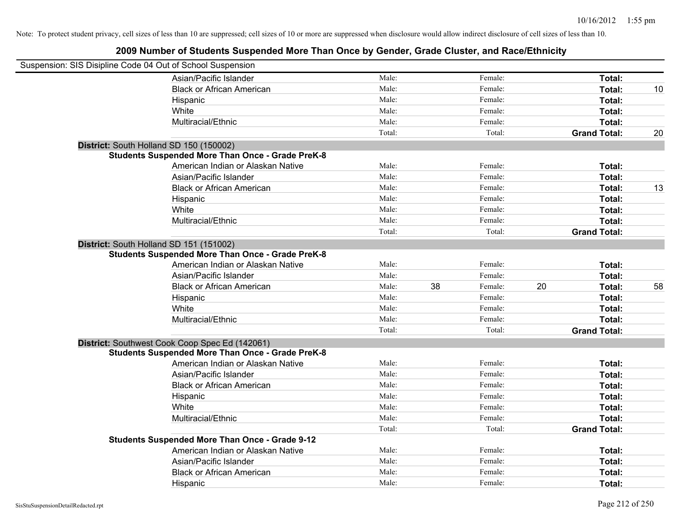| Suspension: SIS Disipline Code 04 Out of School Suspension |                                                         |        |    |         |    |                     |    |
|------------------------------------------------------------|---------------------------------------------------------|--------|----|---------|----|---------------------|----|
|                                                            | Asian/Pacific Islander                                  | Male:  |    | Female: |    | Total:              |    |
|                                                            | <b>Black or African American</b>                        | Male:  |    | Female: |    | Total:              | 10 |
|                                                            | Hispanic                                                | Male:  |    | Female: |    | Total:              |    |
|                                                            | White                                                   | Male:  |    | Female: |    | Total:              |    |
|                                                            | Multiracial/Ethnic                                      | Male:  |    | Female: |    | Total:              |    |
|                                                            |                                                         | Total: |    | Total:  |    | <b>Grand Total:</b> | 20 |
| District: South Holland SD 150 (150002)                    |                                                         |        |    |         |    |                     |    |
|                                                            | <b>Students Suspended More Than Once - Grade PreK-8</b> |        |    |         |    |                     |    |
|                                                            | American Indian or Alaskan Native                       | Male:  |    | Female: |    | Total:              |    |
|                                                            | Asian/Pacific Islander                                  | Male:  |    | Female: |    | Total:              |    |
|                                                            | <b>Black or African American</b>                        | Male:  |    | Female: |    | Total:              | 13 |
|                                                            | Hispanic                                                | Male:  |    | Female: |    | Total:              |    |
|                                                            | White                                                   | Male:  |    | Female: |    | Total:              |    |
|                                                            | Multiracial/Ethnic                                      | Male:  |    | Female: |    | Total:              |    |
|                                                            |                                                         | Total: |    | Total:  |    | <b>Grand Total:</b> |    |
| District: South Holland SD 151 (151002)                    | <b>Students Suspended More Than Once - Grade PreK-8</b> |        |    |         |    |                     |    |
|                                                            | American Indian or Alaskan Native                       | Male:  |    | Female: |    | Total:              |    |
|                                                            | Asian/Pacific Islander                                  | Male:  |    | Female: |    | Total:              |    |
|                                                            | <b>Black or African American</b>                        | Male:  | 38 | Female: | 20 | Total:              | 58 |
|                                                            | Hispanic                                                | Male:  |    | Female: |    | Total:              |    |
|                                                            | White                                                   | Male:  |    | Female: |    | Total:              |    |
|                                                            | Multiracial/Ethnic                                      | Male:  |    | Female: |    | Total:              |    |
|                                                            |                                                         | Total: |    | Total:  |    | <b>Grand Total:</b> |    |
|                                                            | District: Southwest Cook Coop Spec Ed (142061)          |        |    |         |    |                     |    |
|                                                            | <b>Students Suspended More Than Once - Grade PreK-8</b> |        |    |         |    |                     |    |
|                                                            | American Indian or Alaskan Native                       | Male:  |    | Female: |    | Total:              |    |
|                                                            | Asian/Pacific Islander                                  | Male:  |    | Female: |    | Total:              |    |
|                                                            | <b>Black or African American</b>                        | Male:  |    | Female: |    | Total:              |    |
|                                                            | Hispanic                                                | Male:  |    | Female: |    | Total:              |    |
|                                                            | White                                                   | Male:  |    | Female: |    | Total:              |    |
|                                                            | Multiracial/Ethnic                                      | Male:  |    | Female: |    | Total:              |    |
|                                                            |                                                         | Total: |    | Total:  |    | <b>Grand Total:</b> |    |
|                                                            | <b>Students Suspended More Than Once - Grade 9-12</b>   |        |    |         |    |                     |    |
|                                                            | American Indian or Alaskan Native                       | Male:  |    | Female: |    | Total:              |    |
|                                                            | Asian/Pacific Islander                                  | Male:  |    | Female: |    | Total:              |    |
|                                                            | <b>Black or African American</b>                        | Male:  |    | Female: |    | Total:              |    |
|                                                            | Hispanic                                                | Male:  |    | Female: |    | Total:              |    |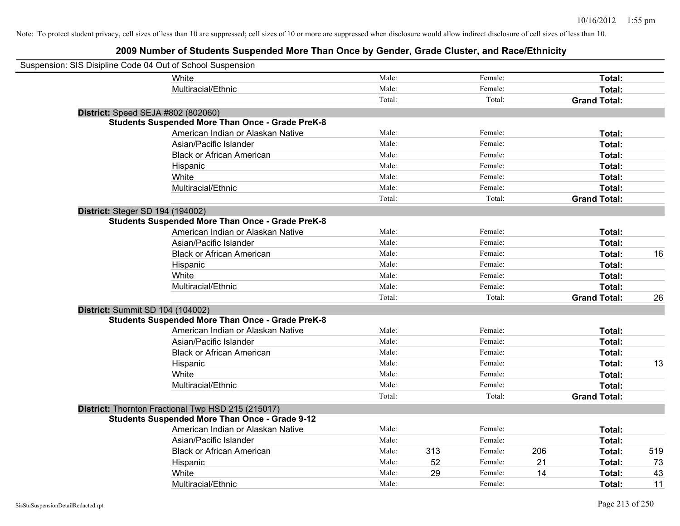| Suspension: SIS Disipline Code 04 Out of School Suspension |                                                         |        |     |         |     |                     |     |
|------------------------------------------------------------|---------------------------------------------------------|--------|-----|---------|-----|---------------------|-----|
|                                                            | White                                                   | Male:  |     | Female: |     | Total:              |     |
|                                                            | Multiracial/Ethnic                                      | Male:  |     | Female: |     | Total:              |     |
|                                                            |                                                         | Total: |     | Total:  |     | <b>Grand Total:</b> |     |
|                                                            | District: Speed SEJA #802 (802060)                      |        |     |         |     |                     |     |
|                                                            | <b>Students Suspended More Than Once - Grade PreK-8</b> |        |     |         |     |                     |     |
|                                                            | American Indian or Alaskan Native                       | Male:  |     | Female: |     | Total:              |     |
|                                                            | Asian/Pacific Islander                                  | Male:  |     | Female: |     | Total:              |     |
|                                                            | <b>Black or African American</b>                        | Male:  |     | Female: |     | Total:              |     |
|                                                            | Hispanic                                                | Male:  |     | Female: |     | Total:              |     |
|                                                            | White                                                   | Male:  |     | Female: |     | Total:              |     |
|                                                            | Multiracial/Ethnic                                      | Male:  |     | Female: |     | Total:              |     |
|                                                            |                                                         | Total: |     | Total:  |     | <b>Grand Total:</b> |     |
| <b>District: Steger SD 194 (194002)</b>                    |                                                         |        |     |         |     |                     |     |
|                                                            | <b>Students Suspended More Than Once - Grade PreK-8</b> |        |     |         |     |                     |     |
|                                                            | American Indian or Alaskan Native                       | Male:  |     | Female: |     | Total:              |     |
|                                                            | Asian/Pacific Islander                                  | Male:  |     | Female: |     | Total:              |     |
|                                                            | <b>Black or African American</b>                        | Male:  |     | Female: |     | Total:              | 16  |
|                                                            | Hispanic                                                | Male:  |     | Female: |     | Total:              |     |
|                                                            | White                                                   | Male:  |     | Female: |     | Total:              |     |
|                                                            | Multiracial/Ethnic                                      | Male:  |     | Female: |     | Total:              |     |
|                                                            |                                                         | Total: |     | Total:  |     | <b>Grand Total:</b> | 26  |
|                                                            | District: Summit SD 104 (104002)                        |        |     |         |     |                     |     |
|                                                            | <b>Students Suspended More Than Once - Grade PreK-8</b> |        |     |         |     |                     |     |
|                                                            | American Indian or Alaskan Native                       | Male:  |     | Female: |     | Total:              |     |
|                                                            | Asian/Pacific Islander                                  | Male:  |     | Female: |     | Total:              |     |
|                                                            | <b>Black or African American</b>                        | Male:  |     | Female: |     | Total:              |     |
|                                                            | Hispanic                                                | Male:  |     | Female: |     | Total:              | 13  |
|                                                            | White                                                   | Male:  |     | Female: |     | Total:              |     |
|                                                            | Multiracial/Ethnic                                      | Male:  |     | Female: |     | Total:              |     |
|                                                            |                                                         | Total: |     | Total:  |     | <b>Grand Total:</b> |     |
|                                                            | District: Thornton Fractional Twp HSD 215 (215017)      |        |     |         |     |                     |     |
|                                                            | <b>Students Suspended More Than Once - Grade 9-12</b>   |        |     |         |     |                     |     |
|                                                            | American Indian or Alaskan Native                       | Male:  |     | Female: |     | Total:              |     |
|                                                            | Asian/Pacific Islander                                  | Male:  |     | Female: |     | Total:              |     |
|                                                            | <b>Black or African American</b>                        | Male:  | 313 | Female: | 206 | Total:              | 519 |
|                                                            | Hispanic                                                | Male:  | 52  | Female: | 21  | Total:              | 73  |
|                                                            | White                                                   | Male:  | 29  | Female: | 14  | Total:              | 43  |
|                                                            | Multiracial/Ethnic                                      | Male:  |     | Female: |     | Total:              | 11  |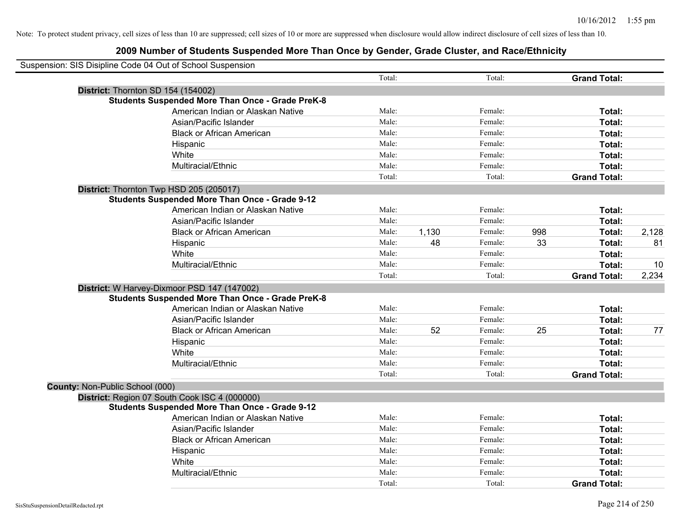| Suspension: SIS Disipline Code 04 Out of School Suspension |                                                         |        |       |         |     |                     |       |
|------------------------------------------------------------|---------------------------------------------------------|--------|-------|---------|-----|---------------------|-------|
|                                                            |                                                         | Total: |       | Total:  |     | <b>Grand Total:</b> |       |
| District: Thornton SD 154 (154002)                         |                                                         |        |       |         |     |                     |       |
|                                                            | <b>Students Suspended More Than Once - Grade PreK-8</b> |        |       |         |     |                     |       |
|                                                            | American Indian or Alaskan Native                       | Male:  |       | Female: |     | Total:              |       |
|                                                            | Asian/Pacific Islander                                  | Male:  |       | Female: |     | Total:              |       |
|                                                            | <b>Black or African American</b>                        | Male:  |       | Female: |     | Total:              |       |
|                                                            | Hispanic                                                | Male:  |       | Female: |     | Total:              |       |
|                                                            | White                                                   | Male:  |       | Female: |     | Total:              |       |
|                                                            | Multiracial/Ethnic                                      | Male:  |       | Female: |     | Total:              |       |
|                                                            |                                                         | Total: |       | Total:  |     | <b>Grand Total:</b> |       |
| District: Thornton Twp HSD 205 (205017)                    | <b>Students Suspended More Than Once - Grade 9-12</b>   |        |       |         |     |                     |       |
|                                                            | American Indian or Alaskan Native                       | Male:  |       | Female: |     | Total:              |       |
|                                                            | Asian/Pacific Islander                                  | Male:  |       | Female: |     | Total:              |       |
|                                                            | <b>Black or African American</b>                        | Male:  | 1,130 | Female: | 998 | Total:              | 2,128 |
|                                                            | Hispanic                                                | Male:  | 48    | Female: | 33  | Total:              | 81    |
|                                                            | White                                                   | Male:  |       | Female: |     | Total:              |       |
|                                                            | Multiracial/Ethnic                                      | Male:  |       | Female: |     | Total:              | 10    |
|                                                            |                                                         | Total: |       | Total:  |     | <b>Grand Total:</b> | 2,234 |
|                                                            | District: W Harvey-Dixmoor PSD 147 (147002)             |        |       |         |     |                     |       |
|                                                            | <b>Students Suspended More Than Once - Grade PreK-8</b> |        |       |         |     |                     |       |
|                                                            | American Indian or Alaskan Native                       | Male:  |       | Female: |     | Total:              |       |
|                                                            | Asian/Pacific Islander                                  | Male:  |       | Female: |     | Total:              |       |
|                                                            | <b>Black or African American</b>                        | Male:  | 52    | Female: | 25  | Total:              | 77    |
|                                                            | Hispanic                                                | Male:  |       | Female: |     | Total:              |       |
|                                                            | White                                                   | Male:  |       | Female: |     | Total:              |       |
|                                                            | Multiracial/Ethnic                                      | Male:  |       | Female: |     | Total:              |       |
|                                                            |                                                         | Total: |       | Total:  |     | <b>Grand Total:</b> |       |
| County: Non-Public School (000)                            |                                                         |        |       |         |     |                     |       |
|                                                            | District: Region 07 South Cook ISC 4 (000000)           |        |       |         |     |                     |       |
|                                                            | <b>Students Suspended More Than Once - Grade 9-12</b>   |        |       |         |     |                     |       |
|                                                            | American Indian or Alaskan Native                       | Male:  |       | Female: |     | Total:              |       |
|                                                            | Asian/Pacific Islander                                  | Male:  |       | Female: |     | Total:              |       |
|                                                            | <b>Black or African American</b>                        | Male:  |       | Female: |     | Total:              |       |
|                                                            | Hispanic                                                | Male:  |       | Female: |     | Total:              |       |
|                                                            | White                                                   | Male:  |       | Female: |     | Total:              |       |
|                                                            | Multiracial/Ethnic                                      | Male:  |       | Female: |     | Total:              |       |
|                                                            |                                                         | Total: |       | Total:  |     | <b>Grand Total:</b> |       |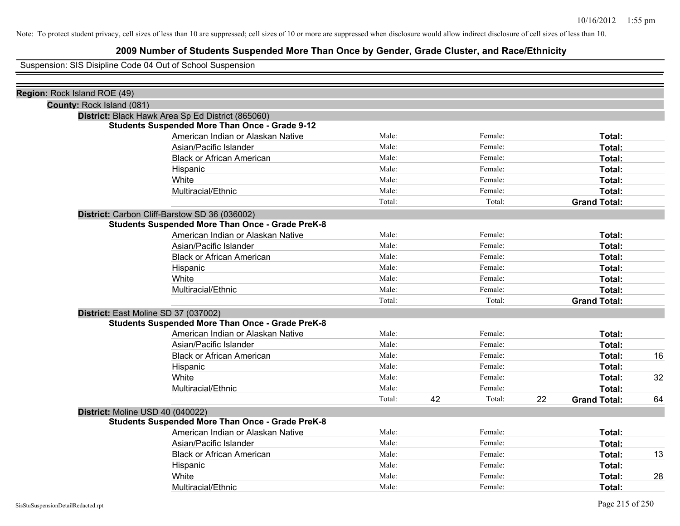# **2009 Number of Students Suspended More Than Once by Gender, Grade Cluster, and Race/Ethnicity**

Suspension: SIS Disipline Code 04 Out of School Suspension

| Region: Rock Island ROE (49) |                                                         |        |    |         |    |                     |    |
|------------------------------|---------------------------------------------------------|--------|----|---------|----|---------------------|----|
| County: Rock Island (081)    |                                                         |        |    |         |    |                     |    |
|                              | District: Black Hawk Area Sp Ed District (865060)       |        |    |         |    |                     |    |
|                              | <b>Students Suspended More Than Once - Grade 9-12</b>   |        |    |         |    |                     |    |
|                              | American Indian or Alaskan Native                       | Male:  |    | Female: |    | Total:              |    |
|                              | Asian/Pacific Islander                                  | Male:  |    | Female: |    | Total:              |    |
|                              | <b>Black or African American</b>                        | Male:  |    | Female: |    | Total:              |    |
|                              | Hispanic                                                | Male:  |    | Female: |    | Total:              |    |
|                              | White                                                   | Male:  |    | Female: |    | Total:              |    |
|                              | Multiracial/Ethnic                                      | Male:  |    | Female: |    | Total:              |    |
|                              |                                                         | Total: |    | Total:  |    | <b>Grand Total:</b> |    |
|                              | District: Carbon Cliff-Barstow SD 36 (036002)           |        |    |         |    |                     |    |
|                              | <b>Students Suspended More Than Once - Grade PreK-8</b> |        |    |         |    |                     |    |
|                              | American Indian or Alaskan Native                       | Male:  |    | Female: |    | Total:              |    |
|                              | Asian/Pacific Islander                                  | Male:  |    | Female: |    | Total:              |    |
|                              | <b>Black or African American</b>                        | Male:  |    | Female: |    | Total:              |    |
|                              | Hispanic                                                | Male:  |    | Female: |    | Total:              |    |
|                              | White                                                   | Male:  |    | Female: |    | Total:              |    |
|                              | Multiracial/Ethnic                                      | Male:  |    | Female: |    | Total:              |    |
|                              |                                                         | Total: |    | Total:  |    | <b>Grand Total:</b> |    |
|                              | District: East Moline SD 37 (037002)                    |        |    |         |    |                     |    |
|                              | <b>Students Suspended More Than Once - Grade PreK-8</b> |        |    |         |    |                     |    |
|                              | American Indian or Alaskan Native                       | Male:  |    | Female: |    | Total:              |    |
|                              | Asian/Pacific Islander                                  | Male:  |    | Female: |    | Total:              |    |
|                              | <b>Black or African American</b>                        | Male:  |    | Female: |    | Total:              | 16 |
|                              | Hispanic                                                | Male:  |    | Female: |    | Total:              |    |
|                              | White                                                   | Male:  |    | Female: |    | Total:              | 32 |
|                              | Multiracial/Ethnic                                      | Male:  |    | Female: |    | Total:              |    |
|                              |                                                         | Total: | 42 | Total:  | 22 | <b>Grand Total:</b> | 64 |
|                              | District: Moline USD 40 (040022)                        |        |    |         |    |                     |    |
|                              | <b>Students Suspended More Than Once - Grade PreK-8</b> |        |    |         |    |                     |    |
|                              | American Indian or Alaskan Native                       | Male:  |    | Female: |    | Total:              |    |
|                              | Asian/Pacific Islander                                  | Male:  |    | Female: |    | Total:              |    |
|                              | <b>Black or African American</b>                        | Male:  |    | Female: |    | Total:              | 13 |
|                              | Hispanic                                                | Male:  |    | Female: |    | Total:              |    |
|                              | White                                                   | Male:  |    | Female: |    | Total:              | 28 |
|                              | Multiracial/Ethnic                                      | Male:  |    | Female: |    | Total:              |    |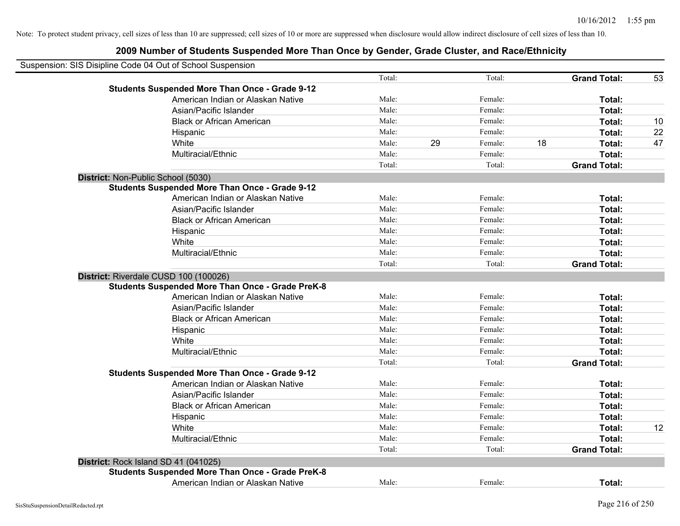|                                      | Suspension: SIS Disipline Code 04 Out of School Suspension |        |    |         |    |                     |    |
|--------------------------------------|------------------------------------------------------------|--------|----|---------|----|---------------------|----|
|                                      |                                                            | Total: |    | Total:  |    | <b>Grand Total:</b> | 53 |
|                                      | <b>Students Suspended More Than Once - Grade 9-12</b>      |        |    |         |    |                     |    |
|                                      | American Indian or Alaskan Native                          | Male:  |    | Female: |    | Total:              |    |
|                                      | Asian/Pacific Islander                                     | Male:  |    | Female: |    | Total:              |    |
|                                      | <b>Black or African American</b>                           | Male:  |    | Female: |    | Total:              | 10 |
|                                      | Hispanic                                                   | Male:  |    | Female: |    | Total:              | 22 |
|                                      | White                                                      | Male:  | 29 | Female: | 18 | Total:              | 47 |
|                                      | Multiracial/Ethnic                                         | Male:  |    | Female: |    | Total:              |    |
|                                      |                                                            | Total: |    | Total:  |    | <b>Grand Total:</b> |    |
| District: Non-Public School (5030)   |                                                            |        |    |         |    |                     |    |
|                                      | <b>Students Suspended More Than Once - Grade 9-12</b>      |        |    |         |    |                     |    |
|                                      | American Indian or Alaskan Native                          | Male:  |    | Female: |    | Total:              |    |
|                                      | Asian/Pacific Islander                                     | Male:  |    | Female: |    | Total:              |    |
|                                      | <b>Black or African American</b>                           | Male:  |    | Female: |    | Total:              |    |
|                                      | Hispanic                                                   | Male:  |    | Female: |    | Total:              |    |
|                                      | White                                                      | Male:  |    | Female: |    | Total:              |    |
|                                      | Multiracial/Ethnic                                         | Male:  |    | Female: |    | Total:              |    |
|                                      |                                                            | Total: |    | Total:  |    | <b>Grand Total:</b> |    |
|                                      | District: Riverdale CUSD 100 (100026)                      |        |    |         |    |                     |    |
|                                      | <b>Students Suspended More Than Once - Grade PreK-8</b>    |        |    |         |    |                     |    |
|                                      | American Indian or Alaskan Native                          | Male:  |    | Female: |    | Total:              |    |
|                                      | Asian/Pacific Islander                                     | Male:  |    | Female: |    | Total:              |    |
|                                      | <b>Black or African American</b>                           | Male:  |    | Female: |    | Total:              |    |
|                                      | Hispanic                                                   | Male:  |    | Female: |    | Total:              |    |
|                                      | White                                                      | Male:  |    | Female: |    | Total:              |    |
|                                      | Multiracial/Ethnic                                         | Male:  |    | Female: |    | Total:              |    |
|                                      |                                                            | Total: |    | Total:  |    | <b>Grand Total:</b> |    |
|                                      | <b>Students Suspended More Than Once - Grade 9-12</b>      |        |    |         |    |                     |    |
|                                      | American Indian or Alaskan Native                          | Male:  |    | Female: |    | Total:              |    |
|                                      | Asian/Pacific Islander                                     | Male:  |    | Female: |    | Total:              |    |
|                                      | <b>Black or African American</b>                           | Male:  |    | Female: |    | Total:              |    |
|                                      | Hispanic                                                   | Male:  |    | Female: |    | Total:              |    |
|                                      | White                                                      | Male:  |    | Female: |    | Total:              | 12 |
|                                      | Multiracial/Ethnic                                         | Male:  |    | Female: |    | Total:              |    |
|                                      |                                                            | Total: |    | Total:  |    | <b>Grand Total:</b> |    |
| District: Rock Island SD 41 (041025) |                                                            |        |    |         |    |                     |    |
|                                      | <b>Students Suspended More Than Once - Grade PreK-8</b>    |        |    |         |    |                     |    |
|                                      | American Indian or Alaskan Native                          | Male:  |    | Female: |    | Total:              |    |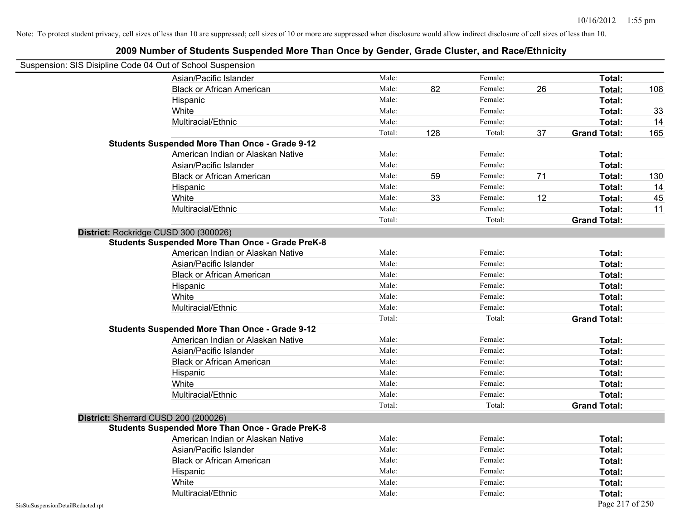| Suspension: SIS Disipline Code 04 Out of School Suspension |                                                         |        |     |         |    |                     |     |
|------------------------------------------------------------|---------------------------------------------------------|--------|-----|---------|----|---------------------|-----|
|                                                            | Asian/Pacific Islander                                  | Male:  |     | Female: |    | Total:              |     |
|                                                            | <b>Black or African American</b>                        | Male:  | 82  | Female: | 26 | Total:              | 108 |
|                                                            | Hispanic                                                | Male:  |     | Female: |    | Total:              |     |
|                                                            | White                                                   | Male:  |     | Female: |    | Total:              | 33  |
|                                                            | Multiracial/Ethnic                                      | Male:  |     | Female: |    | Total:              | 14  |
|                                                            |                                                         | Total: | 128 | Total:  | 37 | <b>Grand Total:</b> | 165 |
|                                                            | <b>Students Suspended More Than Once - Grade 9-12</b>   |        |     |         |    |                     |     |
|                                                            | American Indian or Alaskan Native                       | Male:  |     | Female: |    | Total:              |     |
|                                                            | Asian/Pacific Islander                                  | Male:  |     | Female: |    | Total:              |     |
|                                                            | <b>Black or African American</b>                        | Male:  | 59  | Female: | 71 | Total:              | 130 |
|                                                            | Hispanic                                                | Male:  |     | Female: |    | Total:              | 14  |
|                                                            | White                                                   | Male:  | 33  | Female: | 12 | Total:              | 45  |
|                                                            | Multiracial/Ethnic                                      | Male:  |     | Female: |    | Total:              | 11  |
|                                                            |                                                         | Total: |     | Total:  |    | <b>Grand Total:</b> |     |
| District: Rockridge CUSD 300 (300026)                      |                                                         |        |     |         |    |                     |     |
|                                                            | <b>Students Suspended More Than Once - Grade PreK-8</b> |        |     |         |    |                     |     |
|                                                            | American Indian or Alaskan Native                       | Male:  |     | Female: |    | Total:              |     |
|                                                            | Asian/Pacific Islander                                  | Male:  |     | Female: |    | Total:              |     |
|                                                            | <b>Black or African American</b>                        | Male:  |     | Female: |    | Total:              |     |
|                                                            | Hispanic                                                | Male:  |     | Female: |    | Total:              |     |
|                                                            | White                                                   | Male:  |     | Female: |    | Total:              |     |
|                                                            | Multiracial/Ethnic                                      | Male:  |     | Female: |    | Total:              |     |
|                                                            |                                                         | Total: |     | Total:  |    | <b>Grand Total:</b> |     |
|                                                            | <b>Students Suspended More Than Once - Grade 9-12</b>   |        |     |         |    |                     |     |
|                                                            | American Indian or Alaskan Native                       | Male:  |     | Female: |    | Total:              |     |
|                                                            | Asian/Pacific Islander                                  | Male:  |     | Female: |    | Total:              |     |
|                                                            | <b>Black or African American</b>                        | Male:  |     | Female: |    | Total:              |     |
|                                                            | Hispanic                                                | Male:  |     | Female: |    | Total:              |     |
|                                                            | White                                                   | Male:  |     | Female: |    | Total:              |     |
|                                                            | Multiracial/Ethnic                                      | Male:  |     | Female: |    | Total:              |     |
|                                                            |                                                         | Total: |     | Total:  |    | <b>Grand Total:</b> |     |
| District: Sherrard CUSD 200 (200026)                       |                                                         |        |     |         |    |                     |     |
|                                                            | <b>Students Suspended More Than Once - Grade PreK-8</b> |        |     |         |    |                     |     |
|                                                            | American Indian or Alaskan Native                       | Male:  |     | Female: |    | Total:              |     |
|                                                            | Asian/Pacific Islander                                  | Male:  |     | Female: |    | Total:              |     |
|                                                            | <b>Black or African American</b>                        | Male:  |     | Female: |    | Total:              |     |
|                                                            | Hispanic                                                | Male:  |     | Female: |    | Total:              |     |
|                                                            | White                                                   | Male:  |     | Female: |    | Total:              |     |
|                                                            | Multiracial/Ethnic                                      | Male:  |     | Female: |    | Total:              |     |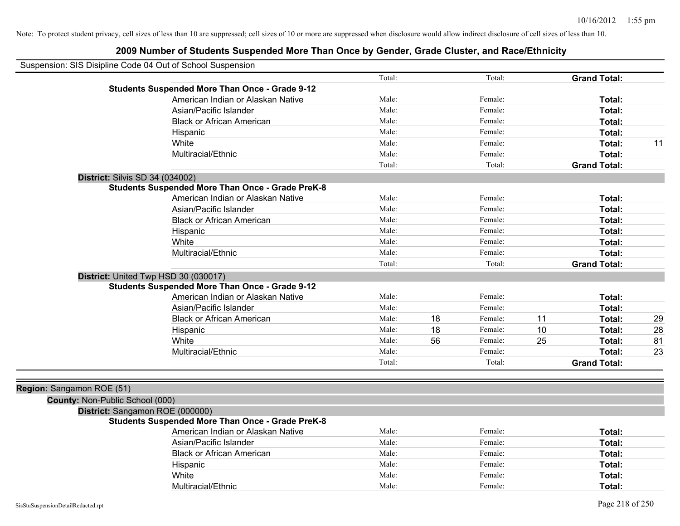| Suspension: SIS Disipline Code 04 Out of School Suspension |                                                         |        |    |         |    |                     |    |
|------------------------------------------------------------|---------------------------------------------------------|--------|----|---------|----|---------------------|----|
|                                                            |                                                         | Total: |    | Total:  |    | <b>Grand Total:</b> |    |
|                                                            | <b>Students Suspended More Than Once - Grade 9-12</b>   |        |    |         |    |                     |    |
|                                                            | American Indian or Alaskan Native                       | Male:  |    | Female: |    | Total:              |    |
|                                                            | Asian/Pacific Islander                                  | Male:  |    | Female: |    | Total:              |    |
|                                                            | <b>Black or African American</b>                        | Male:  |    | Female: |    | Total:              |    |
|                                                            | Hispanic                                                | Male:  |    | Female: |    | Total:              |    |
|                                                            | White                                                   | Male:  |    | Female: |    | Total:              | 11 |
|                                                            | Multiracial/Ethnic                                      | Male:  |    | Female: |    | Total:              |    |
|                                                            |                                                         | Total: |    | Total:  |    | <b>Grand Total:</b> |    |
| <b>District: Silvis SD 34 (034002)</b>                     |                                                         |        |    |         |    |                     |    |
|                                                            | <b>Students Suspended More Than Once - Grade PreK-8</b> |        |    |         |    |                     |    |
|                                                            | American Indian or Alaskan Native                       | Male:  |    | Female: |    | Total:              |    |
|                                                            | Asian/Pacific Islander                                  | Male:  |    | Female: |    | Total:              |    |
|                                                            | <b>Black or African American</b>                        | Male:  |    | Female: |    | Total:              |    |
|                                                            | Hispanic                                                | Male:  |    | Female: |    | Total:              |    |
|                                                            | White                                                   | Male:  |    | Female: |    | Total:              |    |
|                                                            | Multiracial/Ethnic                                      | Male:  |    | Female: |    | Total:              |    |
|                                                            |                                                         | Total: |    | Total:  |    | <b>Grand Total:</b> |    |
| District: United Twp HSD 30 (030017)                       |                                                         |        |    |         |    |                     |    |
|                                                            | <b>Students Suspended More Than Once - Grade 9-12</b>   |        |    |         |    |                     |    |
|                                                            | American Indian or Alaskan Native                       | Male:  |    | Female: |    | Total:              |    |
|                                                            | Asian/Pacific Islander                                  | Male:  |    | Female: |    | Total:              |    |
|                                                            | <b>Black or African American</b>                        | Male:  | 18 | Female: | 11 | Total:              | 29 |
|                                                            | Hispanic                                                | Male:  | 18 | Female: | 10 | Total:              | 28 |
|                                                            | White                                                   | Male:  | 56 | Female: | 25 | Total:              | 81 |
|                                                            | Multiracial/Ethnic                                      | Male:  |    | Female: |    | Total:              | 23 |
|                                                            |                                                         | Total: |    | Total:  |    | <b>Grand Total:</b> |    |
|                                                            |                                                         |        |    |         |    |                     |    |
| Region: Sangamon ROE (51)                                  |                                                         |        |    |         |    |                     |    |
| County: Non-Public School (000)                            |                                                         |        |    |         |    |                     |    |
| District: Sangamon ROE (000000)                            |                                                         |        |    |         |    |                     |    |
|                                                            | <b>Students Suspended More Than Once - Grade PreK-8</b> |        |    |         |    |                     |    |
|                                                            | American Indian or Alaskan Native                       | Male:  |    | Female: |    | Total:              |    |
|                                                            | Asian/Pacific Islander                                  | Male:  |    | Female: |    | Total:              |    |
|                                                            | <b>Black or African American</b>                        | Male:  |    | Female: |    | Total:              |    |
|                                                            | Hispanic                                                | Male:  |    | Female: |    | Total:              |    |
|                                                            | White                                                   | Male:  |    | Female: |    | Total:              |    |
|                                                            | Multiracial/Ethnic                                      | Male:  |    | Female: |    | Total:              |    |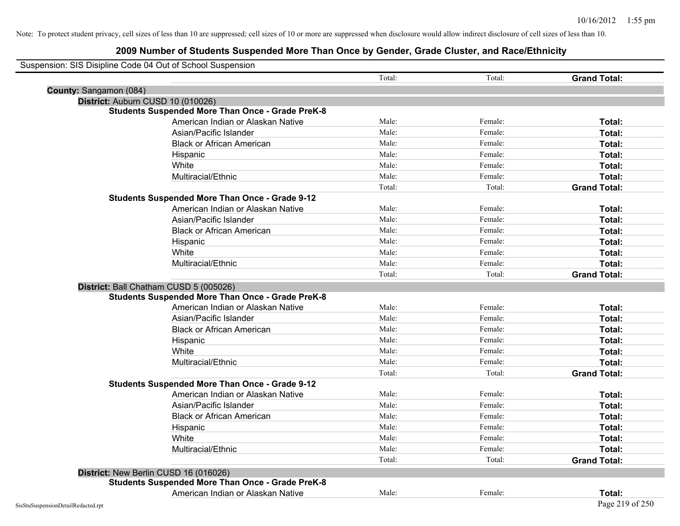| Suspension: SIS Disipline Code 04 Out of School Suspension |                                                         |        |         |                     |
|------------------------------------------------------------|---------------------------------------------------------|--------|---------|---------------------|
|                                                            |                                                         | Total: | Total:  | <b>Grand Total:</b> |
| County: Sangamon (084)                                     |                                                         |        |         |                     |
| District: Auburn CUSD 10 (010026)                          |                                                         |        |         |                     |
|                                                            | <b>Students Suspended More Than Once - Grade PreK-8</b> |        |         |                     |
|                                                            | American Indian or Alaskan Native                       | Male:  | Female: | Total:              |
|                                                            | Asian/Pacific Islander                                  | Male:  | Female: | Total:              |
|                                                            | <b>Black or African American</b>                        | Male:  | Female: | Total:              |
|                                                            | Hispanic                                                | Male:  | Female: | Total:              |
|                                                            | White                                                   | Male:  | Female: | Total:              |
|                                                            | Multiracial/Ethnic                                      | Male:  | Female: | Total:              |
|                                                            |                                                         | Total: | Total:  | <b>Grand Total:</b> |
|                                                            | <b>Students Suspended More Than Once - Grade 9-12</b>   |        |         |                     |
|                                                            | American Indian or Alaskan Native                       | Male:  | Female: | Total:              |
|                                                            | Asian/Pacific Islander                                  | Male:  | Female: | Total:              |
|                                                            | <b>Black or African American</b>                        | Male:  | Female: | Total:              |
|                                                            | Hispanic                                                | Male:  | Female: | Total:              |
|                                                            | White                                                   | Male:  | Female: | Total:              |
|                                                            | Multiracial/Ethnic                                      | Male:  | Female: | Total:              |
|                                                            |                                                         | Total: | Total:  | <b>Grand Total:</b> |
| District: Ball Chatham CUSD 5 (005026)                     |                                                         |        |         |                     |
|                                                            | <b>Students Suspended More Than Once - Grade PreK-8</b> |        |         |                     |
|                                                            | American Indian or Alaskan Native                       | Male:  | Female: | Total:              |
|                                                            | Asian/Pacific Islander                                  | Male:  | Female: | Total:              |
|                                                            | <b>Black or African American</b>                        | Male:  | Female: | Total:              |
|                                                            | Hispanic                                                | Male:  | Female: | Total:              |
|                                                            | White                                                   | Male:  | Female: | Total:              |
|                                                            | Multiracial/Ethnic                                      | Male:  | Female: | Total:              |
|                                                            |                                                         | Total: | Total:  | <b>Grand Total:</b> |
|                                                            | <b>Students Suspended More Than Once - Grade 9-12</b>   |        |         |                     |
|                                                            | American Indian or Alaskan Native                       | Male:  | Female: | Total:              |
|                                                            | Asian/Pacific Islander                                  | Male:  | Female: | Total:              |
|                                                            | <b>Black or African American</b>                        | Male:  | Female: | Total:              |
|                                                            | Hispanic                                                | Male:  | Female: | Total:              |
|                                                            | White                                                   | Male:  | Female: | Total:              |
|                                                            | Multiracial/Ethnic                                      | Male:  | Female: | Total:              |
|                                                            |                                                         | Total: | Total:  | <b>Grand Total:</b> |
| District: New Berlin CUSD 16 (016026)                      |                                                         |        |         |                     |
|                                                            | <b>Students Suspended More Than Once - Grade PreK-8</b> |        |         |                     |
|                                                            | American Indian or Alaskan Native                       | Male:  | Female: | Total:              |
| SisStuSuspensionDetailRedacted.rpt                         |                                                         |        |         | Page 219 of 250     |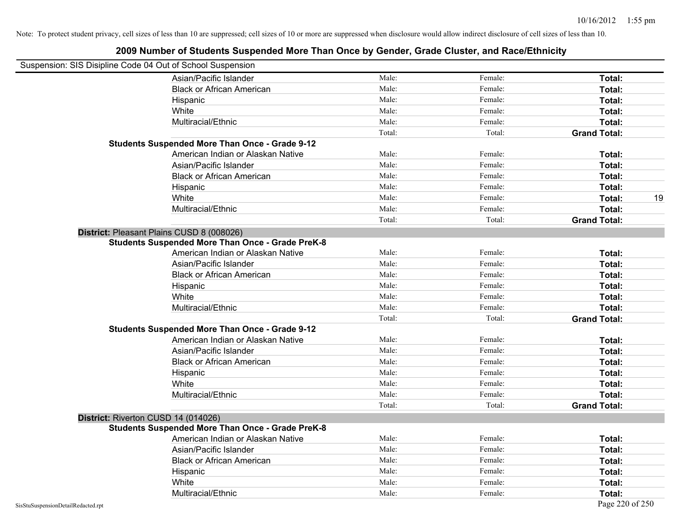| Suspension: SIS Disipline Code 04 Out of School Suspension |                                                         |        |         |                     |
|------------------------------------------------------------|---------------------------------------------------------|--------|---------|---------------------|
|                                                            | Asian/Pacific Islander                                  | Male:  | Female: | Total:              |
|                                                            | <b>Black or African American</b>                        | Male:  | Female: | Total:              |
|                                                            | Hispanic                                                | Male:  | Female: | Total:              |
|                                                            | White                                                   | Male:  | Female: | Total:              |
|                                                            | Multiracial/Ethnic                                      | Male:  | Female: | Total:              |
|                                                            |                                                         | Total: | Total:  | <b>Grand Total:</b> |
|                                                            | <b>Students Suspended More Than Once - Grade 9-12</b>   |        |         |                     |
|                                                            | American Indian or Alaskan Native                       | Male:  | Female: | Total:              |
|                                                            | Asian/Pacific Islander                                  | Male:  | Female: | Total:              |
|                                                            | <b>Black or African American</b>                        | Male:  | Female: | Total:              |
|                                                            | Hispanic                                                | Male:  | Female: | Total:              |
|                                                            | White                                                   | Male:  | Female: | 19<br>Total:        |
|                                                            | Multiracial/Ethnic                                      | Male:  | Female: | Total:              |
|                                                            |                                                         | Total: | Total:  | <b>Grand Total:</b> |
| District: Pleasant Plains CUSD 8 (008026)                  |                                                         |        |         |                     |
|                                                            | <b>Students Suspended More Than Once - Grade PreK-8</b> |        |         |                     |
|                                                            | American Indian or Alaskan Native                       | Male:  | Female: | Total:              |
|                                                            | Asian/Pacific Islander                                  | Male:  | Female: | Total:              |
|                                                            | <b>Black or African American</b>                        | Male:  | Female: | Total:              |
|                                                            | Hispanic                                                | Male:  | Female: | Total:              |
|                                                            | White                                                   | Male:  | Female: | Total:              |
|                                                            | Multiracial/Ethnic                                      | Male:  | Female: | Total:              |
|                                                            |                                                         | Total: | Total:  | <b>Grand Total:</b> |
|                                                            | <b>Students Suspended More Than Once - Grade 9-12</b>   |        |         |                     |
|                                                            | American Indian or Alaskan Native                       | Male:  | Female: | Total:              |
|                                                            | Asian/Pacific Islander                                  | Male:  | Female: | Total:              |
|                                                            | <b>Black or African American</b>                        | Male:  | Female: | Total:              |
|                                                            | Hispanic                                                | Male:  | Female: | Total:              |
|                                                            | White                                                   | Male:  | Female: | Total:              |
|                                                            | Multiracial/Ethnic                                      | Male:  | Female: | Total:              |
|                                                            |                                                         | Total: | Total:  | <b>Grand Total:</b> |
| District: Riverton CUSD 14 (014026)                        |                                                         |        |         |                     |
|                                                            | <b>Students Suspended More Than Once - Grade PreK-8</b> |        |         |                     |
|                                                            | American Indian or Alaskan Native                       | Male:  | Female: | Total:              |
|                                                            | Asian/Pacific Islander                                  | Male:  | Female: | Total:              |
|                                                            | <b>Black or African American</b>                        | Male:  | Female: | Total:              |
|                                                            | Hispanic                                                | Male:  | Female: | Total:              |
|                                                            | White                                                   | Male:  | Female: | Total:              |
|                                                            | Multiracial/Ethnic                                      | Male:  | Female: | Total:              |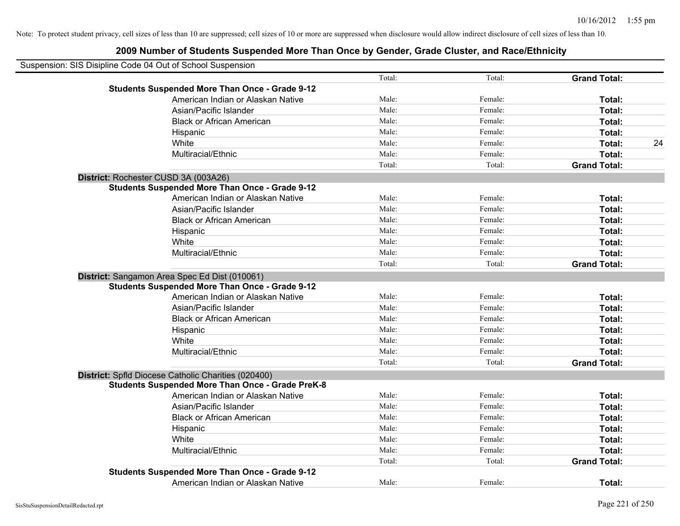| Suspension: SIS Disipline Code 04 Out of School Suspension |                                                                                                                |        |         |                     |    |
|------------------------------------------------------------|----------------------------------------------------------------------------------------------------------------|--------|---------|---------------------|----|
|                                                            |                                                                                                                | Total: | Total:  | <b>Grand Total:</b> |    |
|                                                            | <b>Students Suspended More Than Once - Grade 9-12</b>                                                          |        |         |                     |    |
|                                                            | American Indian or Alaskan Native                                                                              | Male:  | Female: | Total:              |    |
|                                                            | Asian/Pacific Islander                                                                                         | Male:  | Female: | Total:              |    |
|                                                            | <b>Black or African American</b>                                                                               | Male:  | Female: | Total:              |    |
|                                                            | Hispanic                                                                                                       | Male:  | Female: | Total:              |    |
|                                                            | White                                                                                                          | Male:  | Female: | Total:              | 24 |
|                                                            | Multiracial/Ethnic                                                                                             | Male:  | Female: | Total:              |    |
|                                                            |                                                                                                                | Total: | Total:  | <b>Grand Total:</b> |    |
|                                                            | District: Rochester CUSD 3A (003A26)                                                                           |        |         |                     |    |
|                                                            | <b>Students Suspended More Than Once - Grade 9-12</b>                                                          |        |         |                     |    |
|                                                            | American Indian or Alaskan Native                                                                              | Male:  | Female: | Total:              |    |
|                                                            | Asian/Pacific Islander                                                                                         | Male:  | Female: | Total:              |    |
|                                                            | <b>Black or African American</b>                                                                               | Male:  | Female: | Total:              |    |
|                                                            | Hispanic                                                                                                       | Male:  | Female: | Total:              |    |
|                                                            | White                                                                                                          | Male:  | Female: | Total:              |    |
|                                                            | Multiracial/Ethnic                                                                                             | Male:  | Female: | Total:              |    |
|                                                            |                                                                                                                | Total: | Total:  | <b>Grand Total:</b> |    |
|                                                            | District: Sangamon Area Spec Ed Dist (010061)                                                                  |        |         |                     |    |
|                                                            | <b>Students Suspended More Than Once - Grade 9-12</b>                                                          |        |         |                     |    |
|                                                            | American Indian or Alaskan Native                                                                              | Male:  | Female: | Total:              |    |
|                                                            | Asian/Pacific Islander                                                                                         | Male:  | Female: | Total:              |    |
|                                                            | <b>Black or African American</b>                                                                               | Male:  | Female: | Total:              |    |
|                                                            | Hispanic                                                                                                       | Male:  | Female: | Total:              |    |
|                                                            | White                                                                                                          | Male:  | Female: | Total:              |    |
|                                                            | Multiracial/Ethnic                                                                                             | Male:  | Female: | Total:              |    |
|                                                            |                                                                                                                | Total: | Total:  | <b>Grand Total:</b> |    |
|                                                            | District: Spfld Diocese Catholic Charities (020400)<br><b>Students Suspended More Than Once - Grade PreK-8</b> |        |         |                     |    |
|                                                            | American Indian or Alaskan Native                                                                              | Male:  | Female: | Total:              |    |
|                                                            | Asian/Pacific Islander                                                                                         | Male:  | Female: | Total:              |    |
|                                                            | <b>Black or African American</b>                                                                               | Male:  | Female: | Total:              |    |
|                                                            | Hispanic                                                                                                       | Male:  | Female: | Total:              |    |
|                                                            | White                                                                                                          | Male:  | Female: | Total:              |    |
|                                                            | Multiracial/Ethnic                                                                                             | Male:  | Female: | Total:              |    |
|                                                            |                                                                                                                | Total: | Total:  | <b>Grand Total:</b> |    |
|                                                            | <b>Students Suspended More Than Once - Grade 9-12</b>                                                          |        |         |                     |    |
|                                                            | American Indian or Alaskan Native                                                                              | Male:  | Female: | Total:              |    |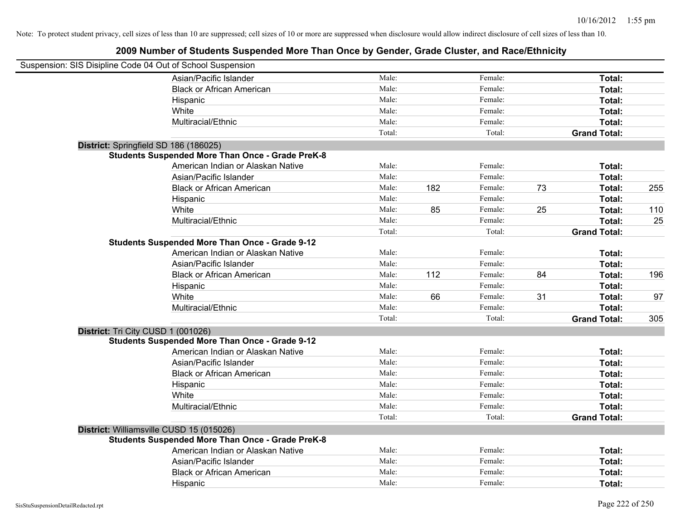| Suspension: SIS Disipline Code 04 Out of School Suspension |                                                         |        |     |         |    |                     |     |
|------------------------------------------------------------|---------------------------------------------------------|--------|-----|---------|----|---------------------|-----|
|                                                            | Asian/Pacific Islander                                  | Male:  |     | Female: |    | Total:              |     |
|                                                            | <b>Black or African American</b>                        | Male:  |     | Female: |    | Total:              |     |
|                                                            | Hispanic                                                | Male:  |     | Female: |    | Total:              |     |
|                                                            | White                                                   | Male:  |     | Female: |    | Total:              |     |
|                                                            | Multiracial/Ethnic                                      | Male:  |     | Female: |    | Total:              |     |
|                                                            |                                                         | Total: |     | Total:  |    | <b>Grand Total:</b> |     |
|                                                            | District: Springfield SD 186 (186025)                   |        |     |         |    |                     |     |
|                                                            | <b>Students Suspended More Than Once - Grade PreK-8</b> |        |     |         |    |                     |     |
|                                                            | American Indian or Alaskan Native                       | Male:  |     | Female: |    | Total:              |     |
|                                                            | Asian/Pacific Islander                                  | Male:  |     | Female: |    | Total:              |     |
|                                                            | <b>Black or African American</b>                        | Male:  | 182 | Female: | 73 | Total:              | 255 |
|                                                            | Hispanic                                                | Male:  |     | Female: |    | Total:              |     |
|                                                            | White                                                   | Male:  | 85  | Female: | 25 | Total:              | 110 |
|                                                            | Multiracial/Ethnic                                      | Male:  |     | Female: |    | Total:              | 25  |
|                                                            |                                                         | Total: |     | Total:  |    | <b>Grand Total:</b> |     |
|                                                            | <b>Students Suspended More Than Once - Grade 9-12</b>   |        |     |         |    |                     |     |
|                                                            | American Indian or Alaskan Native                       | Male:  |     | Female: |    | Total:              |     |
|                                                            | Asian/Pacific Islander                                  | Male:  |     | Female: |    | Total:              |     |
|                                                            | <b>Black or African American</b>                        | Male:  | 112 | Female: | 84 | Total:              | 196 |
|                                                            | Hispanic                                                | Male:  |     | Female: |    | Total:              |     |
|                                                            | White                                                   | Male:  | 66  | Female: | 31 | Total:              | 97  |
|                                                            | Multiracial/Ethnic                                      | Male:  |     | Female: |    | Total:              |     |
|                                                            |                                                         | Total: |     | Total:  |    | <b>Grand Total:</b> | 305 |
|                                                            | District: Tri City CUSD 1 (001026)                      |        |     |         |    |                     |     |
|                                                            | <b>Students Suspended More Than Once - Grade 9-12</b>   |        |     |         |    |                     |     |
|                                                            | American Indian or Alaskan Native                       | Male:  |     | Female: |    | Total:              |     |
|                                                            | Asian/Pacific Islander                                  | Male:  |     | Female: |    | Total:              |     |
|                                                            | <b>Black or African American</b>                        | Male:  |     | Female: |    | Total:              |     |
|                                                            | Hispanic                                                | Male:  |     | Female: |    | Total:              |     |
|                                                            | White                                                   | Male:  |     | Female: |    | Total:              |     |
|                                                            | Multiracial/Ethnic                                      | Male:  |     | Female: |    | Total:              |     |
|                                                            |                                                         | Total: |     | Total:  |    | <b>Grand Total:</b> |     |
|                                                            | District: Williamsville CUSD 15 (015026)                |        |     |         |    |                     |     |
|                                                            | <b>Students Suspended More Than Once - Grade PreK-8</b> |        |     |         |    |                     |     |
|                                                            | American Indian or Alaskan Native                       | Male:  |     | Female: |    | Total:              |     |
|                                                            | Asian/Pacific Islander                                  | Male:  |     | Female: |    | Total:              |     |
|                                                            | <b>Black or African American</b>                        | Male:  |     | Female: |    | Total:              |     |
|                                                            | Hispanic                                                | Male:  |     | Female: |    | Total:              |     |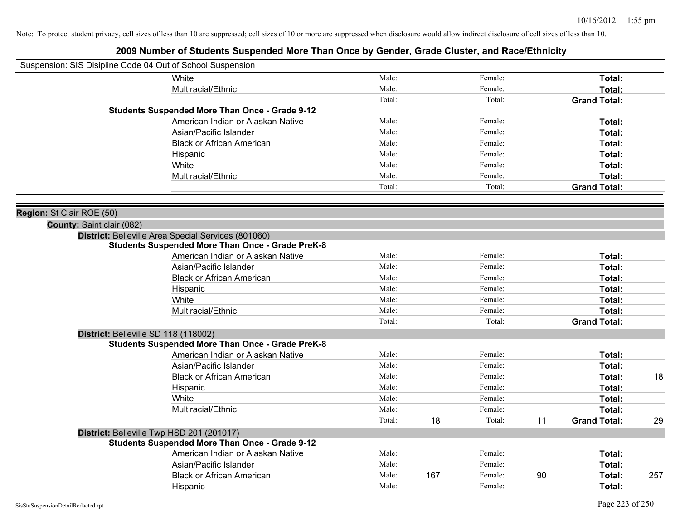|                           | Suspension: SIS Disipline Code 04 Out of School Suspension |        |     |         |    |                     |     |
|---------------------------|------------------------------------------------------------|--------|-----|---------|----|---------------------|-----|
|                           | White                                                      | Male:  |     | Female: |    | Total:              |     |
|                           | Multiracial/Ethnic                                         | Male:  |     | Female: |    | Total:              |     |
|                           |                                                            | Total: |     | Total:  |    | <b>Grand Total:</b> |     |
|                           | <b>Students Suspended More Than Once - Grade 9-12</b>      |        |     |         |    |                     |     |
|                           | American Indian or Alaskan Native                          | Male:  |     | Female: |    | Total:              |     |
|                           | Asian/Pacific Islander                                     | Male:  |     | Female: |    | Total:              |     |
|                           | <b>Black or African American</b>                           | Male:  |     | Female: |    | Total:              |     |
|                           | Hispanic                                                   | Male:  |     | Female: |    | Total:              |     |
|                           | White                                                      | Male:  |     | Female: |    | Total:              |     |
|                           | Multiracial/Ethnic                                         | Male:  |     | Female: |    | Total:              |     |
|                           |                                                            | Total: |     | Total:  |    | <b>Grand Total:</b> |     |
|                           |                                                            |        |     |         |    |                     |     |
| Region: St Clair ROE (50) |                                                            |        |     |         |    |                     |     |
| County: Saint clair (082) |                                                            |        |     |         |    |                     |     |
|                           | District: Belleville Area Special Services (801060)        |        |     |         |    |                     |     |
|                           | <b>Students Suspended More Than Once - Grade PreK-8</b>    |        |     |         |    |                     |     |
|                           | American Indian or Alaskan Native                          | Male:  |     | Female: |    | Total:              |     |
|                           | Asian/Pacific Islander                                     | Male:  |     | Female: |    | Total:              |     |
|                           | <b>Black or African American</b>                           | Male:  |     | Female: |    | Total:              |     |
|                           | Hispanic                                                   | Male:  |     | Female: |    | Total:              |     |
|                           | White                                                      | Male:  |     | Female: |    | Total:              |     |
|                           | Multiracial/Ethnic                                         | Male:  |     | Female: |    | Total:              |     |
|                           |                                                            | Total: |     | Total:  |    | <b>Grand Total:</b> |     |
|                           | District: Belleville SD 118 (118002)                       |        |     |         |    |                     |     |
|                           | <b>Students Suspended More Than Once - Grade PreK-8</b>    |        |     |         |    |                     |     |
|                           | American Indian or Alaskan Native                          | Male:  |     | Female: |    | Total:              |     |
|                           | Asian/Pacific Islander                                     | Male:  |     | Female: |    | Total:              |     |
|                           | <b>Black or African American</b>                           | Male:  |     | Female: |    | Total:              | 18  |
|                           | Hispanic                                                   | Male:  |     | Female: |    | Total:              |     |
|                           | White                                                      | Male:  |     | Female: |    | Total:              |     |
|                           | Multiracial/Ethnic                                         | Male:  |     | Female: |    | Total:              |     |
|                           |                                                            | Total: | 18  | Total:  | 11 | <b>Grand Total:</b> | 29  |
|                           | District: Belleville Twp HSD 201 (201017)                  |        |     |         |    |                     |     |
|                           | <b>Students Suspended More Than Once - Grade 9-12</b>      |        |     |         |    |                     |     |
|                           | American Indian or Alaskan Native                          | Male:  |     | Female: |    | Total:              |     |
|                           | Asian/Pacific Islander                                     | Male:  |     | Female: |    | Total:              |     |
|                           | <b>Black or African American</b>                           | Male:  | 167 | Female: | 90 | Total:              | 257 |
|                           | Hispanic                                                   | Male:  |     | Female: |    | Total:              |     |
|                           |                                                            |        |     |         |    |                     |     |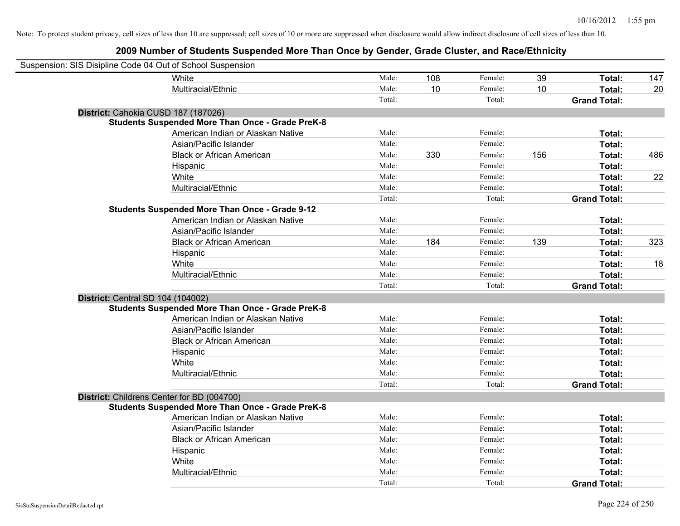| Suspension: SIS Disipline Code 04 Out of School Suspension |                                                         |        |     |         |     |                     |     |
|------------------------------------------------------------|---------------------------------------------------------|--------|-----|---------|-----|---------------------|-----|
|                                                            | <b>White</b>                                            | Male:  | 108 | Female: | 39  | Total:              | 147 |
|                                                            | Multiracial/Ethnic                                      | Male:  | 10  | Female: | 10  | Total:              | 20  |
|                                                            |                                                         | Total: |     | Total:  |     | <b>Grand Total:</b> |     |
| District: Cahokia CUSD 187 (187026)                        |                                                         |        |     |         |     |                     |     |
|                                                            | <b>Students Suspended More Than Once - Grade PreK-8</b> |        |     |         |     |                     |     |
|                                                            | American Indian or Alaskan Native                       | Male:  |     | Female: |     | Total:              |     |
|                                                            | Asian/Pacific Islander                                  | Male:  |     | Female: |     | Total:              |     |
|                                                            | <b>Black or African American</b>                        | Male:  | 330 | Female: | 156 | Total:              | 486 |
|                                                            | Hispanic                                                | Male:  |     | Female: |     | Total:              |     |
|                                                            | White                                                   | Male:  |     | Female: |     | Total:              | 22  |
|                                                            | Multiracial/Ethnic                                      | Male:  |     | Female: |     | Total:              |     |
|                                                            |                                                         | Total: |     | Total:  |     | <b>Grand Total:</b> |     |
|                                                            | Students Suspended More Than Once - Grade 9-12          |        |     |         |     |                     |     |
|                                                            | American Indian or Alaskan Native                       | Male:  |     | Female: |     | Total:              |     |
|                                                            | Asian/Pacific Islander                                  | Male:  |     | Female: |     | Total:              |     |
|                                                            | <b>Black or African American</b>                        | Male:  | 184 | Female: | 139 | Total:              | 323 |
|                                                            | Hispanic                                                | Male:  |     | Female: |     | Total:              |     |
|                                                            | White                                                   | Male:  |     | Female: |     | Total:              | 18  |
|                                                            | Multiracial/Ethnic                                      | Male:  |     | Female: |     | Total:              |     |
|                                                            |                                                         | Total: |     | Total:  |     | <b>Grand Total:</b> |     |
| District: Central SD 104 (104002)                          |                                                         |        |     |         |     |                     |     |
|                                                            | <b>Students Suspended More Than Once - Grade PreK-8</b> |        |     |         |     |                     |     |
|                                                            | American Indian or Alaskan Native                       | Male:  |     | Female: |     | Total:              |     |
|                                                            | Asian/Pacific Islander                                  | Male:  |     | Female: |     | Total:              |     |
|                                                            | <b>Black or African American</b>                        | Male:  |     | Female: |     | Total:              |     |
|                                                            | Hispanic                                                | Male:  |     | Female: |     | Total:              |     |
|                                                            | White                                                   | Male:  |     | Female: |     | Total:              |     |
|                                                            | Multiracial/Ethnic                                      | Male:  |     | Female: |     | Total:              |     |
|                                                            |                                                         | Total: |     | Total:  |     | <b>Grand Total:</b> |     |
| District: Childrens Center for BD (004700)                 |                                                         |        |     |         |     |                     |     |
|                                                            | <b>Students Suspended More Than Once - Grade PreK-8</b> |        |     |         |     |                     |     |
|                                                            | American Indian or Alaskan Native                       | Male:  |     | Female: |     | Total:              |     |
|                                                            | Asian/Pacific Islander                                  | Male:  |     | Female: |     | Total:              |     |
|                                                            | <b>Black or African American</b>                        | Male:  |     | Female: |     | Total:              |     |
|                                                            | Hispanic                                                | Male:  |     | Female: |     | Total:              |     |
|                                                            | White                                                   | Male:  |     | Female: |     | Total:              |     |
|                                                            | Multiracial/Ethnic                                      | Male:  |     | Female: |     | Total:              |     |
|                                                            |                                                         | Total: |     | Total:  |     | <b>Grand Total:</b> |     |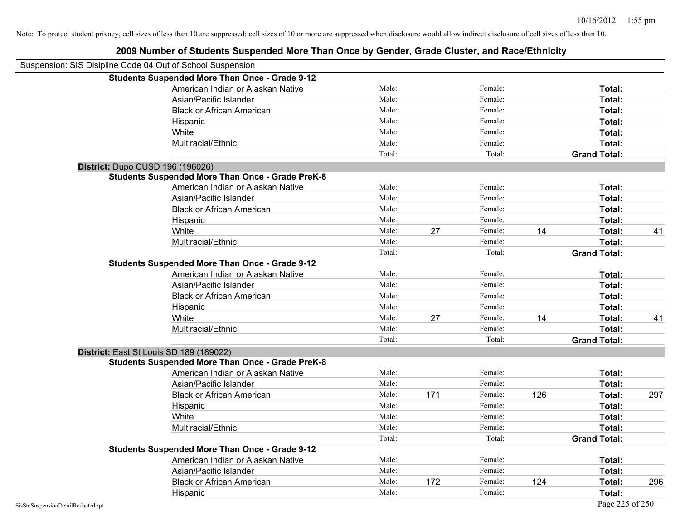| Suspension: SIS Disipline Code 04 Out of School Suspension |                                                         |        |     |         |     |                     |     |
|------------------------------------------------------------|---------------------------------------------------------|--------|-----|---------|-----|---------------------|-----|
|                                                            | <b>Students Suspended More Than Once - Grade 9-12</b>   |        |     |         |     |                     |     |
|                                                            | American Indian or Alaskan Native                       | Male:  |     | Female: |     | Total:              |     |
|                                                            | Asian/Pacific Islander                                  | Male:  |     | Female: |     | Total:              |     |
|                                                            | <b>Black or African American</b>                        | Male:  |     | Female: |     | Total:              |     |
|                                                            | Hispanic                                                | Male:  |     | Female: |     | Total:              |     |
|                                                            | White                                                   | Male:  |     | Female: |     | Total:              |     |
|                                                            | Multiracial/Ethnic                                      | Male:  |     | Female: |     | Total:              |     |
|                                                            |                                                         | Total: |     | Total:  |     | <b>Grand Total:</b> |     |
|                                                            | District: Dupo CUSD 196 (196026)                        |        |     |         |     |                     |     |
|                                                            | <b>Students Suspended More Than Once - Grade PreK-8</b> |        |     |         |     |                     |     |
|                                                            | American Indian or Alaskan Native                       | Male:  |     | Female: |     | Total:              |     |
|                                                            | Asian/Pacific Islander                                  | Male:  |     | Female: |     | Total:              |     |
|                                                            | <b>Black or African American</b>                        | Male:  |     | Female: |     | Total:              |     |
|                                                            | Hispanic                                                | Male:  |     | Female: |     | Total:              |     |
|                                                            | White                                                   | Male:  | 27  | Female: | 14  | Total:              | 41  |
|                                                            | Multiracial/Ethnic                                      | Male:  |     | Female: |     | Total:              |     |
|                                                            |                                                         | Total: |     | Total:  |     | <b>Grand Total:</b> |     |
|                                                            | <b>Students Suspended More Than Once - Grade 9-12</b>   |        |     |         |     |                     |     |
|                                                            | American Indian or Alaskan Native                       | Male:  |     | Female: |     | Total:              |     |
|                                                            | Asian/Pacific Islander                                  | Male:  |     | Female: |     | Total:              |     |
|                                                            | <b>Black or African American</b>                        | Male:  |     | Female: |     | Total:              |     |
|                                                            | Hispanic                                                | Male:  |     | Female: |     | Total:              |     |
|                                                            | White                                                   | Male:  | 27  | Female: | 14  | Total:              | 41  |
|                                                            | Multiracial/Ethnic                                      | Male:  |     | Female: |     | Total:              |     |
|                                                            |                                                         | Total: |     | Total:  |     | <b>Grand Total:</b> |     |
|                                                            | District: East St Louis SD 189 (189022)                 |        |     |         |     |                     |     |
|                                                            | <b>Students Suspended More Than Once - Grade PreK-8</b> |        |     |         |     |                     |     |
|                                                            | American Indian or Alaskan Native                       | Male:  |     | Female: |     | Total:              |     |
|                                                            | Asian/Pacific Islander                                  | Male:  |     | Female: |     | Total:              |     |
|                                                            | <b>Black or African American</b>                        | Male:  | 171 | Female: | 126 | Total:              | 297 |
|                                                            | Hispanic                                                | Male:  |     | Female: |     | Total:              |     |
|                                                            | White                                                   | Male:  |     | Female: |     | Total:              |     |
|                                                            | Multiracial/Ethnic                                      | Male:  |     | Female: |     | Total:              |     |
|                                                            |                                                         | Total: |     | Total:  |     | <b>Grand Total:</b> |     |
|                                                            | <b>Students Suspended More Than Once - Grade 9-12</b>   |        |     |         |     |                     |     |
|                                                            | American Indian or Alaskan Native                       | Male:  |     | Female: |     | Total:              |     |
|                                                            | Asian/Pacific Islander                                  | Male:  |     | Female: |     | Total:              |     |
|                                                            | <b>Black or African American</b>                        | Male:  | 172 | Female: | 124 | Total:              | 296 |
|                                                            | Hispanic                                                | Male:  |     | Female: |     | Total:              |     |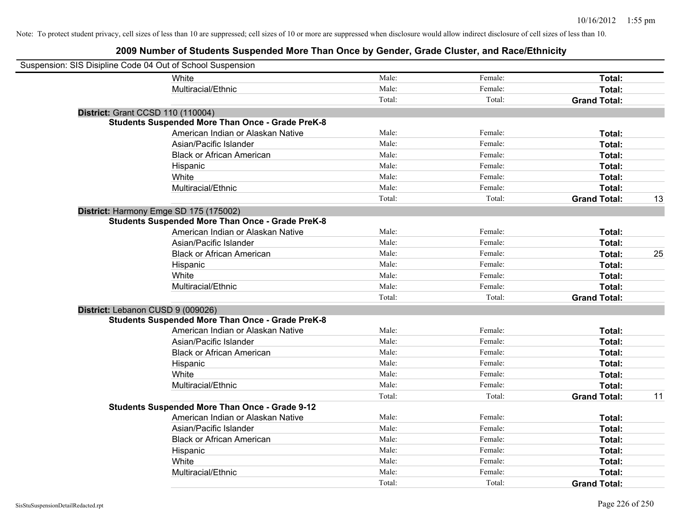| Suspension: SIS Disipline Code 04 Out of School Suspension |                                                         |        |         |                     |    |
|------------------------------------------------------------|---------------------------------------------------------|--------|---------|---------------------|----|
|                                                            | White                                                   | Male:  | Female: | Total:              |    |
|                                                            | Multiracial/Ethnic                                      | Male:  | Female: | Total:              |    |
|                                                            |                                                         | Total: | Total:  | <b>Grand Total:</b> |    |
| <b>District: Grant CCSD 110 (110004)</b>                   |                                                         |        |         |                     |    |
|                                                            | <b>Students Suspended More Than Once - Grade PreK-8</b> |        |         |                     |    |
|                                                            | American Indian or Alaskan Native                       | Male:  | Female: | Total:              |    |
|                                                            | Asian/Pacific Islander                                  | Male:  | Female: | Total:              |    |
|                                                            | <b>Black or African American</b>                        | Male:  | Female: | Total:              |    |
|                                                            | Hispanic                                                | Male:  | Female: | Total:              |    |
|                                                            | White                                                   | Male:  | Female: | Total:              |    |
|                                                            | Multiracial/Ethnic                                      | Male:  | Female: | Total:              |    |
|                                                            |                                                         | Total: | Total:  | <b>Grand Total:</b> | 13 |
| District: Harmony Emge SD 175 (175002)                     |                                                         |        |         |                     |    |
|                                                            | <b>Students Suspended More Than Once - Grade PreK-8</b> |        |         |                     |    |
|                                                            | American Indian or Alaskan Native                       | Male:  | Female: | Total:              |    |
|                                                            | Asian/Pacific Islander                                  | Male:  | Female: | Total:              |    |
|                                                            | <b>Black or African American</b>                        | Male:  | Female: | Total:              | 25 |
|                                                            | Hispanic                                                | Male:  | Female: | Total:              |    |
|                                                            | White                                                   | Male:  | Female: | Total:              |    |
|                                                            | Multiracial/Ethnic                                      | Male:  | Female: | Total:              |    |
|                                                            |                                                         | Total: | Total:  | <b>Grand Total:</b> |    |
| District: Lebanon CUSD 9 (009026)                          |                                                         |        |         |                     |    |
|                                                            | <b>Students Suspended More Than Once - Grade PreK-8</b> |        |         |                     |    |
|                                                            | American Indian or Alaskan Native                       | Male:  | Female: | Total:              |    |
|                                                            | Asian/Pacific Islander                                  | Male:  | Female: | Total:              |    |
|                                                            | <b>Black or African American</b>                        | Male:  | Female: | Total:              |    |
|                                                            | Hispanic                                                | Male:  | Female: | Total:              |    |
|                                                            | White                                                   | Male:  | Female: | Total:              |    |
|                                                            | Multiracial/Ethnic                                      | Male:  | Female: | Total:              |    |
|                                                            |                                                         | Total: | Total:  | <b>Grand Total:</b> | 11 |
|                                                            | Students Suspended More Than Once - Grade 9-12          |        |         |                     |    |
|                                                            | American Indian or Alaskan Native                       | Male:  | Female: | Total:              |    |
|                                                            | Asian/Pacific Islander                                  | Male:  | Female: | Total:              |    |
|                                                            | <b>Black or African American</b>                        | Male:  | Female: | Total:              |    |
|                                                            | Hispanic                                                | Male:  | Female: | Total:              |    |
|                                                            | White                                                   | Male:  | Female: | Total:              |    |
|                                                            | Multiracial/Ethnic                                      | Male:  | Female: | Total:              |    |
|                                                            |                                                         | Total: | Total:  | <b>Grand Total:</b> |    |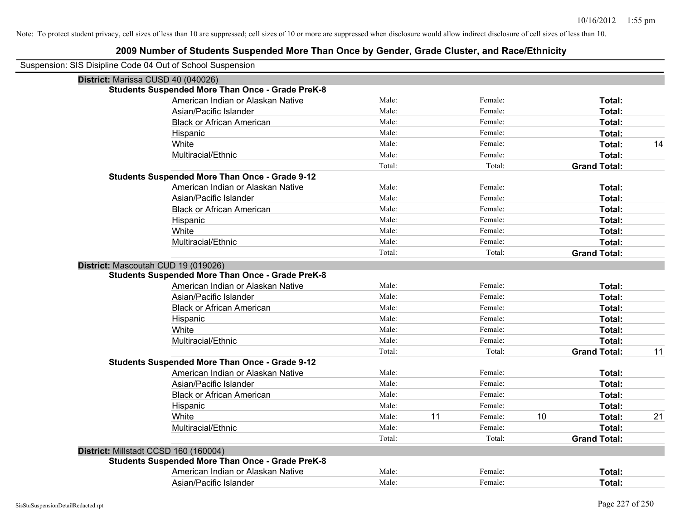| Suspension: SIS Disipline Code 04 Out of School Suspension |        |    |         |    |                     |    |
|------------------------------------------------------------|--------|----|---------|----|---------------------|----|
| District: Marissa CUSD 40 (040026)                         |        |    |         |    |                     |    |
| <b>Students Suspended More Than Once - Grade PreK-8</b>    |        |    |         |    |                     |    |
| American Indian or Alaskan Native                          | Male:  |    | Female: |    | Total:              |    |
| Asian/Pacific Islander                                     | Male:  |    | Female: |    | Total:              |    |
| <b>Black or African American</b>                           | Male:  |    | Female: |    | Total:              |    |
| Hispanic                                                   | Male:  |    | Female: |    | Total:              |    |
| White                                                      | Male:  |    | Female: |    | Total:              | 14 |
| Multiracial/Ethnic                                         | Male:  |    | Female: |    | Total:              |    |
|                                                            | Total: |    | Total:  |    | <b>Grand Total:</b> |    |
| <b>Students Suspended More Than Once - Grade 9-12</b>      |        |    |         |    |                     |    |
| American Indian or Alaskan Native                          | Male:  |    | Female: |    | Total:              |    |
| Asian/Pacific Islander                                     | Male:  |    | Female: |    | Total:              |    |
| <b>Black or African American</b>                           | Male:  |    | Female: |    | Total:              |    |
| Hispanic                                                   | Male:  |    | Female: |    | Total:              |    |
| White                                                      | Male:  |    | Female: |    | Total:              |    |
| Multiracial/Ethnic                                         | Male:  |    | Female: |    | Total:              |    |
|                                                            | Total: |    | Total:  |    | <b>Grand Total:</b> |    |
| District: Mascoutah CUD 19 (019026)                        |        |    |         |    |                     |    |
| <b>Students Suspended More Than Once - Grade PreK-8</b>    |        |    |         |    |                     |    |
| American Indian or Alaskan Native                          | Male:  |    | Female: |    | Total:              |    |
| Asian/Pacific Islander                                     | Male:  |    | Female: |    | Total:              |    |
| <b>Black or African American</b>                           | Male:  |    | Female: |    | Total:              |    |
| Hispanic                                                   | Male:  |    | Female: |    | Total:              |    |
| White                                                      | Male:  |    | Female: |    | Total:              |    |
| Multiracial/Ethnic                                         | Male:  |    | Female: |    | Total:              |    |
|                                                            | Total: |    | Total:  |    | <b>Grand Total:</b> | 11 |
| <b>Students Suspended More Than Once - Grade 9-12</b>      |        |    |         |    |                     |    |
| American Indian or Alaskan Native                          | Male:  |    | Female: |    | Total:              |    |
| Asian/Pacific Islander                                     | Male:  |    | Female: |    | Total:              |    |
| <b>Black or African American</b>                           | Male:  |    | Female: |    | Total:              |    |
| Hispanic                                                   | Male:  |    | Female: |    | Total:              |    |
| White                                                      | Male:  | 11 | Female: | 10 | Total:              | 21 |
| Multiracial/Ethnic                                         | Male:  |    | Female: |    | Total:              |    |
|                                                            | Total: |    | Total:  |    | <b>Grand Total:</b> |    |
| District: Millstadt CCSD 160 (160004)                      |        |    |         |    |                     |    |
| <b>Students Suspended More Than Once - Grade PreK-8</b>    |        |    |         |    |                     |    |
| American Indian or Alaskan Native                          | Male:  |    | Female: |    | Total:              |    |
| Asian/Pacific Islander                                     | Male:  |    | Female: |    | Total:              |    |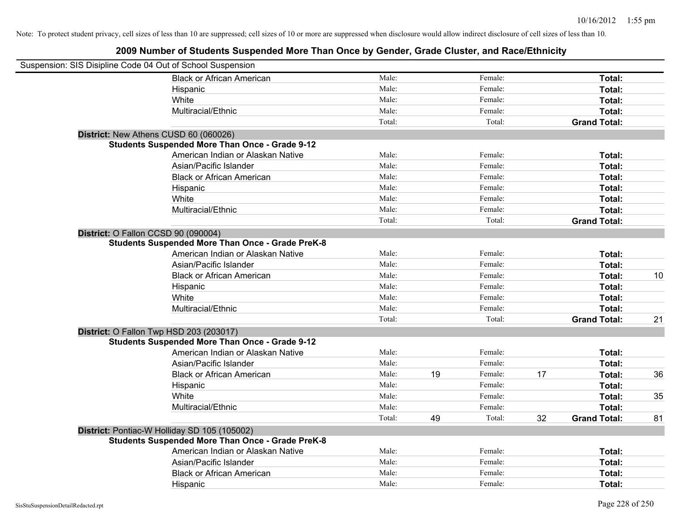| Suspension: SIS Disipline Code 04 Out of School Suspension |                                                         |        |    |         |    |                     |    |
|------------------------------------------------------------|---------------------------------------------------------|--------|----|---------|----|---------------------|----|
|                                                            | <b>Black or African American</b>                        | Male:  |    | Female: |    | Total:              |    |
|                                                            | Hispanic                                                | Male:  |    | Female: |    | Total:              |    |
|                                                            | White                                                   | Male:  |    | Female: |    | Total:              |    |
|                                                            | Multiracial/Ethnic                                      | Male:  |    | Female: |    | Total:              |    |
|                                                            |                                                         | Total: |    | Total:  |    | <b>Grand Total:</b> |    |
| District: New Athens CUSD 60 (060026)                      |                                                         |        |    |         |    |                     |    |
|                                                            | <b>Students Suspended More Than Once - Grade 9-12</b>   |        |    |         |    |                     |    |
|                                                            | American Indian or Alaskan Native                       | Male:  |    | Female: |    | Total:              |    |
|                                                            | Asian/Pacific Islander                                  | Male:  |    | Female: |    | Total:              |    |
|                                                            | <b>Black or African American</b>                        | Male:  |    | Female: |    | Total:              |    |
|                                                            | Hispanic                                                | Male:  |    | Female: |    | Total:              |    |
|                                                            | White                                                   | Male:  |    | Female: |    | Total:              |    |
|                                                            | Multiracial/Ethnic                                      | Male:  |    | Female: |    | Total:              |    |
|                                                            |                                                         | Total: |    | Total:  |    | <b>Grand Total:</b> |    |
| District: O Fallon CCSD 90 (090004)                        |                                                         |        |    |         |    |                     |    |
|                                                            | <b>Students Suspended More Than Once - Grade PreK-8</b> |        |    |         |    |                     |    |
|                                                            | American Indian or Alaskan Native                       | Male:  |    | Female: |    | Total:              |    |
|                                                            | Asian/Pacific Islander                                  | Male:  |    | Female: |    | Total:              |    |
|                                                            | <b>Black or African American</b>                        | Male:  |    | Female: |    | Total:              | 10 |
|                                                            | Hispanic                                                | Male:  |    | Female: |    | Total:              |    |
|                                                            | White                                                   | Male:  |    | Female: |    | Total:              |    |
|                                                            | Multiracial/Ethnic                                      | Male:  |    | Female: |    | <b>Total:</b>       |    |
|                                                            |                                                         | Total: |    | Total:  |    | <b>Grand Total:</b> | 21 |
| District: O Fallon Twp HSD 203 (203017)                    |                                                         |        |    |         |    |                     |    |
|                                                            | <b>Students Suspended More Than Once - Grade 9-12</b>   |        |    |         |    |                     |    |
|                                                            | American Indian or Alaskan Native                       | Male:  |    | Female: |    | Total:              |    |
|                                                            | Asian/Pacific Islander                                  | Male:  |    | Female: |    | Total:              |    |
|                                                            | <b>Black or African American</b>                        | Male:  | 19 | Female: | 17 | Total:              | 36 |
|                                                            | Hispanic                                                | Male:  |    | Female: |    | Total:              |    |
|                                                            | White                                                   | Male:  |    | Female: |    | Total:              | 35 |
|                                                            | Multiracial/Ethnic                                      | Male:  |    | Female: |    | Total:              |    |
|                                                            |                                                         | Total: | 49 | Total:  | 32 | <b>Grand Total:</b> | 81 |
| District: Pontiac-W Holliday SD 105 (105002)               |                                                         |        |    |         |    |                     |    |
|                                                            | <b>Students Suspended More Than Once - Grade PreK-8</b> |        |    |         |    |                     |    |
|                                                            | American Indian or Alaskan Native                       | Male:  |    | Female: |    | Total:              |    |
|                                                            | Asian/Pacific Islander                                  | Male:  |    | Female: |    | Total:              |    |
|                                                            | <b>Black or African American</b>                        | Male:  |    | Female: |    | Total:              |    |
|                                                            | Hispanic                                                | Male:  |    | Female: |    | Total:              |    |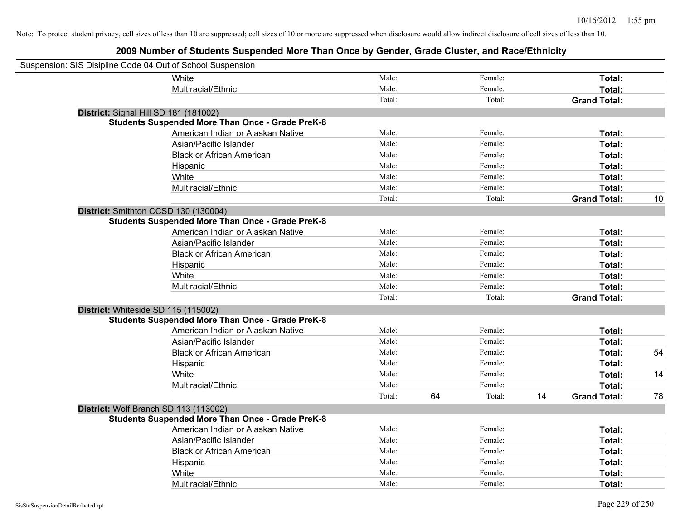| Suspension: SIS Disipline Code 04 Out of School Suspension |                                                         |        |    |         |    |                     |    |
|------------------------------------------------------------|---------------------------------------------------------|--------|----|---------|----|---------------------|----|
|                                                            | White                                                   | Male:  |    | Female: |    | Total:              |    |
|                                                            | Multiracial/Ethnic                                      | Male:  |    | Female: |    | Total:              |    |
|                                                            |                                                         | Total: |    | Total:  |    | <b>Grand Total:</b> |    |
| District: Signal Hill SD 181 (181002)                      |                                                         |        |    |         |    |                     |    |
|                                                            | <b>Students Suspended More Than Once - Grade PreK-8</b> |        |    |         |    |                     |    |
|                                                            | American Indian or Alaskan Native                       | Male:  |    | Female: |    | Total:              |    |
|                                                            | Asian/Pacific Islander                                  | Male:  |    | Female: |    | Total:              |    |
|                                                            | <b>Black or African American</b>                        | Male:  |    | Female: |    | Total:              |    |
|                                                            | Hispanic                                                | Male:  |    | Female: |    | Total:              |    |
|                                                            | White                                                   | Male:  |    | Female: |    | Total:              |    |
|                                                            | Multiracial/Ethnic                                      | Male:  |    | Female: |    | Total:              |    |
|                                                            |                                                         | Total: |    | Total:  |    | <b>Grand Total:</b> | 10 |
|                                                            | District: Smithton CCSD 130 (130004)                    |        |    |         |    |                     |    |
|                                                            | <b>Students Suspended More Than Once - Grade PreK-8</b> |        |    |         |    |                     |    |
|                                                            | American Indian or Alaskan Native                       | Male:  |    | Female: |    | Total:              |    |
|                                                            | Asian/Pacific Islander                                  | Male:  |    | Female: |    | Total:              |    |
|                                                            | <b>Black or African American</b>                        | Male:  |    | Female: |    | Total:              |    |
|                                                            | Hispanic                                                | Male:  |    | Female: |    | Total:              |    |
|                                                            | White                                                   | Male:  |    | Female: |    | Total:              |    |
|                                                            | Multiracial/Ethnic                                      | Male:  |    | Female: |    | Total:              |    |
|                                                            |                                                         | Total: |    | Total:  |    | <b>Grand Total:</b> |    |
| District: Whiteside SD 115 (115002)                        |                                                         |        |    |         |    |                     |    |
|                                                            | <b>Students Suspended More Than Once - Grade PreK-8</b> |        |    |         |    |                     |    |
|                                                            | American Indian or Alaskan Native                       | Male:  |    | Female: |    | Total:              |    |
|                                                            | Asian/Pacific Islander                                  | Male:  |    | Female: |    | Total:              |    |
|                                                            | <b>Black or African American</b>                        | Male:  |    | Female: |    | Total:              | 54 |
|                                                            | Hispanic                                                | Male:  |    | Female: |    | Total:              |    |
|                                                            | White                                                   | Male:  |    | Female: |    | Total:              | 14 |
|                                                            | Multiracial/Ethnic                                      | Male:  |    | Female: |    | Total:              |    |
|                                                            |                                                         | Total: | 64 | Total:  | 14 | <b>Grand Total:</b> | 78 |
|                                                            | District: Wolf Branch SD 113 (113002)                   |        |    |         |    |                     |    |
|                                                            | <b>Students Suspended More Than Once - Grade PreK-8</b> |        |    |         |    |                     |    |
|                                                            | American Indian or Alaskan Native                       | Male:  |    | Female: |    | Total:              |    |
|                                                            | Asian/Pacific Islander                                  | Male:  |    | Female: |    | Total:              |    |
|                                                            | <b>Black or African American</b>                        | Male:  |    | Female: |    | Total:              |    |
|                                                            | Hispanic                                                | Male:  |    | Female: |    | Total:              |    |
|                                                            | White                                                   | Male:  |    | Female: |    | Total:              |    |
|                                                            | Multiracial/Ethnic                                      | Male:  |    | Female: |    | Total:              |    |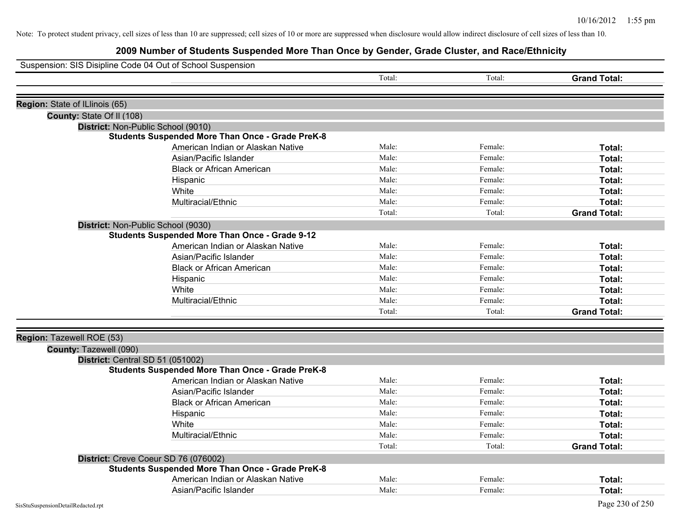| Suspension: SIS Disipline Code 04 Out of School Suspension |                                                         |        |         |                     |
|------------------------------------------------------------|---------------------------------------------------------|--------|---------|---------------------|
|                                                            |                                                         | Total: | Total:  | <b>Grand Total:</b> |
|                                                            |                                                         |        |         |                     |
| Region: State of ILlinois (65)                             |                                                         |        |         |                     |
| County: State Of II (108)                                  |                                                         |        |         |                     |
| District: Non-Public School (9010)                         |                                                         |        |         |                     |
|                                                            | <b>Students Suspended More Than Once - Grade PreK-8</b> |        |         |                     |
|                                                            | American Indian or Alaskan Native                       | Male:  | Female: | Total:              |
|                                                            | Asian/Pacific Islander                                  | Male:  | Female: | Total:              |
|                                                            | <b>Black or African American</b>                        | Male:  | Female: | Total:              |
|                                                            | Hispanic                                                | Male:  | Female: | Total:              |
|                                                            | White                                                   | Male:  | Female: | Total:              |
|                                                            | Multiracial/Ethnic                                      | Male:  | Female: | Total:              |
|                                                            |                                                         | Total: | Total:  | <b>Grand Total:</b> |
| District: Non-Public School (9030)                         |                                                         |        |         |                     |
|                                                            | <b>Students Suspended More Than Once - Grade 9-12</b>   |        |         |                     |
|                                                            | American Indian or Alaskan Native                       | Male:  | Female: | Total:              |
|                                                            | Asian/Pacific Islander                                  | Male:  | Female: | Total:              |
|                                                            | <b>Black or African American</b>                        | Male:  | Female: | Total:              |
|                                                            | Hispanic                                                | Male:  | Female: | Total:              |
|                                                            | White                                                   | Male:  | Female: | Total:              |
|                                                            | Multiracial/Ethnic                                      | Male:  | Female: | Total:              |
|                                                            |                                                         | Total: | Total:  | <b>Grand Total:</b> |
|                                                            |                                                         |        |         |                     |
| Region: Tazewell ROE (53)                                  |                                                         |        |         |                     |
| County: Tazewell (090)                                     |                                                         |        |         |                     |
| District: Central SD 51 (051002)                           |                                                         |        |         |                     |
|                                                            | <b>Students Suspended More Than Once - Grade PreK-8</b> |        |         |                     |
|                                                            | American Indian or Alaskan Native                       | Male:  | Female: | Total:              |
|                                                            | Asian/Pacific Islander                                  | Male:  | Female: | Total:              |
|                                                            | <b>Black or African American</b>                        | Male:  | Female: | Total:              |
|                                                            | Hispanic                                                | Male:  | Female: | Total:              |
|                                                            | White                                                   | Male:  | Female: | Total:              |
|                                                            | Multiracial/Ethnic                                      | Male:  | Female: | Total:              |
|                                                            |                                                         | Total: | Total:  | <b>Grand Total:</b> |
|                                                            | District: Creve Coeur SD 76 (076002)                    |        |         |                     |
|                                                            | <b>Students Suspended More Than Once - Grade PreK-8</b> |        |         |                     |
|                                                            | American Indian or Alaskan Native                       | Male:  | Female: | Total:              |
|                                                            | Asian/Pacific Islander                                  | Male:  | Female: | Total:              |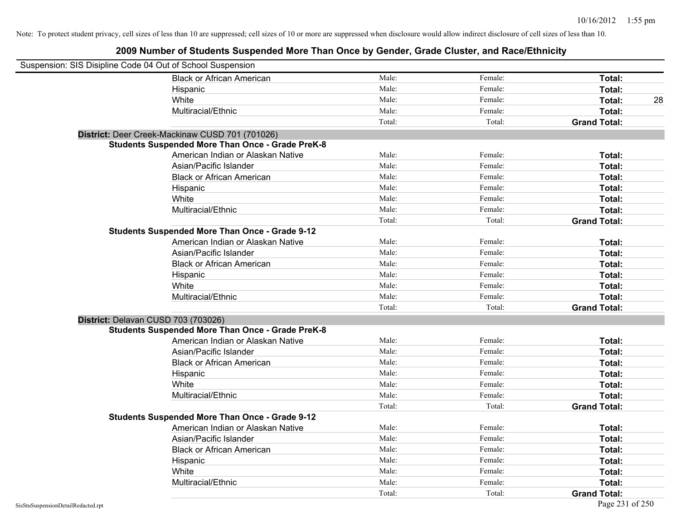| Suspension: SIS Disipline Code 04 Out of School Suspension |                                                         |        |         |                     |    |
|------------------------------------------------------------|---------------------------------------------------------|--------|---------|---------------------|----|
|                                                            | <b>Black or African American</b>                        | Male:  | Female: | Total:              |    |
|                                                            | Hispanic                                                | Male:  | Female: | Total:              |    |
|                                                            | White                                                   | Male:  | Female: | Total:              | 28 |
|                                                            | Multiracial/Ethnic                                      | Male:  | Female: | Total:              |    |
|                                                            |                                                         | Total: | Total:  | <b>Grand Total:</b> |    |
|                                                            | District: Deer Creek-Mackinaw CUSD 701 (701026)         |        |         |                     |    |
|                                                            | <b>Students Suspended More Than Once - Grade PreK-8</b> |        |         |                     |    |
|                                                            | American Indian or Alaskan Native                       | Male:  | Female: | Total:              |    |
|                                                            | Asian/Pacific Islander                                  | Male:  | Female: | Total:              |    |
|                                                            | <b>Black or African American</b>                        | Male:  | Female: | Total:              |    |
|                                                            | Hispanic                                                | Male:  | Female: | Total:              |    |
|                                                            | White                                                   | Male:  | Female: | Total:              |    |
|                                                            | Multiracial/Ethnic                                      | Male:  | Female: | Total:              |    |
|                                                            |                                                         | Total: | Total:  | <b>Grand Total:</b> |    |
|                                                            | <b>Students Suspended More Than Once - Grade 9-12</b>   |        |         |                     |    |
|                                                            | American Indian or Alaskan Native                       | Male:  | Female: | Total:              |    |
|                                                            | Asian/Pacific Islander                                  | Male:  | Female: | Total:              |    |
|                                                            | <b>Black or African American</b>                        | Male:  | Female: | Total:              |    |
|                                                            | Hispanic                                                | Male:  | Female: | Total:              |    |
|                                                            | White                                                   | Male:  | Female: | Total:              |    |
|                                                            | Multiracial/Ethnic                                      | Male:  | Female: | Total:              |    |
|                                                            |                                                         | Total: | Total:  | <b>Grand Total:</b> |    |
| District: Delavan CUSD 703 (703026)                        |                                                         |        |         |                     |    |
|                                                            | <b>Students Suspended More Than Once - Grade PreK-8</b> |        |         |                     |    |
|                                                            | American Indian or Alaskan Native                       | Male:  | Female: | Total:              |    |
|                                                            | Asian/Pacific Islander                                  | Male:  | Female: | Total:              |    |
|                                                            | <b>Black or African American</b>                        | Male:  | Female: | Total:              |    |
|                                                            | Hispanic                                                | Male:  | Female: | Total:              |    |
|                                                            | White                                                   | Male:  | Female: | Total:              |    |
|                                                            | Multiracial/Ethnic                                      | Male:  | Female: | Total:              |    |
|                                                            |                                                         | Total: | Total:  | <b>Grand Total:</b> |    |
|                                                            | <b>Students Suspended More Than Once - Grade 9-12</b>   |        |         |                     |    |
|                                                            | American Indian or Alaskan Native                       | Male:  | Female: | Total:              |    |
|                                                            | Asian/Pacific Islander                                  | Male:  | Female: | Total:              |    |
|                                                            | <b>Black or African American</b>                        | Male:  | Female: | Total:              |    |
|                                                            | Hispanic                                                | Male:  | Female: | Total:              |    |
|                                                            | White                                                   | Male:  | Female: | Total:              |    |
|                                                            | Multiracial/Ethnic                                      | Male:  | Female: | Total:              |    |
|                                                            |                                                         | Total: | Total:  | <b>Grand Total:</b> |    |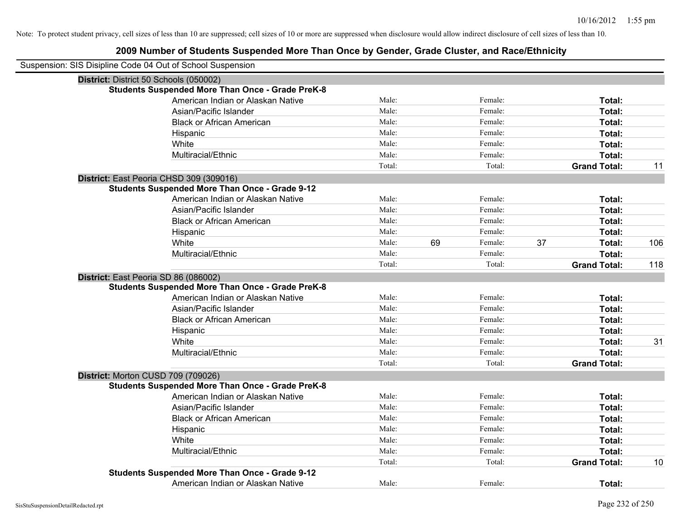| Suspension: SIS Disipline Code 04 Out of School Suspension |        |    |         |    |                     |     |
|------------------------------------------------------------|--------|----|---------|----|---------------------|-----|
| District: District 50 Schools (050002)                     |        |    |         |    |                     |     |
| <b>Students Suspended More Than Once - Grade PreK-8</b>    |        |    |         |    |                     |     |
| American Indian or Alaskan Native                          | Male:  |    | Female: |    | Total:              |     |
| Asian/Pacific Islander                                     | Male:  |    | Female: |    | Total:              |     |
| <b>Black or African American</b>                           | Male:  |    | Female: |    | Total:              |     |
| Hispanic                                                   | Male:  |    | Female: |    | Total:              |     |
| White                                                      | Male:  |    | Female: |    | Total:              |     |
| Multiracial/Ethnic                                         | Male:  |    | Female: |    | Total:              |     |
|                                                            | Total: |    | Total:  |    | <b>Grand Total:</b> | 11  |
| District: East Peoria CHSD 309 (309016)                    |        |    |         |    |                     |     |
| <b>Students Suspended More Than Once - Grade 9-12</b>      |        |    |         |    |                     |     |
| American Indian or Alaskan Native                          | Male:  |    | Female: |    | Total:              |     |
| Asian/Pacific Islander                                     | Male:  |    | Female: |    | Total:              |     |
| <b>Black or African American</b>                           | Male:  |    | Female: |    | Total:              |     |
| Hispanic                                                   | Male:  |    | Female: |    | Total:              |     |
| White                                                      | Male:  | 69 | Female: | 37 | <b>Total:</b>       | 106 |
| Multiracial/Ethnic                                         | Male:  |    | Female: |    | Total:              |     |
|                                                            | Total: |    | Total:  |    | <b>Grand Total:</b> | 118 |
| District: East Peoria SD 86 (086002)                       |        |    |         |    |                     |     |
| <b>Students Suspended More Than Once - Grade PreK-8</b>    |        |    |         |    |                     |     |
| American Indian or Alaskan Native                          | Male:  |    | Female: |    | Total:              |     |
| Asian/Pacific Islander                                     | Male:  |    | Female: |    | Total:              |     |
| <b>Black or African American</b>                           | Male:  |    | Female: |    | Total:              |     |
| Hispanic                                                   | Male:  |    | Female: |    | Total:              |     |
| White                                                      | Male:  |    | Female: |    | Total:              | 31  |
| Multiracial/Ethnic                                         | Male:  |    | Female: |    | Total:              |     |
|                                                            | Total: |    | Total:  |    | <b>Grand Total:</b> |     |
| District: Morton CUSD 709 (709026)                         |        |    |         |    |                     |     |
| <b>Students Suspended More Than Once - Grade PreK-8</b>    |        |    |         |    |                     |     |
| American Indian or Alaskan Native                          | Male:  |    | Female: |    | Total:              |     |
| Asian/Pacific Islander                                     | Male:  |    | Female: |    | Total:              |     |
| <b>Black or African American</b>                           | Male:  |    | Female: |    | Total:              |     |
| Hispanic                                                   | Male:  |    | Female: |    | Total:              |     |
| White                                                      | Male:  |    | Female: |    | Total:              |     |
| Multiracial/Ethnic                                         | Male:  |    | Female: |    | Total:              |     |
|                                                            | Total: |    | Total:  |    | <b>Grand Total:</b> | 10  |
| <b>Students Suspended More Than Once - Grade 9-12</b>      |        |    |         |    |                     |     |
| American Indian or Alaskan Native                          | Male:  |    | Female: |    | Total:              |     |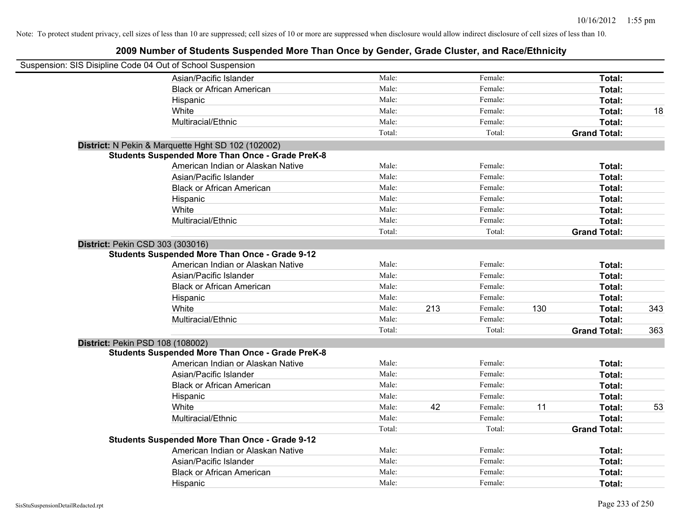| Suspension: SIS Disipline Code 04 Out of School Suspension |                                                         |        |     |         |     |                     |     |
|------------------------------------------------------------|---------------------------------------------------------|--------|-----|---------|-----|---------------------|-----|
|                                                            | Asian/Pacific Islander                                  | Male:  |     | Female: |     | Total:              |     |
|                                                            | <b>Black or African American</b>                        | Male:  |     | Female: |     | Total:              |     |
|                                                            | Hispanic                                                | Male:  |     | Female: |     | Total:              |     |
|                                                            | White                                                   | Male:  |     | Female: |     | Total:              | 18  |
|                                                            | Multiracial/Ethnic                                      | Male:  |     | Female: |     | Total:              |     |
|                                                            |                                                         | Total: |     | Total:  |     | <b>Grand Total:</b> |     |
|                                                            | District: N Pekin & Marquette Hght SD 102 (102002)      |        |     |         |     |                     |     |
|                                                            | <b>Students Suspended More Than Once - Grade PreK-8</b> |        |     |         |     |                     |     |
|                                                            | American Indian or Alaskan Native                       | Male:  |     | Female: |     | Total:              |     |
|                                                            | Asian/Pacific Islander                                  | Male:  |     | Female: |     | Total:              |     |
|                                                            | <b>Black or African American</b>                        | Male:  |     | Female: |     | Total:              |     |
|                                                            | Hispanic                                                | Male:  |     | Female: |     | Total:              |     |
|                                                            | White                                                   | Male:  |     | Female: |     | Total:              |     |
|                                                            | Multiracial/Ethnic                                      | Male:  |     | Female: |     | Total:              |     |
|                                                            |                                                         | Total: |     | Total:  |     | <b>Grand Total:</b> |     |
| District: Pekin CSD 303 (303016)                           |                                                         |        |     |         |     |                     |     |
|                                                            | <b>Students Suspended More Than Once - Grade 9-12</b>   |        |     |         |     |                     |     |
|                                                            | American Indian or Alaskan Native                       | Male:  |     | Female: |     | Total:              |     |
|                                                            | Asian/Pacific Islander                                  | Male:  |     | Female: |     | Total:              |     |
|                                                            | <b>Black or African American</b>                        | Male:  |     | Female: |     | Total:              |     |
|                                                            | Hispanic                                                | Male:  |     | Female: |     | Total:              |     |
|                                                            | White                                                   | Male:  | 213 | Female: | 130 | Total:              | 343 |
|                                                            | Multiracial/Ethnic                                      | Male:  |     | Female: |     | Total:              |     |
|                                                            |                                                         | Total: |     | Total:  |     | <b>Grand Total:</b> | 363 |
| District: Pekin PSD 108 (108002)                           |                                                         |        |     |         |     |                     |     |
|                                                            | <b>Students Suspended More Than Once - Grade PreK-8</b> |        |     |         |     |                     |     |
|                                                            | American Indian or Alaskan Native                       | Male:  |     | Female: |     | Total:              |     |
|                                                            | Asian/Pacific Islander                                  | Male:  |     | Female: |     | Total:              |     |
|                                                            | <b>Black or African American</b>                        | Male:  |     | Female: |     | Total:              |     |
|                                                            | Hispanic                                                | Male:  |     | Female: |     | Total:              |     |
|                                                            | White                                                   | Male:  | 42  | Female: | 11  | Total:              | 53  |
|                                                            | Multiracial/Ethnic                                      | Male:  |     | Female: |     | Total:              |     |
|                                                            |                                                         | Total: |     | Total:  |     | <b>Grand Total:</b> |     |
|                                                            | <b>Students Suspended More Than Once - Grade 9-12</b>   |        |     |         |     |                     |     |
|                                                            | American Indian or Alaskan Native                       | Male:  |     | Female: |     | Total:              |     |
|                                                            | Asian/Pacific Islander                                  | Male:  |     | Female: |     | Total:              |     |
|                                                            | <b>Black or African American</b>                        | Male:  |     | Female: |     | Total:              |     |
|                                                            | Hispanic                                                | Male:  |     | Female: |     | Total:              |     |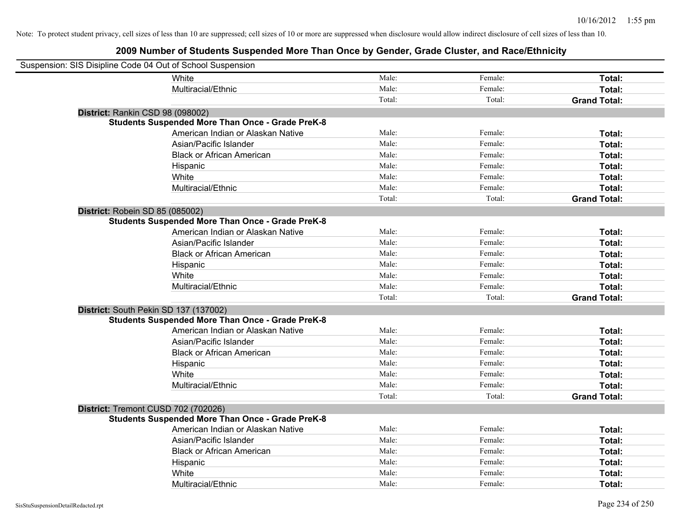| Suspension: SIS Disipline Code 04 Out of School Suspension |                                                         |        |         |                     |
|------------------------------------------------------------|---------------------------------------------------------|--------|---------|---------------------|
|                                                            | White                                                   | Male:  | Female: | Total:              |
|                                                            | Multiracial/Ethnic                                      | Male:  | Female: | Total:              |
|                                                            |                                                         | Total: | Total:  | <b>Grand Total:</b> |
| District: Rankin CSD 98 (098002)                           |                                                         |        |         |                     |
|                                                            | <b>Students Suspended More Than Once - Grade PreK-8</b> |        |         |                     |
|                                                            | American Indian or Alaskan Native                       | Male:  | Female: | Total:              |
|                                                            | Asian/Pacific Islander                                  | Male:  | Female: | Total:              |
|                                                            | <b>Black or African American</b>                        | Male:  | Female: | Total:              |
|                                                            | Hispanic                                                | Male:  | Female: | Total:              |
|                                                            | White                                                   | Male:  | Female: | Total:              |
|                                                            | Multiracial/Ethnic                                      | Male:  | Female: | Total:              |
|                                                            |                                                         | Total: | Total:  | <b>Grand Total:</b> |
| District: Robein SD 85 (085002)                            |                                                         |        |         |                     |
|                                                            | <b>Students Suspended More Than Once - Grade PreK-8</b> |        |         |                     |
|                                                            | American Indian or Alaskan Native                       | Male:  | Female: | Total:              |
|                                                            | Asian/Pacific Islander                                  | Male:  | Female: | Total:              |
|                                                            | <b>Black or African American</b>                        | Male:  | Female: | Total:              |
|                                                            | Hispanic                                                | Male:  | Female: | Total:              |
|                                                            | White                                                   | Male:  | Female: | Total:              |
|                                                            | Multiracial/Ethnic                                      | Male:  | Female: | Total:              |
|                                                            |                                                         | Total: | Total:  | <b>Grand Total:</b> |
| District: South Pekin SD 137 (137002)                      |                                                         |        |         |                     |
|                                                            | <b>Students Suspended More Than Once - Grade PreK-8</b> |        |         |                     |
|                                                            | American Indian or Alaskan Native                       | Male:  | Female: | Total:              |
|                                                            | Asian/Pacific Islander                                  | Male:  | Female: | Total:              |
|                                                            | <b>Black or African American</b>                        | Male:  | Female: | Total:              |
|                                                            | Hispanic                                                | Male:  | Female: | Total:              |
|                                                            | White                                                   | Male:  | Female: | Total:              |
|                                                            | Multiracial/Ethnic                                      | Male:  | Female: | Total:              |
|                                                            |                                                         | Total: | Total:  | <b>Grand Total:</b> |
| District: Tremont CUSD 702 (702026)                        |                                                         |        |         |                     |
|                                                            | <b>Students Suspended More Than Once - Grade PreK-8</b> |        |         |                     |
|                                                            | American Indian or Alaskan Native                       | Male:  | Female: | Total:              |
|                                                            | Asian/Pacific Islander                                  | Male:  | Female: | Total:              |
|                                                            | <b>Black or African American</b>                        | Male:  | Female: | Total:              |
|                                                            | Hispanic                                                | Male:  | Female: | Total:              |
|                                                            | White                                                   | Male:  | Female: | Total:              |
|                                                            | Multiracial/Ethnic                                      | Male:  | Female: | Total:              |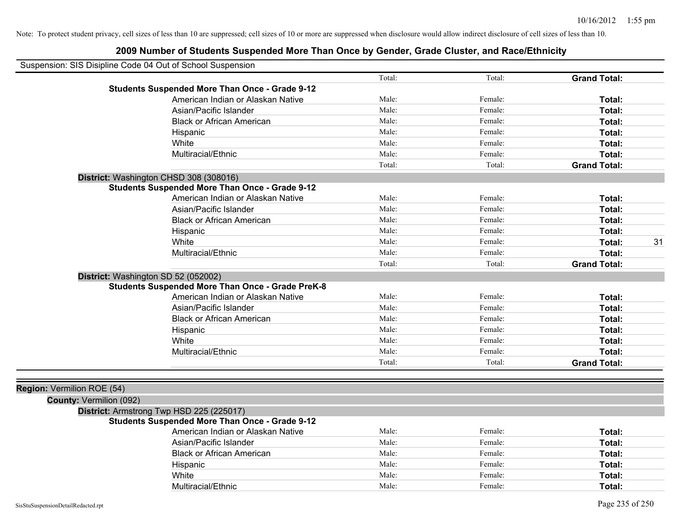| Suspension: SIS Disipline Code 04 Out of School Suspension |                                                         |        |         |                     |    |
|------------------------------------------------------------|---------------------------------------------------------|--------|---------|---------------------|----|
|                                                            |                                                         | Total: | Total:  | <b>Grand Total:</b> |    |
|                                                            | <b>Students Suspended More Than Once - Grade 9-12</b>   |        |         |                     |    |
|                                                            | American Indian or Alaskan Native                       | Male:  | Female: | Total:              |    |
|                                                            | Asian/Pacific Islander                                  | Male:  | Female: | Total:              |    |
|                                                            | <b>Black or African American</b>                        | Male:  | Female: | Total:              |    |
|                                                            | Hispanic                                                | Male:  | Female: | Total:              |    |
|                                                            | White                                                   | Male:  | Female: | Total:              |    |
|                                                            | Multiracial/Ethnic                                      | Male:  | Female: | Total:              |    |
|                                                            |                                                         | Total: | Total:  | <b>Grand Total:</b> |    |
|                                                            | District: Washington CHSD 308 (308016)                  |        |         |                     |    |
|                                                            | <b>Students Suspended More Than Once - Grade 9-12</b>   |        |         |                     |    |
|                                                            | American Indian or Alaskan Native                       | Male:  | Female: | Total:              |    |
|                                                            | Asian/Pacific Islander                                  | Male:  | Female: | Total:              |    |
|                                                            | <b>Black or African American</b>                        | Male:  | Female: | Total:              |    |
|                                                            | Hispanic                                                | Male:  | Female: | Total:              |    |
|                                                            | White                                                   | Male:  | Female: | Total:              | 31 |
|                                                            | Multiracial/Ethnic                                      | Male:  | Female: | Total:              |    |
|                                                            |                                                         | Total: | Total:  | <b>Grand Total:</b> |    |
|                                                            | District: Washington SD 52 (052002)                     |        |         |                     |    |
|                                                            | <b>Students Suspended More Than Once - Grade PreK-8</b> |        |         |                     |    |
|                                                            | American Indian or Alaskan Native                       | Male:  | Female: | Total:              |    |
|                                                            | Asian/Pacific Islander                                  | Male:  | Female: | Total:              |    |
|                                                            | <b>Black or African American</b>                        | Male:  | Female: | Total:              |    |
|                                                            | Hispanic                                                | Male:  | Female: | Total:              |    |
|                                                            | White                                                   | Male:  | Female: | Total:              |    |
|                                                            | Multiracial/Ethnic                                      | Male:  | Female: | Total:              |    |
|                                                            |                                                         | Total: | Total:  | <b>Grand Total:</b> |    |
|                                                            |                                                         |        |         |                     |    |
| Region: Vermilion ROE (54)                                 |                                                         |        |         |                     |    |
| <b>County: Vermilion (092)</b>                             |                                                         |        |         |                     |    |
|                                                            | District: Armstrong Twp HSD 225 (225017)                |        |         |                     |    |
|                                                            | <b>Students Suspended More Than Once - Grade 9-12</b>   |        |         |                     |    |
|                                                            | American Indian or Alaskan Native                       | Male:  | Female: | Total:              |    |
|                                                            | Asian/Pacific Islander                                  | Male:  | Female: | Total:              |    |
|                                                            | <b>Black or African American</b>                        | Male:  | Female: | Total:              |    |
|                                                            | Hispanic                                                | Male:  | Female: | Total:              |    |
|                                                            | White                                                   | Male:  | Female: | Total:              |    |
|                                                            | Multiracial/Ethnic                                      | Male:  | Female: | Total:              |    |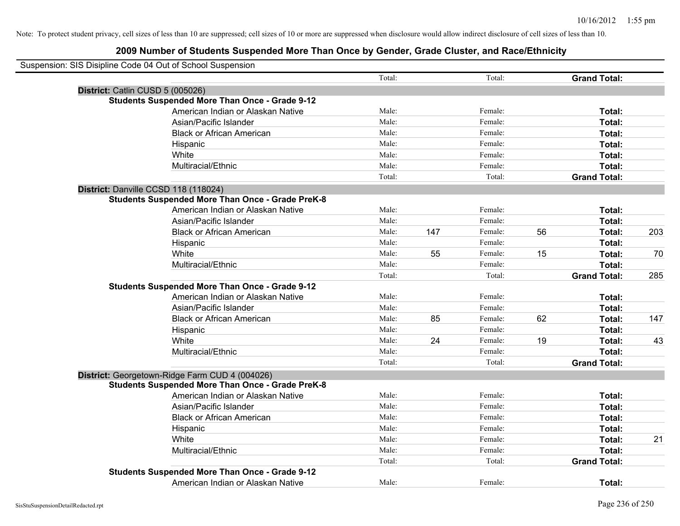| Suspension: SIS Disipline Code 04 Out of School Suspension |        |     |         |    |                     |     |
|------------------------------------------------------------|--------|-----|---------|----|---------------------|-----|
|                                                            | Total: |     | Total:  |    | <b>Grand Total:</b> |     |
| District: Catlin CUSD 5 (005026)                           |        |     |         |    |                     |     |
| <b>Students Suspended More Than Once - Grade 9-12</b>      |        |     |         |    |                     |     |
| American Indian or Alaskan Native                          | Male:  |     | Female: |    | Total:              |     |
| Asian/Pacific Islander                                     | Male:  |     | Female: |    | Total:              |     |
| <b>Black or African American</b>                           | Male:  |     | Female: |    | Total:              |     |
| Hispanic                                                   | Male:  |     | Female: |    | Total:              |     |
| White                                                      | Male:  |     | Female: |    | Total:              |     |
| Multiracial/Ethnic                                         | Male:  |     | Female: |    | Total:              |     |
|                                                            | Total: |     | Total:  |    | <b>Grand Total:</b> |     |
| District: Danville CCSD 118 (118024)                       |        |     |         |    |                     |     |
| <b>Students Suspended More Than Once - Grade PreK-8</b>    |        |     |         |    |                     |     |
| American Indian or Alaskan Native                          | Male:  |     | Female: |    | Total:              |     |
| Asian/Pacific Islander                                     | Male:  |     | Female: |    | Total:              |     |
| <b>Black or African American</b>                           | Male:  | 147 | Female: | 56 | Total:              | 203 |
| Hispanic                                                   | Male:  |     | Female: |    | Total:              |     |
| White                                                      | Male:  | 55  | Female: | 15 | Total:              | 70  |
| Multiracial/Ethnic                                         | Male:  |     | Female: |    | Total:              |     |
|                                                            | Total: |     | Total:  |    | <b>Grand Total:</b> | 285 |
| <b>Students Suspended More Than Once - Grade 9-12</b>      |        |     |         |    |                     |     |
| American Indian or Alaskan Native                          | Male:  |     | Female: |    | Total:              |     |
| Asian/Pacific Islander                                     | Male:  |     | Female: |    | Total:              |     |
| <b>Black or African American</b>                           | Male:  | 85  | Female: | 62 | Total:              | 147 |
| Hispanic                                                   | Male:  |     | Female: |    | Total:              |     |
| White                                                      | Male:  | 24  | Female: | 19 | Total:              | 43  |
| Multiracial/Ethnic                                         | Male:  |     | Female: |    | Total:              |     |
|                                                            | Total: |     | Total:  |    | <b>Grand Total:</b> |     |
| District: Georgetown-Ridge Farm CUD 4 (004026)             |        |     |         |    |                     |     |
| <b>Students Suspended More Than Once - Grade PreK-8</b>    |        |     |         |    |                     |     |
| American Indian or Alaskan Native                          | Male:  |     | Female: |    | Total:              |     |
| Asian/Pacific Islander                                     | Male:  |     | Female: |    | Total:              |     |
| <b>Black or African American</b>                           | Male:  |     | Female: |    | Total:              |     |
| Hispanic                                                   | Male:  |     | Female: |    | Total:              |     |
| White                                                      | Male:  |     | Female: |    | Total:              | 21  |
| Multiracial/Ethnic                                         | Male:  |     | Female: |    | Total:              |     |
|                                                            | Total: |     | Total:  |    | <b>Grand Total:</b> |     |
| <b>Students Suspended More Than Once - Grade 9-12</b>      |        |     |         |    |                     |     |
| American Indian or Alaskan Native                          | Male:  |     | Female: |    | Total:              |     |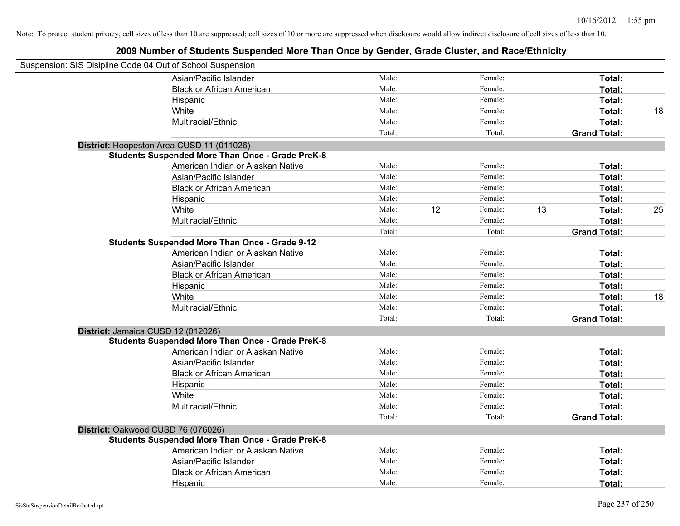| Suspension: SIS Disipline Code 04 Out of School Suspension |                                                         |        |    |         |                     |              |
|------------------------------------------------------------|---------------------------------------------------------|--------|----|---------|---------------------|--------------|
|                                                            | Asian/Pacific Islander                                  | Male:  |    | Female: |                     | Total:       |
|                                                            | <b>Black or African American</b>                        | Male:  |    | Female: |                     | Total:       |
|                                                            | Hispanic                                                | Male:  |    | Female: |                     | Total:       |
|                                                            | White                                                   | Male:  |    | Female: |                     | Total:<br>18 |
|                                                            | Multiracial/Ethnic                                      | Male:  |    | Female: |                     | Total:       |
|                                                            |                                                         | Total: |    | Total:  | <b>Grand Total:</b> |              |
|                                                            | District: Hoopeston Area CUSD 11 (011026)               |        |    |         |                     |              |
|                                                            | <b>Students Suspended More Than Once - Grade PreK-8</b> |        |    |         |                     |              |
|                                                            | American Indian or Alaskan Native                       | Male:  |    | Female: |                     | Total:       |
|                                                            | Asian/Pacific Islander                                  | Male:  |    | Female: |                     | Total:       |
|                                                            | <b>Black or African American</b>                        | Male:  |    | Female: |                     | Total:       |
|                                                            | Hispanic                                                | Male:  |    | Female: |                     | Total:       |
|                                                            | White                                                   | Male:  | 12 | Female: | 13                  | 25<br>Total: |
|                                                            | Multiracial/Ethnic                                      | Male:  |    | Female: |                     | Total:       |
|                                                            |                                                         | Total: |    | Total:  | <b>Grand Total:</b> |              |
|                                                            | <b>Students Suspended More Than Once - Grade 9-12</b>   |        |    |         |                     |              |
|                                                            | American Indian or Alaskan Native                       | Male:  |    | Female: |                     | Total:       |
|                                                            | Asian/Pacific Islander                                  | Male:  |    | Female: |                     | Total:       |
|                                                            | <b>Black or African American</b>                        | Male:  |    | Female: |                     | Total:       |
|                                                            | Hispanic                                                | Male:  |    | Female: |                     | Total:       |
|                                                            | White                                                   | Male:  |    | Female: |                     | 18<br>Total: |
|                                                            | Multiracial/Ethnic                                      | Male:  |    | Female: |                     | Total:       |
|                                                            |                                                         | Total: |    | Total:  | <b>Grand Total:</b> |              |
|                                                            | District: Jamaica CUSD 12 (012026)                      |        |    |         |                     |              |
|                                                            | <b>Students Suspended More Than Once - Grade PreK-8</b> |        |    |         |                     |              |
|                                                            | American Indian or Alaskan Native                       | Male:  |    | Female: |                     | Total:       |
|                                                            | Asian/Pacific Islander                                  | Male:  |    | Female: |                     | Total:       |
|                                                            | <b>Black or African American</b>                        | Male:  |    | Female: |                     | Total:       |
|                                                            | Hispanic                                                | Male:  |    | Female: |                     | Total:       |
|                                                            | White                                                   | Male:  |    | Female: |                     | Total:       |
|                                                            | Multiracial/Ethnic                                      | Male:  |    | Female: |                     | Total:       |
|                                                            |                                                         | Total: |    | Total:  | <b>Grand Total:</b> |              |
|                                                            | District: Oakwood CUSD 76 (076026)                      |        |    |         |                     |              |
|                                                            | <b>Students Suspended More Than Once - Grade PreK-8</b> |        |    |         |                     |              |
|                                                            | American Indian or Alaskan Native                       | Male:  |    | Female: |                     | Total:       |
|                                                            | Asian/Pacific Islander                                  | Male:  |    | Female: |                     | Total:       |
|                                                            | <b>Black or African American</b>                        | Male:  |    | Female: |                     | Total:       |
|                                                            | Hispanic                                                | Male:  |    | Female: |                     | Total:       |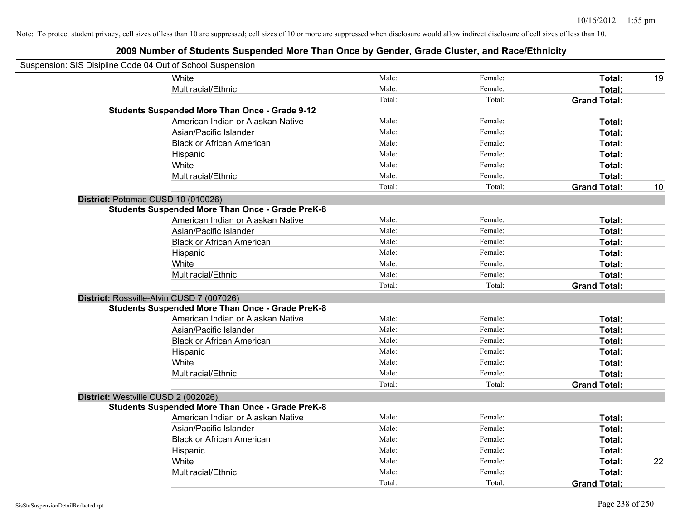| Suspension: SIS Disipline Code 04 Out of School Suspension |                                                         |        |         |                     |    |
|------------------------------------------------------------|---------------------------------------------------------|--------|---------|---------------------|----|
|                                                            | White                                                   | Male:  | Female: | Total:              | 19 |
|                                                            | Multiracial/Ethnic                                      | Male:  | Female: | Total:              |    |
|                                                            |                                                         | Total: | Total:  | <b>Grand Total:</b> |    |
|                                                            | <b>Students Suspended More Than Once - Grade 9-12</b>   |        |         |                     |    |
|                                                            | American Indian or Alaskan Native                       | Male:  | Female: | Total:              |    |
|                                                            | Asian/Pacific Islander                                  | Male:  | Female: | Total:              |    |
|                                                            | <b>Black or African American</b>                        | Male:  | Female: | Total:              |    |
|                                                            | Hispanic                                                | Male:  | Female: | Total:              |    |
|                                                            | White                                                   | Male:  | Female: | Total:              |    |
|                                                            | Multiracial/Ethnic                                      | Male:  | Female: | Total:              |    |
|                                                            |                                                         | Total: | Total:  | <b>Grand Total:</b> | 10 |
| District: Potomac CUSD 10 (010026)                         |                                                         |        |         |                     |    |
|                                                            | <b>Students Suspended More Than Once - Grade PreK-8</b> |        |         |                     |    |
|                                                            | American Indian or Alaskan Native                       | Male:  | Female: | Total:              |    |
|                                                            | Asian/Pacific Islander                                  | Male:  | Female: | Total:              |    |
|                                                            | <b>Black or African American</b>                        | Male:  | Female: | Total:              |    |
|                                                            | Hispanic                                                | Male:  | Female: | Total:              |    |
|                                                            | White                                                   | Male:  | Female: | Total:              |    |
|                                                            | Multiracial/Ethnic                                      | Male:  | Female: | Total:              |    |
|                                                            |                                                         | Total: | Total:  | <b>Grand Total:</b> |    |
| District: Rossville-Alvin CUSD 7 (007026)                  |                                                         |        |         |                     |    |
|                                                            | <b>Students Suspended More Than Once - Grade PreK-8</b> |        |         |                     |    |
|                                                            | American Indian or Alaskan Native                       | Male:  | Female: | Total:              |    |
|                                                            | Asian/Pacific Islander                                  | Male:  | Female: | Total:              |    |
|                                                            | <b>Black or African American</b>                        | Male:  | Female: | Total:              |    |
|                                                            | Hispanic                                                | Male:  | Female: | Total:              |    |
|                                                            | White                                                   | Male:  | Female: | Total:              |    |
|                                                            | Multiracial/Ethnic                                      | Male:  | Female: | Total:              |    |
|                                                            |                                                         | Total: | Total:  | <b>Grand Total:</b> |    |
| District: Westville CUSD 2 (002026)                        |                                                         |        |         |                     |    |
|                                                            | <b>Students Suspended More Than Once - Grade PreK-8</b> |        |         |                     |    |
|                                                            | American Indian or Alaskan Native                       | Male:  | Female: | Total:              |    |
|                                                            | Asian/Pacific Islander                                  | Male:  | Female: | Total:              |    |
|                                                            | <b>Black or African American</b>                        | Male:  | Female: | Total:              |    |
|                                                            | Hispanic                                                | Male:  | Female: | Total:              |    |
|                                                            | White                                                   | Male:  | Female: | Total:              | 22 |
|                                                            | Multiracial/Ethnic                                      | Male:  | Female: | Total:              |    |
|                                                            |                                                         | Total: | Total:  | <b>Grand Total:</b> |    |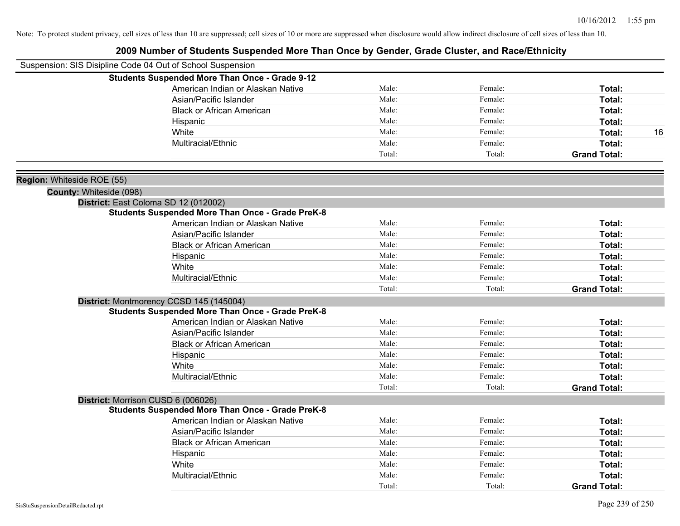|                            | Suspension: SIS Disipline Code 04 Out of School Suspension |        |         |                     |
|----------------------------|------------------------------------------------------------|--------|---------|---------------------|
|                            | <b>Students Suspended More Than Once - Grade 9-12</b>      |        |         |                     |
|                            | American Indian or Alaskan Native                          | Male:  | Female: | Total:              |
|                            | Asian/Pacific Islander                                     | Male:  | Female: | Total:              |
|                            | <b>Black or African American</b>                           | Male:  | Female: | Total:              |
|                            | Hispanic                                                   | Male:  | Female: | Total:              |
|                            | White                                                      | Male:  | Female: | Total:<br>16        |
|                            | Multiracial/Ethnic                                         | Male:  | Female: | Total:              |
|                            |                                                            | Total: | Total:  | <b>Grand Total:</b> |
| Region: Whiteside ROE (55) |                                                            |        |         |                     |
| County: Whiteside (098)    |                                                            |        |         |                     |
|                            | District: East Coloma SD 12 (012002)                       |        |         |                     |
|                            | <b>Students Suspended More Than Once - Grade PreK-8</b>    |        |         |                     |
|                            | American Indian or Alaskan Native                          | Male:  | Female: | Total:              |
|                            | Asian/Pacific Islander                                     | Male:  | Female: | Total:              |
|                            | <b>Black or African American</b>                           | Male:  | Female: | Total:              |
|                            | Hispanic                                                   | Male:  | Female: | Total:              |
|                            | White                                                      | Male:  | Female: | Total:              |
|                            | Multiracial/Ethnic                                         | Male:  | Female: | Total:              |
|                            |                                                            | Total: | Total:  | <b>Grand Total:</b> |
|                            | District: Montmorency CCSD 145 (145004)                    |        |         |                     |
|                            | <b>Students Suspended More Than Once - Grade PreK-8</b>    |        |         |                     |
|                            | American Indian or Alaskan Native                          | Male:  | Female: | Total:              |
|                            | Asian/Pacific Islander                                     | Male:  | Female: | Total:              |
|                            | <b>Black or African American</b>                           | Male:  | Female: | Total:              |
|                            | Hispanic                                                   | Male:  | Female: | Total:              |
|                            | White                                                      | Male:  | Female: | Total:              |
|                            | Multiracial/Ethnic                                         | Male:  | Female: | Total:              |
|                            |                                                            | Total: | Total:  | <b>Grand Total:</b> |
|                            | District: Morrison CUSD 6 (006026)                         |        |         |                     |
|                            | <b>Students Suspended More Than Once - Grade PreK-8</b>    |        |         |                     |
|                            | American Indian or Alaskan Native                          | Male:  | Female: | Total:              |
|                            | Asian/Pacific Islander                                     | Male:  | Female: | Total:              |
|                            | <b>Black or African American</b>                           | Male:  | Female: | Total:              |
|                            | Hispanic                                                   | Male:  | Female: | Total:              |
|                            | White                                                      | Male:  | Female: | Total:              |
|                            | Multiracial/Ethnic                                         | Male:  | Female: | <b>Total:</b>       |
|                            |                                                            | Total: | Total:  | <b>Grand Total:</b> |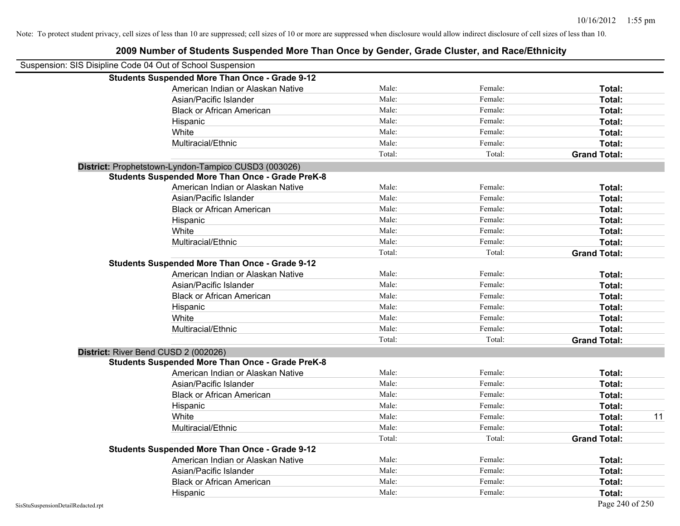| Suspension: SIS Disipline Code 04 Out of School Suspension |        |         |                     |    |
|------------------------------------------------------------|--------|---------|---------------------|----|
| <b>Students Suspended More Than Once - Grade 9-12</b>      |        |         |                     |    |
| American Indian or Alaskan Native                          | Male:  | Female: | Total:              |    |
| Asian/Pacific Islander                                     | Male:  | Female: | Total:              |    |
| <b>Black or African American</b>                           | Male:  | Female: | Total:              |    |
| Hispanic                                                   | Male:  | Female: | Total:              |    |
| White                                                      | Male:  | Female: | Total:              |    |
| Multiracial/Ethnic                                         | Male:  | Female: | Total:              |    |
|                                                            | Total: | Total:  | <b>Grand Total:</b> |    |
| District: Prophetstown-Lyndon-Tampico CUSD3 (003026)       |        |         |                     |    |
| <b>Students Suspended More Than Once - Grade PreK-8</b>    |        |         |                     |    |
| American Indian or Alaskan Native                          | Male:  | Female: | Total:              |    |
| Asian/Pacific Islander                                     | Male:  | Female: | Total:              |    |
| <b>Black or African American</b>                           | Male:  | Female: | Total:              |    |
| Hispanic                                                   | Male:  | Female: | Total:              |    |
| White                                                      | Male:  | Female: | Total:              |    |
| Multiracial/Ethnic                                         | Male:  | Female: | Total:              |    |
|                                                            | Total: | Total:  | <b>Grand Total:</b> |    |
| <b>Students Suspended More Than Once - Grade 9-12</b>      |        |         |                     |    |
| American Indian or Alaskan Native                          | Male:  | Female: | Total:              |    |
| Asian/Pacific Islander                                     | Male:  | Female: | Total:              |    |
| <b>Black or African American</b>                           | Male:  | Female: | Total:              |    |
| Hispanic                                                   | Male:  | Female: | Total:              |    |
| White                                                      | Male:  | Female: | Total:              |    |
| Multiracial/Ethnic                                         | Male:  | Female: | Total:              |    |
|                                                            | Total: | Total:  | <b>Grand Total:</b> |    |
| District: River Bend CUSD 2 (002026)                       |        |         |                     |    |
| <b>Students Suspended More Than Once - Grade PreK-8</b>    |        |         |                     |    |
| American Indian or Alaskan Native                          | Male:  | Female: | Total:              |    |
| Asian/Pacific Islander                                     | Male:  | Female: | Total:              |    |
| <b>Black or African American</b>                           | Male:  | Female: | Total:              |    |
| Hispanic                                                   | Male:  | Female: | Total:              |    |
| White                                                      | Male:  | Female: | Total:              | 11 |
| Multiracial/Ethnic                                         | Male:  | Female: | Total:              |    |
|                                                            | Total: | Total:  | <b>Grand Total:</b> |    |
| <b>Students Suspended More Than Once - Grade 9-12</b>      |        |         |                     |    |
| American Indian or Alaskan Native                          | Male:  | Female: | Total:              |    |
| Asian/Pacific Islander                                     | Male:  | Female: | Total:              |    |
| <b>Black or African American</b>                           | Male:  | Female: | Total:              |    |
| Hispanic                                                   | Male:  | Female: | Total:              |    |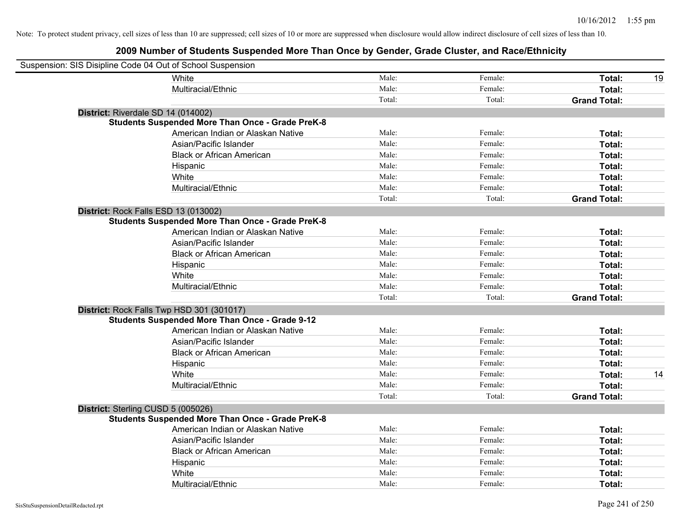| Suspension: SIS Disipline Code 04 Out of School Suspension |                                                         |        |         |                     |    |
|------------------------------------------------------------|---------------------------------------------------------|--------|---------|---------------------|----|
| <b>White</b>                                               |                                                         | Male:  | Female: | Total:              | 19 |
|                                                            | Multiracial/Ethnic                                      | Male:  | Female: | Total:              |    |
|                                                            |                                                         | Total: | Total:  | <b>Grand Total:</b> |    |
| District: Riverdale SD 14 (014002)                         |                                                         |        |         |                     |    |
|                                                            | <b>Students Suspended More Than Once - Grade PreK-8</b> |        |         |                     |    |
|                                                            | American Indian or Alaskan Native                       | Male:  | Female: | Total:              |    |
|                                                            | Asian/Pacific Islander                                  | Male:  | Female: | Total:              |    |
|                                                            | <b>Black or African American</b>                        | Male:  | Female: | Total:              |    |
| Hispanic                                                   |                                                         | Male:  | Female: | Total:              |    |
| White                                                      |                                                         | Male:  | Female: | Total:              |    |
|                                                            | Multiracial/Ethnic                                      | Male:  | Female: | Total:              |    |
|                                                            |                                                         | Total: | Total:  | <b>Grand Total:</b> |    |
| District: Rock Falls ESD 13 (013002)                       |                                                         |        |         |                     |    |
|                                                            | <b>Students Suspended More Than Once - Grade PreK-8</b> |        |         |                     |    |
|                                                            | American Indian or Alaskan Native                       | Male:  | Female: | Total:              |    |
|                                                            | Asian/Pacific Islander                                  | Male:  | Female: | Total:              |    |
|                                                            | <b>Black or African American</b>                        | Male:  | Female: | Total:              |    |
| Hispanic                                                   |                                                         | Male:  | Female: | Total:              |    |
| White                                                      |                                                         | Male:  | Female: | Total:              |    |
|                                                            | Multiracial/Ethnic                                      | Male:  | Female: | Total:              |    |
|                                                            |                                                         | Total: | Total:  | <b>Grand Total:</b> |    |
| District: Rock Falls Twp HSD 301 (301017)                  |                                                         |        |         |                     |    |
|                                                            | <b>Students Suspended More Than Once - Grade 9-12</b>   |        |         |                     |    |
|                                                            | American Indian or Alaskan Native                       | Male:  | Female: | Total:              |    |
|                                                            | Asian/Pacific Islander                                  | Male:  | Female: | Total:              |    |
|                                                            | <b>Black or African American</b>                        | Male:  | Female: | Total:              |    |
| Hispanic                                                   |                                                         | Male:  | Female: | Total:              |    |
| White                                                      |                                                         | Male:  | Female: | Total:              | 14 |
|                                                            | Multiracial/Ethnic                                      | Male:  | Female: | Total:              |    |
|                                                            |                                                         | Total: | Total:  | <b>Grand Total:</b> |    |
| District: Sterling CUSD 5 (005026)                         |                                                         |        |         |                     |    |
|                                                            | <b>Students Suspended More Than Once - Grade PreK-8</b> |        |         |                     |    |
|                                                            | American Indian or Alaskan Native                       | Male:  | Female: | Total:              |    |
|                                                            | Asian/Pacific Islander                                  | Male:  | Female: | Total:              |    |
|                                                            | <b>Black or African American</b>                        | Male:  | Female: | Total:              |    |
| Hispanic                                                   |                                                         | Male:  | Female: | Total:              |    |
| White                                                      |                                                         | Male:  | Female: | Total:              |    |
|                                                            | Multiracial/Ethnic                                      | Male:  | Female: | Total:              |    |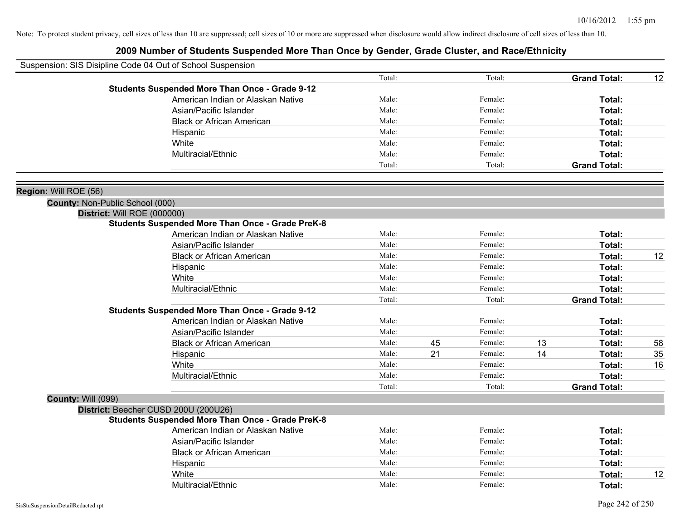|                                        | Suspension: SIS Disipline Code 04 Out of School Suspension                             |        |    |         |    |                     |    |
|----------------------------------------|----------------------------------------------------------------------------------------|--------|----|---------|----|---------------------|----|
|                                        |                                                                                        | Total: |    | Total:  |    | <b>Grand Total:</b> | 12 |
|                                        | <b>Students Suspended More Than Once - Grade 9-12</b>                                  |        |    |         |    |                     |    |
|                                        | American Indian or Alaskan Native                                                      | Male:  |    | Female: |    | Total:              |    |
|                                        | Asian/Pacific Islander                                                                 | Male:  |    | Female: |    | <b>Total:</b>       |    |
|                                        | <b>Black or African American</b>                                                       | Male:  |    | Female: |    | Total:              |    |
|                                        | Hispanic                                                                               | Male:  |    | Female: |    | Total:              |    |
|                                        | White                                                                                  | Male:  |    | Female: |    | Total:              |    |
|                                        | Multiracial/Ethnic                                                                     | Male:  |    | Female: |    | Total:              |    |
|                                        |                                                                                        | Total: |    | Total:  |    | <b>Grand Total:</b> |    |
|                                        |                                                                                        |        |    |         |    |                     |    |
| Region: Will ROE (56)                  |                                                                                        |        |    |         |    |                     |    |
| <b>County: Non-Public School (000)</b> |                                                                                        |        |    |         |    |                     |    |
|                                        | District: Will ROE (000000)<br><b>Students Suspended More Than Once - Grade PreK-8</b> |        |    |         |    |                     |    |
|                                        | American Indian or Alaskan Native                                                      | Male:  |    | Female: |    | Total:              |    |
|                                        | Asian/Pacific Islander                                                                 | Male:  |    | Female: |    | <b>Total:</b>       |    |
|                                        | <b>Black or African American</b>                                                       | Male:  |    | Female: |    | Total:              | 12 |
|                                        |                                                                                        | Male:  |    | Female: |    | <b>Total:</b>       |    |
|                                        | Hispanic<br>White                                                                      | Male:  |    | Female: |    | <b>Total:</b>       |    |
|                                        | Multiracial/Ethnic                                                                     | Male:  |    | Female: |    | Total:              |    |
|                                        |                                                                                        | Total: |    | Total:  |    | <b>Grand Total:</b> |    |
|                                        | <b>Students Suspended More Than Once - Grade 9-12</b>                                  |        |    |         |    |                     |    |
|                                        | American Indian or Alaskan Native                                                      | Male:  |    | Female: |    | <b>Total:</b>       |    |
|                                        | Asian/Pacific Islander                                                                 | Male:  |    | Female: |    | <b>Total:</b>       |    |
|                                        | <b>Black or African American</b>                                                       | Male:  | 45 | Female: | 13 | <b>Total:</b>       | 58 |
|                                        | Hispanic                                                                               | Male:  | 21 | Female: | 14 | <b>Total:</b>       | 35 |
|                                        | White                                                                                  | Male:  |    | Female: |    | <b>Total:</b>       | 16 |
|                                        | Multiracial/Ethnic                                                                     | Male:  |    | Female: |    | Total:              |    |
|                                        |                                                                                        | Total: |    | Total:  |    | <b>Grand Total:</b> |    |
| County: Will (099)                     |                                                                                        |        |    |         |    |                     |    |
|                                        | District: Beecher CUSD 200U (200U26)                                                   |        |    |         |    |                     |    |
|                                        | <b>Students Suspended More Than Once - Grade PreK-8</b>                                |        |    |         |    |                     |    |
|                                        | American Indian or Alaskan Native                                                      | Male:  |    | Female: |    | Total:              |    |
|                                        | Asian/Pacific Islander                                                                 | Male:  |    | Female: |    | <b>Total:</b>       |    |
|                                        | <b>Black or African American</b>                                                       | Male:  |    | Female: |    | <b>Total:</b>       |    |
|                                        | Hispanic                                                                               | Male:  |    | Female: |    | <b>Total:</b>       |    |
|                                        | White                                                                                  | Male:  |    | Female: |    | Total:              | 12 |
|                                        | Multiracial/Ethnic                                                                     | Male:  |    | Female: |    | Total:              |    |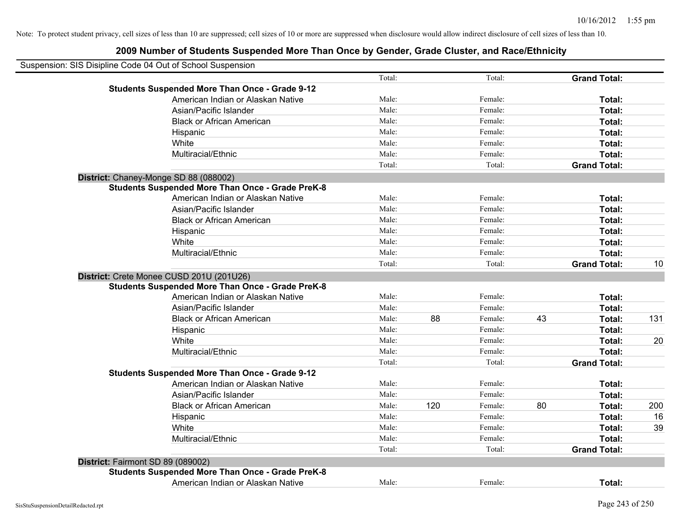|                                   | Suspension: SIS Disipline Code 04 Out of School Suspension |        |     |         |    |                     |     |
|-----------------------------------|------------------------------------------------------------|--------|-----|---------|----|---------------------|-----|
|                                   |                                                            | Total: |     | Total:  |    | <b>Grand Total:</b> |     |
|                                   | <b>Students Suspended More Than Once - Grade 9-12</b>      |        |     |         |    |                     |     |
|                                   | American Indian or Alaskan Native                          | Male:  |     | Female: |    | Total:              |     |
|                                   | Asian/Pacific Islander                                     | Male:  |     | Female: |    | Total:              |     |
|                                   | <b>Black or African American</b>                           | Male:  |     | Female: |    | Total:              |     |
|                                   | Hispanic                                                   | Male:  |     | Female: |    | Total:              |     |
|                                   | White                                                      | Male:  |     | Female: |    | Total:              |     |
|                                   | Multiracial/Ethnic                                         | Male:  |     | Female: |    | Total:              |     |
|                                   |                                                            | Total: |     | Total:  |    | <b>Grand Total:</b> |     |
|                                   | District: Chaney-Monge SD 88 (088002)                      |        |     |         |    |                     |     |
|                                   | <b>Students Suspended More Than Once - Grade PreK-8</b>    |        |     |         |    |                     |     |
|                                   | American Indian or Alaskan Native                          | Male:  |     | Female: |    | Total:              |     |
|                                   | Asian/Pacific Islander                                     | Male:  |     | Female: |    | Total:              |     |
|                                   | <b>Black or African American</b>                           | Male:  |     | Female: |    | Total:              |     |
|                                   | Hispanic                                                   | Male:  |     | Female: |    | Total:              |     |
|                                   | White                                                      | Male:  |     | Female: |    | Total:              |     |
|                                   | Multiracial/Ethnic                                         | Male:  |     | Female: |    | Total:              |     |
|                                   |                                                            | Total: |     | Total:  |    | <b>Grand Total:</b> | 10  |
|                                   | District: Crete Monee CUSD 201U (201U26)                   |        |     |         |    |                     |     |
|                                   | <b>Students Suspended More Than Once - Grade PreK-8</b>    |        |     |         |    |                     |     |
|                                   | American Indian or Alaskan Native                          | Male:  |     | Female: |    | Total:              |     |
|                                   | Asian/Pacific Islander                                     | Male:  |     | Female: |    | Total:              |     |
|                                   | <b>Black or African American</b>                           | Male:  | 88  | Female: | 43 | Total:              | 131 |
|                                   | Hispanic                                                   | Male:  |     | Female: |    | Total:              |     |
|                                   | White                                                      | Male:  |     | Female: |    | Total:              | 20  |
|                                   | Multiracial/Ethnic                                         | Male:  |     | Female: |    | Total:              |     |
|                                   |                                                            | Total: |     | Total:  |    | <b>Grand Total:</b> |     |
|                                   | <b>Students Suspended More Than Once - Grade 9-12</b>      |        |     |         |    |                     |     |
|                                   | American Indian or Alaskan Native                          | Male:  |     | Female: |    | Total:              |     |
|                                   | Asian/Pacific Islander                                     | Male:  |     | Female: |    | Total:              |     |
|                                   | <b>Black or African American</b>                           | Male:  | 120 | Female: | 80 | Total:              | 200 |
|                                   | Hispanic                                                   | Male:  |     | Female: |    | Total:              | 16  |
|                                   | White                                                      | Male:  |     | Female: |    | Total:              | 39  |
|                                   | Multiracial/Ethnic                                         | Male:  |     | Female: |    | Total:              |     |
|                                   |                                                            | Total: |     | Total:  |    | <b>Grand Total:</b> |     |
| District: Fairmont SD 89 (089002) |                                                            |        |     |         |    |                     |     |
|                                   | <b>Students Suspended More Than Once - Grade PreK-8</b>    |        |     |         |    |                     |     |
|                                   | American Indian or Alaskan Native                          | Male:  |     | Female: |    | Total:              |     |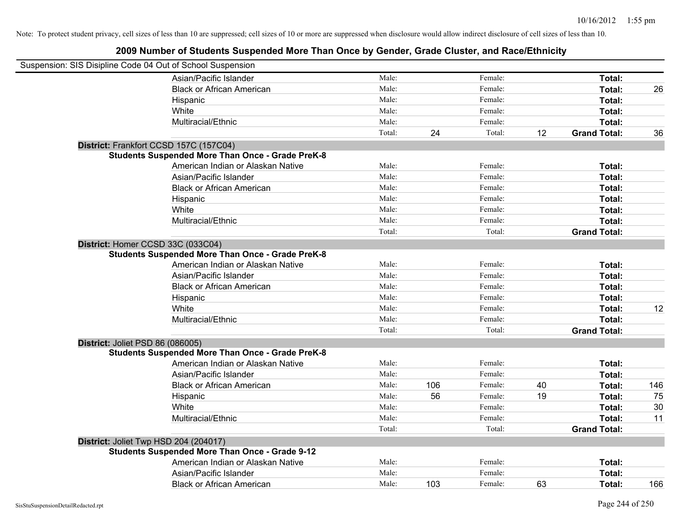| Suspension: SIS Disipline Code 04 Out of School Suspension |                                                         |        |     |         |    |                     |     |
|------------------------------------------------------------|---------------------------------------------------------|--------|-----|---------|----|---------------------|-----|
|                                                            | Asian/Pacific Islander                                  | Male:  |     | Female: |    | Total:              |     |
|                                                            | <b>Black or African American</b>                        | Male:  |     | Female: |    | Total:              | 26  |
|                                                            | Hispanic                                                | Male:  |     | Female: |    | Total:              |     |
|                                                            | White                                                   | Male:  |     | Female: |    | Total:              |     |
|                                                            | Multiracial/Ethnic                                      | Male:  |     | Female: |    | Total:              |     |
|                                                            |                                                         | Total: | 24  | Total:  | 12 | <b>Grand Total:</b> | 36  |
| District: Frankfort CCSD 157C (157C04)                     |                                                         |        |     |         |    |                     |     |
|                                                            | <b>Students Suspended More Than Once - Grade PreK-8</b> |        |     |         |    |                     |     |
|                                                            | American Indian or Alaskan Native                       | Male:  |     | Female: |    | Total:              |     |
|                                                            | Asian/Pacific Islander                                  | Male:  |     | Female: |    | Total:              |     |
|                                                            | <b>Black or African American</b>                        | Male:  |     | Female: |    | Total:              |     |
|                                                            | Hispanic                                                | Male:  |     | Female: |    | Total:              |     |
|                                                            | White                                                   | Male:  |     | Female: |    | Total:              |     |
|                                                            | Multiracial/Ethnic                                      | Male:  |     | Female: |    | Total:              |     |
|                                                            |                                                         | Total: |     | Total:  |    | <b>Grand Total:</b> |     |
| District: Homer CCSD 33C (033C04)                          |                                                         |        |     |         |    |                     |     |
|                                                            | <b>Students Suspended More Than Once - Grade PreK-8</b> |        |     |         |    |                     |     |
|                                                            | American Indian or Alaskan Native                       | Male:  |     | Female: |    | Total:              |     |
|                                                            | Asian/Pacific Islander                                  | Male:  |     | Female: |    | Total:              |     |
|                                                            | <b>Black or African American</b>                        | Male:  |     | Female: |    | Total:              |     |
|                                                            | Hispanic                                                | Male:  |     | Female: |    | Total:              |     |
|                                                            | White                                                   | Male:  |     | Female: |    | Total:              | 12  |
|                                                            | Multiracial/Ethnic                                      | Male:  |     | Female: |    | Total:              |     |
|                                                            |                                                         | Total: |     | Total:  |    | <b>Grand Total:</b> |     |
| District: Joliet PSD 86 (086005)                           |                                                         |        |     |         |    |                     |     |
|                                                            | <b>Students Suspended More Than Once - Grade PreK-8</b> |        |     |         |    |                     |     |
|                                                            | American Indian or Alaskan Native                       | Male:  |     | Female: |    | Total:              |     |
|                                                            | Asian/Pacific Islander                                  | Male:  |     | Female: |    | Total:              |     |
|                                                            | <b>Black or African American</b>                        | Male:  | 106 | Female: | 40 | Total:              | 146 |
|                                                            | Hispanic                                                | Male:  | 56  | Female: | 19 | Total:              | 75  |
|                                                            | White                                                   | Male:  |     | Female: |    | Total:              | 30  |
|                                                            | Multiracial/Ethnic                                      | Male:  |     | Female: |    | Total:              | 11  |
|                                                            |                                                         | Total: |     | Total:  |    | <b>Grand Total:</b> |     |
| District: Joliet Twp HSD 204 (204017)                      |                                                         |        |     |         |    |                     |     |
|                                                            | <b>Students Suspended More Than Once - Grade 9-12</b>   |        |     |         |    |                     |     |
|                                                            | American Indian or Alaskan Native                       | Male:  |     | Female: |    | Total:              |     |
|                                                            | Asian/Pacific Islander                                  | Male:  |     | Female: |    | Total:              |     |
|                                                            | <b>Black or African American</b>                        | Male:  | 103 | Female: | 63 | Total:              | 166 |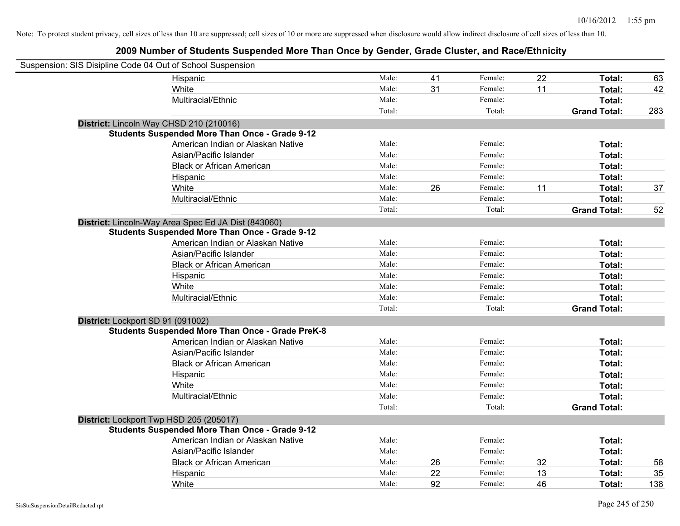| Suspension: SIS Disipline Code 04 Out of School Suspension |                                                         |        |    |         |    |                     |     |
|------------------------------------------------------------|---------------------------------------------------------|--------|----|---------|----|---------------------|-----|
|                                                            | Hispanic                                                | Male:  | 41 | Female: | 22 | Total:              | 63  |
|                                                            | White                                                   | Male:  | 31 | Female: | 11 | Total:              | 42  |
|                                                            | Multiracial/Ethnic                                      | Male:  |    | Female: |    | Total:              |     |
|                                                            |                                                         | Total: |    | Total:  |    | <b>Grand Total:</b> | 283 |
|                                                            | District: Lincoln Way CHSD 210 (210016)                 |        |    |         |    |                     |     |
|                                                            | <b>Students Suspended More Than Once - Grade 9-12</b>   |        |    |         |    |                     |     |
|                                                            | American Indian or Alaskan Native                       | Male:  |    | Female: |    | Total:              |     |
|                                                            | Asian/Pacific Islander                                  | Male:  |    | Female: |    | Total:              |     |
|                                                            | <b>Black or African American</b>                        | Male:  |    | Female: |    | Total:              |     |
|                                                            | Hispanic                                                | Male:  |    | Female: |    | Total:              |     |
|                                                            | White                                                   | Male:  | 26 | Female: | 11 | Total:              | 37  |
|                                                            | Multiracial/Ethnic                                      | Male:  |    | Female: |    | Total:              |     |
|                                                            |                                                         | Total: |    | Total:  |    | <b>Grand Total:</b> | 52  |
|                                                            | District: Lincoln-Way Area Spec Ed JA Dist (843060)     |        |    |         |    |                     |     |
|                                                            | <b>Students Suspended More Than Once - Grade 9-12</b>   |        |    |         |    |                     |     |
|                                                            | American Indian or Alaskan Native                       | Male:  |    | Female: |    | Total:              |     |
|                                                            | Asian/Pacific Islander                                  | Male:  |    | Female: |    | Total:              |     |
|                                                            | <b>Black or African American</b>                        | Male:  |    | Female: |    | Total:              |     |
|                                                            | Hispanic                                                | Male:  |    | Female: |    | Total:              |     |
|                                                            | White                                                   | Male:  |    | Female: |    | Total:              |     |
|                                                            | Multiracial/Ethnic                                      | Male:  |    | Female: |    | Total:              |     |
|                                                            |                                                         | Total: |    | Total:  |    | <b>Grand Total:</b> |     |
| District: Lockport SD 91 (091002)                          |                                                         |        |    |         |    |                     |     |
|                                                            | <b>Students Suspended More Than Once - Grade PreK-8</b> |        |    |         |    |                     |     |
|                                                            | American Indian or Alaskan Native                       | Male:  |    | Female: |    | Total:              |     |
|                                                            | Asian/Pacific Islander                                  | Male:  |    | Female: |    | Total:              |     |
|                                                            | <b>Black or African American</b>                        | Male:  |    | Female: |    | Total:              |     |
|                                                            | Hispanic                                                | Male:  |    | Female: |    | Total:              |     |
|                                                            | White                                                   | Male:  |    | Female: |    | Total:              |     |
|                                                            | Multiracial/Ethnic                                      | Male:  |    | Female: |    | Total:              |     |
|                                                            |                                                         | Total: |    | Total:  |    | <b>Grand Total:</b> |     |
| District: Lockport Twp HSD 205 (205017)                    |                                                         |        |    |         |    |                     |     |
|                                                            | <b>Students Suspended More Than Once - Grade 9-12</b>   |        |    |         |    |                     |     |
|                                                            | American Indian or Alaskan Native                       | Male:  |    | Female: |    | Total:              |     |
|                                                            | Asian/Pacific Islander                                  | Male:  |    | Female: |    | Total:              |     |
|                                                            | <b>Black or African American</b>                        | Male:  | 26 | Female: | 32 | Total:              | 58  |
|                                                            | Hispanic                                                | Male:  | 22 | Female: | 13 | Total:              | 35  |
|                                                            | White                                                   | Male:  | 92 | Female: | 46 | Total:              | 138 |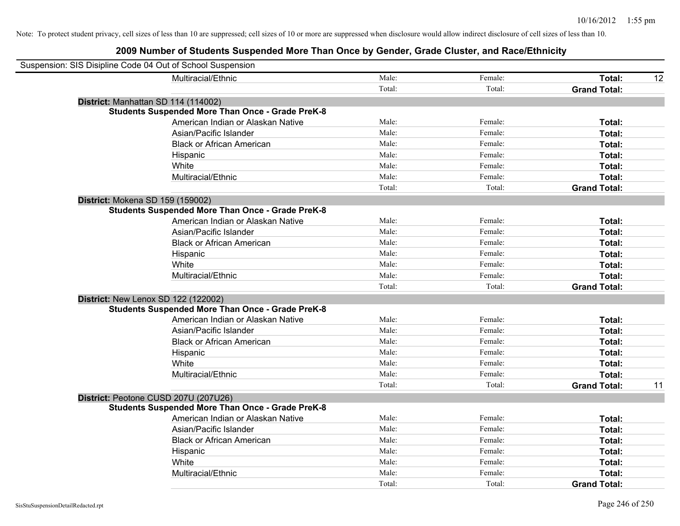| Suspension: SIS Disipline Code 04 Out of School Suspension |                                                         |        |         |                     |    |
|------------------------------------------------------------|---------------------------------------------------------|--------|---------|---------------------|----|
|                                                            | Multiracial/Ethnic                                      | Male:  | Female: | Total:              | 12 |
|                                                            |                                                         | Total: | Total:  | <b>Grand Total:</b> |    |
| District: Manhattan SD 114 (114002)                        |                                                         |        |         |                     |    |
|                                                            | <b>Students Suspended More Than Once - Grade PreK-8</b> |        |         |                     |    |
|                                                            | American Indian or Alaskan Native                       | Male:  | Female: | Total:              |    |
|                                                            | Asian/Pacific Islander                                  | Male:  | Female: | Total:              |    |
|                                                            | <b>Black or African American</b>                        | Male:  | Female: | Total:              |    |
|                                                            | Hispanic                                                | Male:  | Female: | Total:              |    |
|                                                            | White                                                   | Male:  | Female: | Total:              |    |
|                                                            | Multiracial/Ethnic                                      | Male:  | Female: | Total:              |    |
|                                                            |                                                         | Total: | Total:  | <b>Grand Total:</b> |    |
| District: Mokena SD 159 (159002)                           |                                                         |        |         |                     |    |
|                                                            | <b>Students Suspended More Than Once - Grade PreK-8</b> |        |         |                     |    |
|                                                            | American Indian or Alaskan Native                       | Male:  | Female: | Total:              |    |
|                                                            | Asian/Pacific Islander                                  | Male:  | Female: | Total:              |    |
|                                                            | <b>Black or African American</b>                        | Male:  | Female: | Total:              |    |
|                                                            | Hispanic                                                | Male:  | Female: | Total:              |    |
|                                                            | White                                                   | Male:  | Female: | Total:              |    |
|                                                            | Multiracial/Ethnic                                      | Male:  | Female: | Total:              |    |
|                                                            |                                                         | Total: | Total:  | <b>Grand Total:</b> |    |
| District: New Lenox SD 122 (122002)                        |                                                         |        |         |                     |    |
|                                                            | <b>Students Suspended More Than Once - Grade PreK-8</b> |        |         |                     |    |
|                                                            | American Indian or Alaskan Native                       | Male:  | Female: | Total:              |    |
|                                                            | Asian/Pacific Islander                                  | Male:  | Female: | Total:              |    |
|                                                            | <b>Black or African American</b>                        | Male:  | Female: | Total:              |    |
|                                                            | Hispanic                                                | Male:  | Female: | Total:              |    |
|                                                            | White                                                   | Male:  | Female: | Total:              |    |
|                                                            | Multiracial/Ethnic                                      | Male:  | Female: | Total:              |    |
|                                                            |                                                         | Total: | Total:  | <b>Grand Total:</b> | 11 |
| District: Peotone CUSD 207U (207U26)                       |                                                         |        |         |                     |    |
|                                                            | <b>Students Suspended More Than Once - Grade PreK-8</b> |        |         |                     |    |
|                                                            | American Indian or Alaskan Native                       | Male:  | Female: | Total:              |    |
|                                                            | Asian/Pacific Islander                                  | Male:  | Female: | Total:              |    |
|                                                            | <b>Black or African American</b>                        | Male:  | Female: | Total:              |    |
|                                                            | Hispanic                                                | Male:  | Female: | Total:              |    |
|                                                            | White                                                   | Male:  | Female: | Total:              |    |
|                                                            | Multiracial/Ethnic                                      | Male:  | Female: | Total:              |    |
|                                                            |                                                         | Total: | Total:  | <b>Grand Total:</b> |    |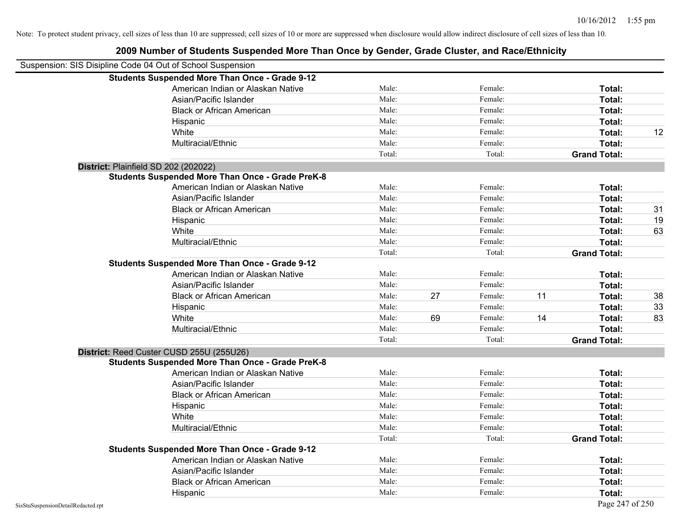| Suspension: SIS Disipline Code 04 Out of School Suspension |                                                         |        |    |         |    |                     |    |
|------------------------------------------------------------|---------------------------------------------------------|--------|----|---------|----|---------------------|----|
|                                                            | <b>Students Suspended More Than Once - Grade 9-12</b>   |        |    |         |    |                     |    |
|                                                            | American Indian or Alaskan Native                       | Male:  |    | Female: |    | Total:              |    |
|                                                            | Asian/Pacific Islander                                  | Male:  |    | Female: |    | Total:              |    |
|                                                            | <b>Black or African American</b>                        | Male:  |    | Female: |    | Total:              |    |
|                                                            | Hispanic                                                | Male:  |    | Female: |    | Total:              |    |
|                                                            | White                                                   | Male:  |    | Female: |    | Total:              | 12 |
|                                                            | Multiracial/Ethnic                                      | Male:  |    | Female: |    | Total:              |    |
|                                                            |                                                         | Total: |    | Total:  |    | <b>Grand Total:</b> |    |
|                                                            | District: Plainfield SD 202 (202022)                    |        |    |         |    |                     |    |
|                                                            | <b>Students Suspended More Than Once - Grade PreK-8</b> |        |    |         |    |                     |    |
|                                                            | American Indian or Alaskan Native                       | Male:  |    | Female: |    | Total:              |    |
|                                                            | Asian/Pacific Islander                                  | Male:  |    | Female: |    | Total:              |    |
|                                                            | <b>Black or African American</b>                        | Male:  |    | Female: |    | Total:              | 31 |
|                                                            | Hispanic                                                | Male:  |    | Female: |    | Total:              | 19 |
|                                                            | White                                                   | Male:  |    | Female: |    | Total:              | 63 |
|                                                            | Multiracial/Ethnic                                      | Male:  |    | Female: |    | Total:              |    |
|                                                            |                                                         | Total: |    | Total:  |    | <b>Grand Total:</b> |    |
|                                                            | <b>Students Suspended More Than Once - Grade 9-12</b>   |        |    |         |    |                     |    |
|                                                            | American Indian or Alaskan Native                       | Male:  |    | Female: |    | Total:              |    |
|                                                            | Asian/Pacific Islander                                  | Male:  |    | Female: |    | Total:              |    |
|                                                            | <b>Black or African American</b>                        | Male:  | 27 | Female: | 11 | Total:              | 38 |
|                                                            | Hispanic                                                | Male:  |    | Female: |    | Total:              | 33 |
|                                                            | White                                                   | Male:  | 69 | Female: | 14 | Total:              | 83 |
|                                                            | Multiracial/Ethnic                                      | Male:  |    | Female: |    | Total:              |    |
|                                                            |                                                         | Total: |    | Total:  |    | <b>Grand Total:</b> |    |
|                                                            | District: Reed Custer CUSD 255U (255U26)                |        |    |         |    |                     |    |
|                                                            | <b>Students Suspended More Than Once - Grade PreK-8</b> |        |    |         |    |                     |    |
|                                                            | American Indian or Alaskan Native                       | Male:  |    | Female: |    | Total:              |    |
|                                                            | Asian/Pacific Islander                                  | Male:  |    | Female: |    | Total:              |    |
|                                                            | <b>Black or African American</b>                        | Male:  |    | Female: |    | Total:              |    |
|                                                            | Hispanic                                                | Male:  |    | Female: |    | Total:              |    |
|                                                            | White                                                   | Male:  |    | Female: |    | Total:              |    |
|                                                            | Multiracial/Ethnic                                      | Male:  |    | Female: |    | Total:              |    |
|                                                            |                                                         | Total: |    | Total:  |    | <b>Grand Total:</b> |    |
|                                                            | <b>Students Suspended More Than Once - Grade 9-12</b>   |        |    |         |    |                     |    |
|                                                            | American Indian or Alaskan Native                       | Male:  |    | Female: |    | Total:              |    |
|                                                            | Asian/Pacific Islander                                  | Male:  |    | Female: |    | Total:              |    |
|                                                            | <b>Black or African American</b>                        | Male:  |    | Female: |    | Total:              |    |
|                                                            | Hispanic                                                | Male:  |    | Female: |    | Total:              |    |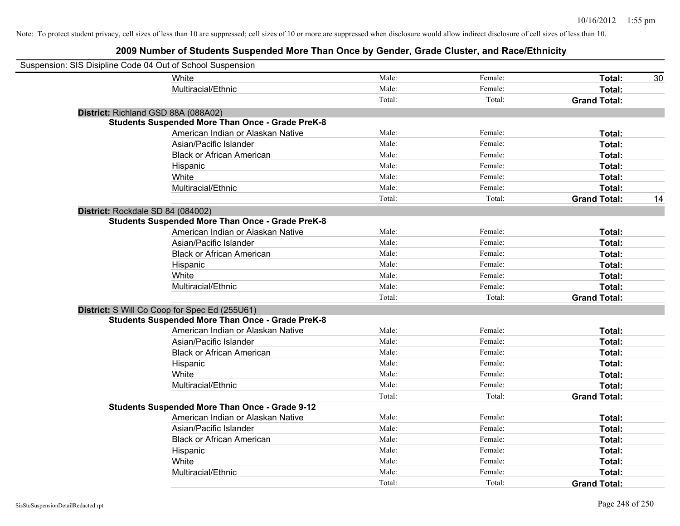| Suspension: SIS Disipline Code 04 Out of School Suspension |                                                         |        |         |                     |    |
|------------------------------------------------------------|---------------------------------------------------------|--------|---------|---------------------|----|
|                                                            | <b>White</b>                                            | Male:  | Female: | Total:              | 30 |
|                                                            | Multiracial/Ethnic                                      | Male:  | Female: | Total:              |    |
|                                                            |                                                         | Total: | Total:  | <b>Grand Total:</b> |    |
| District: Richland GSD 88A (088A02)                        |                                                         |        |         |                     |    |
|                                                            | <b>Students Suspended More Than Once - Grade PreK-8</b> |        |         |                     |    |
|                                                            | American Indian or Alaskan Native                       | Male:  | Female: | Total:              |    |
|                                                            | Asian/Pacific Islander                                  | Male:  | Female: | Total:              |    |
|                                                            | <b>Black or African American</b>                        | Male:  | Female: | Total:              |    |
|                                                            | Hispanic                                                | Male:  | Female: | Total:              |    |
|                                                            | White                                                   | Male:  | Female: | Total:              |    |
|                                                            | Multiracial/Ethnic                                      | Male:  | Female: | Total:              |    |
|                                                            |                                                         | Total: | Total:  | <b>Grand Total:</b> | 14 |
| District: Rockdale SD 84 (084002)                          |                                                         |        |         |                     |    |
|                                                            | <b>Students Suspended More Than Once - Grade PreK-8</b> |        |         |                     |    |
|                                                            | American Indian or Alaskan Native                       | Male:  | Female: | Total:              |    |
|                                                            | Asian/Pacific Islander                                  | Male:  | Female: | Total:              |    |
|                                                            | <b>Black or African American</b>                        | Male:  | Female: | Total:              |    |
|                                                            | Hispanic                                                | Male:  | Female: | Total:              |    |
|                                                            | White                                                   | Male:  | Female: | Total:              |    |
|                                                            | Multiracial/Ethnic                                      | Male:  | Female: | Total:              |    |
|                                                            |                                                         | Total: | Total:  | <b>Grand Total:</b> |    |
|                                                            | District: S Will Co Coop for Spec Ed (255U61)           |        |         |                     |    |
|                                                            | <b>Students Suspended More Than Once - Grade PreK-8</b> |        |         |                     |    |
|                                                            | American Indian or Alaskan Native                       | Male:  | Female: | Total:              |    |
|                                                            | Asian/Pacific Islander                                  | Male:  | Female: | Total:              |    |
|                                                            | <b>Black or African American</b>                        | Male:  | Female: | Total:              |    |
|                                                            | Hispanic                                                | Male:  | Female: | Total:              |    |
|                                                            | White                                                   | Male:  | Female: | Total:              |    |
|                                                            | Multiracial/Ethnic                                      | Male:  | Female: | Total:              |    |
|                                                            |                                                         | Total: | Total:  | <b>Grand Total:</b> |    |
|                                                            | <b>Students Suspended More Than Once - Grade 9-12</b>   |        |         |                     |    |
|                                                            | American Indian or Alaskan Native                       | Male:  | Female: | Total:              |    |
|                                                            | Asian/Pacific Islander                                  | Male:  | Female: | Total:              |    |
|                                                            | <b>Black or African American</b>                        | Male:  | Female: | Total:              |    |
|                                                            | Hispanic                                                | Male:  | Female: | Total:              |    |
|                                                            | White                                                   | Male:  | Female: | Total:              |    |
|                                                            | Multiracial/Ethnic                                      | Male:  | Female: | Total:              |    |
|                                                            |                                                         | Total: | Total:  | <b>Grand Total:</b> |    |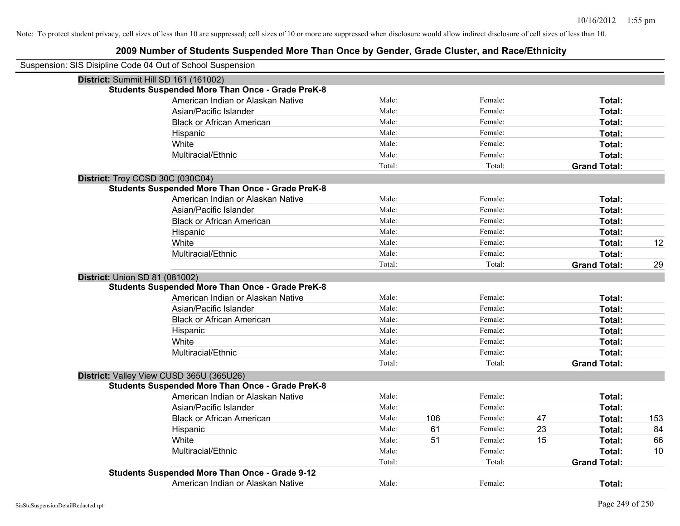| Suspension: SIS Disipline Code 04 Out of School Suspension |        |     |         |    |                     |     |
|------------------------------------------------------------|--------|-----|---------|----|---------------------|-----|
| District: Summit Hill SD 161 (161002)                      |        |     |         |    |                     |     |
| <b>Students Suspended More Than Once - Grade PreK-8</b>    |        |     |         |    |                     |     |
| American Indian or Alaskan Native                          | Male:  |     | Female: |    | Total:              |     |
| Asian/Pacific Islander                                     | Male:  |     | Female: |    | Total:              |     |
| <b>Black or African American</b>                           | Male:  |     | Female: |    | Total:              |     |
| Hispanic                                                   | Male:  |     | Female: |    | Total:              |     |
| White                                                      | Male:  |     | Female: |    | Total:              |     |
| Multiracial/Ethnic                                         | Male:  |     | Female: |    | Total:              |     |
|                                                            | Total: |     | Total:  |    | <b>Grand Total:</b> |     |
| District: Troy CCSD 30C (030C04)                           |        |     |         |    |                     |     |
| <b>Students Suspended More Than Once - Grade PreK-8</b>    |        |     |         |    |                     |     |
| American Indian or Alaskan Native                          | Male:  |     | Female: |    | Total:              |     |
| Asian/Pacific Islander                                     | Male:  |     | Female: |    | Total:              |     |
| <b>Black or African American</b>                           | Male:  |     | Female: |    | Total:              |     |
| Hispanic                                                   | Male:  |     | Female: |    | Total:              |     |
| White                                                      | Male:  |     | Female: |    | Total:              | 12  |
| Multiracial/Ethnic                                         | Male:  |     | Female: |    | Total:              |     |
|                                                            | Total: |     | Total:  |    | <b>Grand Total:</b> | 29  |
| <b>District: Union SD 81 (081002)</b>                      |        |     |         |    |                     |     |
| <b>Students Suspended More Than Once - Grade PreK-8</b>    |        |     |         |    |                     |     |
| American Indian or Alaskan Native                          | Male:  |     | Female: |    | Total:              |     |
| Asian/Pacific Islander                                     | Male:  |     | Female: |    | Total:              |     |
| <b>Black or African American</b>                           | Male:  |     | Female: |    | Total:              |     |
| Hispanic                                                   | Male:  |     | Female: |    | Total:              |     |
| White                                                      | Male:  |     | Female: |    | Total:              |     |
| Multiracial/Ethnic                                         | Male:  |     | Female: |    | Total:              |     |
|                                                            | Total: |     | Total:  |    | <b>Grand Total:</b> |     |
| District: Valley View CUSD 365U (365U26)                   |        |     |         |    |                     |     |
| <b>Students Suspended More Than Once - Grade PreK-8</b>    |        |     |         |    |                     |     |
| American Indian or Alaskan Native                          | Male:  |     | Female: |    | Total:              |     |
| Asian/Pacific Islander                                     | Male:  |     | Female: |    | Total:              |     |
| <b>Black or African American</b>                           | Male:  | 106 | Female: | 47 | Total:              | 153 |
| Hispanic                                                   | Male:  | 61  | Female: | 23 | Total:              | 84  |
| White                                                      | Male:  | 51  | Female: | 15 | Total:              | 66  |
| Multiracial/Ethnic                                         | Male:  |     | Female: |    | Total:              | 10  |
|                                                            | Total: |     | Total:  |    | <b>Grand Total:</b> |     |
| <b>Students Suspended More Than Once - Grade 9-12</b>      |        |     |         |    |                     |     |
| American Indian or Alaskan Native                          | Male:  |     | Female: |    | Total:              |     |